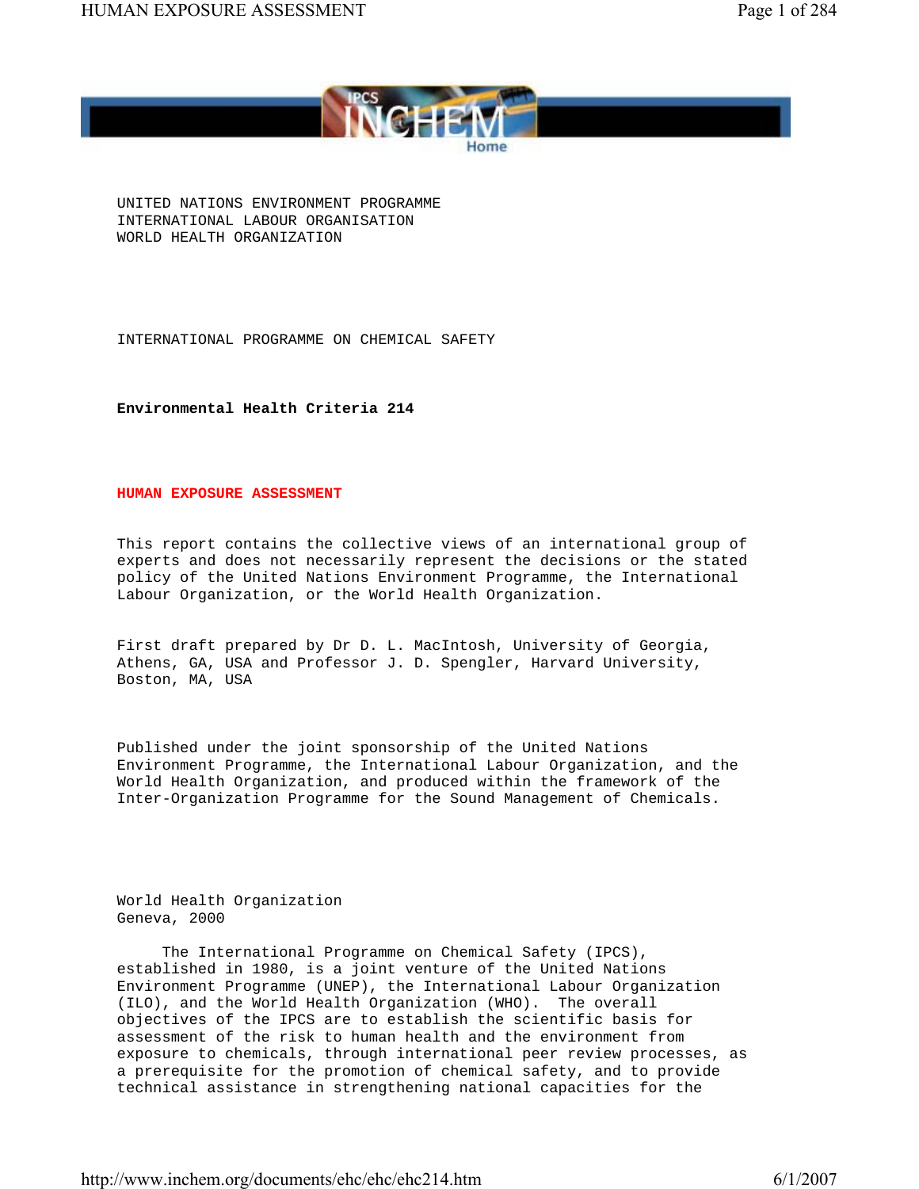

 UNITED NATIONS ENVIRONMENT PROGRAMME INTERNATIONAL LABOUR ORGANISATION WORLD HEALTH ORGANIZATION

INTERNATIONAL PROGRAMME ON CHEMICAL SAFETY

**Environmental Health Criteria 214**

## **HUMAN EXPOSURE ASSESSMENT**

 This report contains the collective views of an international group of experts and does not necessarily represent the decisions or the stated policy of the United Nations Environment Programme, the International Labour Organization, or the World Health Organization.

 First draft prepared by Dr D. L. MacIntosh, University of Georgia, Athens, GA, USA and Professor J. D. Spengler, Harvard University, Boston, MA, USA

 Published under the joint sponsorship of the United Nations Environment Programme, the International Labour Organization, and the World Health Organization, and produced within the framework of the Inter-Organization Programme for the Sound Management of Chemicals.

 World Health Organization Geneva, 2000

 The International Programme on Chemical Safety (IPCS), established in 1980, is a joint venture of the United Nations Environment Programme (UNEP), the International Labour Organization (ILO), and the World Health Organization (WHO). The overall objectives of the IPCS are to establish the scientific basis for assessment of the risk to human health and the environment from exposure to chemicals, through international peer review processes, as a prerequisite for the promotion of chemical safety, and to provide technical assistance in strengthening national capacities for the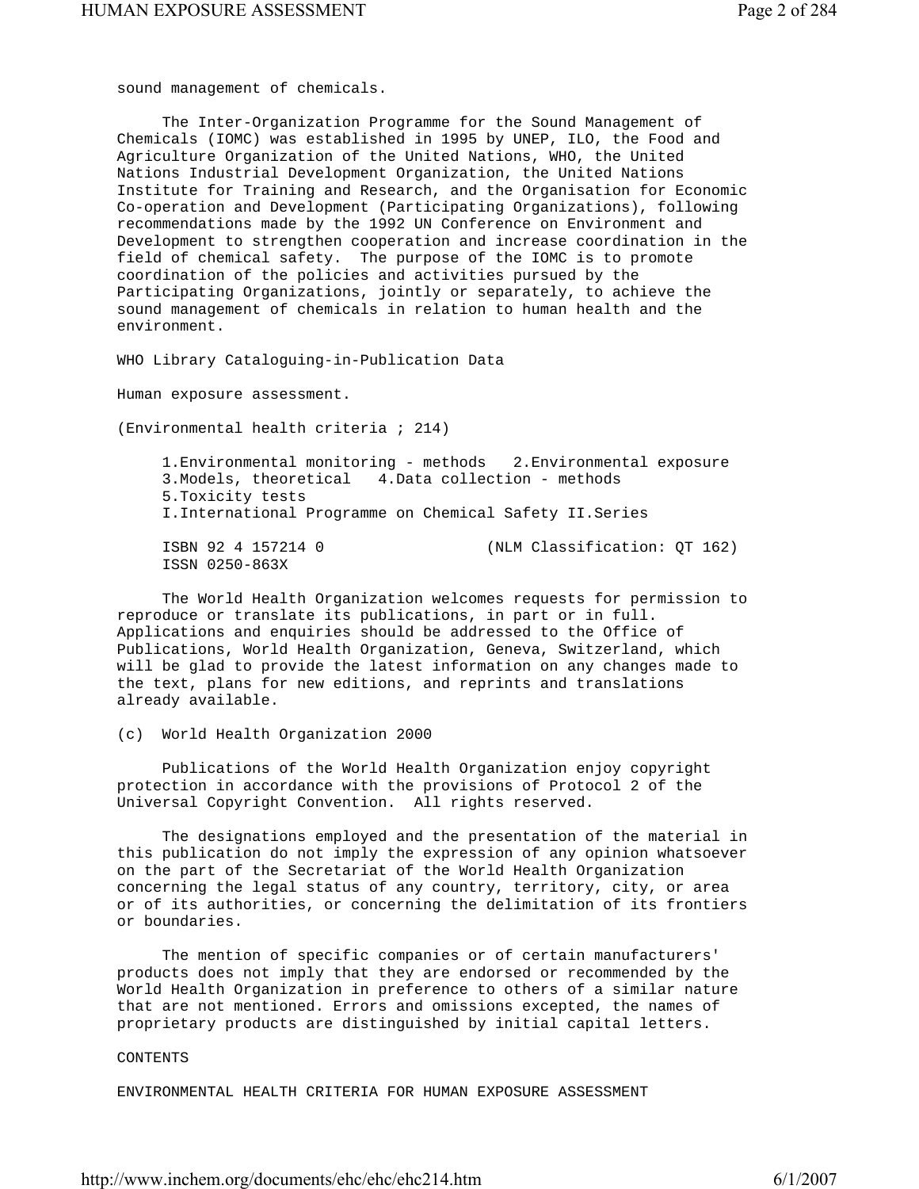sound management of chemicals.

 The Inter-Organization Programme for the Sound Management of Chemicals (IOMC) was established in 1995 by UNEP, ILO, the Food and Agriculture Organization of the United Nations, WHO, the United Nations Industrial Development Organization, the United Nations Institute for Training and Research, and the Organisation for Economic Co-operation and Development (Participating Organizations), following recommendations made by the 1992 UN Conference on Environment and Development to strengthen cooperation and increase coordination in the field of chemical safety. The purpose of the IOMC is to promote coordination of the policies and activities pursued by the Participating Organizations, jointly or separately, to achieve the sound management of chemicals in relation to human health and the environment.

WHO Library Cataloguing-in-Publication Data

Human exposure assessment.

(Environmental health criteria ; 214)

 1.Environmental monitoring - methods 2.Environmental exposure 3.Models, theoretical 4.Data collection - methods 5.Toxicity tests I.International Programme on Chemical Safety II.Series ISBN 92 4 157214 0 (NLM Classification: QT 162)

ISSN 0250-863X

 The World Health Organization welcomes requests for permission to reproduce or translate its publications, in part or in full. Applications and enquiries should be addressed to the Office of Publications, World Health Organization, Geneva, Switzerland, which will be glad to provide the latest information on any changes made to the text, plans for new editions, and reprints and translations already available.

(c) World Health Organization 2000

 Publications of the World Health Organization enjoy copyright protection in accordance with the provisions of Protocol 2 of the Universal Copyright Convention. All rights reserved.

 The designations employed and the presentation of the material in this publication do not imply the expression of any opinion whatsoever on the part of the Secretariat of the World Health Organization concerning the legal status of any country, territory, city, or area or of its authorities, or concerning the delimitation of its frontiers or boundaries.

 The mention of specific companies or of certain manufacturers' products does not imply that they are endorsed or recommended by the World Health Organization in preference to others of a similar nature that are not mentioned. Errors and omissions excepted, the names of proprietary products are distinguished by initial capital letters.

#### CONTENTS

ENVIRONMENTAL HEALTH CRITERIA FOR HUMAN EXPOSURE ASSESSMENT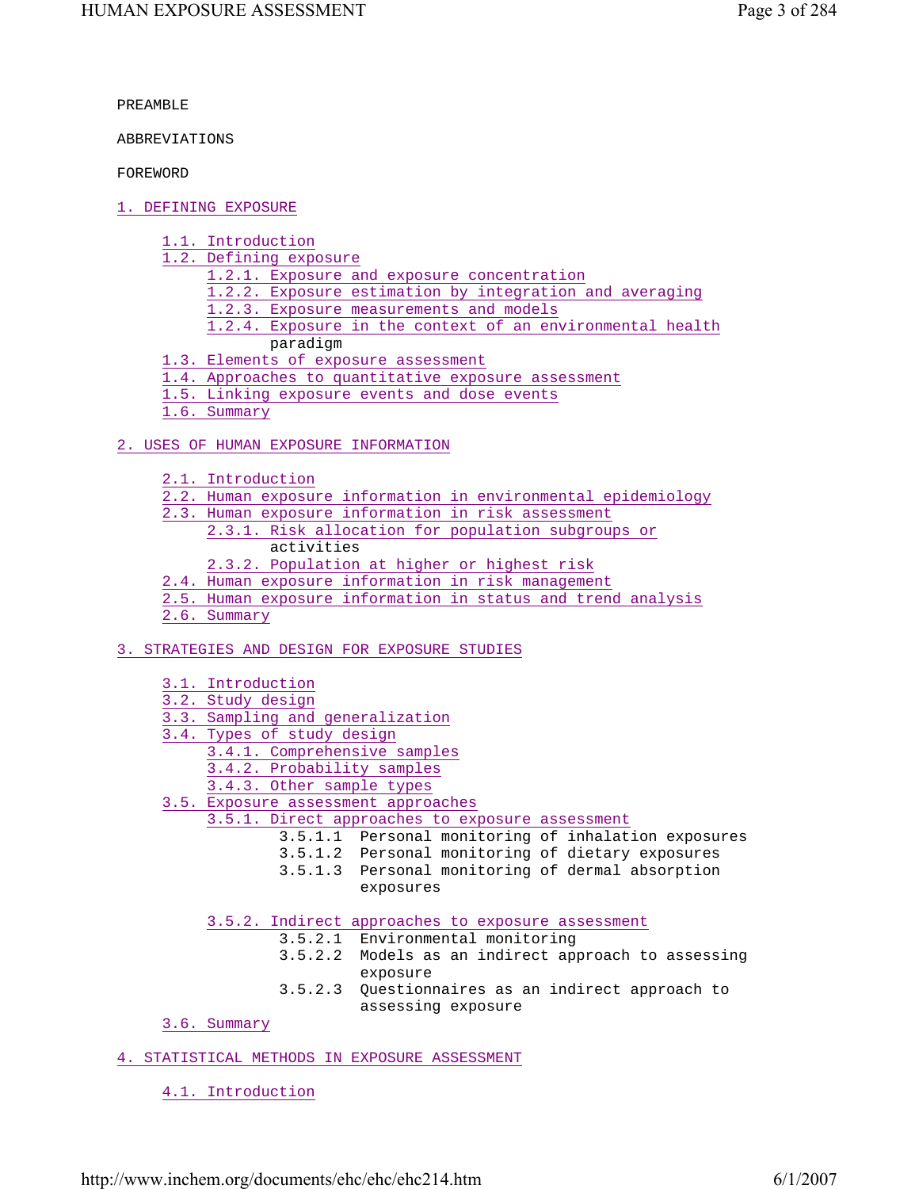PREAMBLE

ABBREVIATIONS

FOREWORD

- 1. DEFINING EXPOSURE
	- 1.1. Introduction
	- 1.2. Defining exposure
		- 1.2.1. Exposure and exposure concentration
		- 1.2.2. Exposure estimation by integration and averaging
		- 1.2.3. Exposure measurements and models
		- 1.2.4. Exposure in the context of an environmental health paradigm
	- 1.3. Elements of exposure assessment
	- 1.4. Approaches to quantitative exposure assessment
	- 1.5. Linking exposure events and dose events

1.6. Summary

# 2. USES OF HUMAN EXPOSURE INFORMATION

- 2.1. Introduction
- 2.2. Human exposure information in environmental epidemiology
- 2.3. Human exposure information in risk assessment
	- 2.3.1. Risk allocation for population subgroups or activities
	- 2.3.2. Population at higher or highest risk
- 2.4. Human exposure information in risk management
- 2.5. Human exposure information in status and trend analysis

2.6. Summary

# 3. STRATEGIES AND DESIGN FOR EXPOSURE STUDIES

- 3.1. Introduction
- 3.2. Study design
- 3.3. Sampling and generalization
- 3.4. Types of study design
	- 3.4.1. Comprehensive samples
		- 3.4.2. Probability samples
	- 3.4.3. Other sample types
- 3.5. Exposure assessment approaches
	- 3.5.1. Direct approaches to exposure assessment
		- 3.5.1.1 Personal monitoring of inhalation exposures
			- 3.5.1.2 Personal monitoring of dietary exposures
			- 3.5.1.3 Personal monitoring of dermal absorption exposures
	- 3.5.2. Indirect approaches to exposure assessment
		- 3.5.2.1 Environmental monitoring
		- 3.5.2.2 Models as an indirect approach to assessing exposure
		- 3.5.2.3 Questionnaires as an indirect approach to assessing exposure
- 3.6. Summary

4. STATISTICAL METHODS IN EXPOSURE ASSESSMENT

4.1. Introduction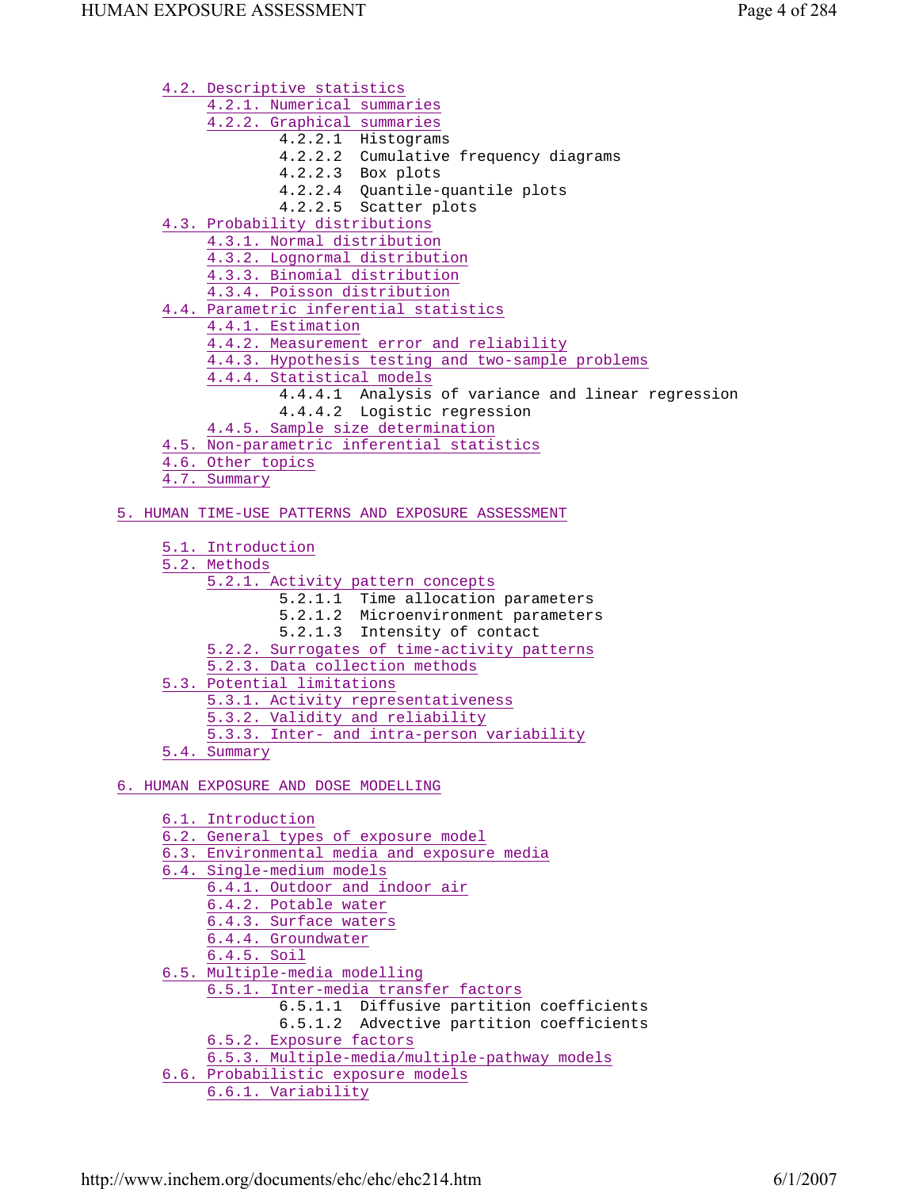4.2. Descriptive statistics 4.2.1. Numerical summaries 4.2.2. Graphical summaries 4.2.2.1 Histograms 4.2.2.2 Cumulative frequency diagrams 4.2.2.3 Box plots 4.2.2.4 Quantile-quantile plots 4.2.2.5 Scatter plots 4.3. Probability distributions 4.3.1. Normal distribution 4.3.2. Lognormal distribution 4.3.3. Binomial distribution 4.3.4. Poisson distribution 4.4. Parametric inferential statistics 4.4.1. Estimation 4.4.2. Measurement error and reliability 4.4.3. Hypothesis testing and two-sample problems 4.4.4. Statistical models 4.4.4.1 Analysis of variance and linear regression 4.4.4.2 Logistic regression 4.4.5. Sample size determination 4.5. Non-parametric inferential statistics 4.6. Other topics 4.7. Summary

5. HUMAN TIME-USE PATTERNS AND EXPOSURE ASSESSMENT

- 5.1. Introduction 5.2. Methods 5.2.1. Activity pattern concepts 5.2.1.1 Time allocation parameters 5.2.1.2 Microenvironment parameters 5.2.1.3 Intensity of contact 5.2.2. Surrogates of time-activity patterns 5.2.3. Data collection methods 5.3. Potential limitations 5.3.1. Activity representativeness 5.3.2. Validity and reliability 5.3.3. Inter- and intra-person variability 5.4. Summary
- 6. HUMAN EXPOSURE AND DOSE MODELLING

|                         | 6.1. Introduction                             |  |  |
|-------------------------|-----------------------------------------------|--|--|
|                         | 6.2. General types of exposure model          |  |  |
|                         | 6.3. Environmental media and exposure media   |  |  |
|                         | 6.4. Single-medium models                     |  |  |
|                         | 6.4.1. Outdoor and indoor air                 |  |  |
|                         | 6.4.2. Potable water                          |  |  |
|                         | 6.4.3. Surface waters                         |  |  |
|                         | 6.4.4. Groundwater                            |  |  |
|                         | $6.4.5.$ Soil                                 |  |  |
|                         | 6.5. Multiple-media modelling                 |  |  |
|                         | 6.5.1. Inter-media transfer factors           |  |  |
|                         | 6.5.1.1 Diffusive partition coefficients      |  |  |
|                         | 6.5.1.2 Advective partition coefficients      |  |  |
| 6.5.2. Exposure factors |                                               |  |  |
|                         | 6.5.3. Multiple-media/multiple-pathway models |  |  |
|                         | 6.6. Probabilistic exposure models            |  |  |
|                         | 6.6.1. Variability                            |  |  |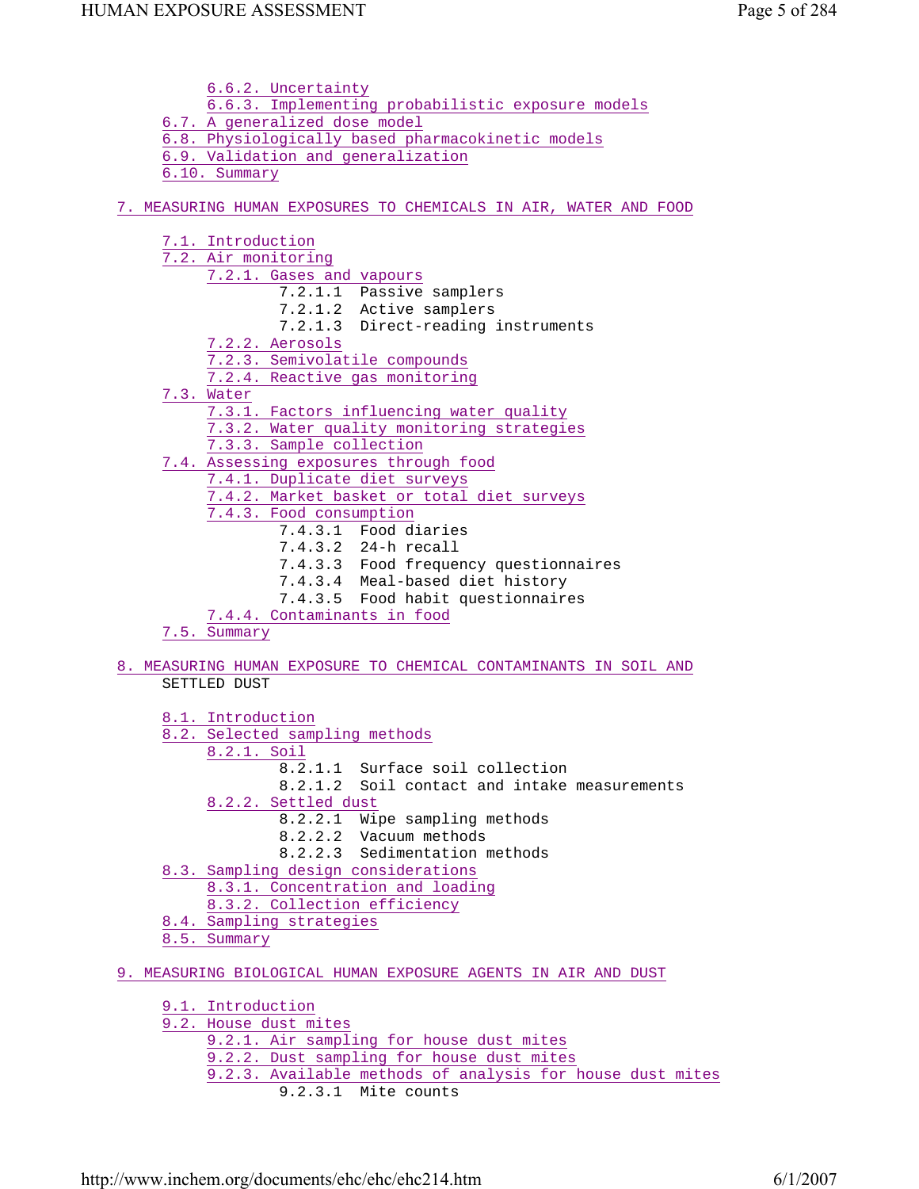6.6.2. Uncertainty 6.6.3. Implementing probabilistic exposure models 6.7. A generalized dose model 6.8. Physiologically based pharmacokinetic models 6.9. Validation and generalization 6.10. Summary 7. MEASURING HUMAN EXPOSURES TO CHEMICALS IN AIR, WATER AND FOOD 7.1. Introduction 7.2. Air monitoring 7.2.1. Gases and vapours 7.2.1.1 Passive samplers 7.2.1.2 Active samplers 7.2.1.3 Direct-reading instruments 7.2.2. Aerosols 7.2.3. Semivolatile compounds 7.2.4. Reactive gas monitoring 7.3. Water 7.3.1. Factors influencing water quality 7.3.2. Water quality monitoring strategies 7.3.3. Sample collection 7.4. Assessing exposures through food 7.4.1. Duplicate diet surveys 7.4.2. Market basket or total diet surveys 7.4.3. Food consumption 7.4.3.1 Food diaries 7.4.3.2 24-h recall 7.4.3.3 Food frequency questionnaires 7.4.3.4 Meal-based diet history 7.4.3.5 Food habit questionnaires 7.4.4. Contaminants in food 7.5. Summary 8. MEASURING HUMAN EXPOSURE TO CHEMICAL CONTAMINANTS IN SOIL AND SETTLED DUST

> 8.1. Introduction 8.2. Selected sampling methods 8.2.1. Soil 8.2.1.1 Surface soil collection 8.2.1.2 Soil contact and intake measurements 8.2.2. Settled dust 8.2.2.1 Wipe sampling methods 8.2.2.2 Vacuum methods 8.2.2.3 Sedimentation methods 8.3. Sampling design considerations 8.3.1. Concentration and loading 8.3.2. Collection efficiency 8.4. Sampling strategies 8.5. Summary

9. MEASURING BIOLOGICAL HUMAN EXPOSURE AGENTS IN AIR AND DUST

9.1. Introduction

9.2. House dust mites

- 9.2.1. Air sampling for house dust mites
	- 9.2.2. Dust sampling for house dust mites
	- 9.2.3. Available methods of analysis for house dust mites

 <sup>9.2.3.1</sup> Mite counts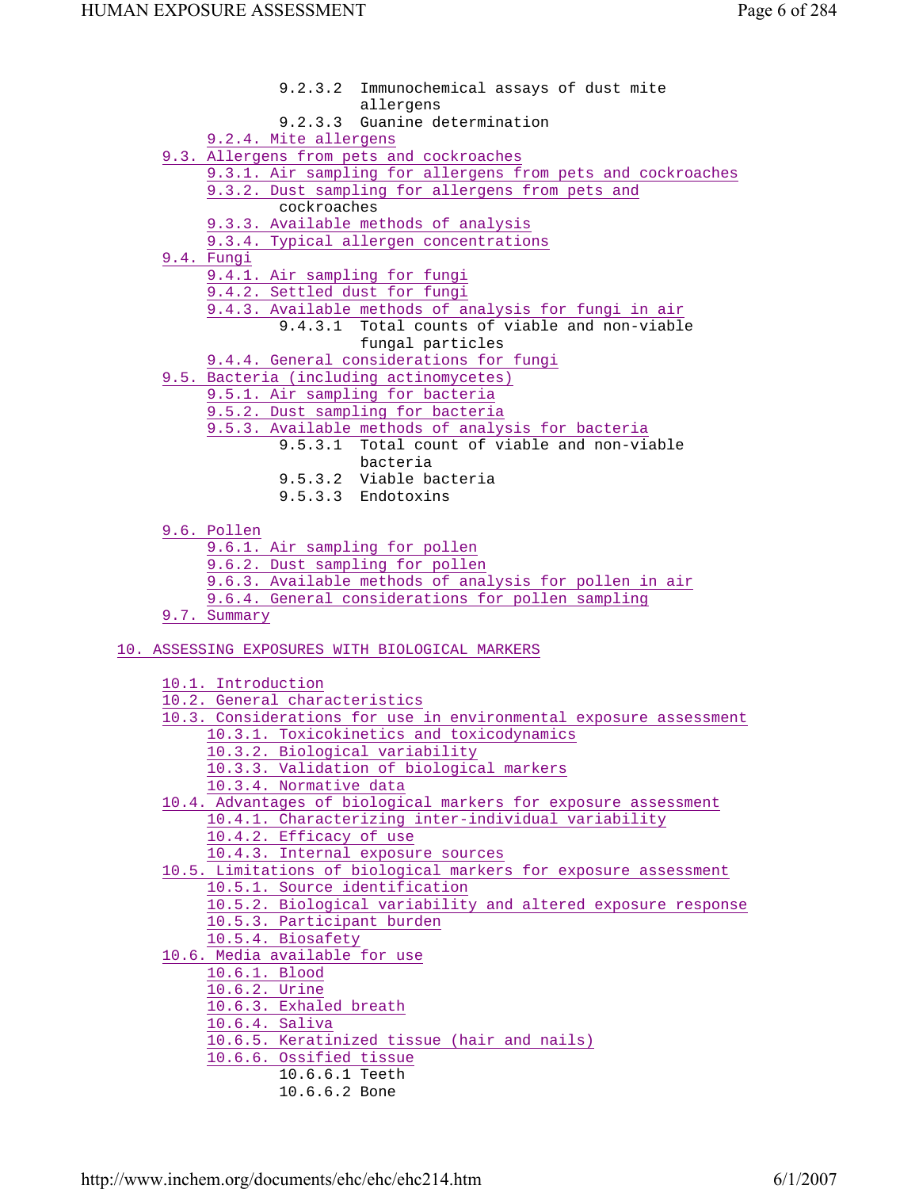- 9.2.3.2 Immunochemical assays of dust mite allergens 9.2.3.3 Guanine determination 9.2.4. Mite allergens 9.3. Allergens from pets and cockroaches 9.3.1. Air sampling for allergens from pets and cockroaches 9.3.2. Dust sampling for allergens from pets and cockroaches 9.3.3. Available methods of analysis 9.3.4. Typical allergen concentrations 9.4. Fungi 9.4.1. Air sampling for fungi 9.4.2. Settled dust for fungi 9.4.3. Available methods of analysis for fungi in air 9.4.3.1 Total counts of viable and non-viable fungal particles 9.4.4. General considerations for fungi 9.5. Bacteria (including actinomycetes) 9.5.1. Air sampling for bacteria 9.5.2. Dust sampling for bacteria 9.5.3. Available methods of analysis for bacteria 9.5.3.1 Total count of viable and non-viable bacteria 9.5.3.2 Viable bacteria 9.5.3.3 Endotoxins 9.6. Pollen 9.6.1. Air sampling for pollen 9.6.2. Dust sampling for pollen
	- 9.6.3. Available methods of analysis for pollen in air 9.6.4. General considerations for pollen sampling
	- 9.7. Summary
- 10. ASSESSING EXPOSURES WITH BIOLOGICAL MARKERS

 10.1. Introduction 10.2. General characteristics 10.3. Considerations for use in environmental exposure assessment 10.3.1. Toxicokinetics and toxicodynamics 10.3.2. Biological variability 10.3.3. Validation of biological markers 10.3.4. Normative data 10.4. Advantages of biological markers for exposure assessment 10.4.1. Characterizing inter-individual variability 10.4.2. Efficacy of use 10.4.3. Internal exposure sources 10.5. Limitations of biological markers for exposure assessment 10.5.1. Source identification 10.5.2. Biological variability and altered exposure response 10.5.3. Participant burden 10.5.4. Biosafety 10.6. Media available for use 10.6.1. Blood 10.6.2. Urine 10.6.3. Exhaled breath 10.6.4. Saliva 10.6.5. Keratinized tissue (hair and nails) 10.6.6. Ossified tissue 10.6.6.1 Teeth

```
 10.6.6.2 Bone
```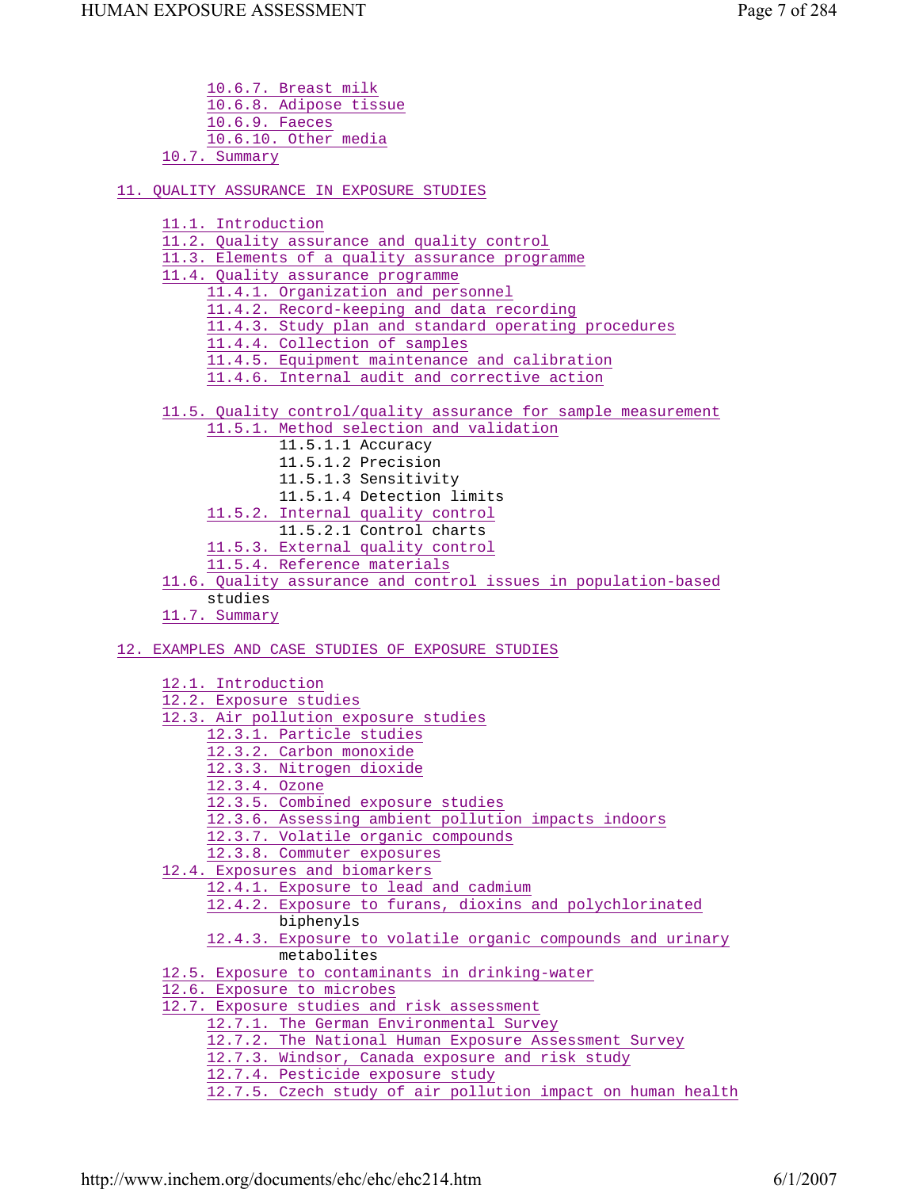10.6.7. Breast milk 10.6.8. Adipose tissue 10.6.9. Faeces 10.6.10. Other media 10.7. Summary

11. QUALITY ASSURANCE IN EXPOSURE STUDIES

11.1. Introduction

11.2. Quality assurance and quality control

11.3. Elements of a quality assurance programme

11.4. Quality assurance programme

11.4.1. Organization and personnel

11.4.2. Record-keeping and data recording

11.4.3. Study plan and standard operating procedures

11.4.4. Collection of samples

11.4.5. Equipment maintenance and calibration

11.4.6. Internal audit and corrective action

11.5. Quality control/quality assurance for sample measurement

- 11.5.1. Method selection and validation 11.5.1.1 Accuracy 11.5.1.2 Precision 11.5.1.3 Sensitivity 11.5.1.4 Detection limits 11.5.2. Internal quality control 11.5.2.1 Control charts 11.5.3. External quality control 11.5.4. Reference materials 11.6. Quality assurance and control issues in population-based studies 11.7. Summary
- 12. EXAMPLES AND CASE STUDIES OF EXPOSURE STUDIES

 12.1. Introduction 12.2. Exposure studies 12.3. Air pollution exposure studies 12.3.1. Particle studies 12.3.2. Carbon monoxide 12.3.3. Nitrogen dioxide 12.3.4. Ozone 12.3.5. Combined exposure studies 12.3.6. Assessing ambient pollution impacts indoors 12.3.7. Volatile organic compounds 12.3.8. Commuter exposures 12.4. Exposures and biomarkers 12.4.1. Exposure to lead and cadmium 12.4.2. Exposure to furans, dioxins and polychlorinated biphenyls 12.4.3. Exposure to volatile organic compounds and urinary metabolites 12.5. Exposure to contaminants in drinking-water 12.6. Exposure to microbes 12.7. Exposure studies and risk assessment 12.7.1. The German Environmental Survey 12.7.2. The National Human Exposure Assessment Survey 12.7.3. Windsor, Canada exposure and risk study 12.7.4. Pesticide exposure study 12.7.5. Czech study of air pollution impact on human health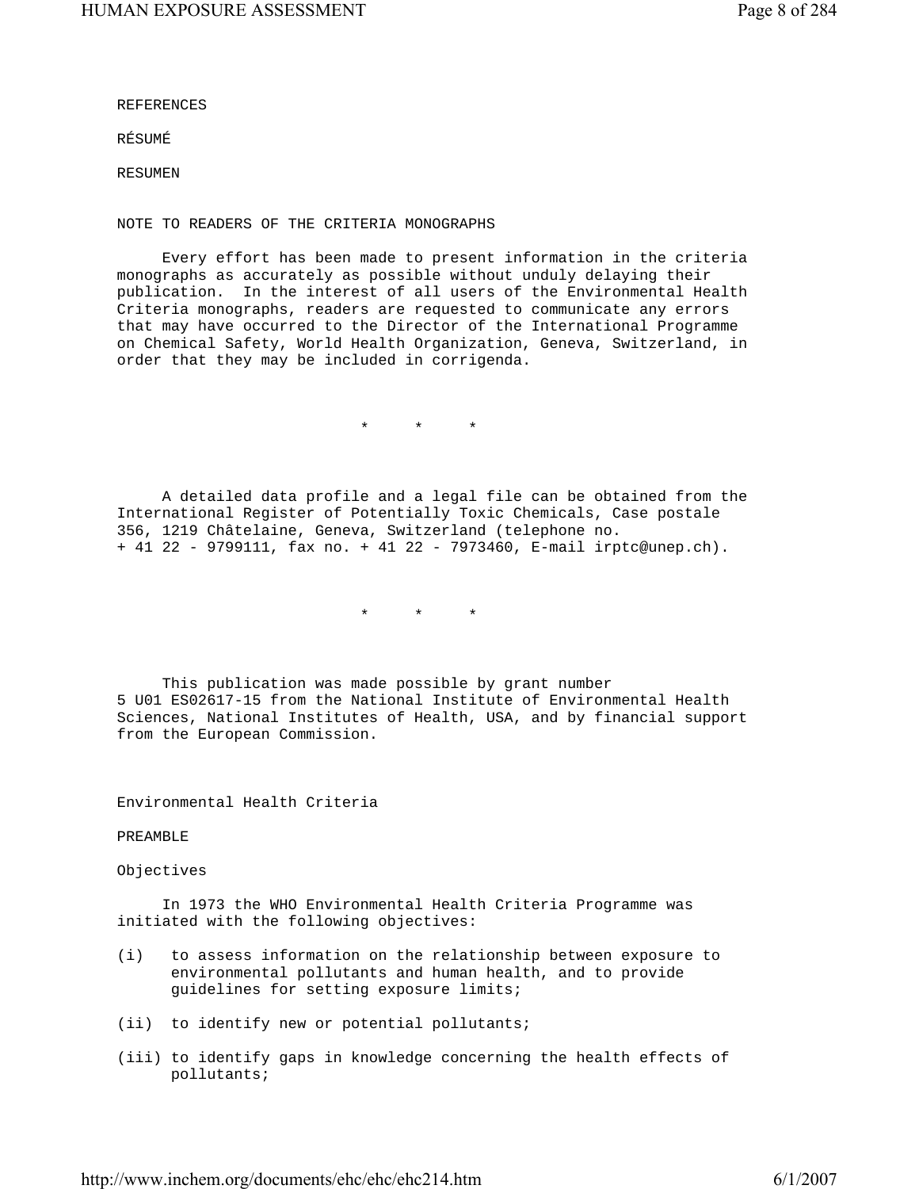REFERENCES

RÉSUMÉ

RESUMEN

NOTE TO READERS OF THE CRITERIA MONOGRAPHS

 Every effort has been made to present information in the criteria monographs as accurately as possible without unduly delaying their publication. In the interest of all users of the Environmental Health Criteria monographs, readers are requested to communicate any errors that may have occurred to the Director of the International Programme on Chemical Safety, World Health Organization, Geneva, Switzerland, in order that they may be included in corrigenda.

\* \* \*

 A detailed data profile and a legal file can be obtained from the International Register of Potentially Toxic Chemicals, Case postale 356, 1219 Châtelaine, Geneva, Switzerland (telephone no. + 41 22 - 9799111, fax no. + 41 22 - 7973460, E-mail irptc@unep.ch).

\* \* \*

 This publication was made possible by grant number 5 U01 ES02617-15 from the National Institute of Environmental Health Sciences, National Institutes of Health, USA, and by financial support from the European Commission.

Environmental Health Criteria

PREAMBLE

Objectives

 In 1973 the WHO Environmental Health Criteria Programme was initiated with the following objectives:

- (i) to assess information on the relationship between exposure to environmental pollutants and human health, and to provide guidelines for setting exposure limits;
- (ii) to identify new or potential pollutants;
- (iii) to identify gaps in knowledge concerning the health effects of pollutants;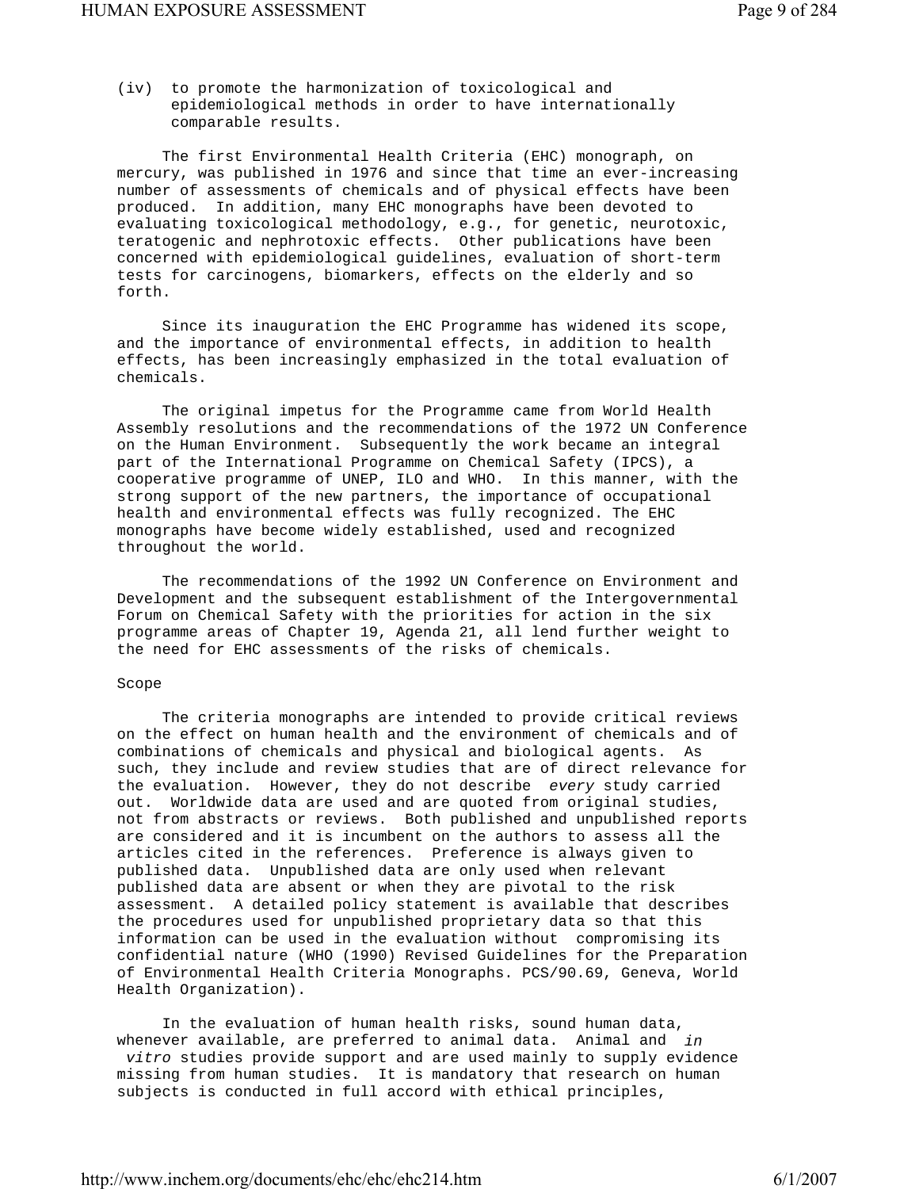(iv) to promote the harmonization of toxicological and epidemiological methods in order to have internationally comparable results.

 The first Environmental Health Criteria (EHC) monograph, on mercury, was published in 1976 and since that time an ever-increasing number of assessments of chemicals and of physical effects have been produced. In addition, many EHC monographs have been devoted to evaluating toxicological methodology, e.g., for genetic, neurotoxic, teratogenic and nephrotoxic effects. Other publications have been concerned with epidemiological guidelines, evaluation of short-term tests for carcinogens, biomarkers, effects on the elderly and so forth.

 Since its inauguration the EHC Programme has widened its scope, and the importance of environmental effects, in addition to health effects, has been increasingly emphasized in the total evaluation of chemicals.

 The original impetus for the Programme came from World Health Assembly resolutions and the recommendations of the 1972 UN Conference on the Human Environment. Subsequently the work became an integral part of the International Programme on Chemical Safety (IPCS), a cooperative programme of UNEP, ILO and WHO. In this manner, with the strong support of the new partners, the importance of occupational health and environmental effects was fully recognized. The EHC monographs have become widely established, used and recognized throughout the world.

 The recommendations of the 1992 UN Conference on Environment and Development and the subsequent establishment of the Intergovernmental Forum on Chemical Safety with the priorities for action in the six programme areas of Chapter 19, Agenda 21, all lend further weight to the need for EHC assessments of the risks of chemicals.

#### Scope

 The criteria monographs are intended to provide critical reviews on the effect on human health and the environment of chemicals and of combinations of chemicals and physical and biological agents. As such, they include and review studies that are of direct relevance for the evaluation. However, they do not describe *every* study carried out. Worldwide data are used and are quoted from original studies, not from abstracts or reviews. Both published and unpublished reports are considered and it is incumbent on the authors to assess all the articles cited in the references. Preference is always given to published data. Unpublished data are only used when relevant published data are absent or when they are pivotal to the risk assessment. A detailed policy statement is available that describes the procedures used for unpublished proprietary data so that this information can be used in the evaluation without compromising its confidential nature (WHO (1990) Revised Guidelines for the Preparation of Environmental Health Criteria Monographs. PCS/90.69, Geneva, World Health Organization).

 In the evaluation of human health risks, sound human data, whenever available, are preferred to animal data. Animal and *in vitro* studies provide support and are used mainly to supply evidence missing from human studies. It is mandatory that research on human subjects is conducted in full accord with ethical principles,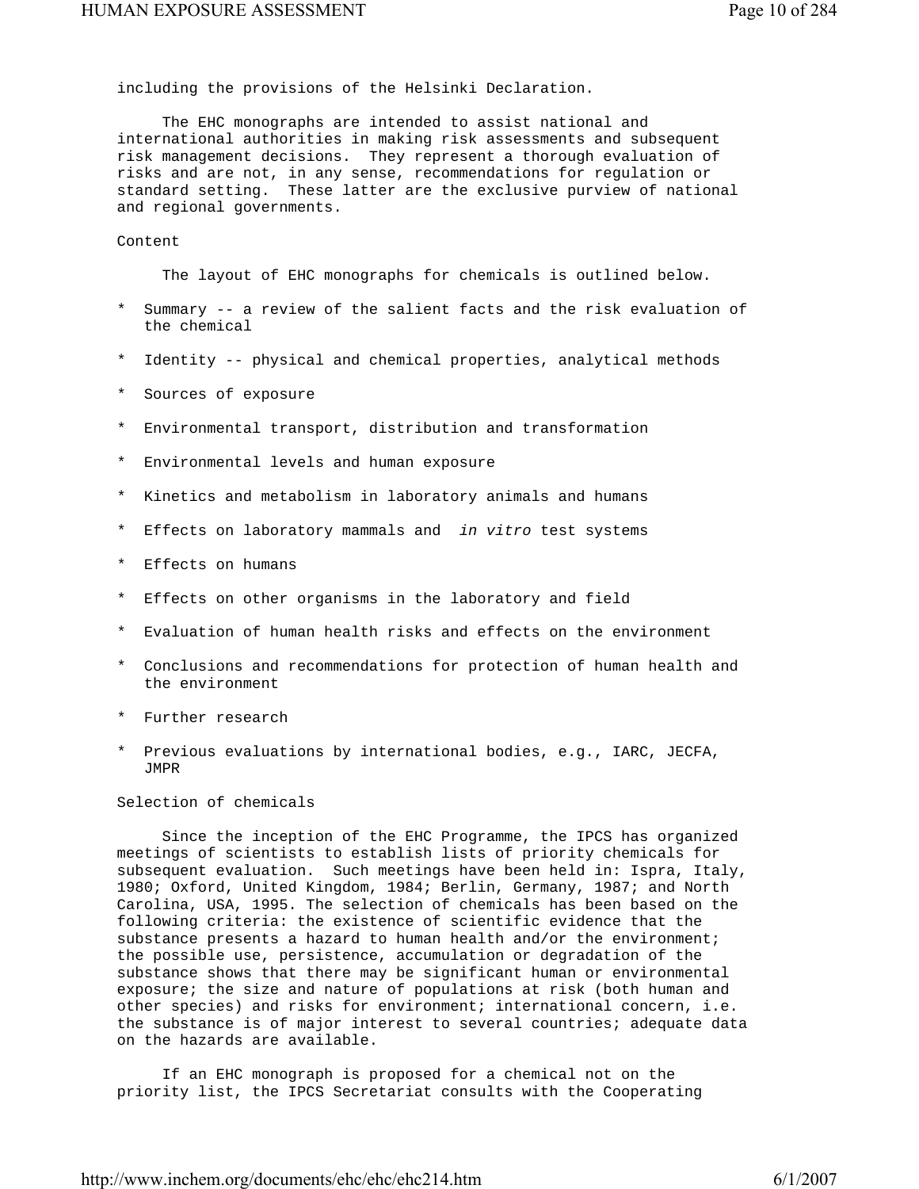including the provisions of the Helsinki Declaration.

 The EHC monographs are intended to assist national and international authorities in making risk assessments and subsequent risk management decisions. They represent a thorough evaluation of risks and are not, in any sense, recommendations for regulation or standard setting. These latter are the exclusive purview of national and regional governments.

#### Content

The layout of EHC monographs for chemicals is outlined below.

- \* Summary -- a review of the salient facts and the risk evaluation of the chemical
- \* Identity -- physical and chemical properties, analytical methods
- \* Sources of exposure
- Environmental transport, distribution and transformation
- Environmental levels and human exposure
- Kinetics and metabolism in laboratory animals and humans
- \* Effects on laboratory mammals and *in vitro* test systems
- \* Effects on humans
- \* Effects on other organisms in the laboratory and field
- \* Evaluation of human health risks and effects on the environment
- \* Conclusions and recommendations for protection of human health and the environment
- \* Further research
- Previous evaluations by international bodies, e.g., IARC, JECFA, JMPR

# Selection of chemicals

 Since the inception of the EHC Programme, the IPCS has organized meetings of scientists to establish lists of priority chemicals for subsequent evaluation. Such meetings have been held in: Ispra, Italy, 1980; Oxford, United Kingdom, 1984; Berlin, Germany, 1987; and North Carolina, USA, 1995. The selection of chemicals has been based on the following criteria: the existence of scientific evidence that the substance presents a hazard to human health and/or the environment; the possible use, persistence, accumulation or degradation of the substance shows that there may be significant human or environmental exposure; the size and nature of populations at risk (both human and other species) and risks for environment; international concern, i.e. the substance is of major interest to several countries; adequate data on the hazards are available.

 If an EHC monograph is proposed for a chemical not on the priority list, the IPCS Secretariat consults with the Cooperating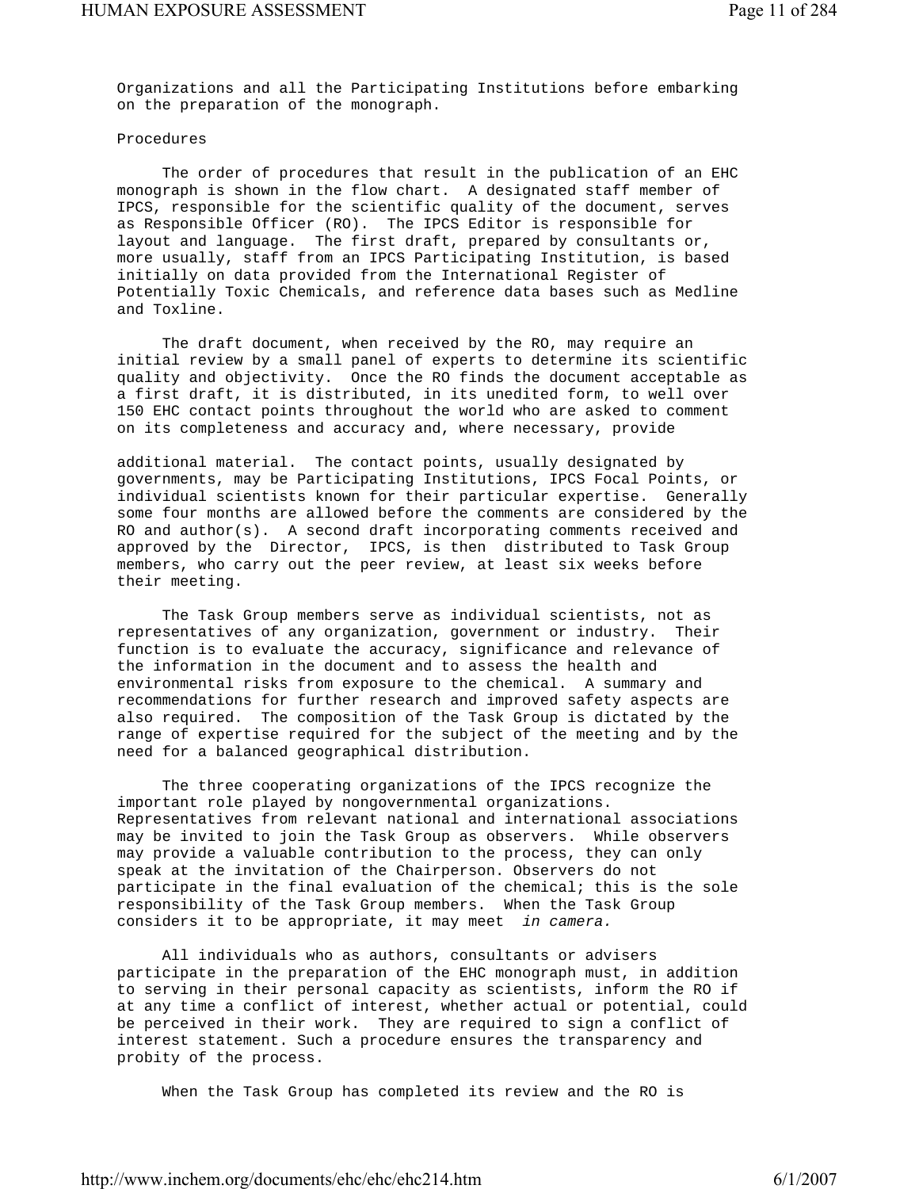Organizations and all the Participating Institutions before embarking on the preparation of the monograph.

## Procedures

 The order of procedures that result in the publication of an EHC monograph is shown in the flow chart. A designated staff member of IPCS, responsible for the scientific quality of the document, serves as Responsible Officer (RO). The IPCS Editor is responsible for layout and language. The first draft, prepared by consultants or, more usually, staff from an IPCS Participating Institution, is based initially on data provided from the International Register of Potentially Toxic Chemicals, and reference data bases such as Medline and Toxline.

 The draft document, when received by the RO, may require an initial review by a small panel of experts to determine its scientific quality and objectivity. Once the RO finds the document acceptable as a first draft, it is distributed, in its unedited form, to well over 150 EHC contact points throughout the world who are asked to comment on its completeness and accuracy and, where necessary, provide

 additional material. The contact points, usually designated by governments, may be Participating Institutions, IPCS Focal Points, or individual scientists known for their particular expertise. Generally some four months are allowed before the comments are considered by the RO and author( $s$ ). A second draft incorporating comments received and approved by the Director, IPCS, is then distributed to Task Group members, who carry out the peer review, at least six weeks before their meeting.

 The Task Group members serve as individual scientists, not as representatives of any organization, government or industry. Their function is to evaluate the accuracy, significance and relevance of the information in the document and to assess the health and environmental risks from exposure to the chemical. A summary and recommendations for further research and improved safety aspects are also required. The composition of the Task Group is dictated by the range of expertise required for the subject of the meeting and by the need for a balanced geographical distribution.

 The three cooperating organizations of the IPCS recognize the important role played by nongovernmental organizations. Representatives from relevant national and international associations may be invited to join the Task Group as observers. While observers may provide a valuable contribution to the process, they can only speak at the invitation of the Chairperson. Observers do not participate in the final evaluation of the chemical; this is the sole responsibility of the Task Group members. When the Task Group considers it to be appropriate, it may meet *in camera.* 

 All individuals who as authors, consultants or advisers participate in the preparation of the EHC monograph must, in addition to serving in their personal capacity as scientists, inform the RO if at any time a conflict of interest, whether actual or potential, could be perceived in their work. They are required to sign a conflict of interest statement. Such a procedure ensures the transparency and probity of the process.

When the Task Group has completed its review and the RO is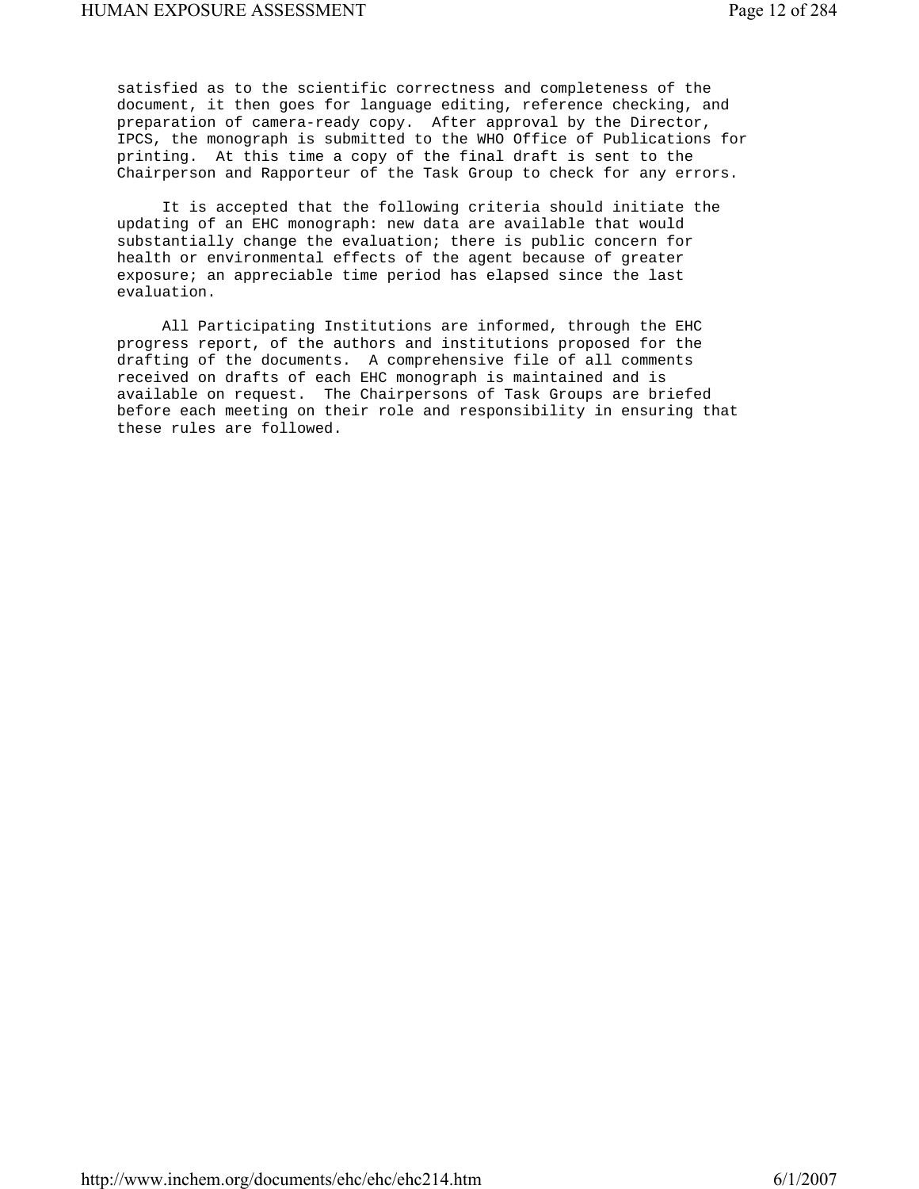satisfied as to the scientific correctness and completeness of the document, it then goes for language editing, reference checking, and preparation of camera-ready copy. After approval by the Director, IPCS, the monograph is submitted to the WHO Office of Publications for printing. At this time a copy of the final draft is sent to the Chairperson and Rapporteur of the Task Group to check for any errors.

 It is accepted that the following criteria should initiate the updating of an EHC monograph: new data are available that would substantially change the evaluation; there is public concern for health or environmental effects of the agent because of greater exposure; an appreciable time period has elapsed since the last evaluation.

 All Participating Institutions are informed, through the EHC progress report, of the authors and institutions proposed for the drafting of the documents. A comprehensive file of all comments received on drafts of each EHC monograph is maintained and is available on request. The Chairpersons of Task Groups are briefed before each meeting on their role and responsibility in ensuring that these rules are followed.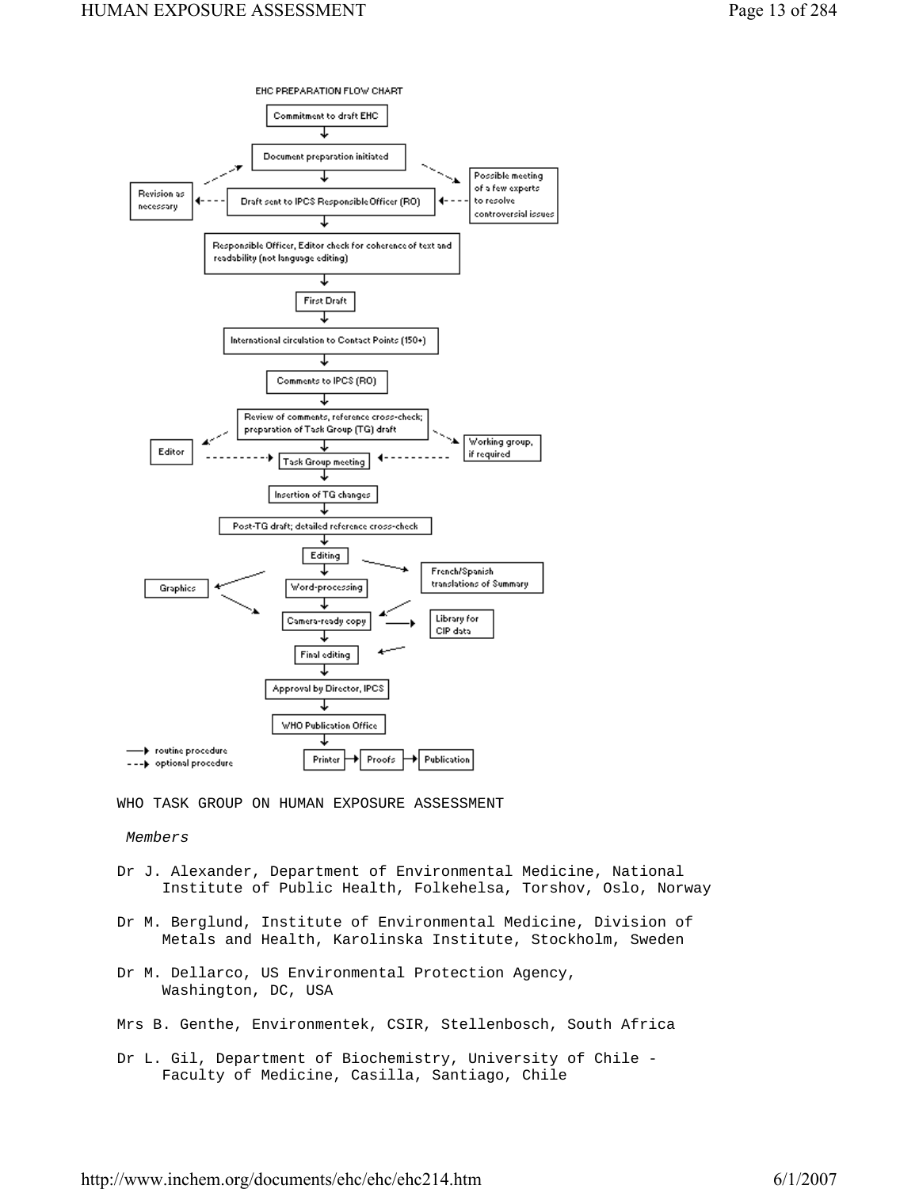

WHO TASK GROUP ON HUMAN EXPOSURE ASSESSMENT

*Members* 

- Dr J. Alexander, Department of Environmental Medicine, National Institute of Public Health, Folkehelsa, Torshov, Oslo, Norway
- Dr M. Berglund, Institute of Environmental Medicine, Division of Metals and Health, Karolinska Institute, Stockholm, Sweden
- Dr M. Dellarco, US Environmental Protection Agency, Washington, DC, USA
- Mrs B. Genthe, Environmentek, CSIR, Stellenbosch, South Africa

```
 Dr L. Gil, Department of Biochemistry, University of Chile - 
Faculty of Medicine, Casilla, Santiago, Chile
```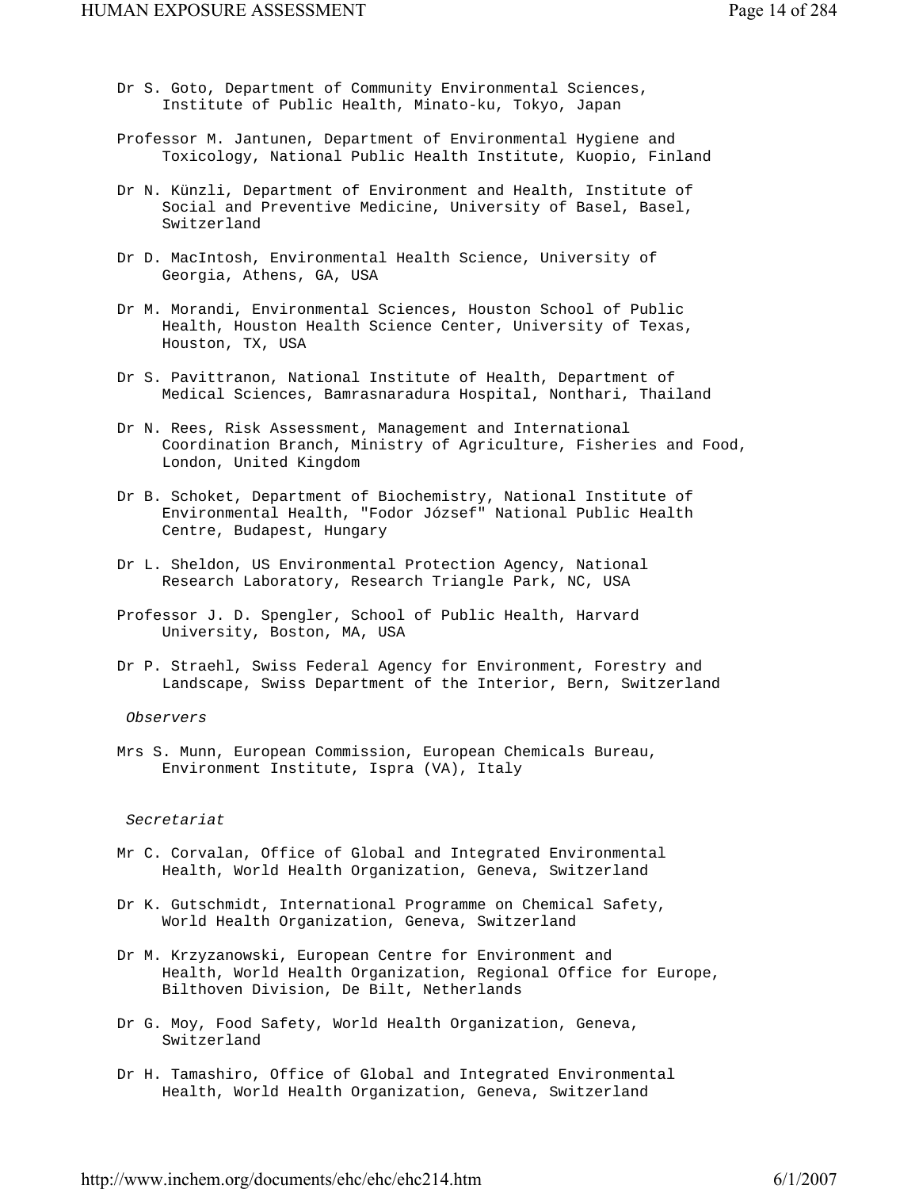- Dr S. Goto, Department of Community Environmental Sciences, Institute of Public Health, Minato-ku, Tokyo, Japan
- Professor M. Jantunen, Department of Environmental Hygiene and Toxicology, National Public Health Institute, Kuopio, Finland
- Dr N. Künzli, Department of Environment and Health, Institute of Social and Preventive Medicine, University of Basel, Basel, Switzerland
- Dr D. MacIntosh, Environmental Health Science, University of Georgia, Athens, GA, USA
- Dr M. Morandi, Environmental Sciences, Houston School of Public Health, Houston Health Science Center, University of Texas, Houston, TX, USA
- Dr S. Pavittranon, National Institute of Health, Department of Medical Sciences, Bamrasnaradura Hospital, Nonthari, Thailand
- Dr N. Rees, Risk Assessment, Management and International Coordination Branch, Ministry of Agriculture, Fisheries and Food, London, United Kingdom
- Dr B. Schoket, Department of Biochemistry, National Institute of Environmental Health, "Fodor József" National Public Health Centre, Budapest, Hungary
- Dr L. Sheldon, US Environmental Protection Agency, National Research Laboratory, Research Triangle Park, NC, USA
- Professor J. D. Spengler, School of Public Health, Harvard University, Boston, MA, USA
- Dr P. Straehl, Swiss Federal Agency for Environment, Forestry and Landscape, Swiss Department of the Interior, Bern, Switzerland

*Observers* 

 Mrs S. Munn, European Commission, European Chemicals Bureau, Environment Institute, Ispra (VA), Italy

*Secretariat* 

- Mr C. Corvalan, Office of Global and Integrated Environmental Health, World Health Organization, Geneva, Switzerland
- Dr K. Gutschmidt, International Programme on Chemical Safety, World Health Organization, Geneva, Switzerland
- Dr M. Krzyzanowski, European Centre for Environment and Health, World Health Organization, Regional Office for Europe, Bilthoven Division, De Bilt, Netherlands
- Dr G. Moy, Food Safety, World Health Organization, Geneva, Switzerland
- Dr H. Tamashiro, Office of Global and Integrated Environmental Health, World Health Organization, Geneva, Switzerland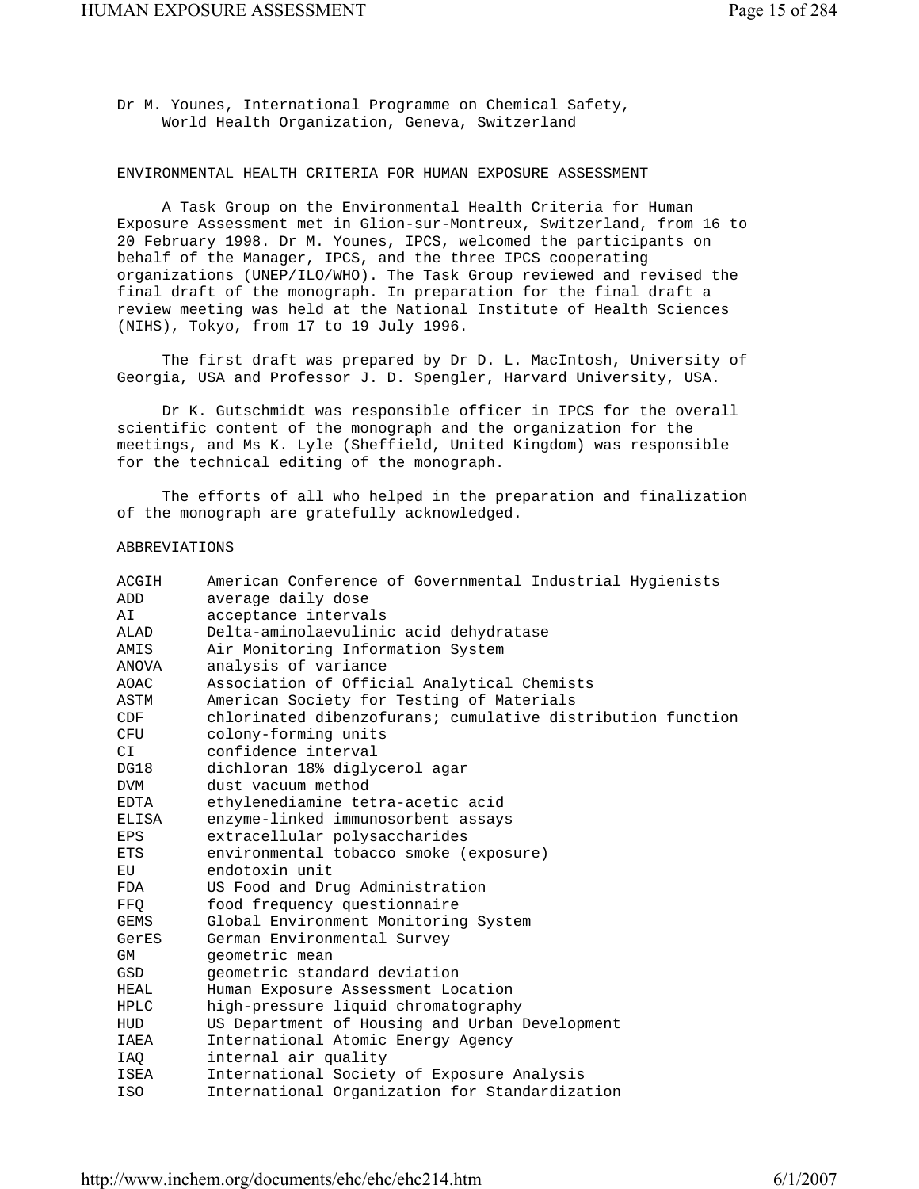Dr M. Younes, International Programme on Chemical Safety, World Health Organization, Geneva, Switzerland

## ENVIRONMENTAL HEALTH CRITERIA FOR HUMAN EXPOSURE ASSESSMENT

 A Task Group on the Environmental Health Criteria for Human Exposure Assessment met in Glion-sur-Montreux, Switzerland, from 16 to 20 February 1998. Dr M. Younes, IPCS, welcomed the participants on behalf of the Manager, IPCS, and the three IPCS cooperating organizations (UNEP/ILO/WHO). The Task Group reviewed and revised the final draft of the monograph. In preparation for the final draft a review meeting was held at the National Institute of Health Sciences (NIHS), Tokyo, from 17 to 19 July 1996.

 The first draft was prepared by Dr D. L. MacIntosh, University of Georgia, USA and Professor J. D. Spengler, Harvard University, USA.

 Dr K. Gutschmidt was responsible officer in IPCS for the overall scientific content of the monograph and the organization for the meetings, and Ms K. Lyle (Sheffield, United Kingdom) was responsible for the technical editing of the monograph.

 The efforts of all who helped in the preparation and finalization of the monograph are gratefully acknowledged.

## ABBREVIATIONS

| ACGIH      | American Conference of Governmental Industrial Hygienists   |
|------------|-------------------------------------------------------------|
| ADD        | average daily dose                                          |
| AI         | acceptance intervals                                        |
| ALAD       | Delta-aminolaevulinic acid dehydratase                      |
| AMIS       | Air Monitoring Information System                           |
| ANOVA      | analysis of variance                                        |
| AOAC       | Association of Official Analytical Chemists                 |
| ASTM       | American Society for Testing of Materials                   |
| CDF        | chlorinated dibenzofurans; cumulative distribution function |
| CFU        | colony-forming units                                        |
| CI         | confidence interval                                         |
| DG18       | dichloran 18% diglycerol agar                               |
| DVM        | dust vacuum method                                          |
| EDTA       | ethylenediamine tetra-acetic acid                           |
| ELISA      | enzyme-linked immunosorbent assays                          |
| EPS        | extracellular polysaccharides                               |
| ETS        | environmental tobacco smoke (exposure)                      |
| EU         | endotoxin unit                                              |
| FDA        | US Food and Drug Administration                             |
| FFO        | food frequency questionnaire                                |
| GEMS       | Global Environment Monitoring System                        |
| GerES      | German Environmental Survey                                 |
| GM         | geometric mean                                              |
| GSD        | geometric standard deviation                                |
| HEAL       | Human Exposure Assessment Location                          |
| HPLC       | high-pressure liquid chromatography                         |
| HUD        | US Department of Housing and Urban Development              |
| IAEA       | International Atomic Energy Agency                          |
| IAO        | internal air quality                                        |
| ISEA       | International Society of Exposure Analysis                  |
| <b>ISO</b> | International Organization for Standardization              |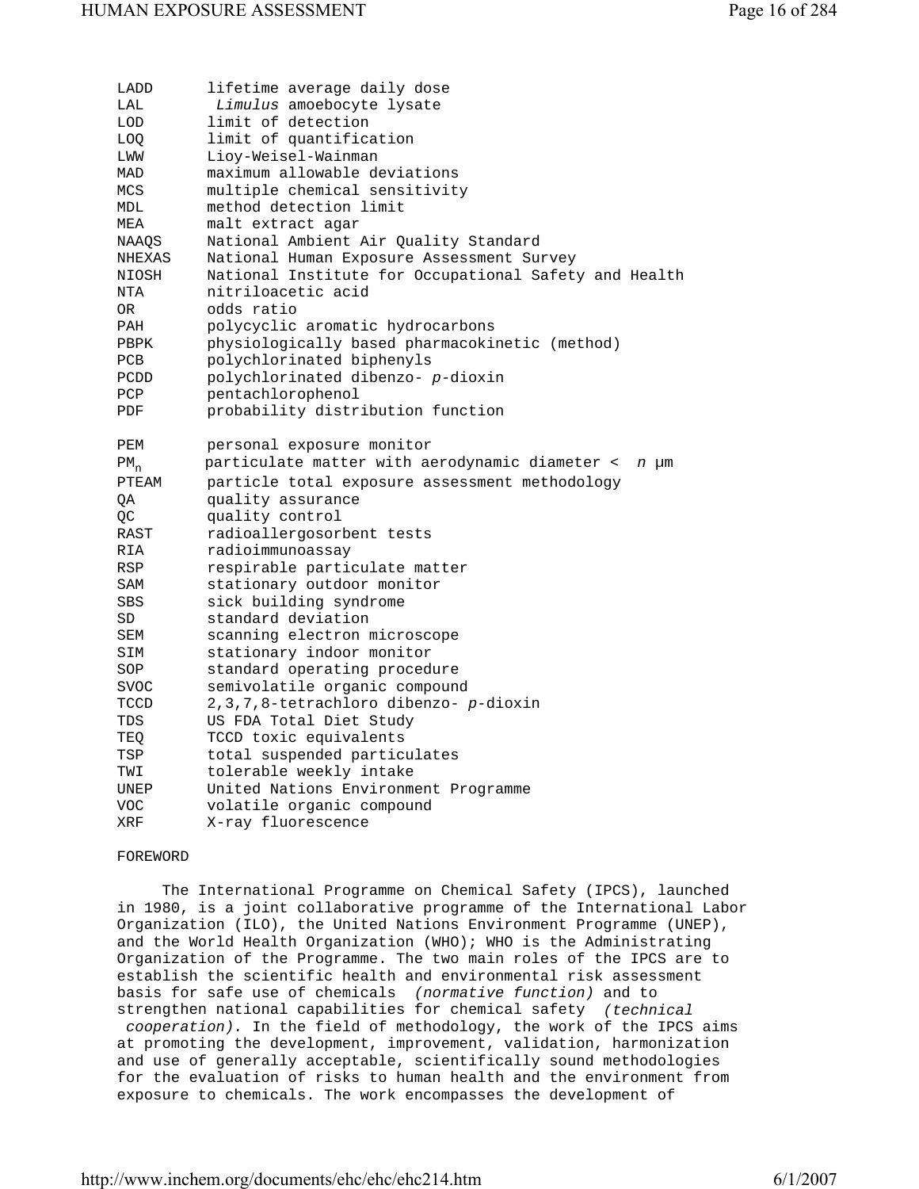| LADD       | lifetime average daily dose                                                                                                              |
|------------|------------------------------------------------------------------------------------------------------------------------------------------|
| LAL        | Limulus amoebocyte lysate                                                                                                                |
| LOD        | limit of detection                                                                                                                       |
| LOQ        | limit of quantification                                                                                                                  |
| LWM        | Lioy-Weisel-Wainman                                                                                                                      |
| MAD        | maximum allowable deviations                                                                                                             |
| MCS        | multiple chemical sensitivity                                                                                                            |
| MDL        | method detection limit                                                                                                                   |
| MEA        | malt extract agar                                                                                                                        |
| NAAQS      | National Ambient Air Quality Standard                                                                                                    |
| NHEXAS     | National Human Exposure Assessment Survey                                                                                                |
| NIOSH      | National Institute for Occupational Safety and Health                                                                                    |
| NTA        | nitriloacetic acid                                                                                                                       |
| 0R         | odds ratio                                                                                                                               |
| PAH        | polycyclic aromatic hydrocarbons                                                                                                         |
| PBPK       | physiologically based pharmacokinetic (method)                                                                                           |
| <b>PCB</b> | polychlorinated biphenyls                                                                                                                |
| PCDD       | polychlorinated dibenzo- p-dioxin                                                                                                        |
| PCP        | pentachlorophenol                                                                                                                        |
| PDF        | probability distribution function                                                                                                        |
|            |                                                                                                                                          |
|            | personal exposure monitor                                                                                                                |
|            | particulate matter with aerodynamic diameter < n um                                                                                      |
| PTEAM      | particle total exposure assessment methodology                                                                                           |
| QA         | quality assurance                                                                                                                        |
| QC         | quality control                                                                                                                          |
|            | radioallergosorbent tests                                                                                                                |
|            | radioimmunoassay                                                                                                                         |
|            | respirable particulate matter                                                                                                            |
|            | stationary outdoor monitor                                                                                                               |
|            | sick building syndrome                                                                                                                   |
|            | standard deviation                                                                                                                       |
|            | scanning electron microscope                                                                                                             |
|            | stationary indoor monitor                                                                                                                |
|            | standard operating procedure                                                                                                             |
|            | semivolatile organic compound                                                                                                            |
|            | 2, 3, 7, 8-tetrachloro dibenzo- p-dioxin                                                                                                 |
|            | US FDA Total Diet Study                                                                                                                  |
|            | TCCD toxic equivalents                                                                                                                   |
|            | total suspended particulates                                                                                                             |
|            | tolerable weekly intake                                                                                                                  |
|            | United Nations Environment Programme                                                                                                     |
|            | volatile organic compound                                                                                                                |
| XRF        | X-ray fluorescence                                                                                                                       |
|            | PEM<br>$PM_n$<br>RAST<br>RIA<br>RSP<br>SAM<br>SBS<br>SD<br>SEM<br>SIM<br>SOP<br>SVOC<br>TCCD<br>TDS<br>TEQ<br>TSP<br>TWI<br>UNEP<br>VOC. |

#### FOREWORD

 The International Programme on Chemical Safety (IPCS), launched in 1980, is a joint collaborative programme of the International Labor Organization (ILO), the United Nations Environment Programme (UNEP), and the World Health Organization (WHO); WHO is the Administrating Organization of the Programme. The two main roles of the IPCS are to establish the scientific health and environmental risk assessment basis for safe use of chemicals *(normative function)* and to strengthen national capabilities for chemical safety *(technical cooperation).* In the field of methodology, the work of the IPCS aims at promoting the development, improvement, validation, harmonization and use of generally acceptable, scientifically sound methodologies for the evaluation of risks to human health and the environment from exposure to chemicals. The work encompasses the development of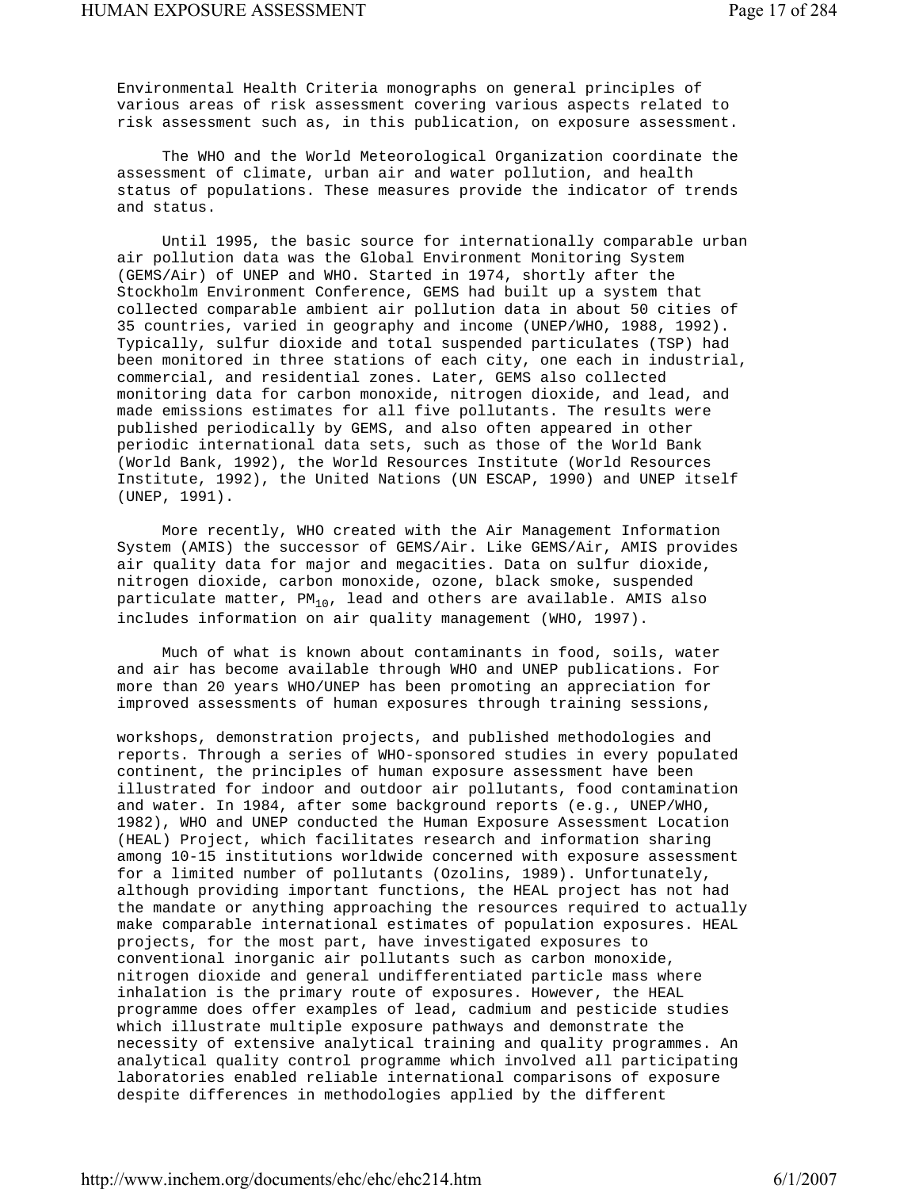Environmental Health Criteria monographs on general principles of various areas of risk assessment covering various aspects related to risk assessment such as, in this publication, on exposure assessment.

 The WHO and the World Meteorological Organization coordinate the assessment of climate, urban air and water pollution, and health status of populations. These measures provide the indicator of trends and status.

 Until 1995, the basic source for internationally comparable urban air pollution data was the Global Environment Monitoring System (GEMS/Air) of UNEP and WHO. Started in 1974, shortly after the Stockholm Environment Conference, GEMS had built up a system that collected comparable ambient air pollution data in about 50 cities of 35 countries, varied in geography and income (UNEP/WHO, 1988, 1992). Typically, sulfur dioxide and total suspended particulates (TSP) had been monitored in three stations of each city, one each in industrial, commercial, and residential zones. Later, GEMS also collected monitoring data for carbon monoxide, nitrogen dioxide, and lead, and made emissions estimates for all five pollutants. The results were published periodically by GEMS, and also often appeared in other periodic international data sets, such as those of the World Bank (World Bank, 1992), the World Resources Institute (World Resources Institute, 1992), the United Nations (UN ESCAP, 1990) and UNEP itself (UNEP, 1991).

 More recently, WHO created with the Air Management Information System (AMIS) the successor of GEMS/Air. Like GEMS/Air, AMIS provides air quality data for major and megacities. Data on sulfur dioxide, nitrogen dioxide, carbon monoxide, ozone, black smoke, suspended particulate matter,  $PM_{10}$ , lead and others are available. AMIS also includes information on air quality management (WHO, 1997).

 Much of what is known about contaminants in food, soils, water and air has become available through WHO and UNEP publications. For more than 20 years WHO/UNEP has been promoting an appreciation for improved assessments of human exposures through training sessions,

 workshops, demonstration projects, and published methodologies and reports. Through a series of WHO-sponsored studies in every populated continent, the principles of human exposure assessment have been illustrated for indoor and outdoor air pollutants, food contamination and water. In 1984, after some background reports (e.g., UNEP/WHO, 1982), WHO and UNEP conducted the Human Exposure Assessment Location (HEAL) Project, which facilitates research and information sharing among 10-15 institutions worldwide concerned with exposure assessment for a limited number of pollutants (Ozolins, 1989). Unfortunately, although providing important functions, the HEAL project has not had the mandate or anything approaching the resources required to actually make comparable international estimates of population exposures. HEAL projects, for the most part, have investigated exposures to conventional inorganic air pollutants such as carbon monoxide, nitrogen dioxide and general undifferentiated particle mass where inhalation is the primary route of exposures. However, the HEAL programme does offer examples of lead, cadmium and pesticide studies which illustrate multiple exposure pathways and demonstrate the necessity of extensive analytical training and quality programmes. An analytical quality control programme which involved all participating laboratories enabled reliable international comparisons of exposure despite differences in methodologies applied by the different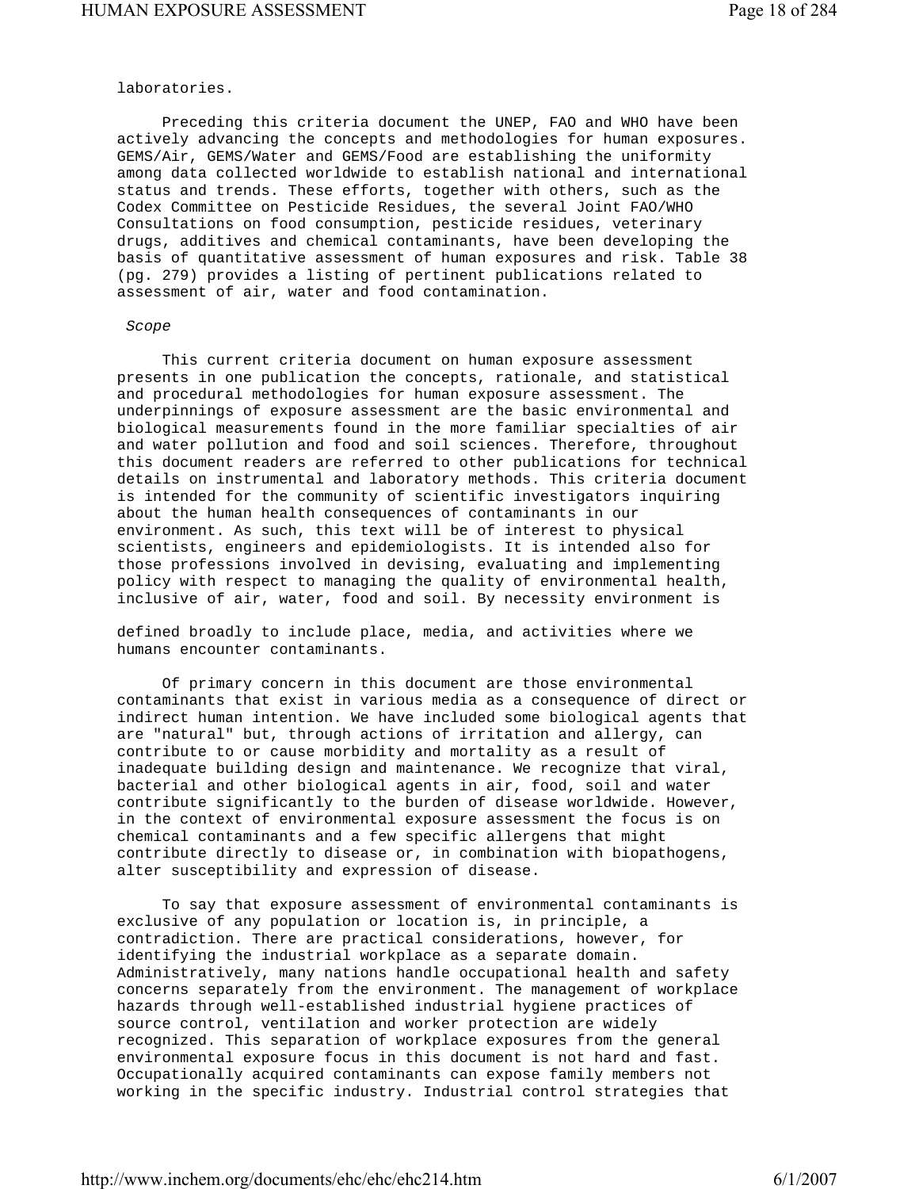# laboratories.

 Preceding this criteria document the UNEP, FAO and WHO have been actively advancing the concepts and methodologies for human exposures. GEMS/Air, GEMS/Water and GEMS/Food are establishing the uniformity among data collected worldwide to establish national and international status and trends. These efforts, together with others, such as the Codex Committee on Pesticide Residues, the several Joint FAO/WHO Consultations on food consumption, pesticide residues, veterinary drugs, additives and chemical contaminants, have been developing the basis of quantitative assessment of human exposures and risk. Table 38 (pg. 279) provides a listing of pertinent publications related to assessment of air, water and food contamination.

## *Scope*

 This current criteria document on human exposure assessment presents in one publication the concepts, rationale, and statistical and procedural methodologies for human exposure assessment. The underpinnings of exposure assessment are the basic environmental and biological measurements found in the more familiar specialties of air and water pollution and food and soil sciences. Therefore, throughout this document readers are referred to other publications for technical details on instrumental and laboratory methods. This criteria document is intended for the community of scientific investigators inquiring about the human health consequences of contaminants in our environment. As such, this text will be of interest to physical scientists, engineers and epidemiologists. It is intended also for those professions involved in devising, evaluating and implementing policy with respect to managing the quality of environmental health, inclusive of air, water, food and soil. By necessity environment is

 defined broadly to include place, media, and activities where we humans encounter contaminants.

 Of primary concern in this document are those environmental contaminants that exist in various media as a consequence of direct or indirect human intention. We have included some biological agents that are "natural" but, through actions of irritation and allergy, can contribute to or cause morbidity and mortality as a result of inadequate building design and maintenance. We recognize that viral, bacterial and other biological agents in air, food, soil and water contribute significantly to the burden of disease worldwide. However, in the context of environmental exposure assessment the focus is on chemical contaminants and a few specific allergens that might contribute directly to disease or, in combination with biopathogens, alter susceptibility and expression of disease.

 To say that exposure assessment of environmental contaminants is exclusive of any population or location is, in principle, a contradiction. There are practical considerations, however, for identifying the industrial workplace as a separate domain. Administratively, many nations handle occupational health and safety concerns separately from the environment. The management of workplace hazards through well-established industrial hygiene practices of source control, ventilation and worker protection are widely recognized. This separation of workplace exposures from the general environmental exposure focus in this document is not hard and fast. Occupationally acquired contaminants can expose family members not working in the specific industry. Industrial control strategies that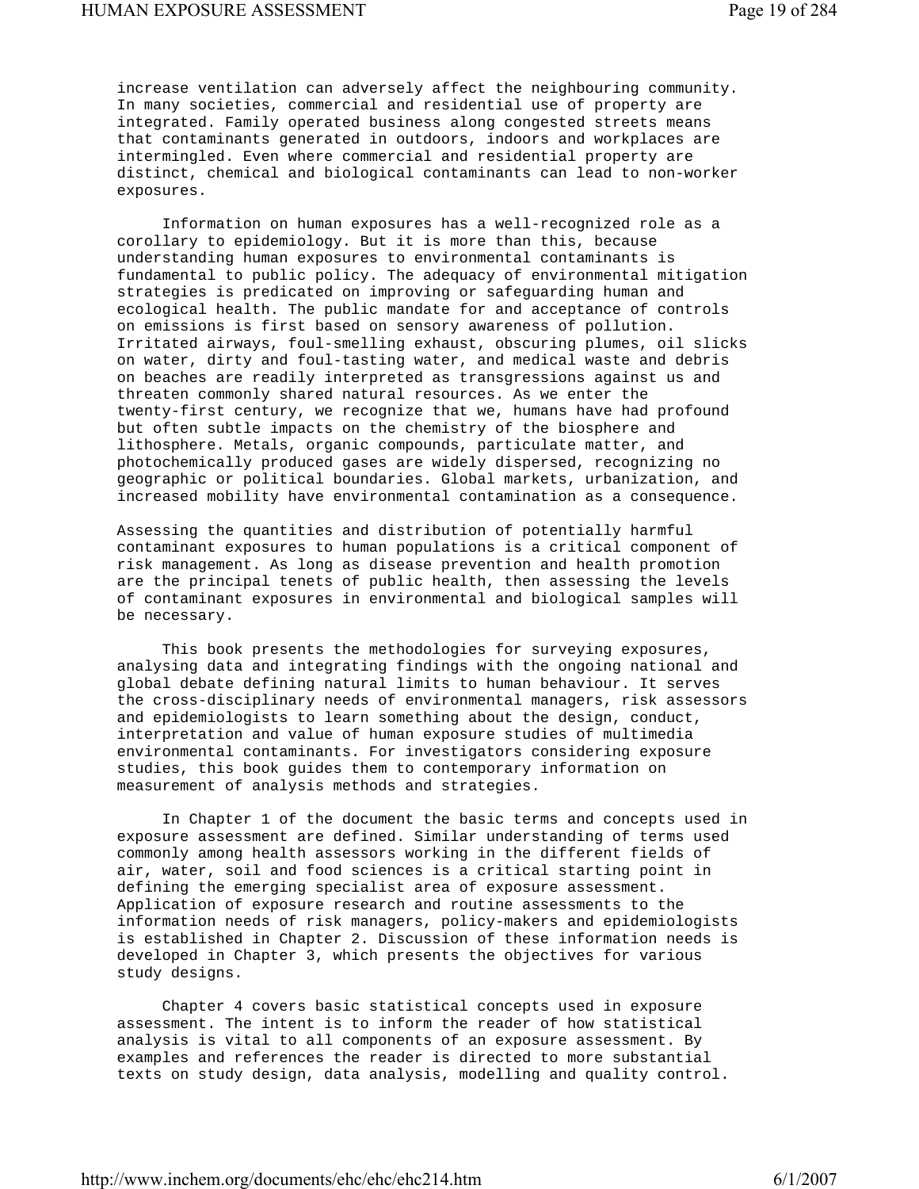increase ventilation can adversely affect the neighbouring community. In many societies, commercial and residential use of property are integrated. Family operated business along congested streets means that contaminants generated in outdoors, indoors and workplaces are intermingled. Even where commercial and residential property are distinct, chemical and biological contaminants can lead to non-worker exposures.

 Information on human exposures has a well-recognized role as a corollary to epidemiology. But it is more than this, because understanding human exposures to environmental contaminants is fundamental to public policy. The adequacy of environmental mitigation strategies is predicated on improving or safeguarding human and ecological health. The public mandate for and acceptance of controls on emissions is first based on sensory awareness of pollution. Irritated airways, foul-smelling exhaust, obscuring plumes, oil slicks on water, dirty and foul-tasting water, and medical waste and debris on beaches are readily interpreted as transgressions against us and threaten commonly shared natural resources. As we enter the twenty-first century, we recognize that we, humans have had profound but often subtle impacts on the chemistry of the biosphere and lithosphere. Metals, organic compounds, particulate matter, and photochemically produced gases are widely dispersed, recognizing no geographic or political boundaries. Global markets, urbanization, and increased mobility have environmental contamination as a consequence.

 Assessing the quantities and distribution of potentially harmful contaminant exposures to human populations is a critical component of risk management. As long as disease prevention and health promotion are the principal tenets of public health, then assessing the levels of contaminant exposures in environmental and biological samples will be necessary.

 This book presents the methodologies for surveying exposures, analysing data and integrating findings with the ongoing national and global debate defining natural limits to human behaviour. It serves the cross-disciplinary needs of environmental managers, risk assessors and epidemiologists to learn something about the design, conduct, interpretation and value of human exposure studies of multimedia environmental contaminants. For investigators considering exposure studies, this book guides them to contemporary information on measurement of analysis methods and strategies.

 In Chapter 1 of the document the basic terms and concepts used in exposure assessment are defined. Similar understanding of terms used commonly among health assessors working in the different fields of air, water, soil and food sciences is a critical starting point in defining the emerging specialist area of exposure assessment. Application of exposure research and routine assessments to the information needs of risk managers, policy-makers and epidemiologists is established in Chapter 2. Discussion of these information needs is developed in Chapter 3, which presents the objectives for various study designs.

 Chapter 4 covers basic statistical concepts used in exposure assessment. The intent is to inform the reader of how statistical analysis is vital to all components of an exposure assessment. By examples and references the reader is directed to more substantial texts on study design, data analysis, modelling and quality control.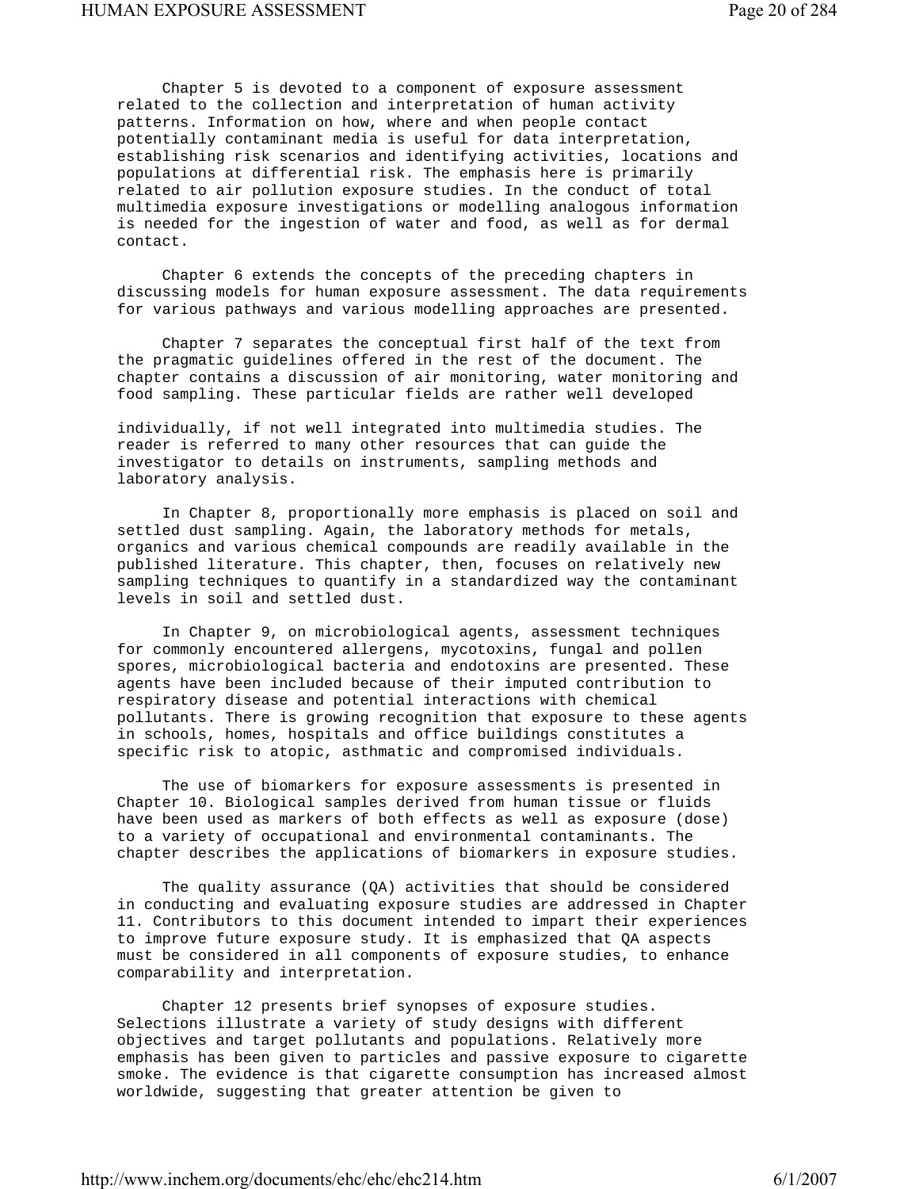Chapter 5 is devoted to a component of exposure assessment related to the collection and interpretation of human activity patterns. Information on how, where and when people contact potentially contaminant media is useful for data interpretation, establishing risk scenarios and identifying activities, locations and populations at differential risk. The emphasis here is primarily related to air pollution exposure studies. In the conduct of total multimedia exposure investigations or modelling analogous information is needed for the ingestion of water and food, as well as for dermal contact.

 Chapter 6 extends the concepts of the preceding chapters in discussing models for human exposure assessment. The data requirements for various pathways and various modelling approaches are presented.

 Chapter 7 separates the conceptual first half of the text from the pragmatic guidelines offered in the rest of the document. The chapter contains a discussion of air monitoring, water monitoring and food sampling. These particular fields are rather well developed

 individually, if not well integrated into multimedia studies. The reader is referred to many other resources that can guide the investigator to details on instruments, sampling methods and laboratory analysis.

 In Chapter 8, proportionally more emphasis is placed on soil and settled dust sampling. Again, the laboratory methods for metals, organics and various chemical compounds are readily available in the published literature. This chapter, then, focuses on relatively new sampling techniques to quantify in a standardized way the contaminant levels in soil and settled dust.

 In Chapter 9, on microbiological agents, assessment techniques for commonly encountered allergens, mycotoxins, fungal and pollen spores, microbiological bacteria and endotoxins are presented. These agents have been included because of their imputed contribution to respiratory disease and potential interactions with chemical pollutants. There is growing recognition that exposure to these agents in schools, homes, hospitals and office buildings constitutes a specific risk to atopic, asthmatic and compromised individuals.

 The use of biomarkers for exposure assessments is presented in Chapter 10. Biological samples derived from human tissue or fluids have been used as markers of both effects as well as exposure (dose) to a variety of occupational and environmental contaminants. The chapter describes the applications of biomarkers in exposure studies.

 The quality assurance (QA) activities that should be considered in conducting and evaluating exposure studies are addressed in Chapter 11. Contributors to this document intended to impart their experiences to improve future exposure study. It is emphasized that QA aspects must be considered in all components of exposure studies, to enhance comparability and interpretation.

 Chapter 12 presents brief synopses of exposure studies. Selections illustrate a variety of study designs with different objectives and target pollutants and populations. Relatively more emphasis has been given to particles and passive exposure to cigarette smoke. The evidence is that cigarette consumption has increased almost worldwide, suggesting that greater attention be given to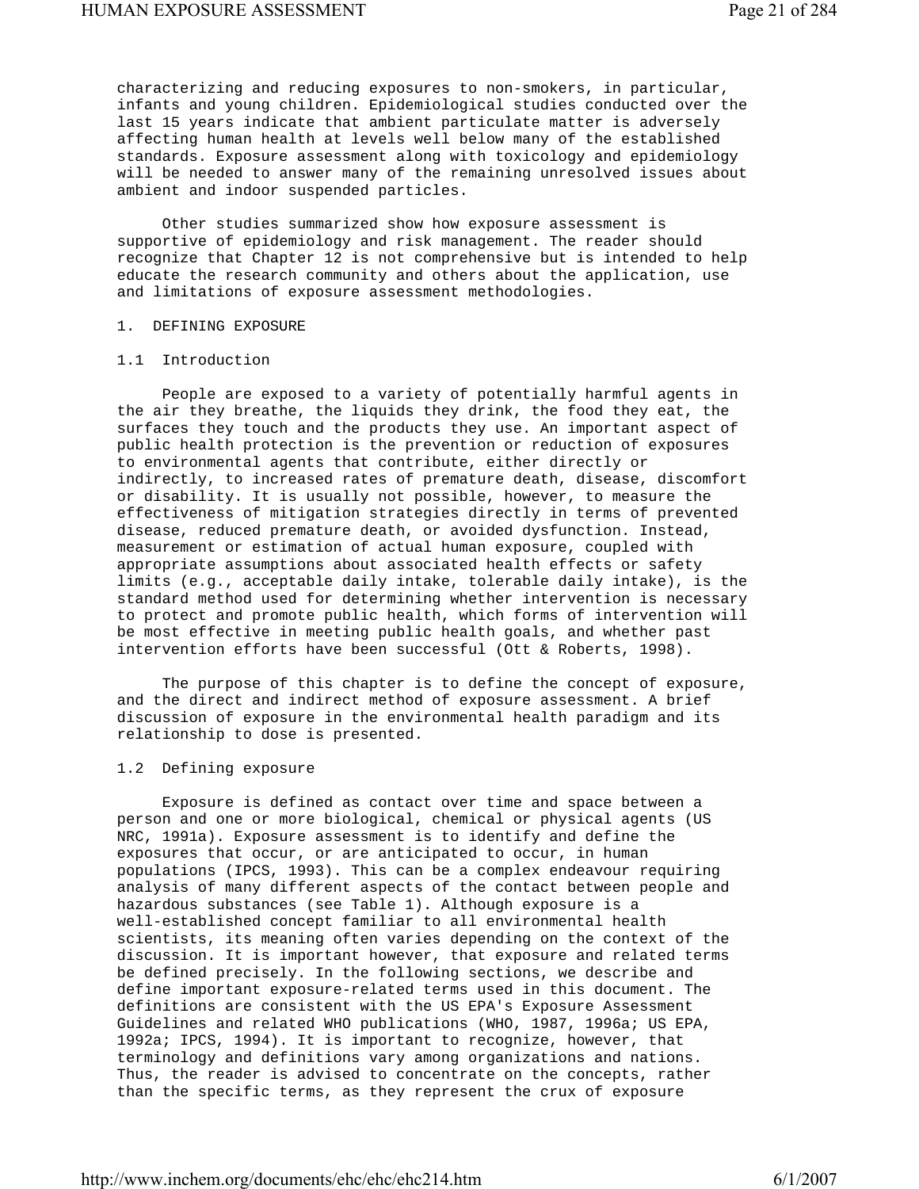characterizing and reducing exposures to non-smokers, in particular, infants and young children. Epidemiological studies conducted over the last 15 years indicate that ambient particulate matter is adversely affecting human health at levels well below many of the established standards. Exposure assessment along with toxicology and epidemiology will be needed to answer many of the remaining unresolved issues about ambient and indoor suspended particles.

 Other studies summarized show how exposure assessment is supportive of epidemiology and risk management. The reader should recognize that Chapter 12 is not comprehensive but is intended to help educate the research community and others about the application, use and limitations of exposure assessment methodologies.

#### 1. DEFINING EXPOSURE

#### 1.1 Introduction

 People are exposed to a variety of potentially harmful agents in the air they breathe, the liquids they drink, the food they eat, the surfaces they touch and the products they use. An important aspect of public health protection is the prevention or reduction of exposures to environmental agents that contribute, either directly or indirectly, to increased rates of premature death, disease, discomfort or disability. It is usually not possible, however, to measure the effectiveness of mitigation strategies directly in terms of prevented disease, reduced premature death, or avoided dysfunction. Instead, measurement or estimation of actual human exposure, coupled with appropriate assumptions about associated health effects or safety limits (e.g., acceptable daily intake, tolerable daily intake), is the standard method used for determining whether intervention is necessary to protect and promote public health, which forms of intervention will be most effective in meeting public health goals, and whether past intervention efforts have been successful (Ott & Roberts, 1998).

 The purpose of this chapter is to define the concept of exposure, and the direct and indirect method of exposure assessment. A brief discussion of exposure in the environmental health paradigm and its relationship to dose is presented.

#### 1.2 Defining exposure

 Exposure is defined as contact over time and space between a person and one or more biological, chemical or physical agents (US NRC, 1991a). Exposure assessment is to identify and define the exposures that occur, or are anticipated to occur, in human populations (IPCS, 1993). This can be a complex endeavour requiring analysis of many different aspects of the contact between people and hazardous substances (see Table 1). Although exposure is a well-established concept familiar to all environmental health scientists, its meaning often varies depending on the context of the discussion. It is important however, that exposure and related terms be defined precisely. In the following sections, we describe and define important exposure-related terms used in this document. The definitions are consistent with the US EPA's Exposure Assessment Guidelines and related WHO publications (WHO, 1987, 1996a; US EPA, 1992a; IPCS, 1994). It is important to recognize, however, that terminology and definitions vary among organizations and nations. Thus, the reader is advised to concentrate on the concepts, rather than the specific terms, as they represent the crux of exposure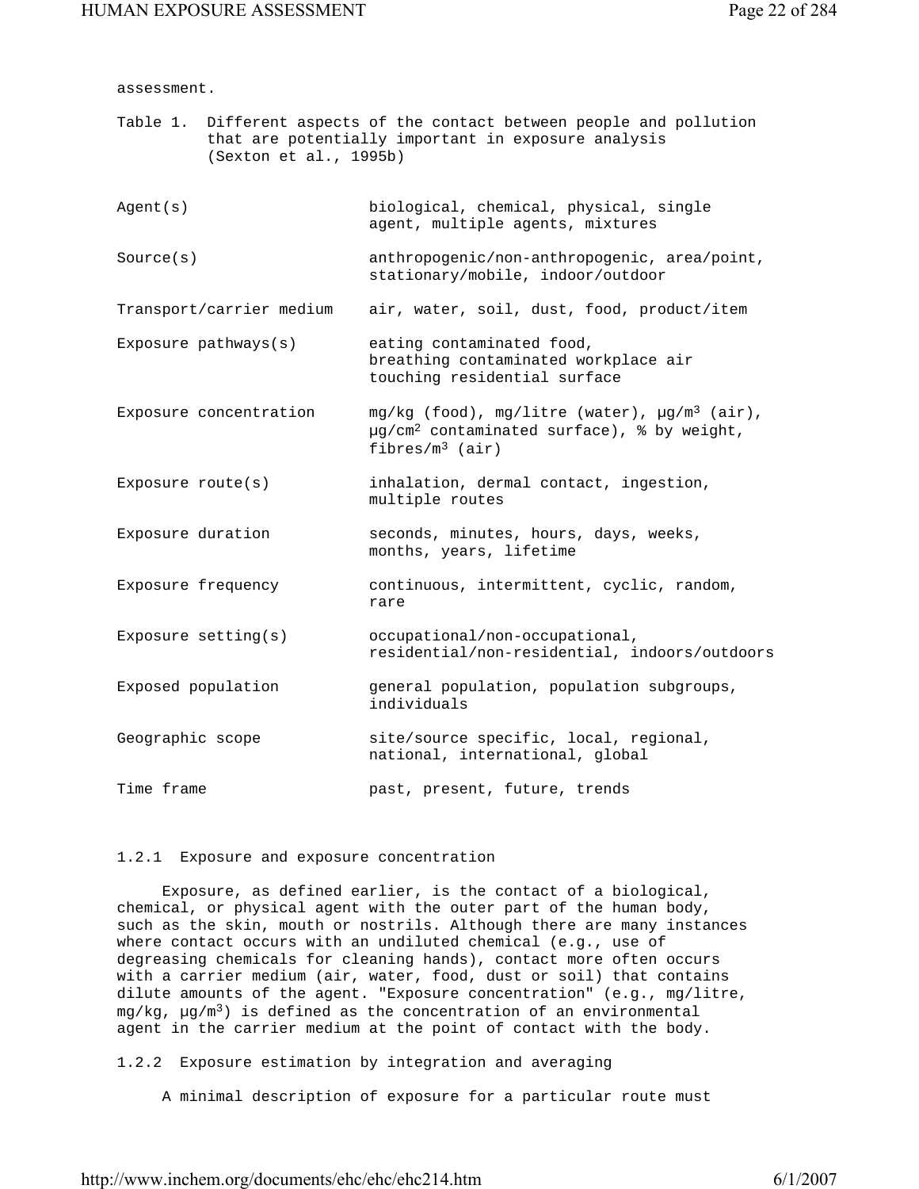# HUMAN EXPOSURE ASSESSMENT Page 22 of 284

assessment.

- Table 1. Different aspects of the contact between people and pollution that are potentially important in exposure analysis (Sexton et al., 1995b)
- Agent(s) biological, chemical, physical, single agent, multiple agents, mixtures
- Source(s) anthropogenic/non-anthropogenic, area/point, stationary/mobile, indoor/outdoor
- Transport/carrier medium air, water, soil, dust, food, product/item
- Exposure pathways(s) eating contaminated food, breathing contaminated workplace air touching residential surface
- Exposure concentration  $mg/kg$  (food),  $mg/l$ itre (water),  $\mu g/m^3$  (air),  $\mu q/cm^2$  contaminated surface),  $\delta$  by weight, fibres/ $m^3$  (air)
- Exposure route(s) inhalation, dermal contact, ingestion, multiple routes
- Exposure duration seconds, minutes, hours, days, weeks, months, years, lifetime
- Exposure frequency continuous, intermittent, cyclic, random, rare
- Exposure setting(s) occupational/non-occupational, residential/non-residential, indoors/outdoors
- Exposed population general population, population subgroups, individuals
- Geographic scope site/source specific, local, regional, national, international, global

Time frame **past, present, future, trends** 

### 1.2.1 Exposure and exposure concentration

 Exposure, as defined earlier, is the contact of a biological, chemical, or physical agent with the outer part of the human body, such as the skin, mouth or nostrils. Although there are many instances where contact occurs with an undiluted chemical (e.g., use of degreasing chemicals for cleaning hands), contact more often occurs with a carrier medium (air, water, food, dust or soil) that contains dilute amounts of the agent. "Exposure concentration" (e.g., mg/litre,  $mg/kg$ ,  $\mu g/m^3$ ) is defined as the concentration of an environmental agent in the carrier medium at the point of contact with the body.

1.2.2 Exposure estimation by integration and averaging

A minimal description of exposure for a particular route must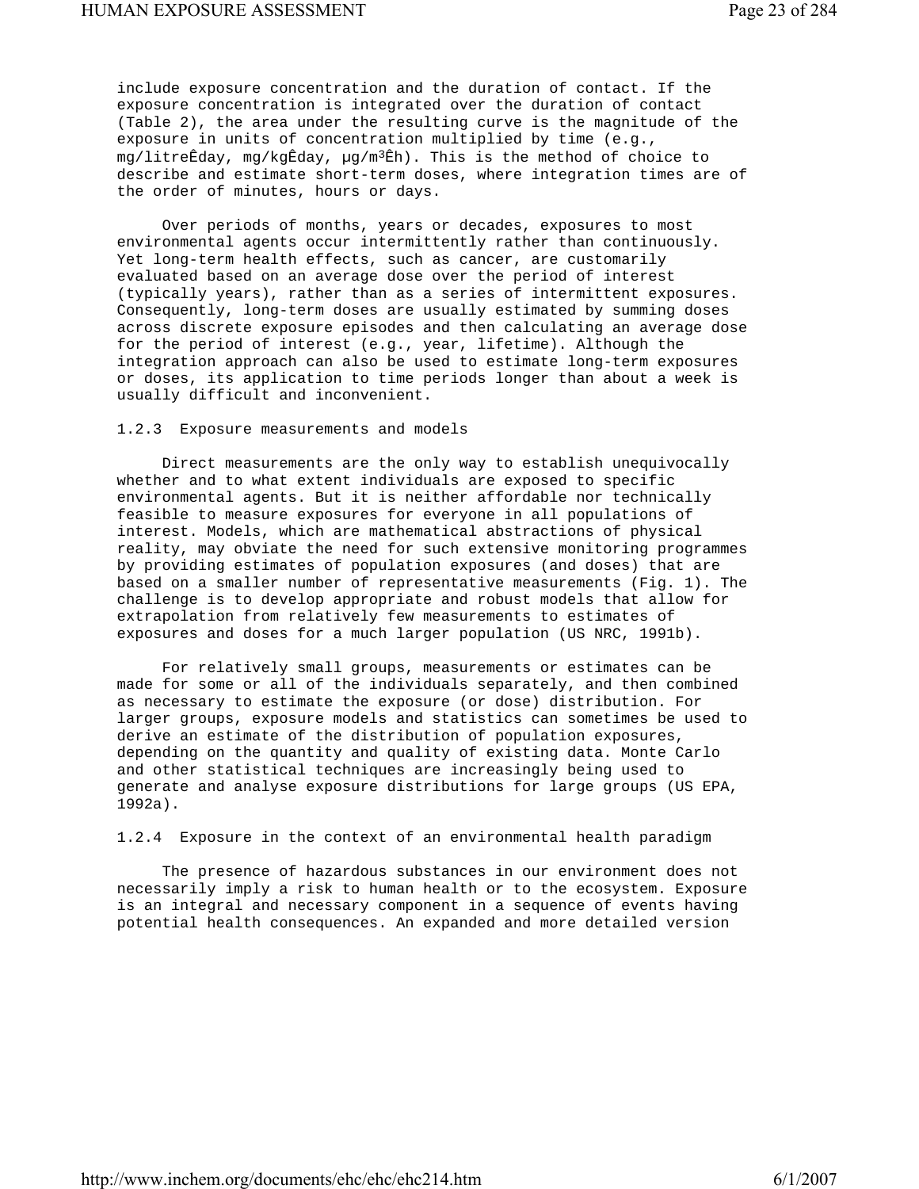include exposure concentration and the duration of contact. If the exposure concentration is integrated over the duration of contact (Table 2), the area under the resulting curve is the magnitude of the exposure in units of concentration multiplied by time (e.g., mg/litreÊday, mg/kgÊday, µg/m3Êh). This is the method of choice to describe and estimate short-term doses, where integration times are of the order of minutes, hours or days.

 Over periods of months, years or decades, exposures to most environmental agents occur intermittently rather than continuously. Yet long-term health effects, such as cancer, are customarily evaluated based on an average dose over the period of interest (typically years), rather than as a series of intermittent exposures. Consequently, long-term doses are usually estimated by summing doses across discrete exposure episodes and then calculating an average dose for the period of interest (e.g., year, lifetime). Although the integration approach can also be used to estimate long-term exposures or doses, its application to time periods longer than about a week is usually difficult and inconvenient.

#### 1.2.3 Exposure measurements and models

 Direct measurements are the only way to establish unequivocally whether and to what extent individuals are exposed to specific environmental agents. But it is neither affordable nor technically feasible to measure exposures for everyone in all populations of interest. Models, which are mathematical abstractions of physical reality, may obviate the need for such extensive monitoring programmes by providing estimates of population exposures (and doses) that are based on a smaller number of representative measurements (Fig. 1). The challenge is to develop appropriate and robust models that allow for extrapolation from relatively few measurements to estimates of exposures and doses for a much larger population (US NRC, 1991b).

 For relatively small groups, measurements or estimates can be made for some or all of the individuals separately, and then combined as necessary to estimate the exposure (or dose) distribution. For larger groups, exposure models and statistics can sometimes be used to derive an estimate of the distribution of population exposures, depending on the quantity and quality of existing data. Monte Carlo and other statistical techniques are increasingly being used to generate and analyse exposure distributions for large groups (US EPA, 1992a).

#### 1.2.4 Exposure in the context of an environmental health paradigm

 The presence of hazardous substances in our environment does not necessarily imply a risk to human health or to the ecosystem. Exposure is an integral and necessary component in a sequence of events having potential health consequences. An expanded and more detailed version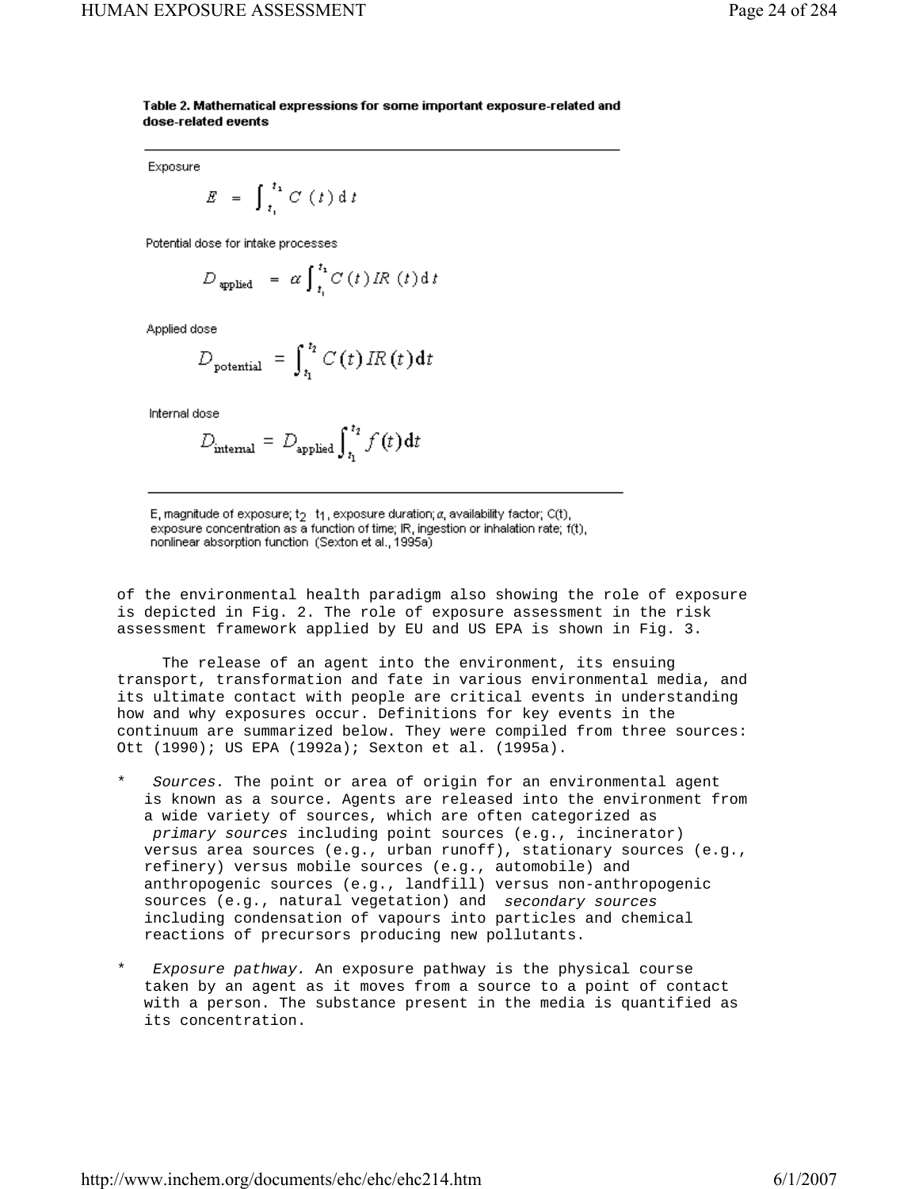# Table 2. Mathematical expressions for some important exposure-related and dose-related events

Exposure

$$
E = \int_{t_1}^{t_1} C(t) dt
$$

Potential dose for intake processes

$$
D_{\text{applied}} = \alpha \int_{t_1}^{t_1} C(t) \, IR(t) \, dt
$$

Applied dose

$$
D_{\text{potential}} = \int_{t_1}^{t_2} C(t) \, IR(t) \, dt
$$

Internal dose

$$
D_{\text{internal}} = D_{\text{applied}} \int_{t_1}^{t_2} f(t) dt
$$

E, magnitude of exposure;  $t_2$   $t_1$ , exposure duration;  $\alpha$ , availability factor; C(t), exposure concentration as a function of time; IR, ingestion or inhalation rate; f(t), nonlinear absorption function (Sexton et al., 1995a)

 of the environmental health paradigm also showing the role of exposure is depicted in Fig. 2. The role of exposure assessment in the risk assessment framework applied by EU and US EPA is shown in Fig. 3.

 The release of an agent into the environment, its ensuing transport, transformation and fate in various environmental media, and its ultimate contact with people are critical events in understanding how and why exposures occur. Definitions for key events in the continuum are summarized below. They were compiled from three sources: Ott (1990); US EPA (1992a); Sexton et al. (1995a).

- Sources. The point or area of origin for an environmental agent is known as a source. Agents are released into the environment from a wide variety of sources, which are often categorized as *primary sources* including point sources (e.g., incinerator) versus area sources (e.g., urban runoff), stationary sources (e.g., refinery) versus mobile sources (e.g., automobile) and anthropogenic sources (e.g., landfill) versus non-anthropogenic sources (e.g., natural vegetation) and *secondary sources*  including condensation of vapours into particles and chemical reactions of precursors producing new pollutants.
- \* *Exposure pathway.* An exposure pathway is the physical course taken by an agent as it moves from a source to a point of contact with a person. The substance present in the media is quantified as its concentration.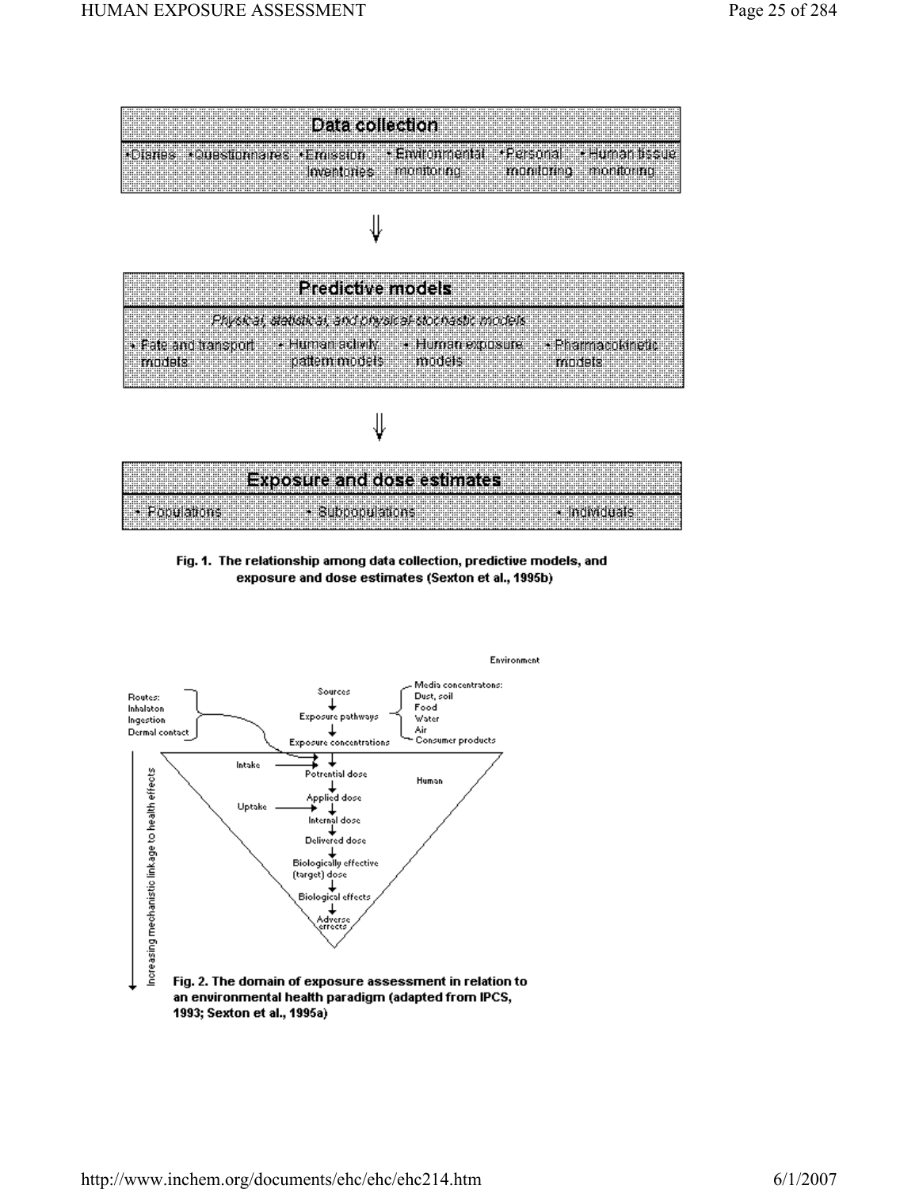



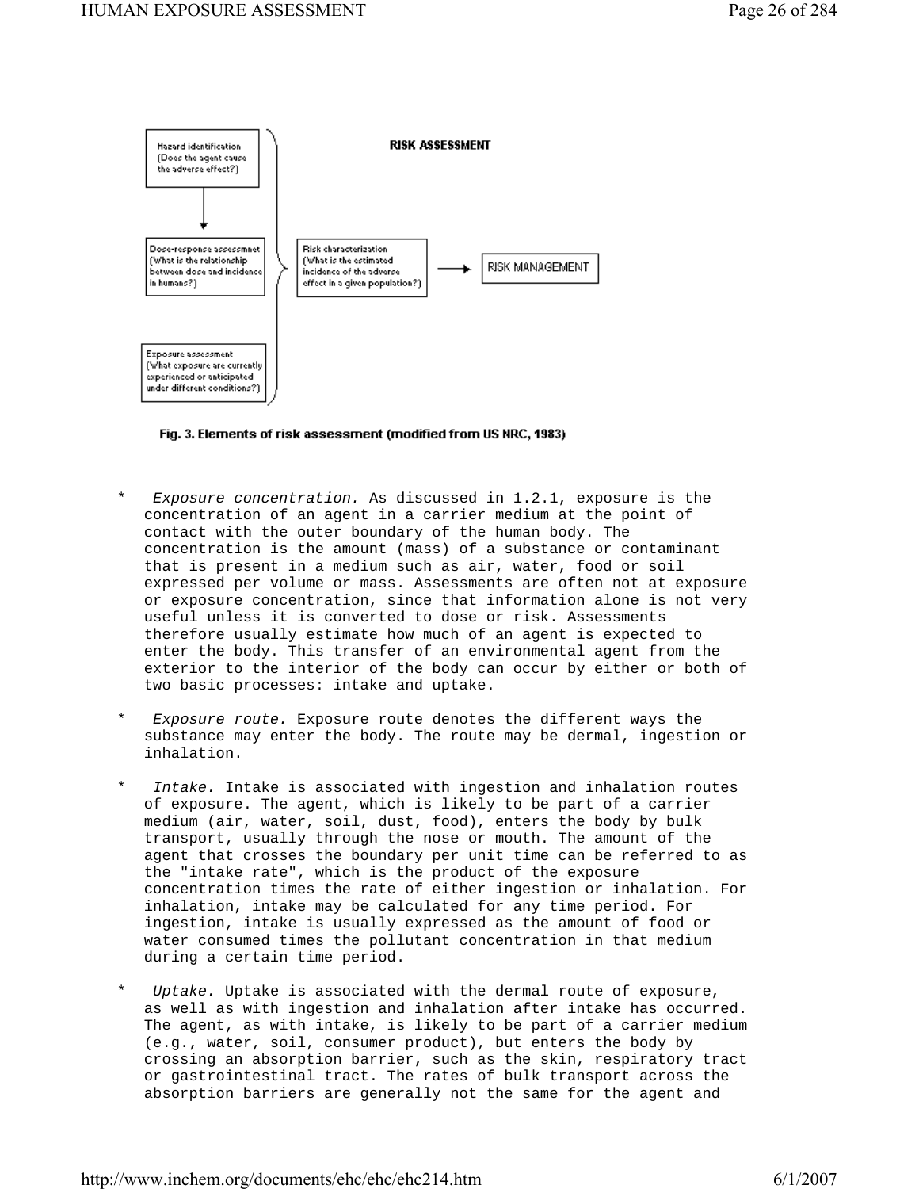

Fig. 3. Elements of risk assessment (modified from US NRC, 1983)

- Exposure concentration. As discussed in 1.2.1, exposure is the concentration of an agent in a carrier medium at the point of contact with the outer boundary of the human body. The concentration is the amount (mass) of a substance or contaminant that is present in a medium such as air, water, food or soil expressed per volume or mass. Assessments are often not at exposure or exposure concentration, since that information alone is not very useful unless it is converted to dose or risk. Assessments therefore usually estimate how much of an agent is expected to enter the body. This transfer of an environmental agent from the exterior to the interior of the body can occur by either or both of two basic processes: intake and uptake.
- Exposure route. Exposure route denotes the different ways the substance may enter the body. The route may be dermal, ingestion or inhalation.
- Intake. Intake is associated with ingestion and inhalation routes of exposure. The agent, which is likely to be part of a carrier medium (air, water, soil, dust, food), enters the body by bulk transport, usually through the nose or mouth. The amount of the agent that crosses the boundary per unit time can be referred to as the "intake rate", which is the product of the exposure concentration times the rate of either ingestion or inhalation. For inhalation, intake may be calculated for any time period. For ingestion, intake is usually expressed as the amount of food or water consumed times the pollutant concentration in that medium during a certain time period.
- Uptake. Uptake is associated with the dermal route of exposure, as well as with ingestion and inhalation after intake has occurred. The agent, as with intake, is likely to be part of a carrier medium (e.g., water, soil, consumer product), but enters the body by crossing an absorption barrier, such as the skin, respiratory tract or gastrointestinal tract. The rates of bulk transport across the absorption barriers are generally not the same for the agent and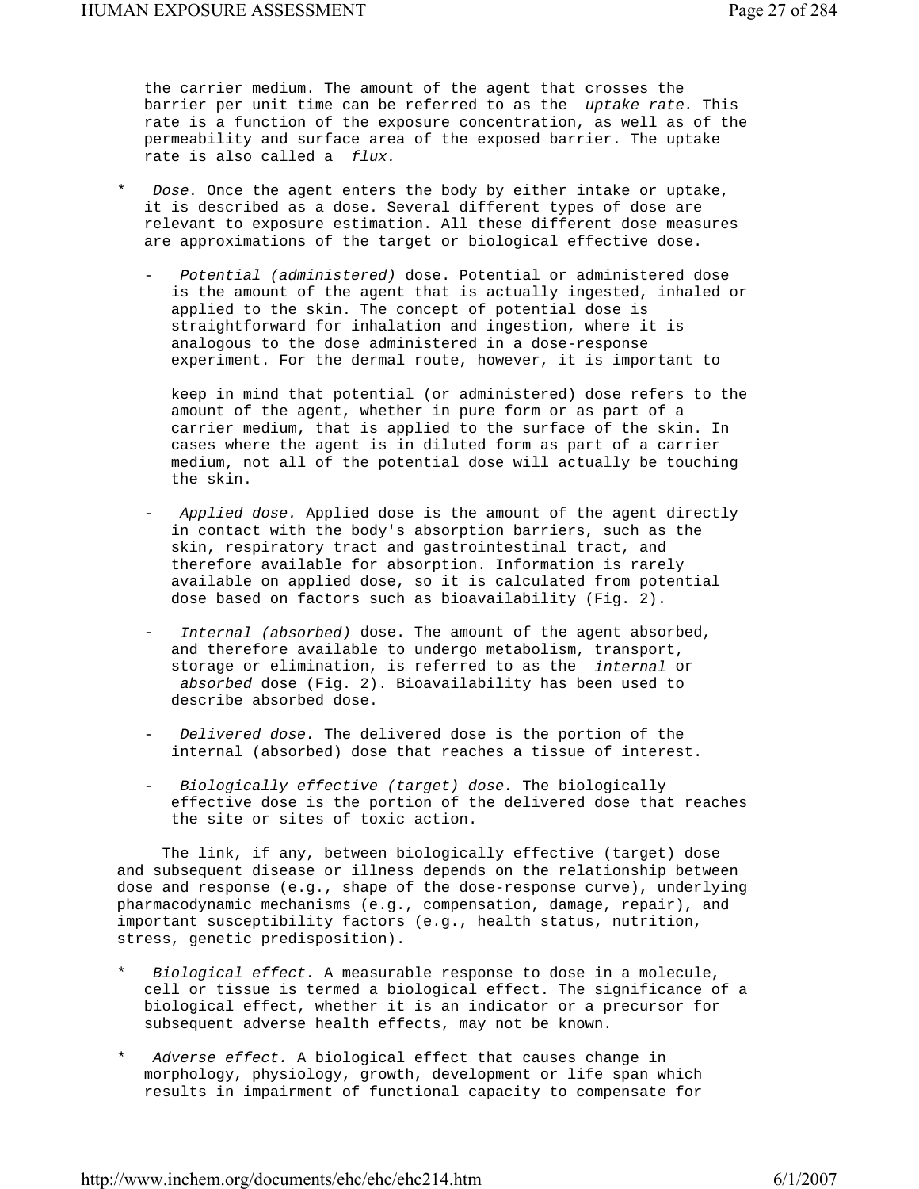the carrier medium. The amount of the agent that crosses the barrier per unit time can be referred to as the *uptake rate.* This rate is a function of the exposure concentration, as well as of the permeability and surface area of the exposed barrier. The uptake rate is also called a *flux.* 

- Dose. Once the agent enters the body by either intake or uptake, it is described as a dose. Several different types of dose are relevant to exposure estimation. All these different dose measures are approximations of the target or biological effective dose.
	- *Potential (administered)* dose. Potential or administered dose is the amount of the agent that is actually ingested, inhaled or applied to the skin. The concept of potential dose is straightforward for inhalation and ingestion, where it is analogous to the dose administered in a dose-response experiment. For the dermal route, however, it is important to

 keep in mind that potential (or administered) dose refers to the amount of the agent, whether in pure form or as part of a carrier medium, that is applied to the surface of the skin. In cases where the agent is in diluted form as part of a carrier medium, not all of the potential dose will actually be touching the skin.

- *Applied dose.* Applied dose is the amount of the agent directly in contact with the body's absorption barriers, such as the skin, respiratory tract and gastrointestinal tract, and therefore available for absorption. Information is rarely available on applied dose, so it is calculated from potential dose based on factors such as bioavailability (Fig. 2).
- *Internal (absorbed)* dose. The amount of the agent absorbed, and therefore available to undergo metabolism, transport, storage or elimination, is referred to as the *internal* or *absorbed* dose (Fig. 2). Bioavailability has been used to describe absorbed dose.
- *Delivered dose.* The delivered dose is the portion of the internal (absorbed) dose that reaches a tissue of interest.
- *Biologically effective (target) dose.* The biologically effective dose is the portion of the delivered dose that reaches the site or sites of toxic action.

 The link, if any, between biologically effective (target) dose and subsequent disease or illness depends on the relationship between dose and response (e.g., shape of the dose-response curve), underlying pharmacodynamic mechanisms (e.g., compensation, damage, repair), and important susceptibility factors (e.g., health status, nutrition, stress, genetic predisposition).

- \* *Biological effect.* A measurable response to dose in a molecule, cell or tissue is termed a biological effect. The significance of a biological effect, whether it is an indicator or a precursor for subsequent adverse health effects, may not be known.
- Adverse effect. A biological effect that causes change in morphology, physiology, growth, development or life span which results in impairment of functional capacity to compensate for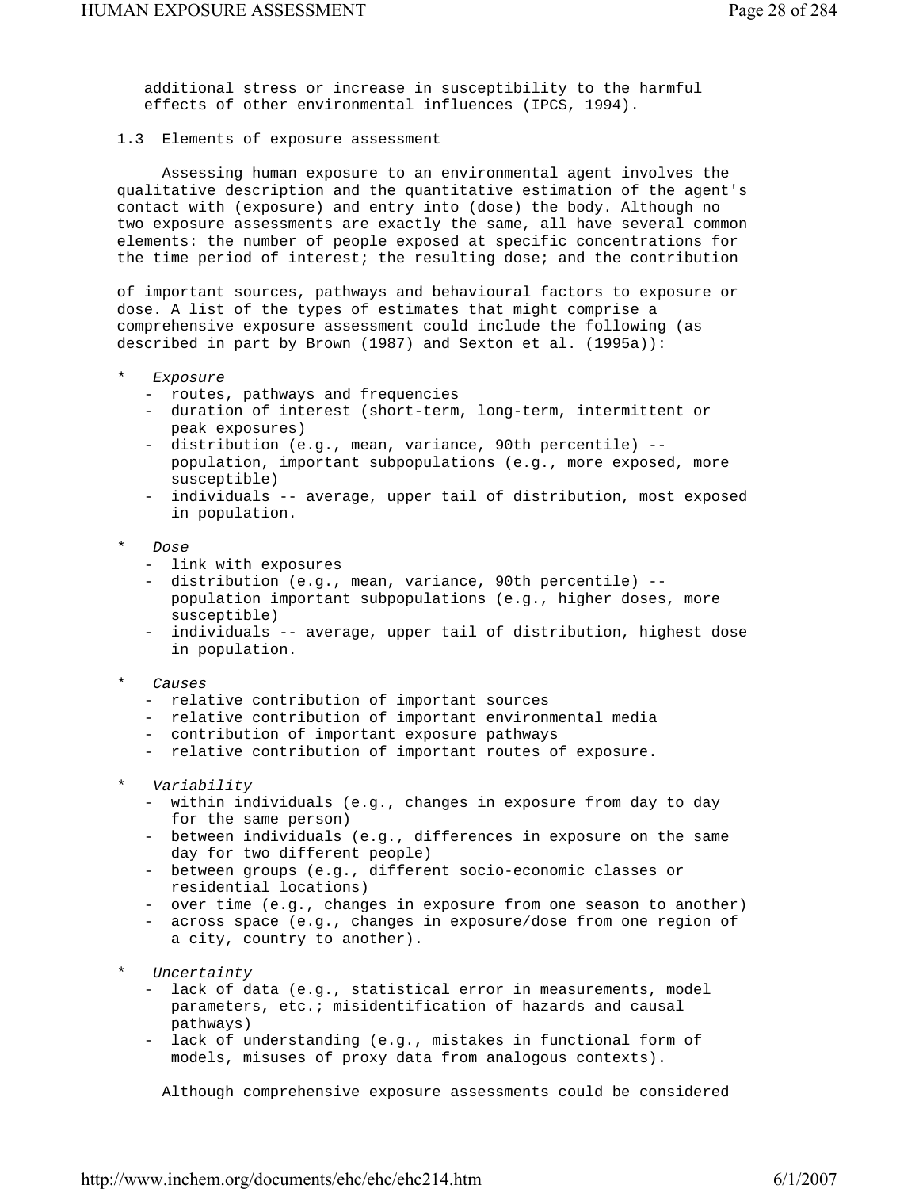additional stress or increase in susceptibility to the harmful effects of other environmental influences (IPCS, 1994).

1.3 Elements of exposure assessment

 Assessing human exposure to an environmental agent involves the qualitative description and the quantitative estimation of the agent's contact with (exposure) and entry into (dose) the body. Although no two exposure assessments are exactly the same, all have several common elements: the number of people exposed at specific concentrations for the time period of interest; the resulting dose; and the contribution

 of important sources, pathways and behavioural factors to exposure or dose. A list of the types of estimates that might comprise a comprehensive exposure assessment could include the following (as described in part by Brown (1987) and Sexton et al. (1995a)):

- $\it{Exposure}$ 
	- routes, pathways and frequencies
	- duration of interest (short-term, long-term, intermittent or peak exposures)
	- distribution (e.g., mean, variance, 90th percentile) population, important subpopulations (e.g., more exposed, more susceptible)
	- individuals -- average, upper tail of distribution, most exposed in population.
- \* *Dose* 
	- link with exposures
	- distribution (e.g., mean, variance, 90th percentile) population important subpopulations (e.g., higher doses, more susceptible)
	- individuals -- average, upper tail of distribution, highest dose in population.
- $Causes$ 
	- relative contribution of important sources
	- relative contribution of important environmental media
	- contribution of important exposure pathways
	- relative contribution of important routes of exposure.
- \* *Variability* 
	- within individuals (e.g., changes in exposure from day to day for the same person)
	- between individuals (e.g., differences in exposure on the same day for two different people)
	- between groups (e.g., different socio-economic classes or residential locations)
	- over time (e.g., changes in exposure from one season to another)
	- across space (e.g., changes in exposure/dose from one region of a city, country to another).
- $Uncertainty$ 
	- lack of data (e.g., statistical error in measurements, model parameters, etc.; misidentification of hazards and causal pathways)
	- lack of understanding (e.g., mistakes in functional form of models, misuses of proxy data from analogous contexts).

Although comprehensive exposure assessments could be considered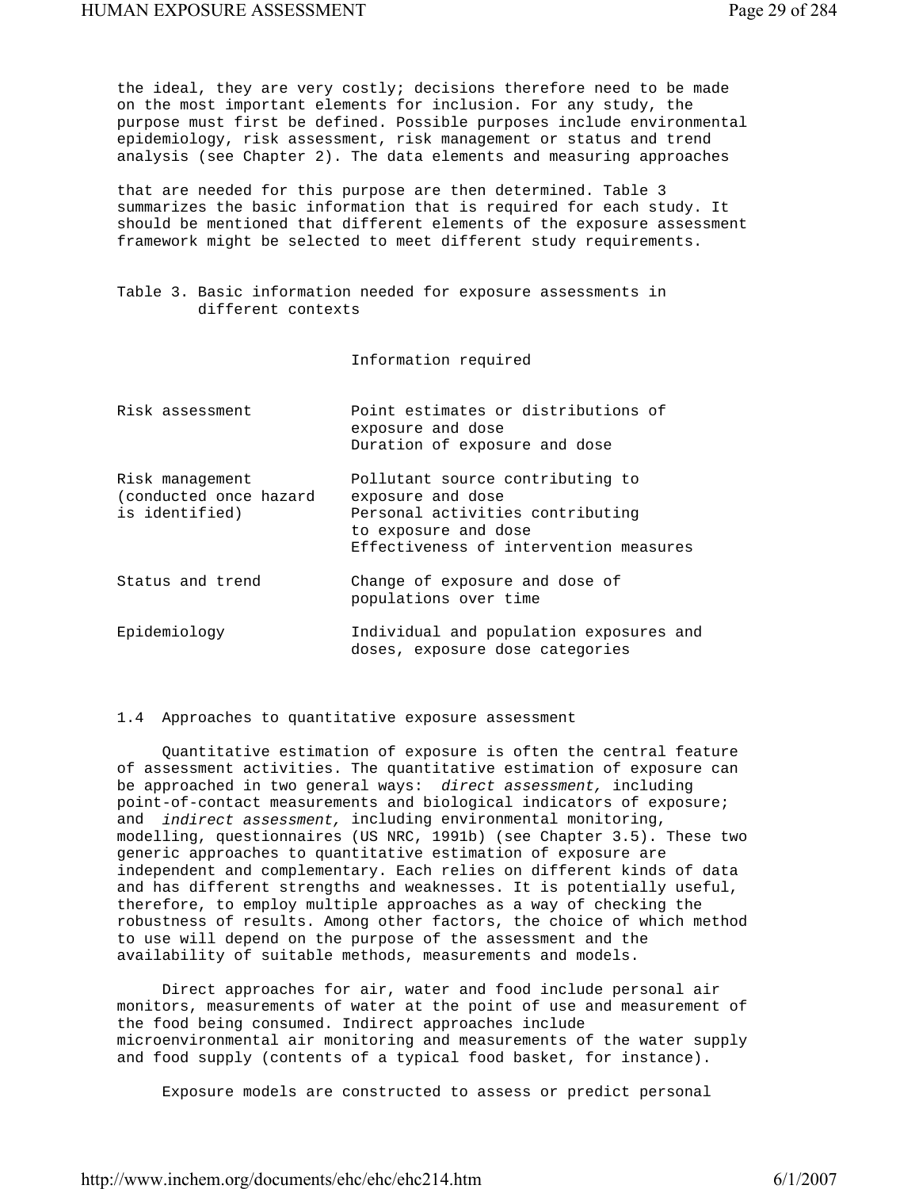the ideal, they are very costly; decisions therefore need to be made on the most important elements for inclusion. For any study, the purpose must first be defined. Possible purposes include environmental epidemiology, risk assessment, risk management or status and trend analysis (see Chapter 2). The data elements and measuring approaches

 that are needed for this purpose are then determined. Table 3 summarizes the basic information that is required for each study. It should be mentioned that different elements of the exposure assessment framework might be selected to meet different study requirements.

 Table 3. Basic information needed for exposure assessments in different contexts

Information required

| Risk assessment                                             | Point estimates or distributions of<br>exposure and dose<br>Duration of exposure and dose                                                                   |
|-------------------------------------------------------------|-------------------------------------------------------------------------------------------------------------------------------------------------------------|
| Risk management<br>conducted once hazard)<br>is identified) | Pollutant source contributing to<br>exposure and dose<br>Personal activities contributing<br>to exposure and dose<br>Effectiveness of intervention measures |
| Status and trend                                            | Change of exposure and dose of<br>populations over time                                                                                                     |
| Epidemiology                                                | Individual and population exposures and<br>doses, exposure dose categories                                                                                  |

1.4 Approaches to quantitative exposure assessment

 Quantitative estimation of exposure is often the central feature of assessment activities. The quantitative estimation of exposure can be approached in two general ways: *direct assessment,* including point-of-contact measurements and biological indicators of exposure; and *indirect assessment,* including environmental monitoring, modelling, questionnaires (US NRC, 1991b) (see Chapter 3.5). These two generic approaches to quantitative estimation of exposure are independent and complementary. Each relies on different kinds of data and has different strengths and weaknesses. It is potentially useful, therefore, to employ multiple approaches as a way of checking the robustness of results. Among other factors, the choice of which method to use will depend on the purpose of the assessment and the availability of suitable methods, measurements and models.

 Direct approaches for air, water and food include personal air monitors, measurements of water at the point of use and measurement of the food being consumed. Indirect approaches include microenvironmental air monitoring and measurements of the water supply and food supply (contents of a typical food basket, for instance).

Exposure models are constructed to assess or predict personal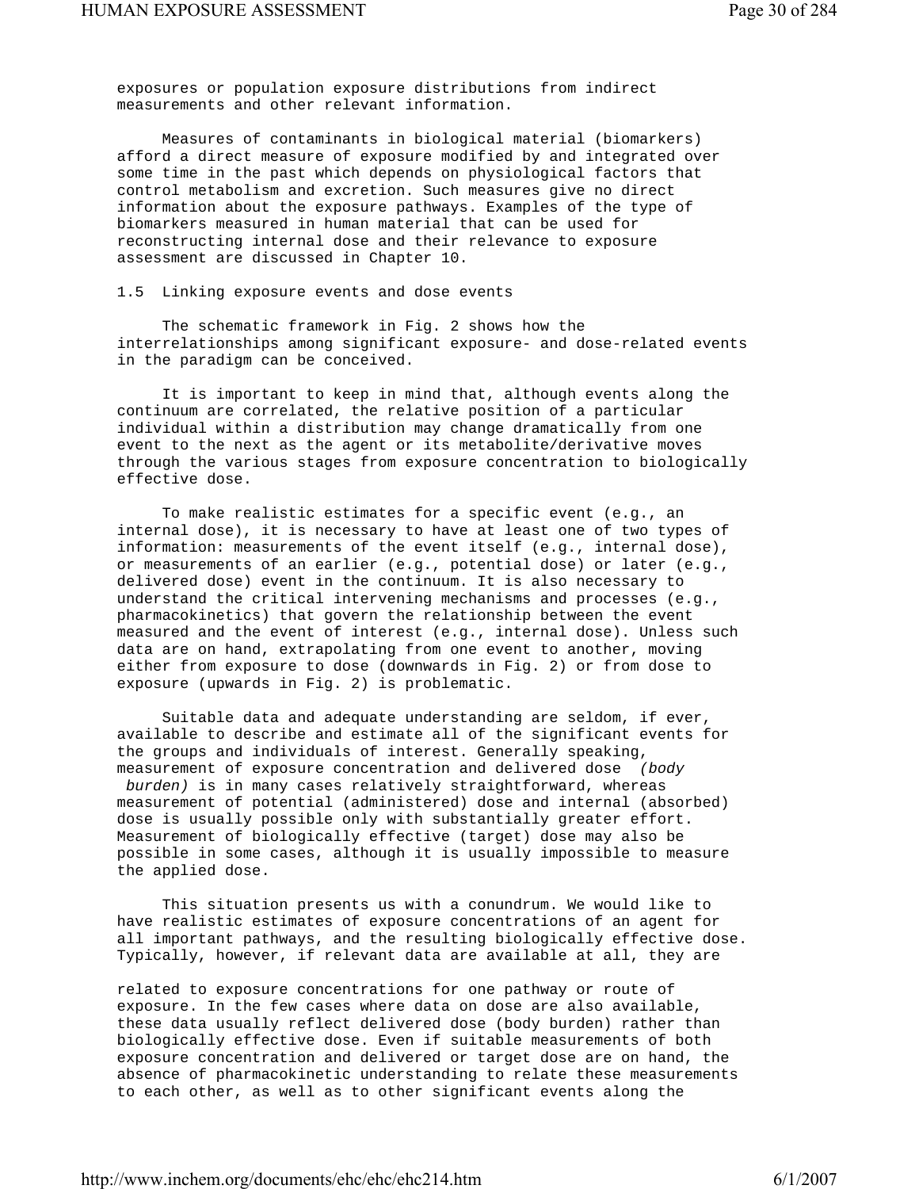exposures or population exposure distributions from indirect measurements and other relevant information.

 Measures of contaminants in biological material (biomarkers) afford a direct measure of exposure modified by and integrated over some time in the past which depends on physiological factors that control metabolism and excretion. Such measures give no direct information about the exposure pathways. Examples of the type of biomarkers measured in human material that can be used for reconstructing internal dose and their relevance to exposure assessment are discussed in Chapter 10.

1.5 Linking exposure events and dose events

 The schematic framework in Fig. 2 shows how the interrelationships among significant exposure- and dose-related events in the paradigm can be conceived.

 It is important to keep in mind that, although events along the continuum are correlated, the relative position of a particular individual within a distribution may change dramatically from one event to the next as the agent or its metabolite/derivative moves through the various stages from exposure concentration to biologically effective dose.

 To make realistic estimates for a specific event (e.g., an internal dose), it is necessary to have at least one of two types of information: measurements of the event itself (e.g., internal dose), or measurements of an earlier (e.g., potential dose) or later (e.g., delivered dose) event in the continuum. It is also necessary to understand the critical intervening mechanisms and processes (e.g., pharmacokinetics) that govern the relationship between the event measured and the event of interest (e.g., internal dose). Unless such data are on hand, extrapolating from one event to another, moving either from exposure to dose (downwards in Fig. 2) or from dose to exposure (upwards in Fig. 2) is problematic.

 Suitable data and adequate understanding are seldom, if ever, available to describe and estimate all of the significant events for the groups and individuals of interest. Generally speaking, measurement of exposure concentration and delivered dose *(body burden)* is in many cases relatively straightforward, whereas measurement of potential (administered) dose and internal (absorbed) dose is usually possible only with substantially greater effort. Measurement of biologically effective (target) dose may also be possible in some cases, although it is usually impossible to measure the applied dose.

 This situation presents us with a conundrum. We would like to have realistic estimates of exposure concentrations of an agent for all important pathways, and the resulting biologically effective dose. Typically, however, if relevant data are available at all, they are

 related to exposure concentrations for one pathway or route of exposure. In the few cases where data on dose are also available, these data usually reflect delivered dose (body burden) rather than biologically effective dose. Even if suitable measurements of both exposure concentration and delivered or target dose are on hand, the absence of pharmacokinetic understanding to relate these measurements to each other, as well as to other significant events along the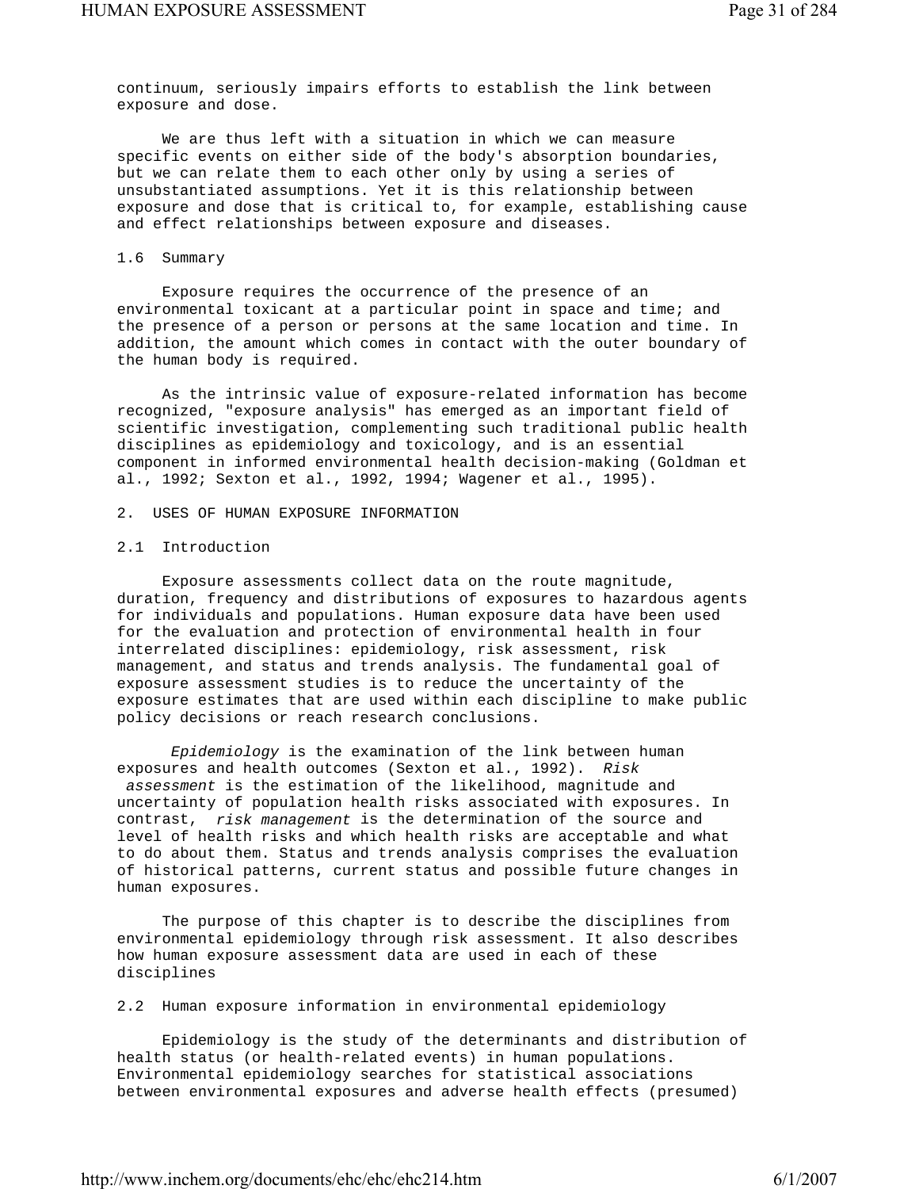continuum, seriously impairs efforts to establish the link between exposure and dose.

 We are thus left with a situation in which we can measure specific events on either side of the body's absorption boundaries, but we can relate them to each other only by using a series of unsubstantiated assumptions. Yet it is this relationship between exposure and dose that is critical to, for example, establishing cause and effect relationships between exposure and diseases.

### 1.6 Summary

 Exposure requires the occurrence of the presence of an environmental toxicant at a particular point in space and time; and the presence of a person or persons at the same location and time. In addition, the amount which comes in contact with the outer boundary of the human body is required.

 As the intrinsic value of exposure-related information has become recognized, "exposure analysis" has emerged as an important field of scientific investigation, complementing such traditional public health disciplines as epidemiology and toxicology, and is an essential component in informed environmental health decision-making (Goldman et al., 1992; Sexton et al., 1992, 1994; Wagener et al., 1995).

2. USES OF HUMAN EXPOSURE INFORMATION

## 2.1 Introduction

 Exposure assessments collect data on the route magnitude, duration, frequency and distributions of exposures to hazardous agents for individuals and populations. Human exposure data have been used for the evaluation and protection of environmental health in four interrelated disciplines: epidemiology, risk assessment, risk management, and status and trends analysis. The fundamental goal of exposure assessment studies is to reduce the uncertainty of the exposure estimates that are used within each discipline to make public policy decisions or reach research conclusions.

 *Epidemiology* is the examination of the link between human exposures and health outcomes (Sexton et al., 1992). *Risk assessment* is the estimation of the likelihood, magnitude and uncertainty of population health risks associated with exposures. In contrast, *risk management* is the determination of the source and level of health risks and which health risks are acceptable and what to do about them. Status and trends analysis comprises the evaluation of historical patterns, current status and possible future changes in human exposures.

 The purpose of this chapter is to describe the disciplines from environmental epidemiology through risk assessment. It also describes how human exposure assessment data are used in each of these disciplines

2.2 Human exposure information in environmental epidemiology

 Epidemiology is the study of the determinants and distribution of health status (or health-related events) in human populations. Environmental epidemiology searches for statistical associations between environmental exposures and adverse health effects (presumed)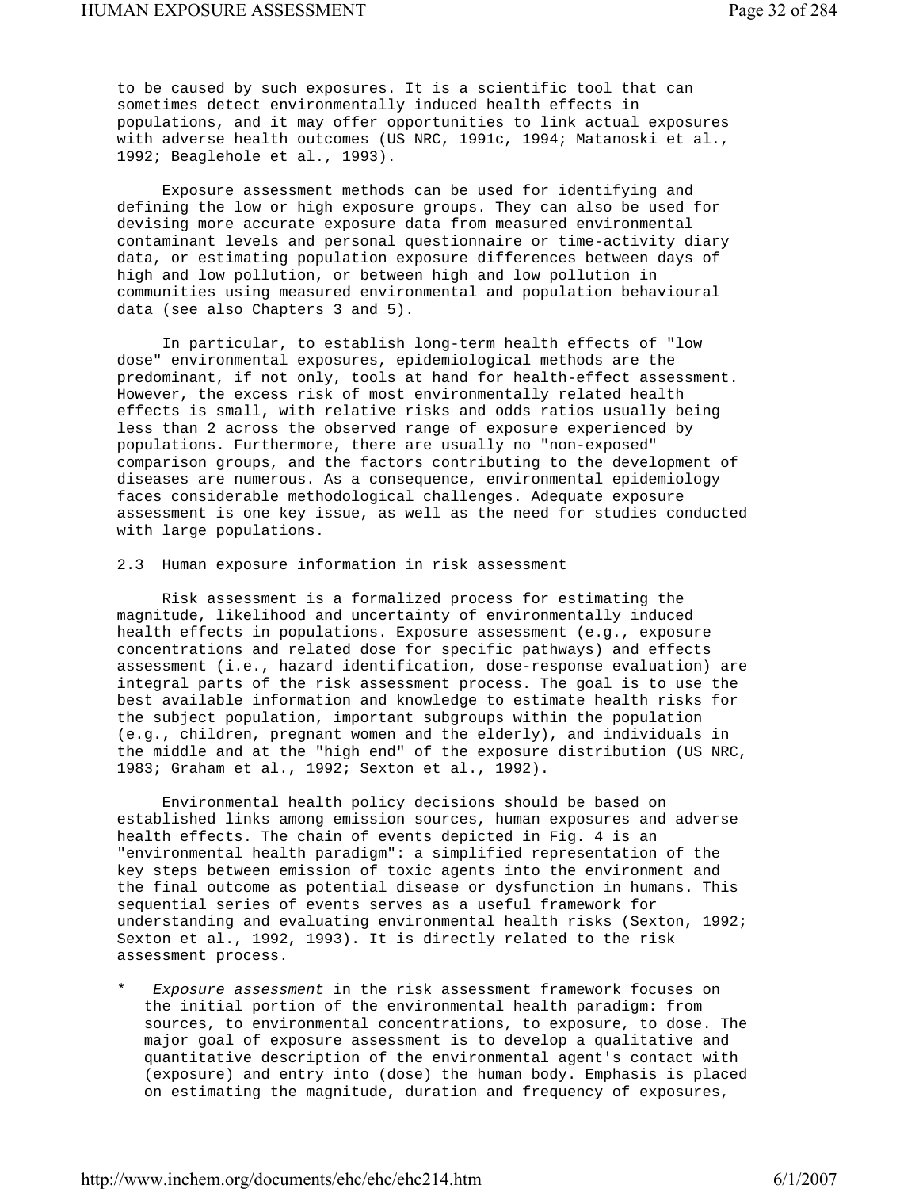to be caused by such exposures. It is a scientific tool that can sometimes detect environmentally induced health effects in populations, and it may offer opportunities to link actual exposures with adverse health outcomes (US NRC, 1991c, 1994; Matanoski et al., 1992; Beaglehole et al., 1993).

 Exposure assessment methods can be used for identifying and defining the low or high exposure groups. They can also be used for devising more accurate exposure data from measured environmental contaminant levels and personal questionnaire or time-activity diary data, or estimating population exposure differences between days of high and low pollution, or between high and low pollution in communities using measured environmental and population behavioural data (see also Chapters 3 and 5).

 In particular, to establish long-term health effects of "low dose" environmental exposures, epidemiological methods are the predominant, if not only, tools at hand for health-effect assessment. However, the excess risk of most environmentally related health effects is small, with relative risks and odds ratios usually being less than 2 across the observed range of exposure experienced by populations. Furthermore, there are usually no "non-exposed" comparison groups, and the factors contributing to the development of diseases are numerous. As a consequence, environmental epidemiology faces considerable methodological challenges. Adequate exposure assessment is one key issue, as well as the need for studies conducted with large populations.

2.3 Human exposure information in risk assessment

 Risk assessment is a formalized process for estimating the magnitude, likelihood and uncertainty of environmentally induced health effects in populations. Exposure assessment (e.g., exposure concentrations and related dose for specific pathways) and effects assessment (i.e., hazard identification, dose-response evaluation) are integral parts of the risk assessment process. The goal is to use the best available information and knowledge to estimate health risks for the subject population, important subgroups within the population (e.g., children, pregnant women and the elderly), and individuals in the middle and at the "high end" of the exposure distribution (US NRC, 1983; Graham et al., 1992; Sexton et al., 1992).

 Environmental health policy decisions should be based on established links among emission sources, human exposures and adverse health effects. The chain of events depicted in Fig. 4 is an "environmental health paradigm": a simplified representation of the key steps between emission of toxic agents into the environment and the final outcome as potential disease or dysfunction in humans. This sequential series of events serves as a useful framework for understanding and evaluating environmental health risks (Sexton, 1992; Sexton et al., 1992, 1993). It is directly related to the risk assessment process.

 \* *Exposure assessment* in the risk assessment framework focuses on the initial portion of the environmental health paradigm: from sources, to environmental concentrations, to exposure, to dose. The major goal of exposure assessment is to develop a qualitative and quantitative description of the environmental agent's contact with (exposure) and entry into (dose) the human body. Emphasis is placed on estimating the magnitude, duration and frequency of exposures,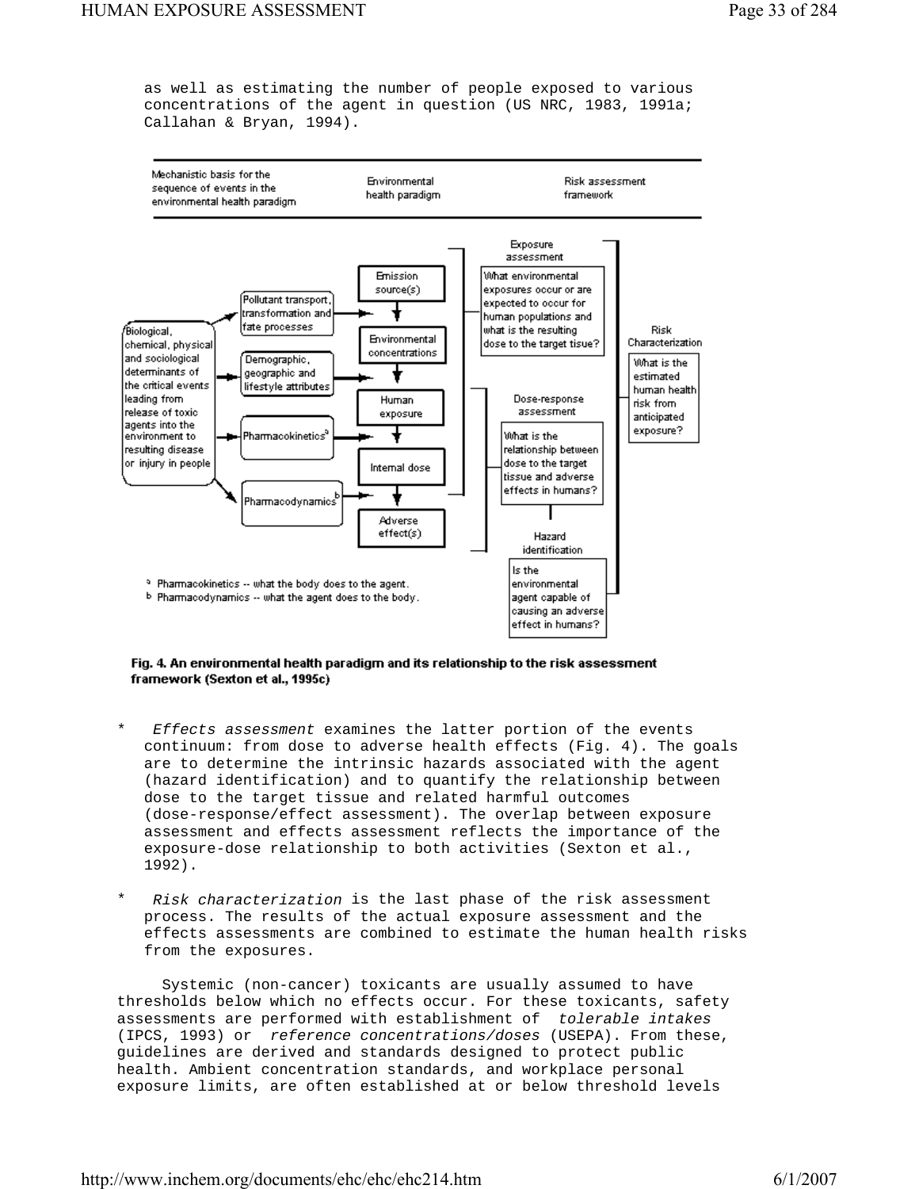as well as estimating the number of people exposed to various concentrations of the agent in question (US NRC, 1983, 1991a; Callahan & Bryan, 1994).



Fig. 4. An environmental health paradigm and its relationship to the risk assessment framework (Sexton et al., 1995c)

- \* *Effects assessment* examines the latter portion of the events continuum: from dose to adverse health effects (Fig. 4). The goals are to determine the intrinsic hazards associated with the agent (hazard identification) and to quantify the relationship between dose to the target tissue and related harmful outcomes (dose-response/effect assessment). The overlap between exposure assessment and effects assessment reflects the importance of the exposure-dose relationship to both activities (Sexton et al., 1992).
- \* *Risk characterization* is the last phase of the risk assessment process. The results of the actual exposure assessment and the effects assessments are combined to estimate the human health risks from the exposures.

 Systemic (non-cancer) toxicants are usually assumed to have thresholds below which no effects occur. For these toxicants, safety assessments are performed with establishment of *tolerable intakes*  (IPCS, 1993) or *reference concentrations/doses* (USEPA). From these, guidelines are derived and standards designed to protect public health. Ambient concentration standards, and workplace personal exposure limits, are often established at or below threshold levels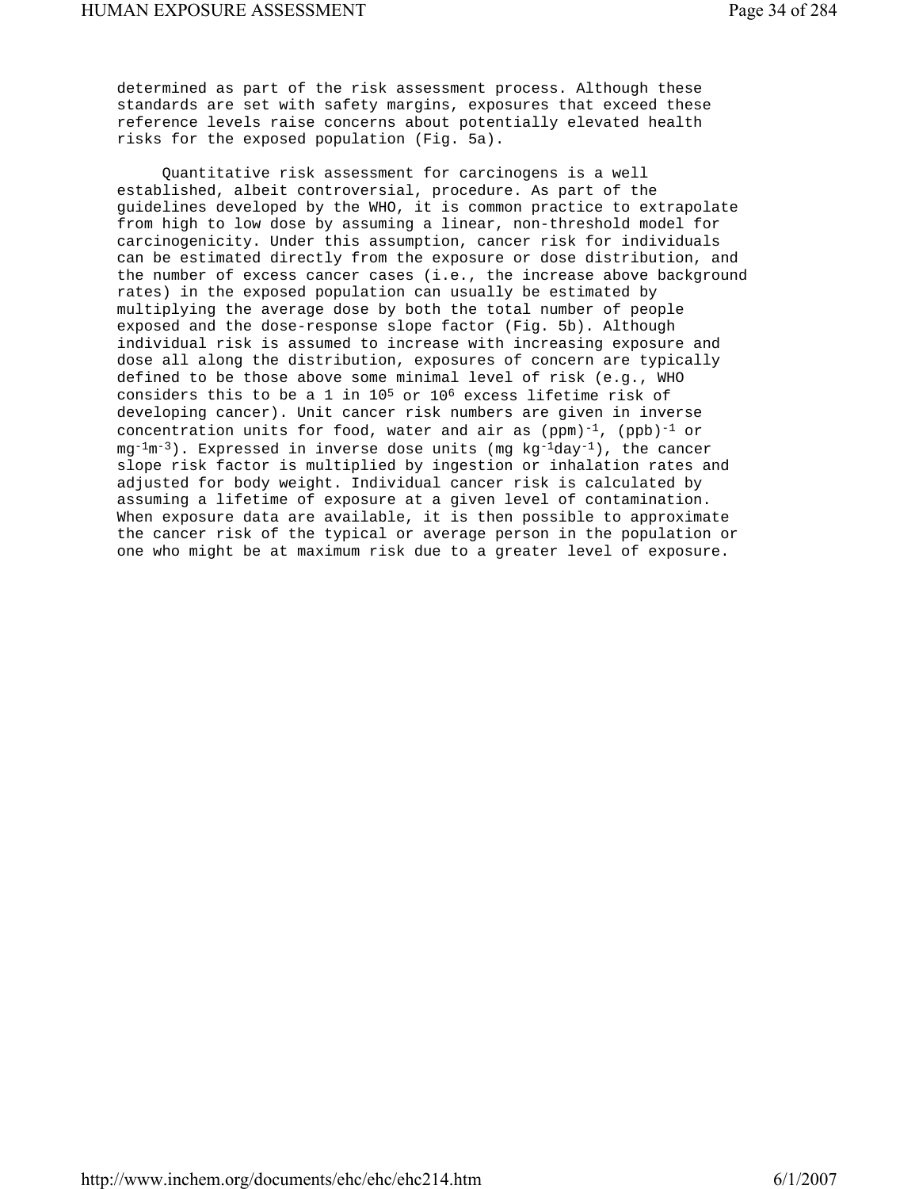determined as part of the risk assessment process. Although these standards are set with safety margins, exposures that exceed these reference levels raise concerns about potentially elevated health risks for the exposed population (Fig. 5a).

 Quantitative risk assessment for carcinogens is a well established, albeit controversial, procedure. As part of the guidelines developed by the WHO, it is common practice to extrapolate from high to low dose by assuming a linear, non-threshold model for carcinogenicity. Under this assumption, cancer risk for individuals can be estimated directly from the exposure or dose distribution, and the number of excess cancer cases (i.e., the increase above background rates) in the exposed population can usually be estimated by multiplying the average dose by both the total number of people exposed and the dose-response slope factor (Fig. 5b). Although individual risk is assumed to increase with increasing exposure and dose all along the distribution, exposures of concern are typically defined to be those above some minimal level of risk (e.g., WHO considers this to be a 1 in 105 or 106 excess lifetime risk of developing cancer). Unit cancer risk numbers are given in inverse concentration units for food, water and air as  $(ppm)^{-1}$ ,  $(ppb)^{-1}$  or  $mg^{-1}m^{-3}$ ). Expressed in inverse dose units (mq kq<sup>-1</sup>day<sup>-1</sup>), the cancer slope risk factor is multiplied by ingestion or inhalation rates and adjusted for body weight. Individual cancer risk is calculated by assuming a lifetime of exposure at a given level of contamination. When exposure data are available, it is then possible to approximate the cancer risk of the typical or average person in the population or one who might be at maximum risk due to a greater level of exposure.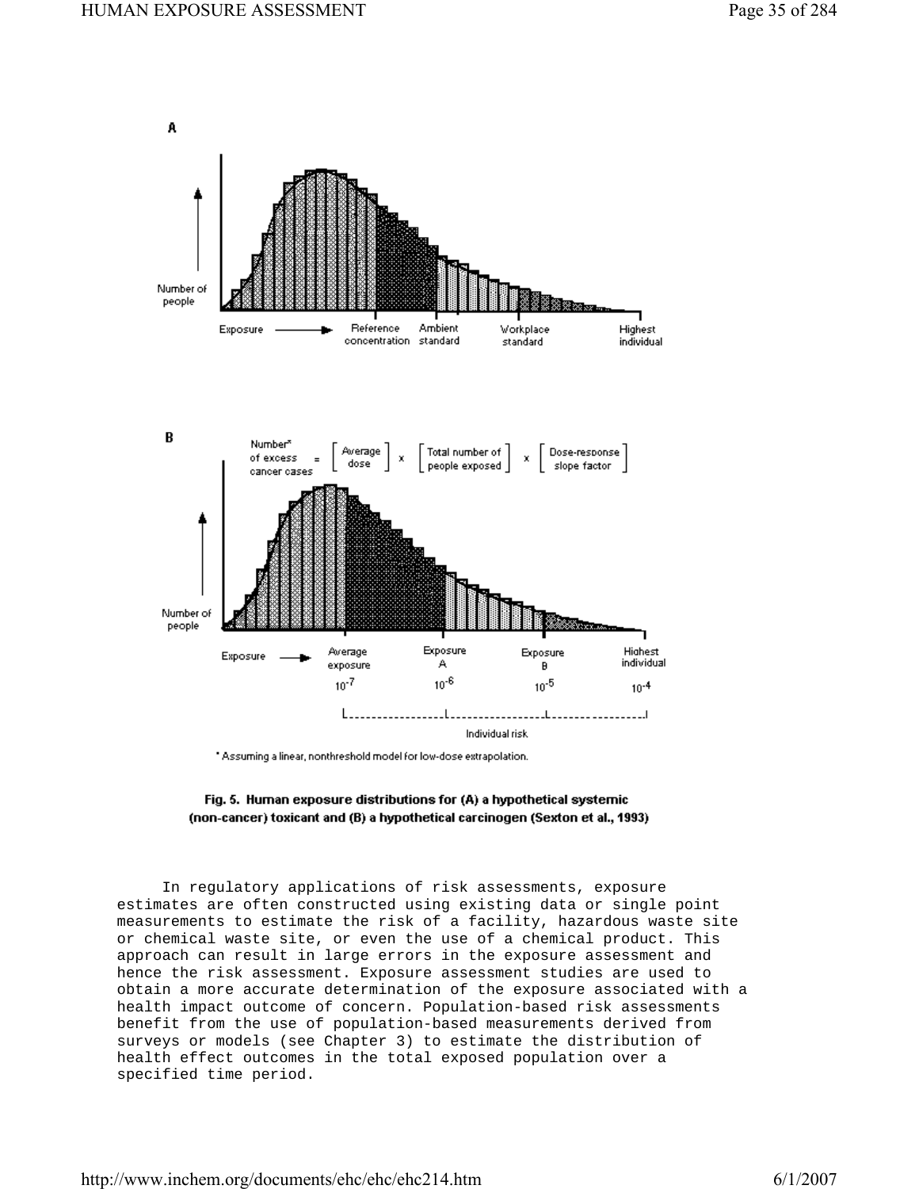

\* Assuming a linear, nonthreshold model for low-dose extrapolation.

# Fig. 5. Human exposure distributions for (A) a hypothetical systemic (non-cancer) toxicant and (B) a hypothetical carcinogen (Sexton et al., 1993)

 In regulatory applications of risk assessments, exposure estimates are often constructed using existing data or single point measurements to estimate the risk of a facility, hazardous waste site or chemical waste site, or even the use of a chemical product. This approach can result in large errors in the exposure assessment and hence the risk assessment. Exposure assessment studies are used to obtain a more accurate determination of the exposure associated with a health impact outcome of concern. Population-based risk assessments benefit from the use of population-based measurements derived from surveys or models (see Chapter 3) to estimate the distribution of health effect outcomes in the total exposed population over a specified time period.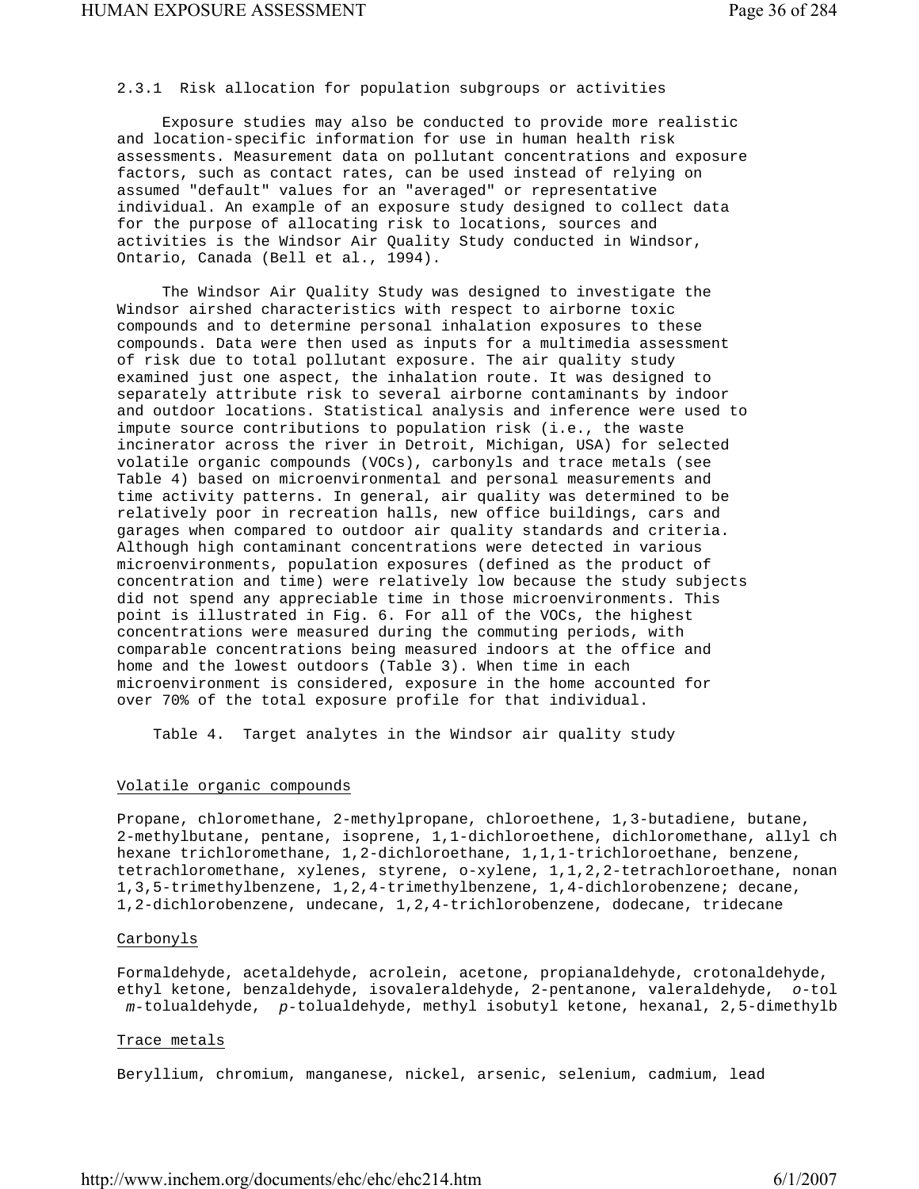## 2.3.1 Risk allocation for population subgroups or activities

 Exposure studies may also be conducted to provide more realistic and location-specific information for use in human health risk assessments. Measurement data on pollutant concentrations and exposure factors, such as contact rates, can be used instead of relying on assumed "default" values for an "averaged" or representative individual. An example of an exposure study designed to collect data for the purpose of allocating risk to locations, sources and activities is the Windsor Air Quality Study conducted in Windsor, Ontario, Canada (Bell et al., 1994).

 The Windsor Air Quality Study was designed to investigate the Windsor airshed characteristics with respect to airborne toxic compounds and to determine personal inhalation exposures to these compounds. Data were then used as inputs for a multimedia assessment of risk due to total pollutant exposure. The air quality study examined just one aspect, the inhalation route. It was designed to separately attribute risk to several airborne contaminants by indoor and outdoor locations. Statistical analysis and inference were used to impute source contributions to population risk (i.e., the waste incinerator across the river in Detroit, Michigan, USA) for selected volatile organic compounds (VOCs), carbonyls and trace metals (see Table 4) based on microenvironmental and personal measurements and time activity patterns. In general, air quality was determined to be relatively poor in recreation halls, new office buildings, cars and garages when compared to outdoor air quality standards and criteria. Although high contaminant concentrations were detected in various microenvironments, population exposures (defined as the product of concentration and time) were relatively low because the study subjects did not spend any appreciable time in those microenvironments. This point is illustrated in Fig. 6. For all of the VOCs, the highest concentrations were measured during the commuting periods, with comparable concentrations being measured indoors at the office and home and the lowest outdoors (Table 3). When time in each microenvironment is considered, exposure in the home accounted for over 70% of the total exposure profile for that individual.

Table 4. Target analytes in the Windsor air quality study

# Volatile organic compounds

 Propane, chloromethane, 2-methylpropane, chloroethene, 1,3-butadiene, butane, 2-methylbutane, pentane, isoprene, 1,1-dichloroethene, dichloromethane, allyl ch hexane trichloromethane, 1,2-dichloroethane, 1,1,1-trichloroethane, benzene, tetrachloromethane, xylenes, styrene, o-xylene, 1,1,2,2-tetrachloroethane, nonan 1,3,5-trimethylbenzene, 1,2,4-trimethylbenzene, 1,4-dichlorobenzene; decane, 1,2-dichlorobenzene, undecane, 1,2,4-trichlorobenzene, dodecane, tridecane

#### Carbonyls

 Formaldehyde, acetaldehyde, acrolein, acetone, propianaldehyde, crotonaldehyde, ethyl ketone, benzaldehyde, isovaleraldehyde, 2-pentanone, valeraldehyde, *o-*tol *m-*tolualdehyde, *p-*tolualdehyde, methyl isobutyl ketone, hexanal, 2,5-dimethylb

#### Trace metals

Beryllium, chromium, manganese, nickel, arsenic, selenium, cadmium, lead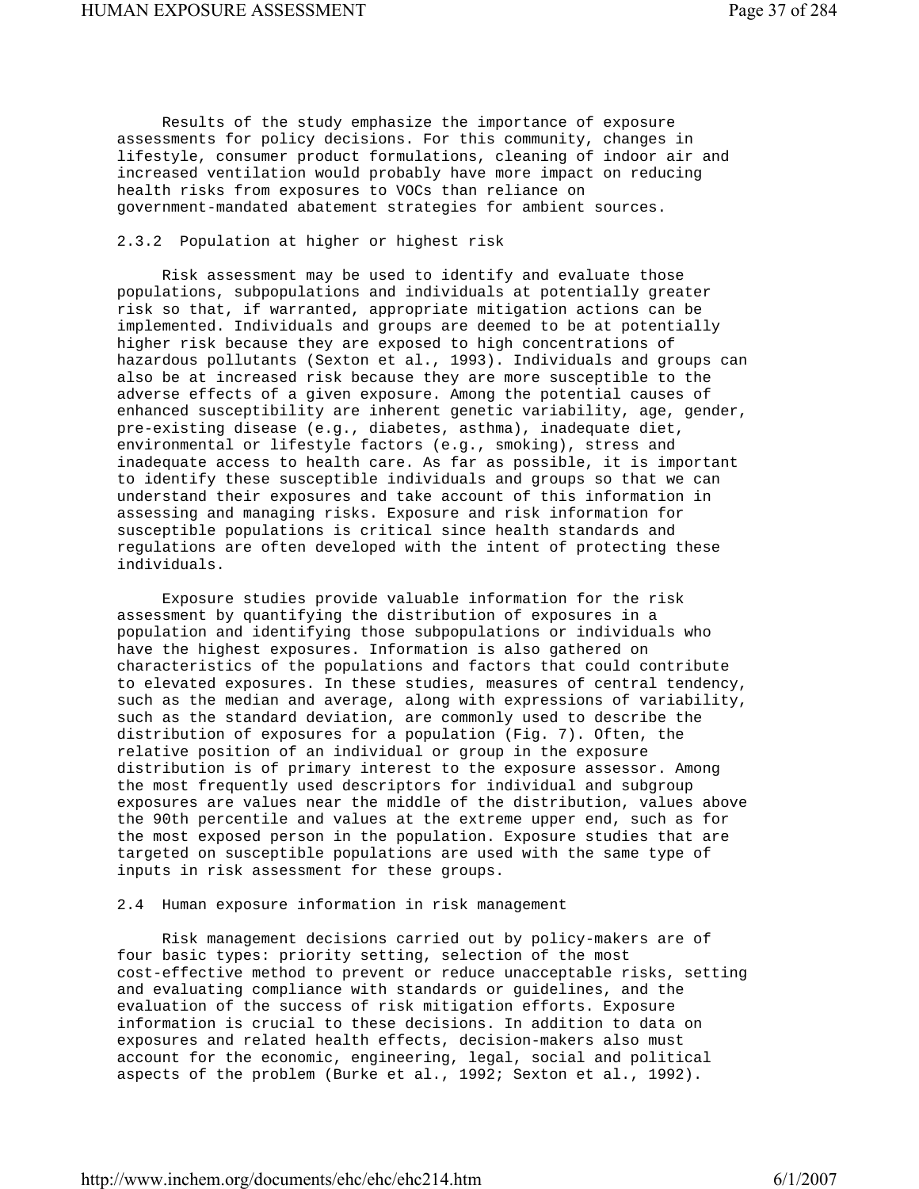Results of the study emphasize the importance of exposure assessments for policy decisions. For this community, changes in lifestyle, consumer product formulations, cleaning of indoor air and increased ventilation would probably have more impact on reducing health risks from exposures to VOCs than reliance on government-mandated abatement strategies for ambient sources.

## 2.3.2 Population at higher or highest risk

 Risk assessment may be used to identify and evaluate those populations, subpopulations and individuals at potentially greater risk so that, if warranted, appropriate mitigation actions can be implemented. Individuals and groups are deemed to be at potentially higher risk because they are exposed to high concentrations of hazardous pollutants (Sexton et al., 1993). Individuals and groups can also be at increased risk because they are more susceptible to the adverse effects of a given exposure. Among the potential causes of enhanced susceptibility are inherent genetic variability, age, gender, pre-existing disease (e.g., diabetes, asthma), inadequate diet, environmental or lifestyle factors (e.g., smoking), stress and inadequate access to health care. As far as possible, it is important to identify these susceptible individuals and groups so that we can understand their exposures and take account of this information in assessing and managing risks. Exposure and risk information for susceptible populations is critical since health standards and regulations are often developed with the intent of protecting these individuals.

 Exposure studies provide valuable information for the risk assessment by quantifying the distribution of exposures in a population and identifying those subpopulations or individuals who have the highest exposures. Information is also gathered on characteristics of the populations and factors that could contribute to elevated exposures. In these studies, measures of central tendency, such as the median and average, along with expressions of variability, such as the standard deviation, are commonly used to describe the distribution of exposures for a population (Fig. 7). Often, the relative position of an individual or group in the exposure distribution is of primary interest to the exposure assessor. Among the most frequently used descriptors for individual and subgroup exposures are values near the middle of the distribution, values above the 90th percentile and values at the extreme upper end, such as for the most exposed person in the population. Exposure studies that are targeted on susceptible populations are used with the same type of inputs in risk assessment for these groups.

#### 2.4 Human exposure information in risk management

 Risk management decisions carried out by policy-makers are of four basic types: priority setting, selection of the most cost-effective method to prevent or reduce unacceptable risks, setting and evaluating compliance with standards or guidelines, and the evaluation of the success of risk mitigation efforts. Exposure information is crucial to these decisions. In addition to data on exposures and related health effects, decision-makers also must account for the economic, engineering, legal, social and political aspects of the problem (Burke et al., 1992; Sexton et al., 1992).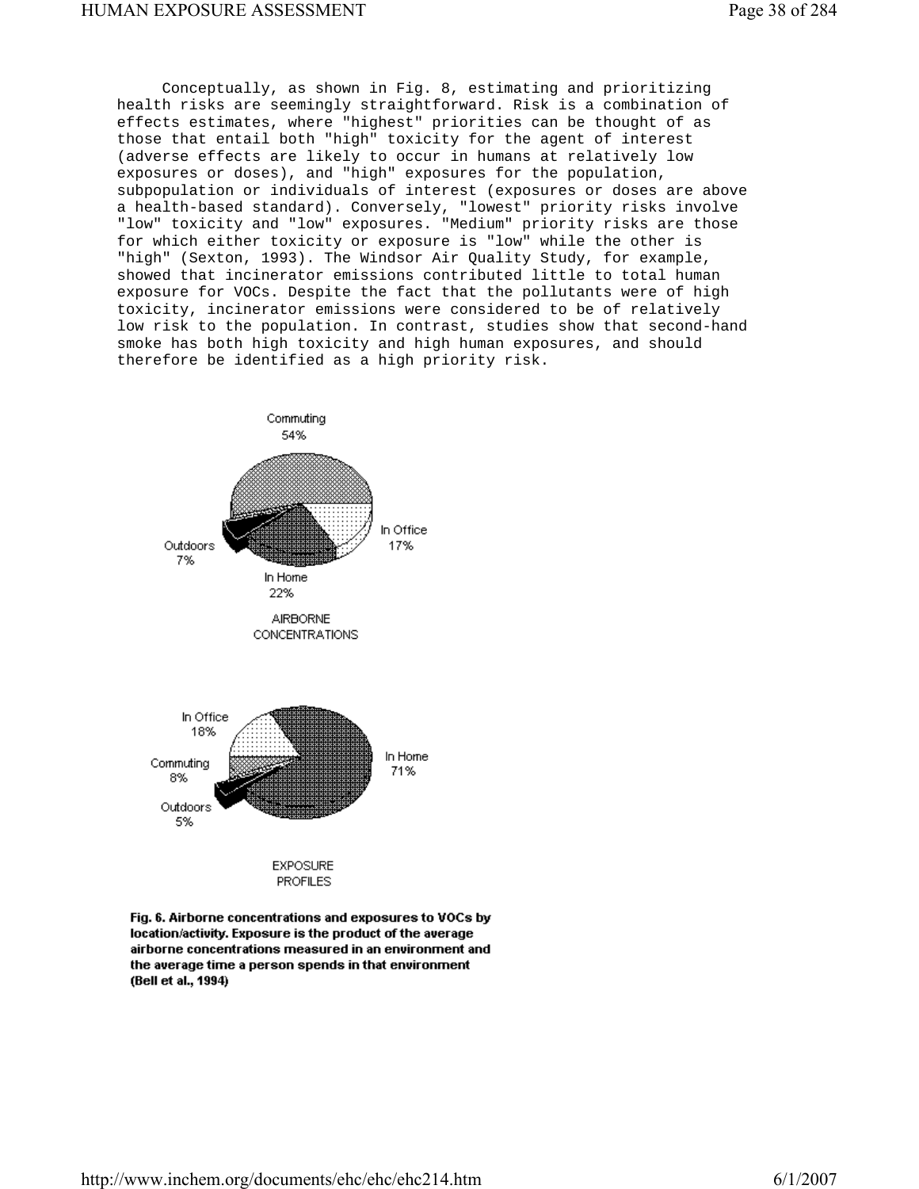Conceptually, as shown in Fig. 8, estimating and prioritizing health risks are seemingly straightforward. Risk is a combination of effects estimates, where "highest" priorities can be thought of as those that entail both "high" toxicity for the agent of interest (adverse effects are likely to occur in humans at relatively low exposures or doses), and "high" exposures for the population, subpopulation or individuals of interest (exposures or doses are above a health-based standard). Conversely, "lowest" priority risks involve "low" toxicity and "low" exposures. "Medium" priority risks are those for which either toxicity or exposure is "low" while the other is "high" (Sexton, 1993). The Windsor Air Quality Study, for example, showed that incinerator emissions contributed little to total human exposure for VOCs. Despite the fact that the pollutants were of high toxicity, incinerator emissions were considered to be of relatively low risk to the population. In contrast, studies show that second-hand smoke has both high toxicity and high human exposures, and should therefore be identified as a high priority risk.



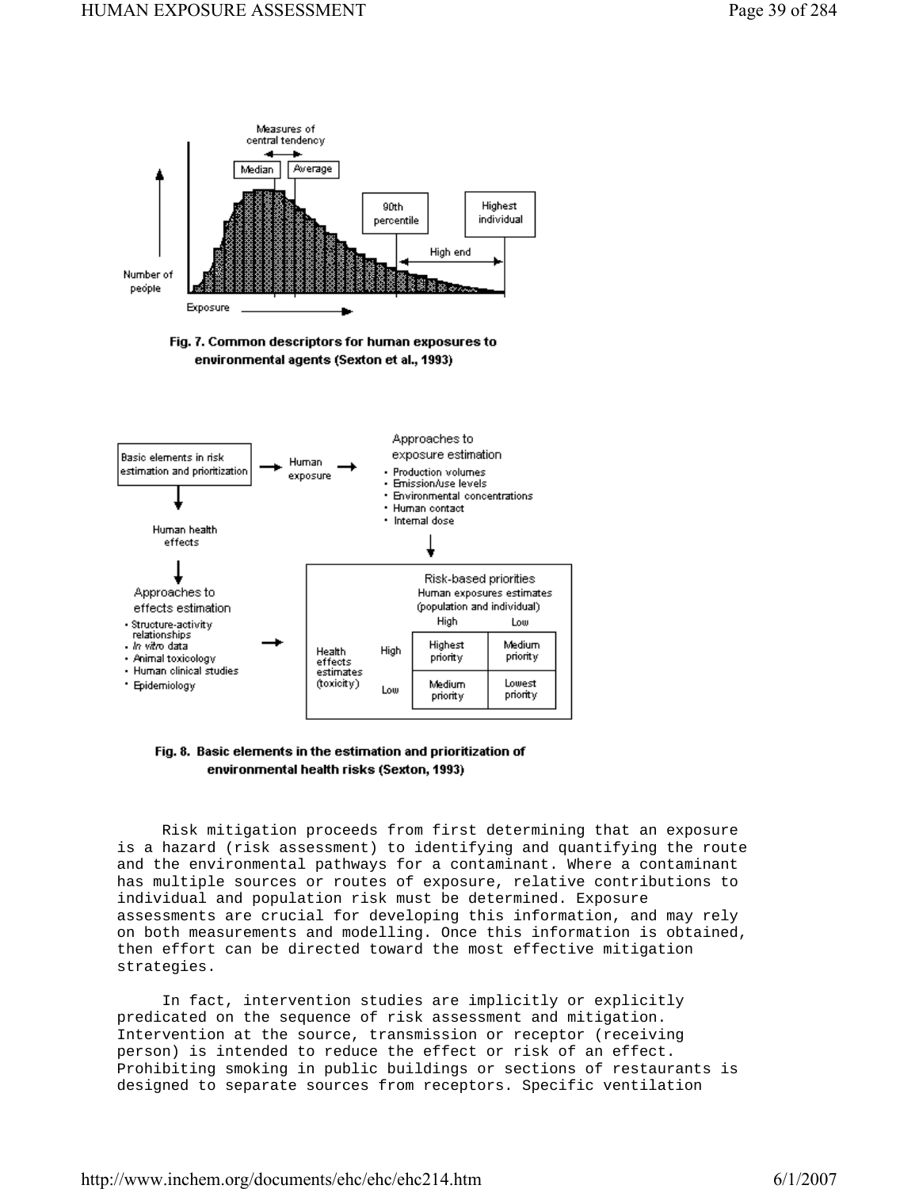

Fig. 7. Common descriptors for human exposures to environmental agents (Sexton et al., 1993)



Fig. 8. Basic elements in the estimation and prioritization of environmental health risks (Sexton, 1993)

 Risk mitigation proceeds from first determining that an exposure is a hazard (risk assessment) to identifying and quantifying the route and the environmental pathways for a contaminant. Where a contaminant has multiple sources or routes of exposure, relative contributions to individual and population risk must be determined. Exposure assessments are crucial for developing this information, and may rely on both measurements and modelling. Once this information is obtained, then effort can be directed toward the most effective mitigation strategies.

 In fact, intervention studies are implicitly or explicitly predicated on the sequence of risk assessment and mitigation. Intervention at the source, transmission or receptor (receiving person) is intended to reduce the effect or risk of an effect. Prohibiting smoking in public buildings or sections of restaurants is designed to separate sources from receptors. Specific ventilation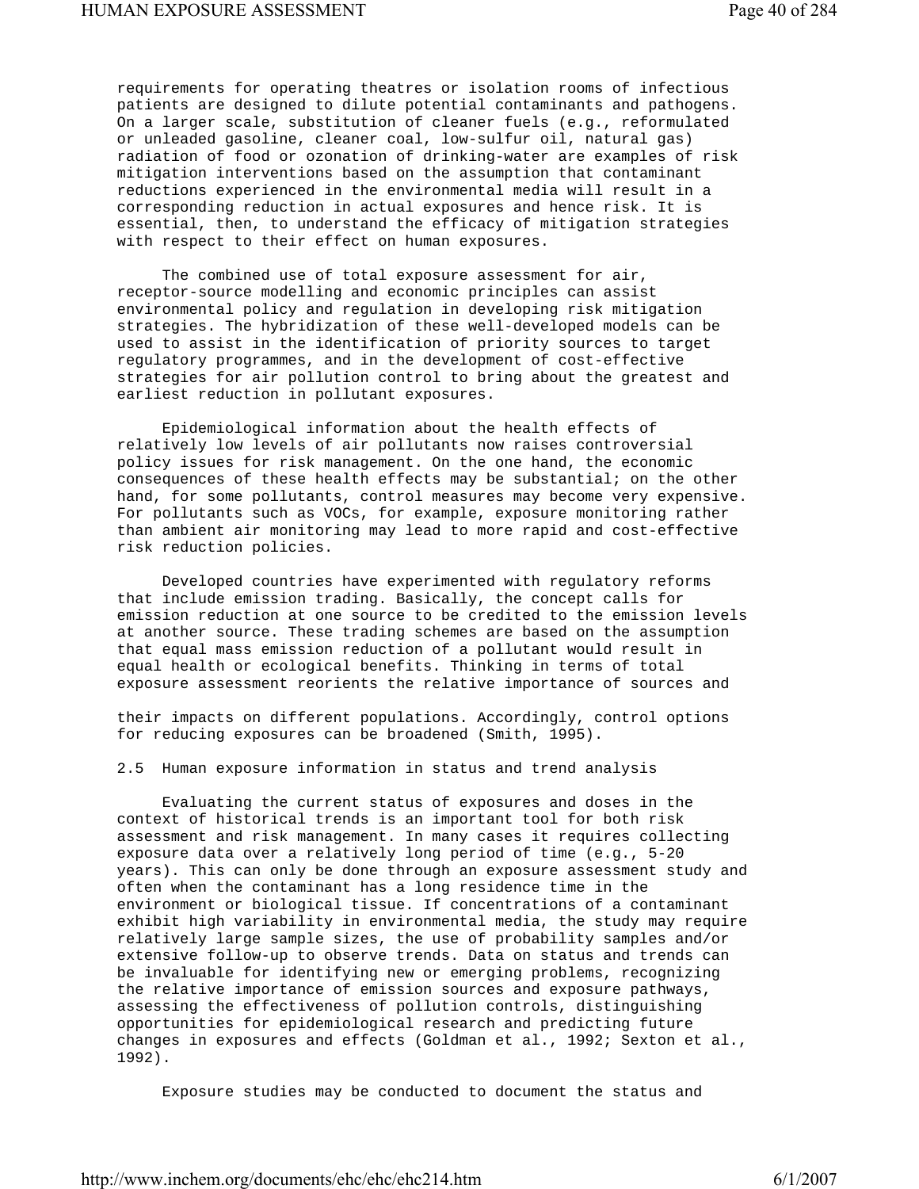requirements for operating theatres or isolation rooms of infectious patients are designed to dilute potential contaminants and pathogens. On a larger scale, substitution of cleaner fuels (e.g., reformulated or unleaded gasoline, cleaner coal, low-sulfur oil, natural gas) radiation of food or ozonation of drinking-water are examples of risk mitigation interventions based on the assumption that contaminant reductions experienced in the environmental media will result in a corresponding reduction in actual exposures and hence risk. It is essential, then, to understand the efficacy of mitigation strategies with respect to their effect on human exposures.

 The combined use of total exposure assessment for air, receptor-source modelling and economic principles can assist environmental policy and regulation in developing risk mitigation strategies. The hybridization of these well-developed models can be used to assist in the identification of priority sources to target regulatory programmes, and in the development of cost-effective strategies for air pollution control to bring about the greatest and earliest reduction in pollutant exposures.

 Epidemiological information about the health effects of relatively low levels of air pollutants now raises controversial policy issues for risk management. On the one hand, the economic consequences of these health effects may be substantial; on the other hand, for some pollutants, control measures may become very expensive. For pollutants such as VOCs, for example, exposure monitoring rather than ambient air monitoring may lead to more rapid and cost-effective risk reduction policies.

 Developed countries have experimented with regulatory reforms that include emission trading. Basically, the concept calls for emission reduction at one source to be credited to the emission levels at another source. These trading schemes are based on the assumption that equal mass emission reduction of a pollutant would result in equal health or ecological benefits. Thinking in terms of total exposure assessment reorients the relative importance of sources and

 their impacts on different populations. Accordingly, control options for reducing exposures can be broadened (Smith, 1995).

2.5 Human exposure information in status and trend analysis

 Evaluating the current status of exposures and doses in the context of historical trends is an important tool for both risk assessment and risk management. In many cases it requires collecting exposure data over a relatively long period of time (e.g., 5-20 years). This can only be done through an exposure assessment study and often when the contaminant has a long residence time in the environment or biological tissue. If concentrations of a contaminant exhibit high variability in environmental media, the study may require relatively large sample sizes, the use of probability samples and/or extensive follow-up to observe trends. Data on status and trends can be invaluable for identifying new or emerging problems, recognizing the relative importance of emission sources and exposure pathways, assessing the effectiveness of pollution controls, distinguishing opportunities for epidemiological research and predicting future changes in exposures and effects (Goldman et al., 1992; Sexton et al., 1992).

Exposure studies may be conducted to document the status and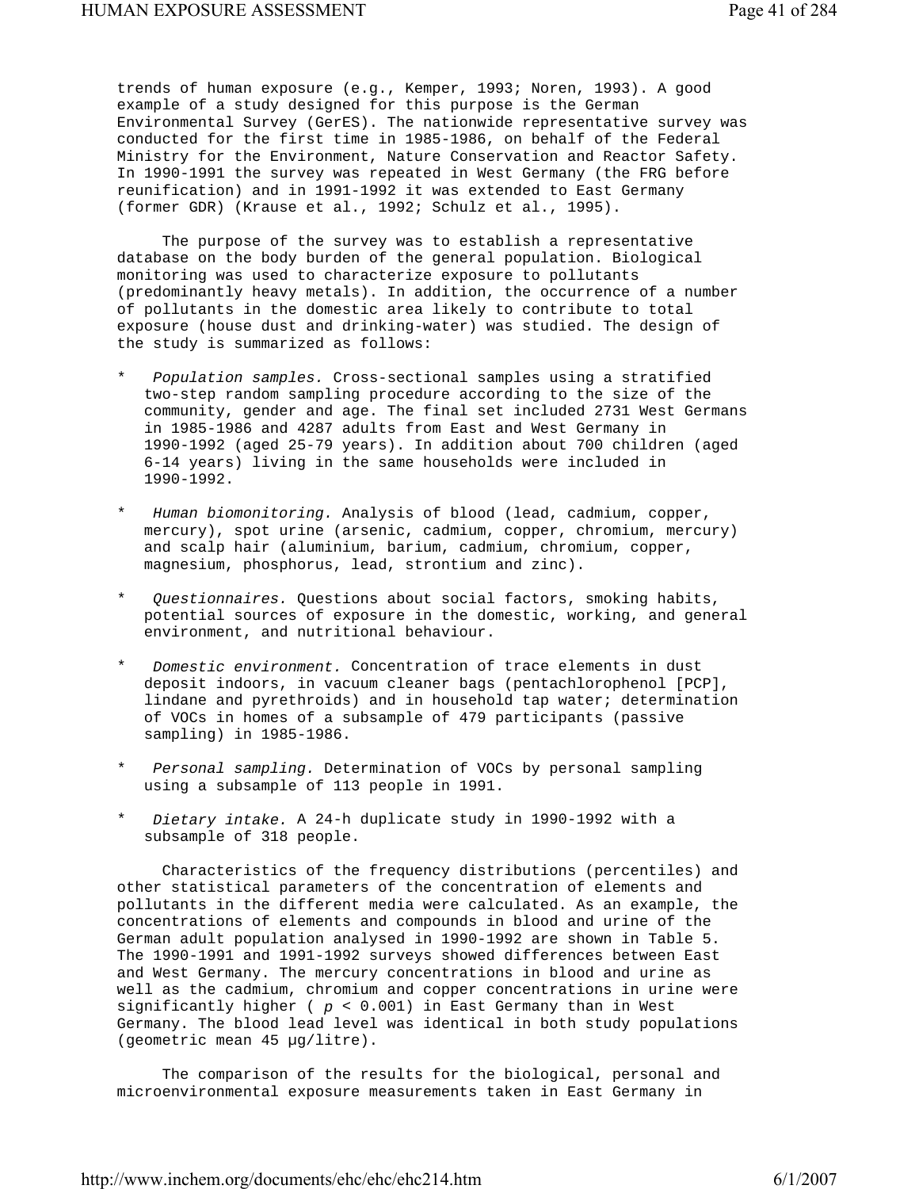trends of human exposure (e.g., Kemper, 1993; Noren, 1993). A good example of a study designed for this purpose is the German Environmental Survey (GerES). The nationwide representative survey was conducted for the first time in 1985-1986, on behalf of the Federal Ministry for the Environment, Nature Conservation and Reactor Safety. In 1990-1991 the survey was repeated in West Germany (the FRG before reunification) and in 1991-1992 it was extended to East Germany (former GDR) (Krause et al., 1992; Schulz et al., 1995).

 The purpose of the survey was to establish a representative database on the body burden of the general population. Biological monitoring was used to characterize exposure to pollutants (predominantly heavy metals). In addition, the occurrence of a number of pollutants in the domestic area likely to contribute to total exposure (house dust and drinking-water) was studied. The design of the study is summarized as follows:

- \* *Population samples.* Cross-sectional samples using a stratified two-step random sampling procedure according to the size of the community, gender and age. The final set included 2731 West Germans in 1985-1986 and 4287 adults from East and West Germany in 1990-1992 (aged 25-79 years). In addition about 700 children (aged 6-14 years) living in the same households were included in 1990-1992.
- \* *Human biomonitoring.* Analysis of blood (lead, cadmium, copper, mercury), spot urine (arsenic, cadmium, copper, chromium, mercury) and scalp hair (aluminium, barium, cadmium, chromium, copper, magnesium, phosphorus, lead, strontium and zinc).
- \* *Questionnaires.* Questions about social factors, smoking habits, potential sources of exposure in the domestic, working, and general environment, and nutritional behaviour.
- \* *Domestic environment.* Concentration of trace elements in dust deposit indoors, in vacuum cleaner bags (pentachlorophenol [PCP], lindane and pyrethroids) and in household tap water; determination of VOCs in homes of a subsample of 479 participants (passive sampling) in 1985-1986.
- Personal sampling. Determination of VOCs by personal sampling using a subsample of 113 people in 1991.
- \* *Dietary intake.* A 24-h duplicate study in 1990-1992 with a subsample of 318 people.

 Characteristics of the frequency distributions (percentiles) and other statistical parameters of the concentration of elements and pollutants in the different media were calculated. As an example, the concentrations of elements and compounds in blood and urine of the German adult population analysed in 1990-1992 are shown in Table 5. The 1990-1991 and 1991-1992 surveys showed differences between East and West Germany. The mercury concentrations in blood and urine as well as the cadmium, chromium and copper concentrations in urine were significantly higher ( *p* < 0.001) in East Germany than in West Germany. The blood lead level was identical in both study populations (geometric mean 45 µg/litre).

 The comparison of the results for the biological, personal and microenvironmental exposure measurements taken in East Germany in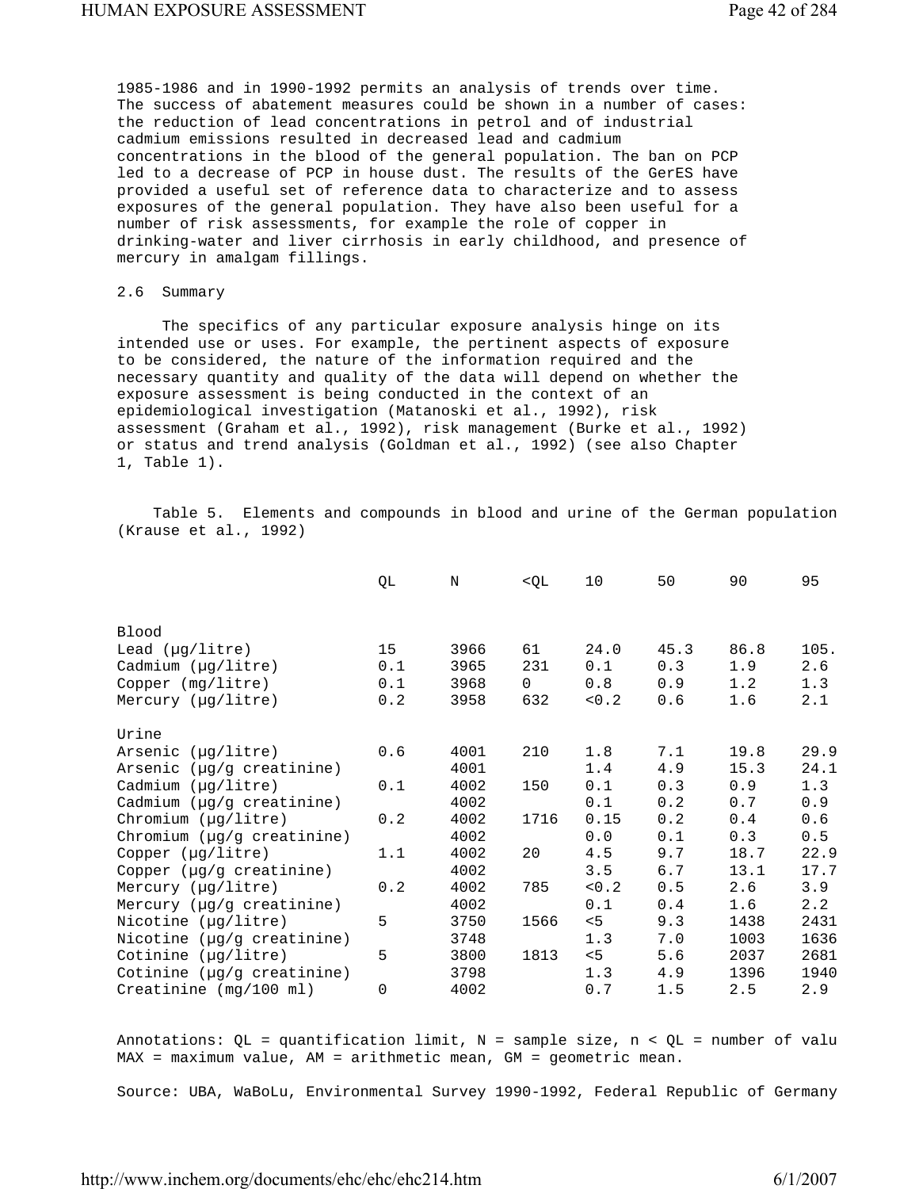1985-1986 and in 1990-1992 permits an analysis of trends over time. The success of abatement measures could be shown in a number of cases: the reduction of lead concentrations in petrol and of industrial cadmium emissions resulted in decreased lead and cadmium concentrations in the blood of the general population. The ban on PCP led to a decrease of PCP in house dust. The results of the GerES have provided a useful set of reference data to characterize and to assess exposures of the general population. They have also been useful for a number of risk assessments, for example the role of copper in drinking-water and liver cirrhosis in early childhood, and presence of mercury in amalgam fillings.

#### 2.6 Summary

 The specifics of any particular exposure analysis hinge on its intended use or uses. For example, the pertinent aspects of exposure to be considered, the nature of the information required and the necessary quantity and quality of the data will depend on whether the exposure assessment is being conducted in the context of an epidemiological investigation (Matanoski et al., 1992), risk assessment (Graham et al., 1992), risk management (Burke et al., 1992) or status and trend analysis (Goldman et al., 1992) (see also Chapter 1, Table 1).

 Table 5. Elements and compounds in blood and urine of the German population (Krause et al., 1992)

| Blood<br>3966<br>45.3<br>15<br>61<br>24.0<br>86.8<br>Lead $(\mu q/litre)$<br>231<br>0.1<br>0.3<br>1.9<br>Cadmium $(\mu q/l$ itre)<br>0.1<br>3965<br>$\Omega$<br>0.8<br>0.9<br>1.2<br>Copper (mg/litre)<br>0.1<br>3968<br>632<br>Mercury (µg/litre)<br>0.2<br>3958<br>< 0.2<br>0.6<br>1.6<br>Urine | 95   |
|---------------------------------------------------------------------------------------------------------------------------------------------------------------------------------------------------------------------------------------------------------------------------------------------------|------|
|                                                                                                                                                                                                                                                                                                   |      |
|                                                                                                                                                                                                                                                                                                   | 105. |
|                                                                                                                                                                                                                                                                                                   | 2.6  |
|                                                                                                                                                                                                                                                                                                   | 1.3  |
|                                                                                                                                                                                                                                                                                                   | 2.1  |
|                                                                                                                                                                                                                                                                                                   |      |
| 1.8<br>Arsenic (µg/litre)<br>4001<br>7.1<br>19.8<br>0.6<br>210                                                                                                                                                                                                                                    | 29.9 |
| 4.9<br>4001<br>1.4<br>15.3<br>Arsenic (µg/g creatinine)                                                                                                                                                                                                                                           | 24.1 |
| 0.1<br>0.3<br>0.9<br>Cadmium $(\mu g /$ litre)<br>4002<br>150<br>0.1                                                                                                                                                                                                                              | 1.3  |
| 4002<br>0.1<br>0.2<br>0.7<br>Cadmium $(\mu g/g \cref{c}$                                                                                                                                                                                                                                          | 0.9  |
| 4002<br>0.2<br>0.4<br>0.2<br>0.15<br>Chromium (µq/litre)<br>1716                                                                                                                                                                                                                                  | 0.6  |
| 4002<br>0.0<br>0.1<br>0.3<br>Chromium $\mu q/q$ creatinine)                                                                                                                                                                                                                                       | 0.5  |
| 4.5<br>18.7<br>4002<br>9.7<br>Copper (µg/litre)<br>20<br>1.1                                                                                                                                                                                                                                      | 22.9 |
| 4002<br>3.5<br>6.7<br>13.1<br>Copper $(\mu g/g \cref{c}$                                                                                                                                                                                                                                          | 17.7 |
| 0.5<br>0.2<br>4002<br>< 0.2<br>2.6<br>785<br>Mercury $(\mu q / 1$ itre)                                                                                                                                                                                                                           | 3.9  |
| 4002<br>0.1<br>0.4<br>1.6<br>Mercury $(\mu g/g \cref{recurrence})$                                                                                                                                                                                                                                | 2.2  |
| < 5<br>1438<br>5<br>3750<br>1566<br>9.3<br>Nicotine (µg/litre)                                                                                                                                                                                                                                    | 2431 |
| 1.3<br>7.0<br>Nicotine (µg/g creatinine)<br>3748<br>1003                                                                                                                                                                                                                                          | 1636 |
| < 5<br>5.6<br>5<br>2037<br>Cotinine $(\mu g/litre)$<br>3800<br>1813                                                                                                                                                                                                                               | 2681 |
| 1.3<br>3798<br>4.9<br>1396<br>Cotinine $(\mu g/g \cref{c}$                                                                                                                                                                                                                                        | 1940 |
| 1.5<br>Creatinine (mg/100 ml)<br>4002<br>2.5<br>$\Omega$<br>0.7                                                                                                                                                                                                                                   | 2.9  |

Annotations:  $QL =$  quantification limit,  $N =$  sample size,  $n < QL =$  number of valu MAX = maximum value, AM = arithmetic mean, GM = geometric mean.

Source: UBA, WaBoLu, Environmental Survey 1990-1992, Federal Republic of Germany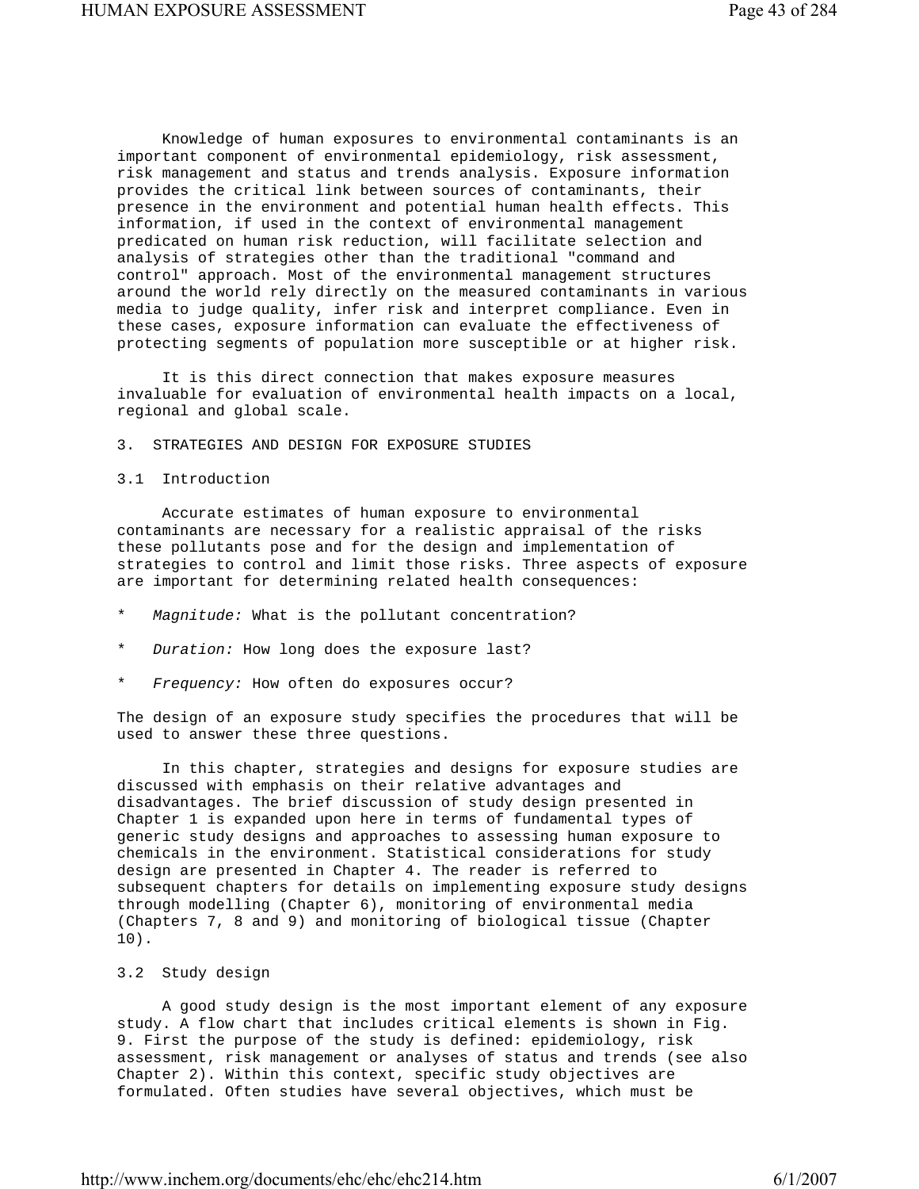Knowledge of human exposures to environmental contaminants is an important component of environmental epidemiology, risk assessment, risk management and status and trends analysis. Exposure information provides the critical link between sources of contaminants, their presence in the environment and potential human health effects. This information, if used in the context of environmental management predicated on human risk reduction, will facilitate selection and analysis of strategies other than the traditional "command and control" approach. Most of the environmental management structures around the world rely directly on the measured contaminants in various media to judge quality, infer risk and interpret compliance. Even in these cases, exposure information can evaluate the effectiveness of protecting segments of population more susceptible or at higher risk.

 It is this direct connection that makes exposure measures invaluable for evaluation of environmental health impacts on a local, regional and global scale.

# 3. STRATEGIES AND DESIGN FOR EXPOSURE STUDIES

3.1 Introduction

 Accurate estimates of human exposure to environmental contaminants are necessary for a realistic appraisal of the risks these pollutants pose and for the design and implementation of strategies to control and limit those risks. Three aspects of exposure are important for determining related health consequences:

- Magnitude: What is the pollutant concentration?
- Duration: How long does the exposure last?
- Frequency: How often do exposures occur?

 The design of an exposure study specifies the procedures that will be used to answer these three questions.

 In this chapter, strategies and designs for exposure studies are discussed with emphasis on their relative advantages and disadvantages. The brief discussion of study design presented in Chapter 1 is expanded upon here in terms of fundamental types of generic study designs and approaches to assessing human exposure to chemicals in the environment. Statistical considerations for study design are presented in Chapter 4. The reader is referred to subsequent chapters for details on implementing exposure study designs through modelling (Chapter 6), monitoring of environmental media (Chapters 7, 8 and 9) and monitoring of biological tissue (Chapter 10).

## 3.2 Study design

 A good study design is the most important element of any exposure study. A flow chart that includes critical elements is shown in Fig. 9. First the purpose of the study is defined: epidemiology, risk assessment, risk management or analyses of status and trends (see also Chapter 2). Within this context, specific study objectives are formulated. Often studies have several objectives, which must be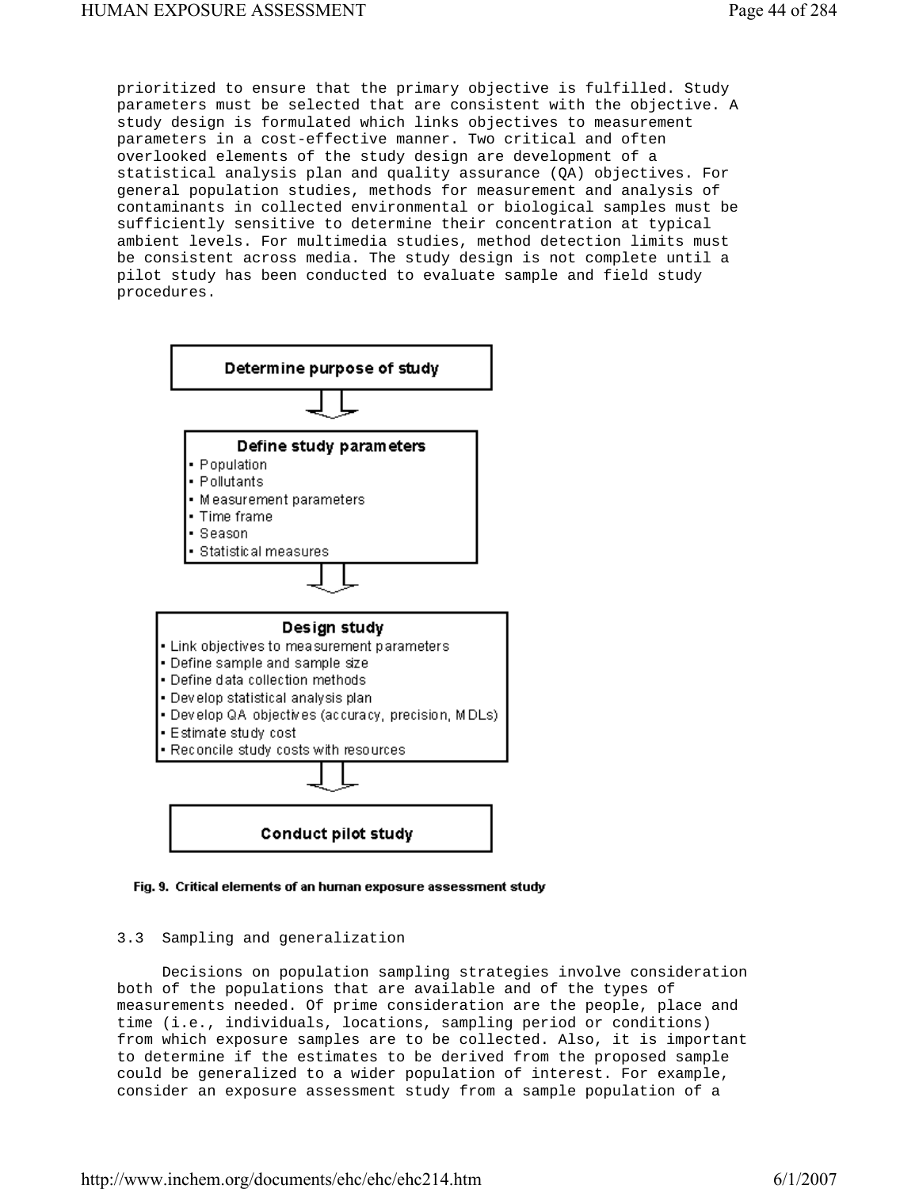prioritized to ensure that the primary objective is fulfilled. Study parameters must be selected that are consistent with the objective. A study design is formulated which links objectives to measurement parameters in a cost-effective manner. Two critical and often overlooked elements of the study design are development of a statistical analysis plan and quality assurance (QA) objectives. For general population studies, methods for measurement and analysis of contaminants in collected environmental or biological samples must be sufficiently sensitive to determine their concentration at typical ambient levels. For multimedia studies, method detection limits must be consistent across media. The study design is not complete until a pilot study has been conducted to evaluate sample and field study procedures.





### 3.3 Sampling and generalization

 Decisions on population sampling strategies involve consideration both of the populations that are available and of the types of measurements needed. Of prime consideration are the people, place and time (i.e., individuals, locations, sampling period or conditions) from which exposure samples are to be collected. Also, it is important to determine if the estimates to be derived from the proposed sample could be generalized to a wider population of interest. For example, consider an exposure assessment study from a sample population of a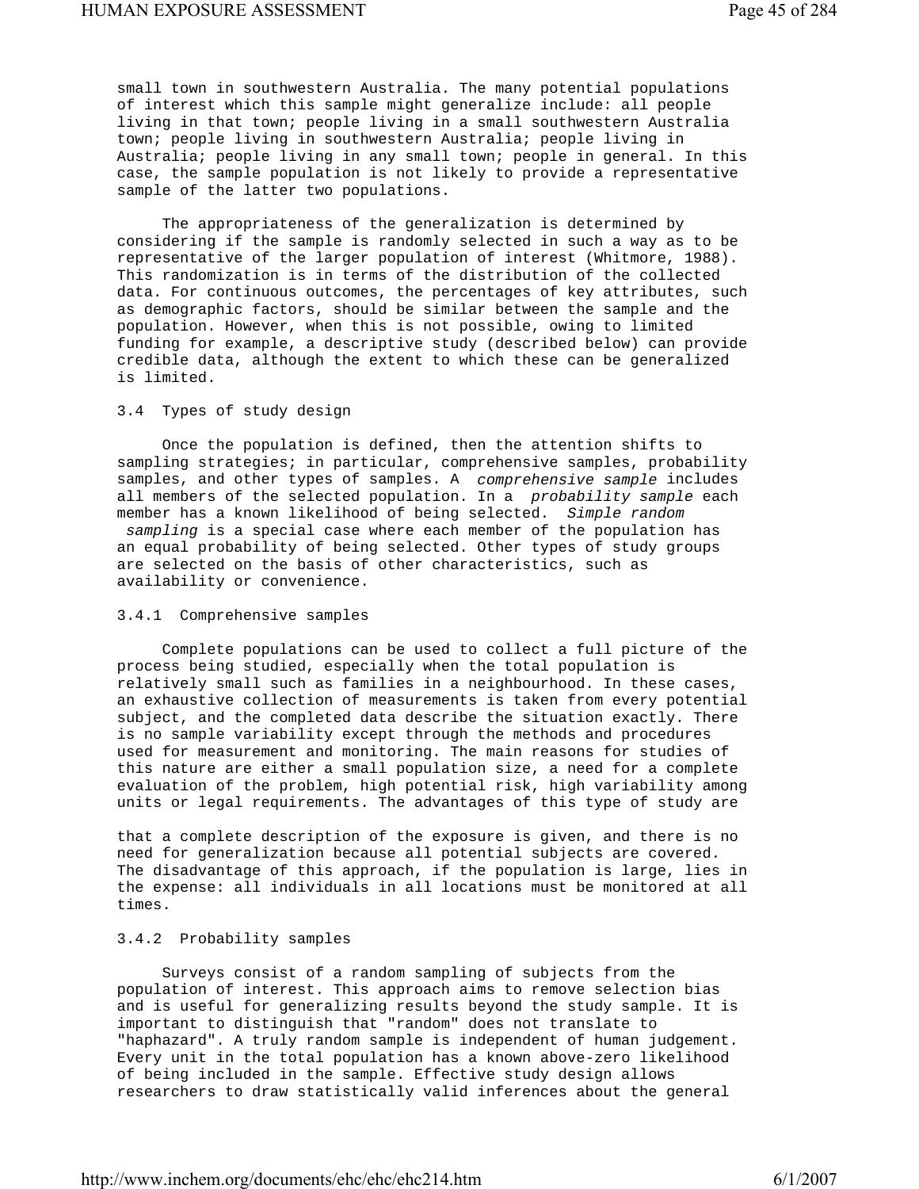small town in southwestern Australia. The many potential populations of interest which this sample might generalize include: all people living in that town; people living in a small southwestern Australia town; people living in southwestern Australia; people living in Australia; people living in any small town; people in general. In this case, the sample population is not likely to provide a representative sample of the latter two populations.

 The appropriateness of the generalization is determined by considering if the sample is randomly selected in such a way as to be representative of the larger population of interest (Whitmore, 1988). This randomization is in terms of the distribution of the collected data. For continuous outcomes, the percentages of key attributes, such as demographic factors, should be similar between the sample and the population. However, when this is not possible, owing to limited funding for example, a descriptive study (described below) can provide credible data, although the extent to which these can be generalized is limited.

## 3.4 Types of study design

 Once the population is defined, then the attention shifts to sampling strategies; in particular, comprehensive samples, probability samples, and other types of samples. A *comprehensive sample* includes all members of the selected population. In a *probability sample* each member has a known likelihood of being selected. *Simple random sampling* is a special case where each member of the population has an equal probability of being selected. Other types of study groups are selected on the basis of other characteristics, such as availability or convenience.

### 3.4.1 Comprehensive samples

 Complete populations can be used to collect a full picture of the process being studied, especially when the total population is relatively small such as families in a neighbourhood. In these cases, an exhaustive collection of measurements is taken from every potential subject, and the completed data describe the situation exactly. There is no sample variability except through the methods and procedures used for measurement and monitoring. The main reasons for studies of this nature are either a small population size, a need for a complete evaluation of the problem, high potential risk, high variability among units or legal requirements. The advantages of this type of study are

 that a complete description of the exposure is given, and there is no need for generalization because all potential subjects are covered. The disadvantage of this approach, if the population is large, lies in the expense: all individuals in all locations must be monitored at all times.

## 3.4.2 Probability samples

 Surveys consist of a random sampling of subjects from the population of interest. This approach aims to remove selection bias and is useful for generalizing results beyond the study sample. It is important to distinguish that "random" does not translate to "haphazard". A truly random sample is independent of human judgement. Every unit in the total population has a known above-zero likelihood of being included in the sample. Effective study design allows researchers to draw statistically valid inferences about the general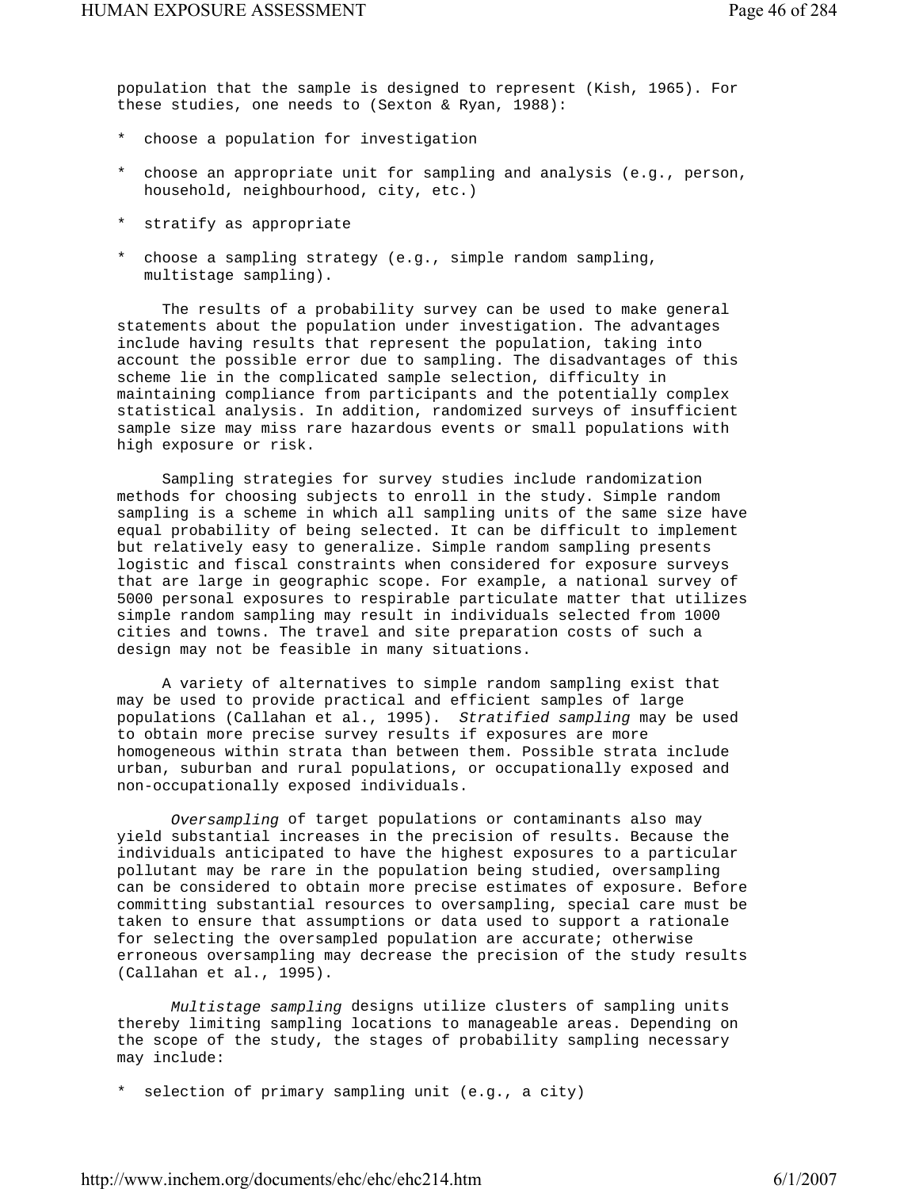population that the sample is designed to represent (Kish, 1965). For these studies, one needs to (Sexton & Ryan, 1988):

- choose a population for investigation
- choose an appropriate unit for sampling and analysis (e.g., person, household, neighbourhood, city, etc.)
- \* stratify as appropriate
- \* choose a sampling strategy (e.g., simple random sampling, multistage sampling).

 The results of a probability survey can be used to make general statements about the population under investigation. The advantages include having results that represent the population, taking into account the possible error due to sampling. The disadvantages of this scheme lie in the complicated sample selection, difficulty in maintaining compliance from participants and the potentially complex statistical analysis. In addition, randomized surveys of insufficient sample size may miss rare hazardous events or small populations with high exposure or risk.

 Sampling strategies for survey studies include randomization methods for choosing subjects to enroll in the study. Simple random sampling is a scheme in which all sampling units of the same size have equal probability of being selected. It can be difficult to implement but relatively easy to generalize. Simple random sampling presents logistic and fiscal constraints when considered for exposure surveys that are large in geographic scope. For example, a national survey of 5000 personal exposures to respirable particulate matter that utilizes simple random sampling may result in individuals selected from 1000 cities and towns. The travel and site preparation costs of such a design may not be feasible in many situations.

 A variety of alternatives to simple random sampling exist that may be used to provide practical and efficient samples of large populations (Callahan et al., 1995). *Stratified sampling* may be used to obtain more precise survey results if exposures are more homogeneous within strata than between them. Possible strata include urban, suburban and rural populations, or occupationally exposed and non-occupationally exposed individuals.

 *Oversampling* of target populations or contaminants also may yield substantial increases in the precision of results. Because the individuals anticipated to have the highest exposures to a particular pollutant may be rare in the population being studied, oversampling can be considered to obtain more precise estimates of exposure. Before committing substantial resources to oversampling, special care must be taken to ensure that assumptions or data used to support a rationale for selecting the oversampled population are accurate; otherwise erroneous oversampling may decrease the precision of the study results (Callahan et al., 1995).

 *Multistage sampling* designs utilize clusters of sampling units thereby limiting sampling locations to manageable areas. Depending on the scope of the study, the stages of probability sampling necessary may include:

\* selection of primary sampling unit (e.g., a city)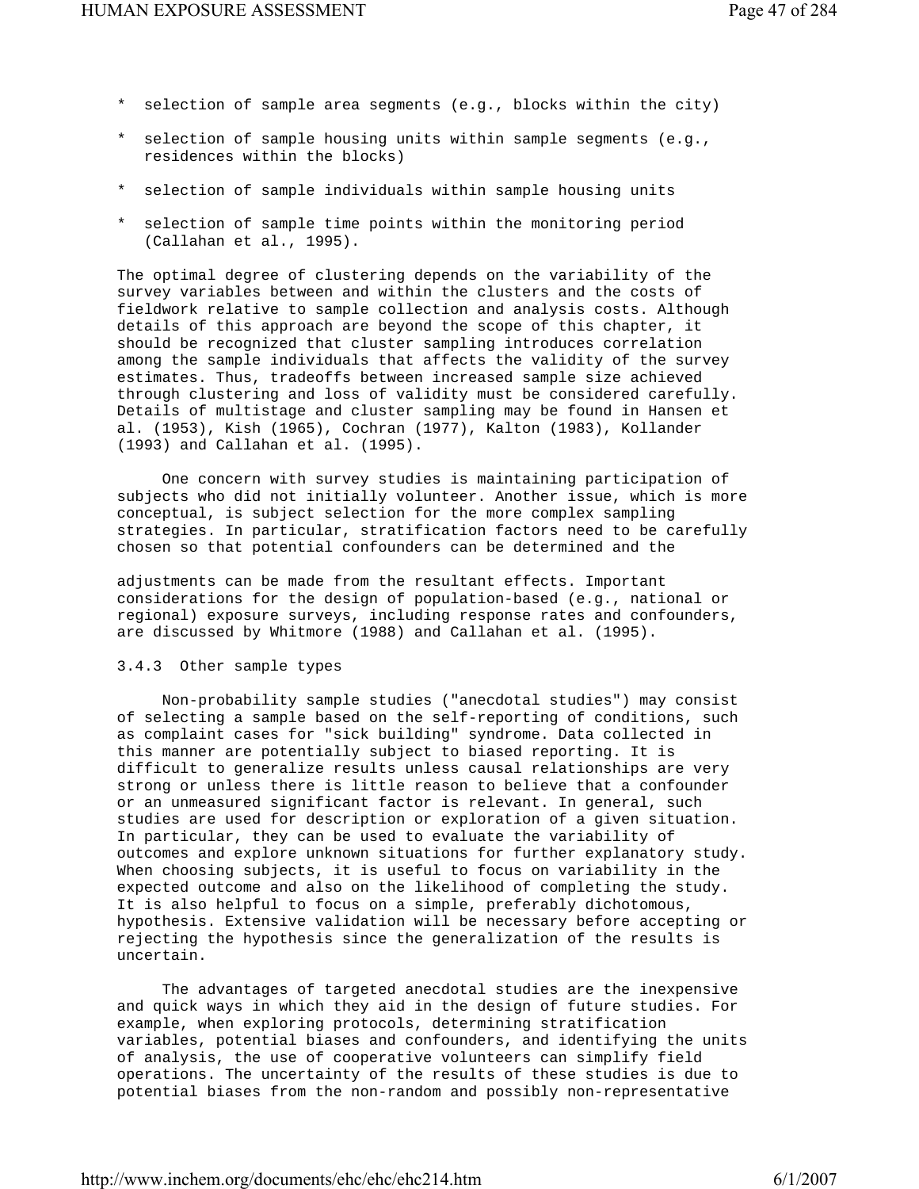- \* selection of sample area segments (e.g., blocks within the city)
- \* selection of sample housing units within sample segments (e.g., residences within the blocks)
- selection of sample individuals within sample housing units
- \* selection of sample time points within the monitoring period (Callahan et al., 1995).

 The optimal degree of clustering depends on the variability of the survey variables between and within the clusters and the costs of fieldwork relative to sample collection and analysis costs. Although details of this approach are beyond the scope of this chapter, it should be recognized that cluster sampling introduces correlation among the sample individuals that affects the validity of the survey estimates. Thus, tradeoffs between increased sample size achieved through clustering and loss of validity must be considered carefully. Details of multistage and cluster sampling may be found in Hansen et al. (1953), Kish (1965), Cochran (1977), Kalton (1983), Kollander (1993) and Callahan et al. (1995).

 One concern with survey studies is maintaining participation of subjects who did not initially volunteer. Another issue, which is more conceptual, is subject selection for the more complex sampling strategies. In particular, stratification factors need to be carefully chosen so that potential confounders can be determined and the

 adjustments can be made from the resultant effects. Important considerations for the design of population-based (e.g., national or regional) exposure surveys, including response rates and confounders, are discussed by Whitmore (1988) and Callahan et al. (1995).

# 3.4.3 Other sample types

 Non-probability sample studies ("anecdotal studies") may consist of selecting a sample based on the self-reporting of conditions, such as complaint cases for "sick building" syndrome. Data collected in this manner are potentially subject to biased reporting. It is difficult to generalize results unless causal relationships are very strong or unless there is little reason to believe that a confounder or an unmeasured significant factor is relevant. In general, such studies are used for description or exploration of a given situation. In particular, they can be used to evaluate the variability of outcomes and explore unknown situations for further explanatory study. When choosing subjects, it is useful to focus on variability in the expected outcome and also on the likelihood of completing the study. It is also helpful to focus on a simple, preferably dichotomous, hypothesis. Extensive validation will be necessary before accepting or rejecting the hypothesis since the generalization of the results is uncertain.

 The advantages of targeted anecdotal studies are the inexpensive and quick ways in which they aid in the design of future studies. For example, when exploring protocols, determining stratification variables, potential biases and confounders, and identifying the units of analysis, the use of cooperative volunteers can simplify field operations. The uncertainty of the results of these studies is due to potential biases from the non-random and possibly non-representative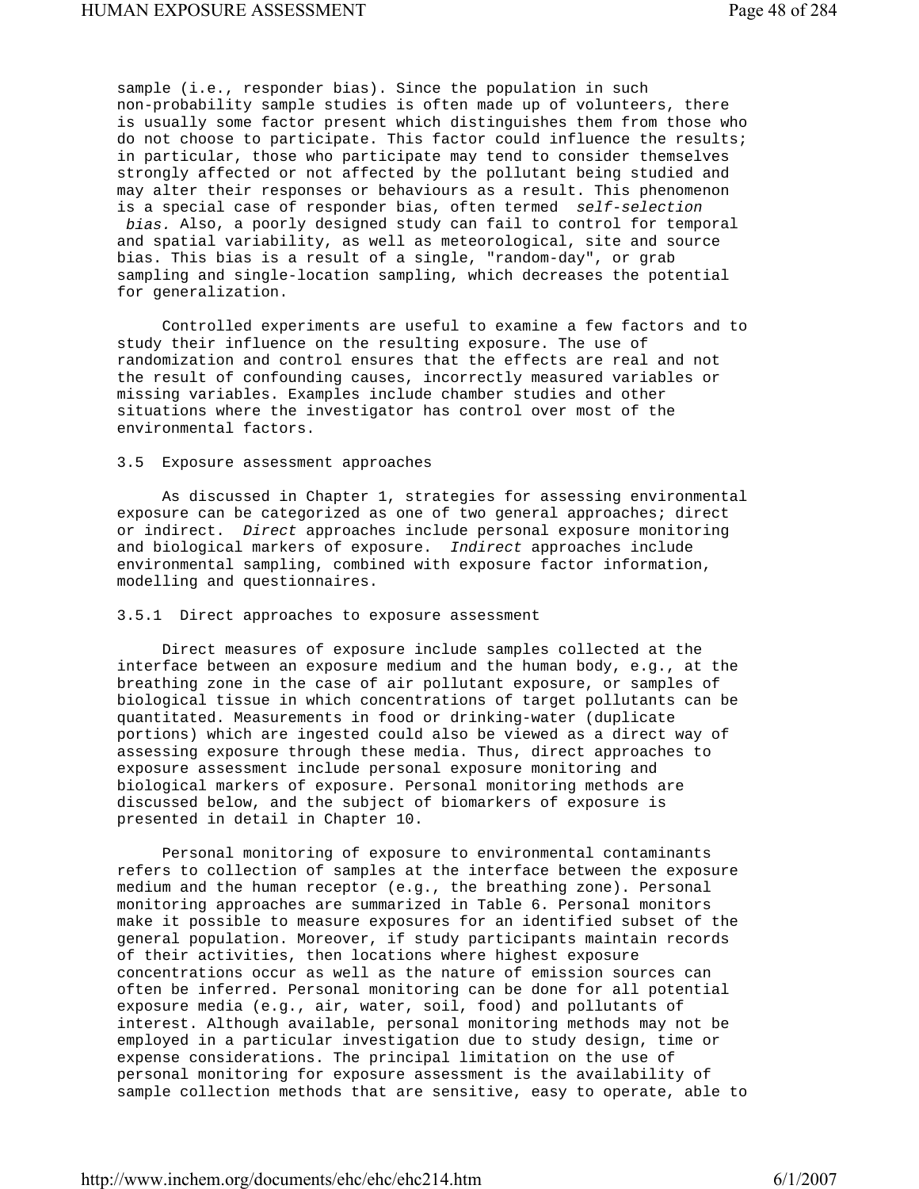sample (i.e., responder bias). Since the population in such non-probability sample studies is often made up of volunteers, there is usually some factor present which distinguishes them from those who do not choose to participate. This factor could influence the results; in particular, those who participate may tend to consider themselves strongly affected or not affected by the pollutant being studied and may alter their responses or behaviours as a result. This phenomenon is a special case of responder bias, often termed *self-selection bias.* Also, a poorly designed study can fail to control for temporal and spatial variability, as well as meteorological, site and source bias. This bias is a result of a single, "random-day", or grab sampling and single-location sampling, which decreases the potential for generalization.

 Controlled experiments are useful to examine a few factors and to study their influence on the resulting exposure. The use of randomization and control ensures that the effects are real and not the result of confounding causes, incorrectly measured variables or missing variables. Examples include chamber studies and other situations where the investigator has control over most of the environmental factors.

### 3.5 Exposure assessment approaches

 As discussed in Chapter 1, strategies for assessing environmental exposure can be categorized as one of two general approaches; direct or indirect. *Direct* approaches include personal exposure monitoring and biological markers of exposure. *Indirect* approaches include environmental sampling, combined with exposure factor information, modelling and questionnaires.

### 3.5.1 Direct approaches to exposure assessment

 Direct measures of exposure include samples collected at the interface between an exposure medium and the human body, e.g., at the breathing zone in the case of air pollutant exposure, or samples of biological tissue in which concentrations of target pollutants can be quantitated. Measurements in food or drinking-water (duplicate portions) which are ingested could also be viewed as a direct way of assessing exposure through these media. Thus, direct approaches to exposure assessment include personal exposure monitoring and biological markers of exposure. Personal monitoring methods are discussed below, and the subject of biomarkers of exposure is presented in detail in Chapter 10.

 Personal monitoring of exposure to environmental contaminants refers to collection of samples at the interface between the exposure medium and the human receptor (e.g., the breathing zone). Personal monitoring approaches are summarized in Table 6. Personal monitors make it possible to measure exposures for an identified subset of the general population. Moreover, if study participants maintain records of their activities, then locations where highest exposure concentrations occur as well as the nature of emission sources can often be inferred. Personal monitoring can be done for all potential exposure media (e.g., air, water, soil, food) and pollutants of interest. Although available, personal monitoring methods may not be employed in a particular investigation due to study design, time or expense considerations. The principal limitation on the use of personal monitoring for exposure assessment is the availability of sample collection methods that are sensitive, easy to operate, able to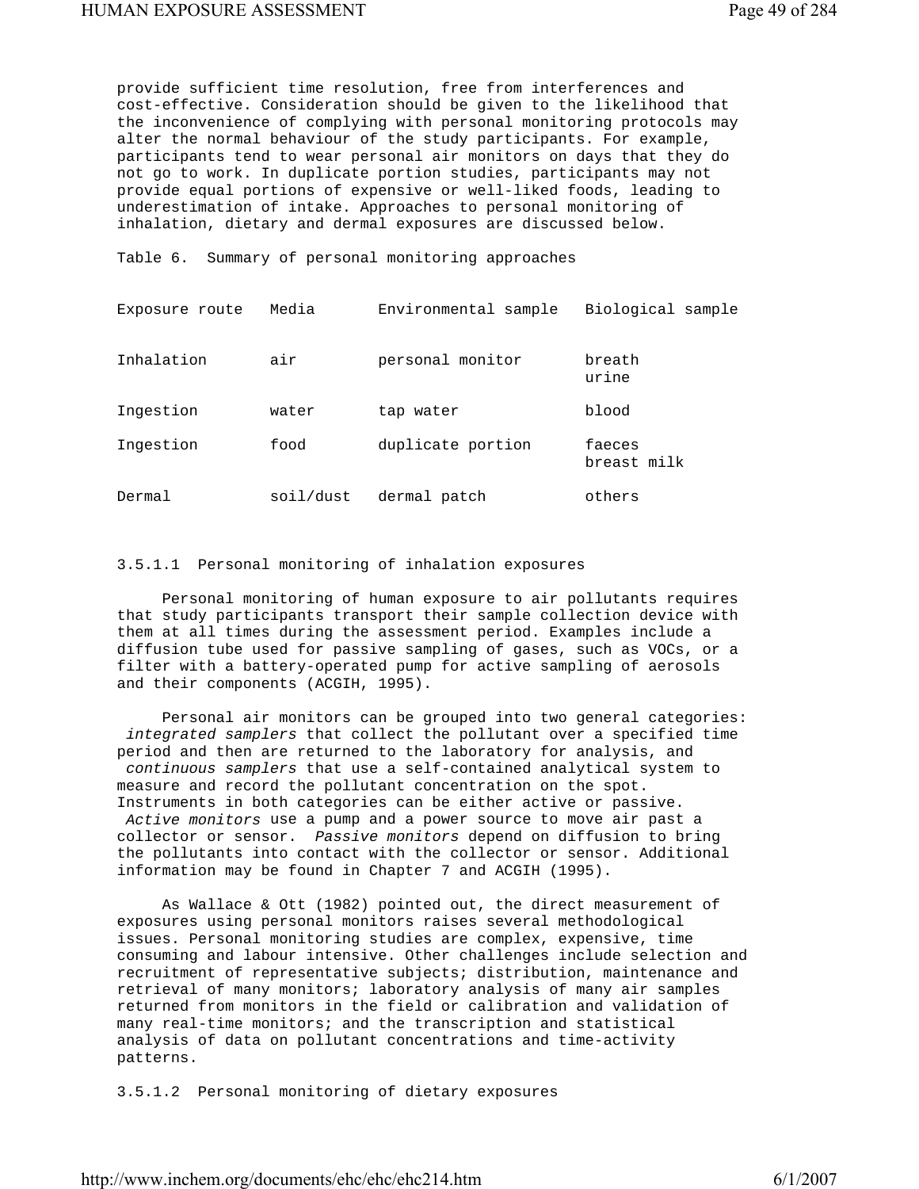provide sufficient time resolution, free from interferences and cost-effective. Consideration should be given to the likelihood that the inconvenience of complying with personal monitoring protocols may alter the normal behaviour of the study participants. For example, participants tend to wear personal air monitors on days that they do not go to work. In duplicate portion studies, participants may not provide equal portions of expensive or well-liked foods, leading to underestimation of intake. Approaches to personal monitoring of inhalation, dietary and dermal exposures are discussed below.

Table 6. Summary of personal monitoring approaches

| Exposure route | Media     | Environmental sample | Biological sample     |
|----------------|-----------|----------------------|-----------------------|
| Inhalation     | air       | personal monitor     | breath<br>urine       |
| Ingestion      | water     | tap water            | blood                 |
| Ingestion      | food      | duplicate portion    | faeces<br>breast milk |
| Dermal         | soil/dust | dermal patch         | others                |

## 3.5.1.1 Personal monitoring of inhalation exposures

 Personal monitoring of human exposure to air pollutants requires that study participants transport their sample collection device with them at all times during the assessment period. Examples include a diffusion tube used for passive sampling of gases, such as VOCs, or a filter with a battery-operated pump for active sampling of aerosols and their components (ACGIH, 1995).

 Personal air monitors can be grouped into two general categories: *integrated samplers* that collect the pollutant over a specified time period and then are returned to the laboratory for analysis, and *continuous samplers* that use a self-contained analytical system to measure and record the pollutant concentration on the spot. Instruments in both categories can be either active or passive. *Active monitors* use a pump and a power source to move air past a collector or sensor. *Passive monitors* depend on diffusion to bring the pollutants into contact with the collector or sensor. Additional information may be found in Chapter 7 and ACGIH (1995).

 As Wallace & Ott (1982) pointed out, the direct measurement of exposures using personal monitors raises several methodological issues. Personal monitoring studies are complex, expensive, time consuming and labour intensive. Other challenges include selection and recruitment of representative subjects; distribution, maintenance and retrieval of many monitors; laboratory analysis of many air samples returned from monitors in the field or calibration and validation of many real-time monitors; and the transcription and statistical analysis of data on pollutant concentrations and time-activity patterns.

3.5.1.2 Personal monitoring of dietary exposures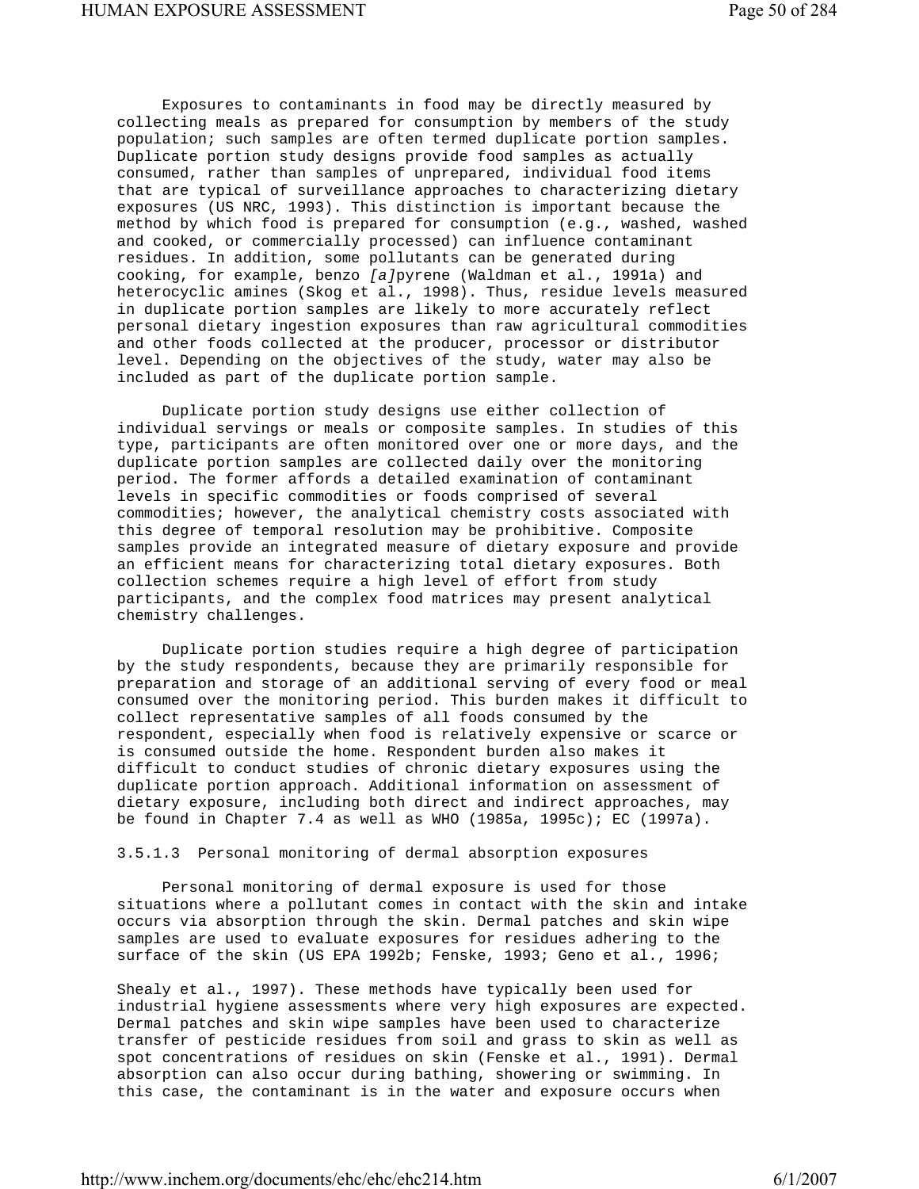Exposures to contaminants in food may be directly measured by collecting meals as prepared for consumption by members of the study population; such samples are often termed duplicate portion samples. Duplicate portion study designs provide food samples as actually consumed, rather than samples of unprepared, individual food items that are typical of surveillance approaches to characterizing dietary exposures (US NRC, 1993). This distinction is important because the method by which food is prepared for consumption (e.g., washed, washed and cooked, or commercially processed) can influence contaminant residues. In addition, some pollutants can be generated during cooking, for example, benzo *[a]*pyrene (Waldman et al., 1991a) and heterocyclic amines (Skog et al., 1998). Thus, residue levels measured in duplicate portion samples are likely to more accurately reflect personal dietary ingestion exposures than raw agricultural commodities and other foods collected at the producer, processor or distributor level. Depending on the objectives of the study, water may also be included as part of the duplicate portion sample.

 Duplicate portion study designs use either collection of individual servings or meals or composite samples. In studies of this type, participants are often monitored over one or more days, and the duplicate portion samples are collected daily over the monitoring period. The former affords a detailed examination of contaminant levels in specific commodities or foods comprised of several commodities; however, the analytical chemistry costs associated with this degree of temporal resolution may be prohibitive. Composite samples provide an integrated measure of dietary exposure and provide an efficient means for characterizing total dietary exposures. Both collection schemes require a high level of effort from study participants, and the complex food matrices may present analytical chemistry challenges.

 Duplicate portion studies require a high degree of participation by the study respondents, because they are primarily responsible for preparation and storage of an additional serving of every food or meal consumed over the monitoring period. This burden makes it difficult to collect representative samples of all foods consumed by the respondent, especially when food is relatively expensive or scarce or is consumed outside the home. Respondent burden also makes it difficult to conduct studies of chronic dietary exposures using the duplicate portion approach. Additional information on assessment of dietary exposure, including both direct and indirect approaches, may be found in Chapter 7.4 as well as WHO (1985a, 1995c); EC (1997a).

## 3.5.1.3 Personal monitoring of dermal absorption exposures

 Personal monitoring of dermal exposure is used for those situations where a pollutant comes in contact with the skin and intake occurs via absorption through the skin. Dermal patches and skin wipe samples are used to evaluate exposures for residues adhering to the surface of the skin (US EPA 1992b; Fenske, 1993; Geno et al., 1996;

 Shealy et al., 1997). These methods have typically been used for industrial hygiene assessments where very high exposures are expected. Dermal patches and skin wipe samples have been used to characterize transfer of pesticide residues from soil and grass to skin as well as spot concentrations of residues on skin (Fenske et al., 1991). Dermal absorption can also occur during bathing, showering or swimming. In this case, the contaminant is in the water and exposure occurs when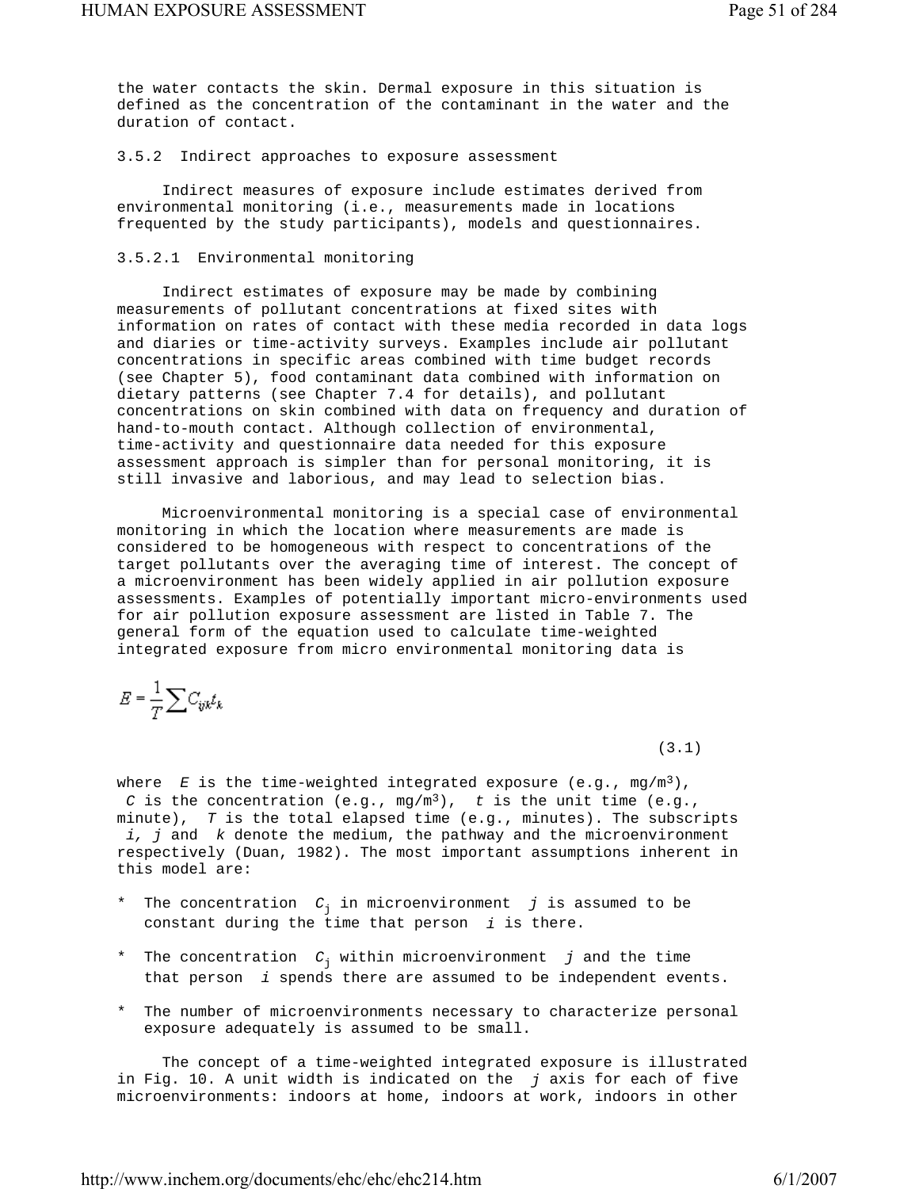the water contacts the skin. Dermal exposure in this situation is defined as the concentration of the contaminant in the water and the duration of contact.

3.5.2 Indirect approaches to exposure assessment

 Indirect measures of exposure include estimates derived from environmental monitoring (i.e., measurements made in locations frequented by the study participants), models and questionnaires.

## 3.5.2.1 Environmental monitoring

 Indirect estimates of exposure may be made by combining measurements of pollutant concentrations at fixed sites with information on rates of contact with these media recorded in data logs and diaries or time-activity surveys. Examples include air pollutant concentrations in specific areas combined with time budget records (see Chapter 5), food contaminant data combined with information on dietary patterns (see Chapter 7.4 for details), and pollutant concentrations on skin combined with data on frequency and duration of hand-to-mouth contact. Although collection of environmental, time-activity and questionnaire data needed for this exposure assessment approach is simpler than for personal monitoring, it is still invasive and laborious, and may lead to selection bias.

 Microenvironmental monitoring is a special case of environmental monitoring in which the location where measurements are made is considered to be homogeneous with respect to concentrations of the target pollutants over the averaging time of interest. The concept of a microenvironment has been widely applied in air pollution exposure assessments. Examples of potentially important micro-environments used for air pollution exposure assessment are listed in Table 7. The general form of the equation used to calculate time-weighted integrated exposure from micro environmental monitoring data is

$$
E = \frac{1}{T} \sum C_{ijk} t_k
$$

 $(3.1)$ 

where  $E$  is the time-weighted integrated exposure (e.g.,  $mg/m^3$ ), *C* is the concentration (e.g.,  $mg/m^3$ ), *t* is the unit time (e.g., minute), *T* is the total elapsed time (e.g., minutes). The subscripts *i, j* and *k* denote the medium, the pathway and the microenvironment respectively (Duan, 1982). The most important assumptions inherent in this model are:

- \* The concentration *C*j in microenvironment *j* is assumed to be constant during the time that person *i* is there.
- \* The concentration *C*j within microenvironment *j* and the time that person *i* spends there are assumed to be independent events.
- \* The number of microenvironments necessary to characterize personal exposure adequately is assumed to be small.

 The concept of a time-weighted integrated exposure is illustrated in Fig. 10. A unit width is indicated on the *j* axis for each of five microenvironments: indoors at home, indoors at work, indoors in other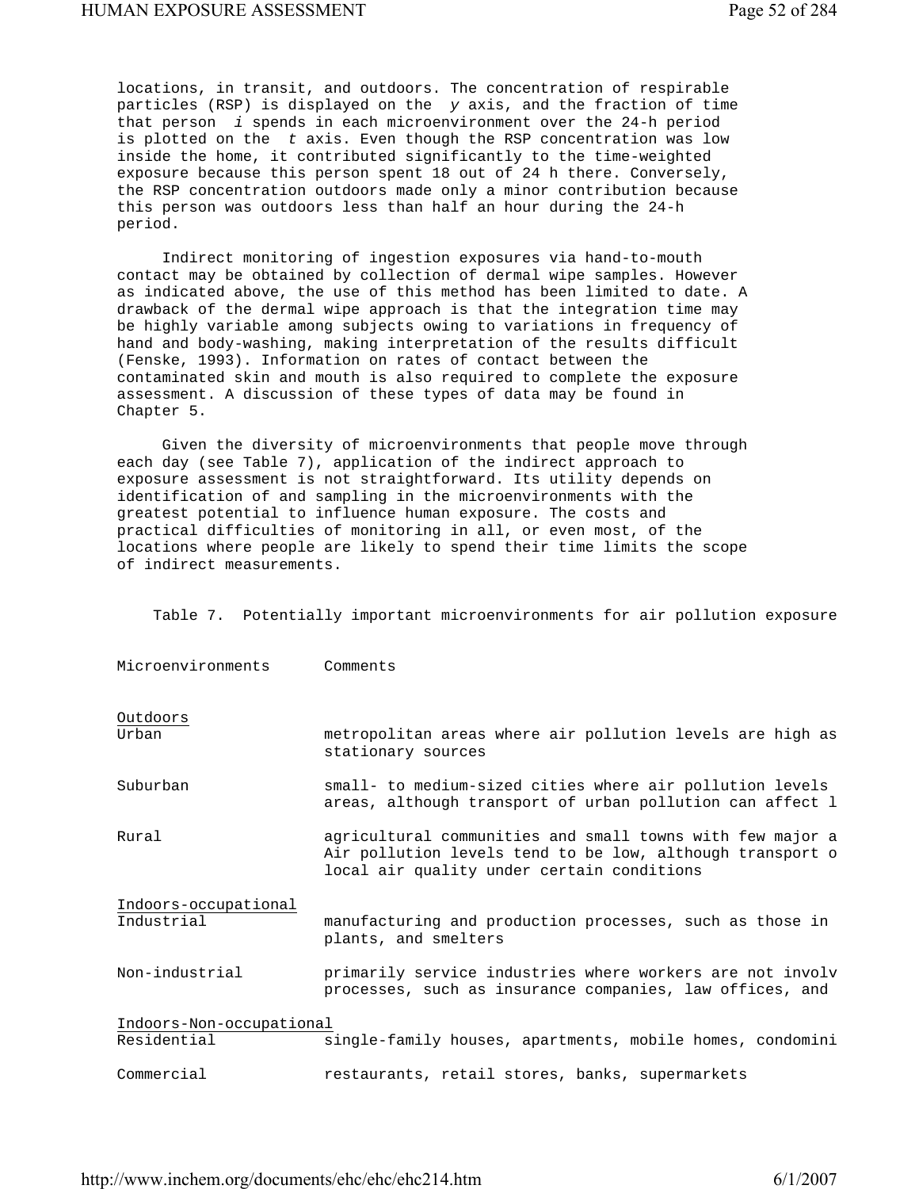locations, in transit, and outdoors. The concentration of respirable particles (RSP) is displayed on the *y* axis, and the fraction of time that person *i* spends in each microenvironment over the 24-h period is plotted on the *t* axis. Even though the RSP concentration was low inside the home, it contributed significantly to the time-weighted exposure because this person spent 18 out of 24 h there. Conversely, the RSP concentration outdoors made only a minor contribution because this person was outdoors less than half an hour during the 24-h period.

 Indirect monitoring of ingestion exposures via hand-to-mouth contact may be obtained by collection of dermal wipe samples. However as indicated above, the use of this method has been limited to date. A drawback of the dermal wipe approach is that the integration time may be highly variable among subjects owing to variations in frequency of hand and body-washing, making interpretation of the results difficult (Fenske, 1993). Information on rates of contact between the contaminated skin and mouth is also required to complete the exposure assessment. A discussion of these types of data may be found in Chapter 5.

 Given the diversity of microenvironments that people move through each day (see Table 7), application of the indirect approach to exposure assessment is not straightforward. Its utility depends on identification of and sampling in the microenvironments with the greatest potential to influence human exposure. The costs and practical difficulties of monitoring in all, or even most, of the locations where people are likely to spend their time limits the scope of indirect measurements.

Table 7. Potentially important microenvironments for air pollution exposure

| Microenvironments                       | Comments                                                                                                                                                             |
|-----------------------------------------|----------------------------------------------------------------------------------------------------------------------------------------------------------------------|
| Outdoors<br>Urban                       | metropolitan areas where air pollution levels are high as<br>stationary sources                                                                                      |
| Suburban                                | small- to medium-sized cities where air pollution levels<br>areas, although transport of urban pollution can affect 1                                                |
| Rural                                   | agricultural communities and small towns with few major a<br>Air pollution levels tend to be low, although transport o<br>local air quality under certain conditions |
| Indoors-occupational<br>Industrial      | manufacturing and production processes, such as those in<br>plants, and smelters                                                                                     |
| Non-industrial                          | primarily service industries where workers are not involv<br>processes, such as insurance companies, law offices, and                                                |
| Indoors-Non-occupational<br>Residential | single-family houses, apartments, mobile homes, condomini                                                                                                            |
| Commercial                              | restaurants, retail stores, banks, supermarkets                                                                                                                      |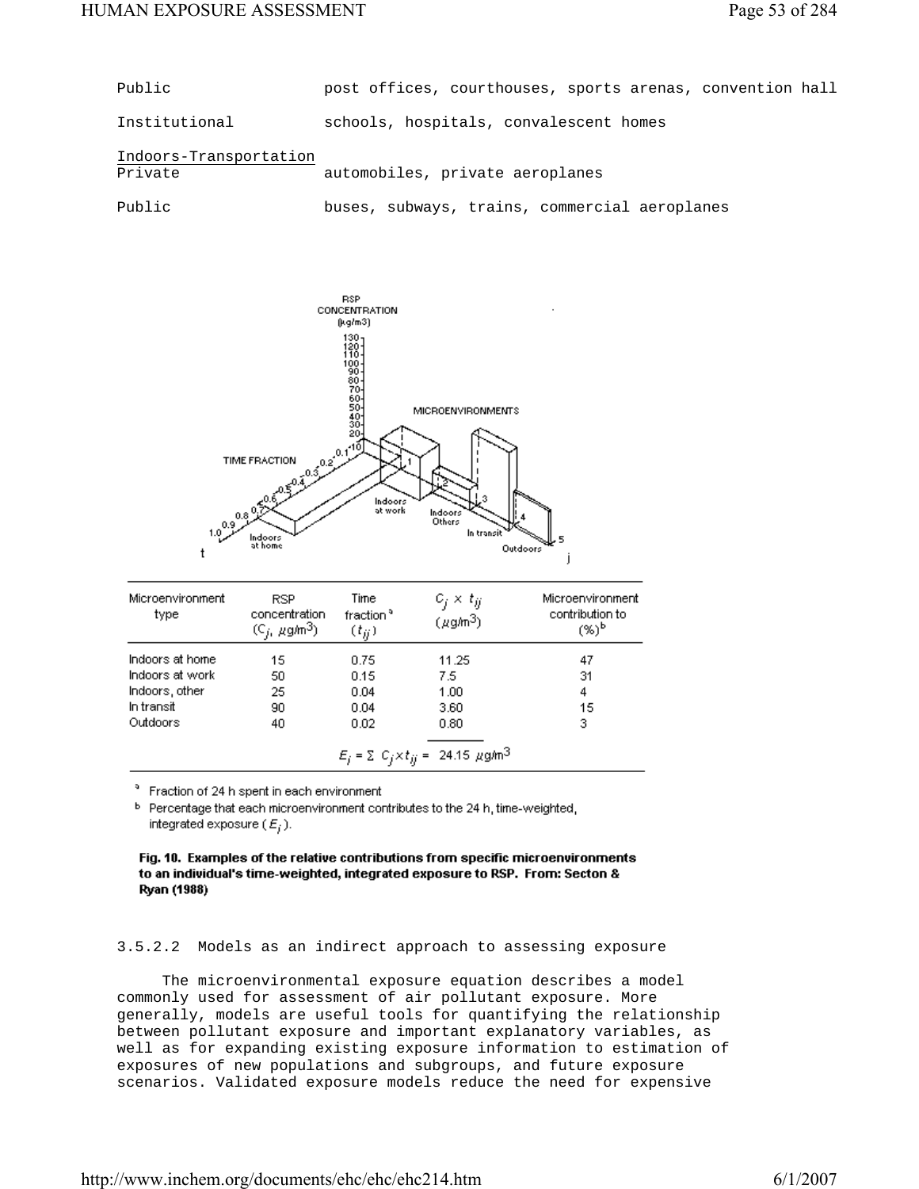| Public                            | post offices, courthouses, sports arenas, convention hall |
|-----------------------------------|-----------------------------------------------------------|
| Institutional                     | schools, hospitals, convalescent homes                    |
| Indoors-Transportation<br>Private | automobiles, private aeroplanes                           |
| Public                            | buses, subways, trains, commercial aeroplanes             |



Fraction of 24 h spent in each environment

<sup>b</sup> Percentage that each microenvironment contributes to the 24 h, time-weighted, integrated exposure  $(E_i)$ .

Fig. 10. Examples of the relative contributions from specific microenvironments to an individual's time-weighted, integrated exposure to RSP. From: Secton & Ryan (1988)

### 3.5.2.2 Models as an indirect approach to assessing exposure

 The microenvironmental exposure equation describes a model commonly used for assessment of air pollutant exposure. More generally, models are useful tools for quantifying the relationship between pollutant exposure and important explanatory variables, as well as for expanding existing exposure information to estimation of exposures of new populations and subgroups, and future exposure scenarios. Validated exposure models reduce the need for expensive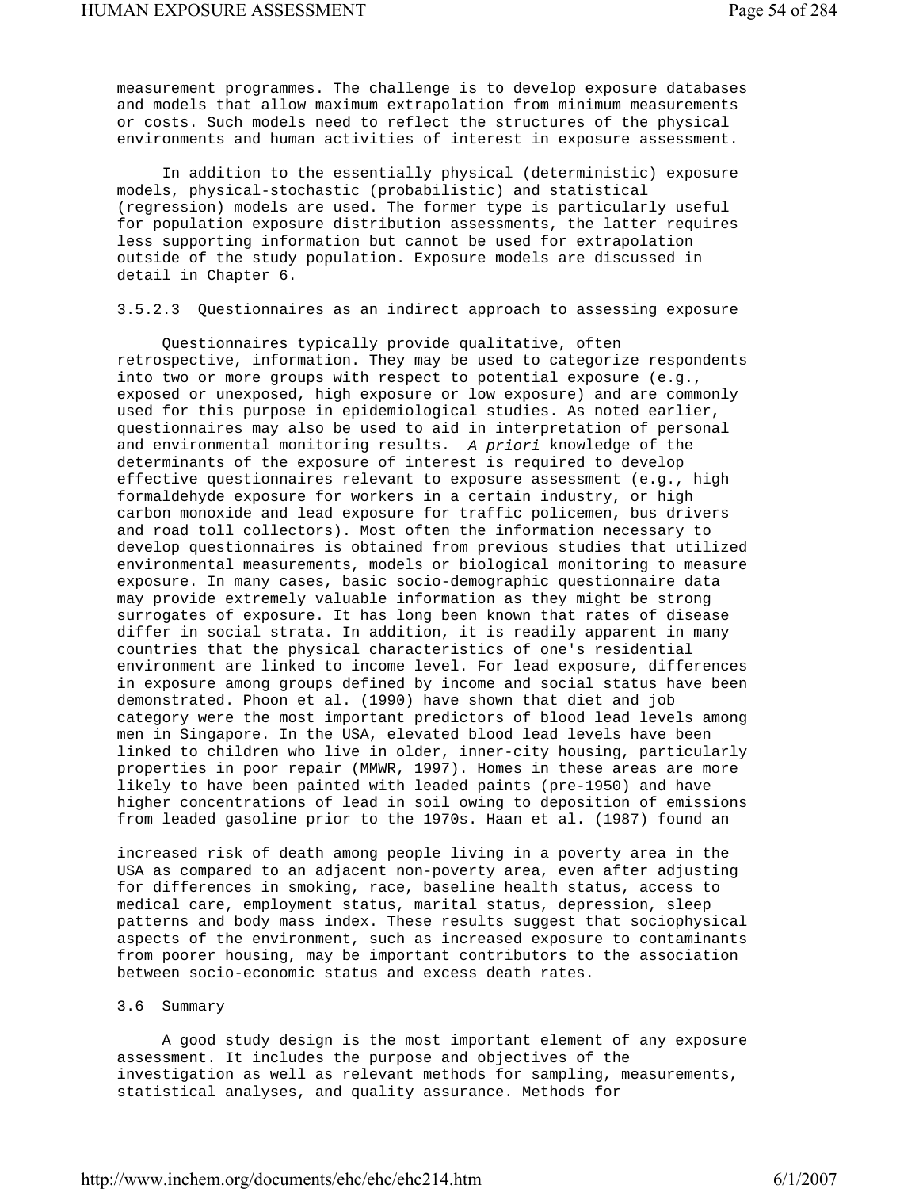measurement programmes. The challenge is to develop exposure databases and models that allow maximum extrapolation from minimum measurements or costs. Such models need to reflect the structures of the physical environments and human activities of interest in exposure assessment.

 In addition to the essentially physical (deterministic) exposure models, physical-stochastic (probabilistic) and statistical (regression) models are used. The former type is particularly useful for population exposure distribution assessments, the latter requires less supporting information but cannot be used for extrapolation outside of the study population. Exposure models are discussed in detail in Chapter 6.

3.5.2.3 Questionnaires as an indirect approach to assessing exposure

 Questionnaires typically provide qualitative, often retrospective, information. They may be used to categorize respondents into two or more groups with respect to potential exposure (e.g., exposed or unexposed, high exposure or low exposure) and are commonly used for this purpose in epidemiological studies. As noted earlier, questionnaires may also be used to aid in interpretation of personal and environmental monitoring results. *A priori* knowledge of the determinants of the exposure of interest is required to develop effective questionnaires relevant to exposure assessment (e.g., high formaldehyde exposure for workers in a certain industry, or high carbon monoxide and lead exposure for traffic policemen, bus drivers and road toll collectors). Most often the information necessary to develop questionnaires is obtained from previous studies that utilized environmental measurements, models or biological monitoring to measure exposure. In many cases, basic socio-demographic questionnaire data may provide extremely valuable information as they might be strong surrogates of exposure. It has long been known that rates of disease differ in social strata. In addition, it is readily apparent in many countries that the physical characteristics of one's residential environment are linked to income level. For lead exposure, differences in exposure among groups defined by income and social status have been demonstrated. Phoon et al. (1990) have shown that diet and job category were the most important predictors of blood lead levels among men in Singapore. In the USA, elevated blood lead levels have been linked to children who live in older, inner-city housing, particularly properties in poor repair (MMWR, 1997). Homes in these areas are more likely to have been painted with leaded paints (pre-1950) and have higher concentrations of lead in soil owing to deposition of emissions from leaded gasoline prior to the 1970s. Haan et al. (1987) found an

 increased risk of death among people living in a poverty area in the USA as compared to an adjacent non-poverty area, even after adjusting for differences in smoking, race, baseline health status, access to medical care, employment status, marital status, depression, sleep patterns and body mass index. These results suggest that sociophysical aspects of the environment, such as increased exposure to contaminants from poorer housing, may be important contributors to the association between socio-economic status and excess death rates.

## 3.6 Summary

 A good study design is the most important element of any exposure assessment. It includes the purpose and objectives of the investigation as well as relevant methods for sampling, measurements, statistical analyses, and quality assurance. Methods for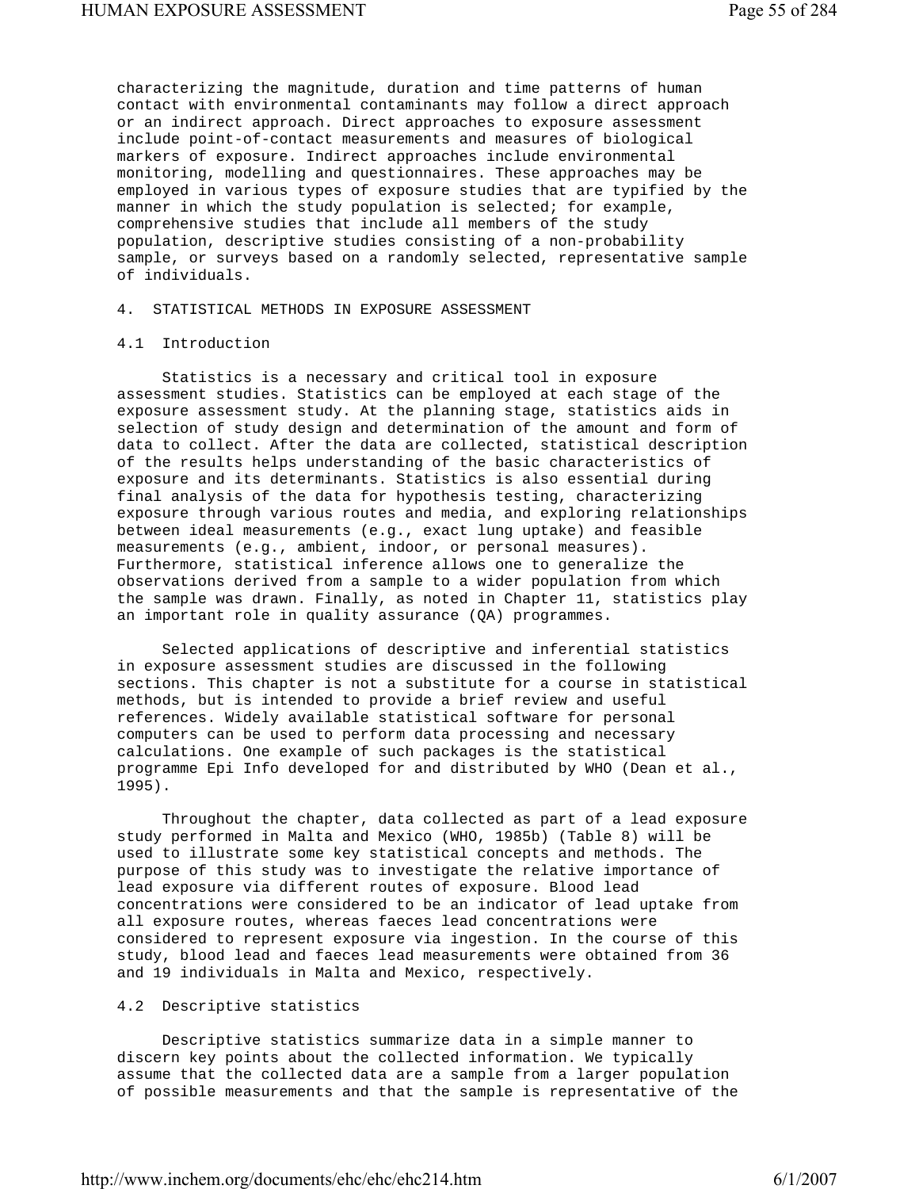characterizing the magnitude, duration and time patterns of human contact with environmental contaminants may follow a direct approach or an indirect approach. Direct approaches to exposure assessment include point-of-contact measurements and measures of biological markers of exposure. Indirect approaches include environmental monitoring, modelling and questionnaires. These approaches may be employed in various types of exposure studies that are typified by the manner in which the study population is selected; for example, comprehensive studies that include all members of the study population, descriptive studies consisting of a non-probability sample, or surveys based on a randomly selected, representative sample of individuals.

## 4. STATISTICAL METHODS IN EXPOSURE ASSESSMENT

### 4.1 Introduction

 Statistics is a necessary and critical tool in exposure assessment studies. Statistics can be employed at each stage of the exposure assessment study. At the planning stage, statistics aids in selection of study design and determination of the amount and form of data to collect. After the data are collected, statistical description of the results helps understanding of the basic characteristics of exposure and its determinants. Statistics is also essential during final analysis of the data for hypothesis testing, characterizing exposure through various routes and media, and exploring relationships between ideal measurements (e.g., exact lung uptake) and feasible measurements (e.g., ambient, indoor, or personal measures). Furthermore, statistical inference allows one to generalize the observations derived from a sample to a wider population from which the sample was drawn. Finally, as noted in Chapter 11, statistics play an important role in quality assurance (QA) programmes.

 Selected applications of descriptive and inferential statistics in exposure assessment studies are discussed in the following sections. This chapter is not a substitute for a course in statistical methods, but is intended to provide a brief review and useful references. Widely available statistical software for personal computers can be used to perform data processing and necessary calculations. One example of such packages is the statistical programme Epi Info developed for and distributed by WHO (Dean et al., 1995).

 Throughout the chapter, data collected as part of a lead exposure study performed in Malta and Mexico (WHO, 1985b) (Table 8) will be used to illustrate some key statistical concepts and methods. The purpose of this study was to investigate the relative importance of lead exposure via different routes of exposure. Blood lead concentrations were considered to be an indicator of lead uptake from all exposure routes, whereas faeces lead concentrations were considered to represent exposure via ingestion. In the course of this study, blood lead and faeces lead measurements were obtained from 36 and 19 individuals in Malta and Mexico, respectively.

# 4.2 Descriptive statistics

 Descriptive statistics summarize data in a simple manner to discern key points about the collected information. We typically assume that the collected data are a sample from a larger population of possible measurements and that the sample is representative of the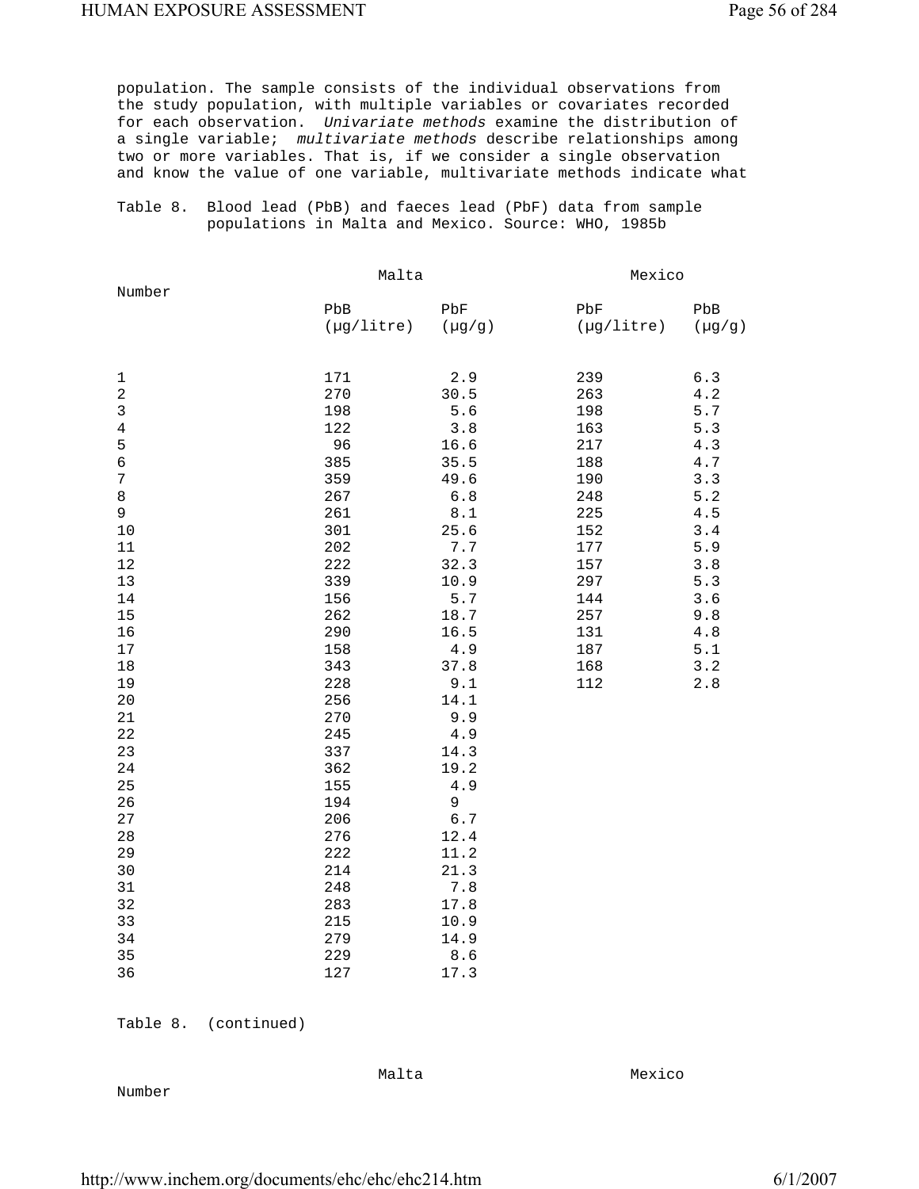population. The sample consists of the individual observations from the study population, with multiple variables or covariates recorded for each observation. *Univariate methods* examine the distribution of a single variable; *multivariate methods* describe relationships among two or more variables. That is, if we consider a single observation and know the value of one variable, multivariate methods indicate what

 Table 8. Blood lead (PbB) and faeces lead (PbF) data from sample populations in Malta and Mexico. Source: WHO, 1985b

|                | Malta                    |             | Mexico                   |             |
|----------------|--------------------------|-------------|--------------------------|-------------|
| Number         |                          |             |                          |             |
|                | PbB                      | PbF         | ${\tt Pbf}$              | PbB         |
|                | $(\mu g / \text{litre})$ | $(\mu g/g)$ | $(\mu g / \text{litre})$ | $(\mu g/g)$ |
| $\mathbf 1$    | 171                      | 2.9         | 239                      | 6.3         |
| $\sqrt{2}$     | 270                      | 30.5        | 263                      | 4.2         |
| $\mathbf{3}$   | 198                      | $5.6$       | 198                      | $5.7$       |
| $\bf 4$        | 122                      | 3.8         | 163                      | 5.3         |
| 5              | 96                       | 16.6        | 217                      | 4.3         |
| $\overline{6}$ | 385                      | 35.5        | 188                      | $4.7\,$     |
| $\sqrt{ }$     | 359                      | 49.6        | 190                      | 3.3         |
| $\,8\,$        | 267                      | $6.8\,$     | 248                      | $5.2$       |
| 9              | 261                      | $8.1\,$     | 225                      | $4.5\,$     |
| $10$           | 301                      | 25.6        | 152                      | $3.4\,$     |
| 11             | 202                      | 7.7         | 177                      | 5.9         |
| 12             | 222                      | 32.3        | 157                      | $3.8$       |
| 13             | 339                      | 10.9        | 297                      | 5.3         |
| 14             | 156                      | $5.7$       | 144                      | 3.6         |
| 15             | 262                      | 18.7        | 257                      | 9.8         |
| 16             | 290                      | 16.5        | 131                      | $4.8\,$     |
| 17             | 158                      | 4.9         | 187                      | 5.1         |
| 18             | 343                      | 37.8        | 168                      | 3.2         |
| 19             | 228                      | 9.1         | 112                      | $2\,.8$     |
| 20             | 256                      | 14.1        |                          |             |
| 21             | 270                      | 9.9         |                          |             |
| 22             | 245                      | 4.9         |                          |             |
| 23             | 337                      | 14.3        |                          |             |
| 24             | 362                      | 19.2        |                          |             |
| 25             | 155                      | 4.9         |                          |             |
| 26             | 194                      | 9           |                          |             |
| 27             | 206                      | 6.7         |                          |             |
| 28             | 276                      | 12.4        |                          |             |
| 29             | 222                      | 11.2        |                          |             |
| 30             | 214                      | 21.3        |                          |             |
| 31             | 248                      | 7.8         |                          |             |
| 32             | 283                      | 17.8        |                          |             |
| 33             | 215                      | 10.9        |                          |             |
| 34             | 279                      | 14.9        |                          |             |
| 35             | 229                      | 8.6         |                          |             |
| 36             | 127                      | 17.3        |                          |             |
|                |                          |             |                          |             |

Table 8. (continued)

Number

Malta Mexico Mexico Mexico Mexico Mexico Mexico Mexico Mexico Mexico Mexico Mexico Mexico Mexico Mexico Mexico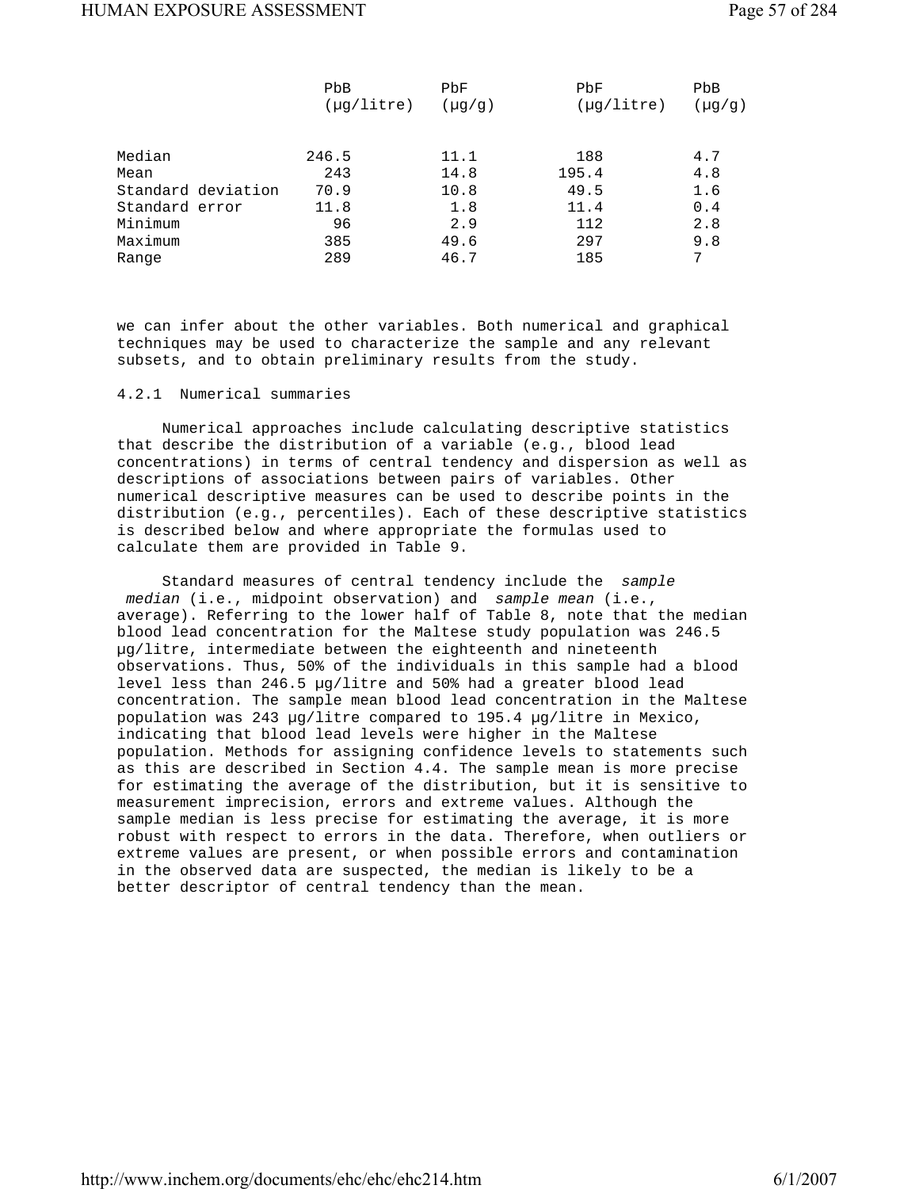| PbB   | PbF        | PbF    | PbB<br>(µq/q)    |
|-------|------------|--------|------------------|
|       |            |        |                  |
| 246.5 | 11.1       | 188    | 4.7              |
| 243   | 14.8       | 195.4  | 4.8              |
| 70.9  | 10.8       | 49.5   | 1.6              |
| 11.8  | 1.8        | 11.4   | 0.4              |
| 96    | 2.9        | 112    | 2.8              |
| 385   | 49.6       | 297    | 9.8              |
| 289   | 46.7       | 185    | 7                |
|       | (µq/litre) | (µq/q) | $(\mu q/litter)$ |

 we can infer about the other variables. Both numerical and graphical techniques may be used to characterize the sample and any relevant subsets, and to obtain preliminary results from the study.

# 4.2.1 Numerical summaries

 Numerical approaches include calculating descriptive statistics that describe the distribution of a variable (e.g., blood lead concentrations) in terms of central tendency and dispersion as well as descriptions of associations between pairs of variables. Other numerical descriptive measures can be used to describe points in the distribution (e.g., percentiles). Each of these descriptive statistics is described below and where appropriate the formulas used to calculate them are provided in Table 9.

 Standard measures of central tendency include the *sample median* (i.e., midpoint observation) and *sample mean* (i.e., average). Referring to the lower half of Table 8, note that the median blood lead concentration for the Maltese study population was 246.5 µg/litre, intermediate between the eighteenth and nineteenth observations. Thus, 50% of the individuals in this sample had a blood level less than 246.5 µg/litre and 50% had a greater blood lead concentration. The sample mean blood lead concentration in the Maltese population was 243 µg/litre compared to 195.4 µg/litre in Mexico, indicating that blood lead levels were higher in the Maltese population. Methods for assigning confidence levels to statements such as this are described in Section 4.4. The sample mean is more precise for estimating the average of the distribution, but it is sensitive to measurement imprecision, errors and extreme values. Although the sample median is less precise for estimating the average, it is more robust with respect to errors in the data. Therefore, when outliers or extreme values are present, or when possible errors and contamination in the observed data are suspected, the median is likely to be a better descriptor of central tendency than the mean.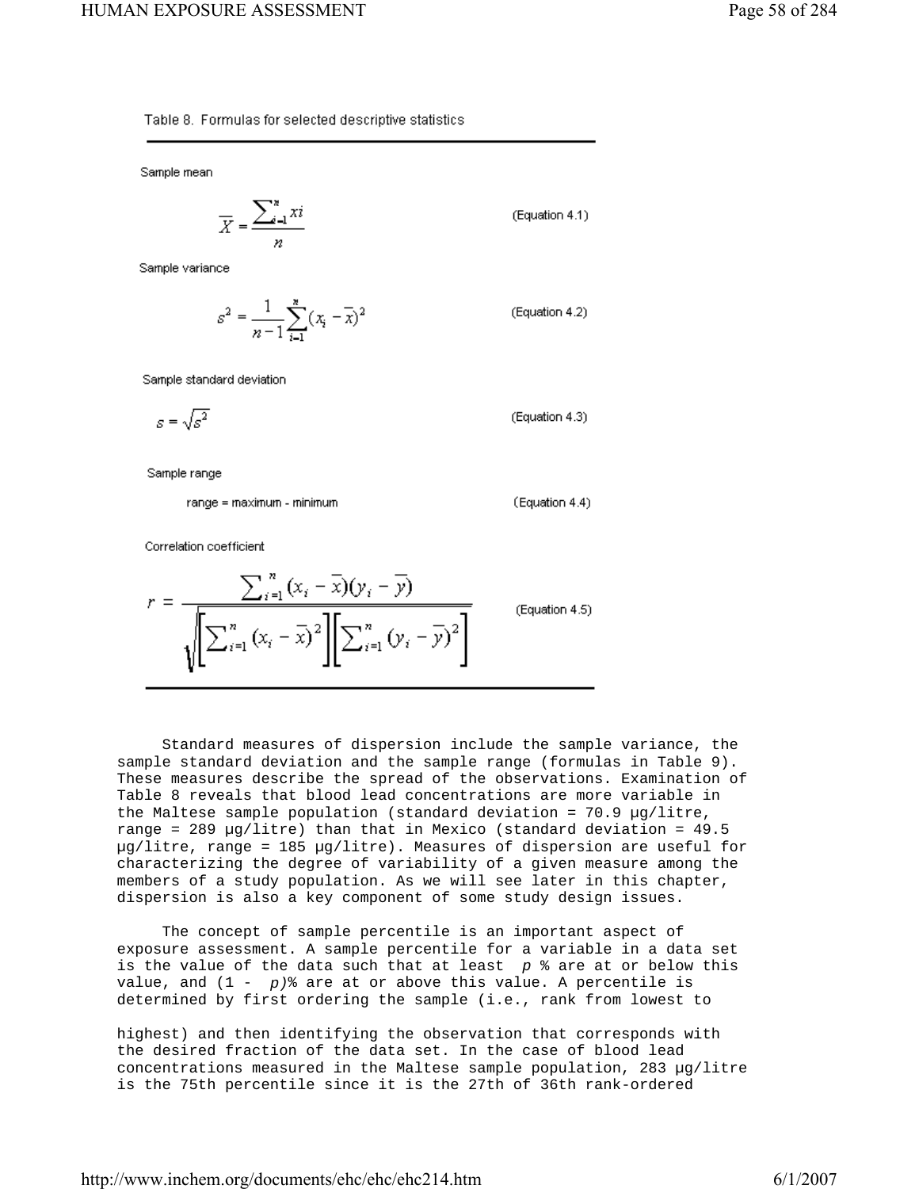Table 8. Formulas for selected descriptive statistics

Sample mean

 $\overline{X} = \frac{\sum_{i=1}^{n} x_i}{\sum_{i=1}^{n} x_i}$ 

Sample variance

 $s^2 = \frac{1}{n-1} \sum_{i=1}^{n} (x_i - \overline{x})^2$ 

Sample standard deviation

$$
s = \sqrt{s^2}
$$

Sample range

range = maximum - minimum

Correlation coefficient

$$
r = \frac{\sum_{i=1}^{n} (x_i - \overline{x})(y_i - \overline{y})}{\sqrt{\left[\sum_{i=1}^{n} (x_i - \overline{x})^2\right] \left[\sum_{i=1}^{n} (y_i - \overline{y})^2\right]}}
$$
(Equation 4.5)

 Standard measures of dispersion include the sample variance, the sample standard deviation and the sample range (formulas in Table 9). These measures describe the spread of the observations. Examination of Table 8 reveals that blood lead concentrations are more variable in the Maltese sample population (standard deviation =  $70.9 \mu q/l$ itre, range = 289 µg/litre) than that in Mexico (standard deviation = 49.5 µg/litre, range = 185 µg/litre). Measures of dispersion are useful for characterizing the degree of variability of a given measure among the members of a study population. As we will see later in this chapter, dispersion is also a key component of some study design issues.

(Equation 4.1)

(Equation 4.2)

(Equation 4.3)

(Equation 4.4)

 The concept of sample percentile is an important aspect of exposure assessment. A sample percentile for a variable in a data set is the value of the data such that at least *p* % are at or below this value, and  $(1 - p)*$  are at or above this value. A percentile is determined by first ordering the sample (i.e., rank from lowest to

 highest) and then identifying the observation that corresponds with the desired fraction of the data set. In the case of blood lead concentrations measured in the Maltese sample population, 283 µg/litre is the 75th percentile since it is the 27th of 36th rank-ordered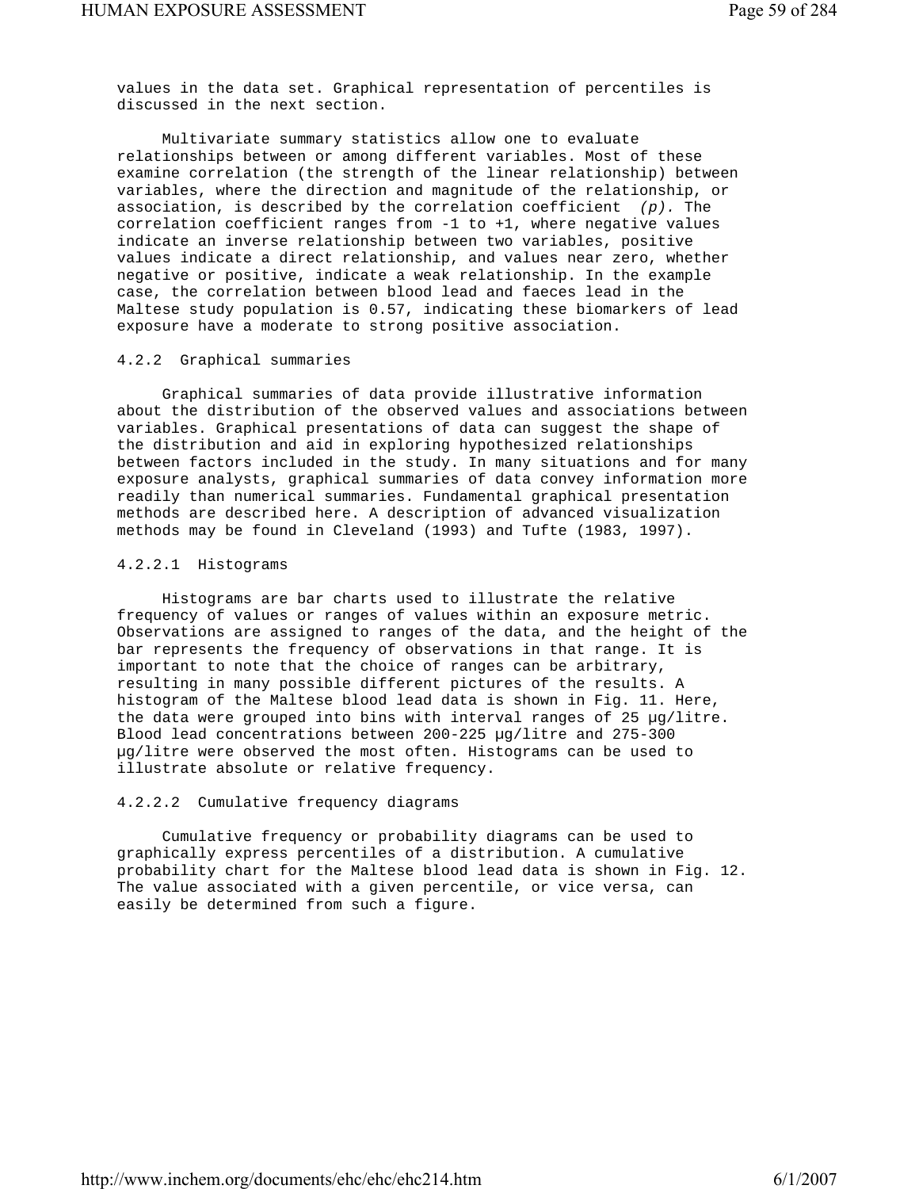values in the data set. Graphical representation of percentiles is discussed in the next section.

 Multivariate summary statistics allow one to evaluate relationships between or among different variables. Most of these examine correlation (the strength of the linear relationship) between variables, where the direction and magnitude of the relationship, or association, is described by the correlation coefficient *(p).* The correlation coefficient ranges from -1 to +1, where negative values indicate an inverse relationship between two variables, positive values indicate a direct relationship, and values near zero, whether negative or positive, indicate a weak relationship. In the example case, the correlation between blood lead and faeces lead in the Maltese study population is 0.57, indicating these biomarkers of lead exposure have a moderate to strong positive association.

#### 4.2.2 Graphical summaries

 Graphical summaries of data provide illustrative information about the distribution of the observed values and associations between variables. Graphical presentations of data can suggest the shape of the distribution and aid in exploring hypothesized relationships between factors included in the study. In many situations and for many exposure analysts, graphical summaries of data convey information more readily than numerical summaries. Fundamental graphical presentation methods are described here. A description of advanced visualization methods may be found in Cleveland (1993) and Tufte (1983, 1997).

#### 4.2.2.1 Histograms

 Histograms are bar charts used to illustrate the relative frequency of values or ranges of values within an exposure metric. Observations are assigned to ranges of the data, and the height of the bar represents the frequency of observations in that range. It is important to note that the choice of ranges can be arbitrary, resulting in many possible different pictures of the results. A histogram of the Maltese blood lead data is shown in Fig. 11. Here, the data were grouped into bins with interval ranges of 25 µg/litre. Blood lead concentrations between 200-225 µg/litre and 275-300 µg/litre were observed the most often. Histograms can be used to illustrate absolute or relative frequency.

## 4.2.2.2 Cumulative frequency diagrams

 Cumulative frequency or probability diagrams can be used to graphically express percentiles of a distribution. A cumulative probability chart for the Maltese blood lead data is shown in Fig. 12. The value associated with a given percentile, or vice versa, can easily be determined from such a figure.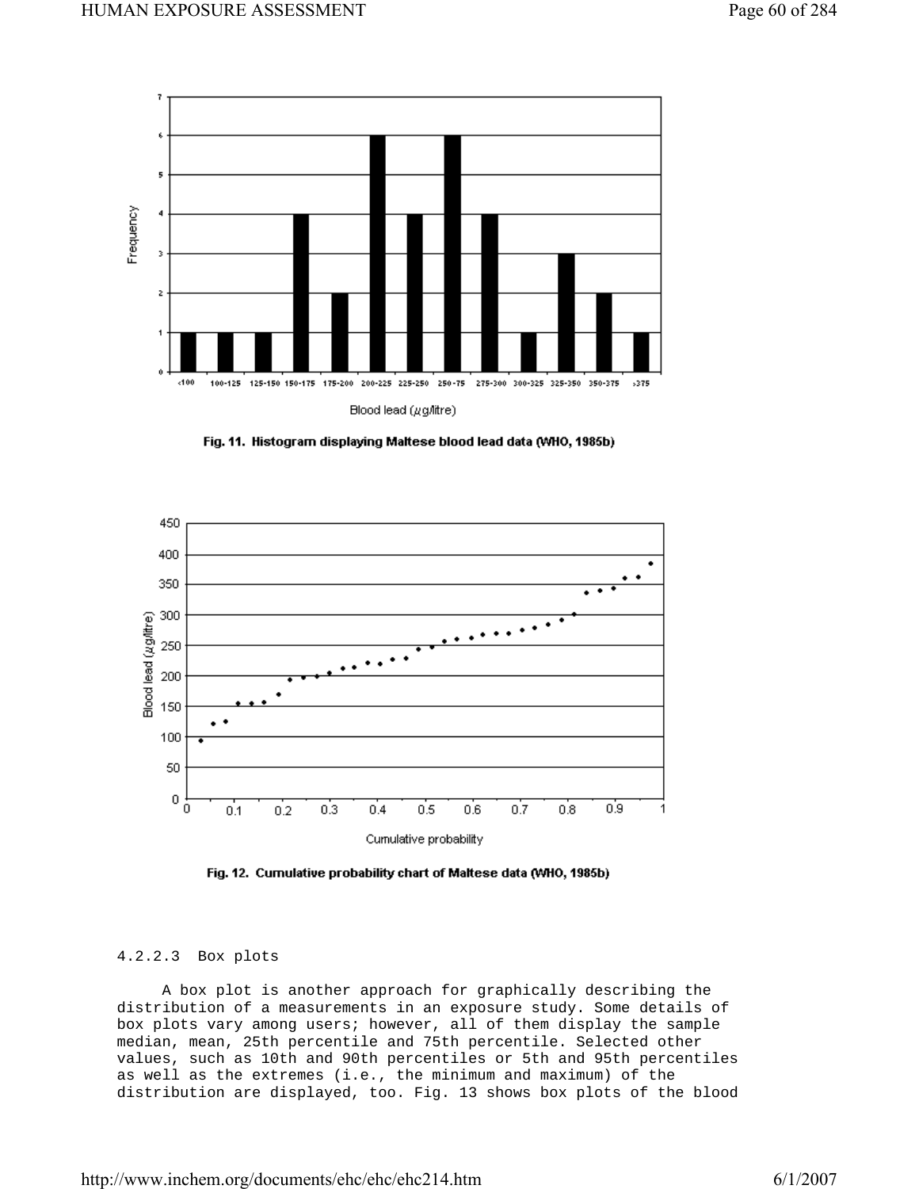

Fig. 11. Histogram displaying Maltese blood lead data (WHO, 1985b)



Fig. 12. Cumulative probability chart of Maltese data (WHO, 1985b)

# 4.2.2.3 Box plots

 A box plot is another approach for graphically describing the distribution of a measurements in an exposure study. Some details of box plots vary among users; however, all of them display the sample median, mean, 25th percentile and 75th percentile. Selected other values, such as 10th and 90th percentiles or 5th and 95th percentiles as well as the extremes (i.e., the minimum and maximum) of the distribution are displayed, too. Fig. 13 shows box plots of the blood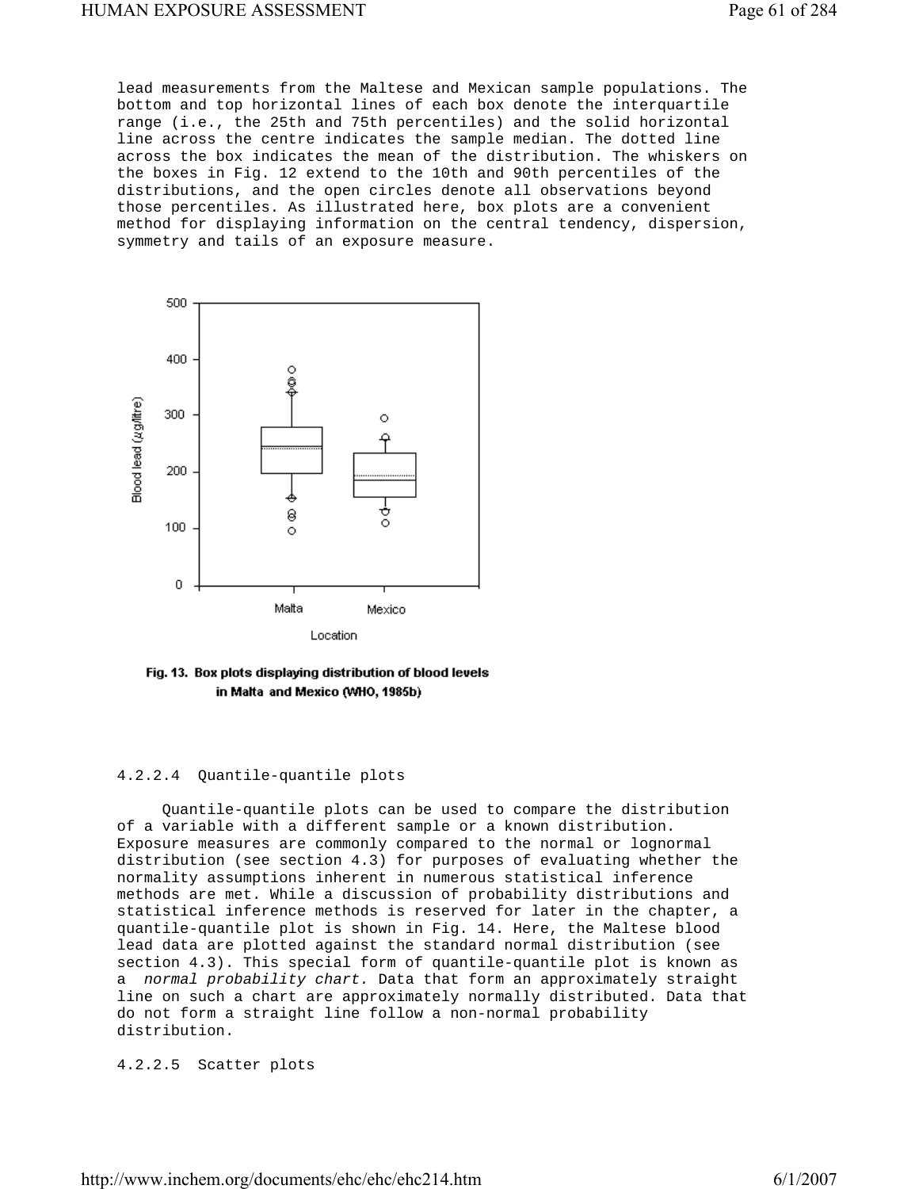lead measurements from the Maltese and Mexican sample populations. The bottom and top horizontal lines of each box denote the interquartile range (i.e., the 25th and 75th percentiles) and the solid horizontal line across the centre indicates the sample median. The dotted line across the box indicates the mean of the distribution. The whiskers on the boxes in Fig. 12 extend to the 10th and 90th percentiles of the distributions, and the open circles denote all observations beyond those percentiles. As illustrated here, box plots are a convenient method for displaying information on the central tendency, dispersion, symmetry and tails of an exposure measure.



Fig. 13. Box plots displaying distribution of blood levels in Malta and Mexico (WHO, 1985b)

### 4.2.2.4 Quantile-quantile plots

 Quantile-quantile plots can be used to compare the distribution of a variable with a different sample or a known distribution. Exposure measures are commonly compared to the normal or lognormal distribution (see section 4.3) for purposes of evaluating whether the normality assumptions inherent in numerous statistical inference methods are met. While a discussion of probability distributions and statistical inference methods is reserved for later in the chapter, a quantile-quantile plot is shown in Fig. 14. Here, the Maltese blood lead data are plotted against the standard normal distribution (see section 4.3). This special form of quantile-quantile plot is known as a *normal probability chart.* Data that form an approximately straight line on such a chart are approximately normally distributed. Data that do not form a straight line follow a non-normal probability distribution.

4.2.2.5 Scatter plots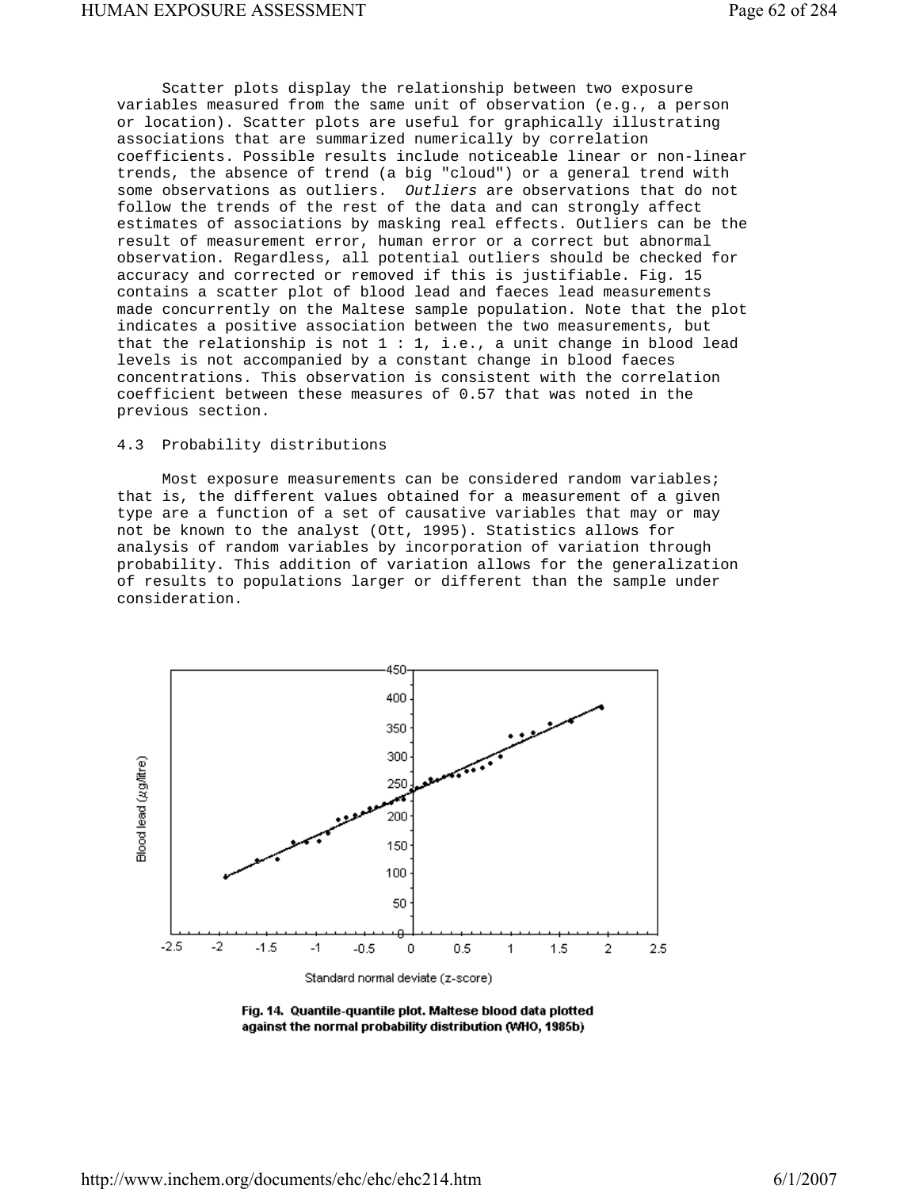Scatter plots display the relationship between two exposure variables measured from the same unit of observation (e.g., a person or location). Scatter plots are useful for graphically illustrating associations that are summarized numerically by correlation coefficients. Possible results include noticeable linear or non-linear trends, the absence of trend (a big "cloud") or a general trend with some observations as outliers. *Outliers* are observations that do not follow the trends of the rest of the data and can strongly affect estimates of associations by masking real effects. Outliers can be the result of measurement error, human error or a correct but abnormal observation. Regardless, all potential outliers should be checked for accuracy and corrected or removed if this is justifiable. Fig. 15 contains a scatter plot of blood lead and faeces lead measurements made concurrently on the Maltese sample population. Note that the plot indicates a positive association between the two measurements, but that the relationship is not  $1 : 1$ , i.e., a unit change in blood lead levels is not accompanied by a constant change in blood faeces concentrations. This observation is consistent with the correlation coefficient between these measures of 0.57 that was noted in the previous section.

### 4.3 Probability distributions

 Most exposure measurements can be considered random variables; that is, the different values obtained for a measurement of a given type are a function of a set of causative variables that may or may not be known to the analyst (Ott, 1995). Statistics allows for analysis of random variables by incorporation of variation through probability. This addition of variation allows for the generalization of results to populations larger or different than the sample under consideration.



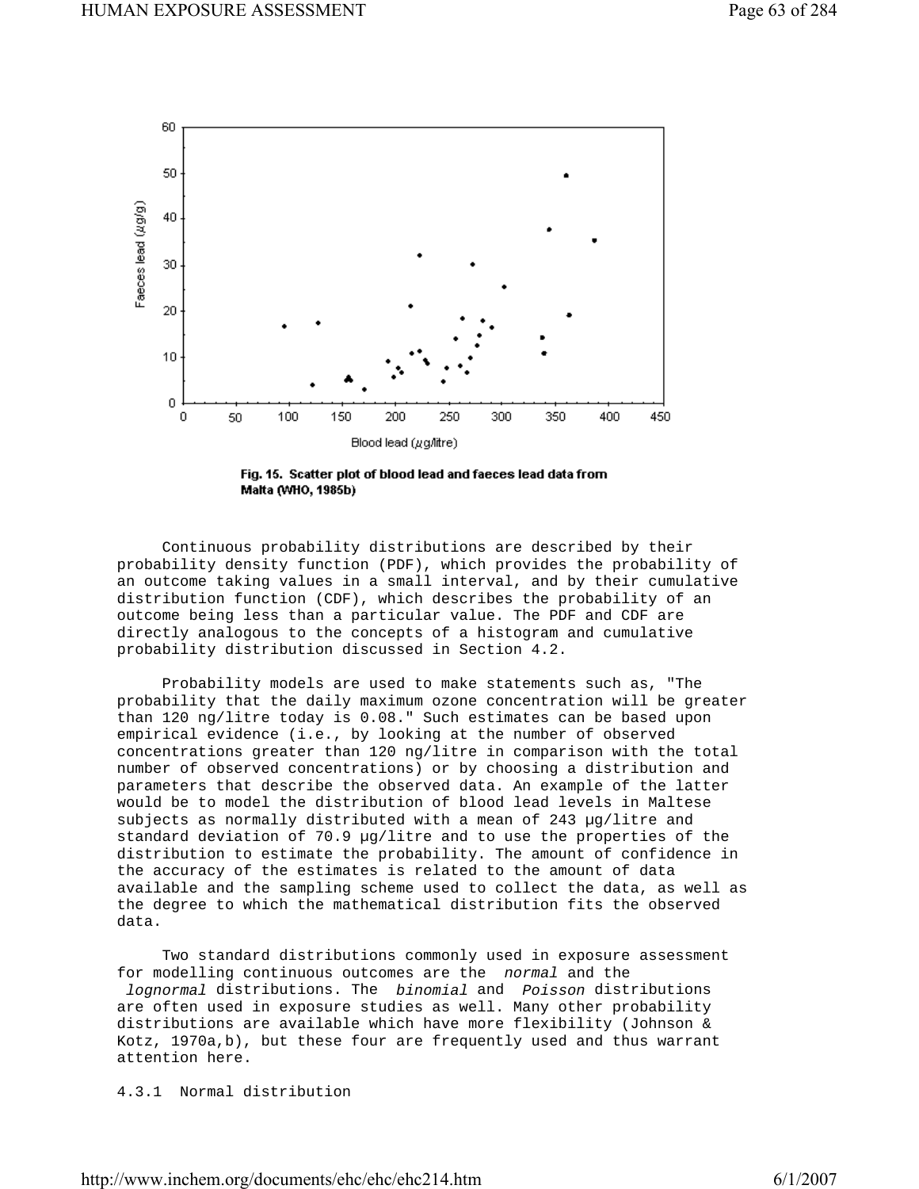

Fig. 15. Scatter plot of blood lead and faeces lead data from Malta (WHO, 1985b)

 Continuous probability distributions are described by their probability density function (PDF), which provides the probability of an outcome taking values in a small interval, and by their cumulative distribution function (CDF), which describes the probability of an outcome being less than a particular value. The PDF and CDF are directly analogous to the concepts of a histogram and cumulative probability distribution discussed in Section 4.2.

 Probability models are used to make statements such as, "The probability that the daily maximum ozone concentration will be greater than 120 ng/litre today is 0.08." Such estimates can be based upon empirical evidence (i.e., by looking at the number of observed concentrations greater than 120 ng/litre in comparison with the total number of observed concentrations) or by choosing a distribution and parameters that describe the observed data. An example of the latter would be to model the distribution of blood lead levels in Maltese subjects as normally distributed with a mean of 243 µg/litre and standard deviation of 70.9 µg/litre and to use the properties of the distribution to estimate the probability. The amount of confidence in the accuracy of the estimates is related to the amount of data available and the sampling scheme used to collect the data, as well as the degree to which the mathematical distribution fits the observed data.

 Two standard distributions commonly used in exposure assessment for modelling continuous outcomes are the *normal* and the *lognormal* distributions. The *binomial* and *Poisson* distributions are often used in exposure studies as well. Many other probability distributions are available which have more flexibility (Johnson & Kotz, 1970a,b), but these four are frequently used and thus warrant attention here.

4.3.1 Normal distribution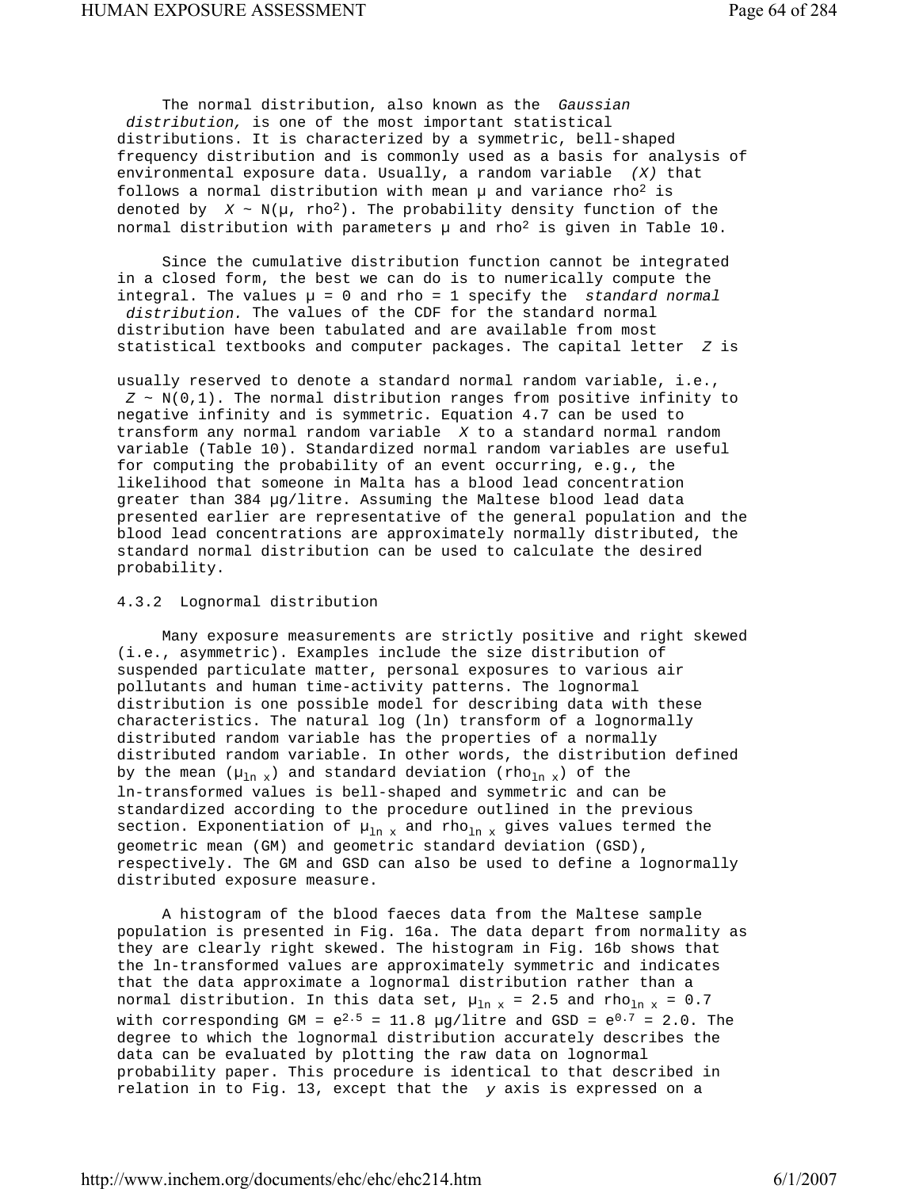The normal distribution, also known as the *Gaussian distribution,* is one of the most important statistical distributions. It is characterized by a symmetric, bell-shaped frequency distribution and is commonly used as a basis for analysis of environmental exposure data. Usually, a random variable *(X)* that follows a normal distribution with mean  $\mu$  and variance rho<sup>2</sup> is denoted by  $X \sim N(\mu, rho^2)$ . The probability density function of the normal distribution with parameters  $\mu$  and rho<sup>2</sup> is given in Table 10.

 Since the cumulative distribution function cannot be integrated in a closed form, the best we can do is to numerically compute the integral. The values  $\mu = 0$  and rho = 1 specify the *standard normal distribution.* The values of the CDF for the standard normal distribution have been tabulated and are available from most statistical textbooks and computer packages. The capital letter *Z* is

 usually reserved to denote a standard normal random variable, i.e., *Z* ~ N(0,1). The normal distribution ranges from positive infinity to negative infinity and is symmetric. Equation 4.7 can be used to transform any normal random variable *X* to a standard normal random variable (Table 10). Standardized normal random variables are useful for computing the probability of an event occurring, e.g., the likelihood that someone in Malta has a blood lead concentration greater than 384 µg/litre. Assuming the Maltese blood lead data presented earlier are representative of the general population and the blood lead concentrations are approximately normally distributed, the standard normal distribution can be used to calculate the desired probability.

## 4.3.2 Lognormal distribution

 Many exposure measurements are strictly positive and right skewed (i.e., asymmetric). Examples include the size distribution of suspended particulate matter, personal exposures to various air pollutants and human time-activity patterns. The lognormal distribution is one possible model for describing data with these characteristics. The natural log (ln) transform of a lognormally distributed random variable has the properties of a normally distributed random variable. In other words, the distribution defined by the mean  $(\mu_{\ln x})$  and standard deviation (rho<sub>ln x</sub>) of the ln-transformed values is bell-shaped and symmetric and can be standardized according to the procedure outlined in the previous section. Exponentiation of  $\mu_{\ln x}$  and rho<sub>ln x</sub> gives values termed the geometric mean (GM) and geometric standard deviation (GSD), respectively. The GM and GSD can also be used to define a lognormally distributed exposure measure.

 A histogram of the blood faeces data from the Maltese sample population is presented in Fig. 16a. The data depart from normality as they are clearly right skewed. The histogram in Fig. 16b shows that the ln-transformed values are approximately symmetric and indicates that the data approximate a lognormal distribution rather than a normal distribution. In this data set,  $\mu_{\ln x} = 2.5$  and rho<sub>ln x</sub> = 0.7 with corresponding GM =  $e^{2.5}$  = 11.8 µg/litre and GSD =  $e^{0.7}$  = 2.0. The degree to which the lognormal distribution accurately describes the data can be evaluated by plotting the raw data on lognormal probability paper. This procedure is identical to that described in relation in to Fig. 13, except that the *y* axis is expressed on a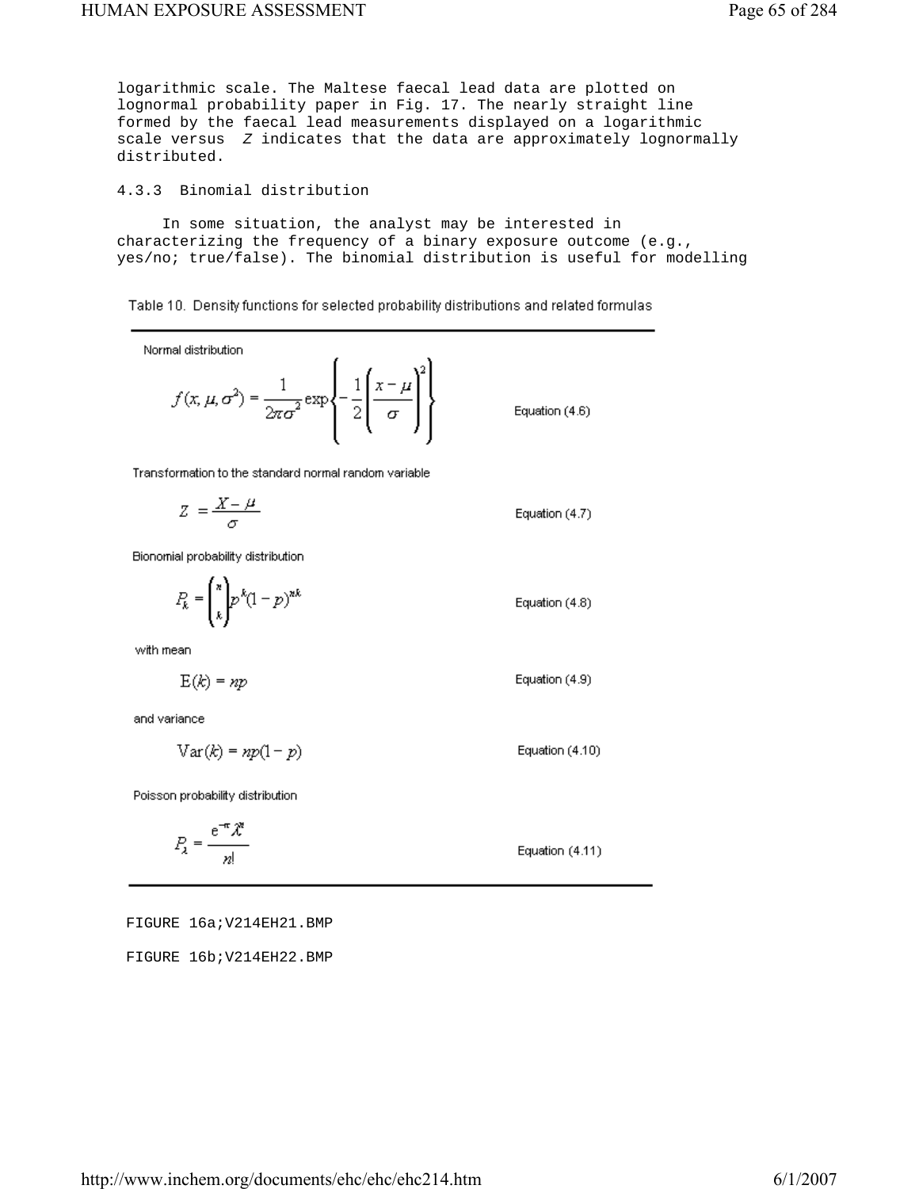logarithmic scale. The Maltese faecal lead data are plotted on lognormal probability paper in Fig. 17. The nearly straight line formed by the faecal lead measurements displayed on a logarithmic scale versus *Z* indicates that the data are approximately lognormally distributed.

# 4.3.3 Binomial distribution

 In some situation, the analyst may be interested in characterizing the frequency of a binary exposure outcome (e.g., yes/no; true/false). The binomial distribution is useful for modelling

Table 10. Density functions for selected probability distributions and related formulas

Normal distribution

$$
f(x, \mu, \sigma^2) = \frac{1}{2\pi\sigma^2} \exp\left\{-\frac{1}{2}\left(\frac{x-\mu}{\sigma}\right)^2\right\}
$$

Equation (4.6)

Transformation to the standard normal random variable

$$
Z = \frac{X - \mu}{\sigma}
$$
 Equation (4.7)

Bionomial probability distribution

$$
P_k = \binom{n}{k} p^k (1-p)^{nk}
$$
 Equation (4.8)

with mean

$$
E(k) = np \qquad \qquad \text{Equation (4.9)}
$$

and variance

$$
Var(k) = np(1-p)
$$
Equation (4.10)

Poisson probability distribution

$$
P_{\lambda} = \frac{e^{-\pi} \lambda^2}{n!}
$$
 Equation (4.11)

FIGURE 16a;V214EH21.BMP

FIGURE 16b;V214EH22.BMP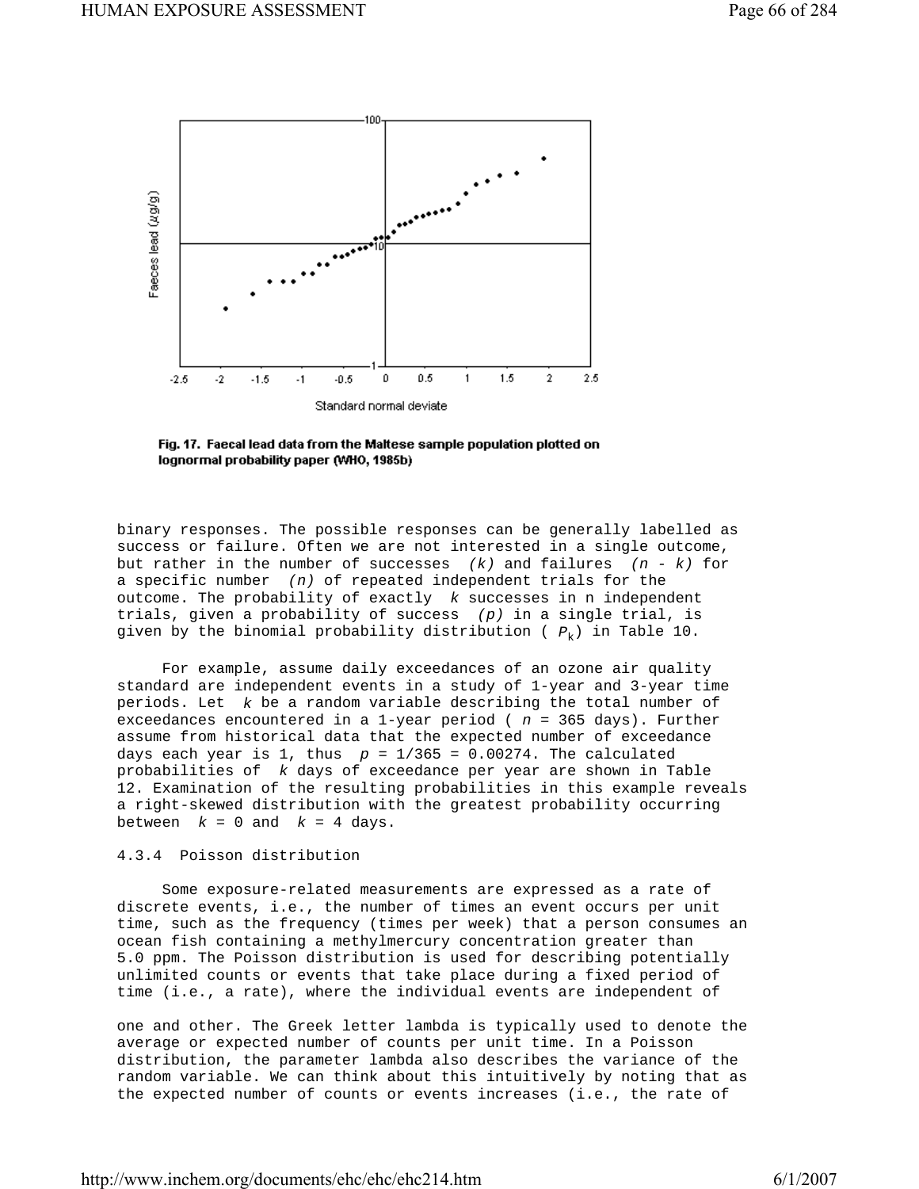

Fig. 17. Faecal lead data from the Maltese sample population plotted on lognormal probability paper (WHO, 1985b)

 binary responses. The possible responses can be generally labelled as success or failure. Often we are not interested in a single outcome, but rather in the number of successes *(k)* and failures *(n - k)* for a specific number *(n)* of repeated independent trials for the outcome. The probability of exactly *k* successes in n independent trials, given a probability of success *(p)* in a single trial, is given by the binomial probability distribution  $(P_k)$  in Table 10.

 For example, assume daily exceedances of an ozone air quality standard are independent events in a study of 1-year and 3-year time periods. Let *k* be a random variable describing the total number of exceedances encountered in a 1-year period ( *n* = 365 days). Further assume from historical data that the expected number of exceedance days each year is 1, thus  $p = 1/365 = 0.00274$ . The calculated probabilities of *k* days of exceedance per year are shown in Table 12. Examination of the resulting probabilities in this example reveals a right-skewed distribution with the greatest probability occurring between  $k = 0$  and  $k = 4$  days.

### 4.3.4 Poisson distribution

 Some exposure-related measurements are expressed as a rate of discrete events, i.e., the number of times an event occurs per unit time, such as the frequency (times per week) that a person consumes an ocean fish containing a methylmercury concentration greater than 5.0 ppm. The Poisson distribution is used for describing potentially unlimited counts or events that take place during a fixed period of time (i.e., a rate), where the individual events are independent of

 one and other. The Greek letter lambda is typically used to denote the average or expected number of counts per unit time. In a Poisson distribution, the parameter lambda also describes the variance of the random variable. We can think about this intuitively by noting that as the expected number of counts or events increases (i.e., the rate of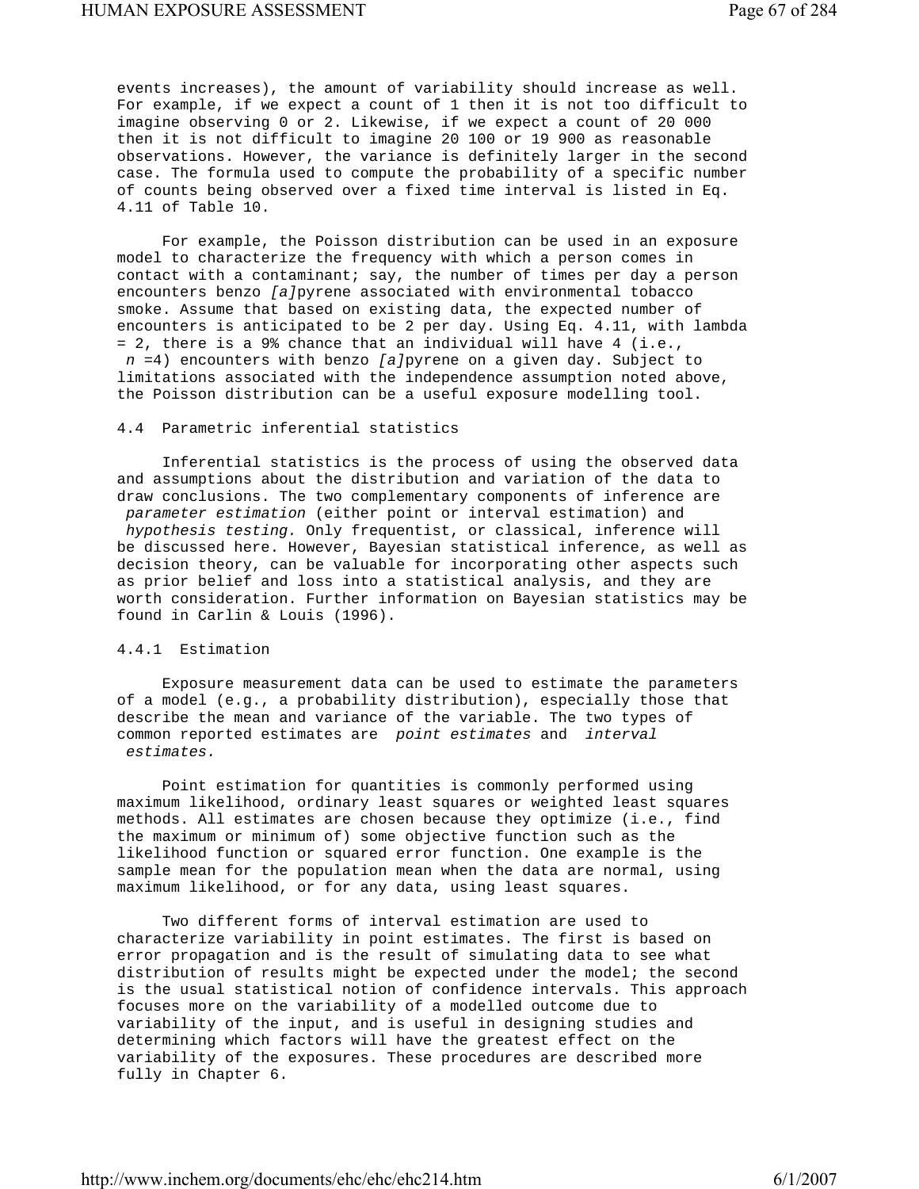events increases), the amount of variability should increase as well. For example, if we expect a count of 1 then it is not too difficult to imagine observing 0 or 2. Likewise, if we expect a count of 20 000 then it is not difficult to imagine 20 100 or 19 900 as reasonable observations. However, the variance is definitely larger in the second case. The formula used to compute the probability of a specific number of counts being observed over a fixed time interval is listed in Eq. 4.11 of Table 10.

 For example, the Poisson distribution can be used in an exposure model to characterize the frequency with which a person comes in contact with a contaminant; say, the number of times per day a person encounters benzo *[a]*pyrene associated with environmental tobacco smoke. Assume that based on existing data, the expected number of encounters is anticipated to be 2 per day. Using Eq. 4.11, with lambda = 2, there is a 9% chance that an individual will have 4 (i.e., *n* =4) encounters with benzo *[a]*pyrene on a given day. Subject to limitations associated with the independence assumption noted above, the Poisson distribution can be a useful exposure modelling tool.

### 4.4 Parametric inferential statistics

 Inferential statistics is the process of using the observed data and assumptions about the distribution and variation of the data to draw conclusions. The two complementary components of inference are *parameter estimation* (either point or interval estimation) and *hypothesis testing.* Only frequentist, or classical, inference will be discussed here. However, Bayesian statistical inference, as well as decision theory, can be valuable for incorporating other aspects such as prior belief and loss into a statistical analysis, and they are worth consideration. Further information on Bayesian statistics may be found in Carlin & Louis (1996).

### 4.4.1 Estimation

 Exposure measurement data can be used to estimate the parameters of a model (e.g., a probability distribution), especially those that describe the mean and variance of the variable. The two types of common reported estimates are *point estimates* and *interval estimates.*

 Point estimation for quantities is commonly performed using maximum likelihood, ordinary least squares or weighted least squares methods. All estimates are chosen because they optimize (i.e., find the maximum or minimum of) some objective function such as the likelihood function or squared error function. One example is the sample mean for the population mean when the data are normal, using maximum likelihood, or for any data, using least squares.

 Two different forms of interval estimation are used to characterize variability in point estimates. The first is based on error propagation and is the result of simulating data to see what distribution of results might be expected under the model; the second is the usual statistical notion of confidence intervals. This approach focuses more on the variability of a modelled outcome due to variability of the input, and is useful in designing studies and determining which factors will have the greatest effect on the variability of the exposures. These procedures are described more fully in Chapter 6.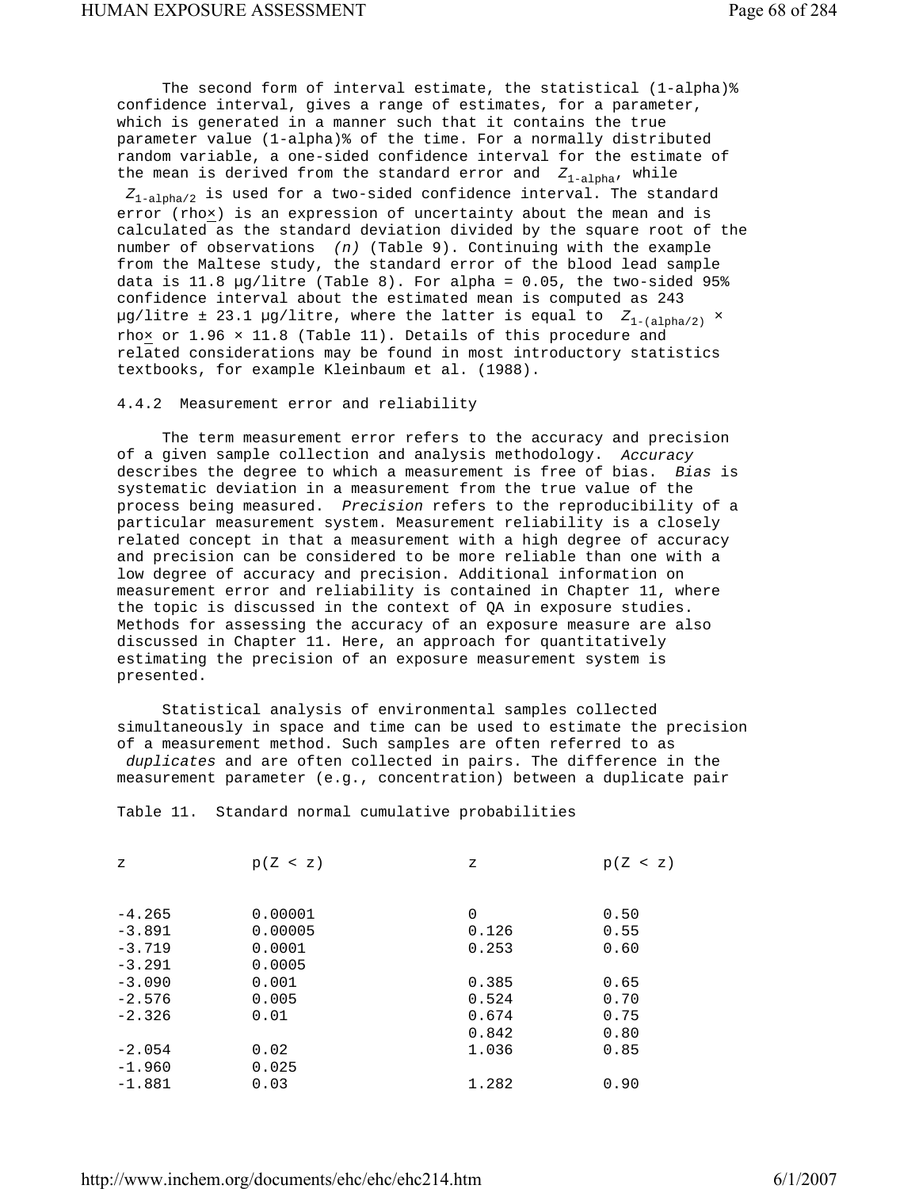The second form of interval estimate, the statistical (1-alpha)% confidence interval, gives a range of estimates, for a parameter, which is generated in a manner such that it contains the true parameter value (1-alpha)% of the time. For a normally distributed random variable, a one-sided confidence interval for the estimate of the mean is derived from the standard error and  $Z_{1-\text{alpha}}$ , while

 $Z_{1-\text{alpha}/2}$  is used for a two-sided confidence interval. The standard error (rho×) is an expression of uncertainty about the mean and is calculated as the standard deviation divided by the square root of the number of observations *(n)* (Table 9). Continuing with the example from the Maltese study, the standard error of the blood lead sample data is  $11.8 \text{ µg/litre}$  (Table 8). For alpha = 0.05, the two-sided 95% confidence interval about the estimated mean is computed as 243  $\mu$ g/litre ± 23.1  $\mu$ g/litre, where the latter is equal to  $Z_{1-(\text{alpha}/2)}$  × rho× or 1.96 × 11.8 (Table 11). Details of this procedure and related considerations may be found in most introductory statistics textbooks, for example Kleinbaum et al. (1988).

### 4.4.2 Measurement error and reliability

 The term measurement error refers to the accuracy and precision of a given sample collection and analysis methodology. *Accuracy*  describes the degree to which a measurement is free of bias. *Bias* is systematic deviation in a measurement from the true value of the process being measured. *Precision* refers to the reproducibility of a particular measurement system. Measurement reliability is a closely related concept in that a measurement with a high degree of accuracy and precision can be considered to be more reliable than one with a low degree of accuracy and precision. Additional information on measurement error and reliability is contained in Chapter 11, where the topic is discussed in the context of QA in exposure studies. Methods for assessing the accuracy of an exposure measure are also discussed in Chapter 11. Here, an approach for quantitatively estimating the precision of an exposure measurement system is presented.

 Statistical analysis of environmental samples collected simultaneously in space and time can be used to estimate the precision of a measurement method. Such samples are often referred to as *duplicates* and are often collected in pairs. The difference in the measurement parameter (e.g., concentration) between a duplicate pair

Table 11. Standard normal cumulative probabilities

| $\mathbf{z}$ | p(Z < z) | $\mathbf{z}$ | p(Z < z) |
|--------------|----------|--------------|----------|
|              |          |              |          |
| $-4.265$     | 0.00001  | 0            | 0.50     |
| $-3.891$     | 0.00005  | 0.126        | 0.55     |
| $-3.719$     | 0.0001   | 0.253        | 0.60     |
| $-3.291$     | 0.0005   |              |          |
| $-3.090$     | 0.001    | 0.385        | 0.65     |
| $-2.576$     | 0.005    | 0.524        | 0.70     |
| $-2.326$     | 0.01     | 0.674        | 0.75     |
|              |          | 0.842        | 0.80     |
| $-2.054$     | 0.02     | 1.036        | 0.85     |
| $-1.960$     | 0.025    |              |          |
| $-1.881$     | 0.03     | 1.282        | 0.90     |
|              |          |              |          |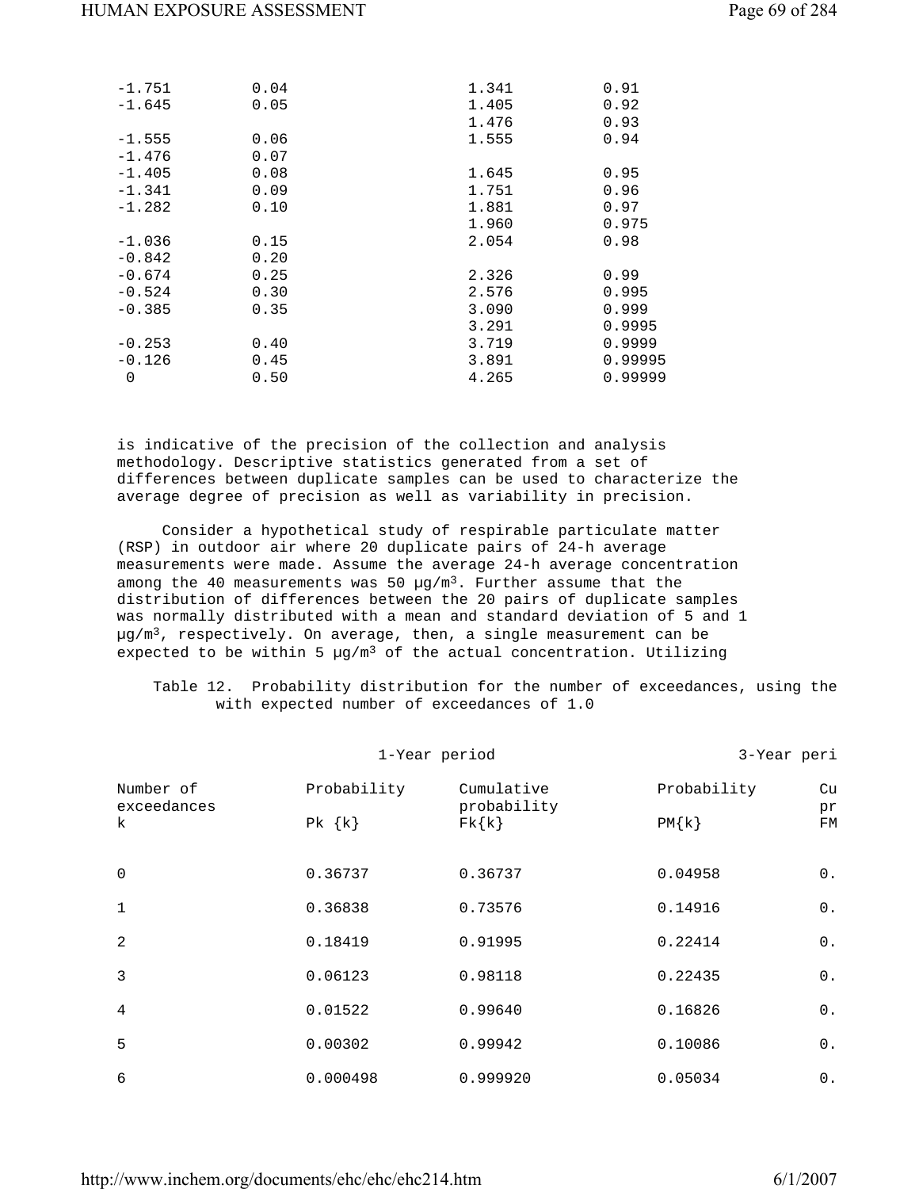| $-1.751$    | 0.04 | 1.341 | 0.91    |
|-------------|------|-------|---------|
| $-1.645$    | 0.05 | 1.405 | 0.92    |
|             |      | 1.476 | 0.93    |
| $-1.555$    | 0.06 | 1.555 | 0.94    |
| $-1.476$    | 0.07 |       |         |
| $-1.405$    | 0.08 | 1.645 | 0.95    |
| $-1.341$    | 0.09 | 1.751 | 0.96    |
| $-1.282$    | 0.10 | 1.881 | 0.97    |
|             |      | 1.960 | 0.975   |
| $-1.036$    | 0.15 | 2.054 | 0.98    |
| $-0.842$    | 0.20 |       |         |
| $-0.674$    | 0.25 | 2.326 | 0.99    |
| $-0.524$    | 0.30 | 2.576 | 0.995   |
| $-0.385$    | 0.35 | 3.090 | 0.999   |
|             |      | 3.291 | 0.9995  |
| $-0.253$    | 0.40 | 3.719 | 0.9999  |
| $-0.126$    | 0.45 | 3.891 | 0.99995 |
| $\mathbf 0$ | 0.50 | 4.265 | 0.99999 |
|             |      |       |         |

 is indicative of the precision of the collection and analysis methodology. Descriptive statistics generated from a set of differences between duplicate samples can be used to characterize the average degree of precision as well as variability in precision.

 Consider a hypothetical study of respirable particulate matter (RSP) in outdoor air where 20 duplicate pairs of 24-h average measurements were made. Assume the average 24-h average concentration among the 40 measurements was 50  $\mu$ g/m<sup>3</sup>. Further assume that the distribution of differences between the 20 pairs of duplicate samples was normally distributed with a mean and standard deviation of 5 and 1 µg/m<sup>3</sup>, respectively. On average, then, a single measurement can be expected to be within 5  $\mu g/m^3$  of the actual concentration. Utilizing

 Table 12. Probability distribution for the number of exceedances, using the with expected number of exceedances of 1.0

|                               | 1-Year period             |                                        | 3-Year peri            |                |
|-------------------------------|---------------------------|----------------------------------------|------------------------|----------------|
| Number of<br>exceedances<br>k | Probability<br>$pk \{k\}$ | Cumulative<br>probability<br>$Fk\{k\}$ | Probability<br>$PM{k}$ | Cu<br>pr<br>FМ |
| $\mathbf 0$                   | 0.36737                   | 0.36737                                | 0.04958                | 0.             |
| $\mathbf{1}$                  | 0.36838                   | 0.73576                                | 0.14916                | $0$ .          |
| 2                             | 0.18419                   | 0.91995                                | 0.22414                | $0$ .          |
| 3                             | 0.06123                   | 0.98118                                | 0.22435                | $0$ .          |
| 4                             | 0.01522                   | 0.99640                                | 0.16826                | $0$ .          |
| 5                             | 0.00302                   | 0.99942                                | 0.10086                | $0$ .          |
| 6                             | 0.000498                  | 0.999920                               | 0.05034                | 0.             |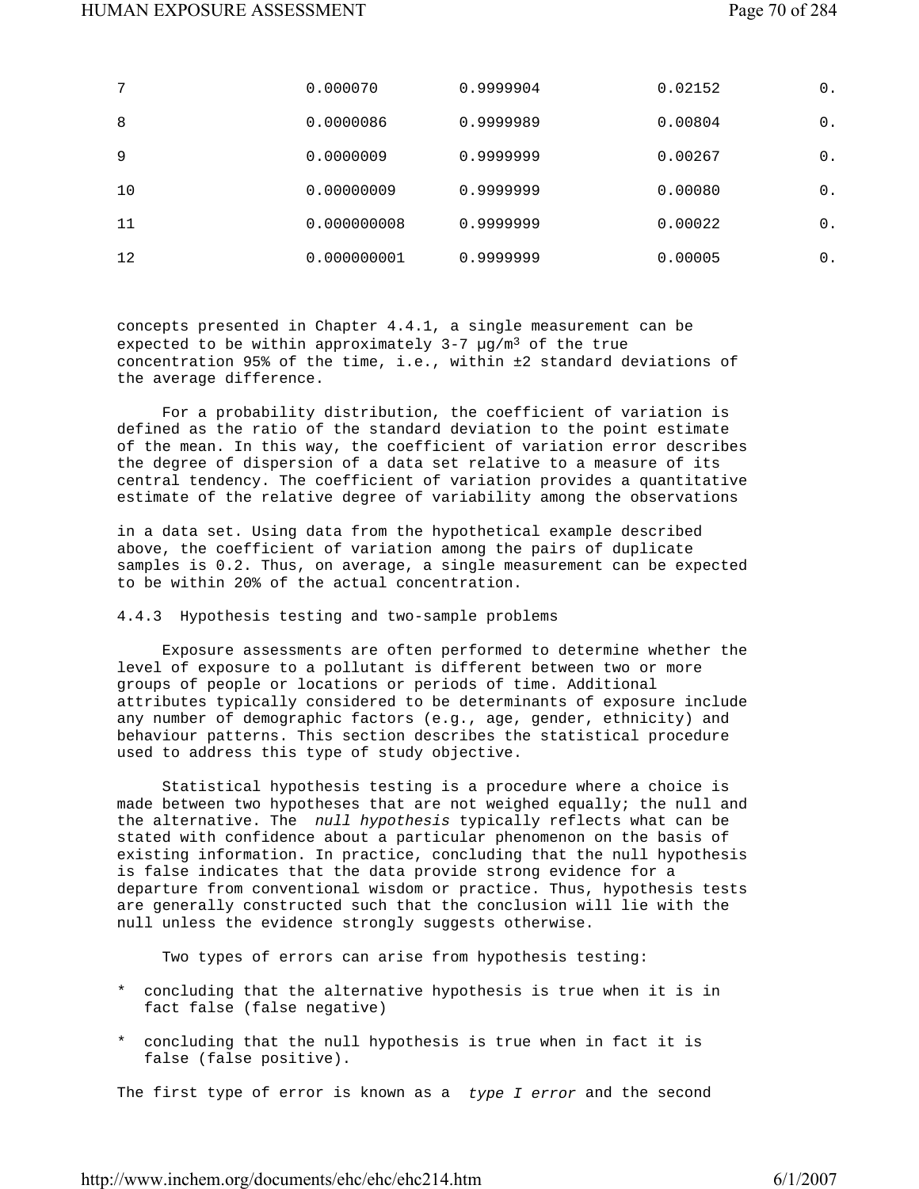| $\mathbf{r}$ | 0.000070    | 0.9999904 | 0.02152 | 0. |
|--------------|-------------|-----------|---------|----|
| 8            | 0.0000086   | 0.9999989 | 0.00804 | 0. |
| 9            | 0.0000009   | 0.9999999 | 0.00267 | 0. |
| 10           | 0.00000009  | 0.9999999 | 0.00080 | 0. |
| 11           | 0.000000008 | 0.9999999 | 0.00022 | 0. |
| 12           | 0.000000001 | 0.9999999 | 0.00005 | 0. |

 concepts presented in Chapter 4.4.1, a single measurement can be expected to be within approximately  $3-7 \mu q/m^3$  of the true concentration 95% of the time, i.e., within ±2 standard deviations of the average difference.

 For a probability distribution, the coefficient of variation is defined as the ratio of the standard deviation to the point estimate of the mean. In this way, the coefficient of variation error describes the degree of dispersion of a data set relative to a measure of its central tendency. The coefficient of variation provides a quantitative estimate of the relative degree of variability among the observations

 in a data set. Using data from the hypothetical example described above, the coefficient of variation among the pairs of duplicate samples is 0.2. Thus, on average, a single measurement can be expected to be within 20% of the actual concentration.

## 4.4.3 Hypothesis testing and two-sample problems

 Exposure assessments are often performed to determine whether the level of exposure to a pollutant is different between two or more groups of people or locations or periods of time. Additional attributes typically considered to be determinants of exposure include any number of demographic factors (e.g., age, gender, ethnicity) and behaviour patterns. This section describes the statistical procedure used to address this type of study objective.

 Statistical hypothesis testing is a procedure where a choice is made between two hypotheses that are not weighed equally; the null and the alternative. The *null hypothesis* typically reflects what can be stated with confidence about a particular phenomenon on the basis of existing information. In practice, concluding that the null hypothesis is false indicates that the data provide strong evidence for a departure from conventional wisdom or practice. Thus, hypothesis tests are generally constructed such that the conclusion will lie with the null unless the evidence strongly suggests otherwise.

Two types of errors can arise from hypothesis testing:

- \* concluding that the alternative hypothesis is true when it is in fact false (false negative)
- \* concluding that the null hypothesis is true when in fact it is false (false positive).

The first type of error is known as a *type I error* and the second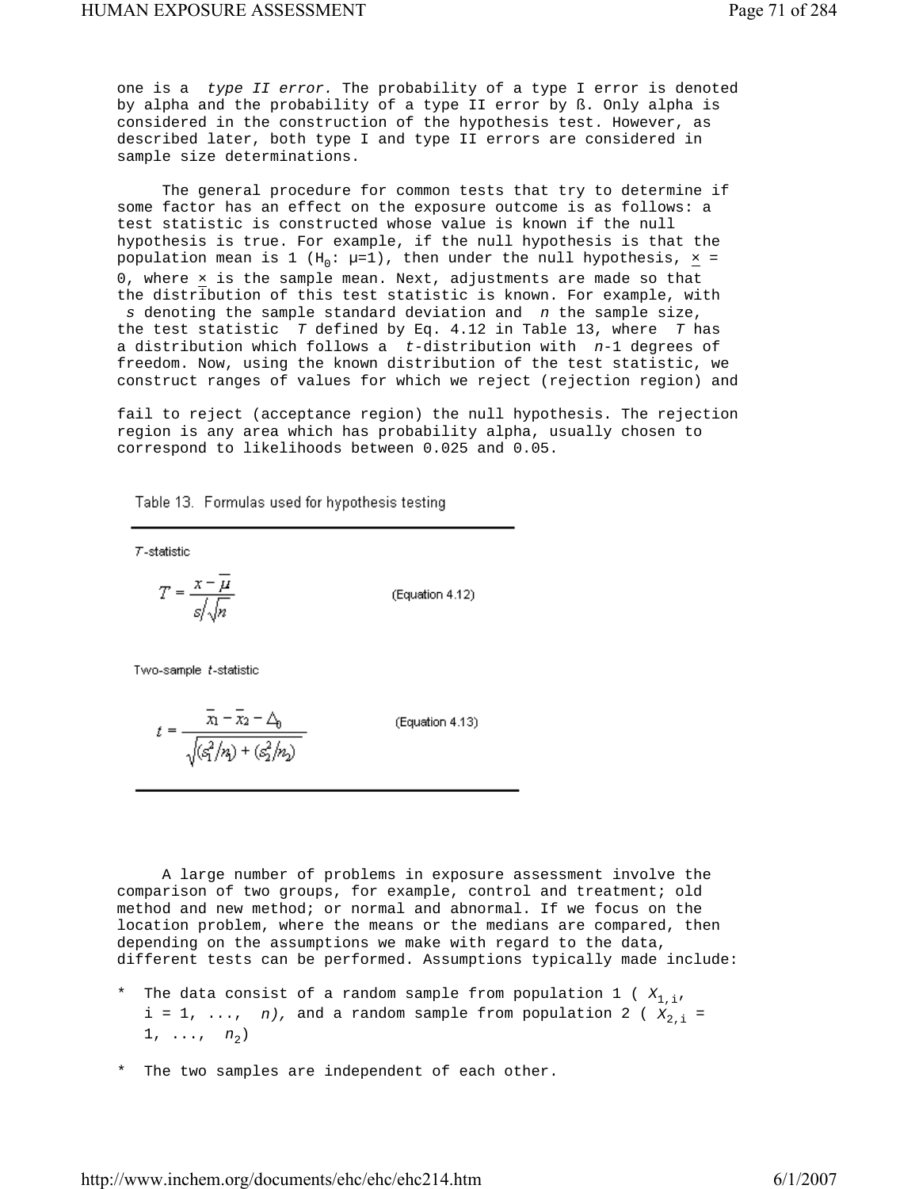one is a *type II error.* The probability of a type I error is denoted by alpha and the probability of a type II error by ß. Only alpha is considered in the construction of the hypothesis test. However, as described later, both type I and type II errors are considered in sample size determinations.

 The general procedure for common tests that try to determine if some factor has an effect on the exposure outcome is as follows: a test statistic is constructed whose value is known if the null hypothesis is true. For example, if the null hypothesis is that the population mean is 1 (H<sub>0</sub>:  $\mu$ =1), then under the null hypothesis,  $\times$  = 0, where  $\times$  is the sample mean. Next, adjustments are made so that the distribution of this test statistic is known. For example, with *s* denoting the sample standard deviation and *n* the sample size, the test statistic *T* defined by Eq. 4.12 in Table 13, where *T* has a distribution which follows a *t-*distribution with *n*-1 degrees of freedom. Now, using the known distribution of the test statistic, we construct ranges of values for which we reject (rejection region) and

 fail to reject (acceptance region) the null hypothesis. The rejection region is any area which has probability alpha, usually chosen to correspond to likelihoods between 0.025 and 0.05.

| Table 13. Formulas used for hypothesis testing. |  |  |  |  |  |  |  |  |  |
|-------------------------------------------------|--|--|--|--|--|--|--|--|--|
|-------------------------------------------------|--|--|--|--|--|--|--|--|--|

**7-statistic** 

$$
T = \frac{x - \mu}{s / \sqrt{n}}
$$

(Equation 4.12)

Two-sample t-statistic

$$
t = \frac{\overline{x}_1 - \overline{x}_2 - \Delta_0}{\sqrt{(s_1^2/n_1) + (s_2^2/n_2)}}
$$
 (Equation 4.13)

 A large number of problems in exposure assessment involve the comparison of two groups, for example, control and treatment; old method and new method; or normal and abnormal. If we focus on the location problem, where the means or the medians are compared, then depending on the assumptions we make with regard to the data, different tests can be performed. Assumptions typically made include:

- \* The data consist of a random sample from population 1 ( $X_{1,i}$ ,  $i = 1, \ldots, n$ , and a random sample from population 2 ( $X_{2,i}$  =  $1, \ldots, n_2)$
- \* The two samples are independent of each other.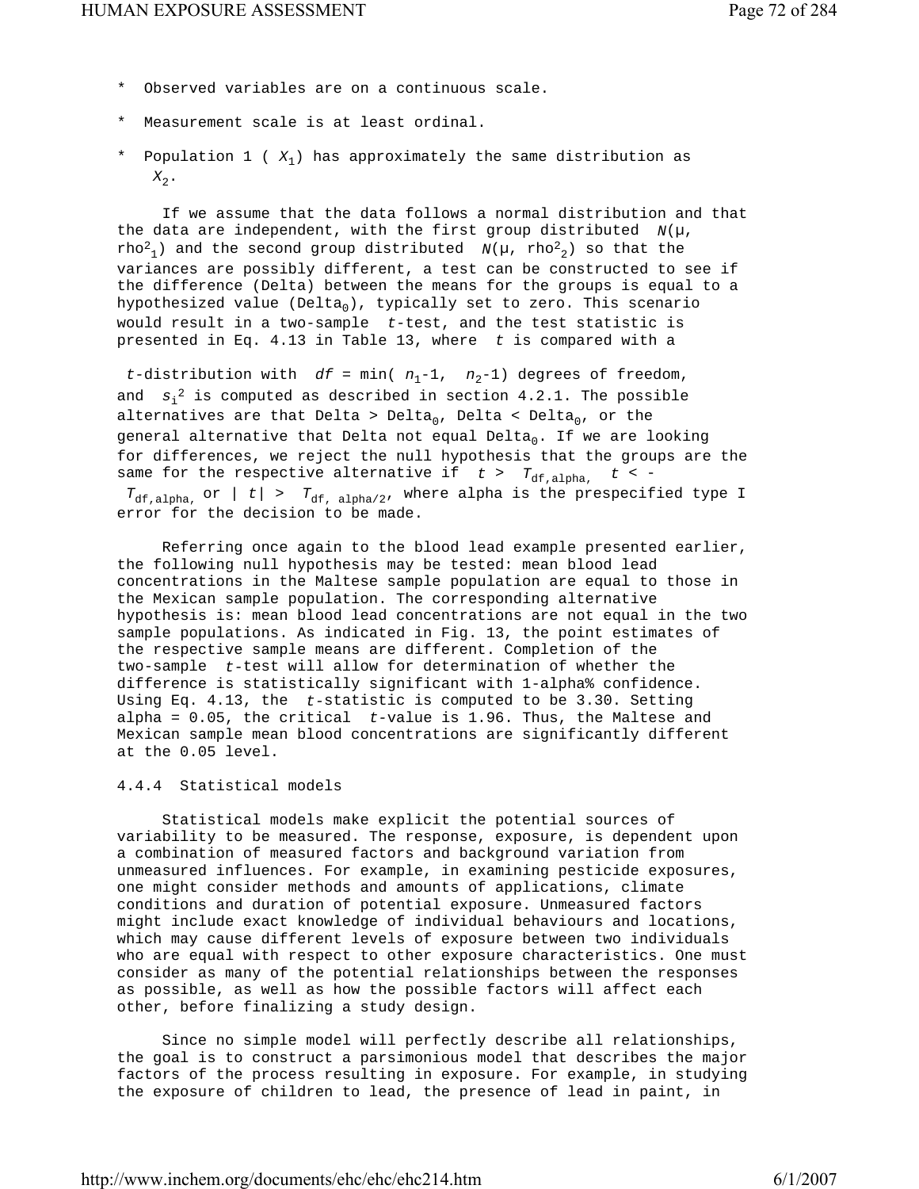- Observed variables are on a continuous scale.
- \* Measurement scale is at least ordinal.
- \* Population 1 ( *X*1) has approximately the same distribution as  $X_2$ .

 If we assume that the data follows a normal distribution and that the data are independent, with the first group distributed  $N(\mu,$ rho<sup>2</sup><sub>1</sub>) and the second group distributed  $N(\mu, rho^2)$  so that the variances are possibly different, a test can be constructed to see if the difference (Delta) between the means for the groups is equal to a hypothesized value (Delta<sub>0</sub>), typically set to zero. This scenario would result in a two-sample *t-*test, and the test statistic is presented in Eq. 4.13 in Table 13, where *t* is compared with a

*t*-distribution with  $df = min( n_1-1, n_2-1)$  degrees of freedom, and *s*<sup>i</sup> 2 is computed as described in section 4.2.1. The possible alternatives are that Delta > Delta<sub>0</sub>, Delta < Delta<sub>0</sub>, or the general alternative that Delta not equal Delta<sub>0</sub>. If we are looking for differences, we reject the null hypothesis that the groups are the same for the respective alternative if  $t > T_{df,alpha}$ ,  $t < -1$  $T_{df,alpha}$  or  $|t|$  >  $T_{df, alpha/2}$ , where alpha is the prespecified type I error for the decision to be made.

 Referring once again to the blood lead example presented earlier, the following null hypothesis may be tested: mean blood lead concentrations in the Maltese sample population are equal to those in the Mexican sample population. The corresponding alternative hypothesis is: mean blood lead concentrations are not equal in the two sample populations. As indicated in Fig. 13, the point estimates of the respective sample means are different. Completion of the two-sample *t-*test will allow for determination of whether the difference is statistically significant with 1-alpha% confidence. Using Eq. 4.13, the *t-*statistic is computed to be 3.30. Setting alpha = 0.05, the critical *t-*value is 1.96. Thus, the Maltese and Mexican sample mean blood concentrations are significantly different at the 0.05 level.

# 4.4.4 Statistical models

 Statistical models make explicit the potential sources of variability to be measured. The response, exposure, is dependent upon a combination of measured factors and background variation from unmeasured influences. For example, in examining pesticide exposures, one might consider methods and amounts of applications, climate conditions and duration of potential exposure. Unmeasured factors might include exact knowledge of individual behaviours and locations, which may cause different levels of exposure between two individuals who are equal with respect to other exposure characteristics. One must consider as many of the potential relationships between the responses as possible, as well as how the possible factors will affect each other, before finalizing a study design.

 Since no simple model will perfectly describe all relationships, the goal is to construct a parsimonious model that describes the major factors of the process resulting in exposure. For example, in studying the exposure of children to lead, the presence of lead in paint, in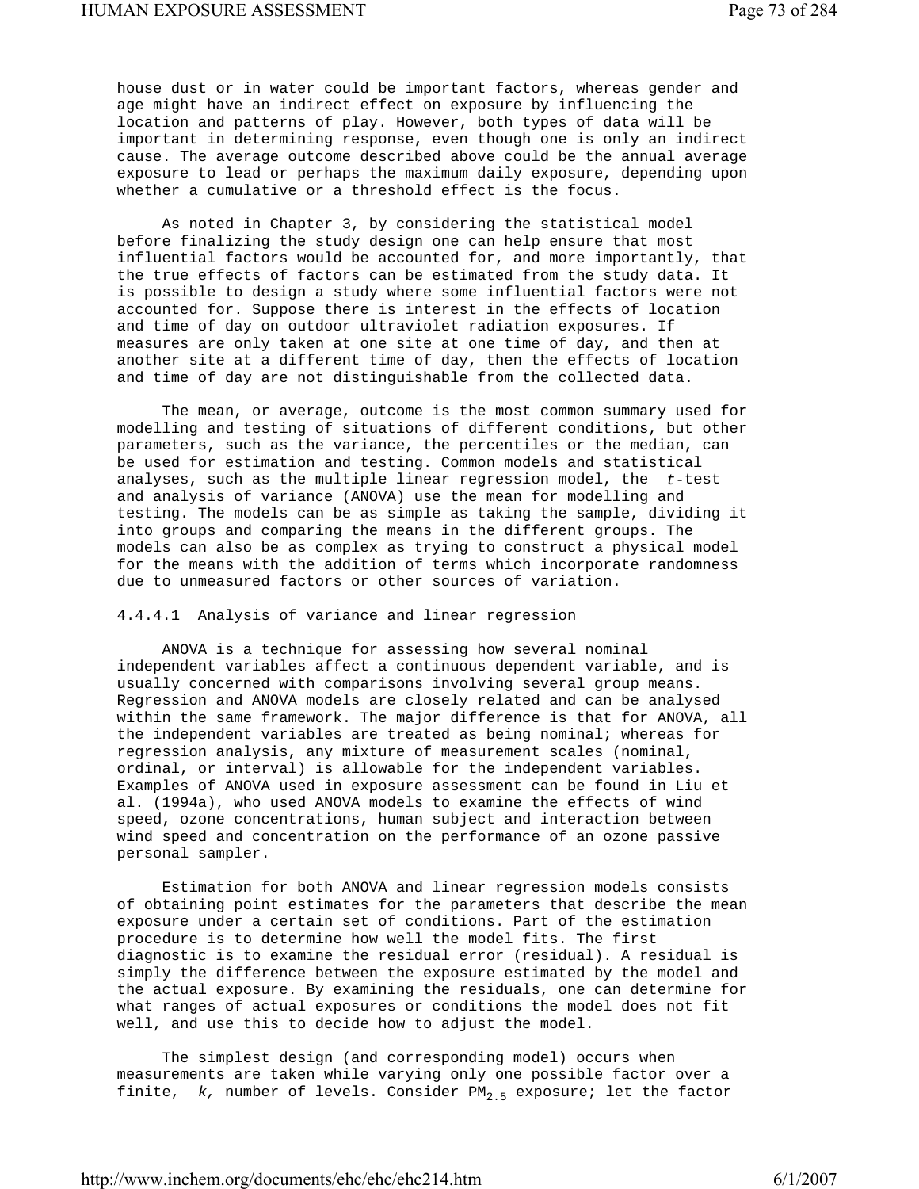house dust or in water could be important factors, whereas gender and age might have an indirect effect on exposure by influencing the location and patterns of play. However, both types of data will be important in determining response, even though one is only an indirect cause. The average outcome described above could be the annual average exposure to lead or perhaps the maximum daily exposure, depending upon whether a cumulative or a threshold effect is the focus.

 As noted in Chapter 3, by considering the statistical model before finalizing the study design one can help ensure that most influential factors would be accounted for, and more importantly, that the true effects of factors can be estimated from the study data. It is possible to design a study where some influential factors were not accounted for. Suppose there is interest in the effects of location and time of day on outdoor ultraviolet radiation exposures. If measures are only taken at one site at one time of day, and then at another site at a different time of day, then the effects of location and time of day are not distinguishable from the collected data.

 The mean, or average, outcome is the most common summary used for modelling and testing of situations of different conditions, but other parameters, such as the variance, the percentiles or the median, can be used for estimation and testing. Common models and statistical analyses, such as the multiple linear regression model, the *t-*test and analysis of variance (ANOVA) use the mean for modelling and testing. The models can be as simple as taking the sample, dividing it into groups and comparing the means in the different groups. The models can also be as complex as trying to construct a physical model for the means with the addition of terms which incorporate randomness due to unmeasured factors or other sources of variation.

## 4.4.4.1 Analysis of variance and linear regression

 ANOVA is a technique for assessing how several nominal independent variables affect a continuous dependent variable, and is usually concerned with comparisons involving several group means. Regression and ANOVA models are closely related and can be analysed within the same framework. The major difference is that for ANOVA, all the independent variables are treated as being nominal; whereas for regression analysis, any mixture of measurement scales (nominal, ordinal, or interval) is allowable for the independent variables. Examples of ANOVA used in exposure assessment can be found in Liu et al. (1994a), who used ANOVA models to examine the effects of wind speed, ozone concentrations, human subject and interaction between wind speed and concentration on the performance of an ozone passive personal sampler.

 Estimation for both ANOVA and linear regression models consists of obtaining point estimates for the parameters that describe the mean exposure under a certain set of conditions. Part of the estimation procedure is to determine how well the model fits. The first diagnostic is to examine the residual error (residual). A residual is simply the difference between the exposure estimated by the model and the actual exposure. By examining the residuals, one can determine for what ranges of actual exposures or conditions the model does not fit well, and use this to decide how to adjust the model.

 The simplest design (and corresponding model) occurs when measurements are taken while varying only one possible factor over a finite,  $k$ , number of levels. Consider PM<sub>2.5</sub> exposure; let the factor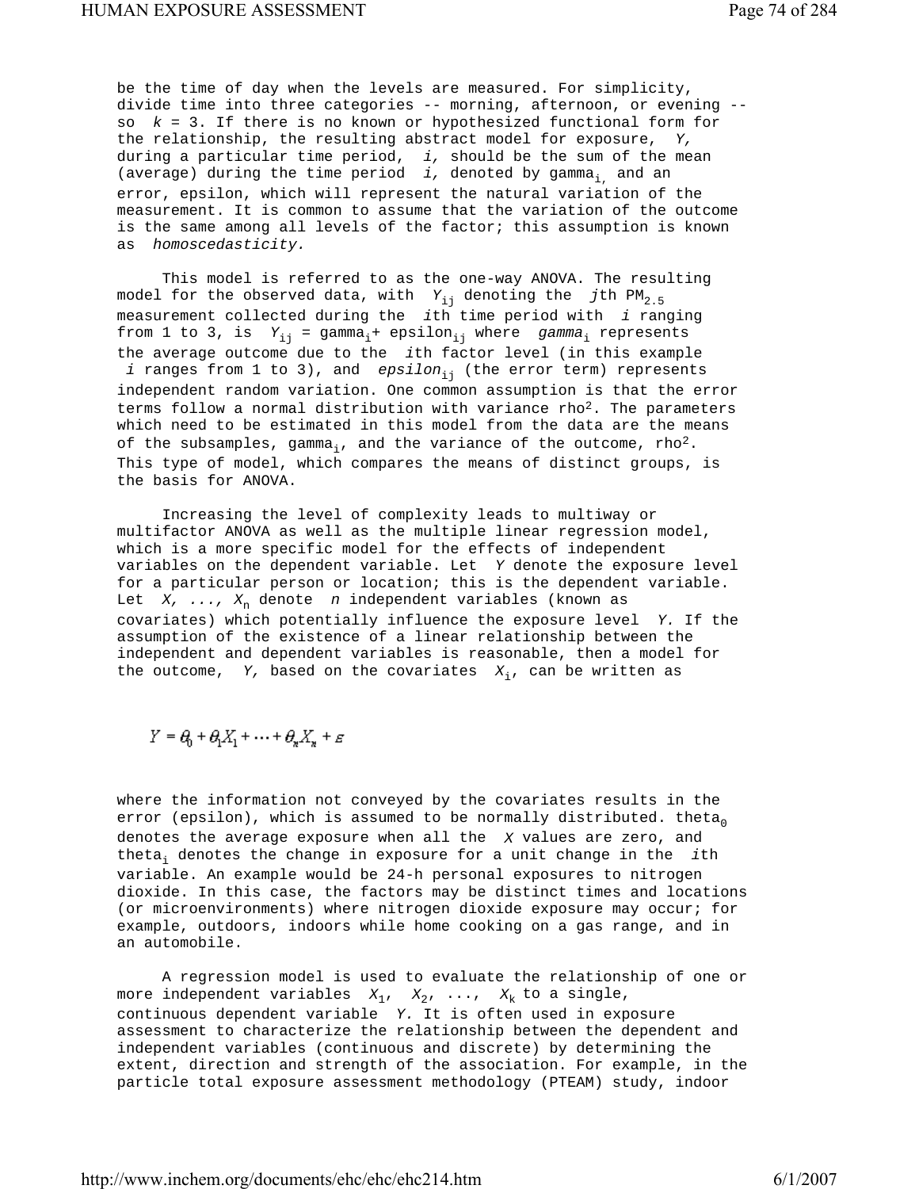be the time of day when the levels are measured. For simplicity, divide time into three categories -- morning, afternoon, or evening - so *k* = 3. If there is no known or hypothesized functional form for the relationship, the resulting abstract model for exposure, *Y,*  during a particular time period, *i,* should be the sum of the mean (average) during the time period *i*, denoted by gamma<sub>i</sub> and an error, epsilon, which will represent the natural variation of the measurement. It is common to assume that the variation of the outcome is the same among all levels of the factor; this assumption is known as *homoscedasticity.* 

 This model is referred to as the one-way ANOVA. The resulting model for the observed data, with  $Y_{i,j}$  denoting the *j*th PM<sub>2.5</sub> measurement collected during the *i*th time period with *i* ranging from 1 to 3, is  $Y_{i,j}$  = gamma<sub>i</sub> + epsilon<sub>ij</sub> where  $gamma_i$  represents the average outcome due to the *i*th factor level (in this example *i* ranges from 1 to 3), and *epsilon*<sub>ij</sub> (the error term) represents independent random variation. One common assumption is that the error terms follow a normal distribution with variance  $rho^2$ . The parameters which need to be estimated in this model from the data are the means of the subsamples, gamma<sub>i</sub>, and the variance of the outcome, rho<sup>2</sup>. This type of model, which compares the means of distinct groups, is the basis for ANOVA.

 Increasing the level of complexity leads to multiway or multifactor ANOVA as well as the multiple linear regression model, which is a more specific model for the effects of independent variables on the dependent variable. Let *Y* denote the exposure level for a particular person or location; this is the dependent variable. Let *X, ..., X*<sub>n</sub> denote *n* independent variables (known as covariates) which potentially influence the exposure level *Y.* If the assumption of the existence of a linear relationship between the independent and dependent variables is reasonable, then a model for the outcome, *Y*, based on the covariates  $X_i$ , can be written as

 $Y = \theta_0 + \theta_1 X_1 + \dots + \theta_n X_n + \varepsilon$ 

 where the information not conveyed by the covariates results in the error (epsilon), which is assumed to be normally distributed. theta $_0$  denotes the average exposure when all the *X* values are zero, and thetai denotes the change in exposure for a unit change in the *i*th variable. An example would be 24-h personal exposures to nitrogen dioxide. In this case, the factors may be distinct times and locations (or microenvironments) where nitrogen dioxide exposure may occur; for example, outdoors, indoors while home cooking on a gas range, and in an automobile.

 A regression model is used to evaluate the relationship of one or more independent variables  $X_1$ ,  $X_2$ , ...,  $X_k$  to a single, continuous dependent variable *Y.* It is often used in exposure assessment to characterize the relationship between the dependent and independent variables (continuous and discrete) by determining the extent, direction and strength of the association. For example, in the particle total exposure assessment methodology (PTEAM) study, indoor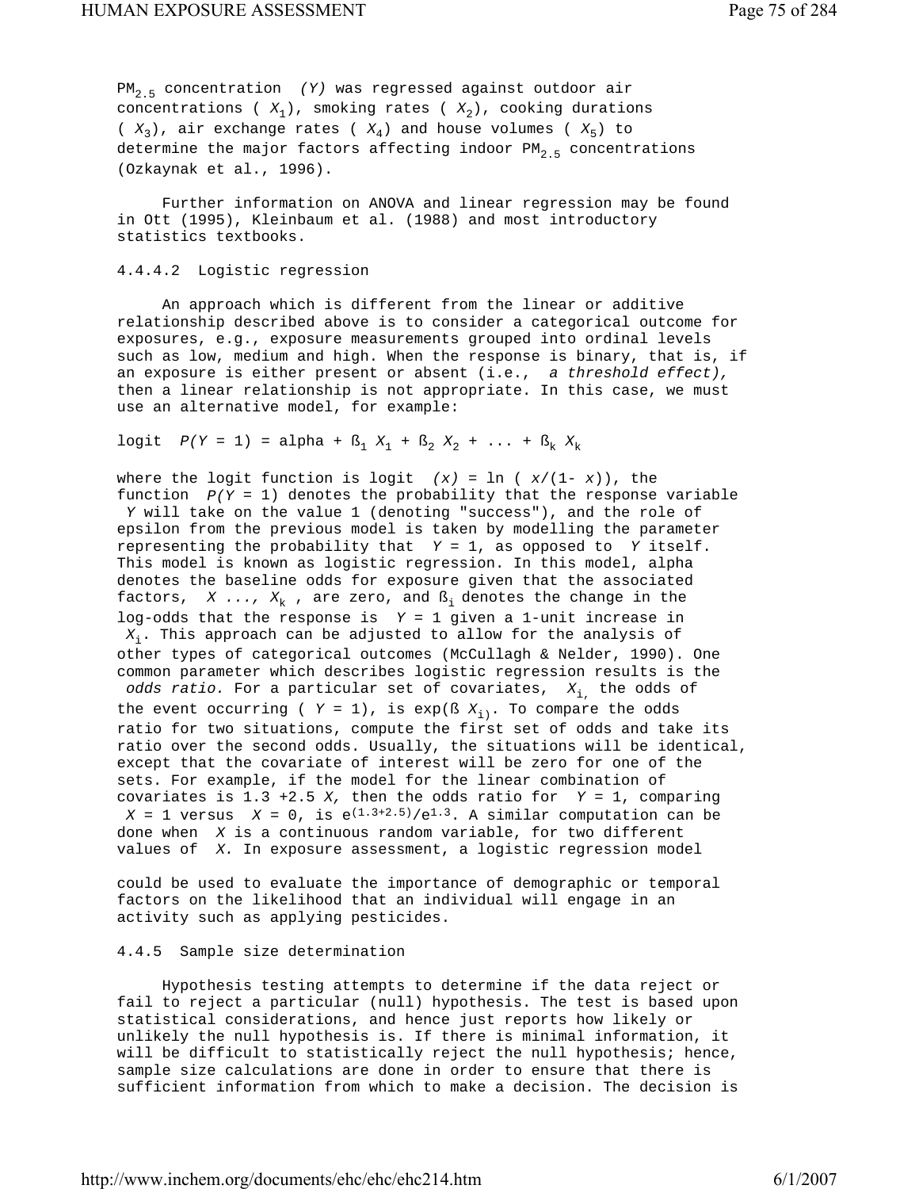PM2.5 concentration *(Y)* was regressed against outdoor air concentrations ( $X_1$ ), smoking rates ( $X_2$ ), cooking durations ( $X_3$ ), air exchange rates ( $X_4$ ) and house volumes ( $X_5$ ) to determine the major factors affecting indoor PM<sub>25</sub> concentrations (Ozkaynak et al., 1996).

 Further information on ANOVA and linear regression may be found in Ott (1995), Kleinbaum et al. (1988) and most introductory statistics textbooks.

4.4.4.2 Logistic regression

 An approach which is different from the linear or additive relationship described above is to consider a categorical outcome for exposures, e.g., exposure measurements grouped into ordinal levels such as low, medium and high. When the response is binary, that is, if an exposure is either present or absent (i.e., *a threshold effect),*  then a linear relationship is not appropriate. In this case, we must use an alternative model, for example:

logit  $P(Y = 1) = \text{alpha} + \beta_1 X_1 + \beta_2 X_2 + \ldots + \beta_k X_k$ 

where the logit function is logit  $(x) = \ln (x/(1-x))$ , the function  $P(Y = 1)$  denotes the probability that the response variable *Y* will take on the value 1 (denoting "success"), and the role of epsilon from the previous model is taken by modelling the parameter representing the probability that *Y* = 1, as opposed to *Y* itself. This model is known as logistic regression. In this model, alpha denotes the baseline odds for exposure given that the associated factors,  $X$  ...,  $X_k$ , are zero, and  $\mathcal{B}_i$  denotes the change in the log-odds that the response is *Y* = 1 given a 1-unit increase in *X*i. This approach can be adjusted to allow for the analysis of other types of categorical outcomes (McCullagh & Nelder, 1990). One common parameter which describes logistic regression results is the *odds ratio.* For a particular set of covariates, *X*i, the odds of the event occurring ( $Y = 1$ ), is  $exp(fs X_{i})$ . To compare the odds ratio for two situations, compute the first set of odds and take its ratio over the second odds. Usually, the situations will be identical, except that the covariate of interest will be zero for one of the sets. For example, if the model for the linear combination of covariates is 1.3 +2.5 *X,* then the odds ratio for *Y* = 1, comparing  $X = 1$  versus  $X = 0$ , is  $e^{(1.3+2.5)}/e^{1.3}$ . A similar computation can be done when *X* is a continuous random variable, for two different values of *X.* In exposure assessment, a logistic regression model

 could be used to evaluate the importance of demographic or temporal factors on the likelihood that an individual will engage in an activity such as applying pesticides.

## 4.4.5 Sample size determination

 Hypothesis testing attempts to determine if the data reject or fail to reject a particular (null) hypothesis. The test is based upon statistical considerations, and hence just reports how likely or unlikely the null hypothesis is. If there is minimal information, it will be difficult to statistically reject the null hypothesis; hence, sample size calculations are done in order to ensure that there is sufficient information from which to make a decision. The decision is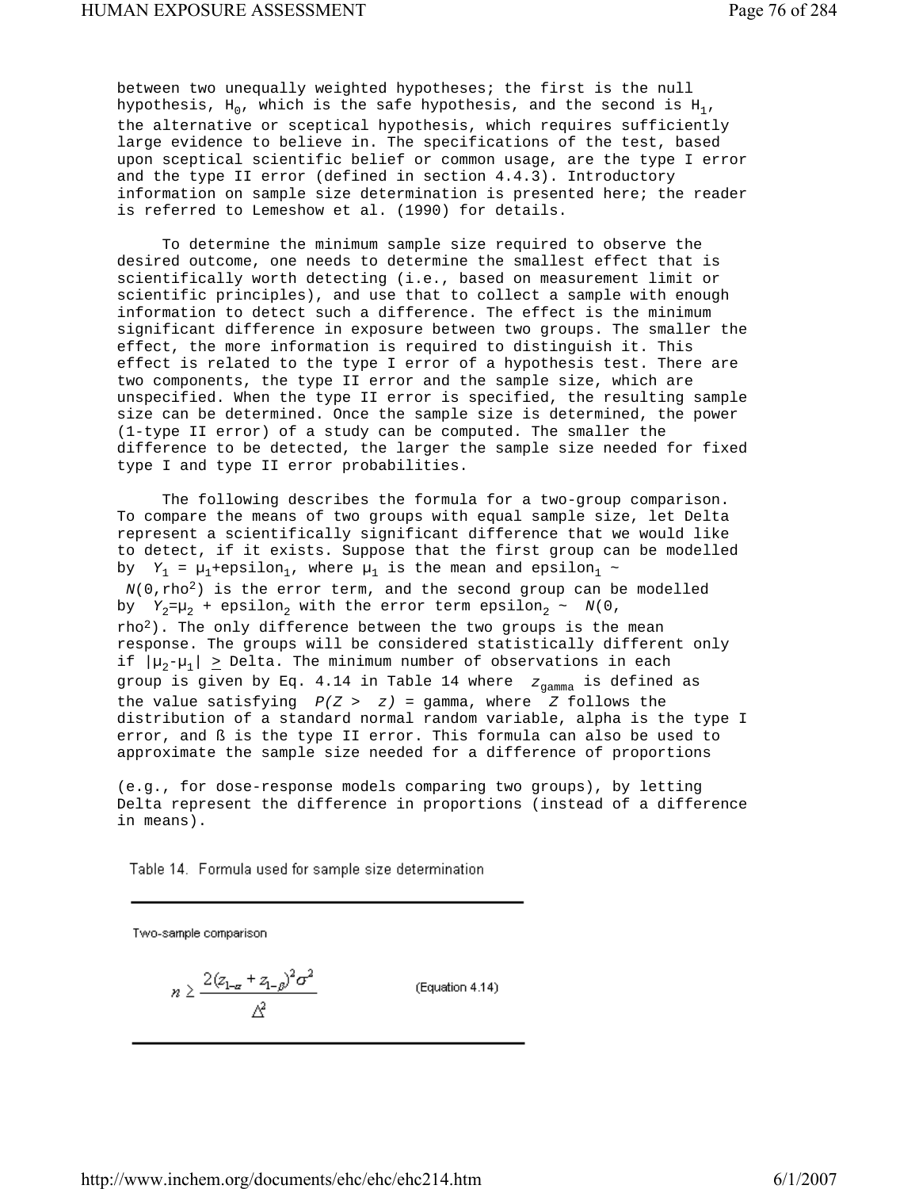between two unequally weighted hypotheses; the first is the null hypothesis,  $H_0$ , which is the safe hypothesis, and the second is  $H_1$ , the alternative or sceptical hypothesis, which requires sufficiently large evidence to believe in. The specifications of the test, based upon sceptical scientific belief or common usage, are the type I error and the type II error (defined in section 4.4.3). Introductory information on sample size determination is presented here; the reader is referred to Lemeshow et al. (1990) for details.

 To determine the minimum sample size required to observe the desired outcome, one needs to determine the smallest effect that is scientifically worth detecting (i.e., based on measurement limit or scientific principles), and use that to collect a sample with enough information to detect such a difference. The effect is the minimum significant difference in exposure between two groups. The smaller the effect, the more information is required to distinguish it. This effect is related to the type I error of a hypothesis test. There are two components, the type II error and the sample size, which are unspecified. When the type II error is specified, the resulting sample size can be determined. Once the sample size is determined, the power (1-type II error) of a study can be computed. The smaller the difference to be detected, the larger the sample size needed for fixed type I and type II error probabilities.

 The following describes the formula for a two-group comparison. To compare the means of two groups with equal sample size, let Delta represent a scientifically significant difference that we would like to detect, if it exists. Suppose that the first group can be modelled by  $Y_1 = \mu_1 + \text{epsilon}_1$ , where  $\mu_1$  is the mean and epsilon<sub>1</sub> ~ *N*(0,rho2) is the error term, and the second group can be modelled by  $Y_2=µ_2$  + epsilon, with the error term epsilon,  $\sim N(0, 1)$  $rho<sup>2</sup>$ ). The only difference between the two groups is the mean response. The groups will be considered statistically different only if  $|\mu_2-\mu_1| \geq 2$  Delta. The minimum number of observations in each group is given by Eq. 4.14 in Table 14 where  $z_{\text{gamma}}$  is defined as the value satisfying  $P(Z > z) = \text{gamma}$ , where *Z* follows the distribution of a standard normal random variable, alpha is the type I error, and ß is the type II error. This formula can also be used to approximate the sample size needed for a difference of proportions

 (e.g., for dose-response models comparing two groups), by letting Delta represent the difference in proportions (instead of a difference in means).

Table 14. Formula used for sample size determination

Two-sample comparison

 $n \geq \frac{2(z_{1-\alpha}+z_{1-\beta})^2\sigma^2}{\lambda^2}$ 

(Equation 4.14)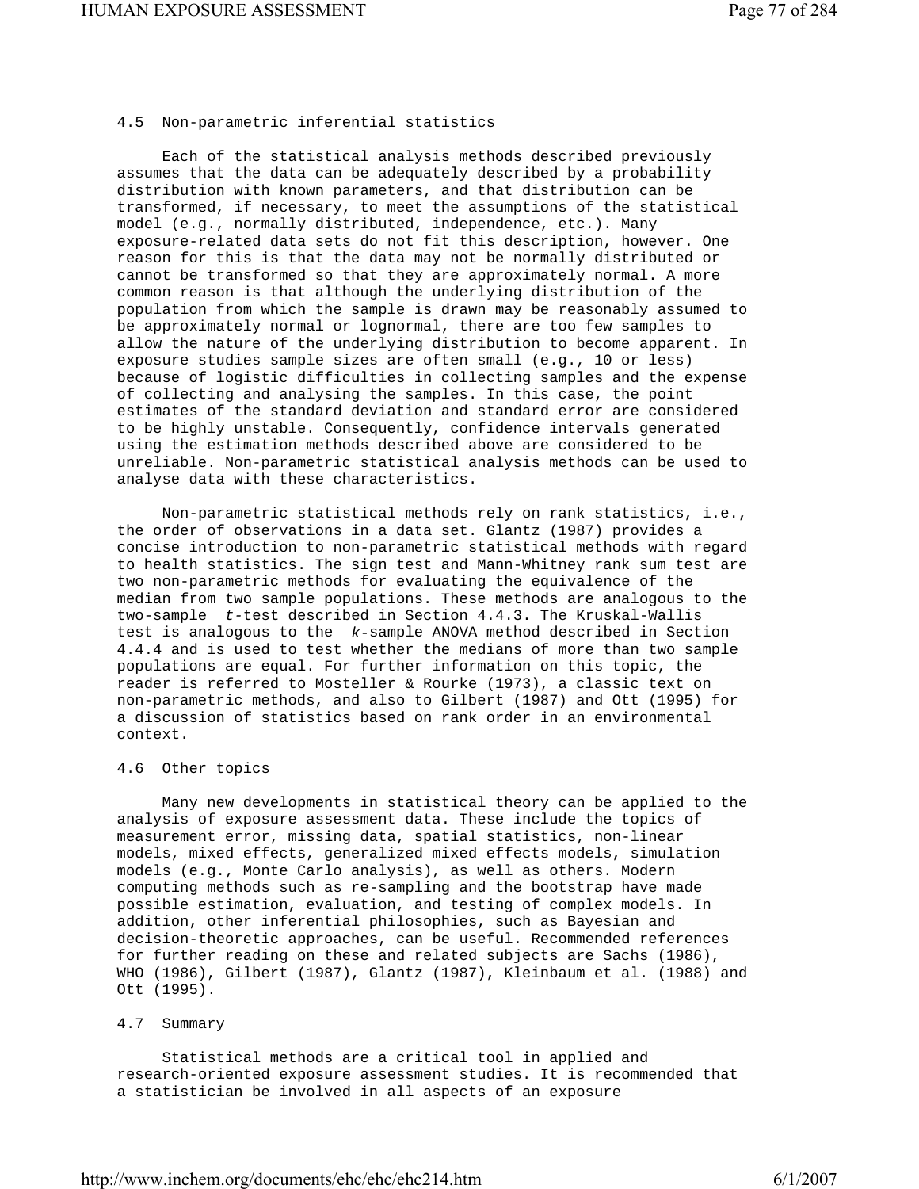# 4.5 Non-parametric inferential statistics

 Each of the statistical analysis methods described previously assumes that the data can be adequately described by a probability distribution with known parameters, and that distribution can be transformed, if necessary, to meet the assumptions of the statistical model (e.g., normally distributed, independence, etc.). Many exposure-related data sets do not fit this description, however. One reason for this is that the data may not be normally distributed or cannot be transformed so that they are approximately normal. A more common reason is that although the underlying distribution of the population from which the sample is drawn may be reasonably assumed to be approximately normal or lognormal, there are too few samples to allow the nature of the underlying distribution to become apparent. In exposure studies sample sizes are often small (e.g., 10 or less) because of logistic difficulties in collecting samples and the expense of collecting and analysing the samples. In this case, the point estimates of the standard deviation and standard error are considered to be highly unstable. Consequently, confidence intervals generated using the estimation methods described above are considered to be unreliable. Non-parametric statistical analysis methods can be used to analyse data with these characteristics.

 Non-parametric statistical methods rely on rank statistics, i.e., the order of observations in a data set. Glantz (1987) provides a concise introduction to non-parametric statistical methods with regard to health statistics. The sign test and Mann-Whitney rank sum test are two non-parametric methods for evaluating the equivalence of the median from two sample populations. These methods are analogous to the two-sample *t-*test described in Section 4.4.3. The Kruskal-Wallis test is analogous to the *k-*sample ANOVA method described in Section 4.4.4 and is used to test whether the medians of more than two sample populations are equal. For further information on this topic, the reader is referred to Mosteller & Rourke (1973), a classic text on non-parametric methods, and also to Gilbert (1987) and Ott (1995) for a discussion of statistics based on rank order in an environmental context.

# 4.6 Other topics

 Many new developments in statistical theory can be applied to the analysis of exposure assessment data. These include the topics of measurement error, missing data, spatial statistics, non-linear models, mixed effects, generalized mixed effects models, simulation models (e.g., Monte Carlo analysis), as well as others. Modern computing methods such as re-sampling and the bootstrap have made possible estimation, evaluation, and testing of complex models. In addition, other inferential philosophies, such as Bayesian and decision-theoretic approaches, can be useful. Recommended references for further reading on these and related subjects are Sachs (1986), WHO (1986), Gilbert (1987), Glantz (1987), Kleinbaum et al. (1988) and Ott (1995).

# 4.7 Summary

 Statistical methods are a critical tool in applied and research-oriented exposure assessment studies. It is recommended that a statistician be involved in all aspects of an exposure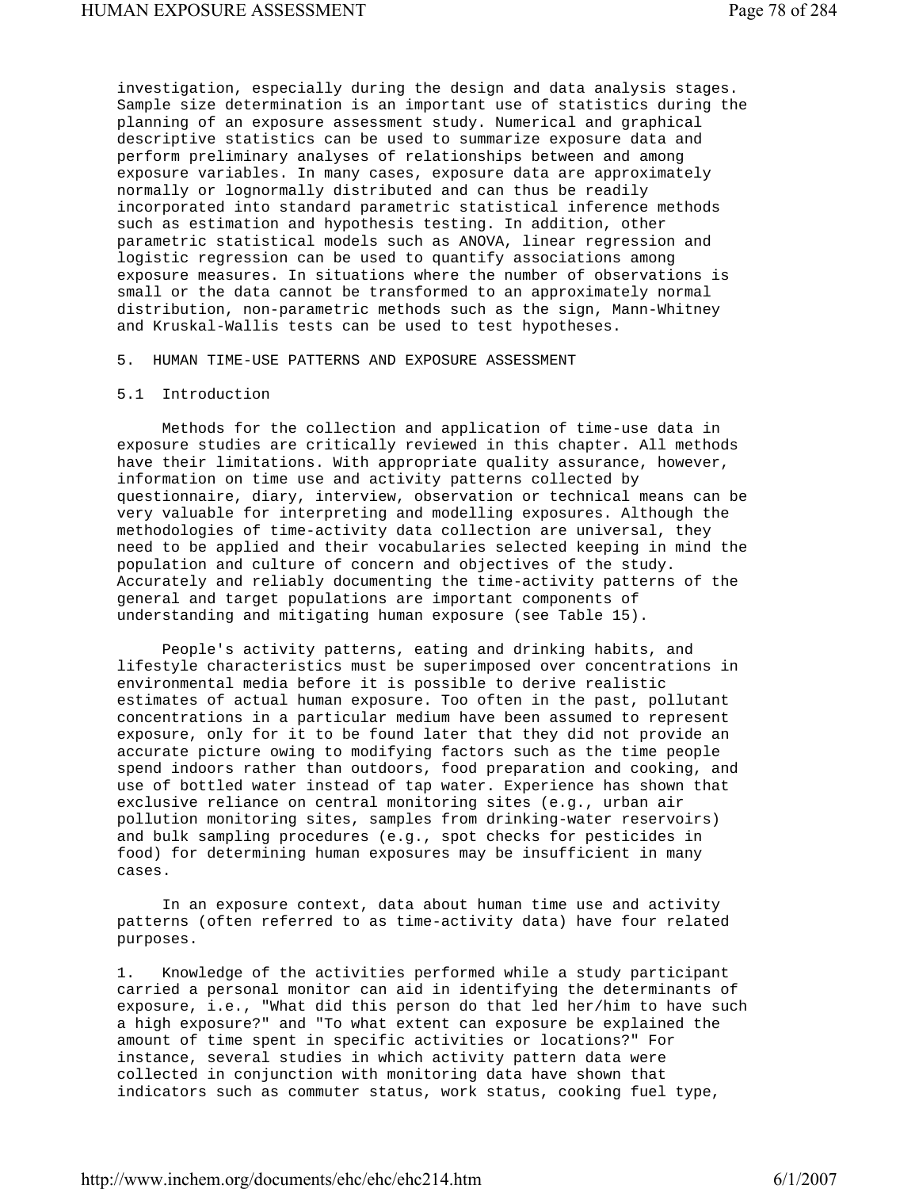investigation, especially during the design and data analysis stages. Sample size determination is an important use of statistics during the planning of an exposure assessment study. Numerical and graphical descriptive statistics can be used to summarize exposure data and perform preliminary analyses of relationships between and among exposure variables. In many cases, exposure data are approximately normally or lognormally distributed and can thus be readily incorporated into standard parametric statistical inference methods such as estimation and hypothesis testing. In addition, other parametric statistical models such as ANOVA, linear regression and logistic regression can be used to quantify associations among exposure measures. In situations where the number of observations is small or the data cannot be transformed to an approximately normal distribution, non-parametric methods such as the sign, Mann-Whitney and Kruskal-Wallis tests can be used to test hypotheses.

#### 5. HUMAN TIME-USE PATTERNS AND EXPOSURE ASSESSMENT

## 5.1 Introduction

 Methods for the collection and application of time-use data in exposure studies are critically reviewed in this chapter. All methods have their limitations. With appropriate quality assurance, however, information on time use and activity patterns collected by questionnaire, diary, interview, observation or technical means can be very valuable for interpreting and modelling exposures. Although the methodologies of time-activity data collection are universal, they need to be applied and their vocabularies selected keeping in mind the population and culture of concern and objectives of the study. Accurately and reliably documenting the time-activity patterns of the general and target populations are important components of understanding and mitigating human exposure (see Table 15).

 People's activity patterns, eating and drinking habits, and lifestyle characteristics must be superimposed over concentrations in environmental media before it is possible to derive realistic estimates of actual human exposure. Too often in the past, pollutant concentrations in a particular medium have been assumed to represent exposure, only for it to be found later that they did not provide an accurate picture owing to modifying factors such as the time people spend indoors rather than outdoors, food preparation and cooking, and use of bottled water instead of tap water. Experience has shown that exclusive reliance on central monitoring sites (e.g., urban air pollution monitoring sites, samples from drinking-water reservoirs) and bulk sampling procedures (e.g., spot checks for pesticides in food) for determining human exposures may be insufficient in many cases.

 In an exposure context, data about human time use and activity patterns (often referred to as time-activity data) have four related purposes.

 1. Knowledge of the activities performed while a study participant carried a personal monitor can aid in identifying the determinants of exposure, i.e., "What did this person do that led her/him to have such a high exposure?" and "To what extent can exposure be explained the amount of time spent in specific activities or locations?" For instance, several studies in which activity pattern data were collected in conjunction with monitoring data have shown that indicators such as commuter status, work status, cooking fuel type,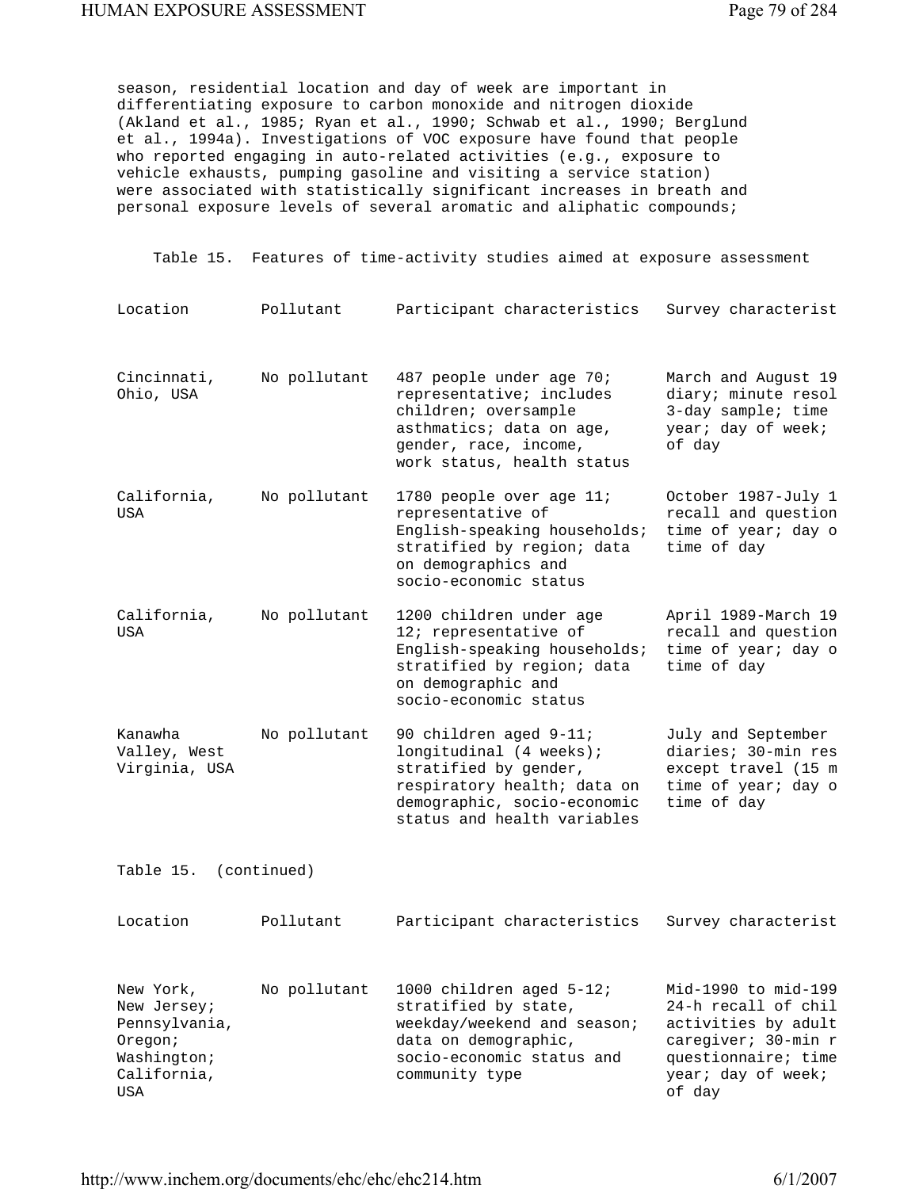season, residential location and day of week are important in differentiating exposure to carbon monoxide and nitrogen dioxide (Akland et al., 1985; Ryan et al., 1990; Schwab et al., 1990; Berglund et al., 1994a). Investigations of VOC exposure have found that people who reported engaging in auto-related activities (e.g., exposure to vehicle exhausts, pumping gasoline and visiting a service station) were associated with statistically significant increases in breath and personal exposure levels of several aromatic and aliphatic compounds;

Table 15. Features of time-activity studies aimed at exposure assessment

| Location                                                                                         | Pollutant    | Participant characteristics                                                                                                                                             | Survey characterist                                                                                                                             |
|--------------------------------------------------------------------------------------------------|--------------|-------------------------------------------------------------------------------------------------------------------------------------------------------------------------|-------------------------------------------------------------------------------------------------------------------------------------------------|
| Cincinnati,<br>Ohio, USA                                                                         | No pollutant | 487 people under age 70;<br>representative; includes<br>children; oversample<br>asthmatics; data on age,<br>gender, race, income,<br>work status, health status         | March and August 19<br>diary; minute resol<br>3-day sample; time<br>year; day of week;<br>of day                                                |
| California,<br>USA                                                                               | No pollutant | 1780 people over age 11;<br>representative of<br>English-speaking households;<br>stratified by region; data<br>on demographics and<br>socio-economic status             | October 1987-July 1<br>recall and question<br>time of year; day o<br>time of day                                                                |
| California,<br><b>USA</b>                                                                        | No pollutant | 1200 children under age<br>12; representative of<br>English-speaking households;<br>stratified by region; data<br>on demographic and<br>socio-economic status           | April 1989-March 19<br>recall and question<br>time of year; day o<br>time of day                                                                |
| Kanawha<br>Valley, West<br>Virginia, USA                                                         | No pollutant | 90 children aged 9-11;<br>longitudinal (4 weeks);<br>stratified by gender,<br>respiratory health; data on<br>demographic, socio-economic<br>status and health variables | July and September<br>diaries; 30-min res<br>except travel (15 m<br>time of year; day o<br>time of day                                          |
| Table 15.                                                                                        | (continued)  |                                                                                                                                                                         |                                                                                                                                                 |
| Location                                                                                         | Pollutant    | Participant characteristics                                                                                                                                             | Survey characterist                                                                                                                             |
| New York,<br>New Jersey;<br>Pennsylvania,<br>Oregon;<br>Washington;<br>California,<br><b>USA</b> | No pollutant | 1000 children aged 5-12;<br>stratified by state,<br>weekday/weekend and season;<br>data on demographic,<br>socio-economic status and<br>community type                  | Mid-1990 to mid-199<br>24-h recall of chil<br>activities by adult<br>caregiver; 30-min r<br>questionnaire; time<br>year; day of week;<br>of day |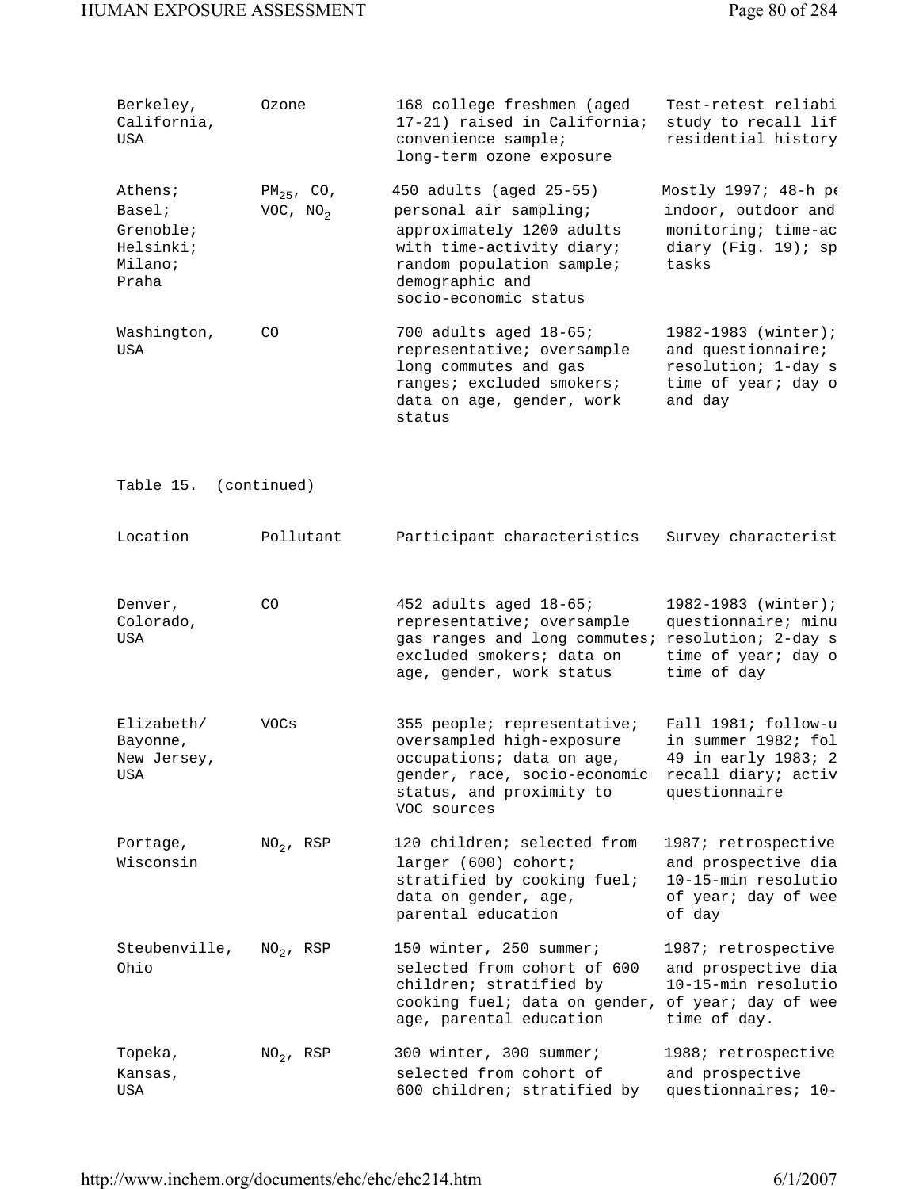| Berkeley,<br>California,<br><b>USA</b>                          | Ozone                         | 168 college freshmen (aged<br>17-21) raised in California;<br>convenience sample;<br>long-term ozone exposure                                                                        | Test-retest reliabi<br>study to recall lif<br>residential history                                         |
|-----------------------------------------------------------------|-------------------------------|--------------------------------------------------------------------------------------------------------------------------------------------------------------------------------------|-----------------------------------------------------------------------------------------------------------|
| Athens;<br>Basel;<br>Grenoble;<br>Helsinki;<br>Milano;<br>Praha | $PM_{25}$ , CO,<br>VOC, $NO2$ | 450 adults (aged 25-55)<br>personal air sampling;<br>approximately 1200 adults<br>with time-activity diary;<br>random population sample;<br>demographic and<br>socio-economic status | Mostly 1997; 48-h pe<br>indoor, outdoor and<br>monitoring; time-ac<br>diary (Fig. 19); sp<br>tasks        |
| Washington,<br>USA                                              | CO.                           | 700 adults aged 18-65;<br>representative; oversample<br>long commutes and gas<br>ranges; excluded smokers;<br>data on age, gender, work<br>status                                    | 1982-1983 (winter);<br>and questionnaire;<br>resolution; 1-day s<br>time of year; day o<br>and day        |
| Table 15.                                                       | (continued)                   |                                                                                                                                                                                      |                                                                                                           |
| Location                                                        | Pollutant                     | Participant characteristics                                                                                                                                                          | Survey characterist                                                                                       |
| Denver,<br>Colorado,<br>USA                                     | CO.                           | 452 adults aged 18-65;<br>representative; oversample<br>gas ranges and long commutes;<br>excluded smokers; data on<br>age, gender, work status                                       | 1982-1983 (winter);<br>questionnaire; minu<br>resolution; 2-day s<br>time of year; day o<br>time of day   |
| Elizabeth/<br>Bayonne,<br>New Jersey,<br>USA                    | VOCs                          | 355 people; representative;<br>oversampled high-exposure<br>occupations; data on age,<br>gender, race, socio-economic<br>status, and proximity to<br>VOC sources                     | Fall 1981; follow-u<br>in summer 1982; fol<br>49 in early 1983; 2<br>recall diary; activ<br>questionnaire |
| Portage,<br>Wisconsin                                           | $NO2$ , RSP                   | 120 children; selected from<br>larger (600) cohort;<br>stratified by cooking fuel;<br>data on gender, age,<br>parental education                                                     | 1987; retrospective<br>and prospective dia<br>10-15-min resolutio<br>of year; day of wee<br>of day        |
| Steubenville,<br>Ohio                                           | $NO2$ , RSP                   | 150 winter, 250 summer;<br>selected from cohort of 600<br>children; stratified by<br>cooking fuel; data on gender,<br>age, parental education                                        | 1987; retrospective<br>and prospective dia<br>10-15-min resolutio<br>of year; day of wee<br>time of day.  |
| Topeka,<br>Kansas,<br>USA                                       | $NO2$ , RSP                   | 300 winter, 300 summer;<br>selected from cohort of<br>600 children; stratified by                                                                                                    | 1988; retrospective<br>and prospective<br>questionnaires; 10-                                             |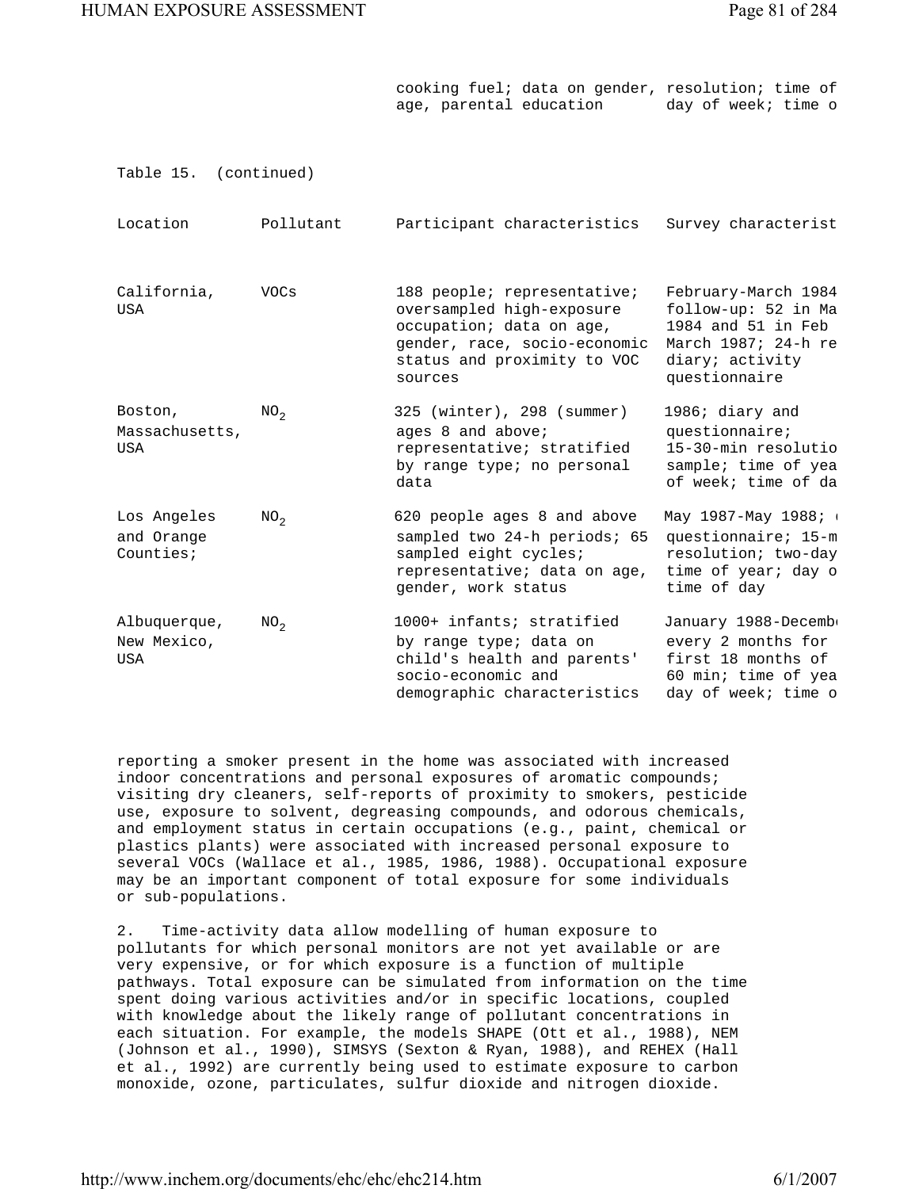|                                           |                 | cooking fuel; data on gender, resolution; time of<br>age, parental education                                                                                   | day of week; time o                                                                                                         |
|-------------------------------------------|-----------------|----------------------------------------------------------------------------------------------------------------------------------------------------------------|-----------------------------------------------------------------------------------------------------------------------------|
| Table 15. (continued)                     |                 |                                                                                                                                                                |                                                                                                                             |
| Location                                  | Pollutant       | Participant characteristics                                                                                                                                    | Survey characterist                                                                                                         |
| California,<br>USA                        | <b>VOCs</b>     | 188 people; representative;<br>oversampled high-exposure<br>occupation; data on age,<br>gender, race, socio-economic<br>status and proximity to VOC<br>sources | February-March 1984<br>follow-up: 52 in Ma<br>1984 and 51 in Feb<br>March 1987; 24-h re<br>diary; activity<br>questionnaire |
| Boston,<br>Massachusetts,<br>USA          | NO <sub>2</sub> | 325 (winter), 298 (summer)<br>ages 8 and above;<br>representative; stratified<br>by range type; no personal<br>data                                            | 1986; diary and<br>questionnaire;<br>15-30-min resolutio<br>sample; time of yea<br>of week; time of da                      |
| Los Angeles<br>and Orange<br>Counties;    | NO <sub>2</sub> | 620 people ages 8 and above<br>sampled two 24-h periods; 65<br>sampled eight cycles;<br>representative; data on age,<br>gender, work status                    | May 1987-May 1988;<br>questionnaire; 15-m<br>resolution; two-day<br>time of year; day o<br>time of day                      |
| Albuquerque,<br>New Mexico,<br><b>USA</b> | NO <sub>2</sub> | 1000+ infants; stratified<br>by range type; data on<br>child's health and parents'<br>socio-economic and<br>demographic characteristics                        | January 1988-Decemb<br>every 2 months for<br>first 18 months of<br>60 min; time of yea<br>day of week; time o               |

 reporting a smoker present in the home was associated with increased indoor concentrations and personal exposures of aromatic compounds; visiting dry cleaners, self-reports of proximity to smokers, pesticide use, exposure to solvent, degreasing compounds, and odorous chemicals, and employment status in certain occupations (e.g., paint, chemical or plastics plants) were associated with increased personal exposure to several VOCs (Wallace et al., 1985, 1986, 1988). Occupational exposure may be an important component of total exposure for some individuals or sub-populations.

 2. Time-activity data allow modelling of human exposure to pollutants for which personal monitors are not yet available or are very expensive, or for which exposure is a function of multiple pathways. Total exposure can be simulated from information on the time spent doing various activities and/or in specific locations, coupled with knowledge about the likely range of pollutant concentrations in each situation. For example, the models SHAPE (Ott et al., 1988), NEM (Johnson et al., 1990), SIMSYS (Sexton & Ryan, 1988), and REHEX (Hall et al., 1992) are currently being used to estimate exposure to carbon monoxide, ozone, particulates, sulfur dioxide and nitrogen dioxide.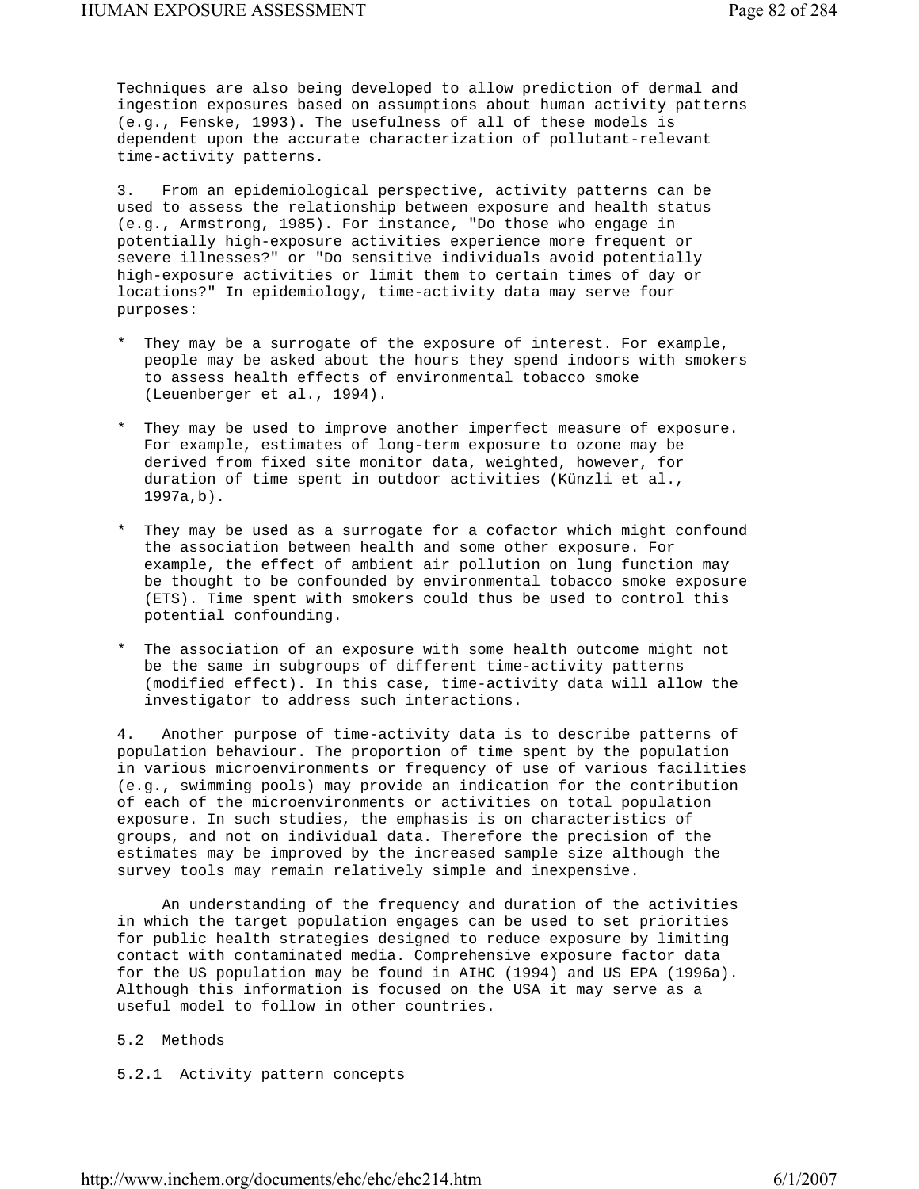Techniques are also being developed to allow prediction of dermal and ingestion exposures based on assumptions about human activity patterns (e.g., Fenske, 1993). The usefulness of all of these models is dependent upon the accurate characterization of pollutant-relevant time-activity patterns.

 3. From an epidemiological perspective, activity patterns can be used to assess the relationship between exposure and health status (e.g., Armstrong, 1985). For instance, "Do those who engage in potentially high-exposure activities experience more frequent or severe illnesses?" or "Do sensitive individuals avoid potentially high-exposure activities or limit them to certain times of day or locations?" In epidemiology, time-activity data may serve four purposes:

- \* They may be a surrogate of the exposure of interest. For example, people may be asked about the hours they spend indoors with smokers to assess health effects of environmental tobacco smoke (Leuenberger et al., 1994).
- \* They may be used to improve another imperfect measure of exposure. For example, estimates of long-term exposure to ozone may be derived from fixed site monitor data, weighted, however, for duration of time spent in outdoor activities (Künzli et al., 1997a,b).
- \* They may be used as a surrogate for a cofactor which might confound the association between health and some other exposure. For example, the effect of ambient air pollution on lung function may be thought to be confounded by environmental tobacco smoke exposure (ETS). Time spent with smokers could thus be used to control this potential confounding.
- The association of an exposure with some health outcome might not be the same in subgroups of different time-activity patterns (modified effect). In this case, time-activity data will allow the investigator to address such interactions.

 4. Another purpose of time-activity data is to describe patterns of population behaviour. The proportion of time spent by the population in various microenvironments or frequency of use of various facilities (e.g., swimming pools) may provide an indication for the contribution of each of the microenvironments or activities on total population exposure. In such studies, the emphasis is on characteristics of groups, and not on individual data. Therefore the precision of the estimates may be improved by the increased sample size although the survey tools may remain relatively simple and inexpensive.

 An understanding of the frequency and duration of the activities in which the target population engages can be used to set priorities for public health strategies designed to reduce exposure by limiting contact with contaminated media. Comprehensive exposure factor data for the US population may be found in AIHC (1994) and US EPA (1996a). Although this information is focused on the USA it may serve as a useful model to follow in other countries.

## 5.2 Methods

5.2.1 Activity pattern concepts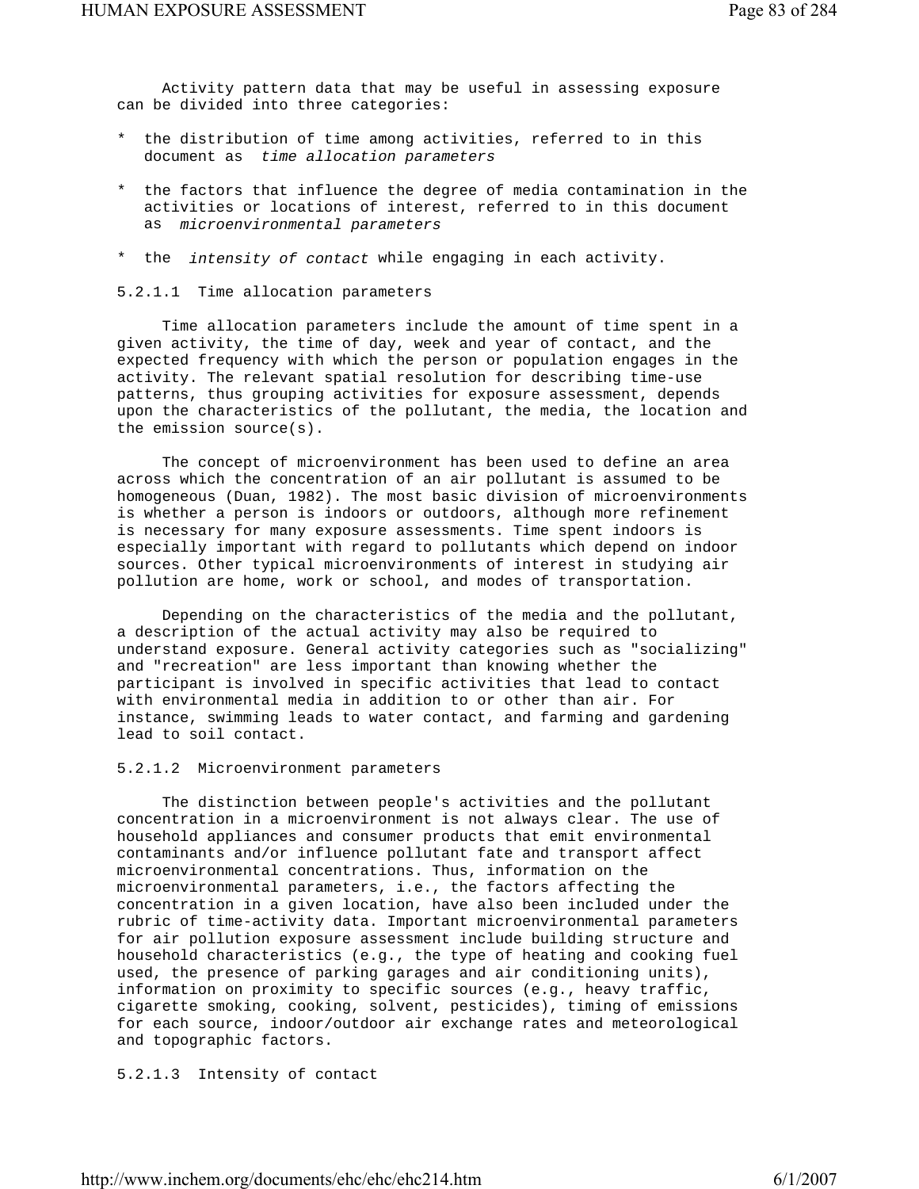Activity pattern data that may be useful in assessing exposure can be divided into three categories:

- \* the distribution of time among activities, referred to in this document as *time allocation parameters*
- \* the factors that influence the degree of media contamination in the activities or locations of interest, referred to in this document as *microenvironmental parameters*
- \* the *intensity of contact* while engaging in each activity.

#### 5.2.1.1 Time allocation parameters

 Time allocation parameters include the amount of time spent in a given activity, the time of day, week and year of contact, and the expected frequency with which the person or population engages in the activity. The relevant spatial resolution for describing time-use patterns, thus grouping activities for exposure assessment, depends upon the characteristics of the pollutant, the media, the location and the emission source(s).

 The concept of microenvironment has been used to define an area across which the concentration of an air pollutant is assumed to be homogeneous (Duan, 1982). The most basic division of microenvironments is whether a person is indoors or outdoors, although more refinement is necessary for many exposure assessments. Time spent indoors is especially important with regard to pollutants which depend on indoor sources. Other typical microenvironments of interest in studying air pollution are home, work or school, and modes of transportation.

 Depending on the characteristics of the media and the pollutant, a description of the actual activity may also be required to understand exposure. General activity categories such as "socializing" and "recreation" are less important than knowing whether the participant is involved in specific activities that lead to contact with environmental media in addition to or other than air. For instance, swimming leads to water contact, and farming and gardening lead to soil contact.

## 5.2.1.2 Microenvironment parameters

 The distinction between people's activities and the pollutant concentration in a microenvironment is not always clear. The use of household appliances and consumer products that emit environmental contaminants and/or influence pollutant fate and transport affect microenvironmental concentrations. Thus, information on the microenvironmental parameters, i.e., the factors affecting the concentration in a given location, have also been included under the rubric of time-activity data. Important microenvironmental parameters for air pollution exposure assessment include building structure and household characteristics (e.g., the type of heating and cooking fuel used, the presence of parking garages and air conditioning units), information on proximity to specific sources (e.g., heavy traffic, cigarette smoking, cooking, solvent, pesticides), timing of emissions for each source, indoor/outdoor air exchange rates and meteorological and topographic factors.

## 5.2.1.3 Intensity of contact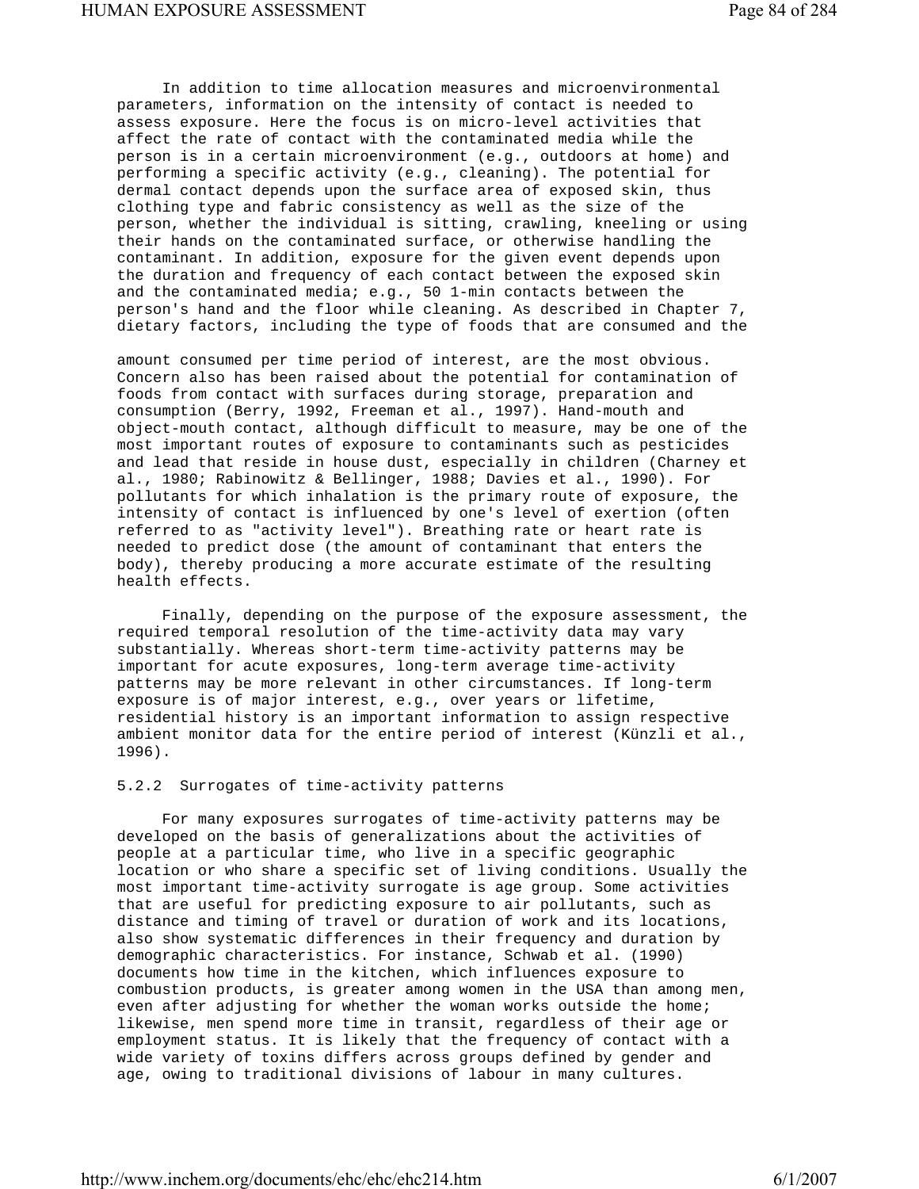In addition to time allocation measures and microenvironmental parameters, information on the intensity of contact is needed to assess exposure. Here the focus is on micro-level activities that affect the rate of contact with the contaminated media while the person is in a certain microenvironment (e.g., outdoors at home) and performing a specific activity (e.g., cleaning). The potential for dermal contact depends upon the surface area of exposed skin, thus clothing type and fabric consistency as well as the size of the person, whether the individual is sitting, crawling, kneeling or using their hands on the contaminated surface, or otherwise handling the contaminant. In addition, exposure for the given event depends upon the duration and frequency of each contact between the exposed skin and the contaminated media; e.g., 50 1-min contacts between the person's hand and the floor while cleaning. As described in Chapter 7, dietary factors, including the type of foods that are consumed and the

 amount consumed per time period of interest, are the most obvious. Concern also has been raised about the potential for contamination of foods from contact with surfaces during storage, preparation and consumption (Berry, 1992, Freeman et al., 1997). Hand-mouth and object-mouth contact, although difficult to measure, may be one of the most important routes of exposure to contaminants such as pesticides and lead that reside in house dust, especially in children (Charney et al., 1980; Rabinowitz & Bellinger, 1988; Davies et al., 1990). For pollutants for which inhalation is the primary route of exposure, the intensity of contact is influenced by one's level of exertion (often referred to as "activity level"). Breathing rate or heart rate is needed to predict dose (the amount of contaminant that enters the body), thereby producing a more accurate estimate of the resulting health effects.

 Finally, depending on the purpose of the exposure assessment, the required temporal resolution of the time-activity data may vary substantially. Whereas short-term time-activity patterns may be important for acute exposures, long-term average time-activity patterns may be more relevant in other circumstances. If long-term exposure is of major interest, e.g., over years or lifetime, residential history is an important information to assign respective ambient monitor data for the entire period of interest (Künzli et al., 1996).

# 5.2.2 Surrogates of time-activity patterns

 For many exposures surrogates of time-activity patterns may be developed on the basis of generalizations about the activities of people at a particular time, who live in a specific geographic location or who share a specific set of living conditions. Usually the most important time-activity surrogate is age group. Some activities that are useful for predicting exposure to air pollutants, such as distance and timing of travel or duration of work and its locations, also show systematic differences in their frequency and duration by demographic characteristics. For instance, Schwab et al. (1990) documents how time in the kitchen, which influences exposure to combustion products, is greater among women in the USA than among men, even after adjusting for whether the woman works outside the home; likewise, men spend more time in transit, regardless of their age or employment status. It is likely that the frequency of contact with a wide variety of toxins differs across groups defined by gender and age, owing to traditional divisions of labour in many cultures.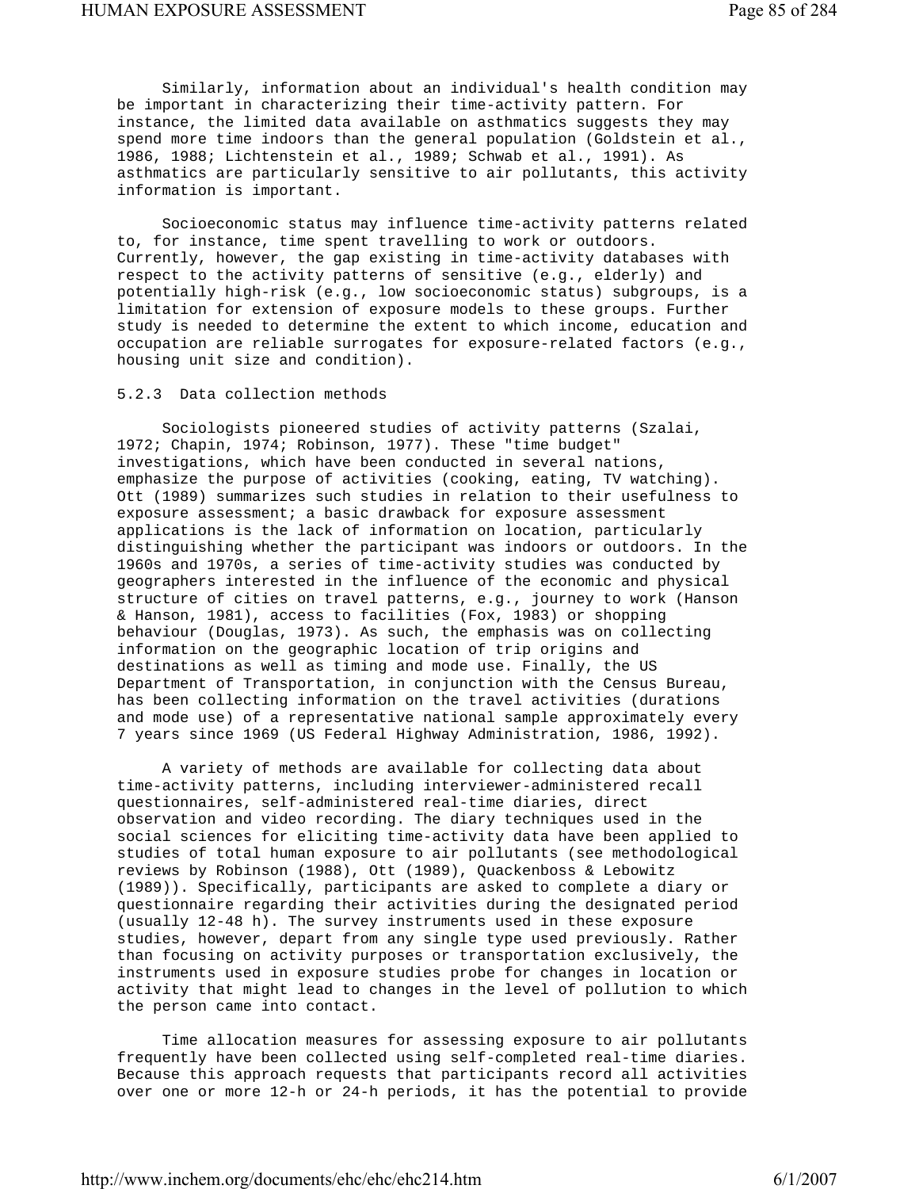Similarly, information about an individual's health condition may be important in characterizing their time-activity pattern. For instance, the limited data available on asthmatics suggests they may spend more time indoors than the general population (Goldstein et al., 1986, 1988; Lichtenstein et al., 1989; Schwab et al., 1991). As asthmatics are particularly sensitive to air pollutants, this activity information is important.

 Socioeconomic status may influence time-activity patterns related to, for instance, time spent travelling to work or outdoors. Currently, however, the gap existing in time-activity databases with respect to the activity patterns of sensitive (e.g., elderly) and potentially high-risk (e.g., low socioeconomic status) subgroups, is a limitation for extension of exposure models to these groups. Further study is needed to determine the extent to which income, education and occupation are reliable surrogates for exposure-related factors (e.g., housing unit size and condition).

5.2.3 Data collection methods

 Sociologists pioneered studies of activity patterns (Szalai, 1972; Chapin, 1974; Robinson, 1977). These "time budget" investigations, which have been conducted in several nations, emphasize the purpose of activities (cooking, eating, TV watching). Ott (1989) summarizes such studies in relation to their usefulness to exposure assessment; a basic drawback for exposure assessment applications is the lack of information on location, particularly distinguishing whether the participant was indoors or outdoors. In the 1960s and 1970s, a series of time-activity studies was conducted by geographers interested in the influence of the economic and physical structure of cities on travel patterns, e.g., journey to work (Hanson & Hanson, 1981), access to facilities (Fox, 1983) or shopping behaviour (Douglas, 1973). As such, the emphasis was on collecting information on the geographic location of trip origins and destinations as well as timing and mode use. Finally, the US Department of Transportation, in conjunction with the Census Bureau, has been collecting information on the travel activities (durations and mode use) of a representative national sample approximately every 7 years since 1969 (US Federal Highway Administration, 1986, 1992).

 A variety of methods are available for collecting data about time-activity patterns, including interviewer-administered recall questionnaires, self-administered real-time diaries, direct observation and video recording. The diary techniques used in the social sciences for eliciting time-activity data have been applied to studies of total human exposure to air pollutants (see methodological reviews by Robinson (1988), Ott (1989), Quackenboss & Lebowitz (1989)). Specifically, participants are asked to complete a diary or questionnaire regarding their activities during the designated period (usually 12-48 h). The survey instruments used in these exposure studies, however, depart from any single type used previously. Rather than focusing on activity purposes or transportation exclusively, the instruments used in exposure studies probe for changes in location or activity that might lead to changes in the level of pollution to which the person came into contact.

 Time allocation measures for assessing exposure to air pollutants frequently have been collected using self-completed real-time diaries. Because this approach requests that participants record all activities over one or more 12-h or 24-h periods, it has the potential to provide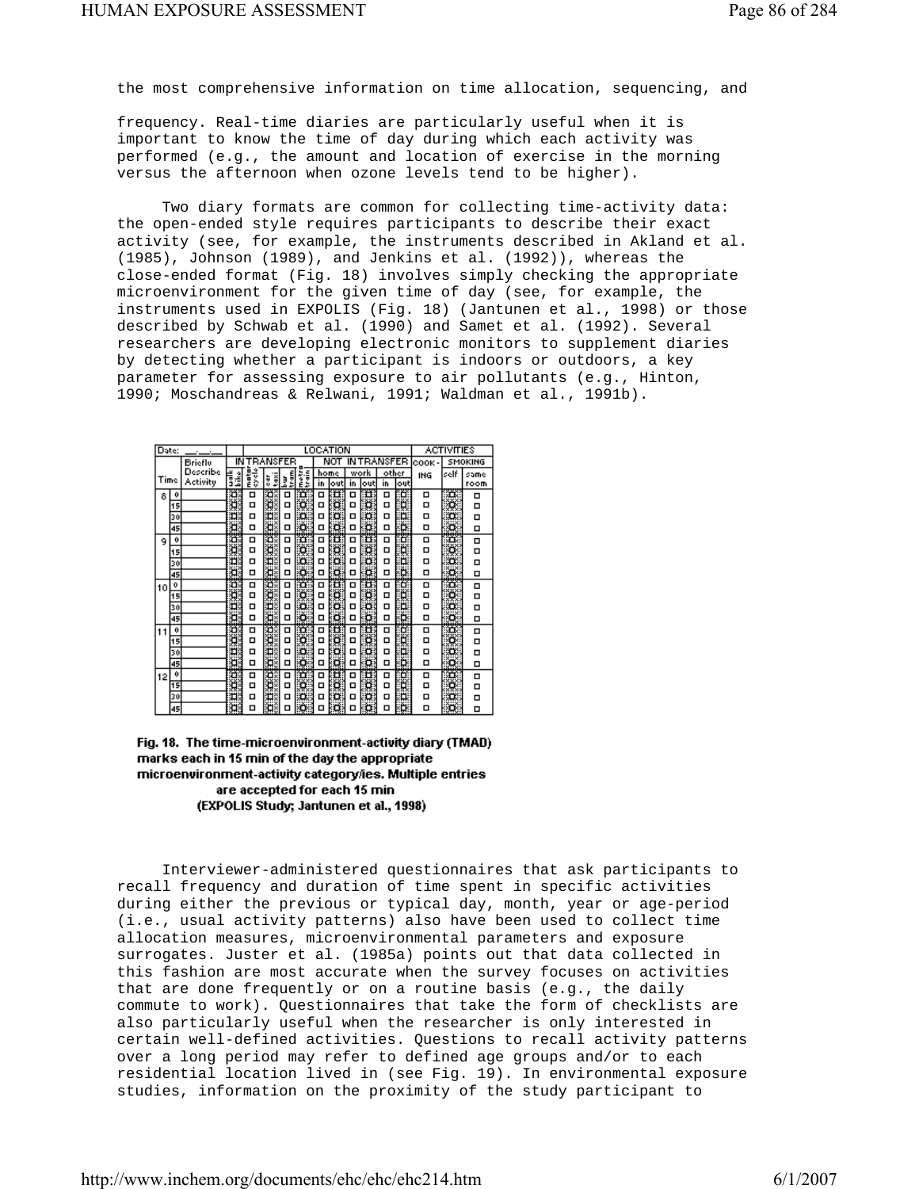the most comprehensive information on time allocation, sequencing, and

 frequency. Real-time diaries are particularly useful when it is important to know the time of day during which each activity was performed (e.g., the amount and location of exercise in the morning versus the afternoon when ozone levels tend to be higher).

 Two diary formats are common for collecting time-activity data: the open-ended style requires participants to describe their exact activity (see, for example, the instruments described in Akland et al. (1985), Johnson (1989), and Jenkins et al. (1992)), whereas the close-ended format (Fig. 18) involves simply checking the appropriate microenvironment for the given time of day (see, for example, the instruments used in EXPOLIS (Fig. 18) (Jantunen et al., 1998) or those described by Schwab et al. (1990) and Samet et al. (1992). Several researchers are developing electronic monitors to supplement diaries by detecting whether a participant is indoors or outdoors, a key parameter for assessing exposure to air pollutants (e.g., Hinton, 1990; Moschandreas & Relwani, 1991; Waldman et al., 1991b).

| Date:         |      |                 |        |        |                        |   |        |                | LOCATION |    |      |       |      |        | <b>ACTIVITIES</b> |      |
|---------------|------|-----------------|--------|--------|------------------------|---|--------|----------------|----------|----|------|-------|------|--------|-------------------|------|
| IN<br>Brieflu |      | <b>TRANSFER</b> |        |        | <b>TRANSFER</b><br>NOT |   | cook-  | <b>SMOKING</b> |          |    |      |       |      |        |                   |      |
|               | Time | Describe        | ×<br>ĭ | ÷<br>ō | š<br>ិ                 | Š | ÷      | home           |          |    | work | other |      | ING    | self              | same |
|               |      | Activity        |        | ł      |                        | 2 | Ě<br>ь | in             | loutl    | in | lout | in    | lout |        |                   | room |
| 8             | 0    |                 | ЮR     | α      | ð                      | о | ㅠ      | о              | Ë        | о  | Ô    | □     | Ő    | □      | ¢                 | α    |
|               | 15   |                 | ı      | α      | Ħ                      | □ | o      | α              | ö        | α  | o    | α     | ¢    | α      | ×                 | α    |
|               | 30   |                 | ¤      | α      | Ħ                      | о | ٨Þ     | о              | ö        | о  | ٥    | □     | Ħ    | α      | œ                 | α    |
|               | 45   |                 | 猢      | □      | 33                     | □ | ю      | □              | æ        | □  | õ    | α     | 聨    | □      | Œ                 | □    |
| 9             | 0    |                 | O      | о      | Œ                      | □ | o      | □              | O        | □  | o    | о     | o    | □      | зо                | α    |
|               | 15   |                 | Õ      | α      | Ø                      | □ | Ő      | □              | ö        | □  | р    | □     | Ř    | □      | Ö                 | α    |
|               | 30   |                 | Ħ      | α      | ٣                      | о | o      | □              | o        | α  | ۵    | α     | ш    | α      | m                 | α    |
|               | 45   |                 | 93     | α      | K.                     | о | ю      | □              | ΙÖ       | □  | õ    | □     | m    | $\Box$ | ۰                 | α    |
| 10            | 0    |                 | ЮØ     | α      | 道                      | □ | Œ      | □              | ж        | о  | ⊞    | □     | m    | $\Box$ | ண்                | □    |
|               | 15   |                 | IJ     | □      | Ħ.                     | □ | ă      | □              | Ő        | α  | ņ    | □     | Ŭ    | $\Box$ | ۹                 | α    |
|               | 30   |                 | ⋣      | α      | ٣X                     | □ | ä.     | □              | ö        | □  | ö    | □     | щ    | □      | m                 | □    |
|               | 45   |                 | ٣B     | □      | 独                      | ▫ | 30     | □              | æ        | ▫  | ù    | □     | FC.  | □      | Œ                 | □    |
| 11            | 0    |                 | o      | □      | Œ.                     | □ | n      | □              | Ħ        | □  | Ħ    | □     | o    | □      | ா                 | □    |
|               | 15   |                 | IJ     | □      | Ø                      | □ | ö      | □              | ö        | □  | Ω    | □     | Ö    | □      | ö                 | □    |
|               | 30   |                 | ⋣      | α      | ٣                      | □ | U,     | □              | ö        | □  | ۵    | □     | Щ    | o      | m                 | □    |
|               | 45   |                 | 润滑     | □      | 猫                      | □ | ю      | □              | ΙÖ       | □  | o    | □     | ĘĤ.  | □      | Œ                 | □    |
| 12            | û    |                 | ŋ      | □      | Œ                      | □ | n      | □              | Ħ        | □  | o    | □     | о    | □      | ा                 | □    |
|               | 15   |                 | ij     | □      | 獏                      | □ | ۹      | ▫              | Ő        | ▫  | p    | □     | ğ    | □      | Ť                 | α    |
|               | 30   |                 | ⋣      | α      | ٣X                     | □ | ×      | □              | o        | □  | ö    | ◻     | ۰    | α      | m                 | α    |
|               | lasi |                 | 譜      | о      | 猶                      | о | lä.    | о              | Κñ       | о  | kΗ   | о     | EřF  | о      | æ                 | п    |

Fig. 18. The time-microenvironment-activity diary (TMAD) marks each in 15 min of the day the appropriate microenvironment-activity category/ies. Multiple entries are accepted for each 15 min (EXPOLIS Study; Jantunen et al., 1998)

 Interviewer-administered questionnaires that ask participants to recall frequency and duration of time spent in specific activities during either the previous or typical day, month, year or age-period (i.e., usual activity patterns) also have been used to collect time allocation measures, microenvironmental parameters and exposure surrogates. Juster et al. (1985a) points out that data collected in this fashion are most accurate when the survey focuses on activities that are done frequently or on a routine basis (e.g., the daily commute to work). Questionnaires that take the form of checklists are also particularly useful when the researcher is only interested in certain well-defined activities. Questions to recall activity patterns over a long period may refer to defined age groups and/or to each residential location lived in (see Fig. 19). In environmental exposure studies, information on the proximity of the study participant to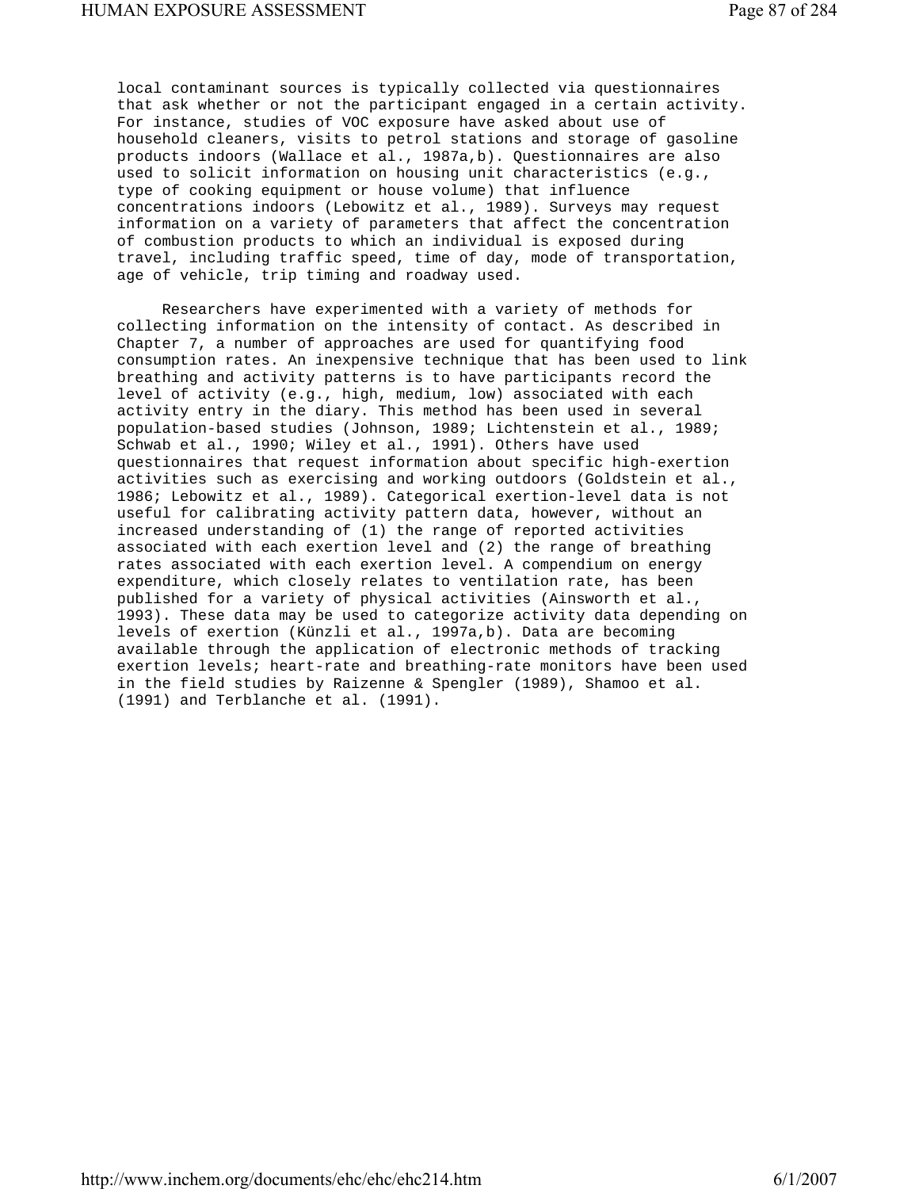local contaminant sources is typically collected via questionnaires that ask whether or not the participant engaged in a certain activity. For instance, studies of VOC exposure have asked about use of household cleaners, visits to petrol stations and storage of gasoline products indoors (Wallace et al., 1987a,b). Questionnaires are also used to solicit information on housing unit characteristics (e.g., type of cooking equipment or house volume) that influence concentrations indoors (Lebowitz et al., 1989). Surveys may request information on a variety of parameters that affect the concentration of combustion products to which an individual is exposed during travel, including traffic speed, time of day, mode of transportation, age of vehicle, trip timing and roadway used.

 Researchers have experimented with a variety of methods for collecting information on the intensity of contact. As described in Chapter 7, a number of approaches are used for quantifying food consumption rates. An inexpensive technique that has been used to link breathing and activity patterns is to have participants record the level of activity (e.g., high, medium, low) associated with each activity entry in the diary. This method has been used in several population-based studies (Johnson, 1989; Lichtenstein et al., 1989; Schwab et al., 1990; Wiley et al., 1991). Others have used questionnaires that request information about specific high-exertion activities such as exercising and working outdoors (Goldstein et al., 1986; Lebowitz et al., 1989). Categorical exertion-level data is not useful for calibrating activity pattern data, however, without an increased understanding of (1) the range of reported activities associated with each exertion level and (2) the range of breathing rates associated with each exertion level. A compendium on energy expenditure, which closely relates to ventilation rate, has been published for a variety of physical activities (Ainsworth et al., 1993). These data may be used to categorize activity data depending on levels of exertion (Künzli et al., 1997a,b). Data are becoming available through the application of electronic methods of tracking exertion levels; heart-rate and breathing-rate monitors have been used in the field studies by Raizenne & Spengler (1989), Shamoo et al. (1991) and Terblanche et al. (1991).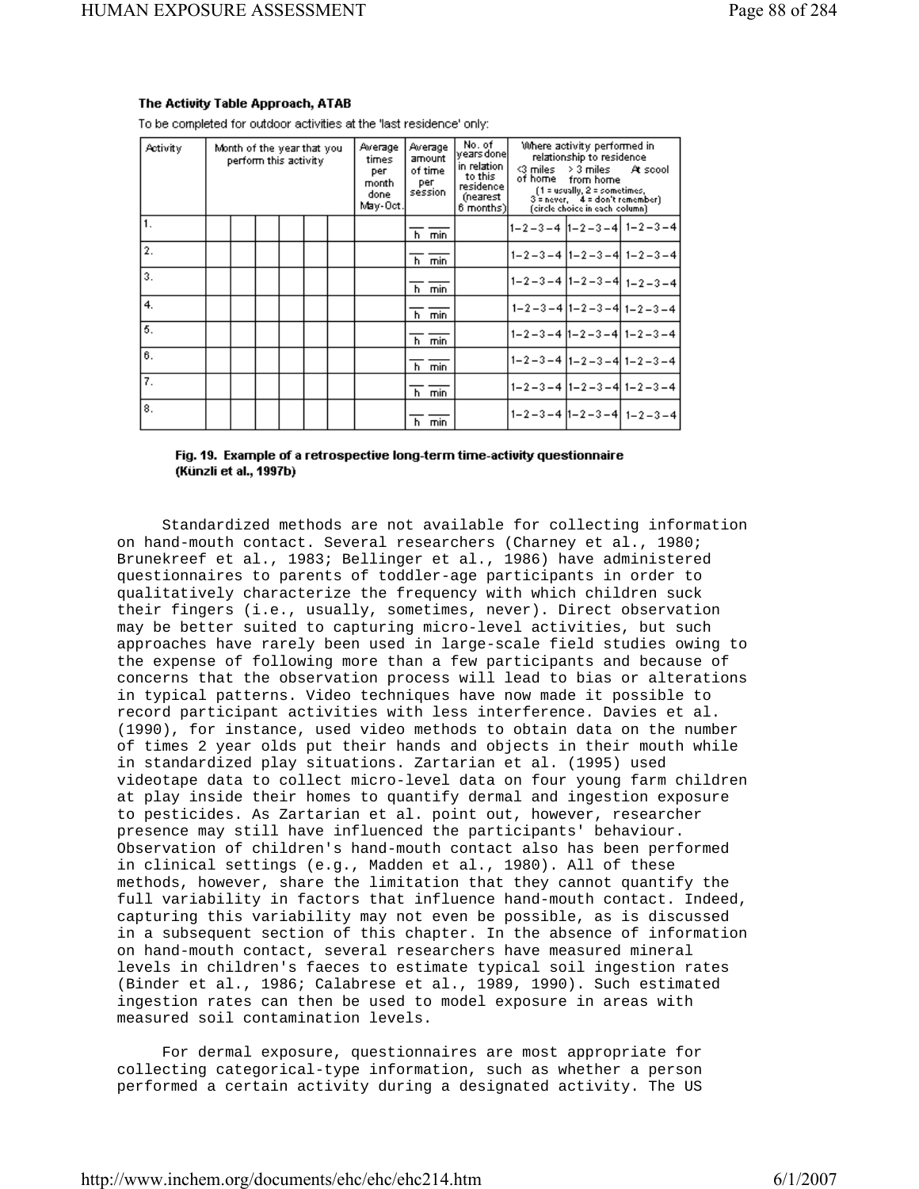### The Activity Table Approach, ATAB

To be completed for outdoor activities at the 'last residence' only:

| Activity | Month of the year that you<br>perform this activity. |  |  |  |  |  | Average<br>times<br>per<br>month<br>done<br>May-Oct. | Average<br>amount<br>of time<br>per<br>session | No. of<br>lvears donel<br>in relation<br>to this<br>residence<br>(nearest<br>$6$ months) |                                                            | Where activity performed in<br>relationship to residence<br>⊲ miles → 3 miles<br>of home from home<br>$(1 = usually, 2 = sometimes,$<br>$3 =$ never, $4 =$ don't remember)<br>(circle choice in each column) | At scool                                        |
|----------|------------------------------------------------------|--|--|--|--|--|------------------------------------------------------|------------------------------------------------|------------------------------------------------------------------------------------------|------------------------------------------------------------|--------------------------------------------------------------------------------------------------------------------------------------------------------------------------------------------------------------|-------------------------------------------------|
| 11.      |                                                      |  |  |  |  |  |                                                      | h min                                          |                                                                                          |                                                            |                                                                                                                                                                                                              | $ 1-2-3-4 $ $ 1-2-3-4 $ $1-2-3-4$               |
| 12.      |                                                      |  |  |  |  |  |                                                      | h min                                          |                                                                                          |                                                            |                                                                                                                                                                                                              | 1-2-3-4  1-2-3-4  1-2-3-4                       |
| Iз.      |                                                      |  |  |  |  |  |                                                      | min<br>h.                                      |                                                                                          |                                                            |                                                                                                                                                                                                              | $1 - 2 - 3 - 4$ $1 - 2 - 3 - 4$ $1 - 2 - 3 - 4$ |
| 14.      |                                                      |  |  |  |  |  |                                                      | h min                                          |                                                                                          | $1 - 2 - 3 - 4$ $1 - 2 - 3 - 4$ $1 - 2 - 3 - 4$            |                                                                                                                                                                                                              |                                                 |
| 15.      |                                                      |  |  |  |  |  |                                                      | min<br>h.                                      |                                                                                          | l 1–2–3–4 l1–2–3–4l 1–2–3–4                                |                                                                                                                                                                                                              |                                                 |
| lв.      |                                                      |  |  |  |  |  |                                                      | h min                                          |                                                                                          | $\left  1 - 2 - 3 - 4 \right $ 1 - 2 - 3 - 4 1 - 2 - 3 - 4 |                                                                                                                                                                                                              |                                                 |
| 7.       |                                                      |  |  |  |  |  |                                                      | min<br>h.                                      |                                                                                          | 1-2-3-4  1-2-3-4  1-2-3-4                                  |                                                                                                                                                                                                              |                                                 |
| ls.      |                                                      |  |  |  |  |  |                                                      | h min                                          |                                                                                          |                                                            |                                                                                                                                                                                                              | 1-2-3-4  1-2-3-4  1-2-3-4                       |

Fig. 19. Example of a retrospective long-term time-activity questionnaire (Künzli et al., 1997b)

 Standardized methods are not available for collecting information on hand-mouth contact. Several researchers (Charney et al., 1980; Brunekreef et al., 1983; Bellinger et al., 1986) have administered questionnaires to parents of toddler-age participants in order to qualitatively characterize the frequency with which children suck their fingers (i.e., usually, sometimes, never). Direct observation may be better suited to capturing micro-level activities, but such approaches have rarely been used in large-scale field studies owing to the expense of following more than a few participants and because of concerns that the observation process will lead to bias or alterations in typical patterns. Video techniques have now made it possible to record participant activities with less interference. Davies et al. (1990), for instance, used video methods to obtain data on the number of times 2 year olds put their hands and objects in their mouth while in standardized play situations. Zartarian et al. (1995) used videotape data to collect micro-level data on four young farm children at play inside their homes to quantify dermal and ingestion exposure to pesticides. As Zartarian et al. point out, however, researcher presence may still have influenced the participants' behaviour. Observation of children's hand-mouth contact also has been performed in clinical settings (e.g., Madden et al., 1980). All of these methods, however, share the limitation that they cannot quantify the full variability in factors that influence hand-mouth contact. Indeed, capturing this variability may not even be possible, as is discussed in a subsequent section of this chapter. In the absence of information on hand-mouth contact, several researchers have measured mineral levels in children's faeces to estimate typical soil ingestion rates (Binder et al., 1986; Calabrese et al., 1989, 1990). Such estimated ingestion rates can then be used to model exposure in areas with measured soil contamination levels.

 For dermal exposure, questionnaires are most appropriate for collecting categorical-type information, such as whether a person performed a certain activity during a designated activity. The US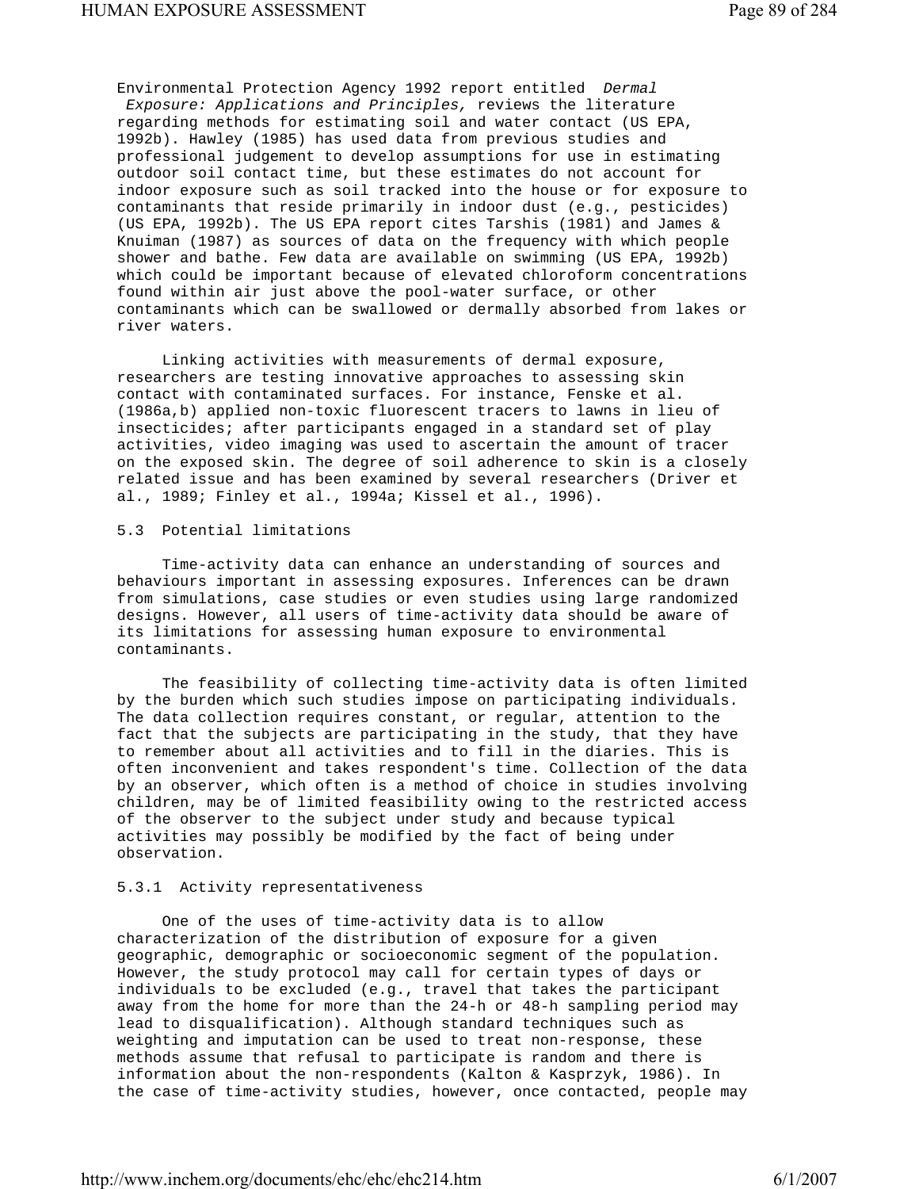Environmental Protection Agency 1992 report entitled *Dermal Exposure: Applications and Principles,* reviews the literature regarding methods for estimating soil and water contact (US EPA, 1992b). Hawley (1985) has used data from previous studies and professional judgement to develop assumptions for use in estimating outdoor soil contact time, but these estimates do not account for indoor exposure such as soil tracked into the house or for exposure to contaminants that reside primarily in indoor dust (e.g., pesticides) (US EPA, 1992b). The US EPA report cites Tarshis (1981) and James & Knuiman (1987) as sources of data on the frequency with which people shower and bathe. Few data are available on swimming (US EPA, 1992b) which could be important because of elevated chloroform concentrations found within air just above the pool-water surface, or other contaminants which can be swallowed or dermally absorbed from lakes or river waters.

 Linking activities with measurements of dermal exposure, researchers are testing innovative approaches to assessing skin contact with contaminated surfaces. For instance, Fenske et al. (1986a,b) applied non-toxic fluorescent tracers to lawns in lieu of insecticides; after participants engaged in a standard set of play activities, video imaging was used to ascertain the amount of tracer on the exposed skin. The degree of soil adherence to skin is a closely related issue and has been examined by several researchers (Driver et al., 1989; Finley et al., 1994a; Kissel et al., 1996).

#### 5.3 Potential limitations

 Time-activity data can enhance an understanding of sources and behaviours important in assessing exposures. Inferences can be drawn from simulations, case studies or even studies using large randomized designs. However, all users of time-activity data should be aware of its limitations for assessing human exposure to environmental contaminants.

 The feasibility of collecting time-activity data is often limited by the burden which such studies impose on participating individuals. The data collection requires constant, or regular, attention to the fact that the subjects are participating in the study, that they have to remember about all activities and to fill in the diaries. This is often inconvenient and takes respondent's time. Collection of the data by an observer, which often is a method of choice in studies involving children, may be of limited feasibility owing to the restricted access of the observer to the subject under study and because typical activities may possibly be modified by the fact of being under observation.

#### 5.3.1 Activity representativeness

 One of the uses of time-activity data is to allow characterization of the distribution of exposure for a given geographic, demographic or socioeconomic segment of the population. However, the study protocol may call for certain types of days or individuals to be excluded (e.g., travel that takes the participant away from the home for more than the 24-h or 48-h sampling period may lead to disqualification). Although standard techniques such as weighting and imputation can be used to treat non-response, these methods assume that refusal to participate is random and there is information about the non-respondents (Kalton & Kasprzyk, 1986). In the case of time-activity studies, however, once contacted, people may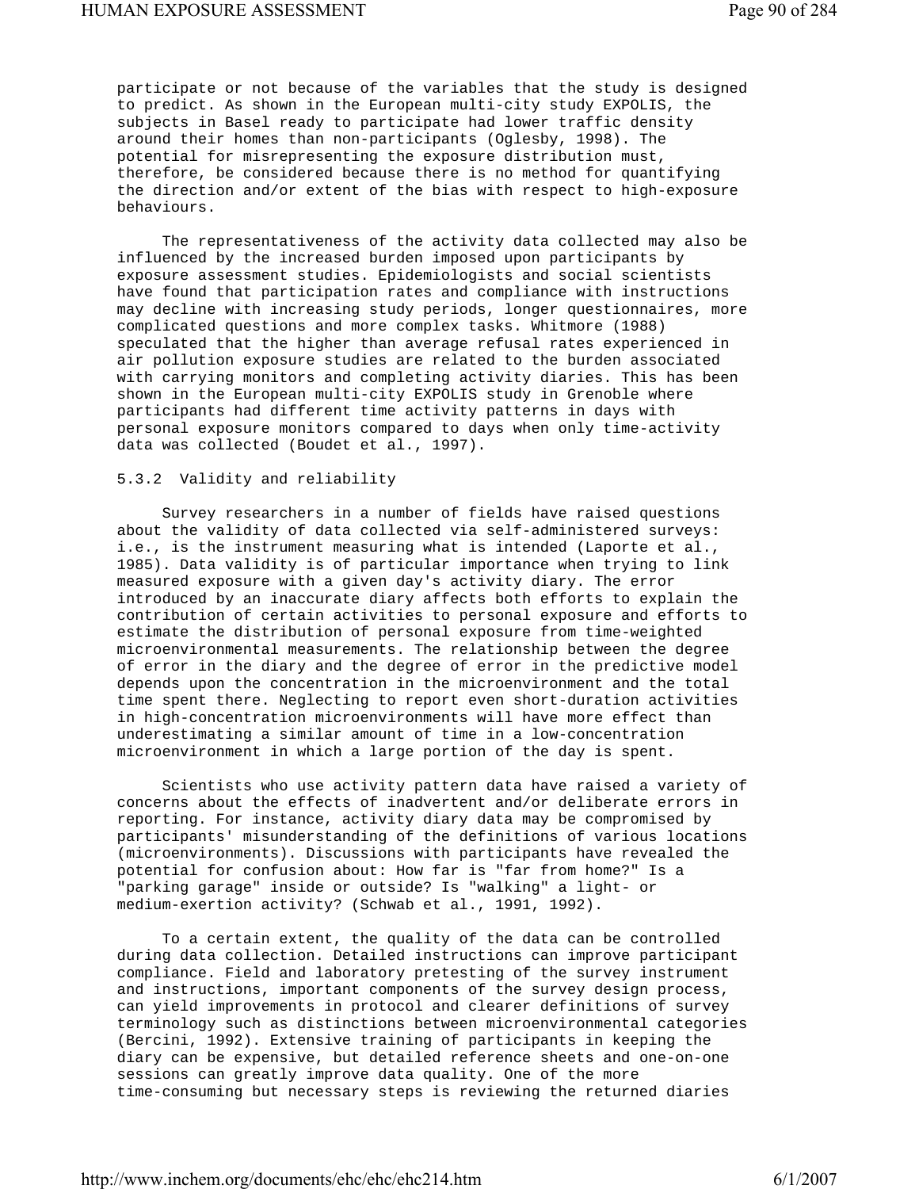participate or not because of the variables that the study is designed to predict. As shown in the European multi-city study EXPOLIS, the subjects in Basel ready to participate had lower traffic density around their homes than non-participants (Oglesby, 1998). The potential for misrepresenting the exposure distribution must, therefore, be considered because there is no method for quantifying the direction and/or extent of the bias with respect to high-exposure behaviours.

 The representativeness of the activity data collected may also be influenced by the increased burden imposed upon participants by exposure assessment studies. Epidemiologists and social scientists have found that participation rates and compliance with instructions may decline with increasing study periods, longer questionnaires, more complicated questions and more complex tasks. Whitmore (1988) speculated that the higher than average refusal rates experienced in air pollution exposure studies are related to the burden associated with carrying monitors and completing activity diaries. This has been shown in the European multi-city EXPOLIS study in Grenoble where participants had different time activity patterns in days with personal exposure monitors compared to days when only time-activity data was collected (Boudet et al., 1997).

## 5.3.2 Validity and reliability

 Survey researchers in a number of fields have raised questions about the validity of data collected via self-administered surveys: i.e., is the instrument measuring what is intended (Laporte et al., 1985). Data validity is of particular importance when trying to link measured exposure with a given day's activity diary. The error introduced by an inaccurate diary affects both efforts to explain the contribution of certain activities to personal exposure and efforts to estimate the distribution of personal exposure from time-weighted microenvironmental measurements. The relationship between the degree of error in the diary and the degree of error in the predictive model depends upon the concentration in the microenvironment and the total time spent there. Neglecting to report even short-duration activities in high-concentration microenvironments will have more effect than underestimating a similar amount of time in a low-concentration microenvironment in which a large portion of the day is spent.

 Scientists who use activity pattern data have raised a variety of concerns about the effects of inadvertent and/or deliberate errors in reporting. For instance, activity diary data may be compromised by participants' misunderstanding of the definitions of various locations (microenvironments). Discussions with participants have revealed the potential for confusion about: How far is "far from home?" Is a "parking garage" inside or outside? Is "walking" a light- or medium-exertion activity? (Schwab et al., 1991, 1992).

 To a certain extent, the quality of the data can be controlled during data collection. Detailed instructions can improve participant compliance. Field and laboratory pretesting of the survey instrument and instructions, important components of the survey design process, can yield improvements in protocol and clearer definitions of survey terminology such as distinctions between microenvironmental categories (Bercini, 1992). Extensive training of participants in keeping the diary can be expensive, but detailed reference sheets and one-on-one sessions can greatly improve data quality. One of the more time-consuming but necessary steps is reviewing the returned diaries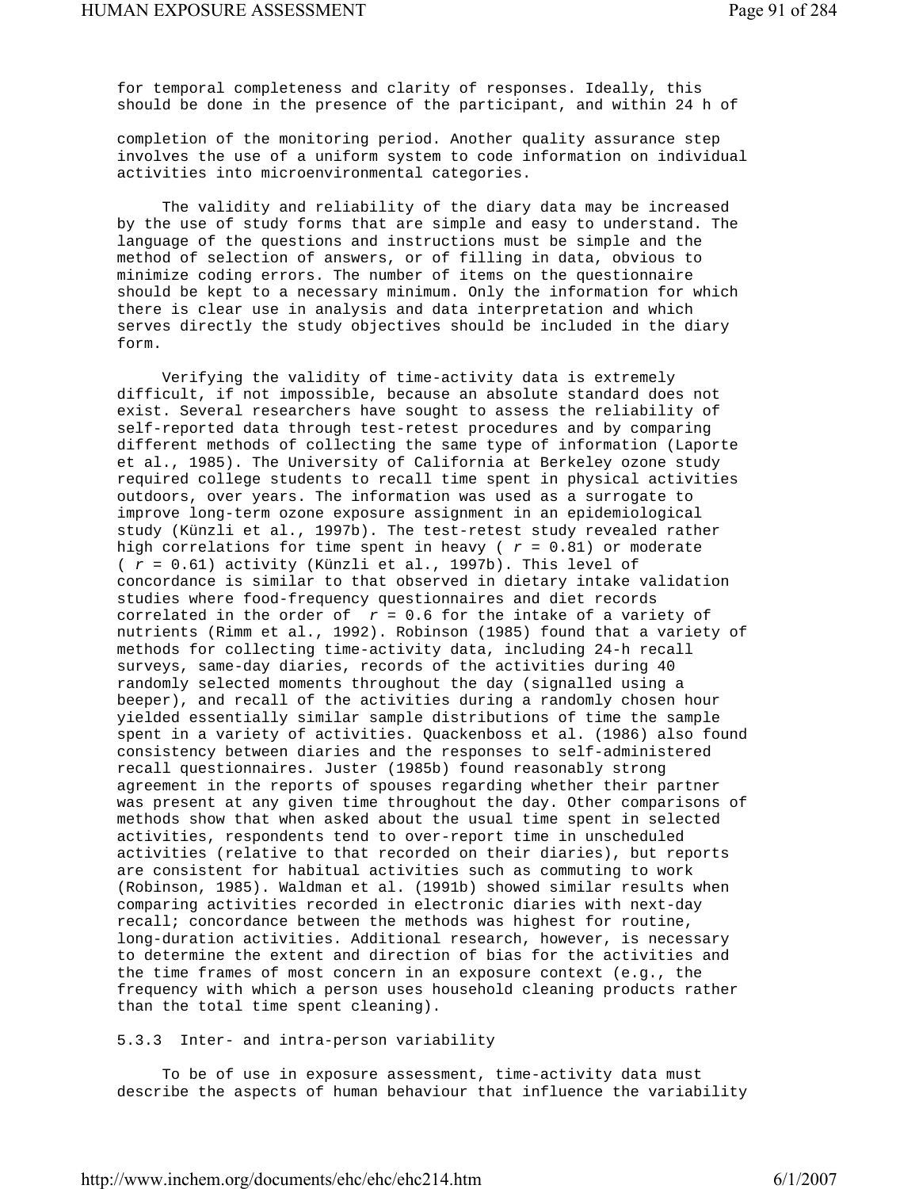for temporal completeness and clarity of responses. Ideally, this should be done in the presence of the participant, and within 24 h of

 completion of the monitoring period. Another quality assurance step involves the use of a uniform system to code information on individual activities into microenvironmental categories.

 The validity and reliability of the diary data may be increased by the use of study forms that are simple and easy to understand. The language of the questions and instructions must be simple and the method of selection of answers, or of filling in data, obvious to minimize coding errors. The number of items on the questionnaire should be kept to a necessary minimum. Only the information for which there is clear use in analysis and data interpretation and which serves directly the study objectives should be included in the diary form.

 Verifying the validity of time-activity data is extremely difficult, if not impossible, because an absolute standard does not exist. Several researchers have sought to assess the reliability of self-reported data through test-retest procedures and by comparing different methods of collecting the same type of information (Laporte et al., 1985). The University of California at Berkeley ozone study required college students to recall time spent in physical activities outdoors, over years. The information was used as a surrogate to improve long-term ozone exposure assignment in an epidemiological study (Künzli et al., 1997b). The test-retest study revealed rather high correlations for time spent in heavy ( *r* = 0.81) or moderate ( *r* = 0.61) activity (Künzli et al., 1997b). This level of concordance is similar to that observed in dietary intake validation studies where food-frequency questionnaires and diet records correlated in the order of *r* = 0.6 for the intake of a variety of nutrients (Rimm et al., 1992). Robinson (1985) found that a variety of methods for collecting time-activity data, including 24-h recall surveys, same-day diaries, records of the activities during 40 randomly selected moments throughout the day (signalled using a beeper), and recall of the activities during a randomly chosen hour yielded essentially similar sample distributions of time the sample spent in a variety of activities. Quackenboss et al. (1986) also found consistency between diaries and the responses to self-administered recall questionnaires. Juster (1985b) found reasonably strong agreement in the reports of spouses regarding whether their partner was present at any given time throughout the day. Other comparisons of methods show that when asked about the usual time spent in selected activities, respondents tend to over-report time in unscheduled activities (relative to that recorded on their diaries), but reports are consistent for habitual activities such as commuting to work (Robinson, 1985). Waldman et al. (1991b) showed similar results when comparing activities recorded in electronic diaries with next-day recall; concordance between the methods was highest for routine, long-duration activities. Additional research, however, is necessary to determine the extent and direction of bias for the activities and the time frames of most concern in an exposure context (e.g., the frequency with which a person uses household cleaning products rather than the total time spent cleaning).

5.3.3 Inter- and intra-person variability

 To be of use in exposure assessment, time-activity data must describe the aspects of human behaviour that influence the variability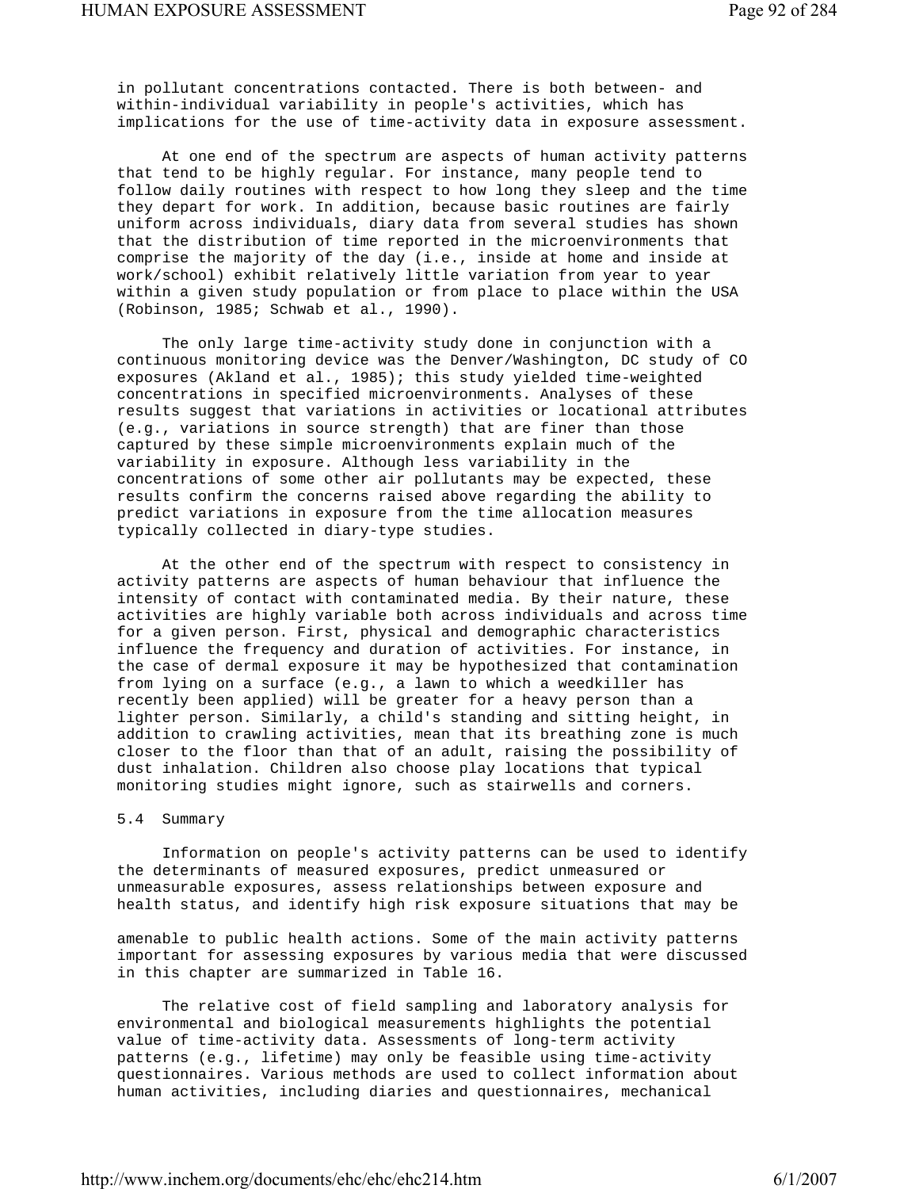in pollutant concentrations contacted. There is both between- and within-individual variability in people's activities, which has implications for the use of time-activity data in exposure assessment.

 At one end of the spectrum are aspects of human activity patterns that tend to be highly regular. For instance, many people tend to follow daily routines with respect to how long they sleep and the time they depart for work. In addition, because basic routines are fairly uniform across individuals, diary data from several studies has shown that the distribution of time reported in the microenvironments that comprise the majority of the day (i.e., inside at home and inside at work/school) exhibit relatively little variation from year to year within a given study population or from place to place within the USA (Robinson, 1985; Schwab et al., 1990).

 The only large time-activity study done in conjunction with a continuous monitoring device was the Denver/Washington, DC study of CO exposures (Akland et al., 1985); this study yielded time-weighted concentrations in specified microenvironments. Analyses of these results suggest that variations in activities or locational attributes (e.g., variations in source strength) that are finer than those captured by these simple microenvironments explain much of the variability in exposure. Although less variability in the concentrations of some other air pollutants may be expected, these results confirm the concerns raised above regarding the ability to predict variations in exposure from the time allocation measures typically collected in diary-type studies.

 At the other end of the spectrum with respect to consistency in activity patterns are aspects of human behaviour that influence the intensity of contact with contaminated media. By their nature, these activities are highly variable both across individuals and across time for a given person. First, physical and demographic characteristics influence the frequency and duration of activities. For instance, in the case of dermal exposure it may be hypothesized that contamination from lying on a surface (e.g., a lawn to which a weedkiller has recently been applied) will be greater for a heavy person than a lighter person. Similarly, a child's standing and sitting height, in addition to crawling activities, mean that its breathing zone is much closer to the floor than that of an adult, raising the possibility of dust inhalation. Children also choose play locations that typical monitoring studies might ignore, such as stairwells and corners.

#### 5.4 Summary

 Information on people's activity patterns can be used to identify the determinants of measured exposures, predict unmeasured or unmeasurable exposures, assess relationships between exposure and health status, and identify high risk exposure situations that may be

 amenable to public health actions. Some of the main activity patterns important for assessing exposures by various media that were discussed in this chapter are summarized in Table 16.

 The relative cost of field sampling and laboratory analysis for environmental and biological measurements highlights the potential value of time-activity data. Assessments of long-term activity patterns (e.g., lifetime) may only be feasible using time-activity questionnaires. Various methods are used to collect information about human activities, including diaries and questionnaires, mechanical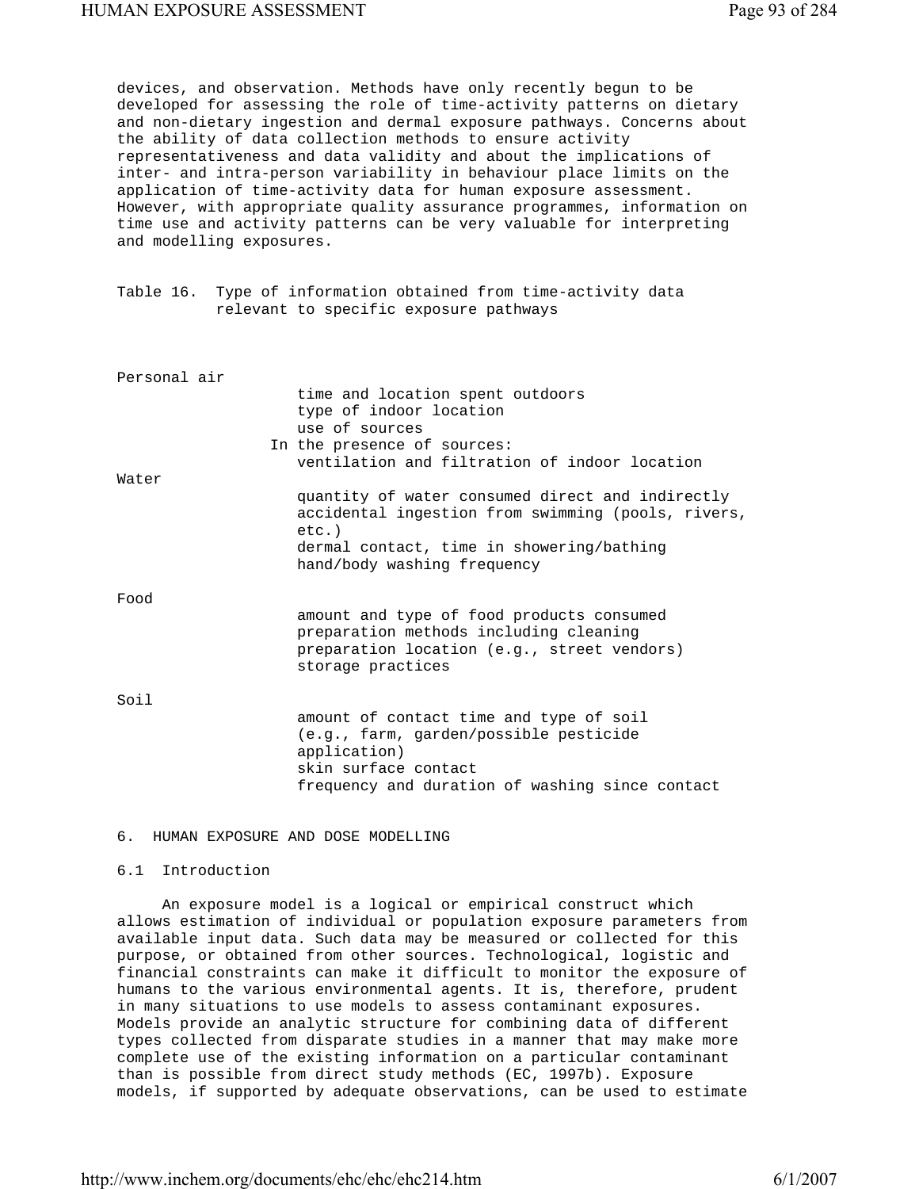devices, and observation. Methods have only recently begun to be developed for assessing the role of time-activity patterns on dietary and non-dietary ingestion and dermal exposure pathways. Concerns about the ability of data collection methods to ensure activity representativeness and data validity and about the implications of inter- and intra-person variability in behaviour place limits on the application of time-activity data for human exposure assessment. However, with appropriate quality assurance programmes, information on time use and activity patterns can be very valuable for interpreting and modelling exposures.

- Table 16. Type of information obtained from time-activity data relevant to specific exposure pathways
- Personal air

|       | time and location spent outdoors<br>type of indoor location<br>use of sources                                                                                                                  |
|-------|------------------------------------------------------------------------------------------------------------------------------------------------------------------------------------------------|
|       | In the presence of sources:<br>ventilation and filtration of indoor location                                                                                                                   |
| Water |                                                                                                                                                                                                |
|       | quantity of water consumed direct and indirectly<br>accidental ingestion from swimming (pools, rivers,<br>$etc.$ )<br>dermal contact, time in showering/bathing<br>hand/body washing frequency |
| Food  |                                                                                                                                                                                                |
|       | amount and type of food products consumed<br>preparation methods including cleaning<br>preparation location (e.g., street vendors)<br>storage practices                                        |

Soil

 amount of contact time and type of soil (e.g., farm, garden/possible pesticide application) skin surface contact frequency and duration of washing since contact

### 6. HUMAN EXPOSURE AND DOSE MODELLING

# 6.1 Introduction

 An exposure model is a logical or empirical construct which allows estimation of individual or population exposure parameters from available input data. Such data may be measured or collected for this purpose, or obtained from other sources. Technological, logistic and financial constraints can make it difficult to monitor the exposure of humans to the various environmental agents. It is, therefore, prudent in many situations to use models to assess contaminant exposures. Models provide an analytic structure for combining data of different types collected from disparate studies in a manner that may make more complete use of the existing information on a particular contaminant than is possible from direct study methods (EC, 1997b). Exposure models, if supported by adequate observations, can be used to estimate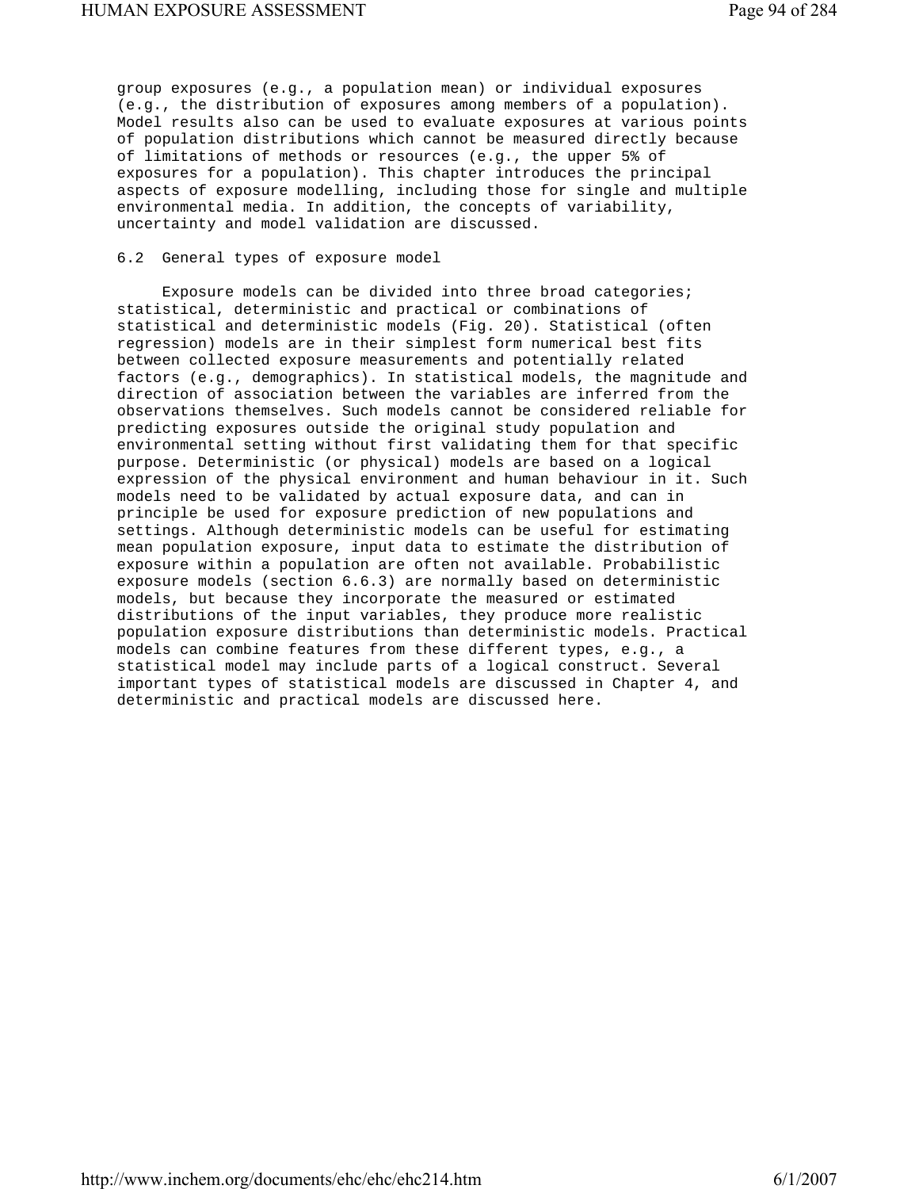group exposures (e.g., a population mean) or individual exposures (e.g., the distribution of exposures among members of a population). Model results also can be used to evaluate exposures at various points of population distributions which cannot be measured directly because of limitations of methods or resources (e.g., the upper 5% of exposures for a population). This chapter introduces the principal aspects of exposure modelling, including those for single and multiple environmental media. In addition, the concepts of variability, uncertainty and model validation are discussed.

## 6.2 General types of exposure model

 Exposure models can be divided into three broad categories; statistical, deterministic and practical or combinations of statistical and deterministic models (Fig. 20). Statistical (often regression) models are in their simplest form numerical best fits between collected exposure measurements and potentially related factors (e.g., demographics). In statistical models, the magnitude and direction of association between the variables are inferred from the observations themselves. Such models cannot be considered reliable for predicting exposures outside the original study population and environmental setting without first validating them for that specific purpose. Deterministic (or physical) models are based on a logical expression of the physical environment and human behaviour in it. Such models need to be validated by actual exposure data, and can in principle be used for exposure prediction of new populations and settings. Although deterministic models can be useful for estimating mean population exposure, input data to estimate the distribution of exposure within a population are often not available. Probabilistic exposure models (section 6.6.3) are normally based on deterministic models, but because they incorporate the measured or estimated distributions of the input variables, they produce more realistic population exposure distributions than deterministic models. Practical models can combine features from these different types, e.g., a statistical model may include parts of a logical construct. Several important types of statistical models are discussed in Chapter 4, and deterministic and practical models are discussed here.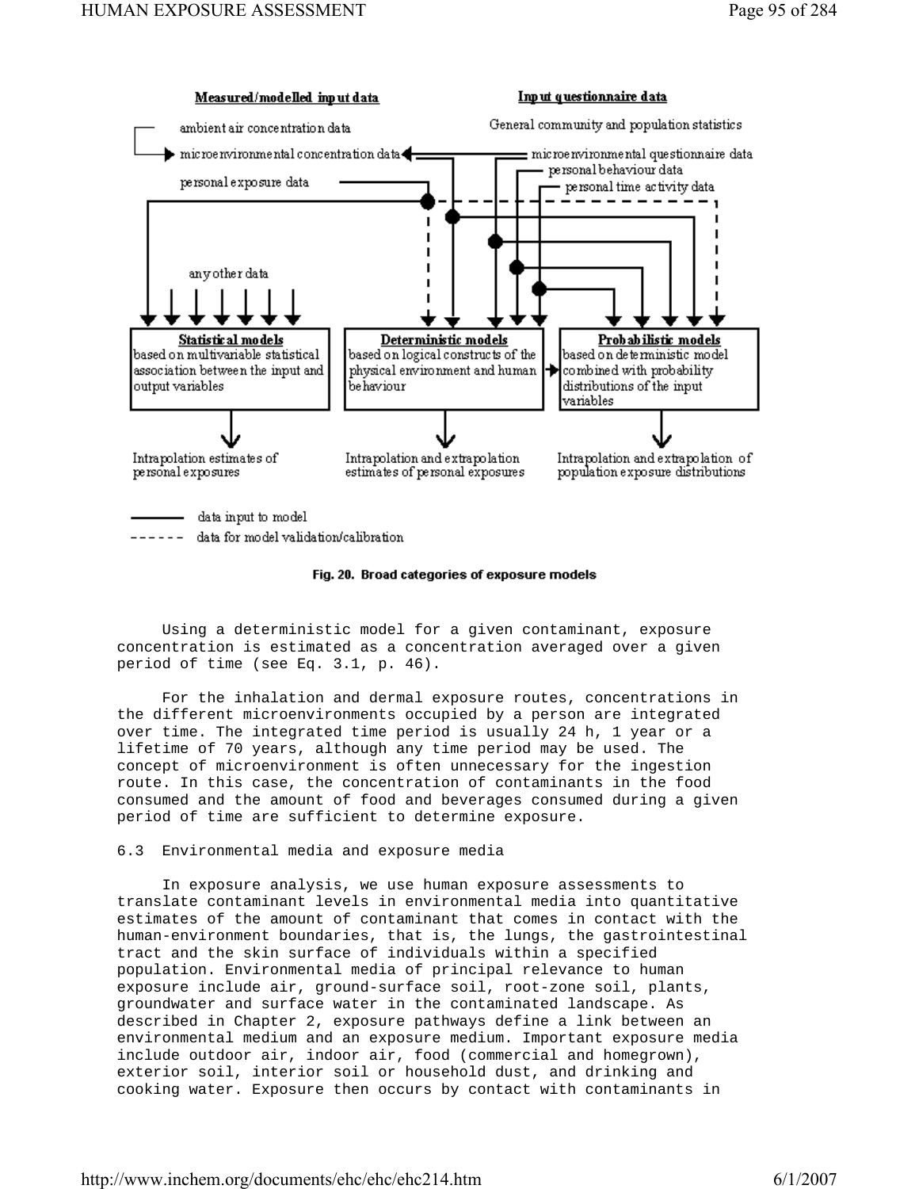

------ data for model validation/calibration

#### Fig. 20. Broad categories of exposure models

 Using a deterministic model for a given contaminant, exposure concentration is estimated as a concentration averaged over a given period of time (see Eq. 3.1, p. 46).

 For the inhalation and dermal exposure routes, concentrations in the different microenvironments occupied by a person are integrated over time. The integrated time period is usually 24 h, 1 year or a lifetime of 70 years, although any time period may be used. The concept of microenvironment is often unnecessary for the ingestion route. In this case, the concentration of contaminants in the food consumed and the amount of food and beverages consumed during a given period of time are sufficient to determine exposure.

# 6.3 Environmental media and exposure media

 In exposure analysis, we use human exposure assessments to translate contaminant levels in environmental media into quantitative estimates of the amount of contaminant that comes in contact with the human-environment boundaries, that is, the lungs, the gastrointestinal tract and the skin surface of individuals within a specified population. Environmental media of principal relevance to human exposure include air, ground-surface soil, root-zone soil, plants, groundwater and surface water in the contaminated landscape. As described in Chapter 2, exposure pathways define a link between an environmental medium and an exposure medium. Important exposure media include outdoor air, indoor air, food (commercial and homegrown), exterior soil, interior soil or household dust, and drinking and cooking water. Exposure then occurs by contact with contaminants in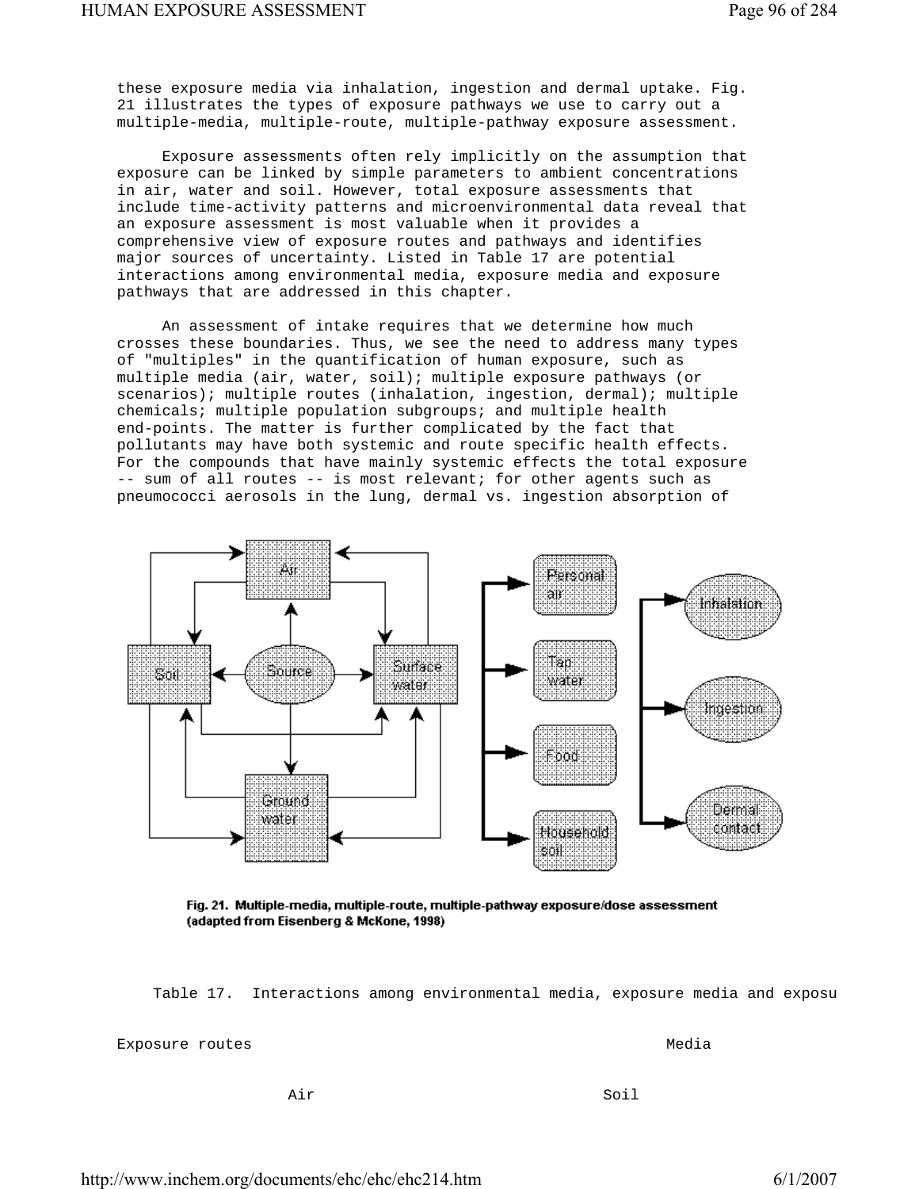these exposure media via inhalation, ingestion and dermal uptake. Fig. 21 illustrates the types of exposure pathways we use to carry out a multiple-media, multiple-route, multiple-pathway exposure assessment.

 Exposure assessments often rely implicitly on the assumption that exposure can be linked by simple parameters to ambient concentrations in air, water and soil. However, total exposure assessments that include time-activity patterns and microenvironmental data reveal that an exposure assessment is most valuable when it provides a comprehensive view of exposure routes and pathways and identifies major sources of uncertainty. Listed in Table 17 are potential interactions among environmental media, exposure media and exposure pathways that are addressed in this chapter.

 An assessment of intake requires that we determine how much crosses these boundaries. Thus, we see the need to address many types of "multiples" in the quantification of human exposure, such as multiple media (air, water, soil); multiple exposure pathways (or scenarios); multiple routes (inhalation, ingestion, dermal); multiple chemicals; multiple population subgroups; and multiple health end-points. The matter is further complicated by the fact that pollutants may have both systemic and route specific health effects. For the compounds that have mainly systemic effects the total exposure -- sum of all routes -- is most relevant; for other agents such as pneumococci aerosols in the lung, dermal vs. ingestion absorption of



Fig. 21. Multiple-media, multiple-route, multiple-pathway exposure/dose assessment (adapted from Eisenberg & McKone, 1998)

Table 17. Interactions among environmental media, exposure media and exposu

Exposure routes and the set of the set of the set of the set of the set of the set of the set of the set of the

and the solution of the solution of the solution of the solution of the solution of the solution of the solution of the solution of the solution of the solution of the solution of the solution of the solution of the soluti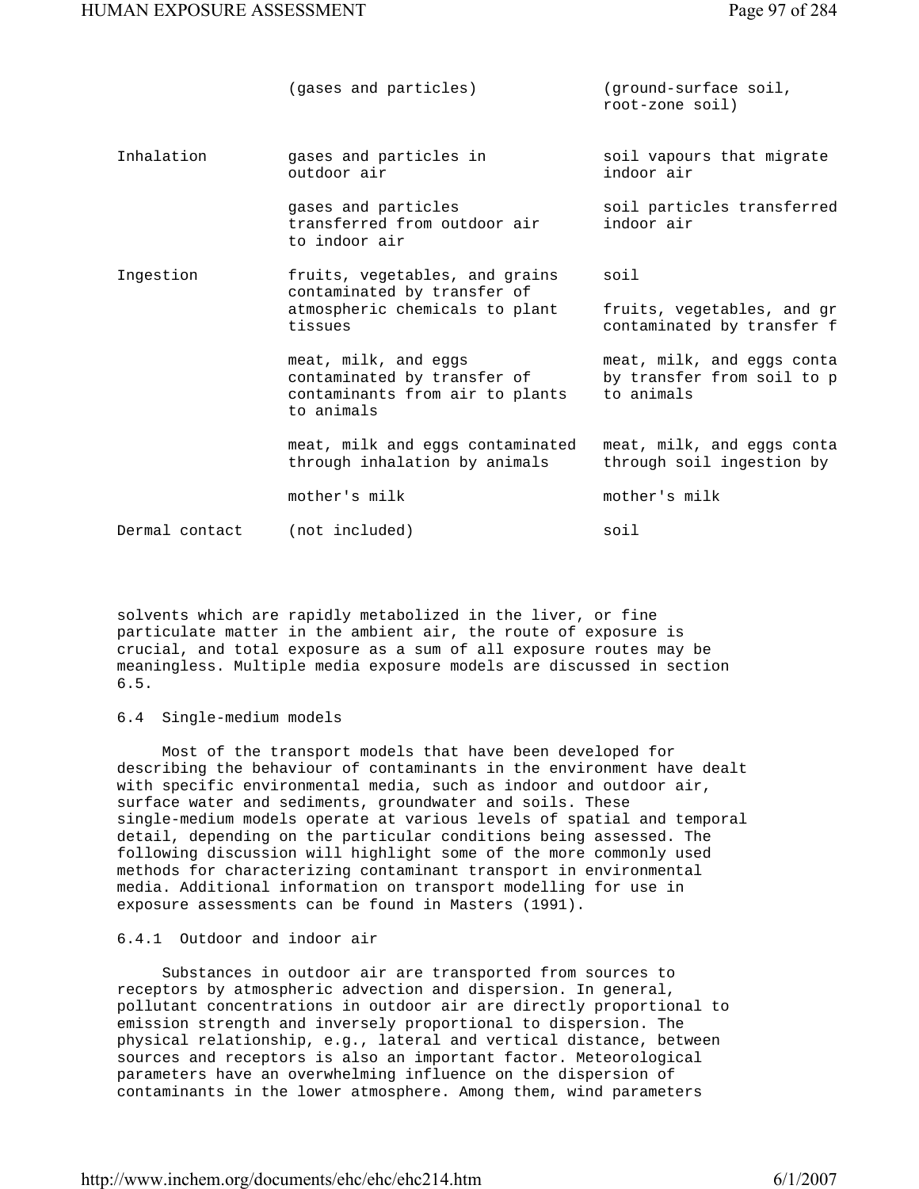|                | (gases and particles)                                                                                | (ground-surface soil,<br>root-zone soil)                               |
|----------------|------------------------------------------------------------------------------------------------------|------------------------------------------------------------------------|
| Inhalation     | gases and particles in<br>outdoor air                                                                | soil vapours that migrate<br>indoor air                                |
|                | gases and particles<br>transferred from outdoor air<br>to indoor air                                 | soil particles transferred<br>indoor air                               |
| Ingestion      | fruits, vegetables, and grains                                                                       | soil                                                                   |
|                | contaminated by transfer of<br>atmospheric chemicals to plant<br>tissues                             | fruits, vegetables, and gr<br>contaminated by transfer f               |
|                | meat, milk, and eggs<br>contaminated by transfer of<br>contaminants from air to plants<br>to animals | meat, milk, and eggs conta<br>by transfer from soil to p<br>to animals |
|                | meat, milk and eggs contaminated<br>through inhalation by animals                                    | meat, milk, and eggs conta<br>through soil ingestion by                |
|                | mother's milk                                                                                        | mother's milk                                                          |
| Dermal contact | (not included)                                                                                       | soil                                                                   |

 solvents which are rapidly metabolized in the liver, or fine particulate matter in the ambient air, the route of exposure is crucial, and total exposure as a sum of all exposure routes may be meaningless. Multiple media exposure models are discussed in section 6.5.

## 6.4 Single-medium models

 Most of the transport models that have been developed for describing the behaviour of contaminants in the environment have dealt with specific environmental media, such as indoor and outdoor air, surface water and sediments, groundwater and soils. These single-medium models operate at various levels of spatial and temporal detail, depending on the particular conditions being assessed. The following discussion will highlight some of the more commonly used methods for characterizing contaminant transport in environmental media. Additional information on transport modelling for use in exposure assessments can be found in Masters (1991).

# 6.4.1 Outdoor and indoor air

 Substances in outdoor air are transported from sources to receptors by atmospheric advection and dispersion. In general, pollutant concentrations in outdoor air are directly proportional to emission strength and inversely proportional to dispersion. The physical relationship, e.g., lateral and vertical distance, between sources and receptors is also an important factor. Meteorological parameters have an overwhelming influence on the dispersion of contaminants in the lower atmosphere. Among them, wind parameters

http://www.inchem.org/documents/ehc/ehc/ehc214.htm 6/1/2007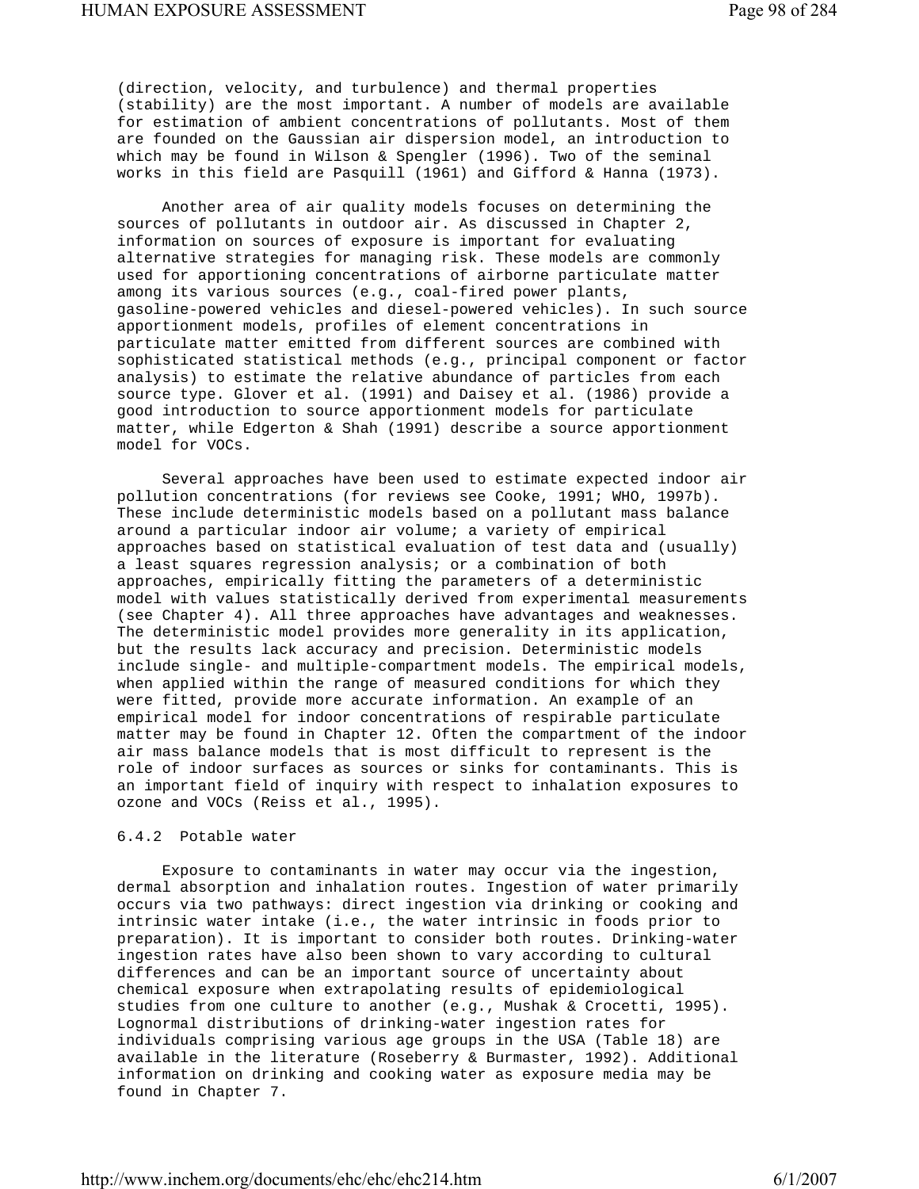(direction, velocity, and turbulence) and thermal properties (stability) are the most important. A number of models are available for estimation of ambient concentrations of pollutants. Most of them are founded on the Gaussian air dispersion model, an introduction to which may be found in Wilson & Spengler (1996). Two of the seminal works in this field are Pasquill (1961) and Gifford & Hanna (1973).

 Another area of air quality models focuses on determining the sources of pollutants in outdoor air. As discussed in Chapter 2, information on sources of exposure is important for evaluating alternative strategies for managing risk. These models are commonly used for apportioning concentrations of airborne particulate matter among its various sources (e.g., coal-fired power plants, gasoline-powered vehicles and diesel-powered vehicles). In such source apportionment models, profiles of element concentrations in particulate matter emitted from different sources are combined with sophisticated statistical methods (e.g., principal component or factor analysis) to estimate the relative abundance of particles from each source type. Glover et al. (1991) and Daisey et al. (1986) provide a good introduction to source apportionment models for particulate matter, while Edgerton & Shah (1991) describe a source apportionment model for VOCs.

 Several approaches have been used to estimate expected indoor air pollution concentrations (for reviews see Cooke, 1991; WHO, 1997b). These include deterministic models based on a pollutant mass balance around a particular indoor air volume; a variety of empirical approaches based on statistical evaluation of test data and (usually) a least squares regression analysis; or a combination of both approaches, empirically fitting the parameters of a deterministic model with values statistically derived from experimental measurements (see Chapter 4). All three approaches have advantages and weaknesses. The deterministic model provides more generality in its application, but the results lack accuracy and precision. Deterministic models include single- and multiple-compartment models. The empirical models, when applied within the range of measured conditions for which they were fitted, provide more accurate information. An example of an empirical model for indoor concentrations of respirable particulate matter may be found in Chapter 12. Often the compartment of the indoor air mass balance models that is most difficult to represent is the role of indoor surfaces as sources or sinks for contaminants. This is an important field of inquiry with respect to inhalation exposures to ozone and VOCs (Reiss et al., 1995).

## 6.4.2 Potable water

 Exposure to contaminants in water may occur via the ingestion, dermal absorption and inhalation routes. Ingestion of water primarily occurs via two pathways: direct ingestion via drinking or cooking and intrinsic water intake (i.e., the water intrinsic in foods prior to preparation). It is important to consider both routes. Drinking-water ingestion rates have also been shown to vary according to cultural differences and can be an important source of uncertainty about chemical exposure when extrapolating results of epidemiological studies from one culture to another (e.g., Mushak & Crocetti, 1995). Lognormal distributions of drinking-water ingestion rates for individuals comprising various age groups in the USA (Table 18) are available in the literature (Roseberry & Burmaster, 1992). Additional information on drinking and cooking water as exposure media may be found in Chapter 7.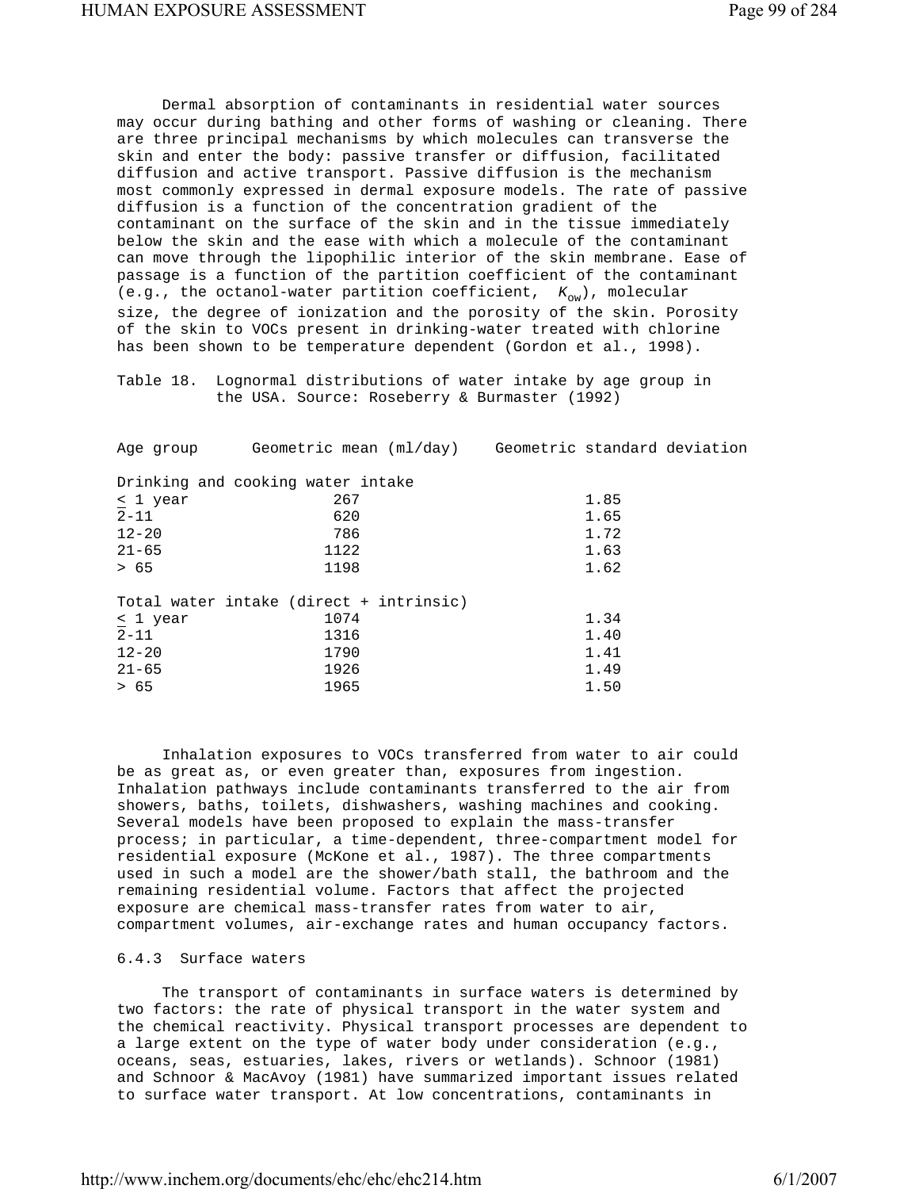Dermal absorption of contaminants in residential water sources may occur during bathing and other forms of washing or cleaning. There are three principal mechanisms by which molecules can transverse the skin and enter the body: passive transfer or diffusion, facilitated diffusion and active transport. Passive diffusion is the mechanism most commonly expressed in dermal exposure models. The rate of passive diffusion is a function of the concentration gradient of the contaminant on the surface of the skin and in the tissue immediately below the skin and the ease with which a molecule of the contaminant can move through the lipophilic interior of the skin membrane. Ease of passage is a function of the partition coefficient of the contaminant (e.g., the octanol-water partition coefficient,  $K_{\alpha w}$ ), molecular size, the degree of ionization and the porosity of the skin. Porosity of the skin to VOCs present in drinking-water treated with chlorine has been shown to be temperature dependent (Gordon et al., 1998).

 Table 18. Lognormal distributions of water intake by age group in the USA. Source: Roseberry & Burmaster (1992)

| Age group     |                                         | Geometric mean (ml/day) Geometric standard deviation |
|---------------|-----------------------------------------|------------------------------------------------------|
|               | Drinking and cooking water intake       |                                                      |
| $\leq 1$ year | 267                                     | 1.85                                                 |
| $2 - 11$      | 620                                     | 1.65                                                 |
| $12 - 20$     | 786                                     | 1.72                                                 |
| $21 - 65$     | 1122                                    | 1.63                                                 |
| > 65          | 1198                                    | 1.62                                                 |
|               | Total water intake (direct + intrinsic) |                                                      |
| $\leq 1$ year | 1074                                    | 1.34                                                 |
| $2 - 11$      | 1316                                    | 1.40                                                 |
| $12 - 20$     | 1790                                    | 1.41                                                 |
| $21 - 65$     | 1926                                    | 1.49                                                 |
|               | 1965                                    |                                                      |

 Inhalation exposures to VOCs transferred from water to air could be as great as, or even greater than, exposures from ingestion. Inhalation pathways include contaminants transferred to the air from showers, baths, toilets, dishwashers, washing machines and cooking. Several models have been proposed to explain the mass-transfer process; in particular, a time-dependent, three-compartment model for residential exposure (McKone et al., 1987). The three compartments used in such a model are the shower/bath stall, the bathroom and the remaining residential volume. Factors that affect the projected exposure are chemical mass-transfer rates from water to air, compartment volumes, air-exchange rates and human occupancy factors.

# 6.4.3 Surface waters

 The transport of contaminants in surface waters is determined by two factors: the rate of physical transport in the water system and the chemical reactivity. Physical transport processes are dependent to a large extent on the type of water body under consideration (e.g., oceans, seas, estuaries, lakes, rivers or wetlands). Schnoor (1981) and Schnoor & MacAvoy (1981) have summarized important issues related to surface water transport. At low concentrations, contaminants in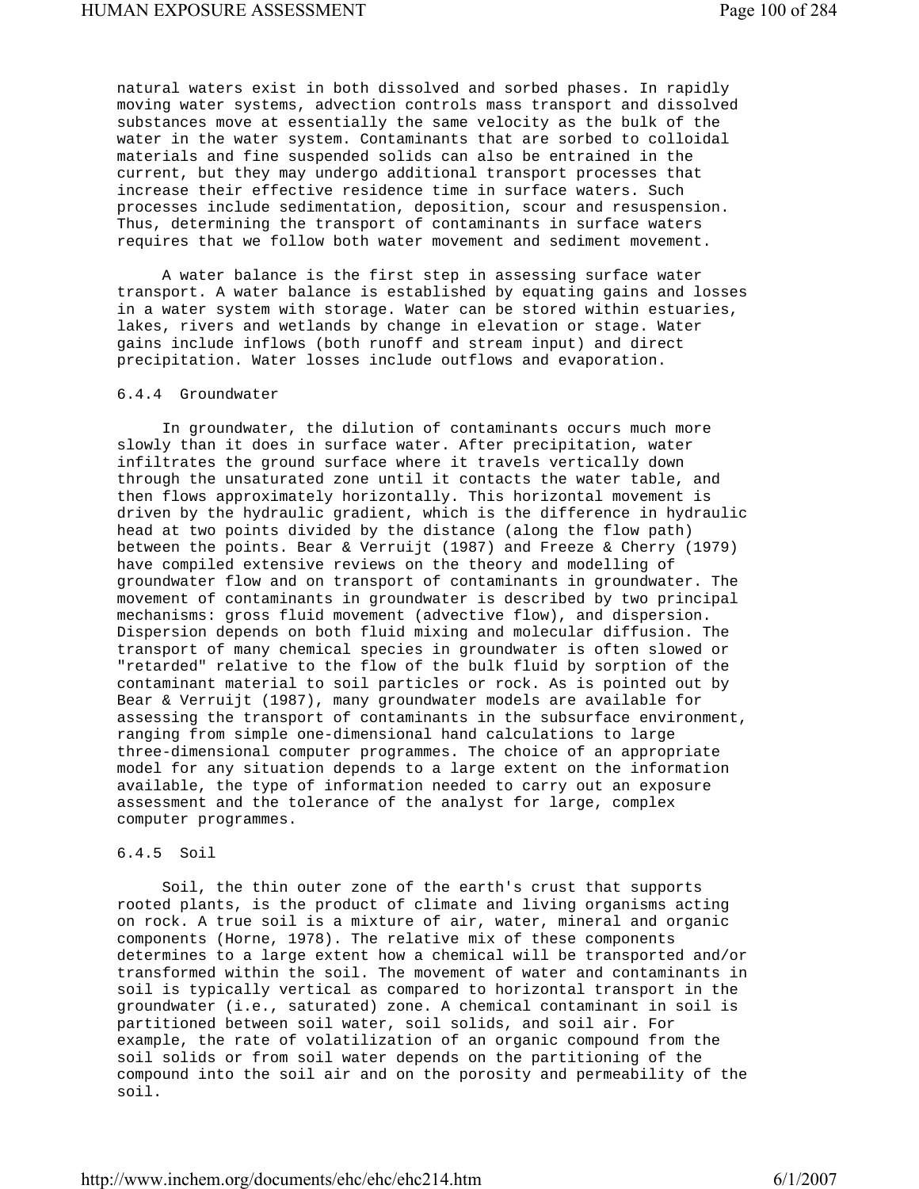natural waters exist in both dissolved and sorbed phases. In rapidly moving water systems, advection controls mass transport and dissolved substances move at essentially the same velocity as the bulk of the water in the water system. Contaminants that are sorbed to colloidal materials and fine suspended solids can also be entrained in the current, but they may undergo additional transport processes that increase their effective residence time in surface waters. Such processes include sedimentation, deposition, scour and resuspension. Thus, determining the transport of contaminants in surface waters requires that we follow both water movement and sediment movement.

 A water balance is the first step in assessing surface water transport. A water balance is established by equating gains and losses in a water system with storage. Water can be stored within estuaries, lakes, rivers and wetlands by change in elevation or stage. Water gains include inflows (both runoff and stream input) and direct precipitation. Water losses include outflows and evaporation.

## 6.4.4 Groundwater

 In groundwater, the dilution of contaminants occurs much more slowly than it does in surface water. After precipitation, water infiltrates the ground surface where it travels vertically down through the unsaturated zone until it contacts the water table, and then flows approximately horizontally. This horizontal movement is driven by the hydraulic gradient, which is the difference in hydraulic head at two points divided by the distance (along the flow path) between the points. Bear & Verruijt (1987) and Freeze & Cherry (1979) have compiled extensive reviews on the theory and modelling of groundwater flow and on transport of contaminants in groundwater. The movement of contaminants in groundwater is described by two principal mechanisms: gross fluid movement (advective flow), and dispersion. Dispersion depends on both fluid mixing and molecular diffusion. The transport of many chemical species in groundwater is often slowed or "retarded" relative to the flow of the bulk fluid by sorption of the contaminant material to soil particles or rock. As is pointed out by Bear & Verruijt (1987), many groundwater models are available for assessing the transport of contaminants in the subsurface environment, ranging from simple one-dimensional hand calculations to large three-dimensional computer programmes. The choice of an appropriate model for any situation depends to a large extent on the information available, the type of information needed to carry out an exposure assessment and the tolerance of the analyst for large, complex computer programmes.

## 6.4.5 Soil

 Soil, the thin outer zone of the earth's crust that supports rooted plants, is the product of climate and living organisms acting on rock. A true soil is a mixture of air, water, mineral and organic components (Horne, 1978). The relative mix of these components determines to a large extent how a chemical will be transported and/or transformed within the soil. The movement of water and contaminants in soil is typically vertical as compared to horizontal transport in the groundwater (i.e., saturated) zone. A chemical contaminant in soil is partitioned between soil water, soil solids, and soil air. For example, the rate of volatilization of an organic compound from the soil solids or from soil water depends on the partitioning of the compound into the soil air and on the porosity and permeability of the soil.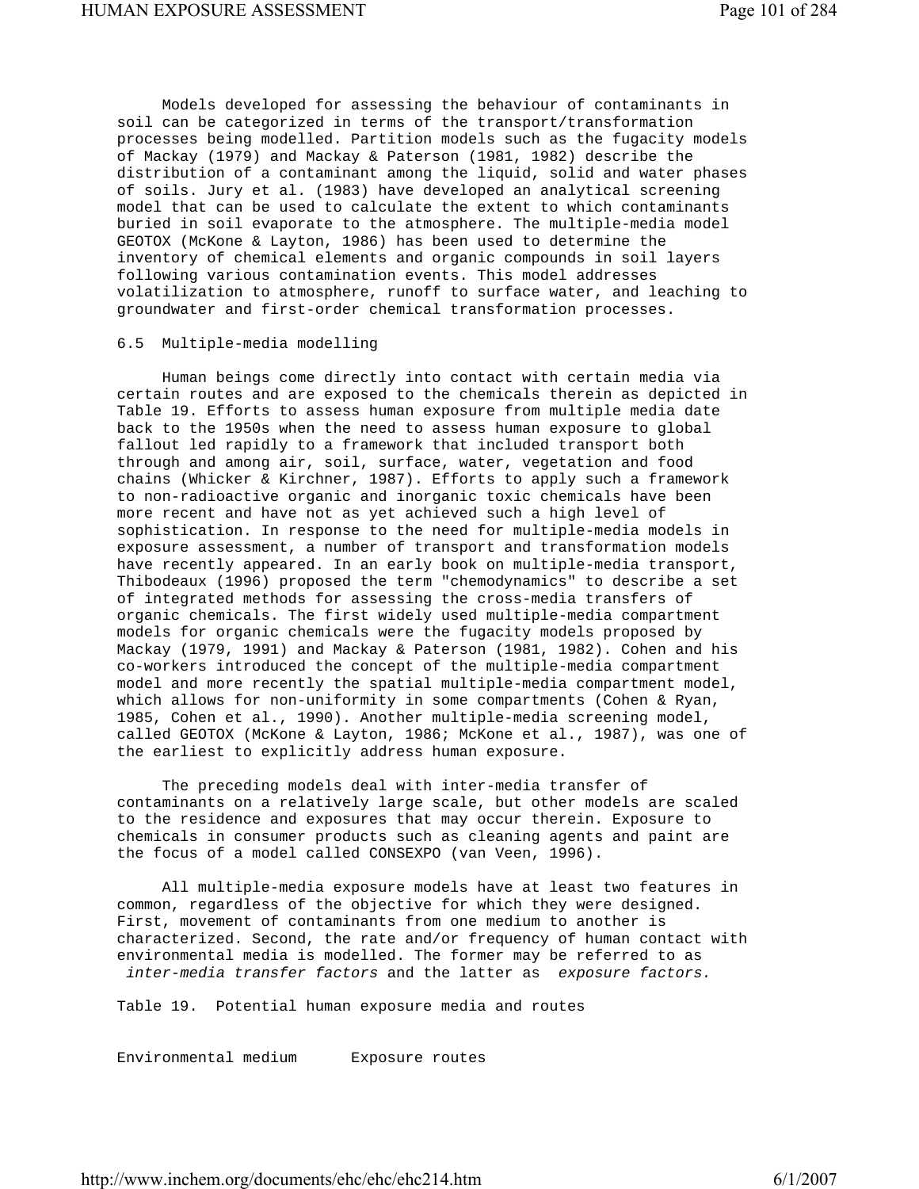Models developed for assessing the behaviour of contaminants in soil can be categorized in terms of the transport/transformation processes being modelled. Partition models such as the fugacity models of Mackay (1979) and Mackay & Paterson (1981, 1982) describe the distribution of a contaminant among the liquid, solid and water phases of soils. Jury et al. (1983) have developed an analytical screening model that can be used to calculate the extent to which contaminants buried in soil evaporate to the atmosphere. The multiple-media model GEOTOX (McKone & Layton, 1986) has been used to determine the inventory of chemical elements and organic compounds in soil layers following various contamination events. This model addresses volatilization to atmosphere, runoff to surface water, and leaching to groundwater and first-order chemical transformation processes.

#### 6.5 Multiple-media modelling

 Human beings come directly into contact with certain media via certain routes and are exposed to the chemicals therein as depicted in Table 19. Efforts to assess human exposure from multiple media date back to the 1950s when the need to assess human exposure to global fallout led rapidly to a framework that included transport both through and among air, soil, surface, water, vegetation and food chains (Whicker & Kirchner, 1987). Efforts to apply such a framework to non-radioactive organic and inorganic toxic chemicals have been more recent and have not as yet achieved such a high level of sophistication. In response to the need for multiple-media models in exposure assessment, a number of transport and transformation models have recently appeared. In an early book on multiple-media transport, Thibodeaux (1996) proposed the term "chemodynamics" to describe a set of integrated methods for assessing the cross-media transfers of organic chemicals. The first widely used multiple-media compartment models for organic chemicals were the fugacity models proposed by Mackay (1979, 1991) and Mackay & Paterson (1981, 1982). Cohen and his co-workers introduced the concept of the multiple-media compartment model and more recently the spatial multiple-media compartment model, which allows for non-uniformity in some compartments (Cohen & Ryan, 1985, Cohen et al., 1990). Another multiple-media screening model, called GEOTOX (McKone & Layton, 1986; McKone et al., 1987), was one of the earliest to explicitly address human exposure.

 The preceding models deal with inter-media transfer of contaminants on a relatively large scale, but other models are scaled to the residence and exposures that may occur therein. Exposure to chemicals in consumer products such as cleaning agents and paint are the focus of a model called CONSEXPO (van Veen, 1996).

 All multiple-media exposure models have at least two features in common, regardless of the objective for which they were designed. First, movement of contaminants from one medium to another is characterized. Second, the rate and/or frequency of human contact with environmental media is modelled. The former may be referred to as *inter-media transfer factors* and the latter as *exposure factors.* 

Table 19. Potential human exposure media and routes

Environmental medium Exposure routes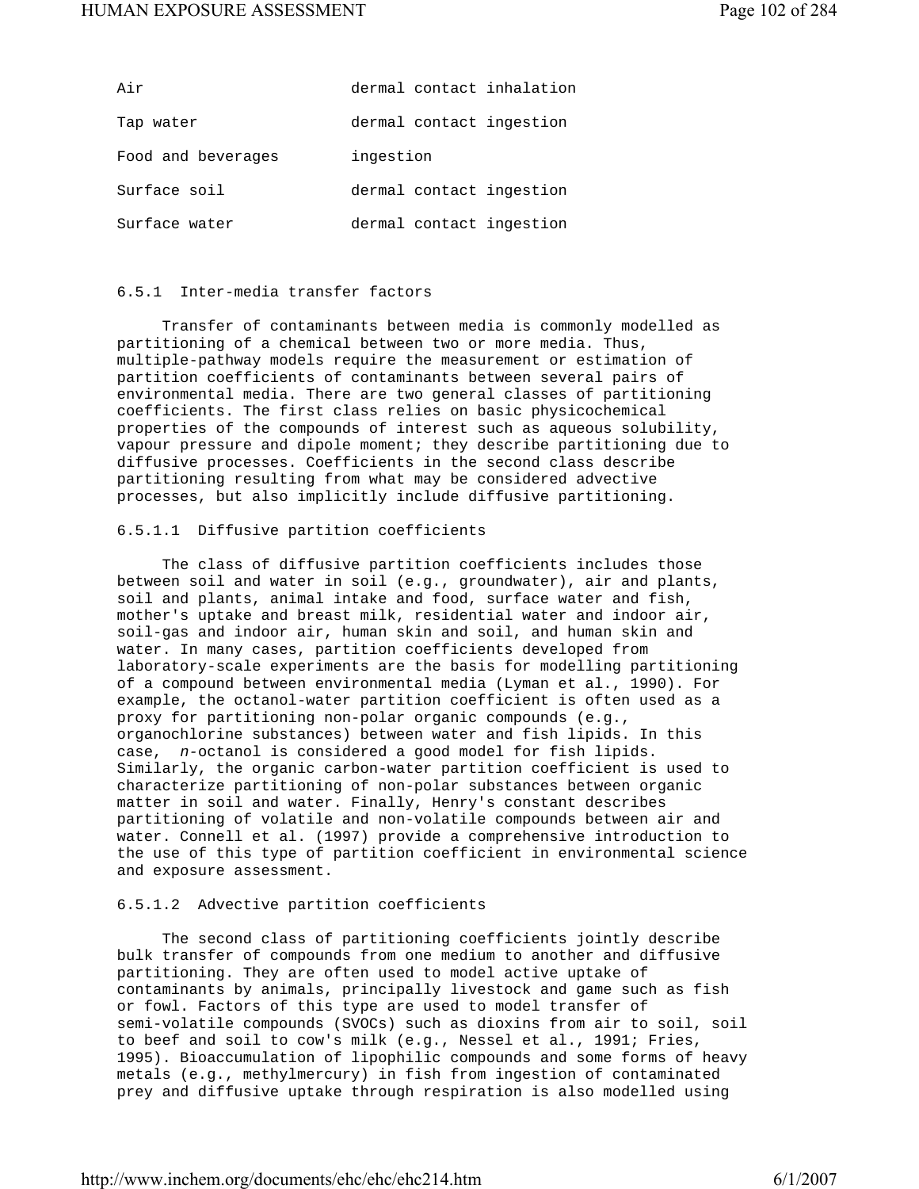| Air                |           | dermal contact inhalation |
|--------------------|-----------|---------------------------|
| Tap water          |           | dermal contact ingestion  |
| Food and beverages | ingestion |                           |
| Surface soil       |           | dermal contact ingestion  |
| Surface water      |           | dermal contact ingestion  |

#### 6.5.1 Inter-media transfer factors

 Transfer of contaminants between media is commonly modelled as partitioning of a chemical between two or more media. Thus, multiple-pathway models require the measurement or estimation of partition coefficients of contaminants between several pairs of environmental media. There are two general classes of partitioning coefficients. The first class relies on basic physicochemical properties of the compounds of interest such as aqueous solubility, vapour pressure and dipole moment; they describe partitioning due to diffusive processes. Coefficients in the second class describe partitioning resulting from what may be considered advective processes, but also implicitly include diffusive partitioning.

# 6.5.1.1 Diffusive partition coefficients

 The class of diffusive partition coefficients includes those between soil and water in soil (e.g., groundwater), air and plants, soil and plants, animal intake and food, surface water and fish, mother's uptake and breast milk, residential water and indoor air, soil-gas and indoor air, human skin and soil, and human skin and water. In many cases, partition coefficients developed from laboratory-scale experiments are the basis for modelling partitioning of a compound between environmental media (Lyman et al., 1990). For example, the octanol-water partition coefficient is often used as a proxy for partitioning non-polar organic compounds (e.g., organochlorine substances) between water and fish lipids. In this case, *n-*octanol is considered a good model for fish lipids. Similarly, the organic carbon-water partition coefficient is used to characterize partitioning of non-polar substances between organic matter in soil and water. Finally, Henry's constant describes partitioning of volatile and non-volatile compounds between air and water. Connell et al. (1997) provide a comprehensive introduction to the use of this type of partition coefficient in environmental science and exposure assessment.

#### 6.5.1.2 Advective partition coefficients

 The second class of partitioning coefficients jointly describe bulk transfer of compounds from one medium to another and diffusive partitioning. They are often used to model active uptake of contaminants by animals, principally livestock and game such as fish or fowl. Factors of this type are used to model transfer of semi-volatile compounds (SVOCs) such as dioxins from air to soil, soil to beef and soil to cow's milk (e.g., Nessel et al., 1991; Fries, 1995). Bioaccumulation of lipophilic compounds and some forms of heavy metals (e.g., methylmercury) in fish from ingestion of contaminated prey and diffusive uptake through respiration is also modelled using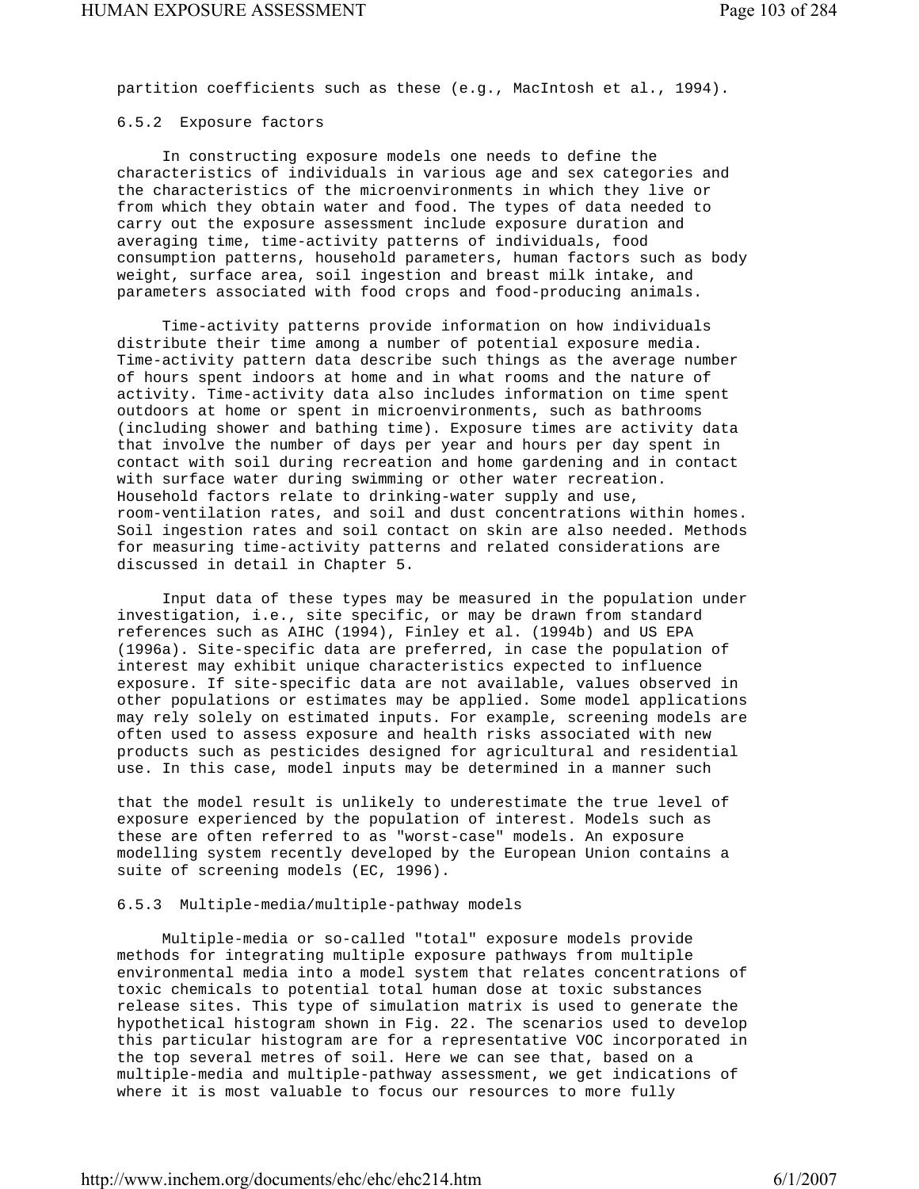partition coefficients such as these (e.g., MacIntosh et al., 1994).

## 6.5.2 Exposure factors

 In constructing exposure models one needs to define the characteristics of individuals in various age and sex categories and the characteristics of the microenvironments in which they live or from which they obtain water and food. The types of data needed to carry out the exposure assessment include exposure duration and averaging time, time-activity patterns of individuals, food consumption patterns, household parameters, human factors such as body weight, surface area, soil ingestion and breast milk intake, and parameters associated with food crops and food-producing animals.

 Time-activity patterns provide information on how individuals distribute their time among a number of potential exposure media. Time-activity pattern data describe such things as the average number of hours spent indoors at home and in what rooms and the nature of activity. Time-activity data also includes information on time spent outdoors at home or spent in microenvironments, such as bathrooms (including shower and bathing time). Exposure times are activity data that involve the number of days per year and hours per day spent in contact with soil during recreation and home gardening and in contact with surface water during swimming or other water recreation. Household factors relate to drinking-water supply and use, room-ventilation rates, and soil and dust concentrations within homes. Soil ingestion rates and soil contact on skin are also needed. Methods for measuring time-activity patterns and related considerations are discussed in detail in Chapter 5.

 Input data of these types may be measured in the population under investigation, i.e., site specific, or may be drawn from standard references such as AIHC (1994), Finley et al. (1994b) and US EPA (1996a). Site-specific data are preferred, in case the population of interest may exhibit unique characteristics expected to influence exposure. If site-specific data are not available, values observed in other populations or estimates may be applied. Some model applications may rely solely on estimated inputs. For example, screening models are often used to assess exposure and health risks associated with new products such as pesticides designed for agricultural and residential use. In this case, model inputs may be determined in a manner such

 that the model result is unlikely to underestimate the true level of exposure experienced by the population of interest. Models such as these are often referred to as "worst-case" models. An exposure modelling system recently developed by the European Union contains a suite of screening models (EC, 1996).

#### 6.5.3 Multiple-media/multiple-pathway models

 Multiple-media or so-called "total" exposure models provide methods for integrating multiple exposure pathways from multiple environmental media into a model system that relates concentrations of toxic chemicals to potential total human dose at toxic substances release sites. This type of simulation matrix is used to generate the hypothetical histogram shown in Fig. 22. The scenarios used to develop this particular histogram are for a representative VOC incorporated in the top several metres of soil. Here we can see that, based on a multiple-media and multiple-pathway assessment, we get indications of where it is most valuable to focus our resources to more fully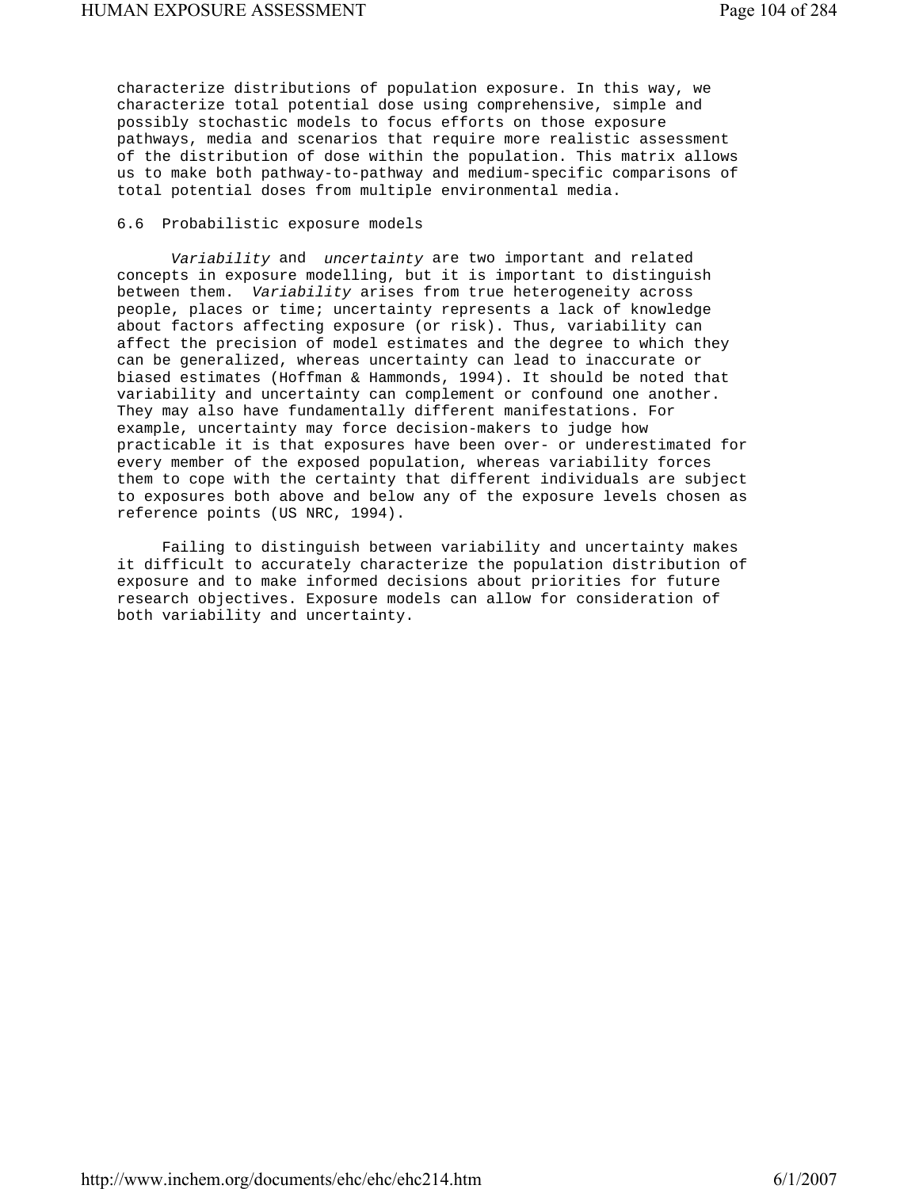characterize distributions of population exposure. In this way, we characterize total potential dose using comprehensive, simple and possibly stochastic models to focus efforts on those exposure pathways, media and scenarios that require more realistic assessment of the distribution of dose within the population. This matrix allows us to make both pathway-to-pathway and medium-specific comparisons of total potential doses from multiple environmental media.

#### 6.6 Probabilistic exposure models

 *Variability* and *uncertainty* are two important and related concepts in exposure modelling, but it is important to distinguish between them. *Variability* arises from true heterogeneity across people, places or time; uncertainty represents a lack of knowledge about factors affecting exposure (or risk). Thus, variability can affect the precision of model estimates and the degree to which they can be generalized, whereas uncertainty can lead to inaccurate or biased estimates (Hoffman & Hammonds, 1994). It should be noted that variability and uncertainty can complement or confound one another. They may also have fundamentally different manifestations. For example, uncertainty may force decision-makers to judge how practicable it is that exposures have been over- or underestimated for every member of the exposed population, whereas variability forces them to cope with the certainty that different individuals are subject to exposures both above and below any of the exposure levels chosen as reference points (US NRC, 1994).

 Failing to distinguish between variability and uncertainty makes it difficult to accurately characterize the population distribution of exposure and to make informed decisions about priorities for future research objectives. Exposure models can allow for consideration of both variability and uncertainty.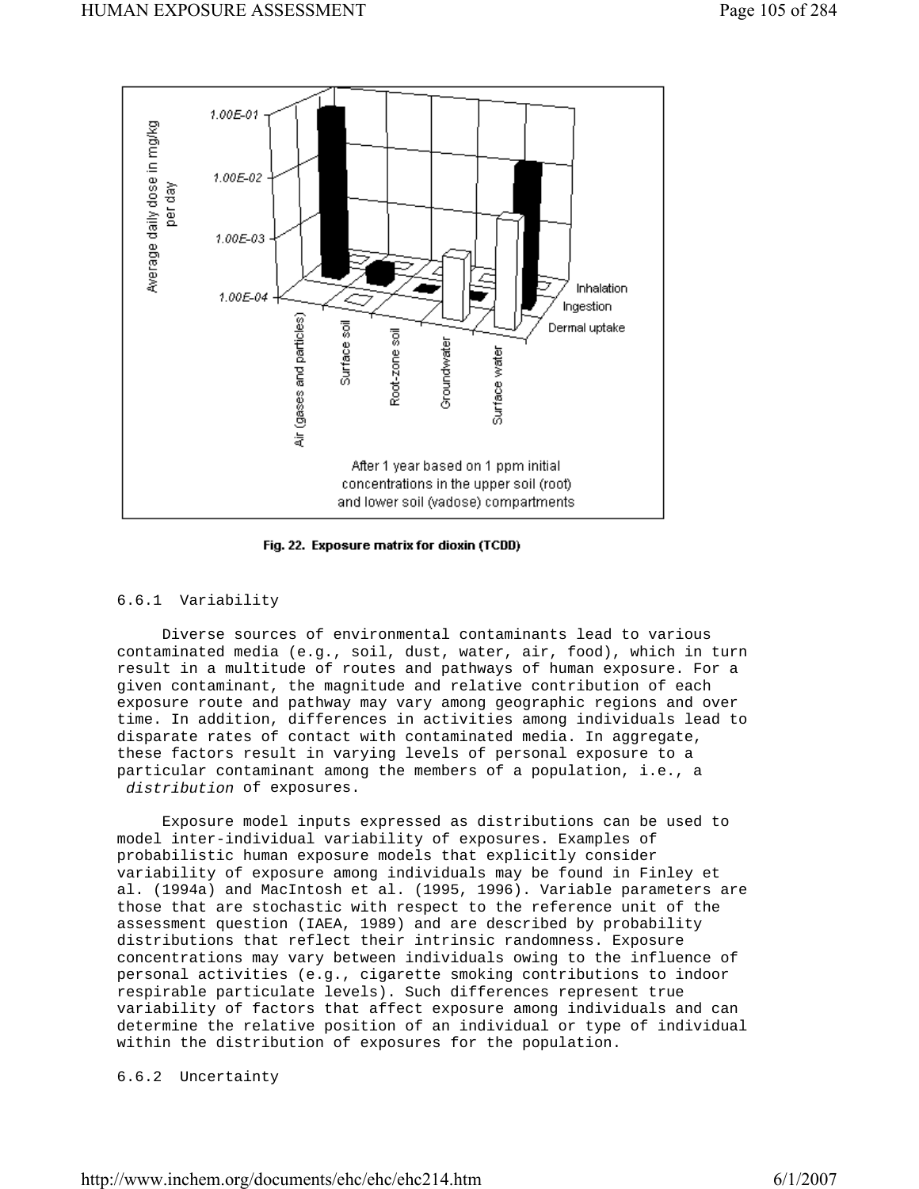

Fig. 22. Exposure matrix for dioxin (TCDD)

# 6.6.1 Variability

 Diverse sources of environmental contaminants lead to various contaminated media (e.g., soil, dust, water, air, food), which in turn result in a multitude of routes and pathways of human exposure. For a given contaminant, the magnitude and relative contribution of each exposure route and pathway may vary among geographic regions and over time. In addition, differences in activities among individuals lead to disparate rates of contact with contaminated media. In aggregate, these factors result in varying levels of personal exposure to a particular contaminant among the members of a population, i.e., a *distribution* of exposures.

 Exposure model inputs expressed as distributions can be used to model inter-individual variability of exposures. Examples of probabilistic human exposure models that explicitly consider variability of exposure among individuals may be found in Finley et al. (1994a) and MacIntosh et al. (1995, 1996). Variable parameters are those that are stochastic with respect to the reference unit of the assessment question (IAEA, 1989) and are described by probability distributions that reflect their intrinsic randomness. Exposure concentrations may vary between individuals owing to the influence of personal activities (e.g., cigarette smoking contributions to indoor respirable particulate levels). Such differences represent true variability of factors that affect exposure among individuals and can determine the relative position of an individual or type of individual within the distribution of exposures for the population.

6.6.2 Uncertainty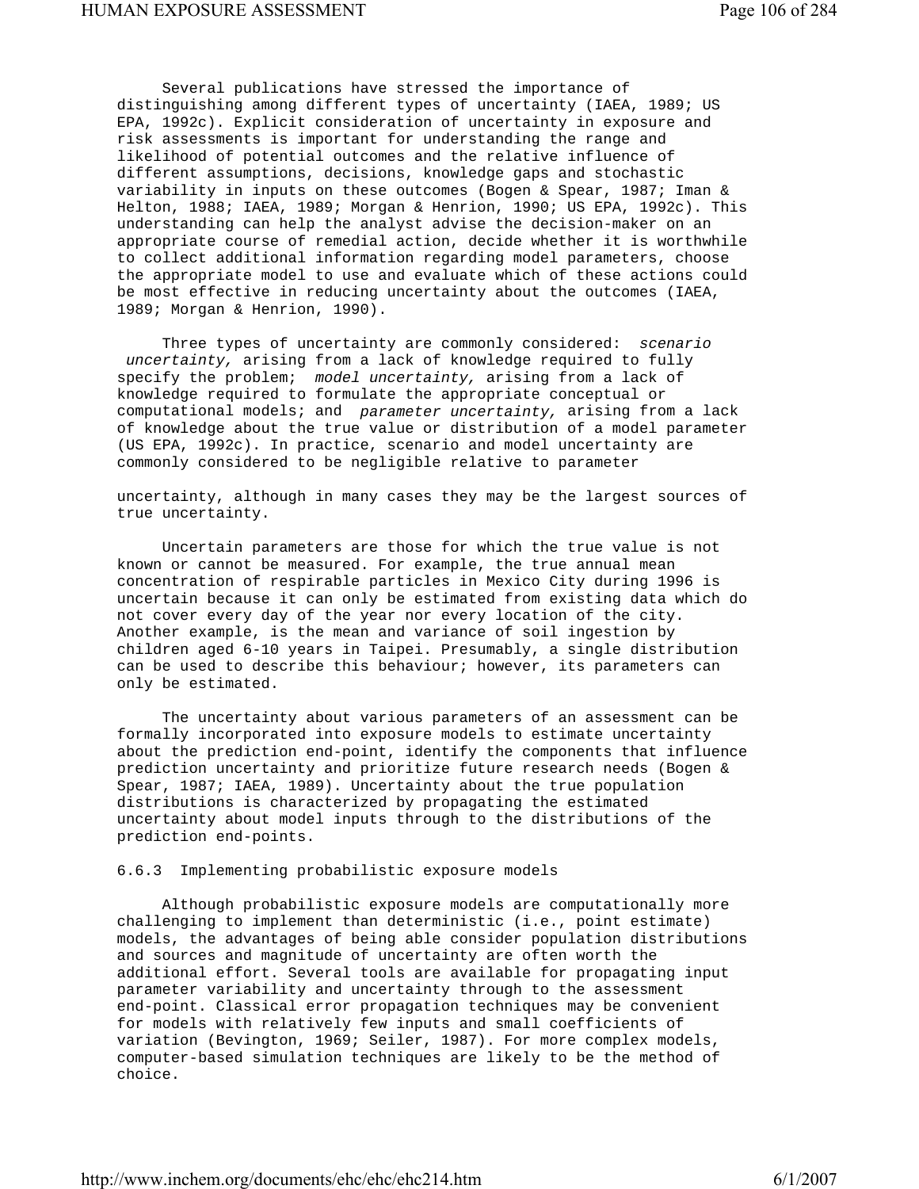Several publications have stressed the importance of distinguishing among different types of uncertainty (IAEA, 1989; US EPA, 1992c). Explicit consideration of uncertainty in exposure and risk assessments is important for understanding the range and likelihood of potential outcomes and the relative influence of different assumptions, decisions, knowledge gaps and stochastic variability in inputs on these outcomes (Bogen & Spear, 1987; Iman & Helton, 1988; IAEA, 1989; Morgan & Henrion, 1990; US EPA, 1992c). This understanding can help the analyst advise the decision-maker on an appropriate course of remedial action, decide whether it is worthwhile to collect additional information regarding model parameters, choose the appropriate model to use and evaluate which of these actions could be most effective in reducing uncertainty about the outcomes (IAEA, 1989; Morgan & Henrion, 1990).

 Three types of uncertainty are commonly considered: *scenario uncertainty,* arising from a lack of knowledge required to fully specify the problem; *model uncertainty,* arising from a lack of knowledge required to formulate the appropriate conceptual or computational models; and *parameter uncertainty,* arising from a lack of knowledge about the true value or distribution of a model parameter (US EPA, 1992c). In practice, scenario and model uncertainty are commonly considered to be negligible relative to parameter

 uncertainty, although in many cases they may be the largest sources of true uncertainty.

 Uncertain parameters are those for which the true value is not known or cannot be measured. For example, the true annual mean concentration of respirable particles in Mexico City during 1996 is uncertain because it can only be estimated from existing data which do not cover every day of the year nor every location of the city. Another example, is the mean and variance of soil ingestion by children aged 6-10 years in Taipei. Presumably, a single distribution can be used to describe this behaviour; however, its parameters can only be estimated.

 The uncertainty about various parameters of an assessment can be formally incorporated into exposure models to estimate uncertainty about the prediction end-point, identify the components that influence prediction uncertainty and prioritize future research needs (Bogen & Spear, 1987; IAEA, 1989). Uncertainty about the true population distributions is characterized by propagating the estimated uncertainty about model inputs through to the distributions of the prediction end-points.

6.6.3 Implementing probabilistic exposure models

 Although probabilistic exposure models are computationally more challenging to implement than deterministic (i.e., point estimate) models, the advantages of being able consider population distributions and sources and magnitude of uncertainty are often worth the additional effort. Several tools are available for propagating input parameter variability and uncertainty through to the assessment end-point. Classical error propagation techniques may be convenient for models with relatively few inputs and small coefficients of variation (Bevington, 1969; Seiler, 1987). For more complex models, computer-based simulation techniques are likely to be the method of choice.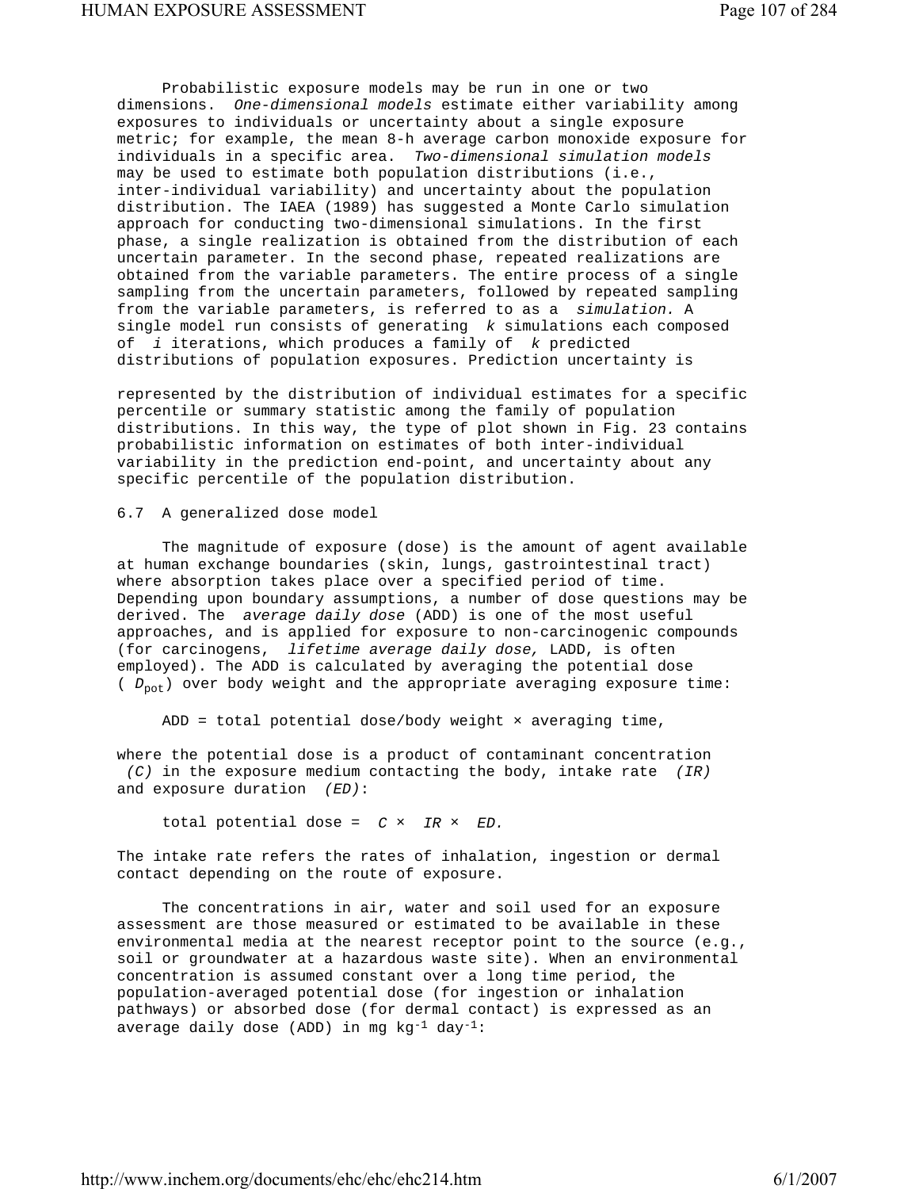Probabilistic exposure models may be run in one or two dimensions. *One-dimensional models* estimate either variability among exposures to individuals or uncertainty about a single exposure metric; for example, the mean 8-h average carbon monoxide exposure for individuals in a specific area. *Two-dimensional simulation models*  may be used to estimate both population distributions (i.e., inter-individual variability) and uncertainty about the population distribution. The IAEA (1989) has suggested a Monte Carlo simulation approach for conducting two-dimensional simulations. In the first phase, a single realization is obtained from the distribution of each uncertain parameter. In the second phase, repeated realizations are obtained from the variable parameters. The entire process of a single sampling from the uncertain parameters, followed by repeated sampling from the variable parameters, is referred to as a *simulation.* A single model run consists of generating *k* simulations each composed of *i* iterations, which produces a family of *k* predicted distributions of population exposures. Prediction uncertainty is

 represented by the distribution of individual estimates for a specific percentile or summary statistic among the family of population distributions. In this way, the type of plot shown in Fig. 23 contains probabilistic information on estimates of both inter-individual variability in the prediction end-point, and uncertainty about any specific percentile of the population distribution.

6.7 A generalized dose model

 The magnitude of exposure (dose) is the amount of agent available at human exchange boundaries (skin, lungs, gastrointestinal tract) where absorption takes place over a specified period of time. Depending upon boundary assumptions, a number of dose questions may be derived. The *average daily dose* (ADD) is one of the most useful approaches, and is applied for exposure to non-carcinogenic compounds (for carcinogens, *lifetime average daily dose,* LADD, is often employed). The ADD is calculated by averaging the potential dose ( *D*pot) over body weight and the appropriate averaging exposure time:

 $ADD = total potential dose/body weight × average time,$ 

 where the potential dose is a product of contaminant concentration *(C)* in the exposure medium contacting the body, intake rate *(IR)*  and exposure duration *(ED)*:

total potential dose = *C* × *IR* × *ED.*

 The intake rate refers the rates of inhalation, ingestion or dermal contact depending on the route of exposure.

 The concentrations in air, water and soil used for an exposure assessment are those measured or estimated to be available in these environmental media at the nearest receptor point to the source (e.g., soil or groundwater at a hazardous waste site). When an environmental concentration is assumed constant over a long time period, the population-averaged potential dose (for ingestion or inhalation pathways) or absorbed dose (for dermal contact) is expressed as an average daily dose (ADD) in mg  $kg^{-1}$  day<sup>-1</sup>: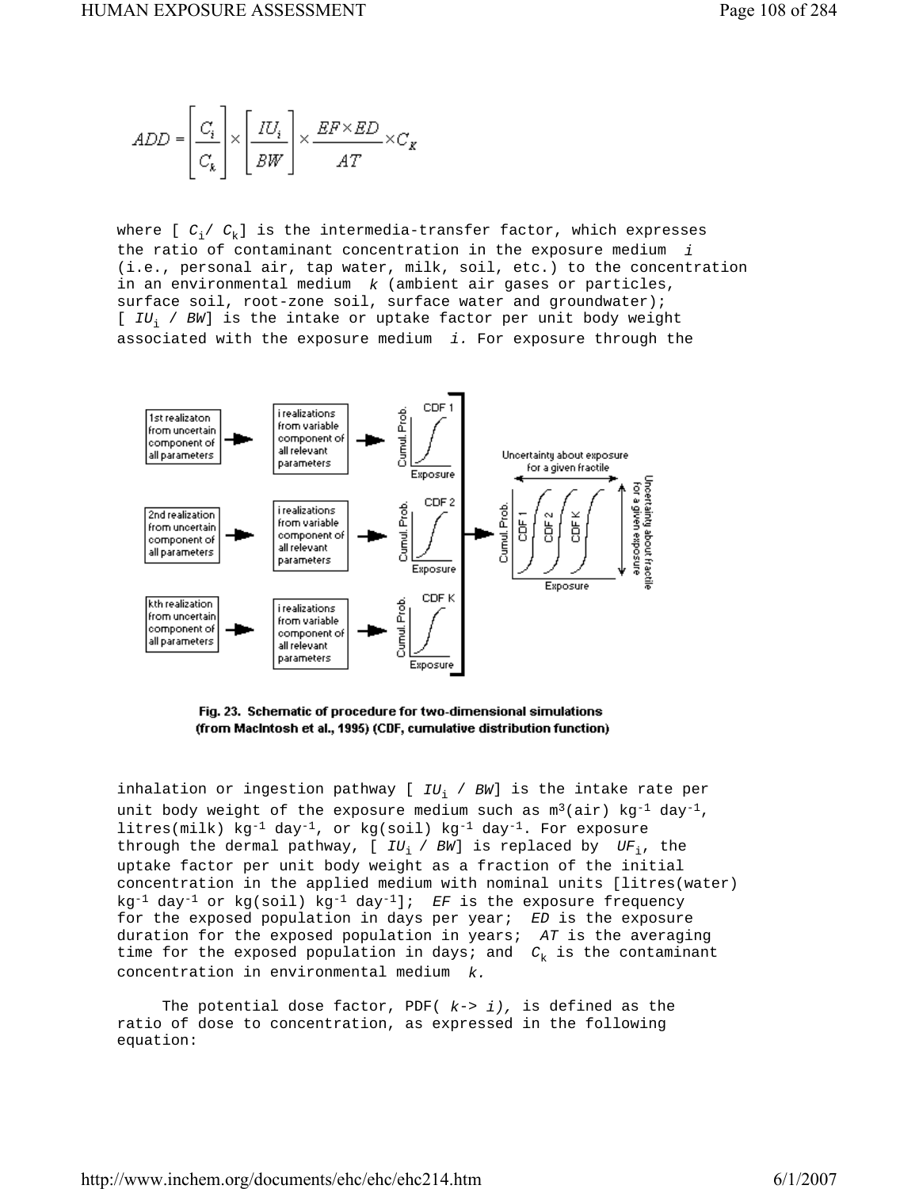$$
ADD = \left[\frac{C_i}{C_k}\right] \times \left[\frac{IU_i}{BW}\right] \times \frac{EF \times ED}{AT} \times C_K
$$

where  $[C_i / C_k]$  is the intermedia-transfer factor, which expresses the ratio of contaminant concentration in the exposure medium *i*  (i.e., personal air, tap water, milk, soil, etc.) to the concentration in an environmental medium *k* (ambient air gases or particles, surface soil, root-zone soil, surface water and groundwater); [ *IU*i / *BW*] is the intake or uptake factor per unit body weight associated with the exposure medium *i.* For exposure through the



Fig. 23. Schematic of procedure for two-dimensional simulations (from MacIntosh et al., 1995) (CDF, cumulative distribution function)

 inhalation or ingestion pathway [ *IU*i / *BW*] is the intake rate per unit body weight of the exposure medium such as  $m^3(air)$  kg<sup>-1</sup> day<sup>-1</sup>, litres(milk)  $kg^{-1}$  day<sup>-1</sup>, or kg(soil) kg<sup>-1</sup> day<sup>-1</sup>. For exposure through the dermal pathway,  $[ I U_i / B W ]$  is replaced by  $U F_i$ , the uptake factor per unit body weight as a fraction of the initial concentration in the applied medium with nominal units [litres(water) kg-1 day-1 or kg(soil) kg-1 day-1]; *EF* is the exposure frequency for the exposed population in days per year; *ED* is the exposure duration for the exposed population in years; *AT* is the averaging time for the exposed population in days; and  $C_k$  is the contaminant concentration in environmental medium *k.* 

 The potential dose factor, PDF( *k*-> *i),* is defined as the ratio of dose to concentration, as expressed in the following equation: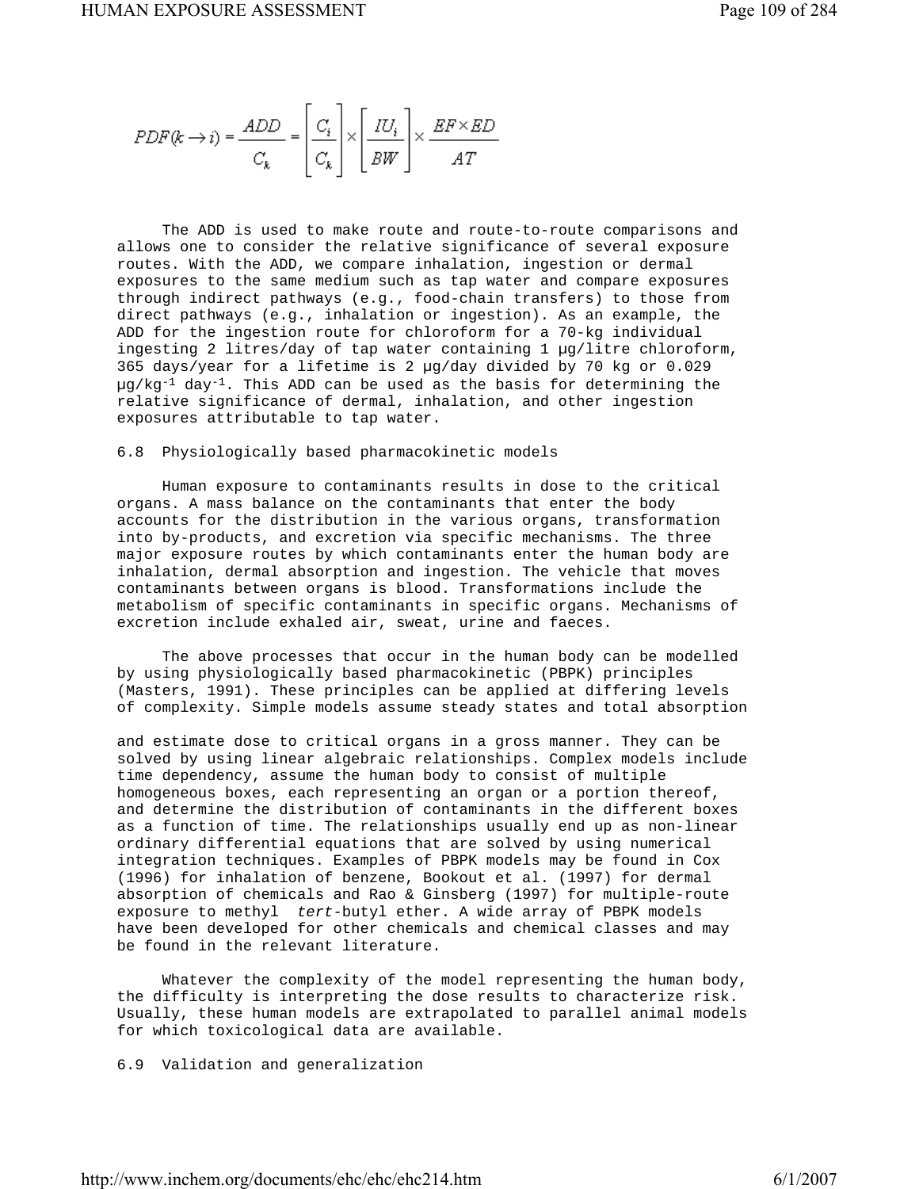$$
PDF(k \rightarrow i) = \frac{ADD}{C_k} = \left[\frac{C_i}{C_k}\right] \times \left[\frac{IU_i}{BW}\right] \times \frac{EF \times ED}{AT}
$$

 The ADD is used to make route and route-to-route comparisons and allows one to consider the relative significance of several exposure routes. With the ADD, we compare inhalation, ingestion or dermal exposures to the same medium such as tap water and compare exposures through indirect pathways (e.g., food-chain transfers) to those from direct pathways (e.g., inhalation or ingestion). As an example, the ADD for the ingestion route for chloroform for a 70-kg individual ingesting 2 litres/day of tap water containing 1 µg/litre chloroform, 365 days/year for a lifetime is 2 µg/day divided by 70 kg or 0.029  $\mu$ g/kg<sup>-1</sup> day<sup>-1</sup>. This ADD can be used as the basis for determining the relative significance of dermal, inhalation, and other ingestion exposures attributable to tap water.

#### 6.8 Physiologically based pharmacokinetic models

 Human exposure to contaminants results in dose to the critical organs. A mass balance on the contaminants that enter the body accounts for the distribution in the various organs, transformation into by-products, and excretion via specific mechanisms. The three major exposure routes by which contaminants enter the human body are inhalation, dermal absorption and ingestion. The vehicle that moves contaminants between organs is blood. Transformations include the metabolism of specific contaminants in specific organs. Mechanisms of excretion include exhaled air, sweat, urine and faeces.

 The above processes that occur in the human body can be modelled by using physiologically based pharmacokinetic (PBPK) principles (Masters, 1991). These principles can be applied at differing levels of complexity. Simple models assume steady states and total absorption

 and estimate dose to critical organs in a gross manner. They can be solved by using linear algebraic relationships. Complex models include time dependency, assume the human body to consist of multiple homogeneous boxes, each representing an organ or a portion thereof, and determine the distribution of contaminants in the different boxes as a function of time. The relationships usually end up as non-linear ordinary differential equations that are solved by using numerical integration techniques. Examples of PBPK models may be found in Cox (1996) for inhalation of benzene, Bookout et al. (1997) for dermal absorption of chemicals and Rao & Ginsberg (1997) for multiple-route exposure to methyl *tert-*butyl ether. A wide array of PBPK models have been developed for other chemicals and chemical classes and may be found in the relevant literature.

 Whatever the complexity of the model representing the human body, the difficulty is interpreting the dose results to characterize risk. Usually, these human models are extrapolated to parallel animal models for which toxicological data are available.

6.9 Validation and generalization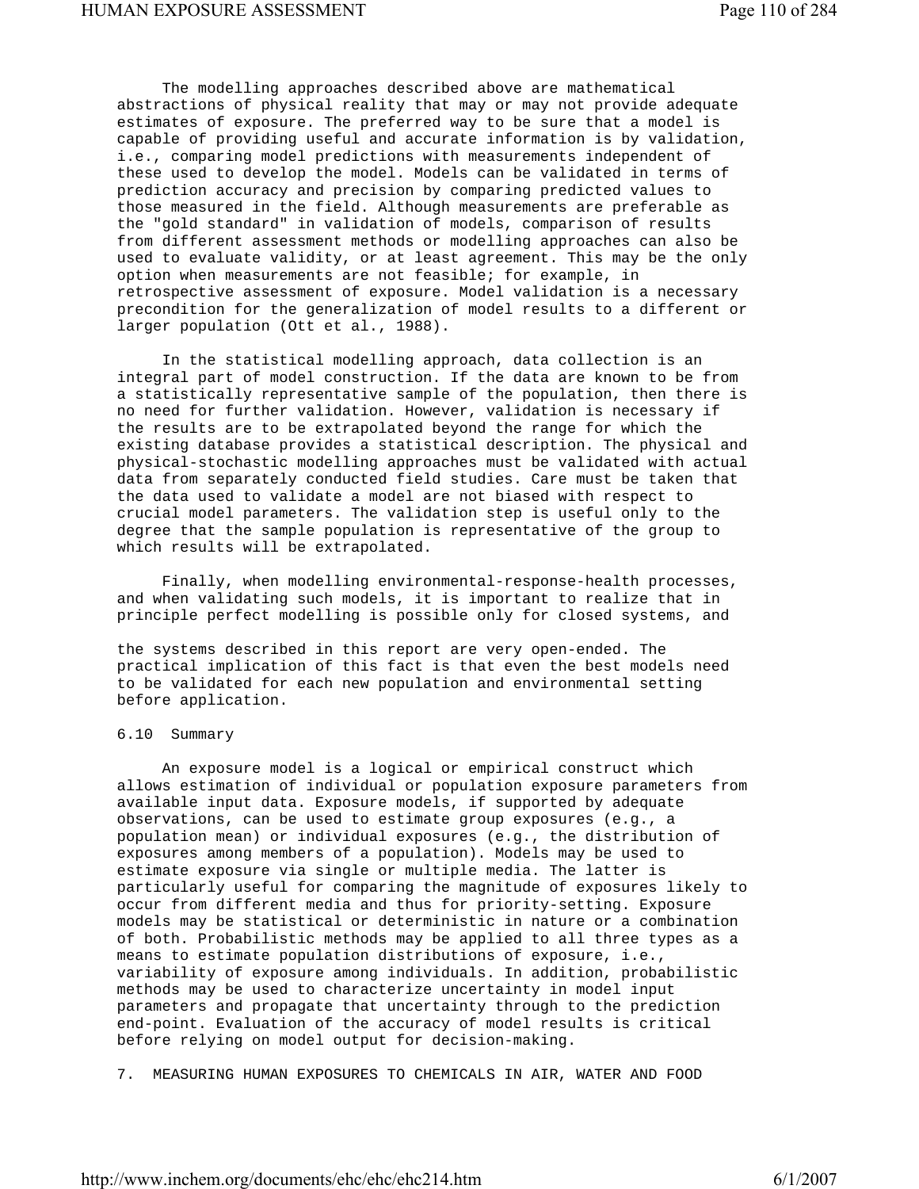The modelling approaches described above are mathematical abstractions of physical reality that may or may not provide adequate estimates of exposure. The preferred way to be sure that a model is capable of providing useful and accurate information is by validation, i.e., comparing model predictions with measurements independent of these used to develop the model. Models can be validated in terms of prediction accuracy and precision by comparing predicted values to those measured in the field. Although measurements are preferable as the "gold standard" in validation of models, comparison of results from different assessment methods or modelling approaches can also be used to evaluate validity, or at least agreement. This may be the only option when measurements are not feasible; for example, in retrospective assessment of exposure. Model validation is a necessary precondition for the generalization of model results to a different or larger population (Ott et al., 1988).

 In the statistical modelling approach, data collection is an integral part of model construction. If the data are known to be from a statistically representative sample of the population, then there is no need for further validation. However, validation is necessary if the results are to be extrapolated beyond the range for which the existing database provides a statistical description. The physical and physical-stochastic modelling approaches must be validated with actual data from separately conducted field studies. Care must be taken that the data used to validate a model are not biased with respect to crucial model parameters. The validation step is useful only to the degree that the sample population is representative of the group to which results will be extrapolated.

 Finally, when modelling environmental-response-health processes, and when validating such models, it is important to realize that in principle perfect modelling is possible only for closed systems, and

 the systems described in this report are very open-ended. The practical implication of this fact is that even the best models need to be validated for each new population and environmental setting before application.

#### 6.10 Summary

 An exposure model is a logical or empirical construct which allows estimation of individual or population exposure parameters from available input data. Exposure models, if supported by adequate observations, can be used to estimate group exposures (e.g., a population mean) or individual exposures (e.g., the distribution of exposures among members of a population). Models may be used to estimate exposure via single or multiple media. The latter is particularly useful for comparing the magnitude of exposures likely to occur from different media and thus for priority-setting. Exposure models may be statistical or deterministic in nature or a combination of both. Probabilistic methods may be applied to all three types as a means to estimate population distributions of exposure, i.e., variability of exposure among individuals. In addition, probabilistic methods may be used to characterize uncertainty in model input parameters and propagate that uncertainty through to the prediction end-point. Evaluation of the accuracy of model results is critical before relying on model output for decision-making.

7. MEASURING HUMAN EXPOSURES TO CHEMICALS IN AIR, WATER AND FOOD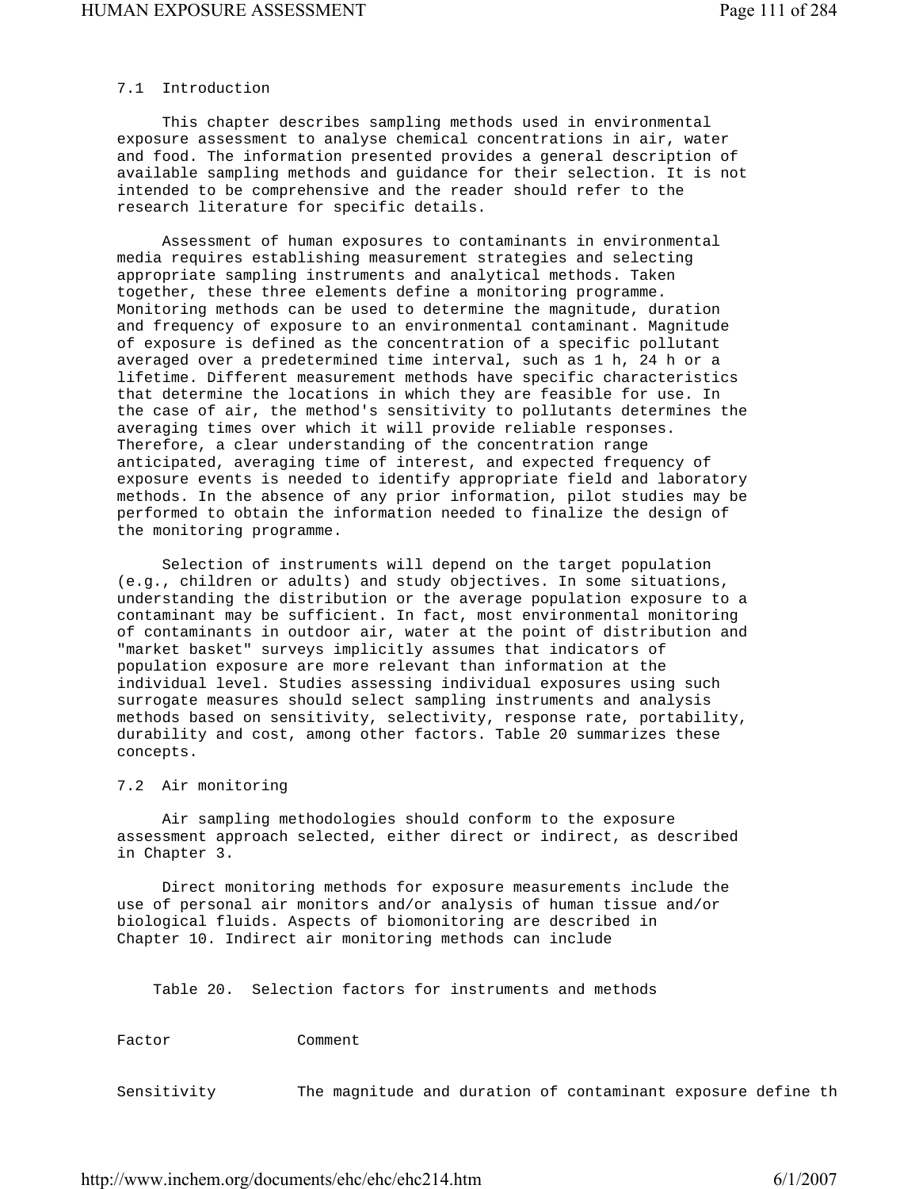### 7.1 Introduction

 This chapter describes sampling methods used in environmental exposure assessment to analyse chemical concentrations in air, water and food. The information presented provides a general description of available sampling methods and guidance for their selection. It is not intended to be comprehensive and the reader should refer to the research literature for specific details.

 Assessment of human exposures to contaminants in environmental media requires establishing measurement strategies and selecting appropriate sampling instruments and analytical methods. Taken together, these three elements define a monitoring programme. Monitoring methods can be used to determine the magnitude, duration and frequency of exposure to an environmental contaminant. Magnitude of exposure is defined as the concentration of a specific pollutant averaged over a predetermined time interval, such as 1 h, 24 h or a lifetime. Different measurement methods have specific characteristics that determine the locations in which they are feasible for use. In the case of air, the method's sensitivity to pollutants determines the averaging times over which it will provide reliable responses. Therefore, a clear understanding of the concentration range anticipated, averaging time of interest, and expected frequency of exposure events is needed to identify appropriate field and laboratory methods. In the absence of any prior information, pilot studies may be performed to obtain the information needed to finalize the design of the monitoring programme.

 Selection of instruments will depend on the target population (e.g., children or adults) and study objectives. In some situations, understanding the distribution or the average population exposure to a contaminant may be sufficient. In fact, most environmental monitoring of contaminants in outdoor air, water at the point of distribution and "market basket" surveys implicitly assumes that indicators of population exposure are more relevant than information at the individual level. Studies assessing individual exposures using such surrogate measures should select sampling instruments and analysis methods based on sensitivity, selectivity, response rate, portability, durability and cost, among other factors. Table 20 summarizes these concepts.

### 7.2 Air monitoring

 Air sampling methodologies should conform to the exposure assessment approach selected, either direct or indirect, as described in Chapter 3.

 Direct monitoring methods for exposure measurements include the use of personal air monitors and/or analysis of human tissue and/or biological fluids. Aspects of biomonitoring are described in Chapter 10. Indirect air monitoring methods can include

Table 20. Selection factors for instruments and methods

Factor Comment

Sensitivity The magnitude and duration of contaminant exposure define th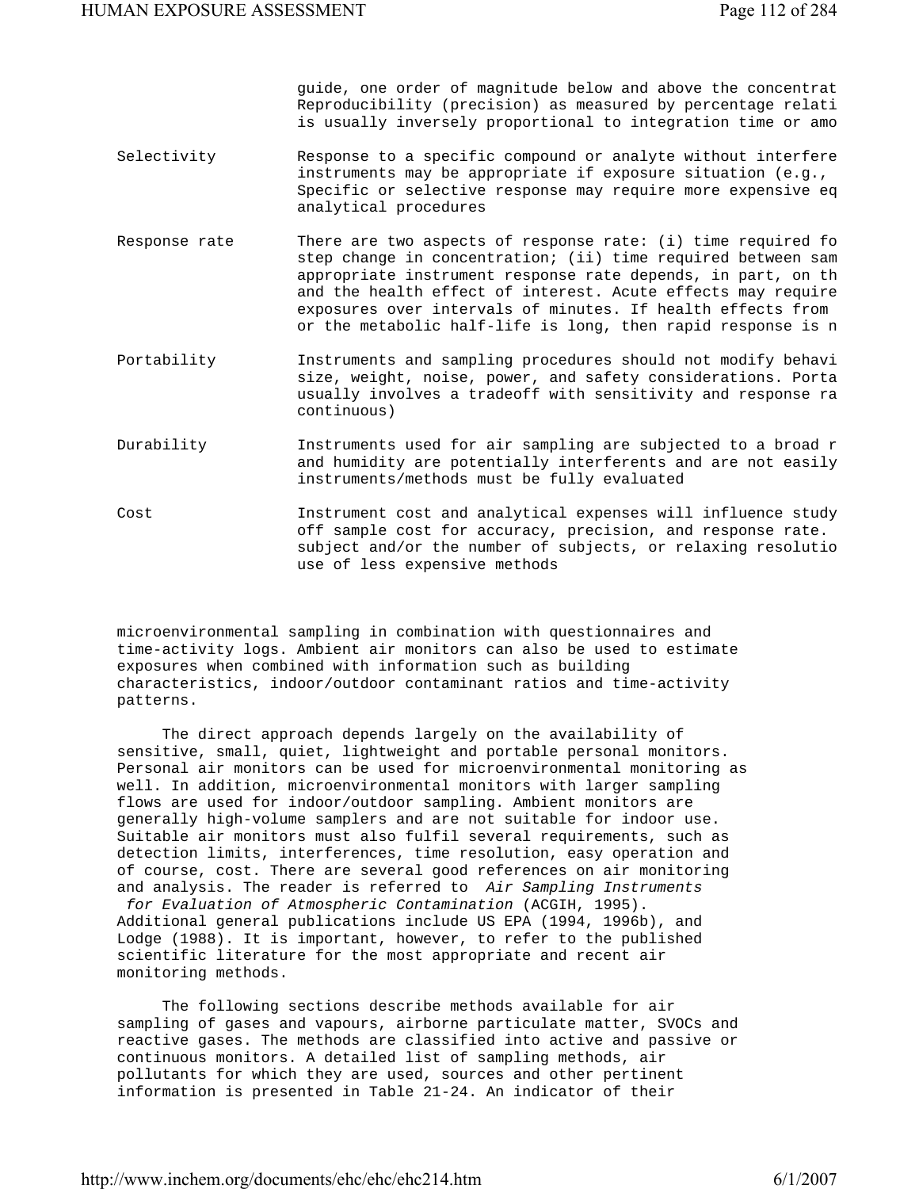guide, one order of magnitude below and above the concentrat Reproducibility (precision) as measured by percentage relati is usually inversely proportional to integration time or amo

- Selectivity Response to a specific compound or analyte without interfere instruments may be appropriate if exposure situation (e.g., Specific or selective response may require more expensive eq analytical procedures
- Response rate There are two aspects of response rate: (i) time required fo step change in concentration; (ii) time required between sam appropriate instrument response rate depends, in part, on th and the health effect of interest. Acute effects may require exposures over intervals of minutes. If health effects from or the metabolic half-life is long, then rapid response is n
- Portability **Instruments and sampling procedures should not modify behavi**  size, weight, noise, power, and safety considerations. Porta usually involves a tradeoff with sensitivity and response ra continuous)
- Durability **Instruments used for air sampling are subjected to a broad r**  and humidity are potentially interferents and are not easily instruments/methods must be fully evaluated
- Cost Instrument cost and analytical expenses will influence study off sample cost for accuracy, precision, and response rate. subject and/or the number of subjects, or relaxing resolutio use of less expensive methods

 microenvironmental sampling in combination with questionnaires and time-activity logs. Ambient air monitors can also be used to estimate exposures when combined with information such as building characteristics, indoor/outdoor contaminant ratios and time-activity patterns.

 The direct approach depends largely on the availability of sensitive, small, quiet, lightweight and portable personal monitors. Personal air monitors can be used for microenvironmental monitoring as well. In addition, microenvironmental monitors with larger sampling flows are used for indoor/outdoor sampling. Ambient monitors are generally high-volume samplers and are not suitable for indoor use. Suitable air monitors must also fulfil several requirements, such as detection limits, interferences, time resolution, easy operation and of course, cost. There are several good references on air monitoring and analysis. The reader is referred to *Air Sampling Instruments for Evaluation of Atmospheric Contamination* (ACGIH, 1995). Additional general publications include US EPA (1994, 1996b), and Lodge (1988). It is important, however, to refer to the published scientific literature for the most appropriate and recent air monitoring methods.

 The following sections describe methods available for air sampling of gases and vapours, airborne particulate matter, SVOCs and reactive gases. The methods are classified into active and passive or continuous monitors. A detailed list of sampling methods, air pollutants for which they are used, sources and other pertinent information is presented in Table 21-24. An indicator of their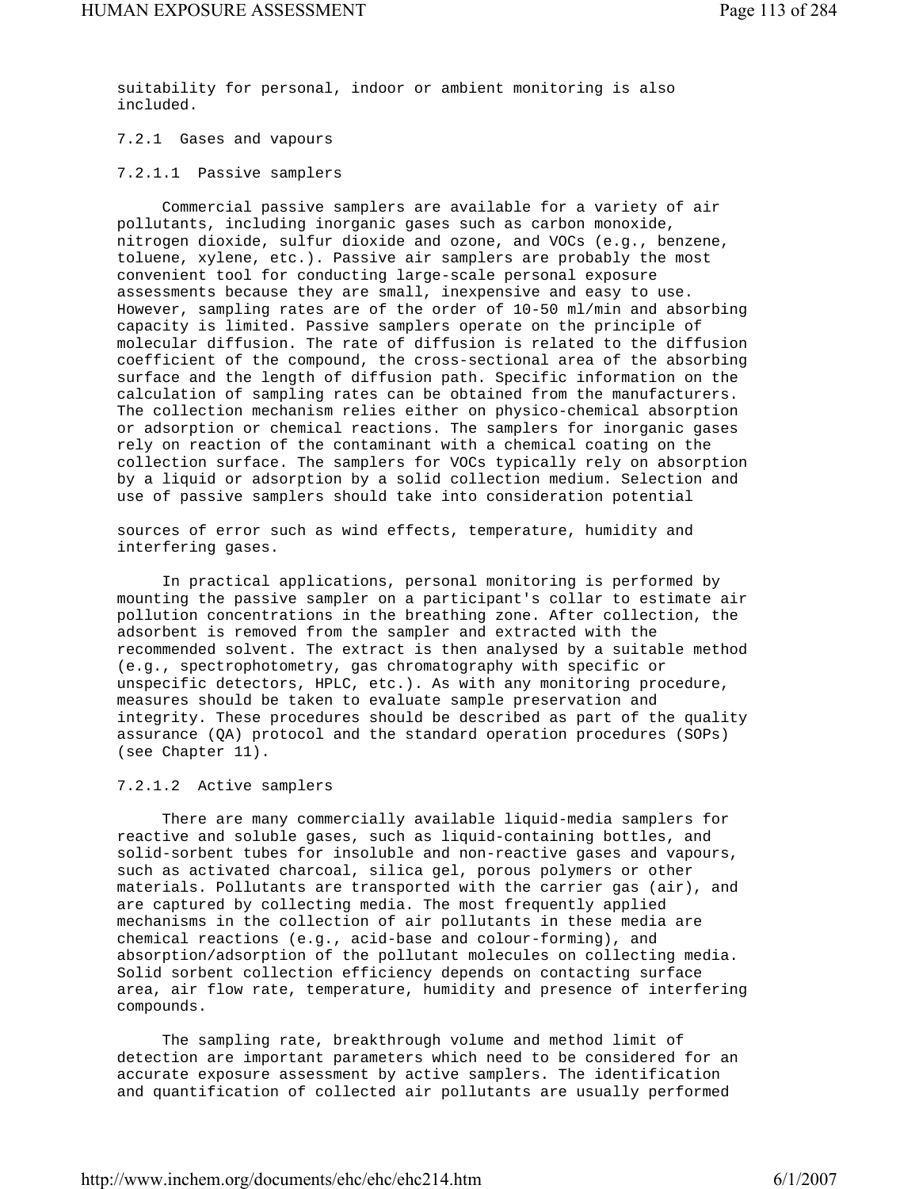suitability for personal, indoor or ambient monitoring is also included.

7.2.1 Gases and vapours

7.2.1.1 Passive samplers

 Commercial passive samplers are available for a variety of air pollutants, including inorganic gases such as carbon monoxide, nitrogen dioxide, sulfur dioxide and ozone, and VOCs (e.g., benzene, toluene, xylene, etc.). Passive air samplers are probably the most convenient tool for conducting large-scale personal exposure assessments because they are small, inexpensive and easy to use. However, sampling rates are of the order of 10-50 ml/min and absorbing capacity is limited. Passive samplers operate on the principle of molecular diffusion. The rate of diffusion is related to the diffusion coefficient of the compound, the cross-sectional area of the absorbing surface and the length of diffusion path. Specific information on the calculation of sampling rates can be obtained from the manufacturers. The collection mechanism relies either on physico-chemical absorption or adsorption or chemical reactions. The samplers for inorganic gases rely on reaction of the contaminant with a chemical coating on the collection surface. The samplers for VOCs typically rely on absorption by a liquid or adsorption by a solid collection medium. Selection and use of passive samplers should take into consideration potential

 sources of error such as wind effects, temperature, humidity and interfering gases.

 In practical applications, personal monitoring is performed by mounting the passive sampler on a participant's collar to estimate air pollution concentrations in the breathing zone. After collection, the adsorbent is removed from the sampler and extracted with the recommended solvent. The extract is then analysed by a suitable method (e.g., spectrophotometry, gas chromatography with specific or unspecific detectors, HPLC, etc.). As with any monitoring procedure, measures should be taken to evaluate sample preservation and integrity. These procedures should be described as part of the quality assurance (QA) protocol and the standard operation procedures (SOPs) (see Chapter 11).

# 7.2.1.2 Active samplers

 There are many commercially available liquid-media samplers for reactive and soluble gases, such as liquid-containing bottles, and solid-sorbent tubes for insoluble and non-reactive gases and vapours, such as activated charcoal, silica gel, porous polymers or other materials. Pollutants are transported with the carrier gas (air), and are captured by collecting media. The most frequently applied mechanisms in the collection of air pollutants in these media are chemical reactions (e.g., acid-base and colour-forming), and absorption/adsorption of the pollutant molecules on collecting media. Solid sorbent collection efficiency depends on contacting surface area, air flow rate, temperature, humidity and presence of interfering compounds.

 The sampling rate, breakthrough volume and method limit of detection are important parameters which need to be considered for an accurate exposure assessment by active samplers. The identification and quantification of collected air pollutants are usually performed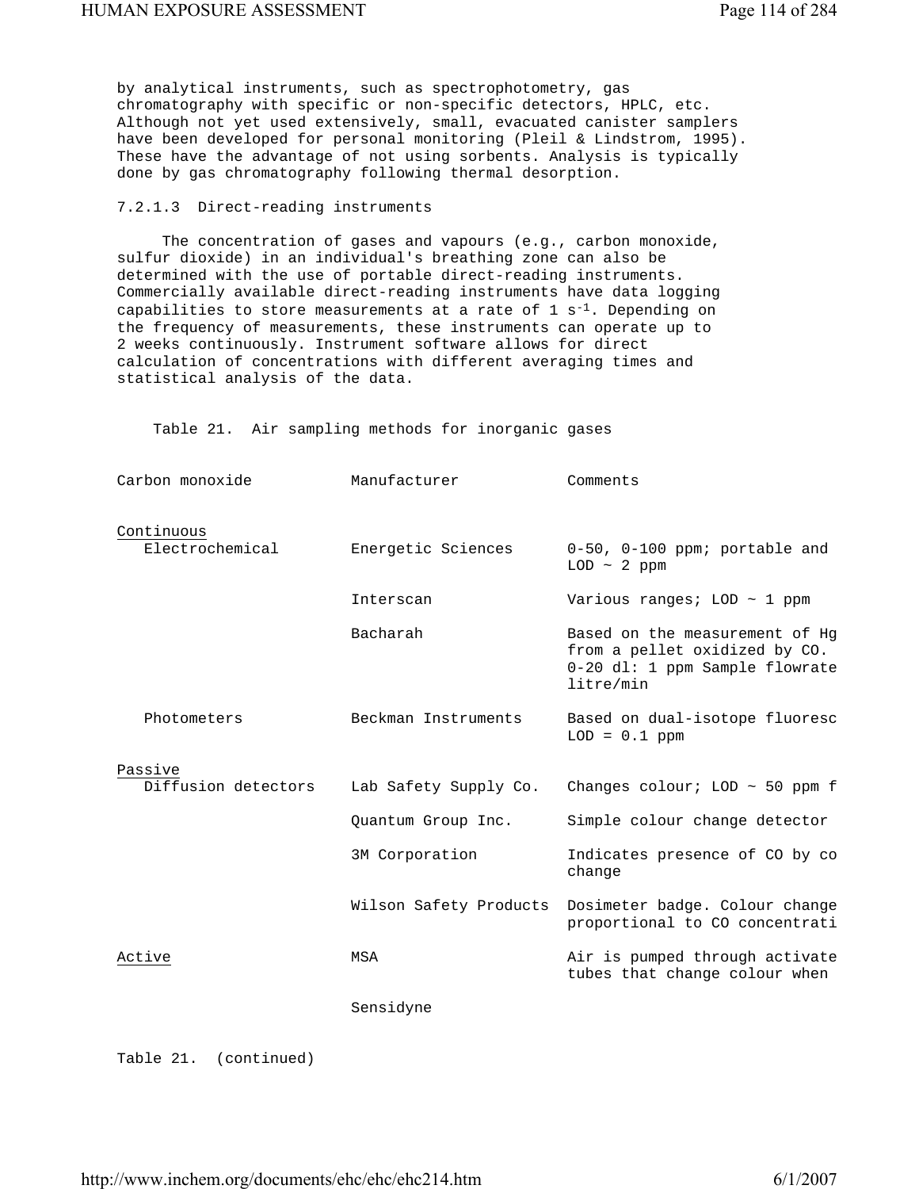by analytical instruments, such as spectrophotometry, gas chromatography with specific or non-specific detectors, HPLC, etc. Although not yet used extensively, small, evacuated canister samplers have been developed for personal monitoring (Pleil & Lindstrom, 1995). These have the advantage of not using sorbents. Analysis is typically done by gas chromatography following thermal desorption.

# 7.2.1.3 Direct-reading instruments

 The concentration of gases and vapours (e.g., carbon monoxide, sulfur dioxide) in an individual's breathing zone can also be determined with the use of portable direct-reading instruments. Commercially available direct-reading instruments have data logging capabilities to store measurements at a rate of  $1 \text{ s}^{-1}$ . Depending on the frequency of measurements, these instruments can operate up to 2 weeks continuously. Instrument software allows for direct calculation of concentrations with different averaging times and statistical analysis of the data.

Table 21. Air sampling methods for inorganic gases

| Carbon monoxide                | Manufacturer           | Comments                                                                                                       |
|--------------------------------|------------------------|----------------------------------------------------------------------------------------------------------------|
| Continuous<br>Electrochemical  | Energetic Sciences     | 0-50, 0-100 ppm; portable and<br>$LOD \sim 2$ ppm                                                              |
|                                | Interscan              | Various ranges; LOD $\sim$ 1 ppm                                                                               |
|                                | Bacharah               | Based on the measurement of Hq<br>from a pellet oxidized by CO.<br>0-20 dl: 1 ppm Sample flowrate<br>litre/min |
| Photometers                    | Beckman Instruments    | Based on dual-isotope fluoresc<br>$LOD = 0.1$ ppm                                                              |
| Passive<br>Diffusion detectors | Lab Safety Supply Co.  | Changes colour; LOD $\sim$ 50 ppm f                                                                            |
|                                | Quantum Group Inc.     | Simple colour change detector                                                                                  |
|                                | 3M Corporation         | Indicates presence of CO by co<br>change                                                                       |
|                                | Wilson Safety Products | Dosimeter badge. Colour change<br>proportional to CO concentrati                                               |
| Active                         | MSA                    | Air is pumped through activate<br>tubes that change colour when                                                |
|                                | Sensidyne              |                                                                                                                |

Table 21. (continued)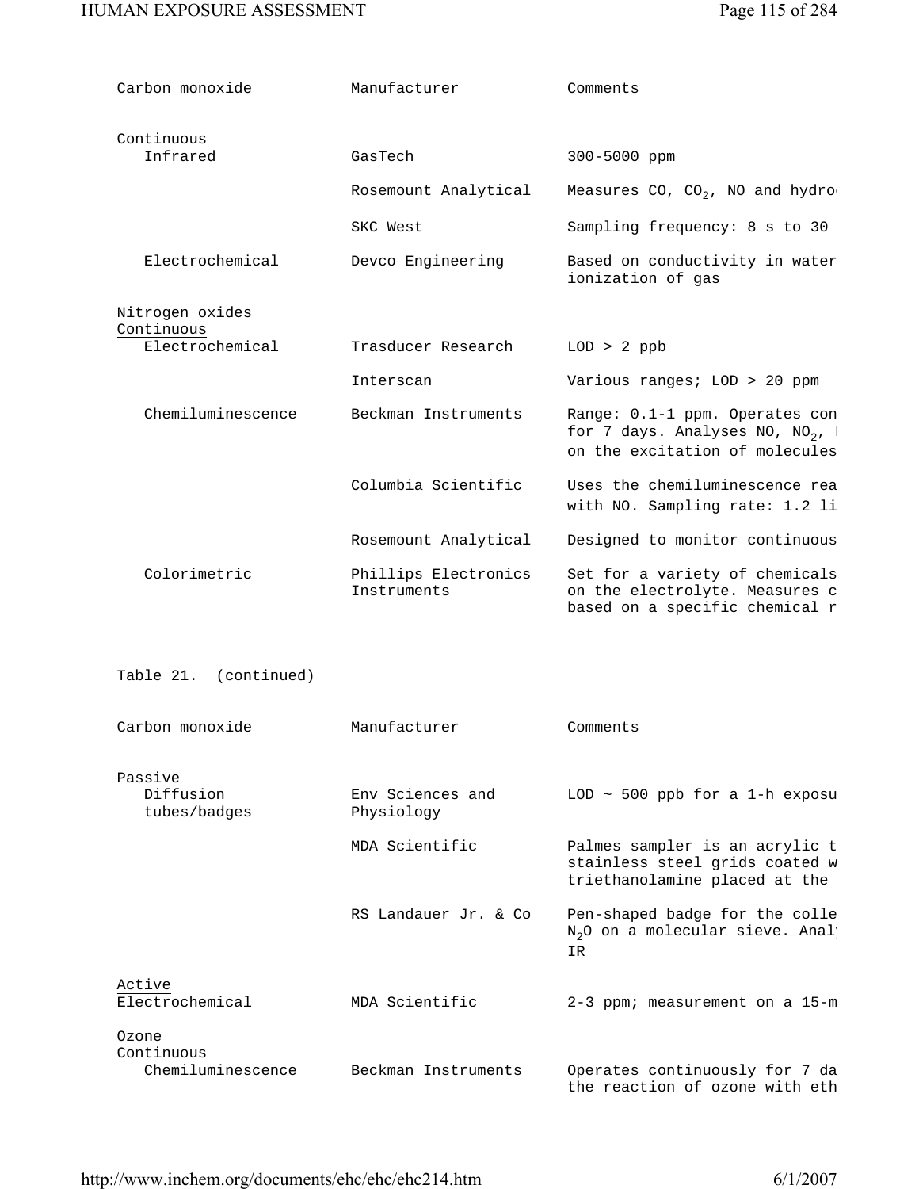# HUMAN EXPOSURE ASSESSMENT Page 115 of 284

| Carbon monoxide               | Manufacturer                        | Comments                                                                                               |
|-------------------------------|-------------------------------------|--------------------------------------------------------------------------------------------------------|
| Continuous                    |                                     |                                                                                                        |
| Infrared                      | GasTech                             | 300-5000 ppm                                                                                           |
|                               | Rosemount Analytical                | Measures CO, $CO_2$ , NO and hydrod                                                                    |
|                               | SKC West                            | Sampling frequency: 8 s to 30                                                                          |
| Electrochemical               | Devco Engineering                   | Based on conductivity in water<br>ionization of gas                                                    |
| Nitrogen oxides<br>Continuous |                                     |                                                                                                        |
| Electrochemical               | Trasducer Research                  | $LOD > 2$ ppb                                                                                          |
|                               | Interscan                           | Various ranges; LOD > 20 ppm                                                                           |
| Chemiluminescence             | Beckman Instruments                 | Range: 0.1-1 ppm. Operates con<br>for 7 days. Analyses NO, $NO2$ , 1<br>on the excitation of molecules |
|                               | Columbia Scientific                 | Uses the chemiluminescence rea<br>with NO. Sampling rate: 1.2 li                                       |
|                               | Rosemount Analytical                | Designed to monitor continuous                                                                         |
| Colorimetric                  | Phillips Electronics<br>Instruments | Set for a variety of chemicals<br>on the electrolyte. Measures c<br>based on a specific chemical r     |
| Table 21. (continued)         |                                     |                                                                                                        |
| Carbon monoxide               | Manufacturer                        | Comments                                                                                               |
| Passive                       |                                     |                                                                                                        |
| Diffusion<br>tubes/badges     | Env Sciences and<br>Physiology      | LOD $\sim$ 500 ppb for a 1-h exposu                                                                    |
|                               | MDA Scientific                      | Palmes sampler is an acrylic t<br>stainless steel grids coated w<br>triethanolamine placed at the      |
|                               | RS Landauer Jr. & Co                | Pen-shaped badge for the colle<br>N <sub>2</sub> O on a molecular sieve. Analy<br>IR                   |
| Active<br>Electrochemical     | MDA Scientific                      | 2-3 ppm; measurement on a 15-m                                                                         |
| Ozone<br>Continuous           |                                     |                                                                                                        |
| Chemiluminescence             | Beckman Instruments                 | Operates continuously for 7 da<br>the reaction of ozone with eth                                       |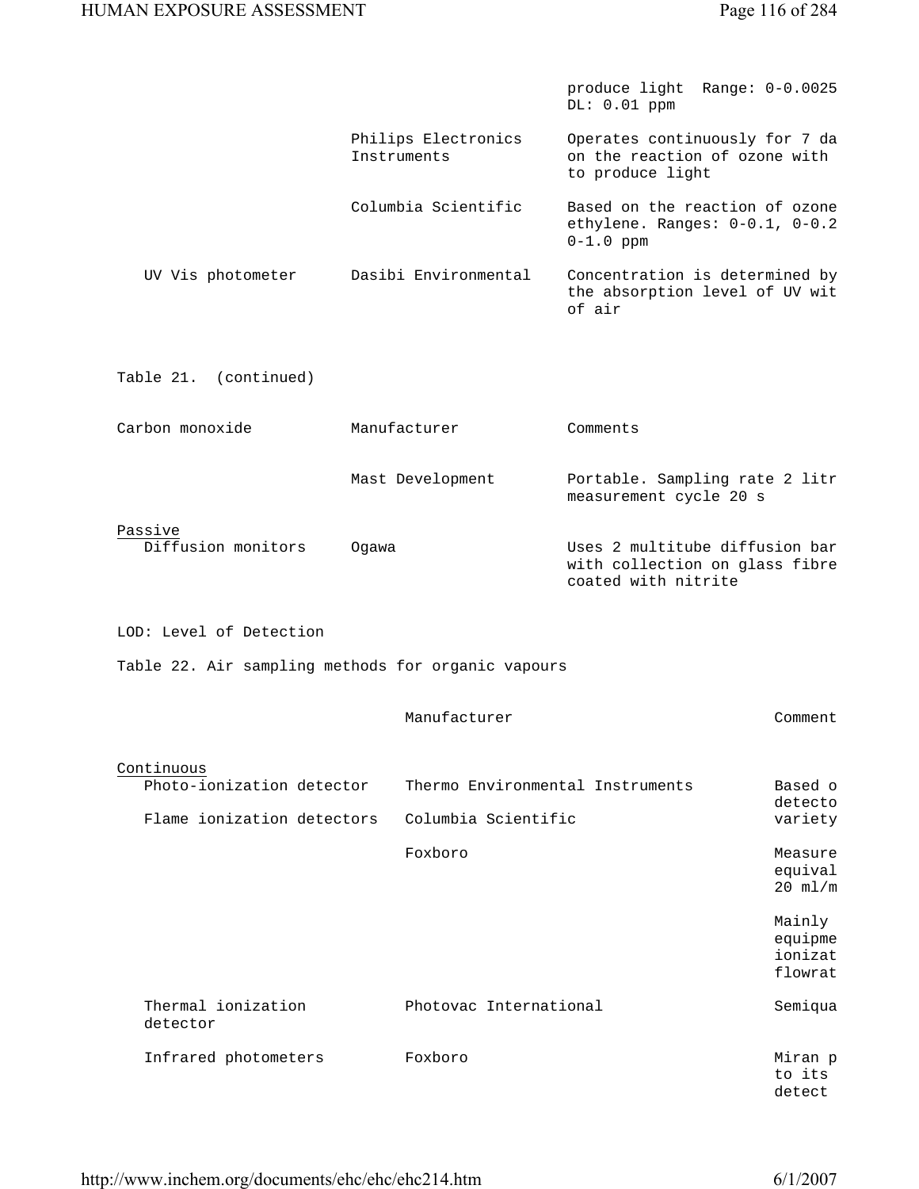|                                                    |       |                                    | produce light Range: 0-0.0025<br>DL: 0.01 ppm                                           |                                         |
|----------------------------------------------------|-------|------------------------------------|-----------------------------------------------------------------------------------------|-----------------------------------------|
|                                                    |       | Philips Electronics<br>Instruments | Operates continuously for 7 da<br>on the reaction of ozone with<br>to produce light     |                                         |
|                                                    |       | Columbia Scientific                | Based on the reaction of ozone<br>ethylene. Ranges: 0-0.1, 0-0.2<br>$0 - 1.0$ ppm       |                                         |
| UV Vis photometer                                  |       | Dasibi Environmental               | Concentration is determined by<br>the absorption level of UV wit<br>of air              |                                         |
| Table 21. (continued)                              |       |                                    |                                                                                         |                                         |
| Carbon monoxide                                    |       | Manufacturer                       | Comments                                                                                |                                         |
|                                                    |       | Mast Development                   | Portable. Sampling rate 2 litr<br>measurement cycle 20 s                                |                                         |
| Passive<br>Diffusion monitors                      | Ogawa |                                    | Uses 2 multitube diffusion bar<br>with collection on glass fibre<br>coated with nitrite |                                         |
| LOD: Level of Detection                            |       |                                    |                                                                                         |                                         |
| Table 22. Air sampling methods for organic vapours |       |                                    |                                                                                         |                                         |
|                                                    |       | Manufacturer                       |                                                                                         | Comment                                 |
| Continuous<br>Photo-ionization detector            |       |                                    | Thermo Environmental Instruments                                                        | Based o<br>detecto                      |
| Flame ionization detectors                         |       | Columbia Scientific                |                                                                                         | variety                                 |
|                                                    |       | Foxboro                            |                                                                                         | Measure<br>equival<br>$20$ ml/m         |
|                                                    |       |                                    |                                                                                         | Mainly<br>equipme<br>ionizat<br>flowrat |
| Thermal ionization<br>detector                     |       | Photovac International             |                                                                                         | Semiqua                                 |
| Infrared photometers                               |       | Foxboro                            |                                                                                         | Miran p<br>to its<br>detect             |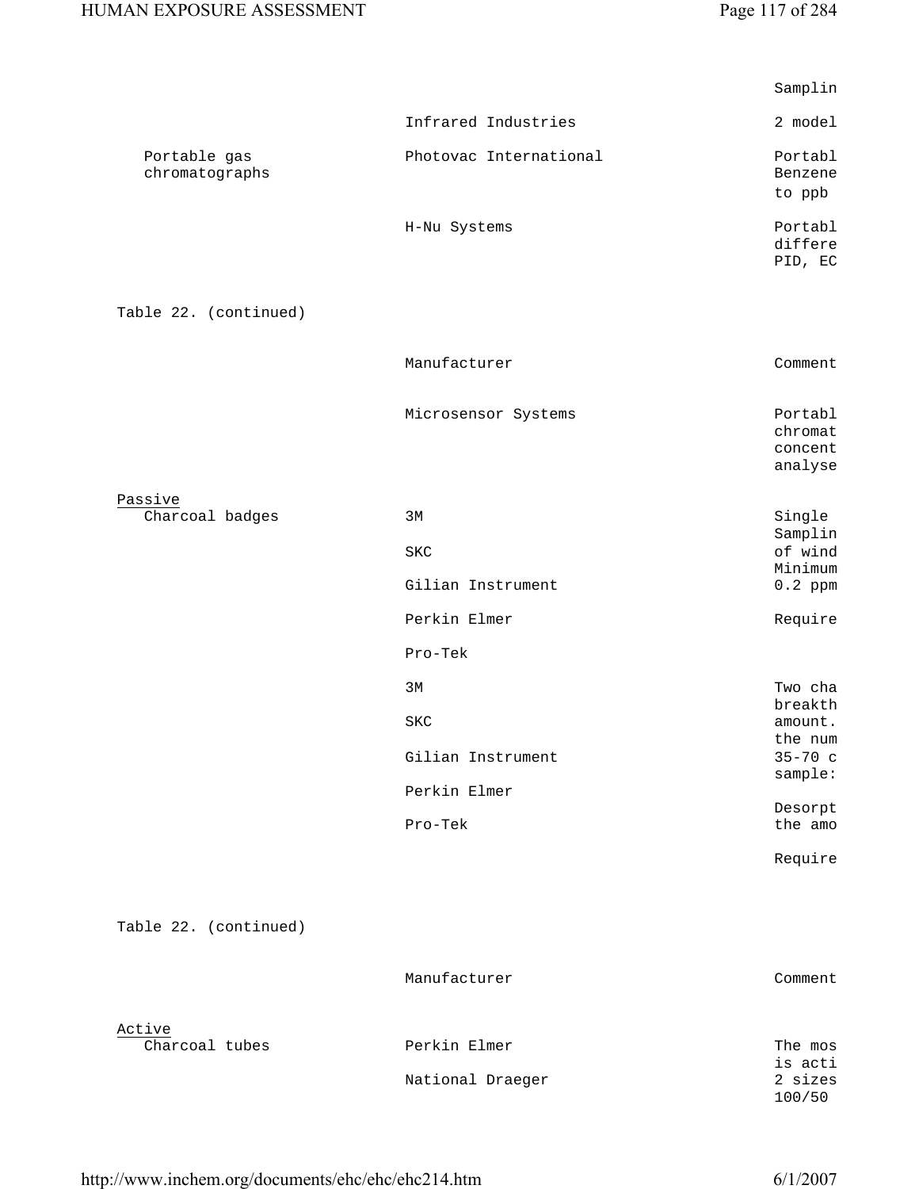|                                |                        | Samplin                                  |
|--------------------------------|------------------------|------------------------------------------|
|                                | Infrared Industries    | 2 model                                  |
| Portable gas<br>chromatographs | Photovac International | Portabl<br>Benzene<br>to ppb             |
|                                | H-Nu Systems           | Portabl<br>differe<br>PID, EC            |
| Table 22. (continued)          |                        |                                          |
|                                | Manufacturer           | Comment                                  |
|                                | Microsensor Systems    | Portabl<br>chromat<br>concent<br>analyse |
| Passive<br>Charcoal badges     | 3M                     | Single                                   |
|                                | <b>SKC</b>             | Samplin<br>of wind<br>Minimum            |
|                                | Gilian Instrument      | $0.2$ ppm                                |
|                                | Perkin Elmer           | Require                                  |
|                                | Pro-Tek                |                                          |
|                                | 3M                     | Two cha<br>breakth                       |
|                                | <b>SKC</b>             | amount.                                  |
|                                | Gilian Instrument      | the num<br>$35 - 70$ c                   |
|                                | Perkin Elmer           | sample:                                  |
|                                | Pro-Tek                | Desorpt<br>the amo                       |
|                                |                        | Require                                  |
| Table 22. (continued)          |                        |                                          |
|                                | Manufacturer           | Comment                                  |
| Active                         |                        |                                          |
| $\sim$ acal tubog              | Dorkin Flmor           | Tha                                      |

| Charcoal tubes | Perkin Elmer     | The mos |
|----------------|------------------|---------|
|                |                  | is acti |
|                | National Draeger | 2 sizes |
|                |                  | 100/50  |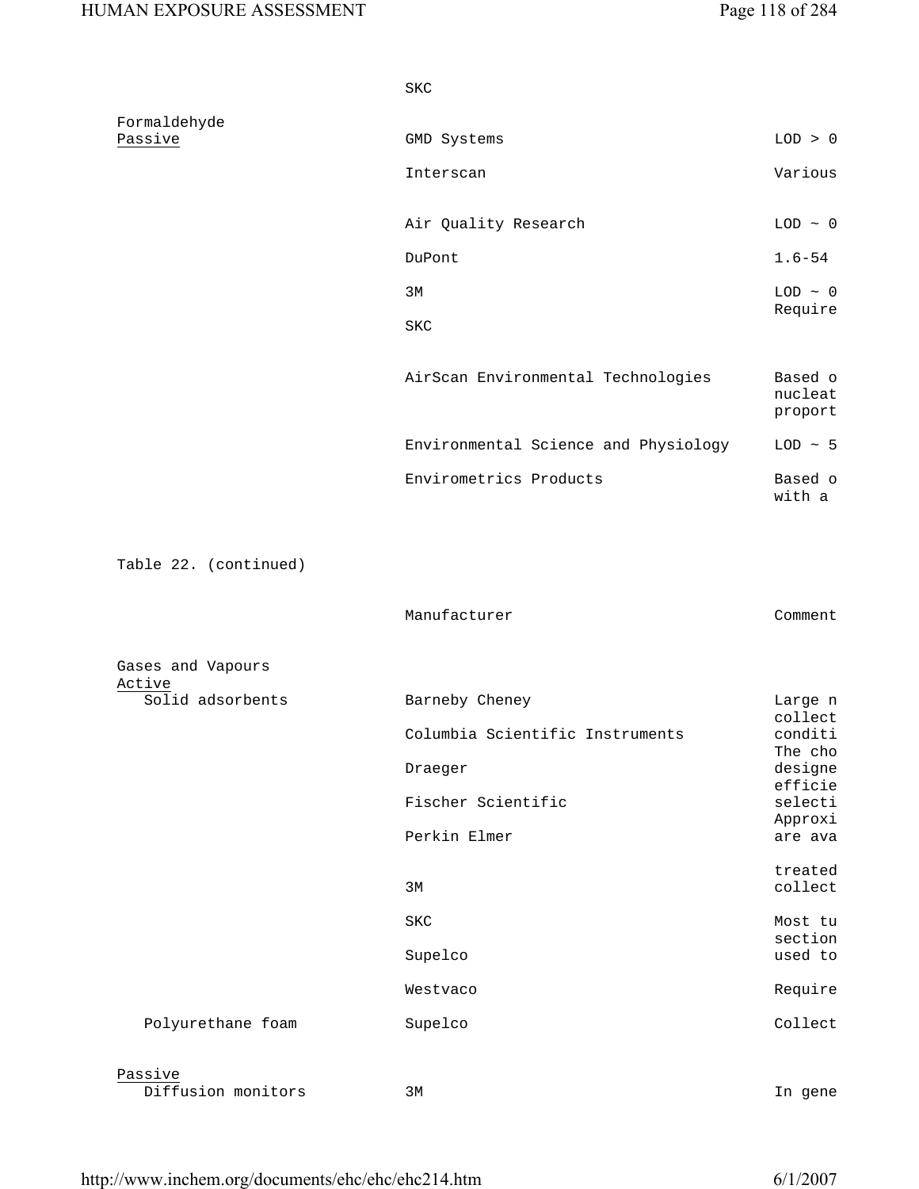|                             | <b>SKC</b>                           |                               |
|-----------------------------|--------------------------------------|-------------------------------|
| Formaldehyde<br>Passive     | GMD Systems                          | LOD > 0                       |
|                             | Interscan                            | Various                       |
|                             | Air Quality Research                 | $LOD \sim 0$                  |
|                             | DuPont                               | $1.6 - 54$                    |
|                             | 3M                                   | $LOD \sim 0$                  |
|                             | <b>SKC</b>                           | Require                       |
|                             | AirScan Environmental Technologies   | Based o<br>nucleat<br>proport |
|                             | Environmental Science and Physiology | $LOD \sim 5$                  |
|                             | Envirometrics Products               | Based o<br>with a             |
| Table 22. (continued)       |                                      |                               |
|                             | Manufacturer                         | Comment                       |
| Gases and Vapours<br>Active |                                      |                               |

| Solid adsorbents              | Barneby Cheney                  | Large n<br>collect |
|-------------------------------|---------------------------------|--------------------|
|                               | Columbia Scientific Instruments | conditi<br>The cho |
|                               | Draeger                         | designe<br>efficie |
|                               | Fischer Scientific              | selecti<br>Approxi |
|                               | Perkin Elmer                    | are ava            |
|                               | 3M                              | treated<br>collect |
|                               | SKC                             | Most tu<br>section |
|                               | Supelco                         | used to            |
|                               | Westvaco                        | Require            |
| Polyurethane foam             | Supelco                         | Collect            |
| Passive<br>Diffusion monitors | 3M                              | In gene            |
|                               |                                 |                    |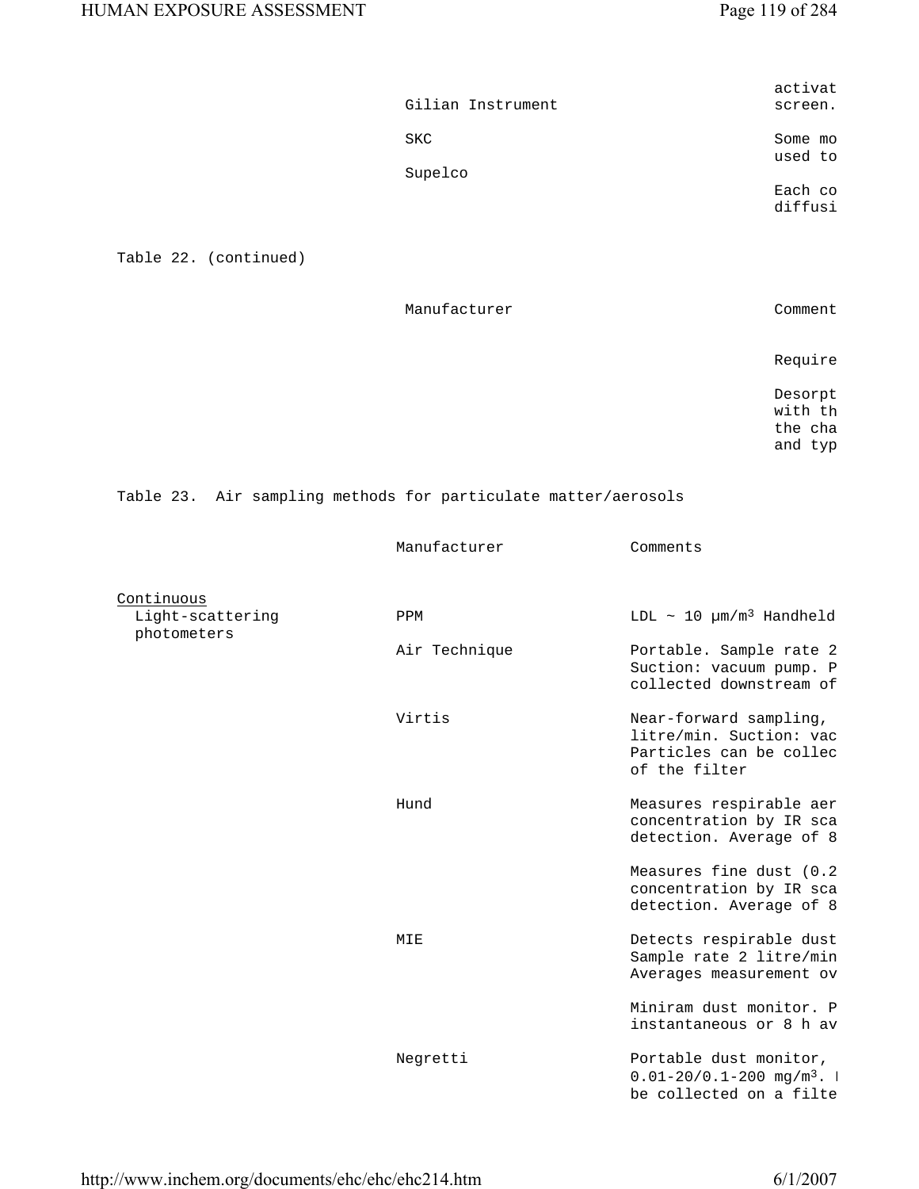| Gilian Instrument | activat<br>screen. |
|-------------------|--------------------|
| SKC               | Some mo<br>used to |
| Supelco           |                    |
|                   | Each co<br>diffusi |

Table 22. (continued)

|                 | Manufacturer                                                                                                                   | Comment                                  |
|-----------------|--------------------------------------------------------------------------------------------------------------------------------|------------------------------------------|
|                 |                                                                                                                                | Require                                  |
|                 |                                                                                                                                | Desorpt<br>with th<br>the cha<br>and typ |
| $-11$ $02$ $-1$ | $\mathbf{a}$ , and $\mathbf{a}$ , and $\mathbf{a}$ , and $\mathbf{a}$ , and $\mathbf{a}$ , and $\mathbf{a}$ , and $\mathbf{a}$ |                                          |

Manufacturer Comments

Table 23. Air sampling methods for particulate matter/aerosols

| Continuous<br>Light-scattering<br>photometers | PPM           | LDL $\sim$ 10 $\mu$ m/m <sup>3</sup> Handheld                                                  |
|-----------------------------------------------|---------------|------------------------------------------------------------------------------------------------|
|                                               | Air Technique | Portable. Sample rate 2<br>Suction: vacuum pump. P<br>collected downstream of                  |
|                                               | Virtis        | Near-forward sampling,<br>litre/min. Suction: vac<br>Particles can be collec<br>of the filter  |
|                                               | Hund          | Measures respirable aer<br>concentration by IR sca<br>detection. Average of 8                  |
|                                               |               | Measures fine dust (0.2)<br>concentration by IR sca<br>detection. Average of 8                 |
|                                               | MIE           | Detects respirable dust<br>Sample rate 2 litre/min<br>Averages measurement ov                  |
|                                               |               | Miniram dust monitor. P<br>instantaneous or 8 h av                                             |
|                                               | Negretti      | Portable dust monitor,<br>$0.01 - 20/0.1 - 200$ mg/m <sup>3</sup> .<br>be collected on a filte |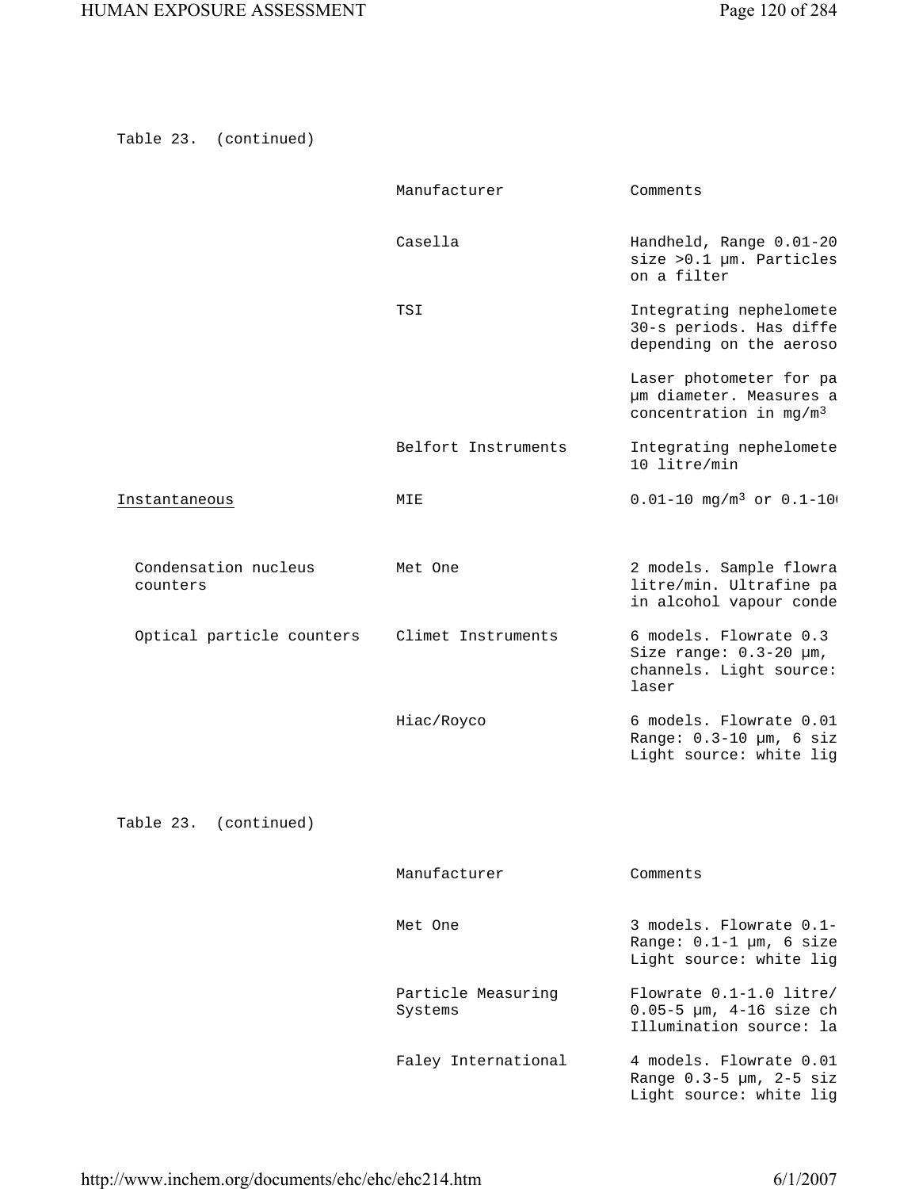Table 23. (continued)

|                                  | Manufacturer                  | Comments                                                                                   |
|----------------------------------|-------------------------------|--------------------------------------------------------------------------------------------|
|                                  | Casella                       | Handheld, Range 0.01-20<br>size > 0.1 µm. Particles<br>on a filter                         |
|                                  | TSI                           | Integrating nephelomete<br>30-s periods. Has diffe<br>depending on the aeroso              |
|                                  |                               | Laser photometer for pa<br>µm diameter. Measures a<br>concentration in $mg/m3$             |
|                                  | Belfort Instruments           | Integrating nephelomete<br>10 litre/min                                                    |
| Instantaneous                    | MIE                           | $0.01-10$ mg/m <sup>3</sup> or $0.1-10$                                                    |
| Condensation nucleus<br>counters | Met One                       | 2 models. Sample flowra<br>litre/min. Ultrafine pa<br>in alcohol vapour conde              |
| Optical particle counters        | Climet Instruments            | 6 models. Flowrate 0.3<br>Size range: $0.3-20 \mu m$ ,<br>channels. Light source:<br>laser |
|                                  | Hiac/Royco                    | 6 models. Flowrate 0.01<br>Range: 0.3-10 µm, 6 siz<br>Light source: white lig              |
| Table 23. (continued)            |                               |                                                                                            |
|                                  | Manufacturer                  | Comments                                                                                   |
|                                  | Met One                       | 3 models. Flowrate 0.1-<br>Range: $0.1-1 \mu m$ , 6 size<br>Light source: white lig        |
|                                  | Particle Measuring<br>Systems | Flowrate $0.1-1.0$ litre/<br>$0.05 - 5 \mu m$ , 4-16 size ch<br>Illumination source: la    |
|                                  | Faley International           | 4 models. Flowrate 0.01<br>Range 0.3-5 µm, 2-5 siz<br>Light source: white lig              |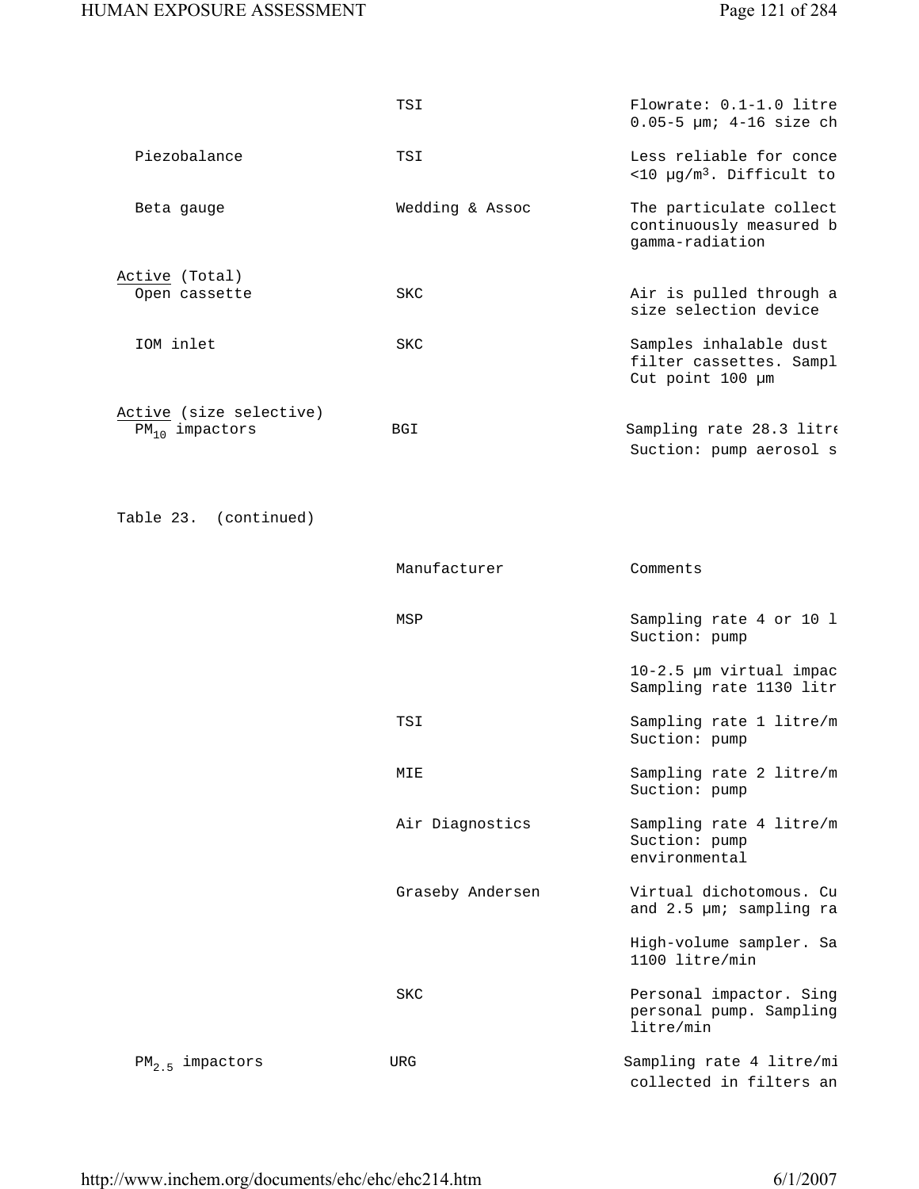|                         | TSI             | $Flowrate: 0.1-1.0$ litre<br>$0.05 - 5$ um; $4 - 16$ size ch            |
|-------------------------|-----------------|-------------------------------------------------------------------------|
| Piezobalance            | TSI             | Less reliable for conce<br>$<$ 10 $\mu$ g/m <sup>3</sup> . Difficult to |
| Beta gauge              | Wedding & Assoc | The particulate collect<br>continuously measured b<br>gamma-radiation   |
| Active (Total)          |                 |                                                                         |
| Open cassette           | <b>SKC</b>      | Air is pulled through a<br>size selection device                        |
| IOM inlet               | <b>SKC</b>      | Samples inhalable dust<br>filter cassettes. Sampl<br>Cut point 100 µm   |
| Active (size selective) |                 |                                                                         |
| $PM_{10}$ impactors     | BGI             | Sampling rate 28.3 litre<br>Suction: pump aerosol s                     |

Table 23. (continued)

|                      | Manufacturer     | Comments                                                        |
|----------------------|------------------|-----------------------------------------------------------------|
|                      | MSP              | Sampling rate 4 or 10 1<br>Suction: pump                        |
|                      |                  | 10-2.5 µm virtual impac<br>Sampling rate 1130 litr              |
|                      | TSI              | Sampling rate 1 litre/m<br>Suction: pump                        |
|                      | MIE              | Sampling rate 2 litre/m<br>Suction: pump                        |
|                      | Air Diagnostics  | Sampling rate 4 litre/m<br>Suction: pump<br>environmental       |
|                      | Graseby Andersen | Virtual dichotomous. Cu<br>and 2.5 µm; sampling ra              |
|                      |                  | High-volume sampler. Sa<br>1100 litre/min                       |
|                      | <b>SKC</b>       | Personal impactor. Sing<br>personal pump. Sampling<br>litre/min |
| $PM_{2.5}$ impactors | URG              | Sampling rate 4 litre/mi<br>collected in filters an             |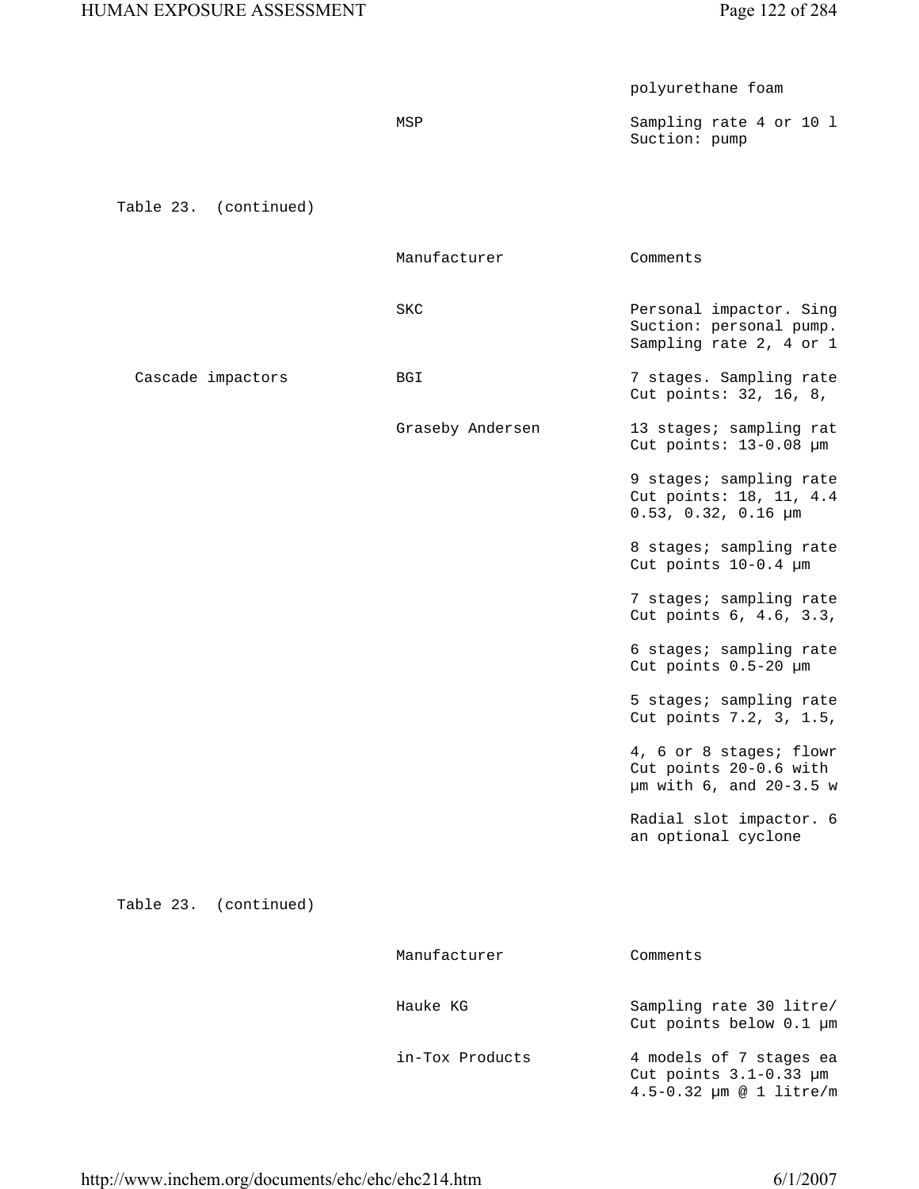MSP Sampling rate 4 or 10 1 Suction: pump

Table 23. (continued)

|                   | Manufacturer     | Comments                                                                       |
|-------------------|------------------|--------------------------------------------------------------------------------|
|                   | SKC.             | Personal impactor. Sing<br>Suction: personal pump.<br>Sampling rate 2, 4 or 1  |
| Cascade impactors | BGI              | 7 stages. Sampling rate<br>Cut points: 32, 16, 8,                              |
|                   | Graseby Andersen | 13 stages; sampling rat<br>Cut points: 13-0.08 µm                              |
|                   |                  | 9 stages; sampling rate<br>Cut points: 18, 11, 4.4<br>$0.53, 0.32, 0.16 \mu m$ |
|                   |                  | 8 stages; sampling rate<br>Cut points 10-0.4 µm                                |
|                   |                  | 7 stages; sampling rate<br>Cut points 6, 4.6, 3.3,                             |
|                   |                  | 6 stages; sampling rate<br>Cut points 0.5-20 µm                                |
|                   |                  | 5 stages; sampling rate<br>Cut points 7.2, 3, 1.5,                             |
|                   |                  | 4, 6 or 8 stages; flowr<br>Cut points 20-0.6 with<br>um with 6, and 20-3.5 w   |
|                   |                  | Radial slot impactor. 6<br>an optional cyclone                                 |
|                   |                  |                                                                                |

Table 23. (continued)

| Manufacturer    | Comments                                                                               |
|-----------------|----------------------------------------------------------------------------------------|
| Hauke KG        | Sampling rate 30 litre/<br>Cut points below 0.1 µm                                     |
| in-Tox Products | 4 models of 7 stages ea<br>Cut points $3.1-0.33 \mu m$<br>4.5-0.32 $\mu$ m @ 1 litre/m |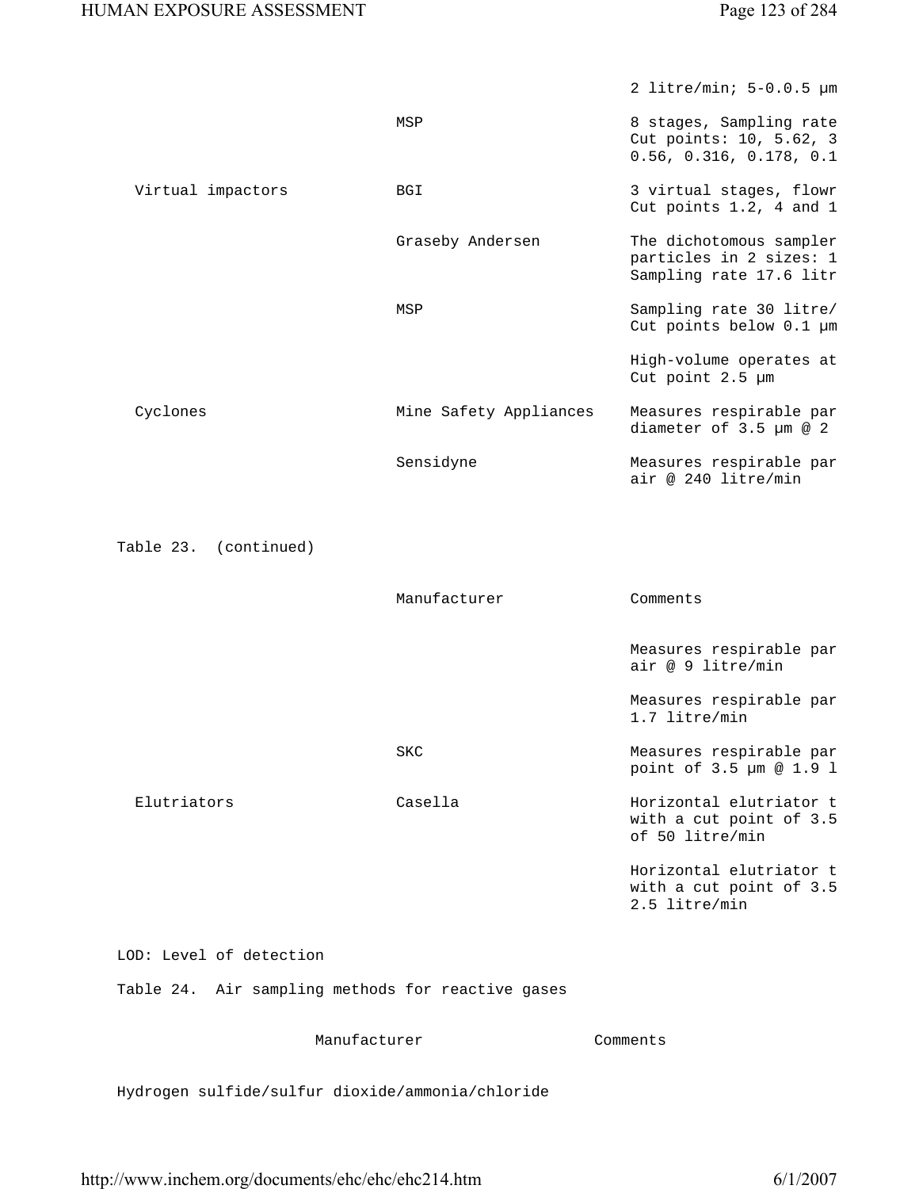|                       |                        | 2 litre/min; $5-0.0.5 \text{ }\mu\text{m}$                                    |
|-----------------------|------------------------|-------------------------------------------------------------------------------|
|                       | MSP                    | 8 stages, Sampling rate<br>Cut points: 10, 5.62, 3<br>0.56, 0.316, 0.178, 0.1 |
| Virtual impactors     | BGI                    | 3 virtual stages, flowr<br>Cut points 1.2, 4 and 1                            |
|                       | Graseby Andersen       | The dichotomous sampler<br>particles in 2 sizes: 1<br>Sampling rate 17.6 litr |
|                       | MSP                    | Sampling rate 30 litre/<br>Cut points below 0.1 µm                            |
|                       |                        | High-volume operates at<br>Cut point 2.5 µm                                   |
| Cyclones              | Mine Safety Appliances | Measures respirable par<br>diameter of $3.5 \mu m \approx 2$                  |
|                       | Sensidyne              | Measures respirable par<br>air @ 240 litre/min                                |
| Table 23. (continued) |                        |                                                                               |
|                       | Manufacturer           | Comments                                                                      |
|                       |                        | Measures respirable par<br>air @ 9 litre/min                                  |
|                       |                        | Measures respirable par<br>1.7 litre/min                                      |
|                       | SKC                    | Measures respirable par<br>point of 3.5 µm @ 1.9 1                            |
| Elutriators           | Casella                | Horizontal elutriator t<br>with a cut point of 3.5<br>of 50 litre/min         |
|                       |                        | Horizontal elutriator t<br>with a cut point of 3.5<br>2.5 litre/min           |

LOD: Level of detection

Table 24. Air sampling methods for reactive gases

Manufacturer Comments

Hydrogen sulfide/sulfur dioxide/ammonia/chloride

http://www.inchem.org/documents/ehc/ehc/ehc214.htm 6/1/2007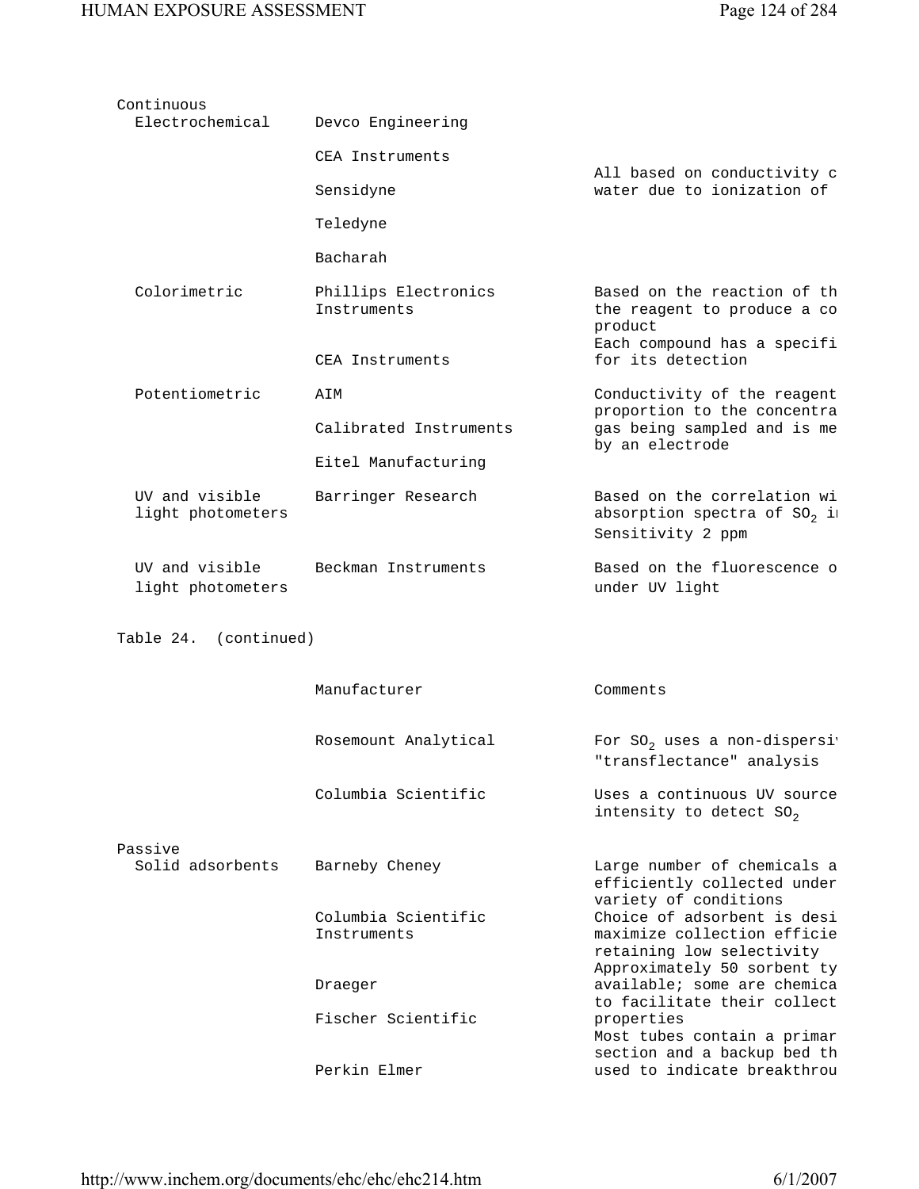| Continuous<br>Electrochemical       | Devco Engineering                   |                                                                                                                                                 |
|-------------------------------------|-------------------------------------|-------------------------------------------------------------------------------------------------------------------------------------------------|
|                                     | CEA Instruments                     |                                                                                                                                                 |
|                                     | Sensidyne                           | All based on conductivity c<br>water due to ionization of                                                                                       |
|                                     | Teledyne                            |                                                                                                                                                 |
|                                     | Bacharah                            |                                                                                                                                                 |
| Colorimetric                        | Phillips Electronics<br>Instruments | Based on the reaction of th<br>the reagent to produce a co<br>product                                                                           |
|                                     | CEA Instruments                     | Each compound has a specifi<br>for its detection                                                                                                |
| Potentiometric                      | AIM                                 | Conductivity of the reagent                                                                                                                     |
|                                     | Calibrated Instruments              | proportion to the concentra<br>gas being sampled and is me                                                                                      |
|                                     | Eitel Manufacturing                 | by an electrode                                                                                                                                 |
| UV and visible<br>light photometers | Barringer Research                  | Based on the correlation wi<br>absorption spectra of $SO2$ in<br>Sensitivity 2 ppm                                                              |
| UV and visible<br>light photometers | Beckman Instruments                 | Based on the fluorescence o<br>under UV light                                                                                                   |
| Table 24. (continued)               |                                     |                                                                                                                                                 |
|                                     | Manufacturer                        | Comments                                                                                                                                        |
|                                     | Rosemount Analytical                | For $SO_2$ uses a non-dispersi<br>"transflectance" analysis                                                                                     |
|                                     | Columbia Scientific                 | Uses a continuous UV source<br>intensity to detect SO <sub>2</sub>                                                                              |
| Passive<br>Solid adsorbents         |                                     |                                                                                                                                                 |
|                                     | Barneby Cheney                      | Large number of chemicals a<br>efficiently collected under                                                                                      |
|                                     | Columbia Scientific<br>Instruments  | variety of conditions<br>Choice of adsorbent is desi<br>maximize collection efficie<br>retaining low selectivity<br>Approximately 50 sorbent ty |
|                                     | Draeger                             | available; some are chemica<br>to facilitate their collect                                                                                      |
|                                     | Fischer Scientific                  | properties<br>Most tubes contain a primar<br>section and a backup bed th                                                                        |
|                                     | Perkin Elmer                        | used to indicate breakthrou                                                                                                                     |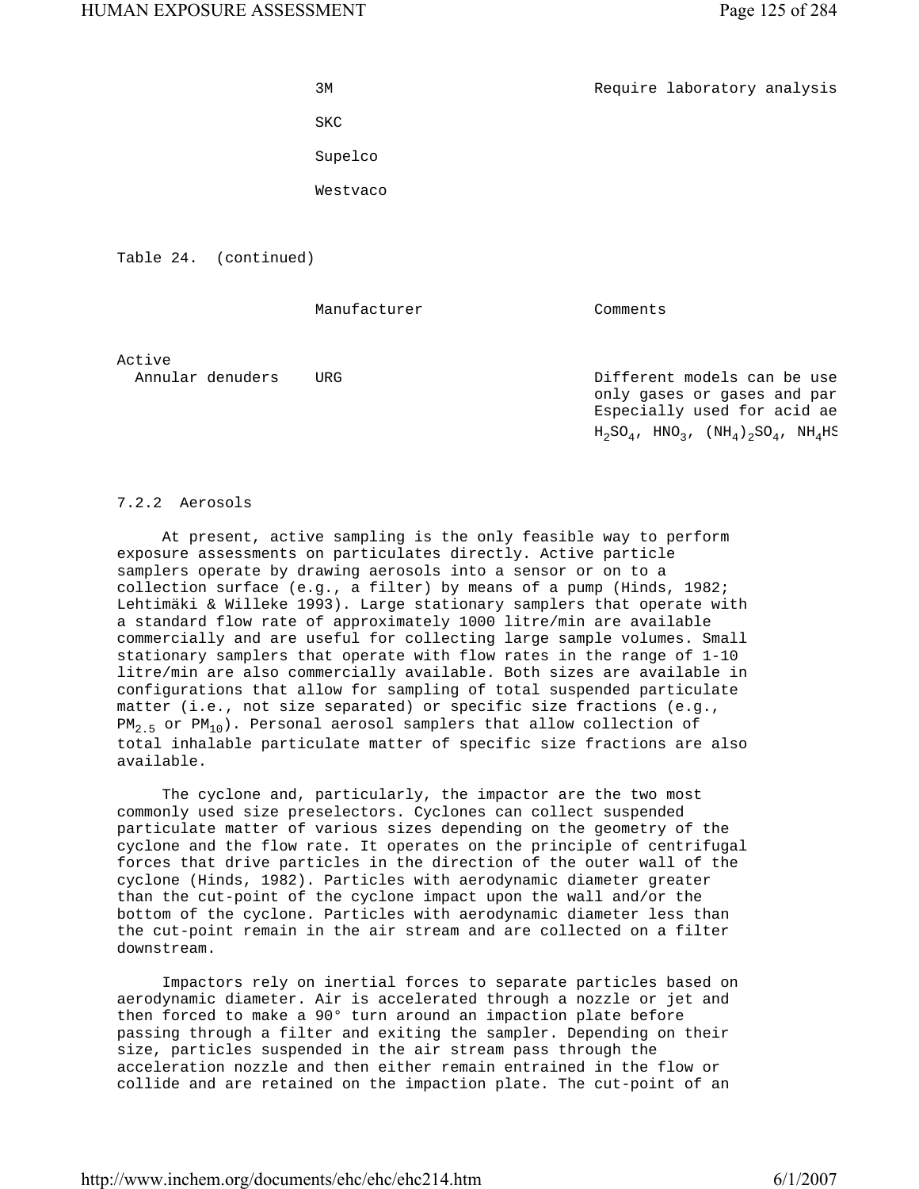3M Require laboratory analysis

**SKC** 

Supelco

Westvaco

Table 24. (continued)

Manufacturer Comments

Active

Annular denuders URG and the URG Different models can be use only gases or gases and par Especially used for acid ae  $H_2SO_4$ ,  $HNO_3$ ,  $(NH_4)$ <sub>2</sub>SO<sub>4</sub>,  $NH_4$ HS

7.2.2 Aerosols

 At present, active sampling is the only feasible way to perform exposure assessments on particulates directly. Active particle samplers operate by drawing aerosols into a sensor or on to a collection surface (e.g., a filter) by means of a pump (Hinds, 1982; Lehtimäki & Willeke 1993). Large stationary samplers that operate with a standard flow rate of approximately 1000 litre/min are available commercially and are useful for collecting large sample volumes. Small stationary samplers that operate with flow rates in the range of 1-10 litre/min are also commercially available. Both sizes are available in configurations that allow for sampling of total suspended particulate matter (i.e., not size separated) or specific size fractions (e.g.,  $PM_{2,5}$  or  $PM_{10}$ ). Personal aerosol samplers that allow collection of total inhalable particulate matter of specific size fractions are also available.

 The cyclone and, particularly, the impactor are the two most commonly used size preselectors. Cyclones can collect suspended particulate matter of various sizes depending on the geometry of the cyclone and the flow rate. It operates on the principle of centrifugal forces that drive particles in the direction of the outer wall of the cyclone (Hinds, 1982). Particles with aerodynamic diameter greater than the cut-point of the cyclone impact upon the wall and/or the bottom of the cyclone. Particles with aerodynamic diameter less than the cut-point remain in the air stream and are collected on a filter downstream.

 Impactors rely on inertial forces to separate particles based on aerodynamic diameter. Air is accelerated through a nozzle or jet and then forced to make a 90° turn around an impaction plate before passing through a filter and exiting the sampler. Depending on their size, particles suspended in the air stream pass through the acceleration nozzle and then either remain entrained in the flow or collide and are retained on the impaction plate. The cut-point of an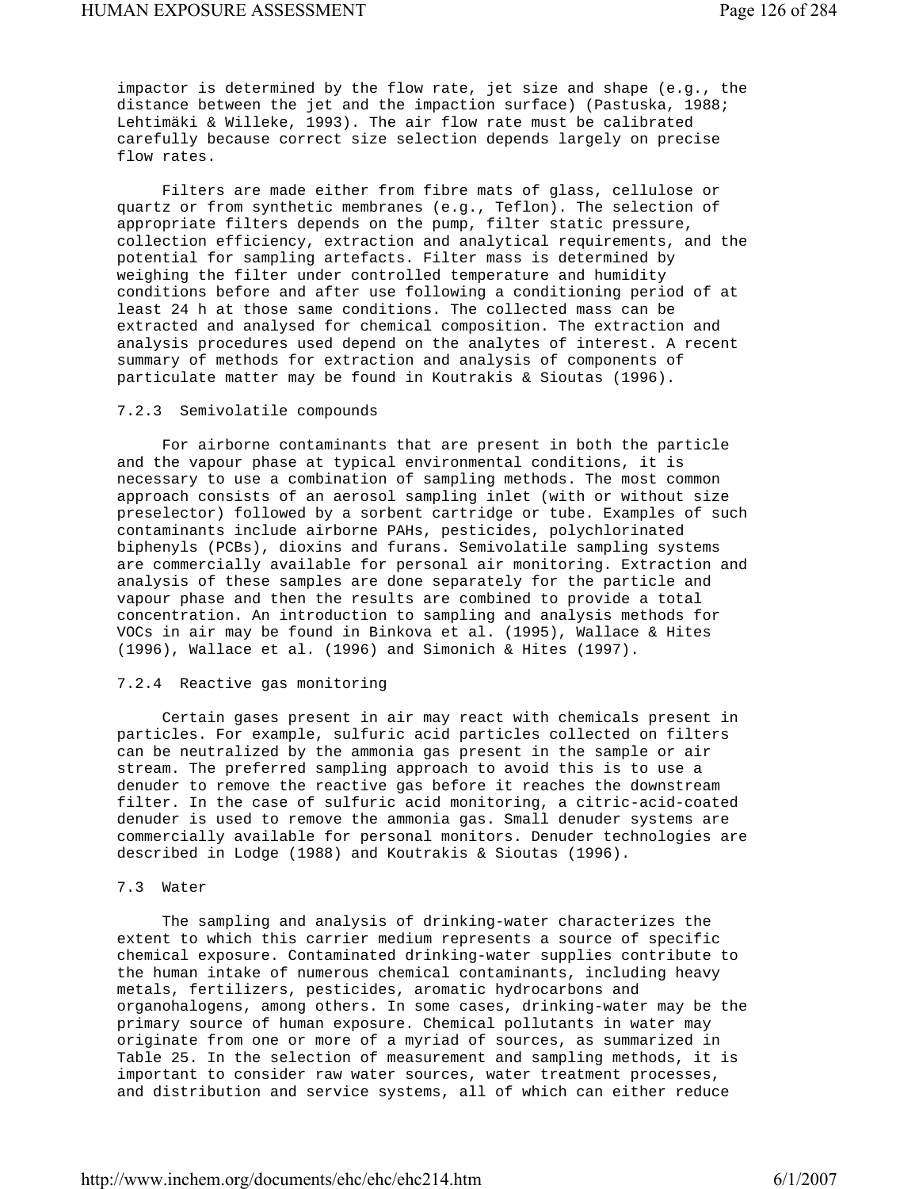impactor is determined by the flow rate, jet size and shape (e.g., the distance between the jet and the impaction surface) (Pastuska, 1988; Lehtimäki & Willeke, 1993). The air flow rate must be calibrated carefully because correct size selection depends largely on precise flow rates.

 Filters are made either from fibre mats of glass, cellulose or quartz or from synthetic membranes (e.g., Teflon). The selection of appropriate filters depends on the pump, filter static pressure, collection efficiency, extraction and analytical requirements, and the potential for sampling artefacts. Filter mass is determined by weighing the filter under controlled temperature and humidity conditions before and after use following a conditioning period of at least 24 h at those same conditions. The collected mass can be extracted and analysed for chemical composition. The extraction and analysis procedures used depend on the analytes of interest. A recent summary of methods for extraction and analysis of components of particulate matter may be found in Koutrakis & Sioutas (1996).

# 7.2.3 Semivolatile compounds

 For airborne contaminants that are present in both the particle and the vapour phase at typical environmental conditions, it is necessary to use a combination of sampling methods. The most common approach consists of an aerosol sampling inlet (with or without size preselector) followed by a sorbent cartridge or tube. Examples of such contaminants include airborne PAHs, pesticides, polychlorinated biphenyls (PCBs), dioxins and furans. Semivolatile sampling systems are commercially available for personal air monitoring. Extraction and analysis of these samples are done separately for the particle and vapour phase and then the results are combined to provide a total concentration. An introduction to sampling and analysis methods for VOCs in air may be found in Binkova et al. (1995), Wallace & Hites (1996), Wallace et al. (1996) and Simonich & Hites (1997).

#### 7.2.4 Reactive gas monitoring

 Certain gases present in air may react with chemicals present in particles. For example, sulfuric acid particles collected on filters can be neutralized by the ammonia gas present in the sample or air stream. The preferred sampling approach to avoid this is to use a denuder to remove the reactive gas before it reaches the downstream filter. In the case of sulfuric acid monitoring, a citric-acid-coated denuder is used to remove the ammonia gas. Small denuder systems are commercially available for personal monitors. Denuder technologies are described in Lodge (1988) and Koutrakis & Sioutas (1996).

#### 7.3 Water

 The sampling and analysis of drinking-water characterizes the extent to which this carrier medium represents a source of specific chemical exposure. Contaminated drinking-water supplies contribute to the human intake of numerous chemical contaminants, including heavy metals, fertilizers, pesticides, aromatic hydrocarbons and organohalogens, among others. In some cases, drinking-water may be the primary source of human exposure. Chemical pollutants in water may originate from one or more of a myriad of sources, as summarized in Table 25. In the selection of measurement and sampling methods, it is important to consider raw water sources, water treatment processes, and distribution and service systems, all of which can either reduce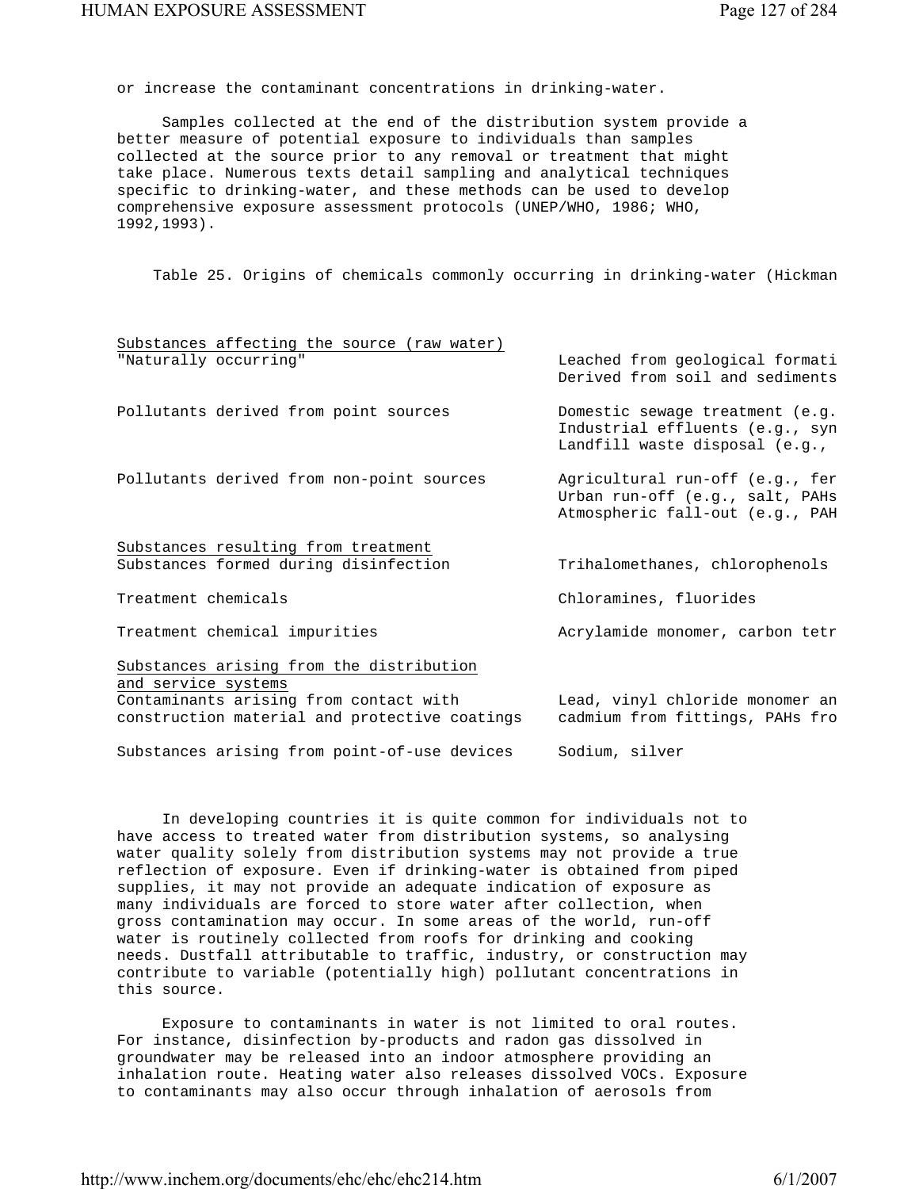or increase the contaminant concentrations in drinking-water.

 Samples collected at the end of the distribution system provide a better measure of potential exposure to individuals than samples collected at the source prior to any removal or treatment that might take place. Numerous texts detail sampling and analytical techniques specific to drinking-water, and these methods can be used to develop comprehensive exposure assessment protocols (UNEP/WHO, 1986; WHO, 1992,1993).

Table 25. Origins of chemicals commonly occurring in drinking-water (Hickman

| Substances affecting the source (raw water)                                                                    |                                                                                                       |
|----------------------------------------------------------------------------------------------------------------|-------------------------------------------------------------------------------------------------------|
| "Naturally occurring"                                                                                          | Leached from geological formati<br>Derived from soil and sediments                                    |
| Pollutants derived from point sources                                                                          | Domestic sewage treatment (e.g.<br>Industrial effluents (e.g., syn<br>Landfill waste disposal (e.g.,  |
| Pollutants derived from non-point sources                                                                      | Agricultural run-off (e.g., fer<br>Urban run-off (e.g., salt, PAHs<br>Atmospheric fall-out (e.g., PAH |
| Substances resulting from treatment<br>Substances formed during disinfection                                   | Trihalomethanes, chlorophenols                                                                        |
| Treatment chemicals                                                                                            | Chloramines, fluorides                                                                                |
| Treatment chemical impurities                                                                                  | Acrylamide monomer, carbon tetr                                                                       |
| Substances arising from the distribution                                                                       |                                                                                                       |
| and service systems<br>Contaminants arising from contact with<br>construction material and protective coatings | Lead, vinyl chloride monomer an<br>cadmium from fittings, PAHs fro                                    |
|                                                                                                                |                                                                                                       |

Substances arising from point-of-use devices Sodium, silver

 In developing countries it is quite common for individuals not to have access to treated water from distribution systems, so analysing water quality solely from distribution systems may not provide a true reflection of exposure. Even if drinking-water is obtained from piped supplies, it may not provide an adequate indication of exposure as many individuals are forced to store water after collection, when gross contamination may occur. In some areas of the world, run-off water is routinely collected from roofs for drinking and cooking needs. Dustfall attributable to traffic, industry, or construction may contribute to variable (potentially high) pollutant concentrations in this source.

 Exposure to contaminants in water is not limited to oral routes. For instance, disinfection by-products and radon gas dissolved in groundwater may be released into an indoor atmosphere providing an inhalation route. Heating water also releases dissolved VOCs. Exposure to contaminants may also occur through inhalation of aerosols from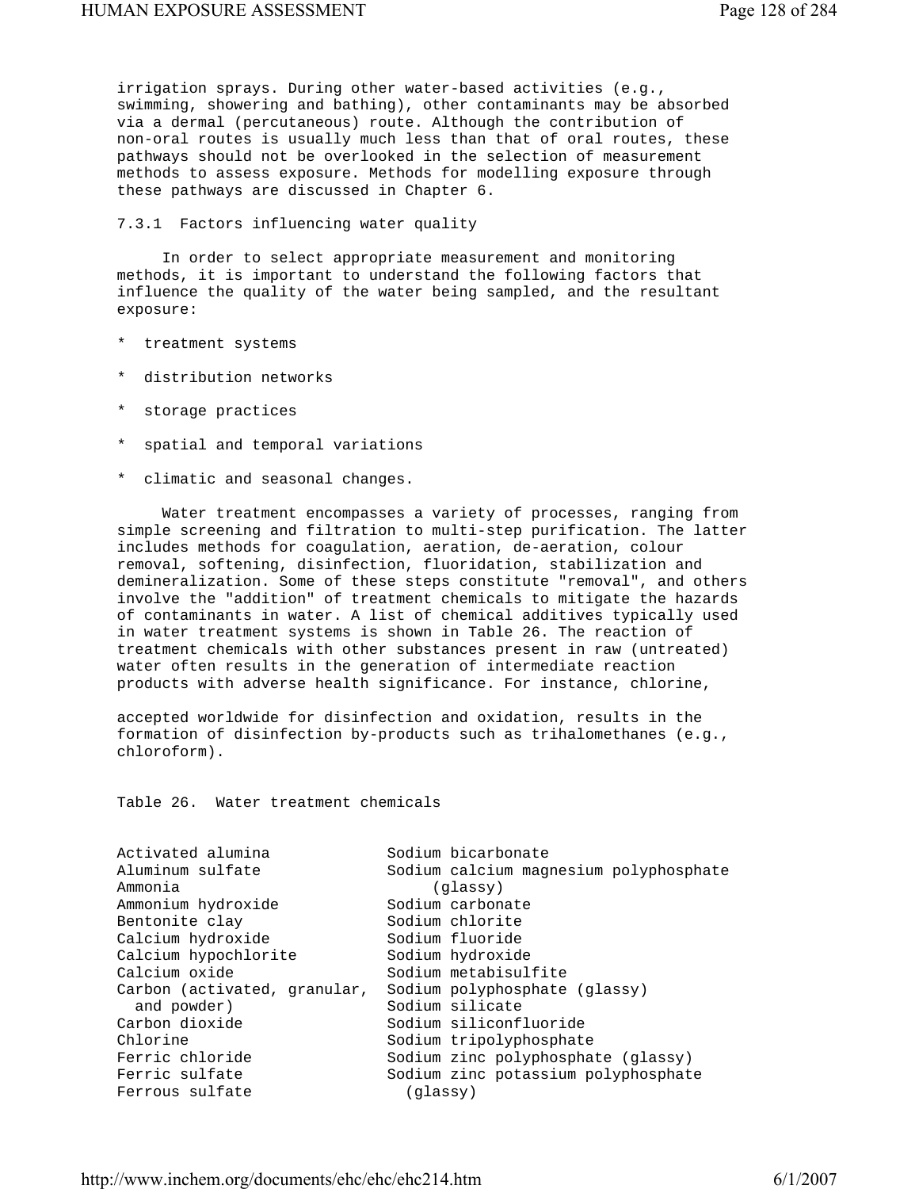irrigation sprays. During other water-based activities (e.g., swimming, showering and bathing), other contaminants may be absorbed via a dermal (percutaneous) route. Although the contribution of non-oral routes is usually much less than that of oral routes, these pathways should not be overlooked in the selection of measurement methods to assess exposure. Methods for modelling exposure through these pathways are discussed in Chapter 6.

7.3.1 Factors influencing water quality

 In order to select appropriate measurement and monitoring methods, it is important to understand the following factors that influence the quality of the water being sampled, and the resultant exposure:

- \* treatment systems
- \* distribution networks
- \* storage practices
- \* spatial and temporal variations
- \* climatic and seasonal changes.

 Water treatment encompasses a variety of processes, ranging from simple screening and filtration to multi-step purification. The latter includes methods for coagulation, aeration, de-aeration, colour removal, softening, disinfection, fluoridation, stabilization and demineralization. Some of these steps constitute "removal", and others involve the "addition" of treatment chemicals to mitigate the hazards of contaminants in water. A list of chemical additives typically used in water treatment systems is shown in Table 26. The reaction of treatment chemicals with other substances present in raw (untreated) water often results in the generation of intermediate reaction products with adverse health significance. For instance, chlorine,

 accepted worldwide for disinfection and oxidation, results in the formation of disinfection by-products such as trihalomethanes (e.g., chloroform).

Table 26. Water treatment chemicals

| Activated alumina            | Sodium bicarbonate                     |
|------------------------------|----------------------------------------|
| Aluminum sulfate             | Sodium calcium magnesium polyphosphate |
| Ammonia                      | (glassy)                               |
| Ammonium hydroxide           | Sodium carbonate                       |
| Bentonite clay               | Sodium chlorite                        |
| Calcium hydroxide            | Sodium fluoride                        |
| Calcium hypochlorite         | Sodium hydroxide                       |
| Calcium oxide                | Sodium metabisulfite                   |
| Carbon (activated, granular, | Sodium polyphosphate (glassy)          |
| and powder)                  | Sodium silicate                        |
| Carbon dioxide               | Sodium siliconfluoride                 |
| Chlorine                     | Sodium tripolyphosphate                |
| Ferric chloride              | Sodium zinc polyphosphate (glassy)     |
| Ferric sulfate               | Sodium zinc potassium polyphosphate    |
| Ferrous sulfate              | (qlassy)                               |
|                              |                                        |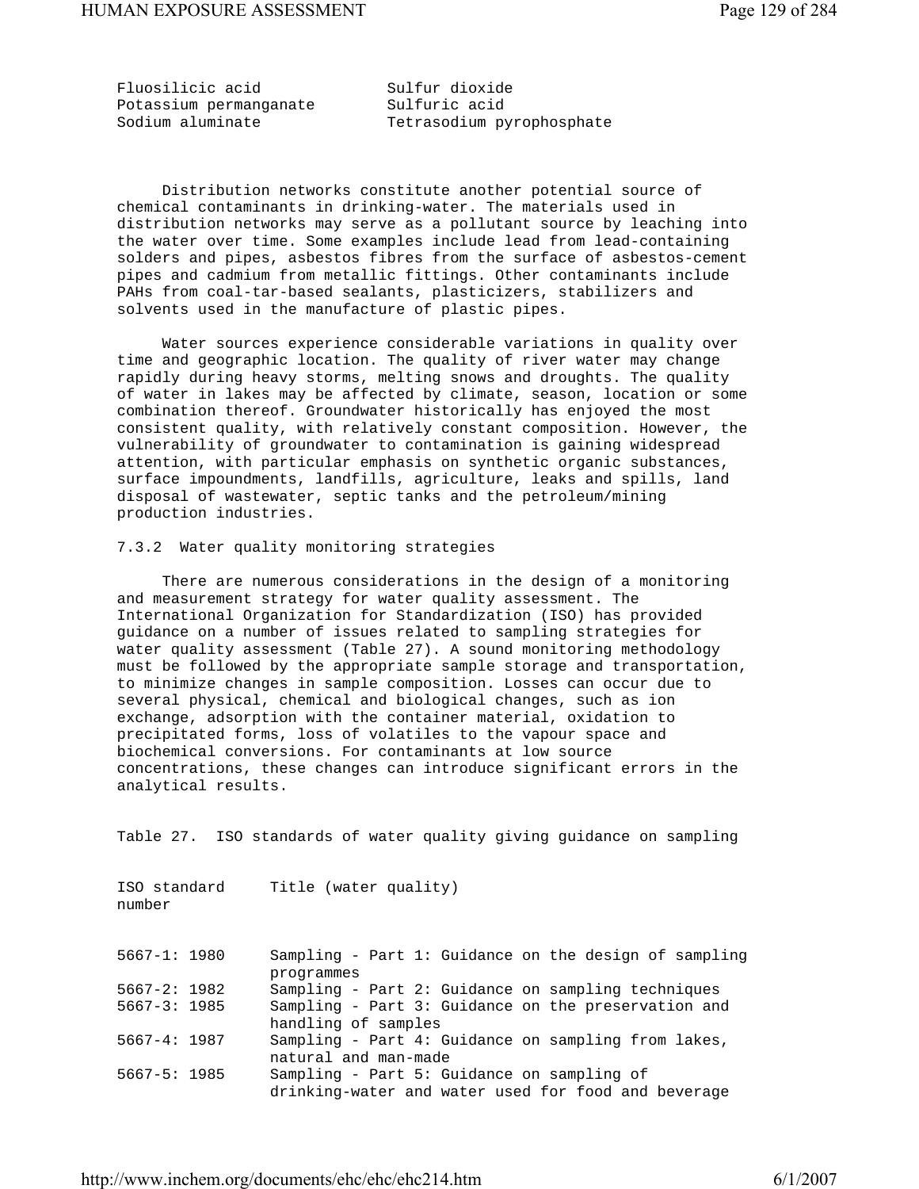Fluosilicic acid Sulfur dioxide Potassium permanganate Sulfuric acid

Sodium aluminate Tetrasodium pyrophosphate

 Distribution networks constitute another potential source of chemical contaminants in drinking-water. The materials used in distribution networks may serve as a pollutant source by leaching into the water over time. Some examples include lead from lead-containing solders and pipes, asbestos fibres from the surface of asbestos-cement pipes and cadmium from metallic fittings. Other contaminants include PAHs from coal-tar-based sealants, plasticizers, stabilizers and solvents used in the manufacture of plastic pipes.

 Water sources experience considerable variations in quality over time and geographic location. The quality of river water may change rapidly during heavy storms, melting snows and droughts. The quality of water in lakes may be affected by climate, season, location or some combination thereof. Groundwater historically has enjoyed the most consistent quality, with relatively constant composition. However, the vulnerability of groundwater to contamination is gaining widespread attention, with particular emphasis on synthetic organic substances, surface impoundments, landfills, agriculture, leaks and spills, land disposal of wastewater, septic tanks and the petroleum/mining production industries.

7.3.2 Water quality monitoring strategies

 There are numerous considerations in the design of a monitoring and measurement strategy for water quality assessment. The International Organization for Standardization (ISO) has provided guidance on a number of issues related to sampling strategies for water quality assessment (Table 27). A sound monitoring methodology must be followed by the appropriate sample storage and transportation, to minimize changes in sample composition. Losses can occur due to several physical, chemical and biological changes, such as ion exchange, adsorption with the container material, oxidation to precipitated forms, loss of volatiles to the vapour space and biochemical conversions. For contaminants at low source concentrations, these changes can introduce significant errors in the analytical results.

Table 27. ISO standards of water quality giving guidance on sampling

|  | ISO standard |  | Title (water quality) |
|--|--------------|--|-----------------------|
|  | number       |  |                       |

| $5667 - 1: 1980$ |            |                      |                                            | Sampling - Part 1: Guidance on the design of sampling |
|------------------|------------|----------------------|--------------------------------------------|-------------------------------------------------------|
|                  | programmes |                      |                                            |                                                       |
| $5667 - 2:1982$  |            |                      |                                            | Sampling - Part 2: Guidance on sampling techniques    |
| $5667 - 3:1985$  |            |                      |                                            | Sampling - Part 3: Guidance on the preservation and   |
|                  |            | handling of samples  |                                            |                                                       |
| $5667 - 4:1987$  |            |                      |                                            | Sampling - Part 4: Guidance on sampling from lakes,   |
|                  |            | natural and man-made |                                            |                                                       |
| $5667 - 5:1985$  |            |                      | Sampling - Part 5: Guidance on sampling of |                                                       |
|                  |            |                      |                                            | drinking-water and water used for food and beverage   |

http://www.inchem.org/documents/ehc/ehc/ehc214.htm 6/1/2007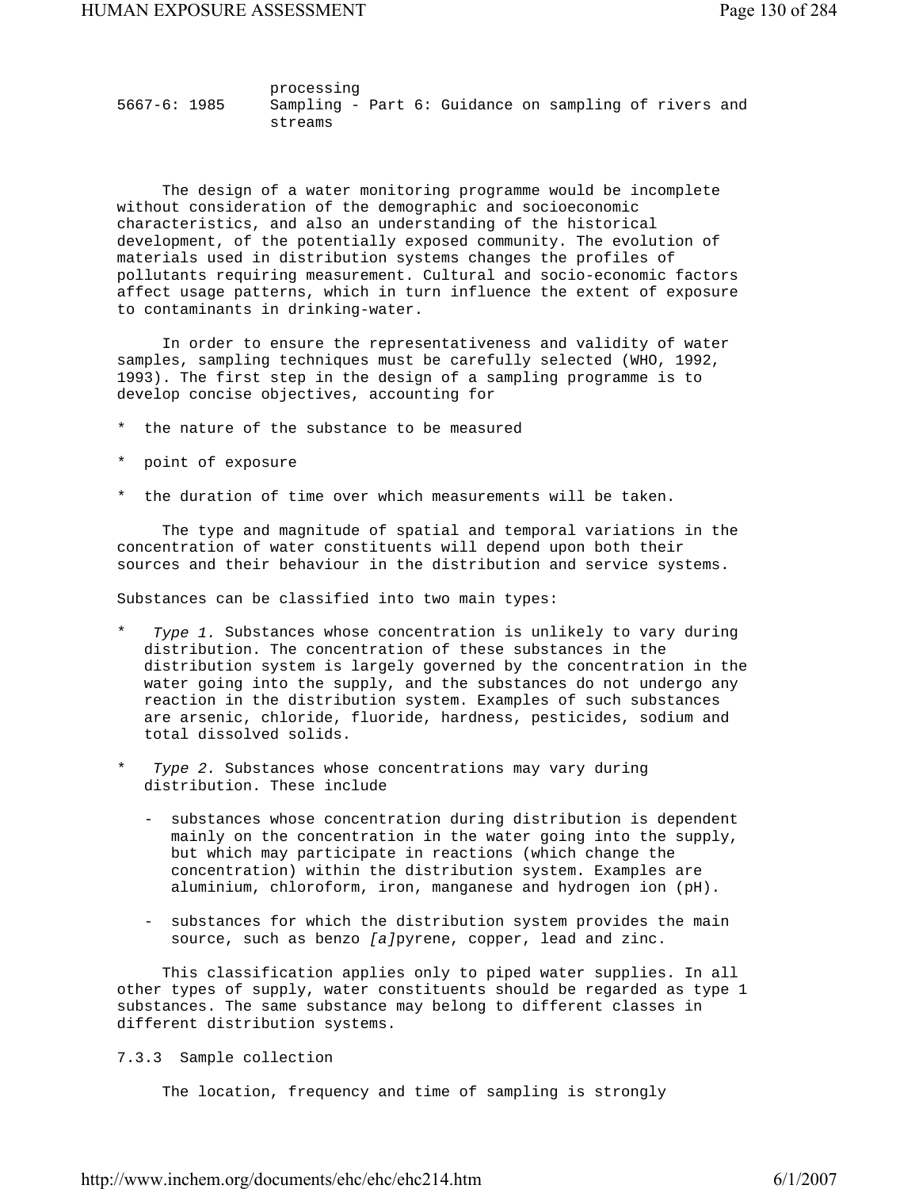processing 5667-6: 1985 Sampling - Part 6: Guidance on sampling of rivers and streams

 The design of a water monitoring programme would be incomplete without consideration of the demographic and socioeconomic characteristics, and also an understanding of the historical development, of the potentially exposed community. The evolution of materials used in distribution systems changes the profiles of pollutants requiring measurement. Cultural and socio-economic factors affect usage patterns, which in turn influence the extent of exposure to contaminants in drinking-water.

 In order to ensure the representativeness and validity of water samples, sampling techniques must be carefully selected (WHO, 1992, 1993). The first step in the design of a sampling programme is to develop concise objectives, accounting for

- \* the nature of the substance to be measured
- \* point of exposure
- \* the duration of time over which measurements will be taken.

 The type and magnitude of spatial and temporal variations in the concentration of water constituents will depend upon both their sources and their behaviour in the distribution and service systems.

Substances can be classified into two main types:

- Type 1. Substances whose concentration is unlikely to vary during distribution. The concentration of these substances in the distribution system is largely governed by the concentration in the water going into the supply, and the substances do not undergo any reaction in the distribution system. Examples of such substances are arsenic, chloride, fluoride, hardness, pesticides, sodium and total dissolved solids.
- Type 2. Substances whose concentrations may vary during distribution. These include
	- substances whose concentration during distribution is dependent mainly on the concentration in the water going into the supply, but which may participate in reactions (which change the concentration) within the distribution system. Examples are aluminium, chloroform, iron, manganese and hydrogen ion (pH).
	- substances for which the distribution system provides the main source, such as benzo *[a]*pyrene, copper, lead and zinc.

 This classification applies only to piped water supplies. In all other types of supply, water constituents should be regarded as type 1 substances. The same substance may belong to different classes in different distribution systems.

7.3.3 Sample collection

The location, frequency and time of sampling is strongly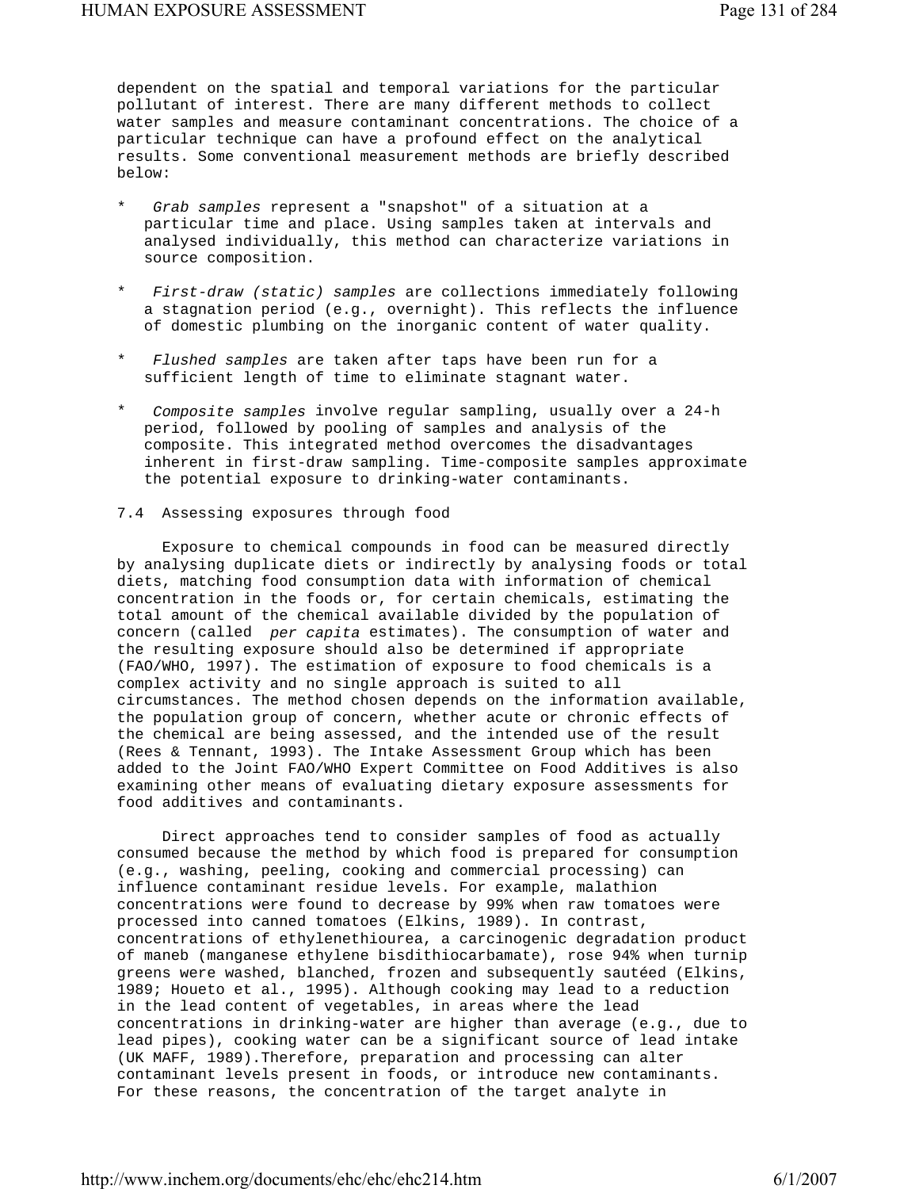dependent on the spatial and temporal variations for the particular pollutant of interest. There are many different methods to collect water samples and measure contaminant concentrations. The choice of a particular technique can have a profound effect on the analytical results. Some conventional measurement methods are briefly described below:

- Grab samples represent a "snapshot" of a situation at a particular time and place. Using samples taken at intervals and analysed individually, this method can characterize variations in source composition.
- \* *First-draw (static) samples* are collections immediately following a stagnation period (e.g., overnight). This reflects the influence of domestic plumbing on the inorganic content of water quality.
- \* *Flushed samples* are taken after taps have been run for a sufficient length of time to eliminate stagnant water.
- \* *Composite samples* involve regular sampling, usually over a 24-h period, followed by pooling of samples and analysis of the composite. This integrated method overcomes the disadvantages inherent in first-draw sampling. Time-composite samples approximate the potential exposure to drinking-water contaminants.

#### 7.4 Assessing exposures through food

 Exposure to chemical compounds in food can be measured directly by analysing duplicate diets or indirectly by analysing foods or total diets, matching food consumption data with information of chemical concentration in the foods or, for certain chemicals, estimating the total amount of the chemical available divided by the population of concern (called *per capita* estimates). The consumption of water and the resulting exposure should also be determined if appropriate (FAO/WHO, 1997). The estimation of exposure to food chemicals is a complex activity and no single approach is suited to all circumstances. The method chosen depends on the information available, the population group of concern, whether acute or chronic effects of the chemical are being assessed, and the intended use of the result (Rees & Tennant, 1993). The Intake Assessment Group which has been added to the Joint FAO/WHO Expert Committee on Food Additives is also examining other means of evaluating dietary exposure assessments for food additives and contaminants.

 Direct approaches tend to consider samples of food as actually consumed because the method by which food is prepared for consumption (e.g., washing, peeling, cooking and commercial processing) can influence contaminant residue levels. For example, malathion concentrations were found to decrease by 99% when raw tomatoes were processed into canned tomatoes (Elkins, 1989). In contrast, concentrations of ethylenethiourea, a carcinogenic degradation product of maneb (manganese ethylene bisdithiocarbamate), rose 94% when turnip greens were washed, blanched, frozen and subsequently sautéed (Elkins, 1989; Houeto et al., 1995). Although cooking may lead to a reduction in the lead content of vegetables, in areas where the lead concentrations in drinking-water are higher than average (e.g., due to lead pipes), cooking water can be a significant source of lead intake (UK MAFF, 1989).Therefore, preparation and processing can alter contaminant levels present in foods, or introduce new contaminants. For these reasons, the concentration of the target analyte in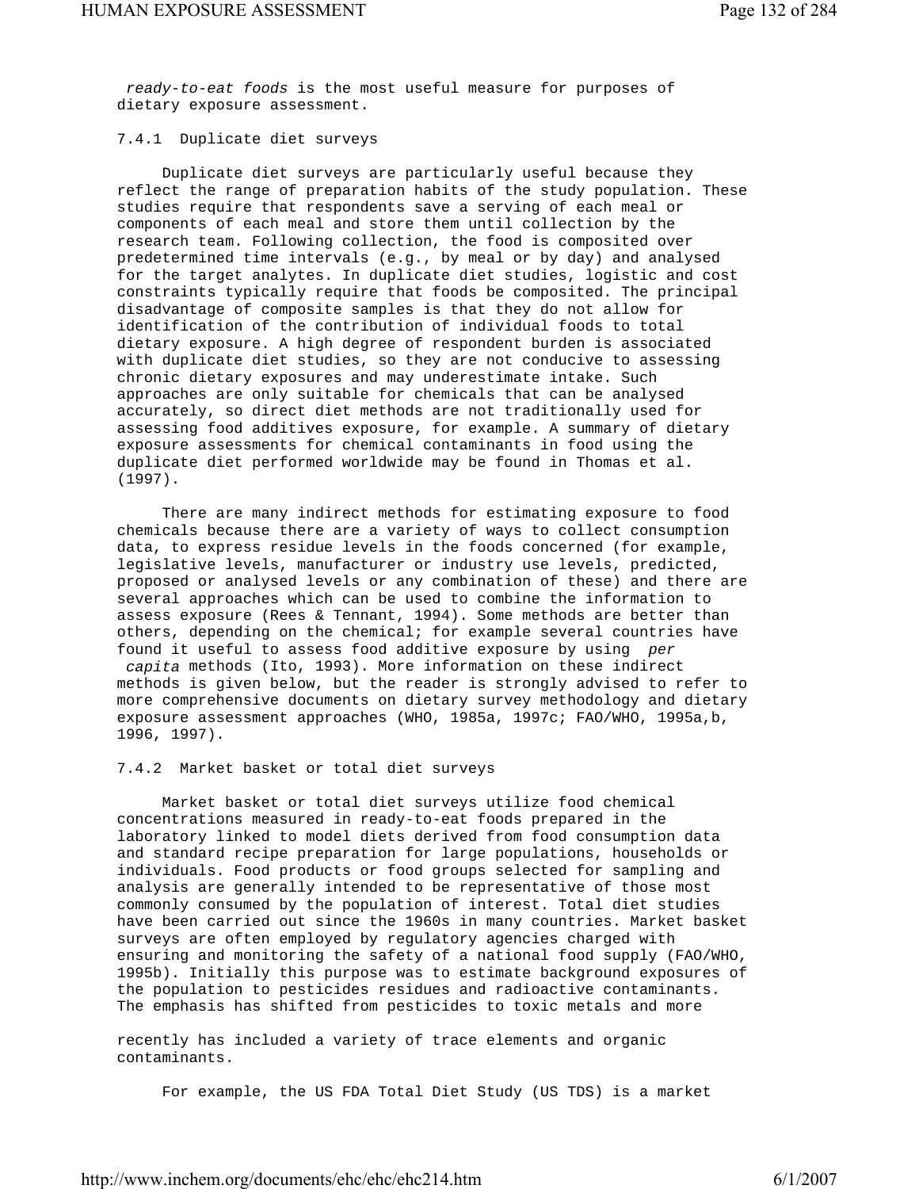*ready-to-eat foods* is the most useful measure for purposes of dietary exposure assessment.

# 7.4.1 Duplicate diet surveys

 Duplicate diet surveys are particularly useful because they reflect the range of preparation habits of the study population. These studies require that respondents save a serving of each meal or components of each meal and store them until collection by the research team. Following collection, the food is composited over predetermined time intervals (e.g., by meal or by day) and analysed for the target analytes. In duplicate diet studies, logistic and cost constraints typically require that foods be composited. The principal disadvantage of composite samples is that they do not allow for identification of the contribution of individual foods to total dietary exposure. A high degree of respondent burden is associated with duplicate diet studies, so they are not conducive to assessing chronic dietary exposures and may underestimate intake. Such approaches are only suitable for chemicals that can be analysed accurately, so direct diet methods are not traditionally used for assessing food additives exposure, for example. A summary of dietary exposure assessments for chemical contaminants in food using the duplicate diet performed worldwide may be found in Thomas et al. (1997).

 There are many indirect methods for estimating exposure to food chemicals because there are a variety of ways to collect consumption data, to express residue levels in the foods concerned (for example, legislative levels, manufacturer or industry use levels, predicted, proposed or analysed levels or any combination of these) and there are several approaches which can be used to combine the information to assess exposure (Rees & Tennant, 1994). Some methods are better than others, depending on the chemical; for example several countries have found it useful to assess food additive exposure by using *per capita* methods (Ito, 1993). More information on these indirect methods is given below, but the reader is strongly advised to refer to more comprehensive documents on dietary survey methodology and dietary exposure assessment approaches (WHO, 1985a, 1997c; FAO/WHO, 1995a,b, 1996, 1997).

7.4.2 Market basket or total diet surveys

 Market basket or total diet surveys utilize food chemical concentrations measured in ready-to-eat foods prepared in the laboratory linked to model diets derived from food consumption data and standard recipe preparation for large populations, households or individuals. Food products or food groups selected for sampling and analysis are generally intended to be representative of those most commonly consumed by the population of interest. Total diet studies have been carried out since the 1960s in many countries. Market basket surveys are often employed by regulatory agencies charged with ensuring and monitoring the safety of a national food supply (FAO/WHO, 1995b). Initially this purpose was to estimate background exposures of the population to pesticides residues and radioactive contaminants. The emphasis has shifted from pesticides to toxic metals and more

 recently has included a variety of trace elements and organic contaminants.

For example, the US FDA Total Diet Study (US TDS) is a market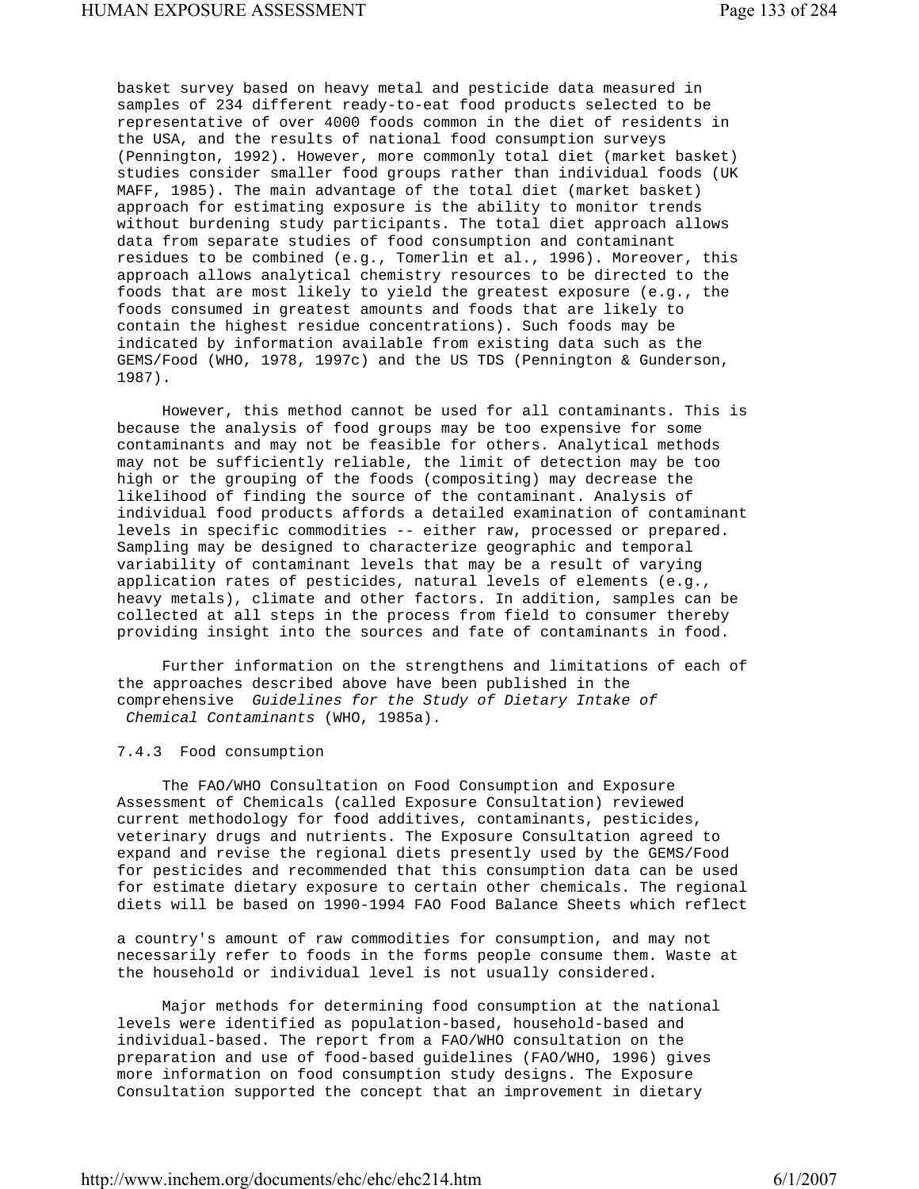basket survey based on heavy metal and pesticide data measured in samples of 234 different ready-to-eat food products selected to be representative of over 4000 foods common in the diet of residents in the USA, and the results of national food consumption surveys (Pennington, 1992). However, more commonly total diet (market basket) studies consider smaller food groups rather than individual foods (UK MAFF, 1985). The main advantage of the total diet (market basket) approach for estimating exposure is the ability to monitor trends without burdening study participants. The total diet approach allows data from separate studies of food consumption and contaminant residues to be combined (e.g., Tomerlin et al., 1996). Moreover, this approach allows analytical chemistry resources to be directed to the foods that are most likely to yield the greatest exposure (e.g., the foods consumed in greatest amounts and foods that are likely to contain the highest residue concentrations). Such foods may be indicated by information available from existing data such as the GEMS/Food (WHO, 1978, 1997c) and the US TDS (Pennington & Gunderson, 1987).

 However, this method cannot be used for all contaminants. This is because the analysis of food groups may be too expensive for some contaminants and may not be feasible for others. Analytical methods may not be sufficiently reliable, the limit of detection may be too high or the grouping of the foods (compositing) may decrease the likelihood of finding the source of the contaminant. Analysis of individual food products affords a detailed examination of contaminant levels in specific commodities -- either raw, processed or prepared. Sampling may be designed to characterize geographic and temporal variability of contaminant levels that may be a result of varying application rates of pesticides, natural levels of elements (e.g., heavy metals), climate and other factors. In addition, samples can be collected at all steps in the process from field to consumer thereby providing insight into the sources and fate of contaminants in food.

 Further information on the strengthens and limitations of each of the approaches described above have been published in the comprehensive *Guidelines for the Study of Dietary Intake of Chemical Contaminants* (WHO, 1985a).

#### 7.4.3 Food consumption

 The FAO/WHO Consultation on Food Consumption and Exposure Assessment of Chemicals (called Exposure Consultation) reviewed current methodology for food additives, contaminants, pesticides, veterinary drugs and nutrients. The Exposure Consultation agreed to expand and revise the regional diets presently used by the GEMS/Food for pesticides and recommended that this consumption data can be used for estimate dietary exposure to certain other chemicals. The regional diets will be based on 1990-1994 FAO Food Balance Sheets which reflect

 a country's amount of raw commodities for consumption, and may not necessarily refer to foods in the forms people consume them. Waste at the household or individual level is not usually considered.

 Major methods for determining food consumption at the national levels were identified as population-based, household-based and individual-based. The report from a FAO/WHO consultation on the preparation and use of food-based guidelines (FAO/WHO, 1996) gives more information on food consumption study designs. The Exposure Consultation supported the concept that an improvement in dietary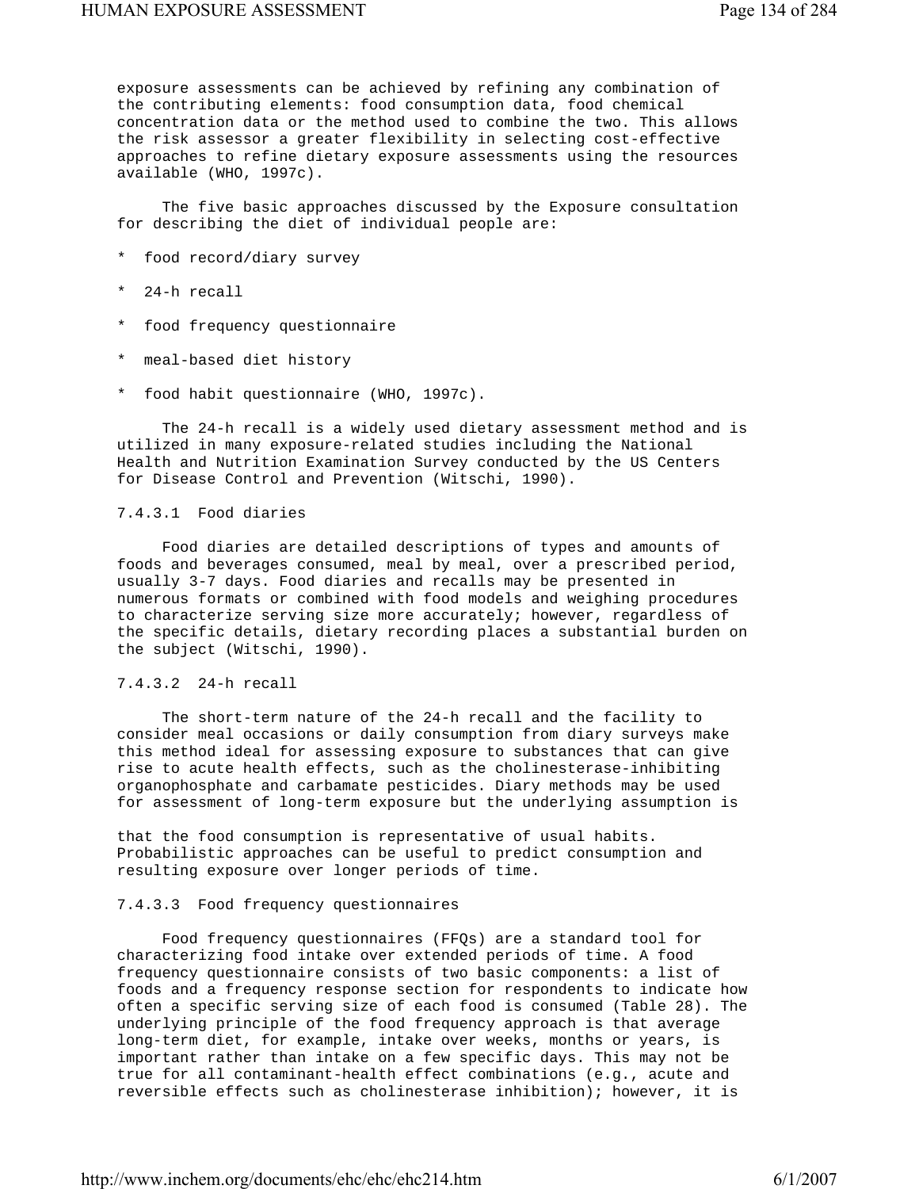exposure assessments can be achieved by refining any combination of the contributing elements: food consumption data, food chemical concentration data or the method used to combine the two. This allows the risk assessor a greater flexibility in selecting cost-effective approaches to refine dietary exposure assessments using the resources available (WHO, 1997c).

 The five basic approaches discussed by the Exposure consultation for describing the diet of individual people are:

- \* food record/diary survey
- \* 24-h recall
- \* food frequency questionnaire
- \* meal-based diet history
- \* food habit questionnaire (WHO, 1997c).

 The 24-h recall is a widely used dietary assessment method and is utilized in many exposure-related studies including the National Health and Nutrition Examination Survey conducted by the US Centers for Disease Control and Prevention (Witschi, 1990).

7.4.3.1 Food diaries

 Food diaries are detailed descriptions of types and amounts of foods and beverages consumed, meal by meal, over a prescribed period, usually 3-7 days. Food diaries and recalls may be presented in numerous formats or combined with food models and weighing procedures to characterize serving size more accurately; however, regardless of the specific details, dietary recording places a substantial burden on the subject (Witschi, 1990).

#### 7.4.3.2 24-h recall

 The short-term nature of the 24-h recall and the facility to consider meal occasions or daily consumption from diary surveys make this method ideal for assessing exposure to substances that can give rise to acute health effects, such as the cholinesterase-inhibiting organophosphate and carbamate pesticides. Diary methods may be used for assessment of long-term exposure but the underlying assumption is

 that the food consumption is representative of usual habits. Probabilistic approaches can be useful to predict consumption and resulting exposure over longer periods of time.

#### 7.4.3.3 Food frequency questionnaires

 Food frequency questionnaires (FFQs) are a standard tool for characterizing food intake over extended periods of time. A food frequency questionnaire consists of two basic components: a list of foods and a frequency response section for respondents to indicate how often a specific serving size of each food is consumed (Table 28). The underlying principle of the food frequency approach is that average long-term diet, for example, intake over weeks, months or years, is important rather than intake on a few specific days. This may not be true for all contaminant-health effect combinations (e.g., acute and reversible effects such as cholinesterase inhibition); however, it is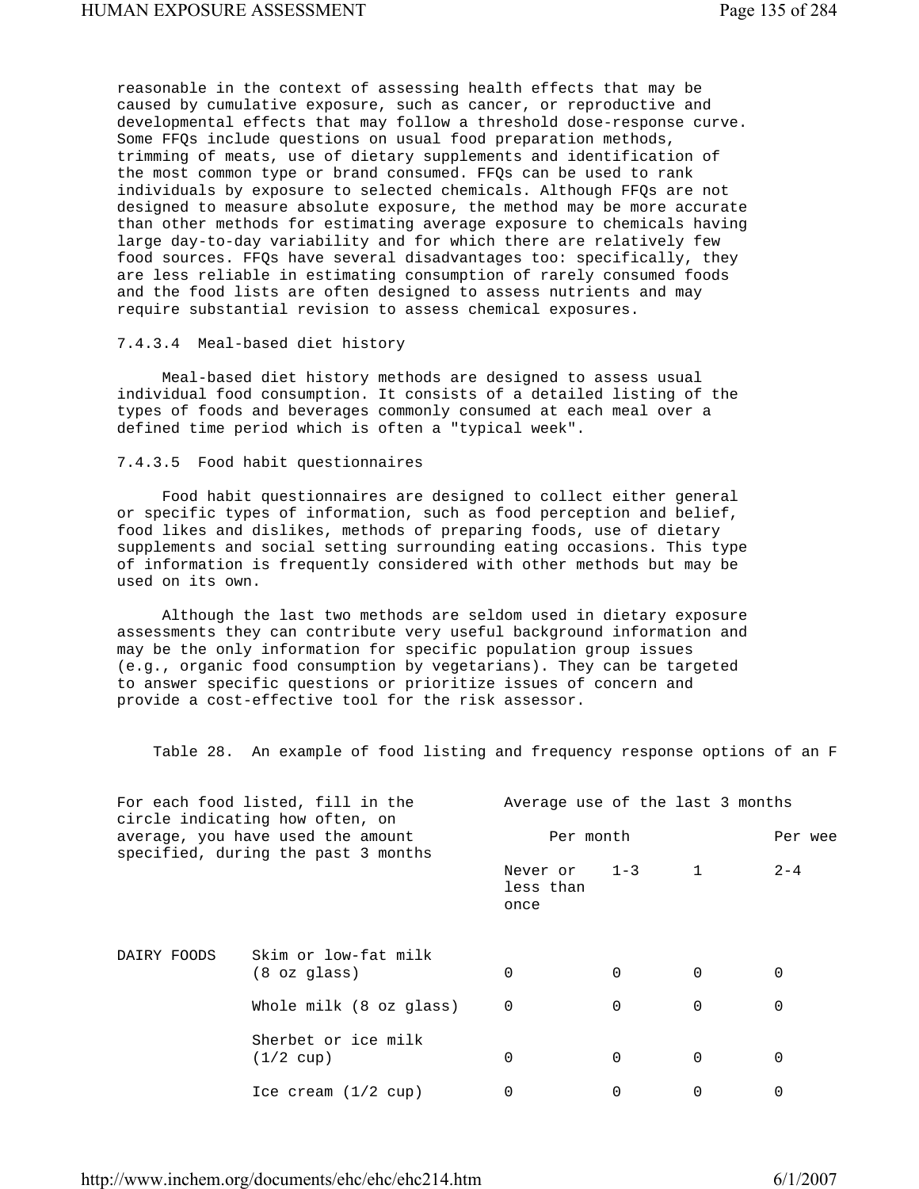reasonable in the context of assessing health effects that may be caused by cumulative exposure, such as cancer, or reproductive and developmental effects that may follow a threshold dose-response curve. Some FFQs include questions on usual food preparation methods, trimming of meats, use of dietary supplements and identification of the most common type or brand consumed. FFQs can be used to rank individuals by exposure to selected chemicals. Although FFQs are not designed to measure absolute exposure, the method may be more accurate than other methods for estimating average exposure to chemicals having large day-to-day variability and for which there are relatively few food sources. FFQs have several disadvantages too: specifically, they are less reliable in estimating consumption of rarely consumed foods and the food lists are often designed to assess nutrients and may require substantial revision to assess chemical exposures.

#### 7.4.3.4 Meal-based diet history

 Meal-based diet history methods are designed to assess usual individual food consumption. It consists of a detailed listing of the types of foods and beverages commonly consumed at each meal over a defined time period which is often a "typical week".

#### 7.4.3.5 Food habit questionnaires

 Food habit questionnaires are designed to collect either general or specific types of information, such as food perception and belief, food likes and dislikes, methods of preparing foods, use of dietary supplements and social setting surrounding eating occasions. This type of information is frequently considered with other methods but may be used on its own.

 Although the last two methods are seldom used in dietary exposure assessments they can contribute very useful background information and may be the only information for specific population group issues (e.g., organic food consumption by vegetarians). They can be targeted to answer specific questions or prioritize issues of concern and provide a cost-effective tool for the risk assessor.

Table 28. An example of food listing and frequency response options of an F

|                                                                          | For each food listed, fill in the<br>circle indicating how often, on | Average use of the last 3 months      |              |              |          |
|--------------------------------------------------------------------------|----------------------------------------------------------------------|---------------------------------------|--------------|--------------|----------|
| average, you have used the amount<br>specified, during the past 3 months |                                                                      |                                       | Per month    |              | Per wee  |
|                                                                          |                                                                      | Never or $1-3$ 1<br>less than<br>once |              |              | $2 - 4$  |
| DAIRY FOODS                                                              | Skim or low-fat milk<br>$(8 \text{ oz glass})$                       | 0                                     | $\Omega$     | $\Omega$     | $\Omega$ |
|                                                                          | Whole milk (8 oz glass)                                              | 0                                     | $\Omega$     | $\Omega$     | $\Omega$ |
|                                                                          | Sherbet or ice milk<br>$(1/2 \text{ cup})$                           | 0                                     | $\Omega$     | $\Omega$     | $\Omega$ |
|                                                                          | Ice cream $(1/2 \text{ cup})$                                        |                                       | $\mathbf{0}$ | $\mathbf{0}$ | 0        |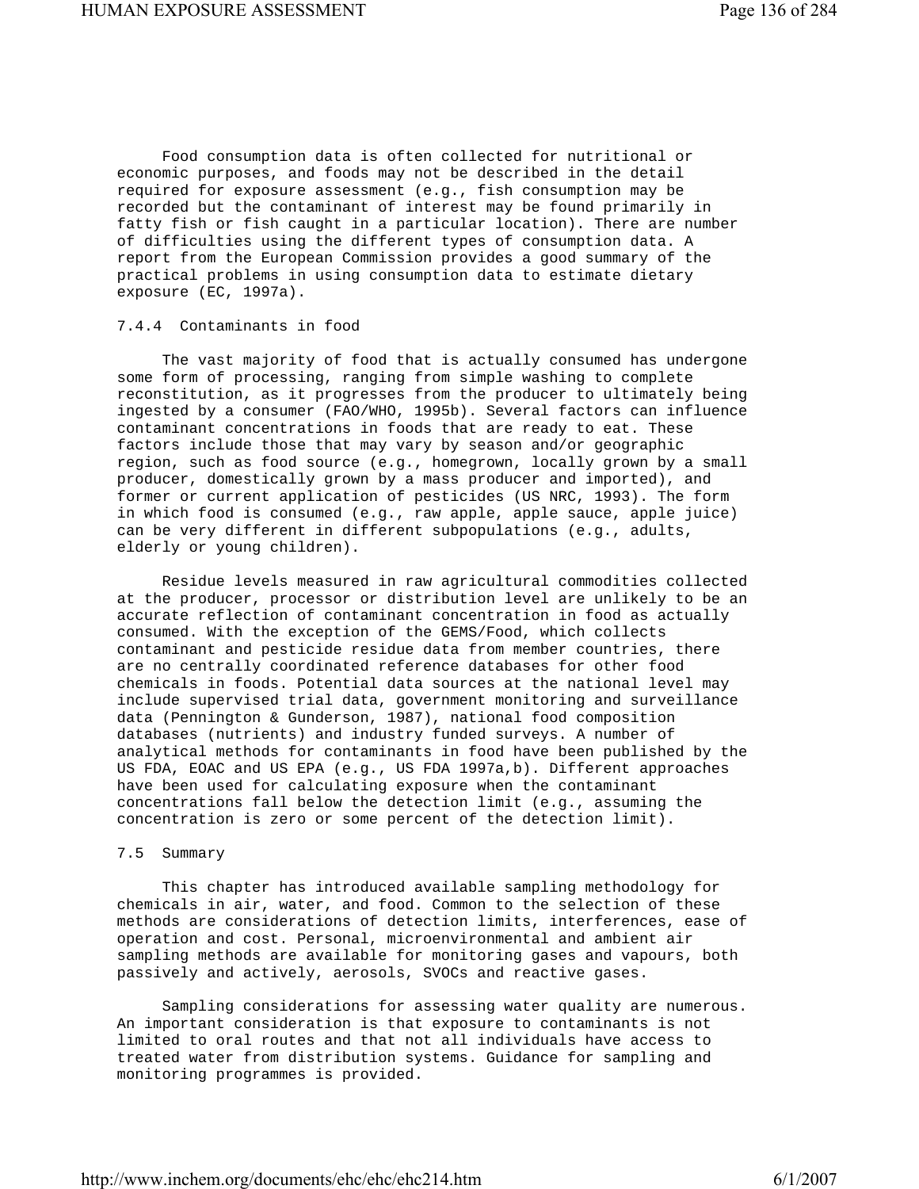Food consumption data is often collected for nutritional or economic purposes, and foods may not be described in the detail required for exposure assessment (e.g., fish consumption may be recorded but the contaminant of interest may be found primarily in fatty fish or fish caught in a particular location). There are number of difficulties using the different types of consumption data. A report from the European Commission provides a good summary of the practical problems in using consumption data to estimate dietary exposure (EC, 1997a).

# 7.4.4 Contaminants in food

 The vast majority of food that is actually consumed has undergone some form of processing, ranging from simple washing to complete reconstitution, as it progresses from the producer to ultimately being ingested by a consumer (FAO/WHO, 1995b). Several factors can influence contaminant concentrations in foods that are ready to eat. These factors include those that may vary by season and/or geographic region, such as food source (e.g., homegrown, locally grown by a small producer, domestically grown by a mass producer and imported), and former or current application of pesticides (US NRC, 1993). The form in which food is consumed (e.g., raw apple, apple sauce, apple juice) can be very different in different subpopulations (e.g., adults, elderly or young children).

 Residue levels measured in raw agricultural commodities collected at the producer, processor or distribution level are unlikely to be an accurate reflection of contaminant concentration in food as actually consumed. With the exception of the GEMS/Food, which collects contaminant and pesticide residue data from member countries, there are no centrally coordinated reference databases for other food chemicals in foods. Potential data sources at the national level may include supervised trial data, government monitoring and surveillance data (Pennington & Gunderson, 1987), national food composition databases (nutrients) and industry funded surveys. A number of analytical methods for contaminants in food have been published by the US FDA, EOAC and US EPA (e.g., US FDA 1997a,b). Different approaches have been used for calculating exposure when the contaminant concentrations fall below the detection limit (e.g., assuming the concentration is zero or some percent of the detection limit).

### 7.5 Summary

 This chapter has introduced available sampling methodology for chemicals in air, water, and food. Common to the selection of these methods are considerations of detection limits, interferences, ease of operation and cost. Personal, microenvironmental and ambient air sampling methods are available for monitoring gases and vapours, both passively and actively, aerosols, SVOCs and reactive gases.

 Sampling considerations for assessing water quality are numerous. An important consideration is that exposure to contaminants is not limited to oral routes and that not all individuals have access to treated water from distribution systems. Guidance for sampling and monitoring programmes is provided.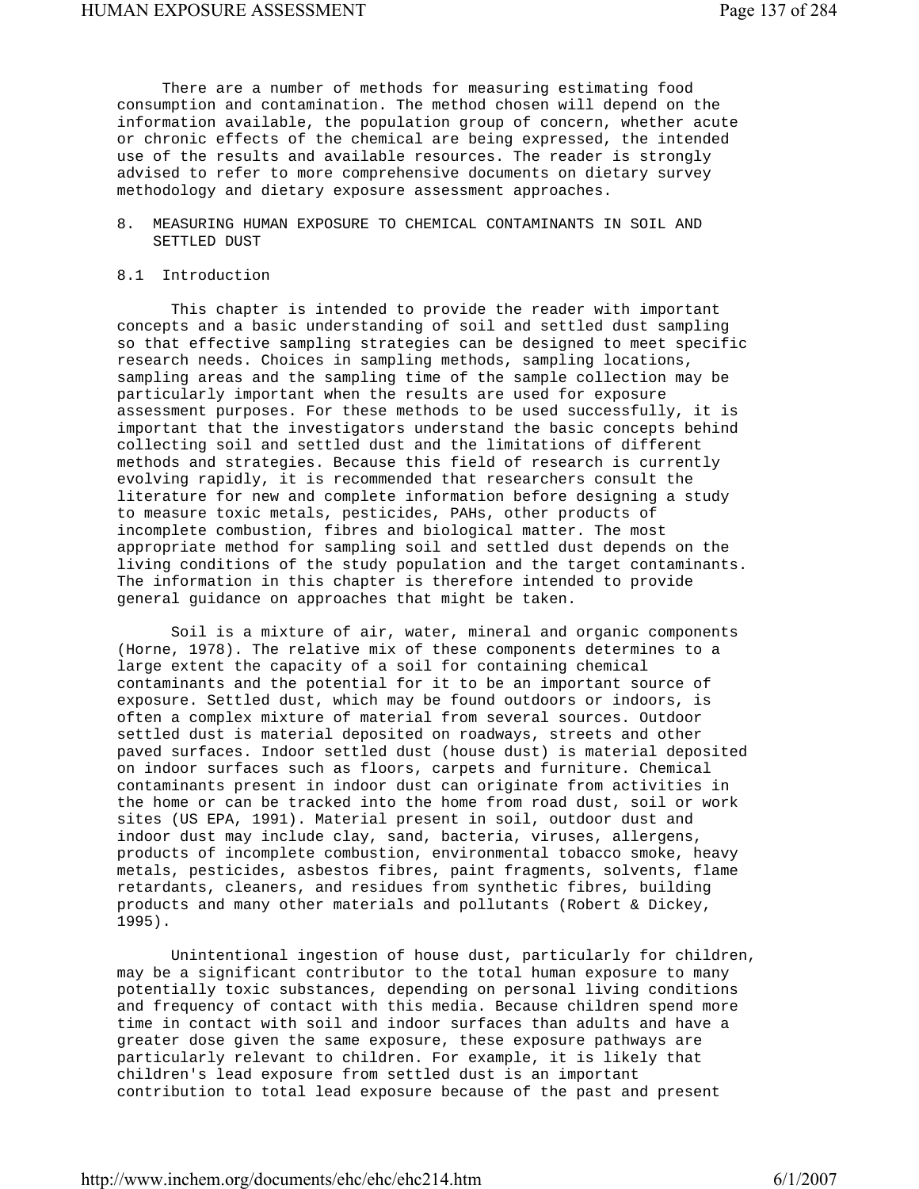There are a number of methods for measuring estimating food consumption and contamination. The method chosen will depend on the information available, the population group of concern, whether acute or chronic effects of the chemical are being expressed, the intended use of the results and available resources. The reader is strongly advised to refer to more comprehensive documents on dietary survey methodology and dietary exposure assessment approaches.

 8. MEASURING HUMAN EXPOSURE TO CHEMICAL CONTAMINANTS IN SOIL AND SETTLED DUST

# 8.1 Introduction

 This chapter is intended to provide the reader with important concepts and a basic understanding of soil and settled dust sampling so that effective sampling strategies can be designed to meet specific research needs. Choices in sampling methods, sampling locations, sampling areas and the sampling time of the sample collection may be particularly important when the results are used for exposure assessment purposes. For these methods to be used successfully, it is important that the investigators understand the basic concepts behind collecting soil and settled dust and the limitations of different methods and strategies. Because this field of research is currently evolving rapidly, it is recommended that researchers consult the literature for new and complete information before designing a study to measure toxic metals, pesticides, PAHs, other products of incomplete combustion, fibres and biological matter. The most appropriate method for sampling soil and settled dust depends on the living conditions of the study population and the target contaminants. The information in this chapter is therefore intended to provide general guidance on approaches that might be taken.

 Soil is a mixture of air, water, mineral and organic components (Horne, 1978). The relative mix of these components determines to a large extent the capacity of a soil for containing chemical contaminants and the potential for it to be an important source of exposure. Settled dust, which may be found outdoors or indoors, is often a complex mixture of material from several sources. Outdoor settled dust is material deposited on roadways, streets and other paved surfaces. Indoor settled dust (house dust) is material deposited on indoor surfaces such as floors, carpets and furniture. Chemical contaminants present in indoor dust can originate from activities in the home or can be tracked into the home from road dust, soil or work sites (US EPA, 1991). Material present in soil, outdoor dust and indoor dust may include clay, sand, bacteria, viruses, allergens, products of incomplete combustion, environmental tobacco smoke, heavy metals, pesticides, asbestos fibres, paint fragments, solvents, flame retardants, cleaners, and residues from synthetic fibres, building products and many other materials and pollutants (Robert & Dickey, 1995).

 Unintentional ingestion of house dust, particularly for children, may be a significant contributor to the total human exposure to many potentially toxic substances, depending on personal living conditions and frequency of contact with this media. Because children spend more time in contact with soil and indoor surfaces than adults and have a greater dose given the same exposure, these exposure pathways are particularly relevant to children. For example, it is likely that children's lead exposure from settled dust is an important contribution to total lead exposure because of the past and present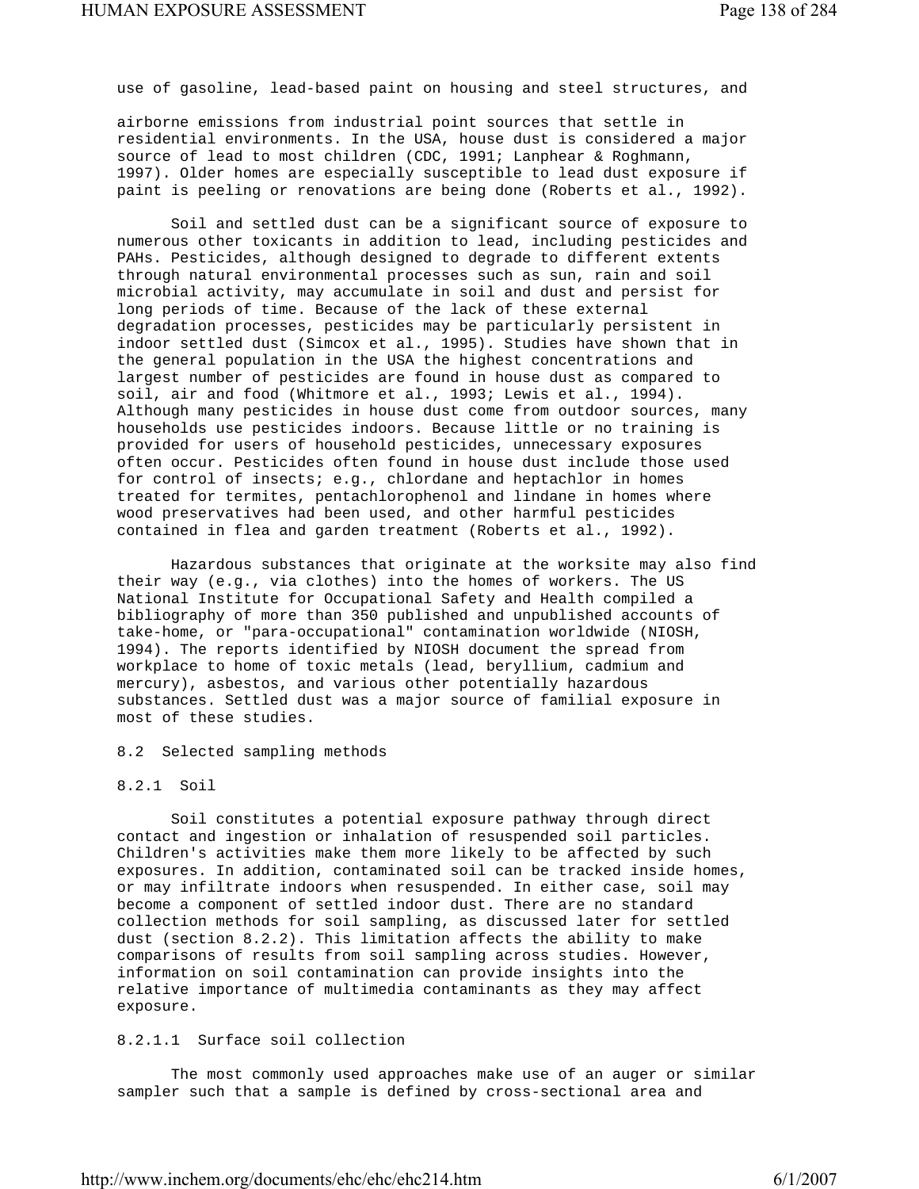use of gasoline, lead-based paint on housing and steel structures, and

 airborne emissions from industrial point sources that settle in residential environments. In the USA, house dust is considered a major source of lead to most children (CDC, 1991; Lanphear & Roghmann, 1997). Older homes are especially susceptible to lead dust exposure if paint is peeling or renovations are being done (Roberts et al., 1992).

 Soil and settled dust can be a significant source of exposure to numerous other toxicants in addition to lead, including pesticides and PAHs. Pesticides, although designed to degrade to different extents through natural environmental processes such as sun, rain and soil microbial activity, may accumulate in soil and dust and persist for long periods of time. Because of the lack of these external degradation processes, pesticides may be particularly persistent in indoor settled dust (Simcox et al., 1995). Studies have shown that in the general population in the USA the highest concentrations and largest number of pesticides are found in house dust as compared to soil, air and food (Whitmore et al., 1993; Lewis et al., 1994). Although many pesticides in house dust come from outdoor sources, many households use pesticides indoors. Because little or no training is provided for users of household pesticides, unnecessary exposures often occur. Pesticides often found in house dust include those used for control of insects; e.g., chlordane and heptachlor in homes treated for termites, pentachlorophenol and lindane in homes where wood preservatives had been used, and other harmful pesticides contained in flea and garden treatment (Roberts et al., 1992).

 Hazardous substances that originate at the worksite may also find their way (e.g., via clothes) into the homes of workers. The US National Institute for Occupational Safety and Health compiled a bibliography of more than 350 published and unpublished accounts of take-home, or "para-occupational" contamination worldwide (NIOSH, 1994). The reports identified by NIOSH document the spread from workplace to home of toxic metals (lead, beryllium, cadmium and mercury), asbestos, and various other potentially hazardous substances. Settled dust was a major source of familial exposure in most of these studies.

8.2 Selected sampling methods

# 8.2.1 Soil

 Soil constitutes a potential exposure pathway through direct contact and ingestion or inhalation of resuspended soil particles. Children's activities make them more likely to be affected by such exposures. In addition, contaminated soil can be tracked inside homes, or may infiltrate indoors when resuspended. In either case, soil may become a component of settled indoor dust. There are no standard collection methods for soil sampling, as discussed later for settled dust (section 8.2.2). This limitation affects the ability to make comparisons of results from soil sampling across studies. However, information on soil contamination can provide insights into the relative importance of multimedia contaminants as they may affect exposure.

# 8.2.1.1 Surface soil collection

 The most commonly used approaches make use of an auger or similar sampler such that a sample is defined by cross-sectional area and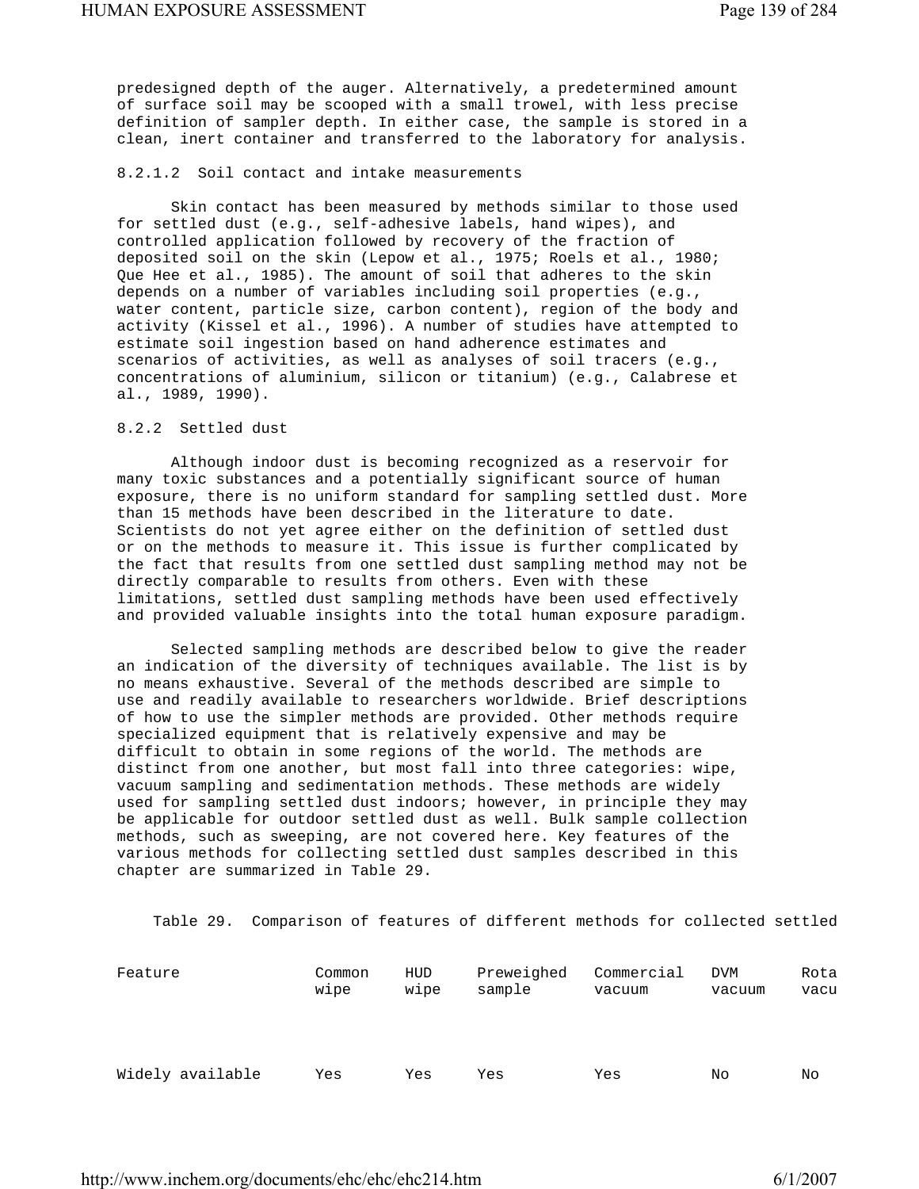predesigned depth of the auger. Alternatively, a predetermined amount of surface soil may be scooped with a small trowel, with less precise definition of sampler depth. In either case, the sample is stored in a clean, inert container and transferred to the laboratory for analysis.

#### 8.2.1.2 Soil contact and intake measurements

 Skin contact has been measured by methods similar to those used for settled dust (e.g., self-adhesive labels, hand wipes), and controlled application followed by recovery of the fraction of deposited soil on the skin (Lepow et al., 1975; Roels et al., 1980; Que Hee et al., 1985). The amount of soil that adheres to the skin depends on a number of variables including soil properties (e.g., water content, particle size, carbon content), region of the body and activity (Kissel et al., 1996). A number of studies have attempted to estimate soil ingestion based on hand adherence estimates and scenarios of activities, as well as analyses of soil tracers (e.g., concentrations of aluminium, silicon or titanium) (e.g., Calabrese et al., 1989, 1990).

### 8.2.2 Settled dust

 Although indoor dust is becoming recognized as a reservoir for many toxic substances and a potentially significant source of human exposure, there is no uniform standard for sampling settled dust. More than 15 methods have been described in the literature to date. Scientists do not yet agree either on the definition of settled dust or on the methods to measure it. This issue is further complicated by the fact that results from one settled dust sampling method may not be directly comparable to results from others. Even with these limitations, settled dust sampling methods have been used effectively and provided valuable insights into the total human exposure paradigm.

 Selected sampling methods are described below to give the reader an indication of the diversity of techniques available. The list is by no means exhaustive. Several of the methods described are simple to use and readily available to researchers worldwide. Brief descriptions of how to use the simpler methods are provided. Other methods require specialized equipment that is relatively expensive and may be difficult to obtain in some regions of the world. The methods are distinct from one another, but most fall into three categories: wipe, vacuum sampling and sedimentation methods. These methods are widely used for sampling settled dust indoors; however, in principle they may be applicable for outdoor settled dust as well. Bulk sample collection methods, such as sweeping, are not covered here. Key features of the various methods for collecting settled dust samples described in this chapter are summarized in Table 29.

Table 29. Comparison of features of different methods for collected settled

| Feature          | Common<br>wipe | HUD<br>wipe | Preweighed<br>sample | Commercial<br>vacuum | <b>DVM</b><br>vacuum | Rota<br>vacu |
|------------------|----------------|-------------|----------------------|----------------------|----------------------|--------------|
| Widely available | Yes            | Yes         | Yes                  | Yes                  | No                   | No           |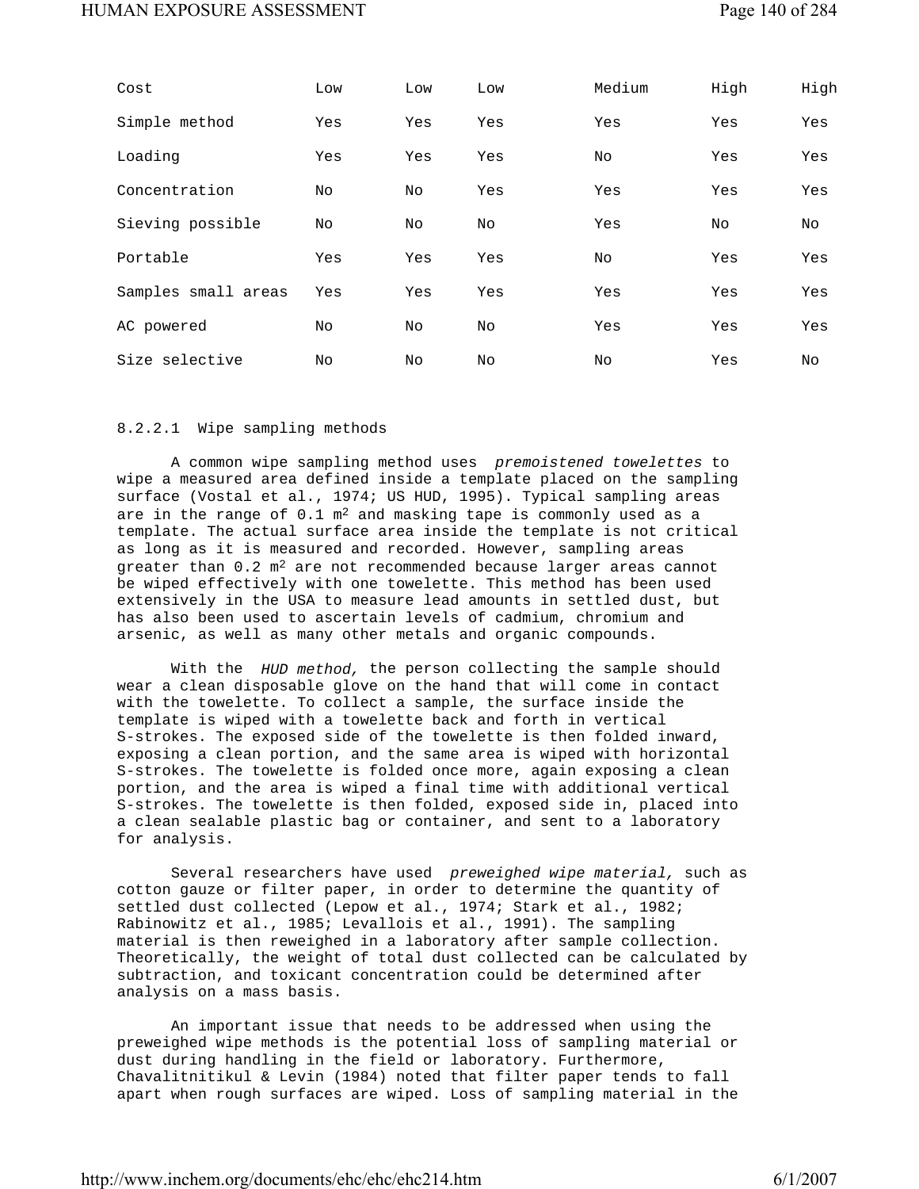| Cost                | Low | Low | Low | Medium | High | High |
|---------------------|-----|-----|-----|--------|------|------|
| Simple method       | Yes | Yes | Yes | Yes    | Yes  | Yes  |
| Loading             | Yes | Yes | Yes | No     | Yes  | Yes  |
| Concentration       | Νo  | No  | Yes | Yes    | Yes  | Yes  |
| Sieving possible    | No  | No  | No  | Yes    | No   | No   |
| Portable            | Yes | Yes | Yes | No     | Yes  | Yes  |
| Samples small areas | Yes | Yes | Yes | Yes    | Yes  | Yes  |
| AC powered          | No  | No  | No  | Yes    | Yes  | Yes  |
| Size selective      | No  | No  | No  | No     | Yes  | No   |

### 8.2.2.1 Wipe sampling methods

 A common wipe sampling method uses *premoistened towelettes* to wipe a measured area defined inside a template placed on the sampling surface (Vostal et al., 1974; US HUD, 1995). Typical sampling areas are in the range of  $0.1 \text{ m}^2$  and masking tape is commonly used as a template. The actual surface area inside the template is not critical as long as it is measured and recorded. However, sampling areas greater than  $0.2$  m<sup>2</sup> are not recommended because larger areas cannot be wiped effectively with one towelette. This method has been used extensively in the USA to measure lead amounts in settled dust, but has also been used to ascertain levels of cadmium, chromium and arsenic, as well as many other metals and organic compounds.

 With the *HUD method,* the person collecting the sample should wear a clean disposable glove on the hand that will come in contact with the towelette. To collect a sample, the surface inside the template is wiped with a towelette back and forth in vertical S-strokes. The exposed side of the towelette is then folded inward, exposing a clean portion, and the same area is wiped with horizontal S-strokes. The towelette is folded once more, again exposing a clean portion, and the area is wiped a final time with additional vertical S-strokes. The towelette is then folded, exposed side in, placed into a clean sealable plastic bag or container, and sent to a laboratory for analysis.

 Several researchers have used *preweighed wipe material,* such as cotton gauze or filter paper, in order to determine the quantity of settled dust collected (Lepow et al., 1974; Stark et al., 1982; Rabinowitz et al., 1985; Levallois et al., 1991). The sampling material is then reweighed in a laboratory after sample collection. Theoretically, the weight of total dust collected can be calculated by subtraction, and toxicant concentration could be determined after analysis on a mass basis.

 An important issue that needs to be addressed when using the preweighed wipe methods is the potential loss of sampling material or dust during handling in the field or laboratory. Furthermore, Chavalitnitikul & Levin (1984) noted that filter paper tends to fall apart when rough surfaces are wiped. Loss of sampling material in the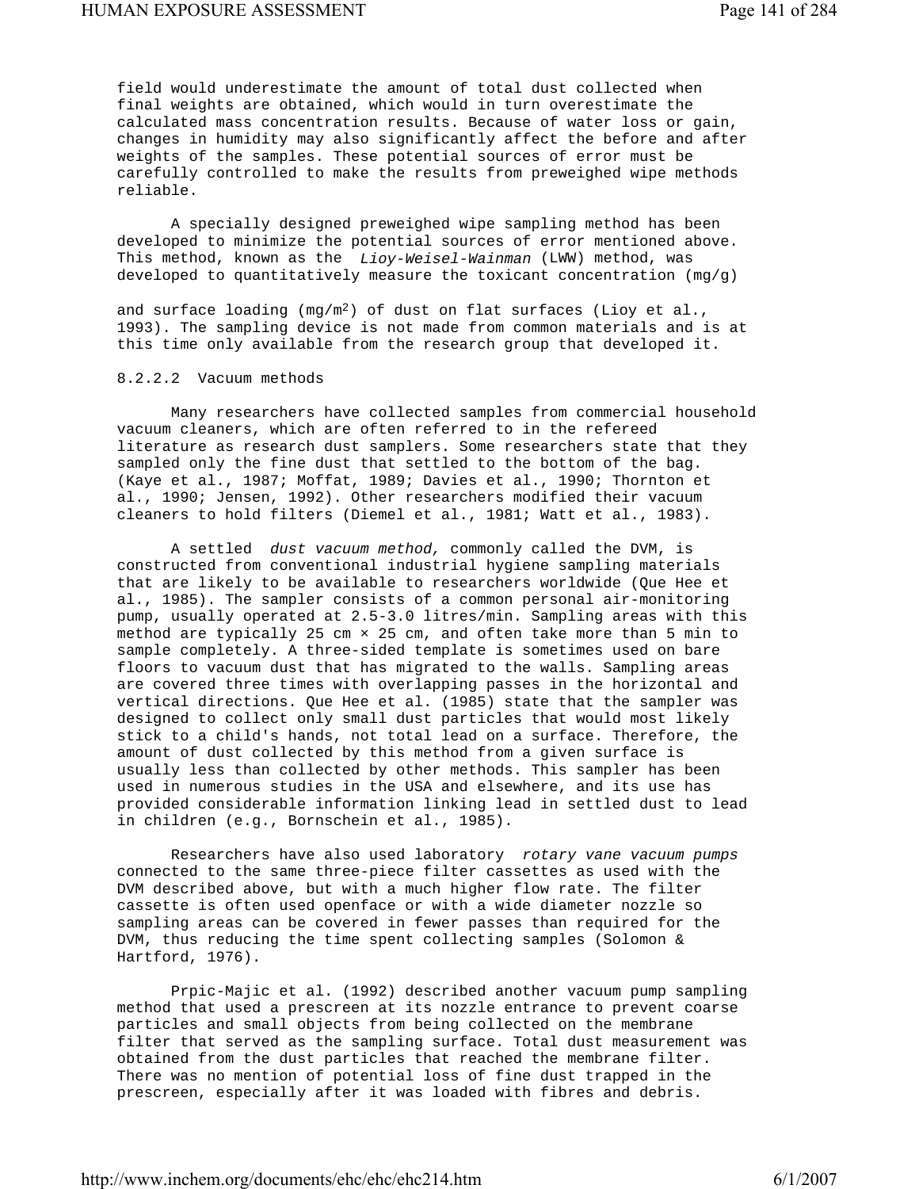field would underestimate the amount of total dust collected when final weights are obtained, which would in turn overestimate the calculated mass concentration results. Because of water loss or gain, changes in humidity may also significantly affect the before and after weights of the samples. These potential sources of error must be carefully controlled to make the results from preweighed wipe methods reliable.

 A specially designed preweighed wipe sampling method has been developed to minimize the potential sources of error mentioned above. This method, known as the *Lioy-Weisel-Wainman* (LWW) method, was developed to quantitatively measure the toxicant concentration (mg/g)

and surface loading  $(mg/m^2)$  of dust on flat surfaces (Lioy et al., 1993). The sampling device is not made from common materials and is at this time only available from the research group that developed it.

# 8.2.2.2 Vacuum methods

 Many researchers have collected samples from commercial household vacuum cleaners, which are often referred to in the refereed literature as research dust samplers. Some researchers state that they sampled only the fine dust that settled to the bottom of the bag. (Kaye et al., 1987; Moffat, 1989; Davies et al., 1990; Thornton et al., 1990; Jensen, 1992). Other researchers modified their vacuum cleaners to hold filters (Diemel et al., 1981; Watt et al., 1983).

 A settled *dust vacuum method,* commonly called the DVM, is constructed from conventional industrial hygiene sampling materials that are likely to be available to researchers worldwide (Que Hee et al., 1985). The sampler consists of a common personal air-monitoring pump, usually operated at 2.5-3.0 litres/min. Sampling areas with this method are typically 25 cm  $\times$  25 cm, and often take more than 5 min to sample completely. A three-sided template is sometimes used on bare floors to vacuum dust that has migrated to the walls. Sampling areas are covered three times with overlapping passes in the horizontal and vertical directions. Que Hee et al. (1985) state that the sampler was designed to collect only small dust particles that would most likely stick to a child's hands, not total lead on a surface. Therefore, the amount of dust collected by this method from a given surface is usually less than collected by other methods. This sampler has been used in numerous studies in the USA and elsewhere, and its use has provided considerable information linking lead in settled dust to lead in children (e.g., Bornschein et al., 1985).

 Researchers have also used laboratory *rotary vane vacuum pumps*  connected to the same three-piece filter cassettes as used with the DVM described above, but with a much higher flow rate. The filter cassette is often used openface or with a wide diameter nozzle so sampling areas can be covered in fewer passes than required for the DVM, thus reducing the time spent collecting samples (Solomon & Hartford, 1976).

 Prpic-Majic et al. (1992) described another vacuum pump sampling method that used a prescreen at its nozzle entrance to prevent coarse particles and small objects from being collected on the membrane filter that served as the sampling surface. Total dust measurement was obtained from the dust particles that reached the membrane filter. There was no mention of potential loss of fine dust trapped in the prescreen, especially after it was loaded with fibres and debris.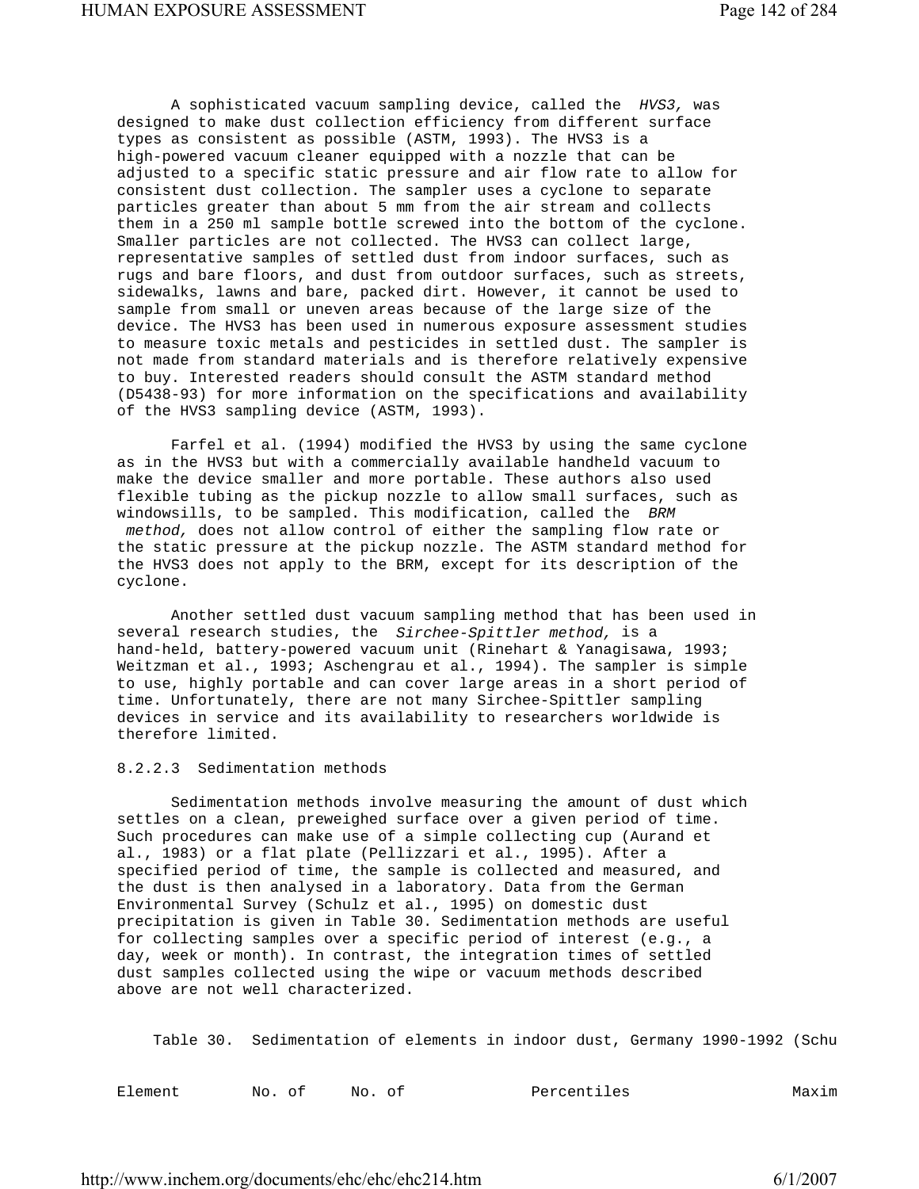A sophisticated vacuum sampling device, called the *HVS3,* was designed to make dust collection efficiency from different surface types as consistent as possible (ASTM, 1993). The HVS3 is a high-powered vacuum cleaner equipped with a nozzle that can be adjusted to a specific static pressure and air flow rate to allow for consistent dust collection. The sampler uses a cyclone to separate particles greater than about 5 mm from the air stream and collects them in a 250 ml sample bottle screwed into the bottom of the cyclone. Smaller particles are not collected. The HVS3 can collect large, representative samples of settled dust from indoor surfaces, such as rugs and bare floors, and dust from outdoor surfaces, such as streets, sidewalks, lawns and bare, packed dirt. However, it cannot be used to sample from small or uneven areas because of the large size of the device. The HVS3 has been used in numerous exposure assessment studies to measure toxic metals and pesticides in settled dust. The sampler is not made from standard materials and is therefore relatively expensive to buy. Interested readers should consult the ASTM standard method (D5438-93) for more information on the specifications and availability of the HVS3 sampling device (ASTM, 1993).

 Farfel et al. (1994) modified the HVS3 by using the same cyclone as in the HVS3 but with a commercially available handheld vacuum to make the device smaller and more portable. These authors also used flexible tubing as the pickup nozzle to allow small surfaces, such as windowsills, to be sampled. This modification, called the *BRM method,* does not allow control of either the sampling flow rate or the static pressure at the pickup nozzle. The ASTM standard method for the HVS3 does not apply to the BRM, except for its description of the cyclone.

 Another settled dust vacuum sampling method that has been used in several research studies, the *Sirchee-Spittler method,* is a hand-held, battery-powered vacuum unit (Rinehart & Yanagisawa, 1993; Weitzman et al., 1993; Aschengrau et al., 1994). The sampler is simple to use, highly portable and can cover large areas in a short period of time. Unfortunately, there are not many Sirchee-Spittler sampling devices in service and its availability to researchers worldwide is therefore limited.

### 8.2.2.3 Sedimentation methods

 Sedimentation methods involve measuring the amount of dust which settles on a clean, preweighed surface over a given period of time. Such procedures can make use of a simple collecting cup (Aurand et al., 1983) or a flat plate (Pellizzari et al., 1995). After a specified period of time, the sample is collected and measured, and the dust is then analysed in a laboratory. Data from the German Environmental Survey (Schulz et al., 1995) on domestic dust precipitation is given in Table 30. Sedimentation methods are useful for collecting samples over a specific period of interest (e.g., a day, week or month). In contrast, the integration times of settled dust samples collected using the wipe or vacuum methods described above are not well characterized.

Table 30. Sedimentation of elements in indoor dust, Germany 1990-1992 (Schu

Element No. of No. of Percentiles Maxim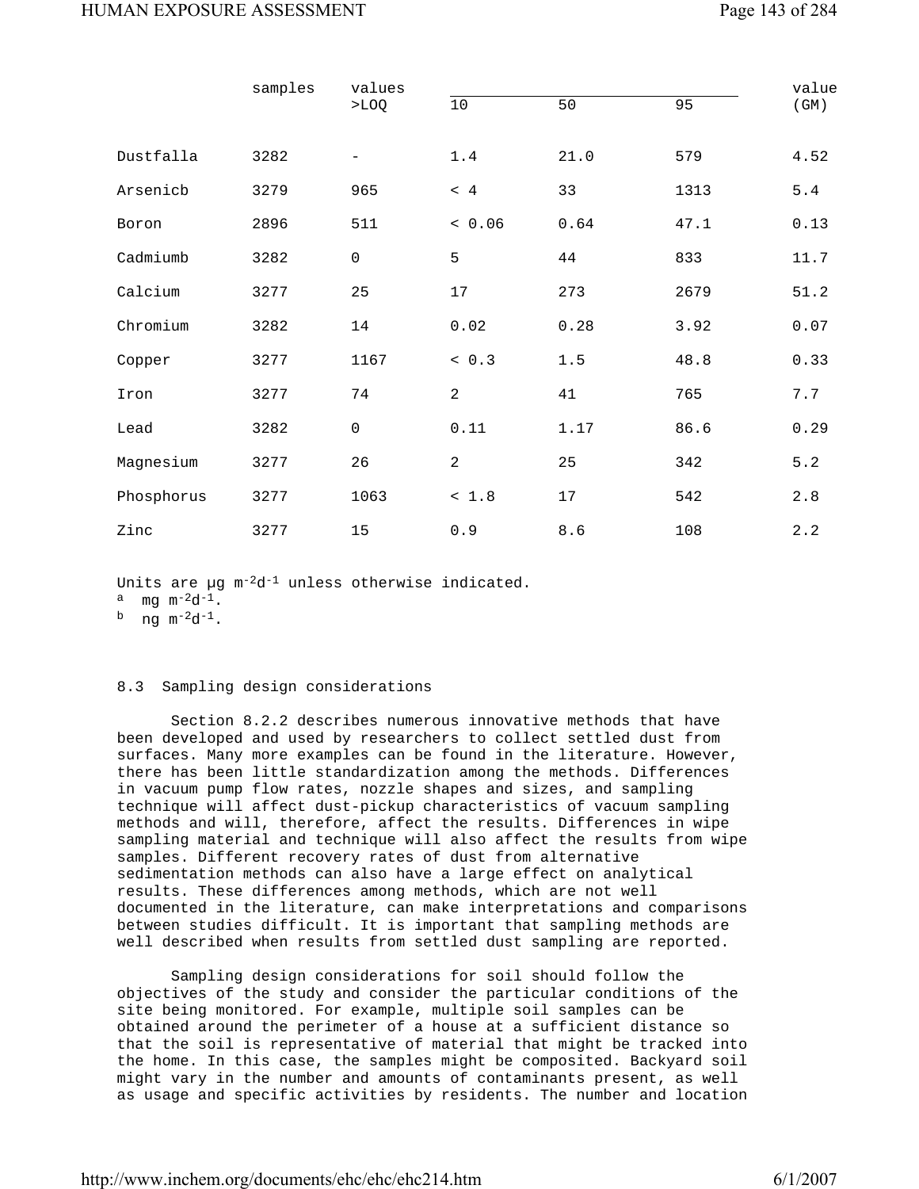|            | samples | values                   |                | value |      |      |
|------------|---------|--------------------------|----------------|-------|------|------|
|            |         | >LOQ                     | 10             | 50    | 95   | (GM) |
| Dustfalla  | 3282    | $\overline{\phantom{0}}$ | 1.4            | 21.0  | 579  | 4.52 |
| Arsenicb   | 3279    | 965                      | < 4            | 33    | 1313 | 5.4  |
| Boron      | 2896    | 511                      | 0.06           | 0.64  | 47.1 | 0.13 |
| Cadmiumb   | 3282    | $\mathsf 0$              | 5              | 44    | 833  | 11.7 |
| Calcium    | 3277    | 25                       | 17             | 273   | 2679 | 51.2 |
| Chromium   | 3282    | 14                       | 0.02           | 0.28  | 3.92 | 0.07 |
| Copper     | 3277    | 1167                     | < 0.3          | 1.5   | 48.8 | 0.33 |
| Iron       | 3277    | 74                       | $\overline{2}$ | 41    | 765  | 7.7  |
| Lead       | 3282    | $\mathsf{O}\xspace$      | 0.11           | 1.17  | 86.6 | 0.29 |
| Magnesium  | 3277    | 26                       | $\overline{a}$ | 25    | 342  | 5.2  |
| Phosphorus | 3277    | 1063                     | < 1.8          | 17    | 542  | 2.8  |
| Zinc       | 3277    | 15                       | 0.9            | 8.6   | 108  | 2.2  |

Units are  $\mu$ g m<sup>-2</sup>d<sup>-1</sup> unless otherwise indicated.

a mg  $m^{-2}d^{-1}$ .

 $^{b}$  ng m<sup>-2</sup>d<sup>-1</sup>.

# 8.3 Sampling design considerations

 Section 8.2.2 describes numerous innovative methods that have been developed and used by researchers to collect settled dust from surfaces. Many more examples can be found in the literature. However, there has been little standardization among the methods. Differences in vacuum pump flow rates, nozzle shapes and sizes, and sampling technique will affect dust-pickup characteristics of vacuum sampling methods and will, therefore, affect the results. Differences in wipe sampling material and technique will also affect the results from wipe samples. Different recovery rates of dust from alternative sedimentation methods can also have a large effect on analytical results. These differences among methods, which are not well documented in the literature, can make interpretations and comparisons between studies difficult. It is important that sampling methods are well described when results from settled dust sampling are reported.

 Sampling design considerations for soil should follow the objectives of the study and consider the particular conditions of the site being monitored. For example, multiple soil samples can be obtained around the perimeter of a house at a sufficient distance so that the soil is representative of material that might be tracked into the home. In this case, the samples might be composited. Backyard soil might vary in the number and amounts of contaminants present, as well as usage and specific activities by residents. The number and location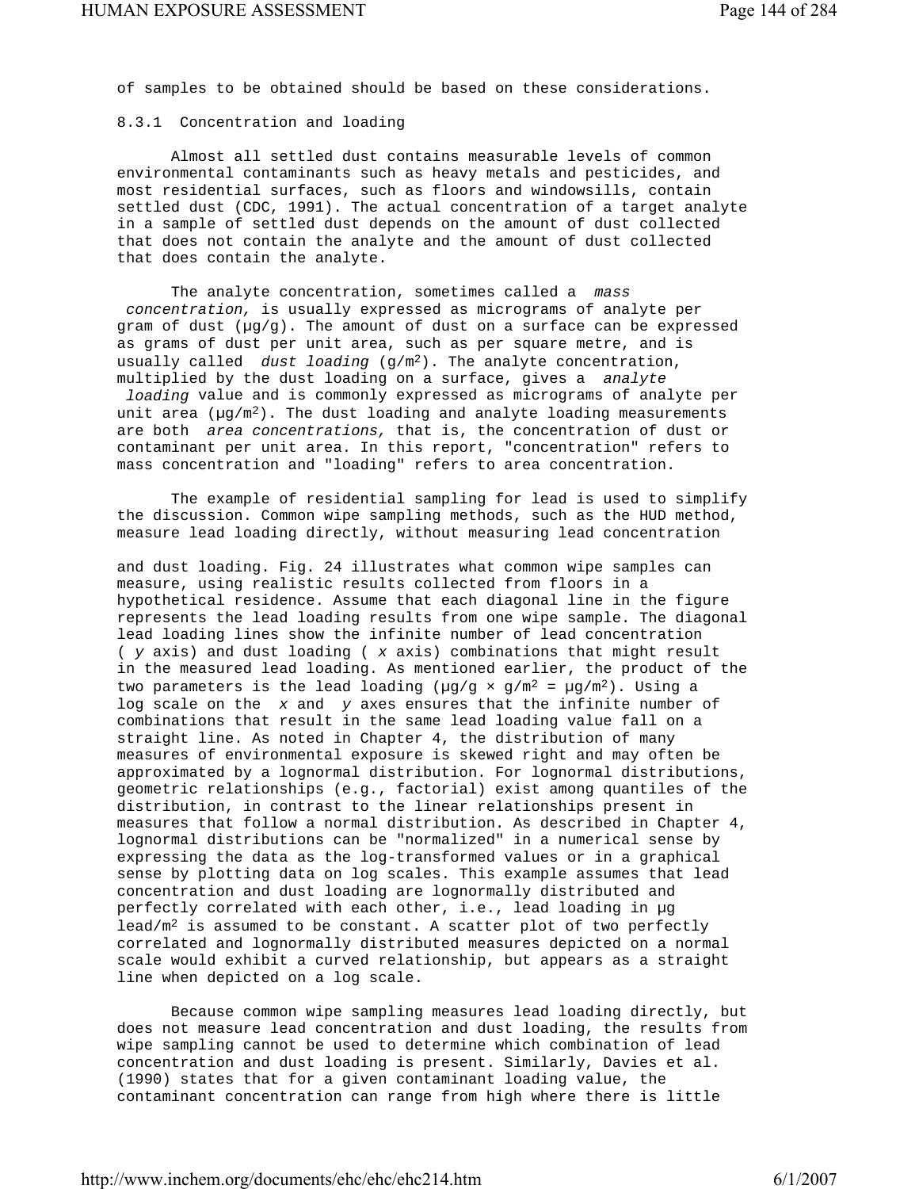of samples to be obtained should be based on these considerations.

# 8.3.1 Concentration and loading

 Almost all settled dust contains measurable levels of common environmental contaminants such as heavy metals and pesticides, and most residential surfaces, such as floors and windowsills, contain settled dust (CDC, 1991). The actual concentration of a target analyte in a sample of settled dust depends on the amount of dust collected that does not contain the analyte and the amount of dust collected that does contain the analyte.

 The analyte concentration, sometimes called a *mass concentration,* is usually expressed as micrograms of analyte per gram of dust  $(\mu g/g)$ . The amount of dust on a surface can be expressed as grams of dust per unit area, such as per square metre, and is usually called *dust loading* (g/m2). The analyte concentration, multiplied by the dust loading on a surface, gives a *analyte loading* value and is commonly expressed as micrograms of analyte per unit area  $(\mu g/m^2)$ . The dust loading and analyte loading measurements are both *area concentrations,* that is, the concentration of dust or contaminant per unit area. In this report, "concentration" refers to mass concentration and "loading" refers to area concentration.

 The example of residential sampling for lead is used to simplify the discussion. Common wipe sampling methods, such as the HUD method, measure lead loading directly, without measuring lead concentration

 and dust loading. Fig. 24 illustrates what common wipe samples can measure, using realistic results collected from floors in a hypothetical residence. Assume that each diagonal line in the figure represents the lead loading results from one wipe sample. The diagonal lead loading lines show the infinite number of lead concentration ( *y* axis) and dust loading ( *x* axis) combinations that might result in the measured lead loading. As mentioned earlier, the product of the two parameters is the lead loading ( $\mu$ g/g × g/m<sup>2</sup> =  $\mu$ g/m<sup>2</sup>). Using a log scale on the *x* and *y* axes ensures that the infinite number of combinations that result in the same lead loading value fall on a straight line. As noted in Chapter 4, the distribution of many measures of environmental exposure is skewed right and may often be approximated by a lognormal distribution. For lognormal distributions, geometric relationships (e.g., factorial) exist among quantiles of the distribution, in contrast to the linear relationships present in measures that follow a normal distribution. As described in Chapter 4, lognormal distributions can be "normalized" in a numerical sense by expressing the data as the log-transformed values or in a graphical sense by plotting data on log scales. This example assumes that lead concentration and dust loading are lognormally distributed and perfectly correlated with each other, i.e., lead loading in µg  $lead/m^2$  is assumed to be constant. A scatter plot of two perfectly correlated and lognormally distributed measures depicted on a normal scale would exhibit a curved relationship, but appears as a straight line when depicted on a log scale.

 Because common wipe sampling measures lead loading directly, but does not measure lead concentration and dust loading, the results from wipe sampling cannot be used to determine which combination of lead concentration and dust loading is present. Similarly, Davies et al. (1990) states that for a given contaminant loading value, the contaminant concentration can range from high where there is little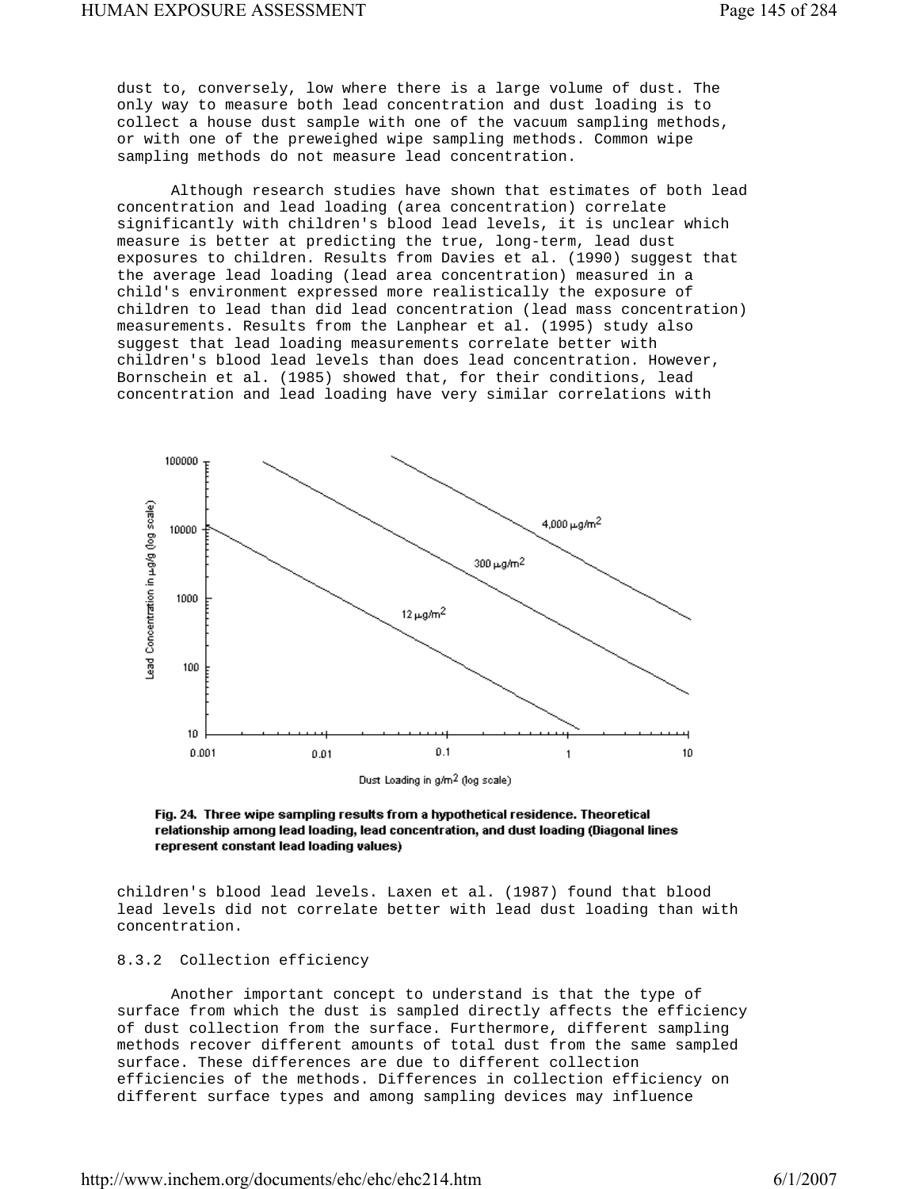dust to, conversely, low where there is a large volume of dust. The only way to measure both lead concentration and dust loading is to collect a house dust sample with one of the vacuum sampling methods, or with one of the preweighed wipe sampling methods. Common wipe sampling methods do not measure lead concentration.

 Although research studies have shown that estimates of both lead concentration and lead loading (area concentration) correlate significantly with children's blood lead levels, it is unclear which measure is better at predicting the true, long-term, lead dust exposures to children. Results from Davies et al. (1990) suggest that the average lead loading (lead area concentration) measured in a child's environment expressed more realistically the exposure of children to lead than did lead concentration (lead mass concentration) measurements. Results from the Lanphear et al. (1995) study also suggest that lead loading measurements correlate better with children's blood lead levels than does lead concentration. However, Bornschein et al. (1985) showed that, for their conditions, lead concentration and lead loading have very similar correlations with





 children's blood lead levels. Laxen et al. (1987) found that blood lead levels did not correlate better with lead dust loading than with concentration.

### 8.3.2 Collection efficiency

 Another important concept to understand is that the type of surface from which the dust is sampled directly affects the efficiency of dust collection from the surface. Furthermore, different sampling methods recover different amounts of total dust from the same sampled surface. These differences are due to different collection efficiencies of the methods. Differences in collection efficiency on different surface types and among sampling devices may influence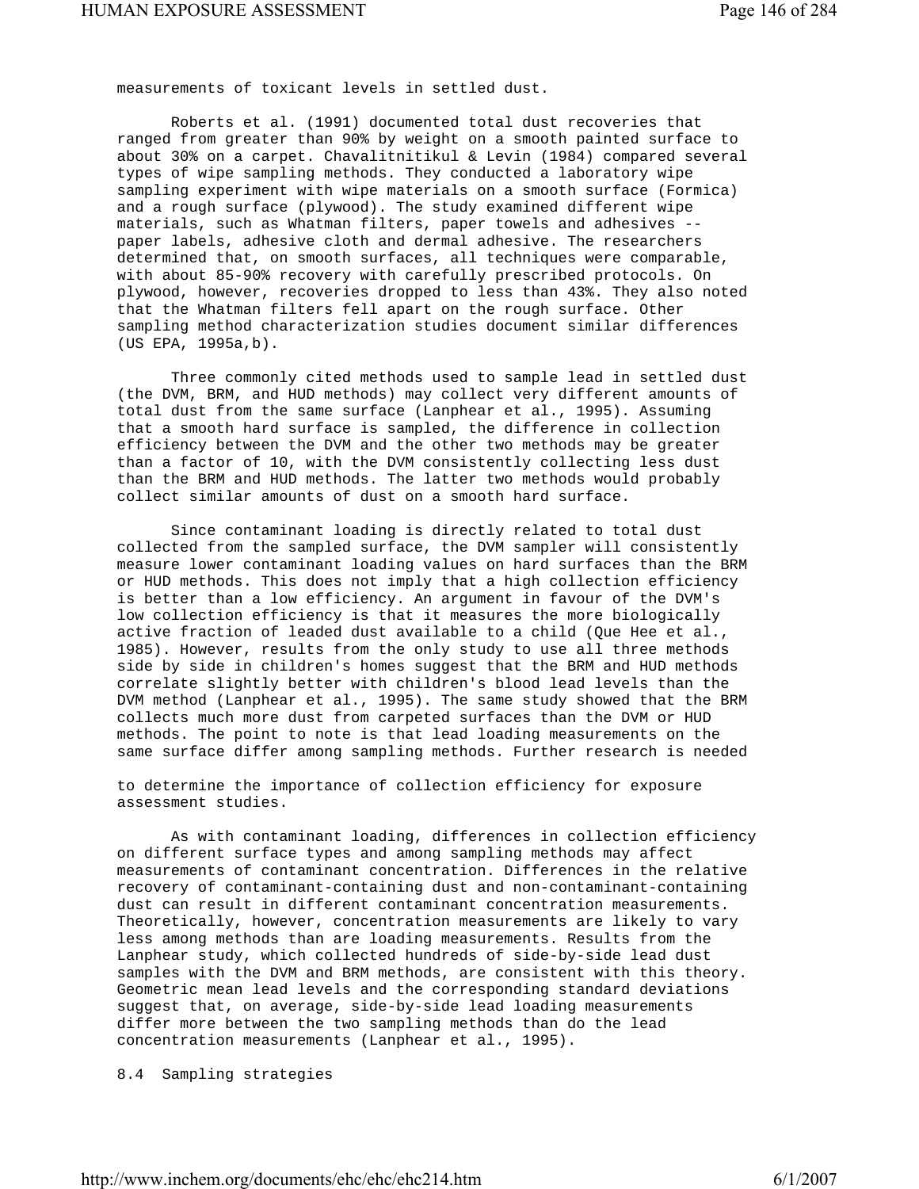measurements of toxicant levels in settled dust.

 Roberts et al. (1991) documented total dust recoveries that ranged from greater than 90% by weight on a smooth painted surface to about 30% on a carpet. Chavalitnitikul & Levin (1984) compared several types of wipe sampling methods. They conducted a laboratory wipe sampling experiment with wipe materials on a smooth surface (Formica) and a rough surface (plywood). The study examined different wipe materials, such as Whatman filters, paper towels and adhesives - paper labels, adhesive cloth and dermal adhesive. The researchers determined that, on smooth surfaces, all techniques were comparable, with about 85-90% recovery with carefully prescribed protocols. On plywood, however, recoveries dropped to less than 43%. They also noted that the Whatman filters fell apart on the rough surface. Other sampling method characterization studies document similar differences (US EPA, 1995a,b).

 Three commonly cited methods used to sample lead in settled dust (the DVM, BRM, and HUD methods) may collect very different amounts of total dust from the same surface (Lanphear et al., 1995). Assuming that a smooth hard surface is sampled, the difference in collection efficiency between the DVM and the other two methods may be greater than a factor of 10, with the DVM consistently collecting less dust than the BRM and HUD methods. The latter two methods would probably collect similar amounts of dust on a smooth hard surface.

 Since contaminant loading is directly related to total dust collected from the sampled surface, the DVM sampler will consistently measure lower contaminant loading values on hard surfaces than the BRM or HUD methods. This does not imply that a high collection efficiency is better than a low efficiency. An argument in favour of the DVM's low collection efficiency is that it measures the more biologically active fraction of leaded dust available to a child (Que Hee et al., 1985). However, results from the only study to use all three methods side by side in children's homes suggest that the BRM and HUD methods correlate slightly better with children's blood lead levels than the DVM method (Lanphear et al., 1995). The same study showed that the BRM collects much more dust from carpeted surfaces than the DVM or HUD methods. The point to note is that lead loading measurements on the same surface differ among sampling methods. Further research is needed

 to determine the importance of collection efficiency for exposure assessment studies.

 As with contaminant loading, differences in collection efficiency on different surface types and among sampling methods may affect measurements of contaminant concentration. Differences in the relative recovery of contaminant-containing dust and non-contaminant-containing dust can result in different contaminant concentration measurements. Theoretically, however, concentration measurements are likely to vary less among methods than are loading measurements. Results from the Lanphear study, which collected hundreds of side-by-side lead dust samples with the DVM and BRM methods, are consistent with this theory. Geometric mean lead levels and the corresponding standard deviations suggest that, on average, side-by-side lead loading measurements differ more between the two sampling methods than do the lead concentration measurements (Lanphear et al., 1995).

8.4 Sampling strategies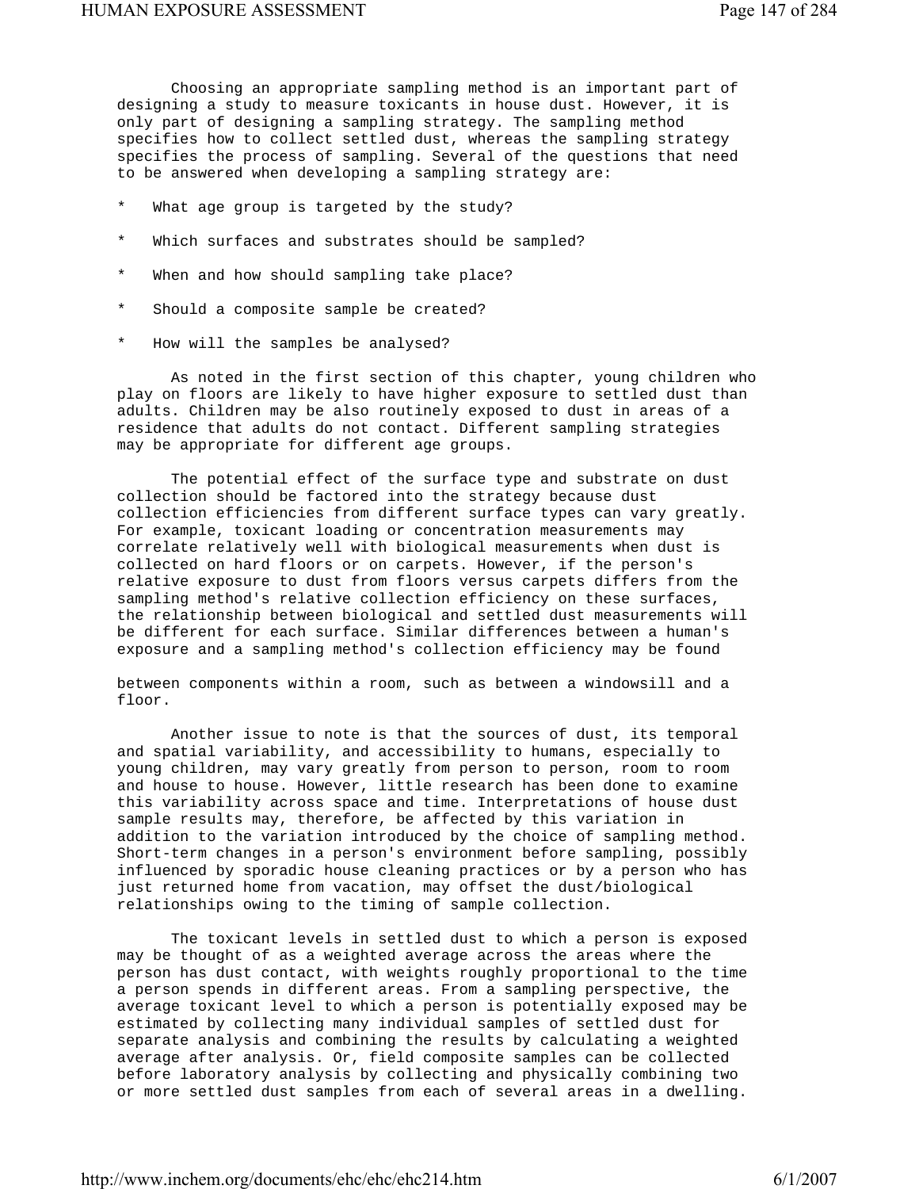Choosing an appropriate sampling method is an important part of designing a study to measure toxicants in house dust. However, it is only part of designing a sampling strategy. The sampling method specifies how to collect settled dust, whereas the sampling strategy specifies the process of sampling. Several of the questions that need to be answered when developing a sampling strategy are:

- What age group is targeted by the study?
- Which surfaces and substrates should be sampled?
- When and how should sampling take place?
- \* Should a composite sample be created?
- \* How will the samples be analysed?

 As noted in the first section of this chapter, young children who play on floors are likely to have higher exposure to settled dust than adults. Children may be also routinely exposed to dust in areas of a residence that adults do not contact. Different sampling strategies may be appropriate for different age groups.

 The potential effect of the surface type and substrate on dust collection should be factored into the strategy because dust collection efficiencies from different surface types can vary greatly. For example, toxicant loading or concentration measurements may correlate relatively well with biological measurements when dust is collected on hard floors or on carpets. However, if the person's relative exposure to dust from floors versus carpets differs from the sampling method's relative collection efficiency on these surfaces, the relationship between biological and settled dust measurements will be different for each surface. Similar differences between a human's exposure and a sampling method's collection efficiency may be found

 between components within a room, such as between a windowsill and a floor.

 Another issue to note is that the sources of dust, its temporal and spatial variability, and accessibility to humans, especially to young children, may vary greatly from person to person, room to room and house to house. However, little research has been done to examine this variability across space and time. Interpretations of house dust sample results may, therefore, be affected by this variation in addition to the variation introduced by the choice of sampling method. Short-term changes in a person's environment before sampling, possibly influenced by sporadic house cleaning practices or by a person who has just returned home from vacation, may offset the dust/biological relationships owing to the timing of sample collection.

 The toxicant levels in settled dust to which a person is exposed may be thought of as a weighted average across the areas where the person has dust contact, with weights roughly proportional to the time a person spends in different areas. From a sampling perspective, the average toxicant level to which a person is potentially exposed may be estimated by collecting many individual samples of settled dust for separate analysis and combining the results by calculating a weighted average after analysis. Or, field composite samples can be collected before laboratory analysis by collecting and physically combining two or more settled dust samples from each of several areas in a dwelling.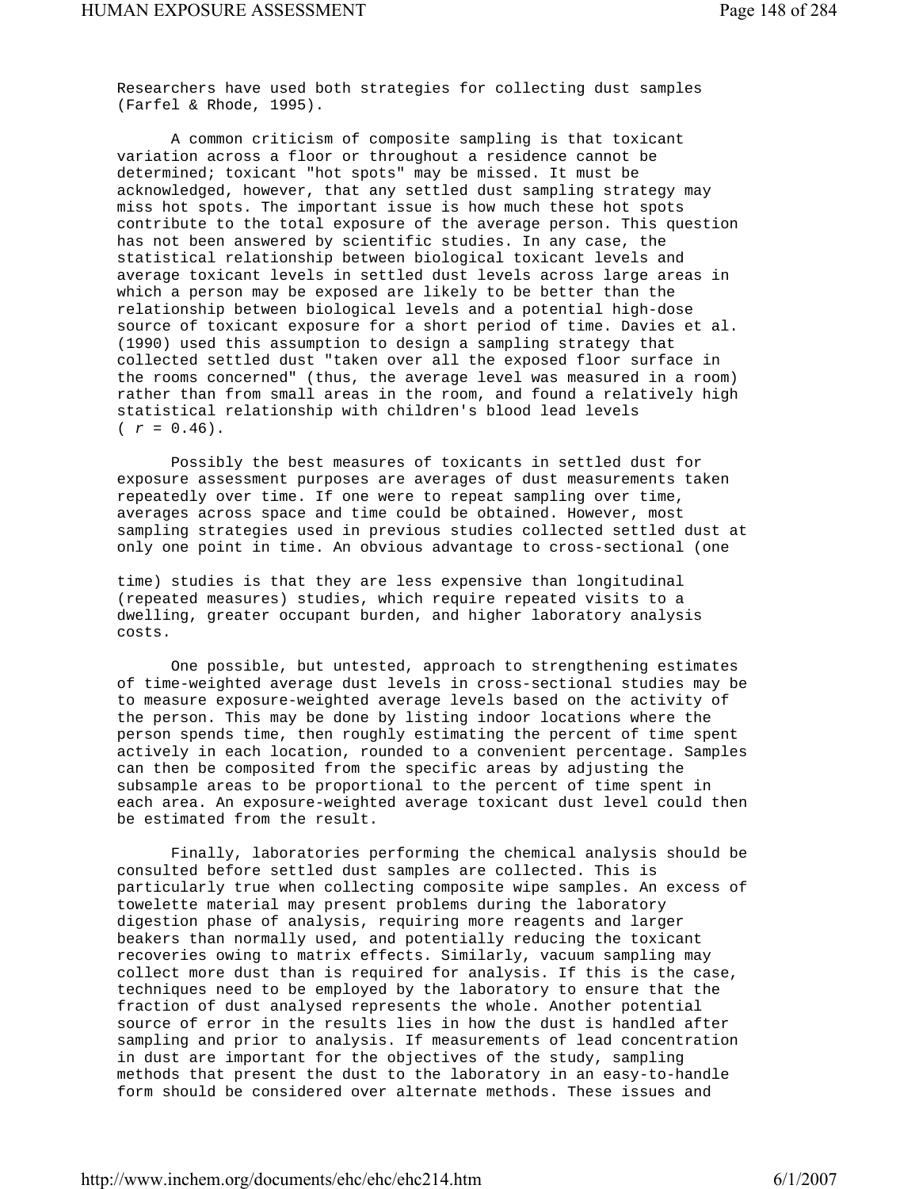Researchers have used both strategies for collecting dust samples (Farfel & Rhode, 1995).

 A common criticism of composite sampling is that toxicant variation across a floor or throughout a residence cannot be determined; toxicant "hot spots" may be missed. It must be acknowledged, however, that any settled dust sampling strategy may miss hot spots. The important issue is how much these hot spots contribute to the total exposure of the average person. This question has not been answered by scientific studies. In any case, the statistical relationship between biological toxicant levels and average toxicant levels in settled dust levels across large areas in which a person may be exposed are likely to be better than the relationship between biological levels and a potential high-dose source of toxicant exposure for a short period of time. Davies et al. (1990) used this assumption to design a sampling strategy that collected settled dust "taken over all the exposed floor surface in the rooms concerned" (thus, the average level was measured in a room) rather than from small areas in the room, and found a relatively high statistical relationship with children's blood lead levels  $(r = 0.46)$ .

 Possibly the best measures of toxicants in settled dust for exposure assessment purposes are averages of dust measurements taken repeatedly over time. If one were to repeat sampling over time, averages across space and time could be obtained. However, most sampling strategies used in previous studies collected settled dust at only one point in time. An obvious advantage to cross-sectional (one

 time) studies is that they are less expensive than longitudinal (repeated measures) studies, which require repeated visits to a dwelling, greater occupant burden, and higher laboratory analysis costs.

 One possible, but untested, approach to strengthening estimates of time-weighted average dust levels in cross-sectional studies may be to measure exposure-weighted average levels based on the activity of the person. This may be done by listing indoor locations where the person spends time, then roughly estimating the percent of time spent actively in each location, rounded to a convenient percentage. Samples can then be composited from the specific areas by adjusting the subsample areas to be proportional to the percent of time spent in each area. An exposure-weighted average toxicant dust level could then be estimated from the result.

 Finally, laboratories performing the chemical analysis should be consulted before settled dust samples are collected. This is particularly true when collecting composite wipe samples. An excess of towelette material may present problems during the laboratory digestion phase of analysis, requiring more reagents and larger beakers than normally used, and potentially reducing the toxicant recoveries owing to matrix effects. Similarly, vacuum sampling may collect more dust than is required for analysis. If this is the case, techniques need to be employed by the laboratory to ensure that the fraction of dust analysed represents the whole. Another potential source of error in the results lies in how the dust is handled after sampling and prior to analysis. If measurements of lead concentration in dust are important for the objectives of the study, sampling methods that present the dust to the laboratory in an easy-to-handle form should be considered over alternate methods. These issues and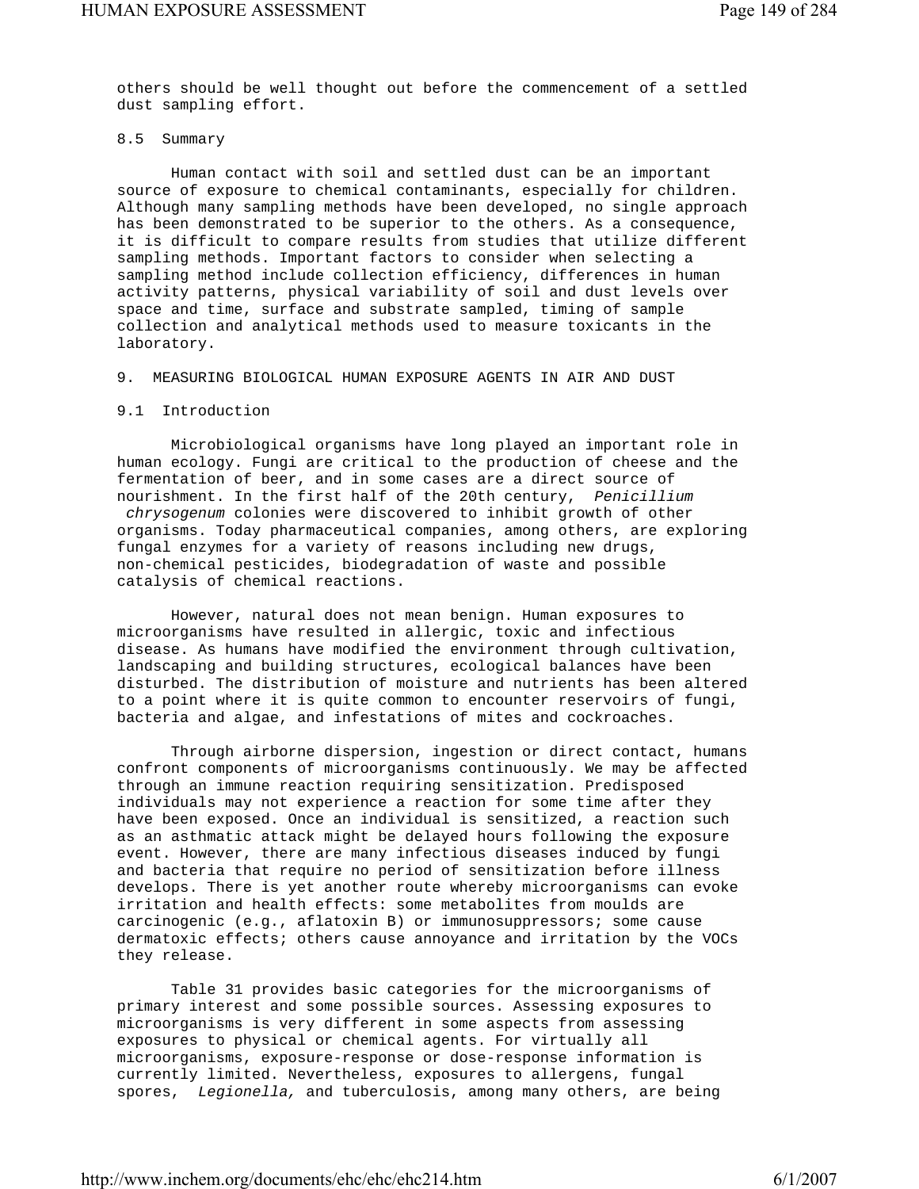others should be well thought out before the commencement of a settled dust sampling effort.

# 8.5 Summary

 Human contact with soil and settled dust can be an important source of exposure to chemical contaminants, especially for children. Although many sampling methods have been developed, no single approach has been demonstrated to be superior to the others. As a consequence, it is difficult to compare results from studies that utilize different sampling methods. Important factors to consider when selecting a sampling method include collection efficiency, differences in human activity patterns, physical variability of soil and dust levels over space and time, surface and substrate sampled, timing of sample collection and analytical methods used to measure toxicants in the laboratory.

#### 9. MEASURING BIOLOGICAL HUMAN EXPOSURE AGENTS IN AIR AND DUST

### 9.1 Introduction

 Microbiological organisms have long played an important role in human ecology. Fungi are critical to the production of cheese and the fermentation of beer, and in some cases are a direct source of nourishment. In the first half of the 20th century, *Penicillium chrysogenum* colonies were discovered to inhibit growth of other organisms. Today pharmaceutical companies, among others, are exploring fungal enzymes for a variety of reasons including new drugs, non-chemical pesticides, biodegradation of waste and possible catalysis of chemical reactions.

 However, natural does not mean benign. Human exposures to microorganisms have resulted in allergic, toxic and infectious disease. As humans have modified the environment through cultivation, landscaping and building structures, ecological balances have been disturbed. The distribution of moisture and nutrients has been altered to a point where it is quite common to encounter reservoirs of fungi, bacteria and algae, and infestations of mites and cockroaches.

 Through airborne dispersion, ingestion or direct contact, humans confront components of microorganisms continuously. We may be affected through an immune reaction requiring sensitization. Predisposed individuals may not experience a reaction for some time after they have been exposed. Once an individual is sensitized, a reaction such as an asthmatic attack might be delayed hours following the exposure event. However, there are many infectious diseases induced by fungi and bacteria that require no period of sensitization before illness develops. There is yet another route whereby microorganisms can evoke irritation and health effects: some metabolites from moulds are carcinogenic (e.g., aflatoxin B) or immunosuppressors; some cause dermatoxic effects; others cause annoyance and irritation by the VOCs they release.

 Table 31 provides basic categories for the microorganisms of primary interest and some possible sources. Assessing exposures to microorganisms is very different in some aspects from assessing exposures to physical or chemical agents. For virtually all microorganisms, exposure-response or dose-response information is currently limited. Nevertheless, exposures to allergens, fungal spores, *Legionella,* and tuberculosis, among many others, are being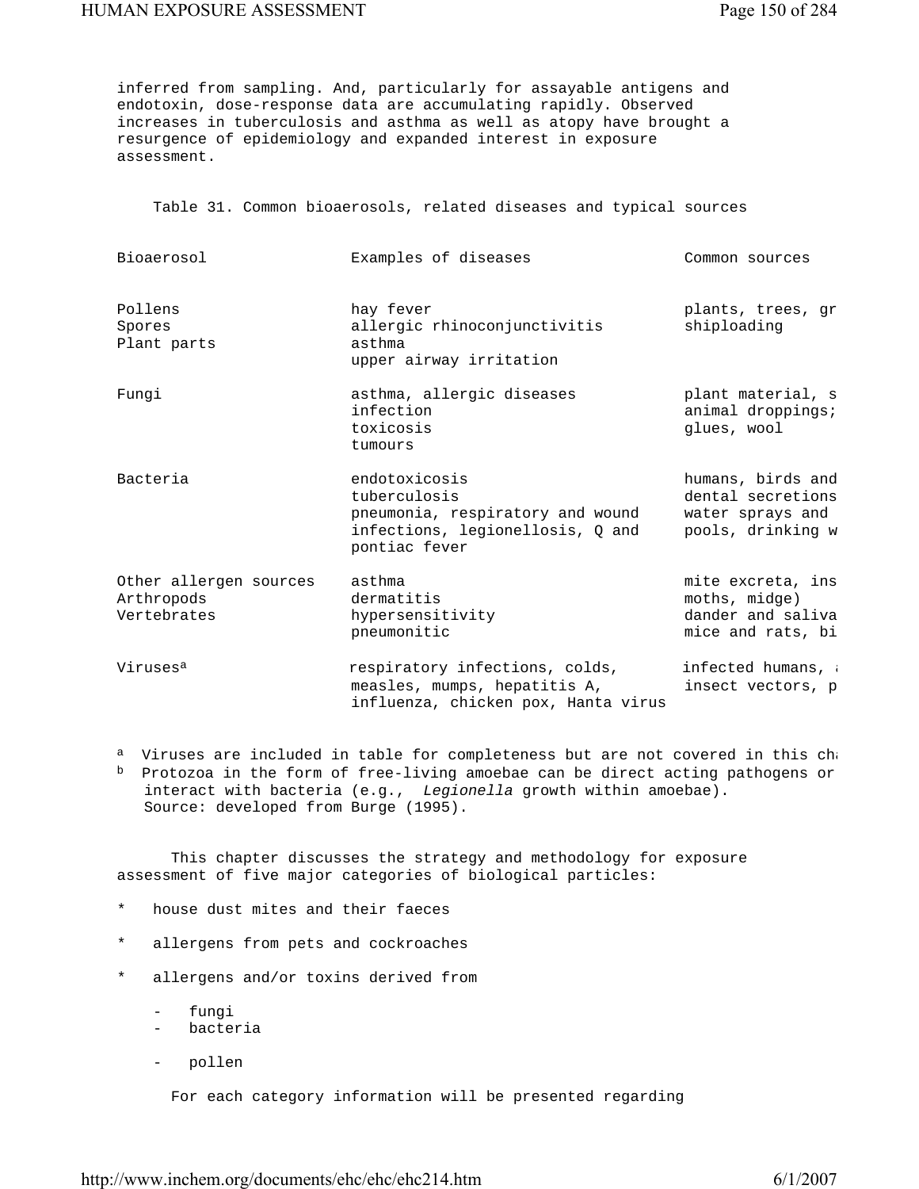inferred from sampling. And, particularly for assayable antigens and endotoxin, dose-response data are accumulating rapidly. Observed increases in tuberculosis and asthma as well as atopy have brought a resurgence of epidemiology and expanded interest in exposure assessment.

Table 31. Common bioaerosols, related diseases and typical sources

| Bioaerosol                                          | Examples of diseases                                                                                                   | Common sources                                                                  |
|-----------------------------------------------------|------------------------------------------------------------------------------------------------------------------------|---------------------------------------------------------------------------------|
| Pollens<br>Spores<br>Plant parts                    | hay fever<br>allergic rhinoconjunctivitis<br>asthma<br>upper airway irritation                                         | plants, trees, gr<br>shiploading                                                |
| Fungi                                               | asthma, allergic diseases<br>infection<br>toxicosis<br>tumours                                                         | plant material, s<br>animal droppings;<br>glues, wool                           |
| Bacteria                                            | endotoxicosis<br>tuberculosis<br>pneumonia, respiratory and wound<br>infections, legionellosis, Q and<br>pontiac fever | humans, birds and<br>dental secretions<br>water sprays and<br>pools, drinking w |
| Other allergen sources<br>Arthropods<br>Vertebrates | asthma<br>dermatitis<br>hypersensitivity<br>pneumonitic                                                                | mite excreta, ins<br>moths, midge)<br>dander and saliva<br>mice and rats, bi    |
| Viruses <sup>a</sup>                                | respiratory infections, colds,<br>measles, mumps, hepatitis A,<br>influenza, chicken pox, Hanta virus                  | infected humans, a<br>insect vectors, p                                         |

a Viruses are included in table for completeness but are not covered in this cha b Protozoa in the form of free-living amoebae can be direct acting pathogens or interact with bacteria (e.g., *Legionella* growth within amoebae). Source: developed from Burge (1995).

 This chapter discusses the strategy and methodology for exposure assessment of five major categories of biological particles:

- house dust mites and their faeces
- \* allergens from pets and cockroaches
- \* allergens and/or toxins derived from
	- fungi
	- bacteria
	- pollen

For each category information will be presented regarding

http://www.inchem.org/documents/ehc/ehc/ehc214.htm 6/1/2007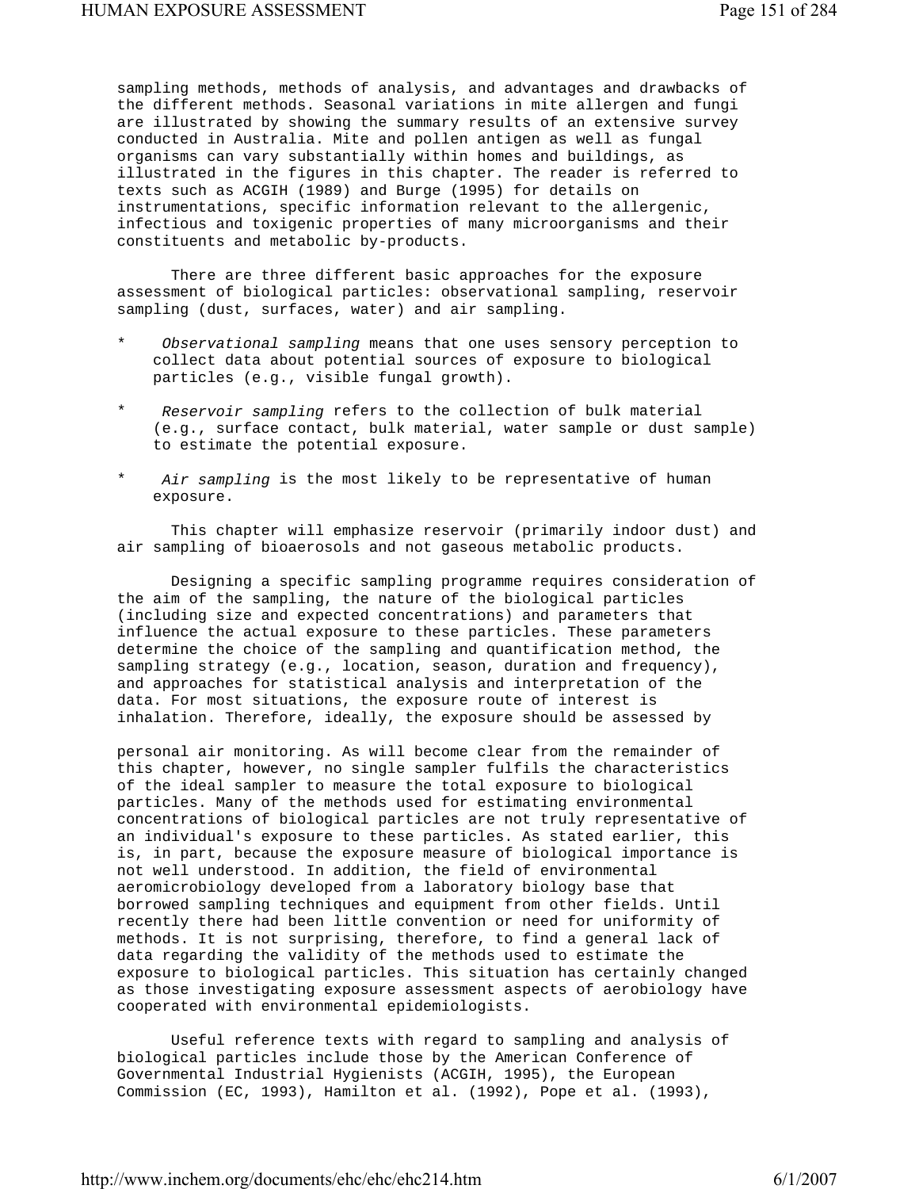sampling methods, methods of analysis, and advantages and drawbacks of the different methods. Seasonal variations in mite allergen and fungi are illustrated by showing the summary results of an extensive survey conducted in Australia. Mite and pollen antigen as well as fungal organisms can vary substantially within homes and buildings, as illustrated in the figures in this chapter. The reader is referred to texts such as ACGIH (1989) and Burge (1995) for details on instrumentations, specific information relevant to the allergenic, infectious and toxigenic properties of many microorganisms and their constituents and metabolic by-products.

 There are three different basic approaches for the exposure assessment of biological particles: observational sampling, reservoir sampling (dust, surfaces, water) and air sampling.

- \* *Observational sampling* means that one uses sensory perception to collect data about potential sources of exposure to biological particles (e.g., visible fungal growth).
- \* *Reservoir sampling* refers to the collection of bulk material (e.g., surface contact, bulk material, water sample or dust sample) to estimate the potential exposure.
- Air sampling is the most likely to be representative of human exposure.

 This chapter will emphasize reservoir (primarily indoor dust) and air sampling of bioaerosols and not gaseous metabolic products.

 Designing a specific sampling programme requires consideration of the aim of the sampling, the nature of the biological particles (including size and expected concentrations) and parameters that influence the actual exposure to these particles. These parameters determine the choice of the sampling and quantification method, the sampling strategy (e.g., location, season, duration and frequency), and approaches for statistical analysis and interpretation of the data. For most situations, the exposure route of interest is inhalation. Therefore, ideally, the exposure should be assessed by

 personal air monitoring. As will become clear from the remainder of this chapter, however, no single sampler fulfils the characteristics of the ideal sampler to measure the total exposure to biological particles. Many of the methods used for estimating environmental concentrations of biological particles are not truly representative of an individual's exposure to these particles. As stated earlier, this is, in part, because the exposure measure of biological importance is not well understood. In addition, the field of environmental aeromicrobiology developed from a laboratory biology base that borrowed sampling techniques and equipment from other fields. Until recently there had been little convention or need for uniformity of methods. It is not surprising, therefore, to find a general lack of data regarding the validity of the methods used to estimate the exposure to biological particles. This situation has certainly changed as those investigating exposure assessment aspects of aerobiology have cooperated with environmental epidemiologists.

 Useful reference texts with regard to sampling and analysis of biological particles include those by the American Conference of Governmental Industrial Hygienists (ACGIH, 1995), the European Commission (EC, 1993), Hamilton et al. (1992), Pope et al. (1993),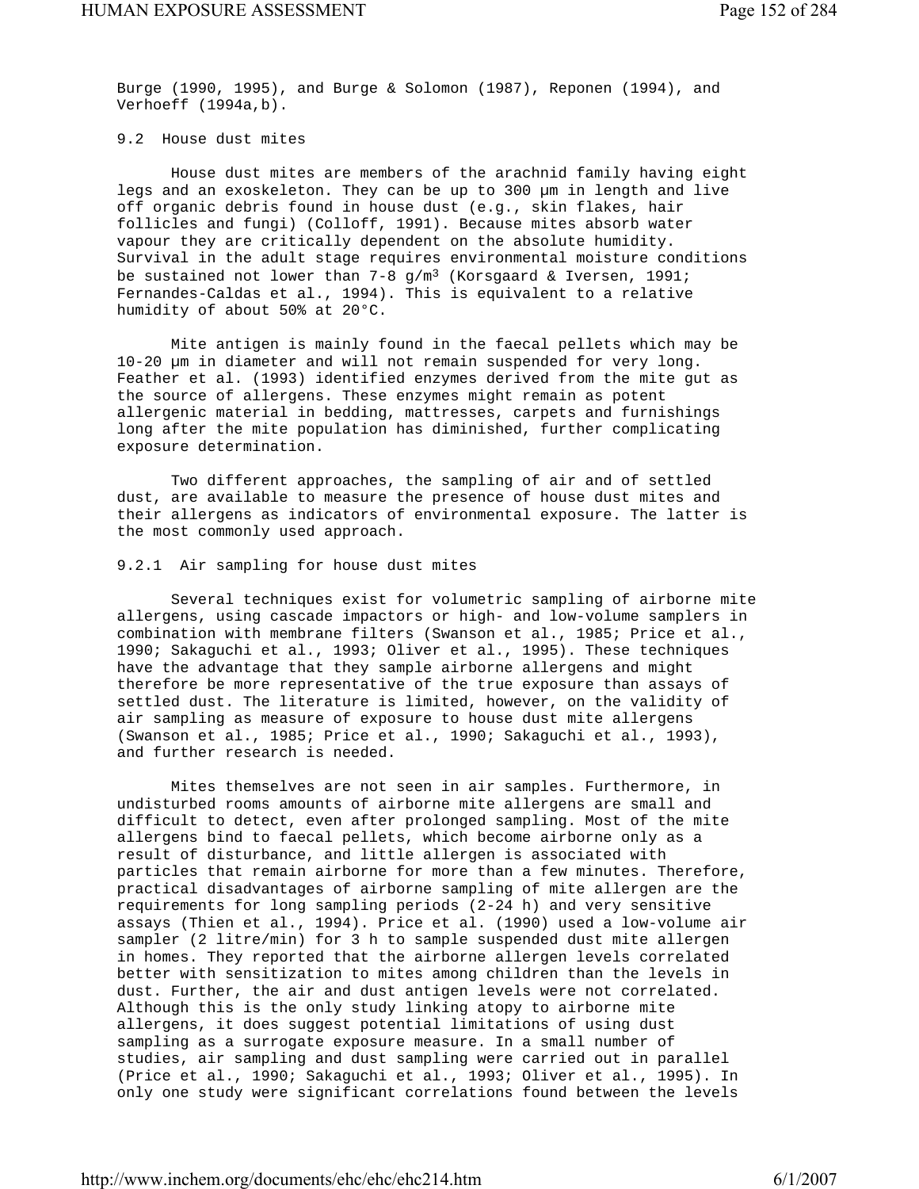Burge (1990, 1995), and Burge & Solomon (1987), Reponen (1994), and Verhoeff (1994a,b).

# 9.2 House dust mites

 House dust mites are members of the arachnid family having eight legs and an exoskeleton. They can be up to 300 µm in length and live off organic debris found in house dust (e.g., skin flakes, hair follicles and fungi) (Colloff, 1991). Because mites absorb water vapour they are critically dependent on the absolute humidity. Survival in the adult stage requires environmental moisture conditions be sustained not lower than  $7-8$  q/m<sup>3</sup> (Korsgaard & Iversen, 1991; Fernandes-Caldas et al., 1994). This is equivalent to a relative humidity of about 50% at 20°C.

 Mite antigen is mainly found in the faecal pellets which may be 10-20 µm in diameter and will not remain suspended for very long. Feather et al. (1993) identified enzymes derived from the mite gut as the source of allergens. These enzymes might remain as potent allergenic material in bedding, mattresses, carpets and furnishings long after the mite population has diminished, further complicating exposure determination.

 Two different approaches, the sampling of air and of settled dust, are available to measure the presence of house dust mites and their allergens as indicators of environmental exposure. The latter is the most commonly used approach.

#### 9.2.1 Air sampling for house dust mites

 Several techniques exist for volumetric sampling of airborne mite allergens, using cascade impactors or high- and low-volume samplers in combination with membrane filters (Swanson et al., 1985; Price et al., 1990; Sakaguchi et al., 1993; Oliver et al., 1995). These techniques have the advantage that they sample airborne allergens and might therefore be more representative of the true exposure than assays of settled dust. The literature is limited, however, on the validity of air sampling as measure of exposure to house dust mite allergens (Swanson et al., 1985; Price et al., 1990; Sakaguchi et al., 1993), and further research is needed.

 Mites themselves are not seen in air samples. Furthermore, in undisturbed rooms amounts of airborne mite allergens are small and difficult to detect, even after prolonged sampling. Most of the mite allergens bind to faecal pellets, which become airborne only as a result of disturbance, and little allergen is associated with particles that remain airborne for more than a few minutes. Therefore, practical disadvantages of airborne sampling of mite allergen are the requirements for long sampling periods (2-24 h) and very sensitive assays (Thien et al., 1994). Price et al. (1990) used a low-volume air sampler (2 litre/min) for 3 h to sample suspended dust mite allergen in homes. They reported that the airborne allergen levels correlated better with sensitization to mites among children than the levels in dust. Further, the air and dust antigen levels were not correlated. Although this is the only study linking atopy to airborne mite allergens, it does suggest potential limitations of using dust sampling as a surrogate exposure measure. In a small number of studies, air sampling and dust sampling were carried out in parallel (Price et al., 1990; Sakaguchi et al., 1993; Oliver et al., 1995). In only one study were significant correlations found between the levels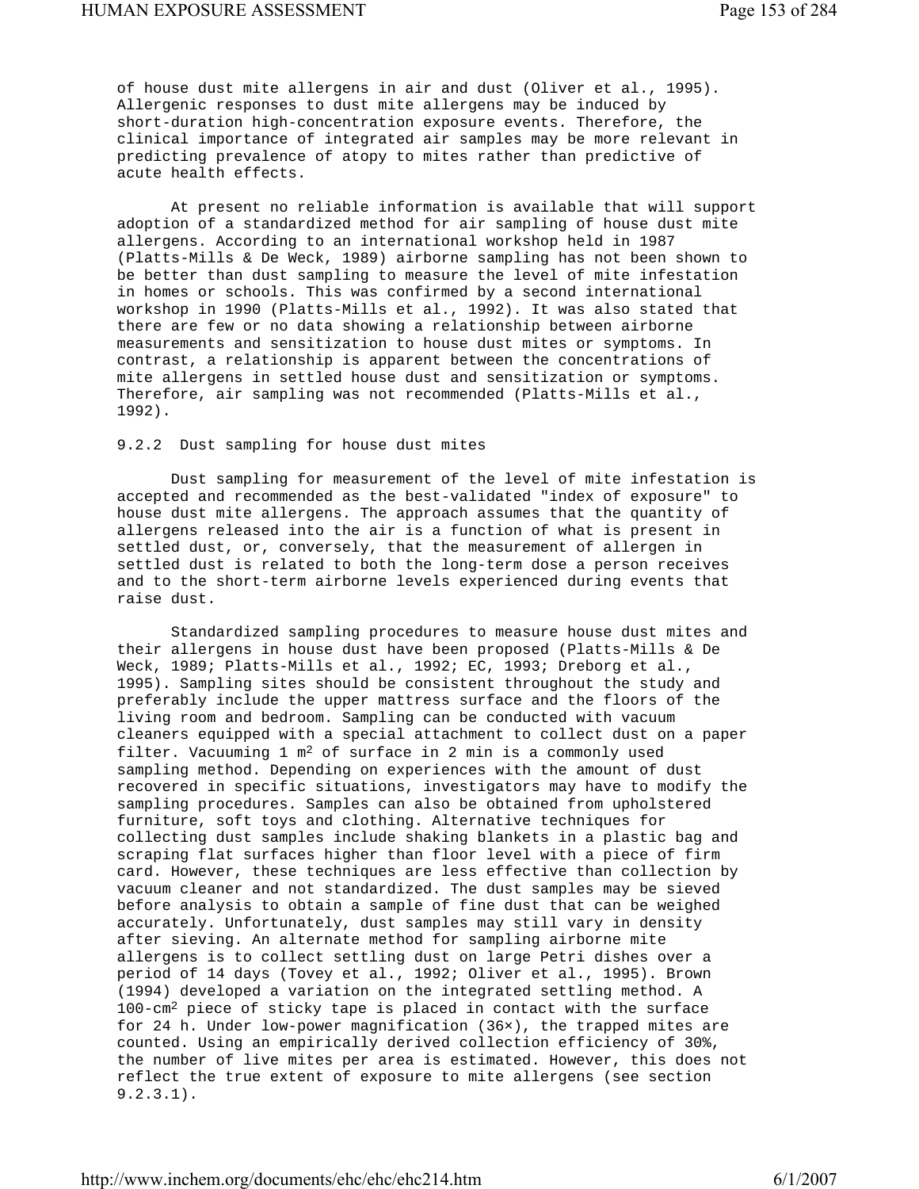of house dust mite allergens in air and dust (Oliver et al., 1995). Allergenic responses to dust mite allergens may be induced by short-duration high-concentration exposure events. Therefore, the clinical importance of integrated air samples may be more relevant in predicting prevalence of atopy to mites rather than predictive of acute health effects.

 At present no reliable information is available that will support adoption of a standardized method for air sampling of house dust mite allergens. According to an international workshop held in 1987 (Platts-Mills & De Weck, 1989) airborne sampling has not been shown to be better than dust sampling to measure the level of mite infestation in homes or schools. This was confirmed by a second international workshop in 1990 (Platts-Mills et al., 1992). It was also stated that there are few or no data showing a relationship between airborne measurements and sensitization to house dust mites or symptoms. In contrast, a relationship is apparent between the concentrations of mite allergens in settled house dust and sensitization or symptoms. Therefore, air sampling was not recommended (Platts-Mills et al., 1992).

### 9.2.2 Dust sampling for house dust mites

 Dust sampling for measurement of the level of mite infestation is accepted and recommended as the best-validated "index of exposure" to house dust mite allergens. The approach assumes that the quantity of allergens released into the air is a function of what is present in settled dust, or, conversely, that the measurement of allergen in settled dust is related to both the long-term dose a person receives and to the short-term airborne levels experienced during events that raise dust.

 Standardized sampling procedures to measure house dust mites and their allergens in house dust have been proposed (Platts-Mills & De Weck, 1989; Platts-Mills et al., 1992; EC, 1993; Dreborg et al., 1995). Sampling sites should be consistent throughout the study and preferably include the upper mattress surface and the floors of the living room and bedroom. Sampling can be conducted with vacuum cleaners equipped with a special attachment to collect dust on a paper filter. Vacuuming  $1 \text{ m}^2$  of surface in 2 min is a commonly used sampling method. Depending on experiences with the amount of dust recovered in specific situations, investigators may have to modify the sampling procedures. Samples can also be obtained from upholstered furniture, soft toys and clothing. Alternative techniques for collecting dust samples include shaking blankets in a plastic bag and scraping flat surfaces higher than floor level with a piece of firm card. However, these techniques are less effective than collection by vacuum cleaner and not standardized. The dust samples may be sieved before analysis to obtain a sample of fine dust that can be weighed accurately. Unfortunately, dust samples may still vary in density after sieving. An alternate method for sampling airborne mite allergens is to collect settling dust on large Petri dishes over a period of 14 days (Tovey et al., 1992; Oliver et al., 1995). Brown (1994) developed a variation on the integrated settling method. A 100-cm2 piece of sticky tape is placed in contact with the surface for 24 h. Under low-power magnification (36×), the trapped mites are counted. Using an empirically derived collection efficiency of 30%, the number of live mites per area is estimated. However, this does not reflect the true extent of exposure to mite allergens (see section 9.2.3.1).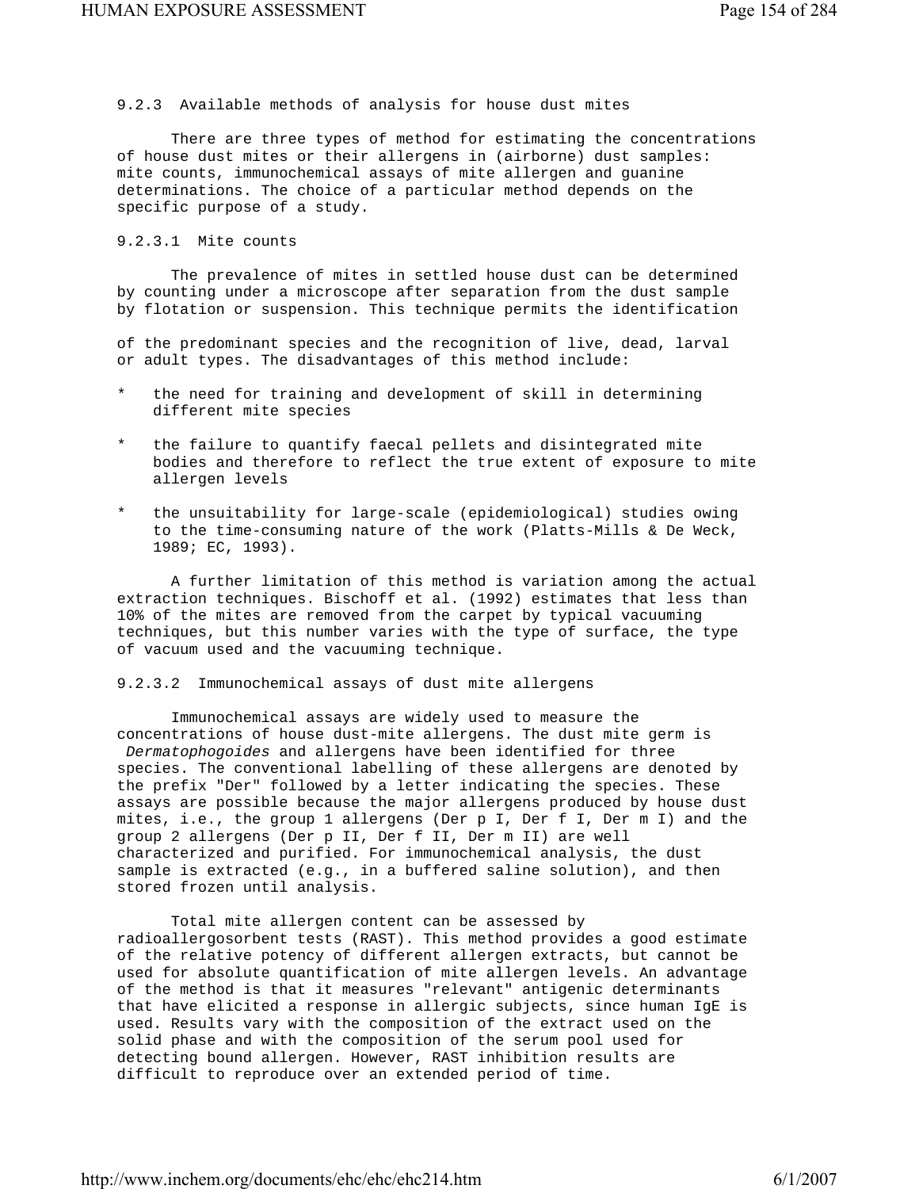9.2.3 Available methods of analysis for house dust mites

 There are three types of method for estimating the concentrations of house dust mites or their allergens in (airborne) dust samples: mite counts, immunochemical assays of mite allergen and guanine determinations. The choice of a particular method depends on the specific purpose of a study.

9.2.3.1 Mite counts

 The prevalence of mites in settled house dust can be determined by counting under a microscope after separation from the dust sample by flotation or suspension. This technique permits the identification

 of the predominant species and the recognition of live, dead, larval or adult types. The disadvantages of this method include:

- the need for training and development of skill in determining different mite species
- the failure to quantify faecal pellets and disintegrated mite bodies and therefore to reflect the true extent of exposure to mite allergen levels
- the unsuitability for large-scale (epidemiological) studies owing to the time-consuming nature of the work (Platts-Mills & De Weck, 1989; EC, 1993).

 A further limitation of this method is variation among the actual extraction techniques. Bischoff et al. (1992) estimates that less than 10% of the mites are removed from the carpet by typical vacuuming techniques, but this number varies with the type of surface, the type of vacuum used and the vacuuming technique.

9.2.3.2 Immunochemical assays of dust mite allergens

 Immunochemical assays are widely used to measure the concentrations of house dust-mite allergens. The dust mite germ is *Dermatophogoides* and allergens have been identified for three species. The conventional labelling of these allergens are denoted by the prefix "Der" followed by a letter indicating the species. These assays are possible because the major allergens produced by house dust mites, i.e., the group 1 allergens (Der p I, Der f I, Der m I) and the group 2 allergens (Der p II, Der f II, Der m II) are well characterized and purified. For immunochemical analysis, the dust sample is extracted (e.g., in a buffered saline solution), and then stored frozen until analysis.

 Total mite allergen content can be assessed by radioallergosorbent tests (RAST). This method provides a good estimate of the relative potency of different allergen extracts, but cannot be used for absolute quantification of mite allergen levels. An advantage of the method is that it measures "relevant" antigenic determinants that have elicited a response in allergic subjects, since human IgE is used. Results vary with the composition of the extract used on the solid phase and with the composition of the serum pool used for detecting bound allergen. However, RAST inhibition results are difficult to reproduce over an extended period of time.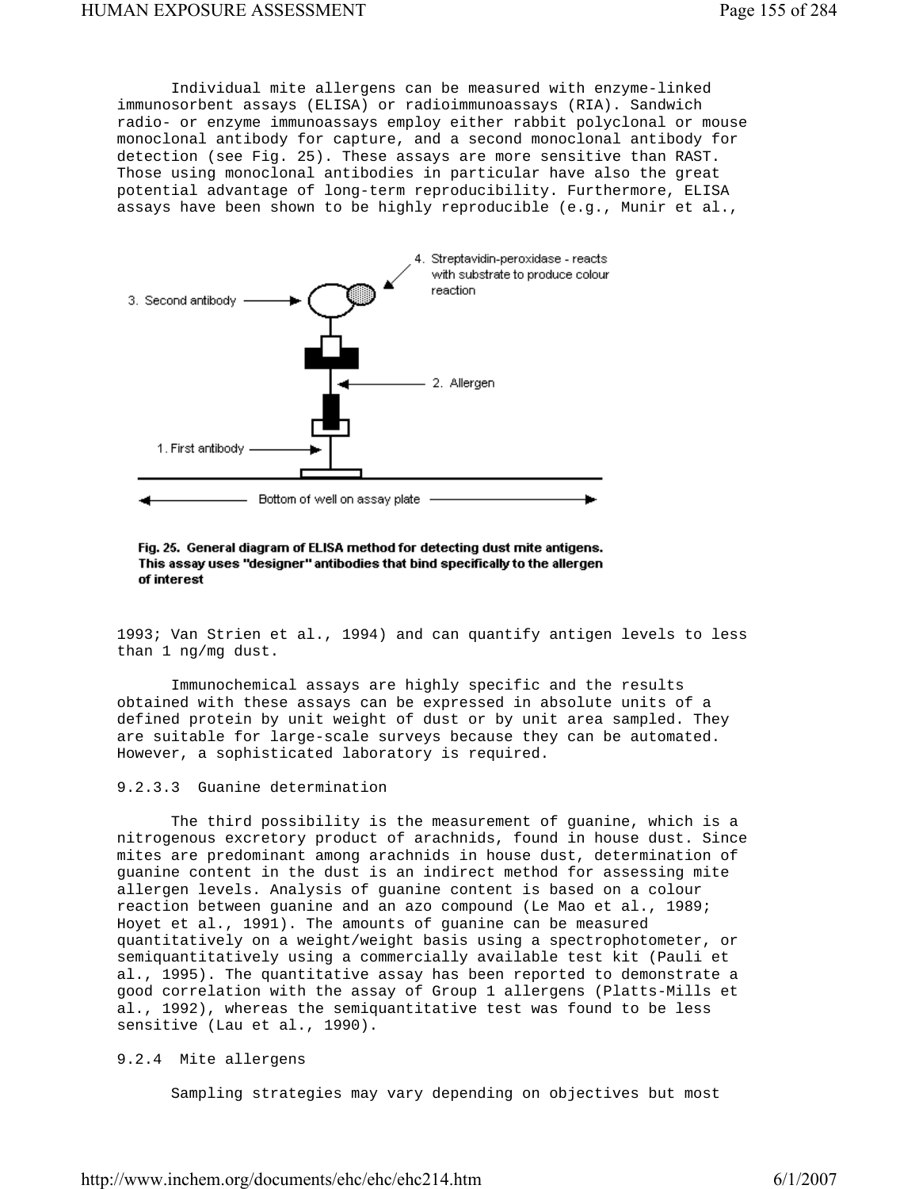Individual mite allergens can be measured with enzyme-linked immunosorbent assays (ELISA) or radioimmunoassays (RIA). Sandwich radio- or enzyme immunoassays employ either rabbit polyclonal or mouse monoclonal antibody for capture, and a second monoclonal antibody for detection (see Fig. 25). These assays are more sensitive than RAST. Those using monoclonal antibodies in particular have also the great potential advantage of long-term reproducibility. Furthermore, ELISA assays have been shown to be highly reproducible (e.g., Munir et al.,



Fig. 25. General diagram of ELISA method for detecting dust mite antigens. This assay uses "designer" antibodies that bind specifically to the allergen of interest

 1993; Van Strien et al., 1994) and can quantify antigen levels to less than 1 ng/mg dust.

 Immunochemical assays are highly specific and the results obtained with these assays can be expressed in absolute units of a defined protein by unit weight of dust or by unit area sampled. They are suitable for large-scale surveys because they can be automated. However, a sophisticated laboratory is required.

### 9.2.3.3 Guanine determination

 The third possibility is the measurement of guanine, which is a nitrogenous excretory product of arachnids, found in house dust. Since mites are predominant among arachnids in house dust, determination of guanine content in the dust is an indirect method for assessing mite allergen levels. Analysis of guanine content is based on a colour reaction between guanine and an azo compound (Le Mao et al., 1989; Hoyet et al., 1991). The amounts of guanine can be measured quantitatively on a weight/weight basis using a spectrophotometer, or semiquantitatively using a commercially available test kit (Pauli et al., 1995). The quantitative assay has been reported to demonstrate a good correlation with the assay of Group 1 allergens (Platts-Mills et al., 1992), whereas the semiquantitative test was found to be less sensitive (Lau et al., 1990).

### 9.2.4 Mite allergens

Sampling strategies may vary depending on objectives but most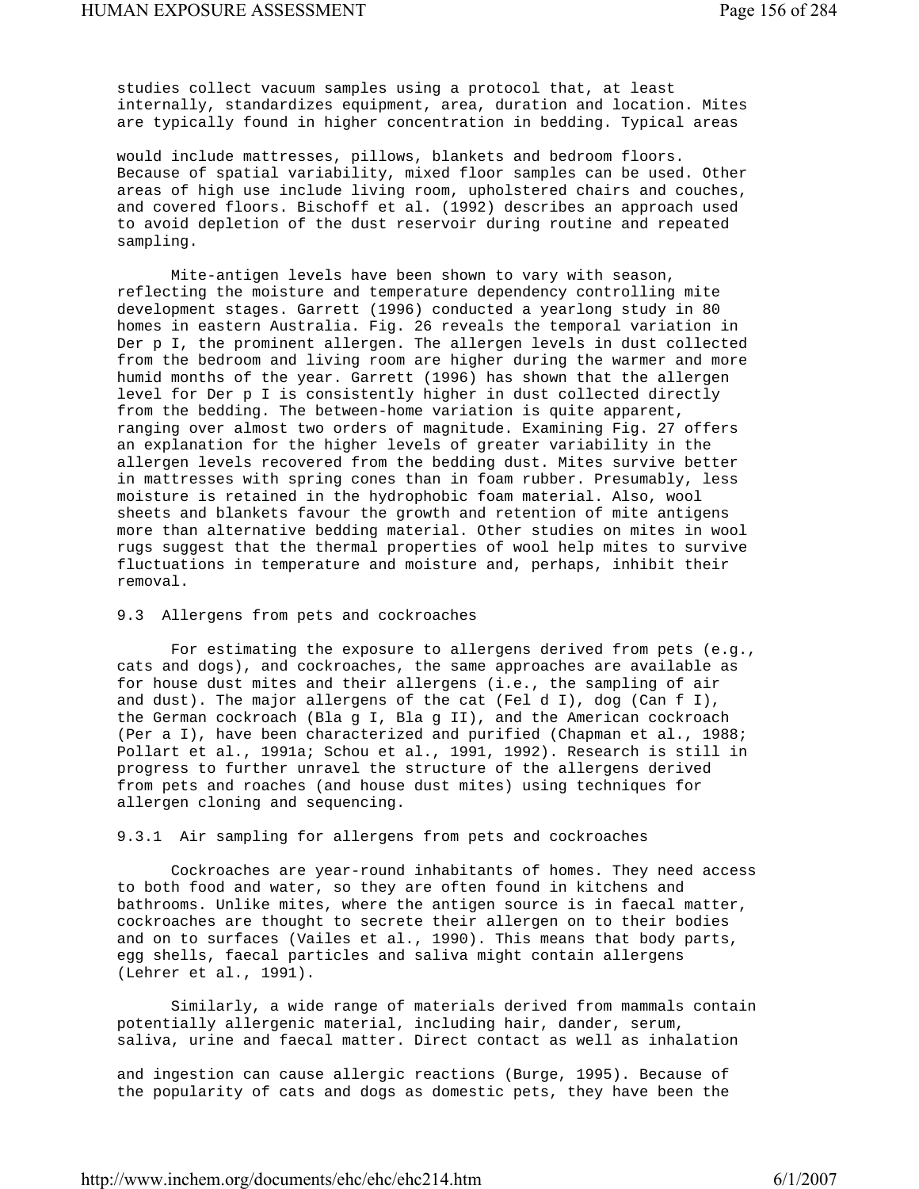studies collect vacuum samples using a protocol that, at least internally, standardizes equipment, area, duration and location. Mites are typically found in higher concentration in bedding. Typical areas

 would include mattresses, pillows, blankets and bedroom floors. Because of spatial variability, mixed floor samples can be used. Other areas of high use include living room, upholstered chairs and couches, and covered floors. Bischoff et al. (1992) describes an approach used to avoid depletion of the dust reservoir during routine and repeated sampling.

 Mite-antigen levels have been shown to vary with season, reflecting the moisture and temperature dependency controlling mite development stages. Garrett (1996) conducted a yearlong study in 80 homes in eastern Australia. Fig. 26 reveals the temporal variation in Der p I, the prominent allergen. The allergen levels in dust collected from the bedroom and living room are higher during the warmer and more humid months of the year. Garrett (1996) has shown that the allergen level for Der p I is consistently higher in dust collected directly from the bedding. The between-home variation is quite apparent, ranging over almost two orders of magnitude. Examining Fig. 27 offers an explanation for the higher levels of greater variability in the allergen levels recovered from the bedding dust. Mites survive better in mattresses with spring cones than in foam rubber. Presumably, less moisture is retained in the hydrophobic foam material. Also, wool sheets and blankets favour the growth and retention of mite antigens more than alternative bedding material. Other studies on mites in wool rugs suggest that the thermal properties of wool help mites to survive fluctuations in temperature and moisture and, perhaps, inhibit their removal.

### 9.3 Allergens from pets and cockroaches

 For estimating the exposure to allergens derived from pets (e.g., cats and dogs), and cockroaches, the same approaches are available as for house dust mites and their allergens (i.e., the sampling of air and dust). The major allergens of the cat (Fel d I), dog (Can f I), the German cockroach (Bla g I, Bla g II), and the American cockroach (Per a I), have been characterized and purified (Chapman et al., 1988; Pollart et al., 1991a; Schou et al., 1991, 1992). Research is still in progress to further unravel the structure of the allergens derived from pets and roaches (and house dust mites) using techniques for allergen cloning and sequencing.

### 9.3.1 Air sampling for allergens from pets and cockroaches

 Cockroaches are year-round inhabitants of homes. They need access to both food and water, so they are often found in kitchens and bathrooms. Unlike mites, where the antigen source is in faecal matter, cockroaches are thought to secrete their allergen on to their bodies and on to surfaces (Vailes et al., 1990). This means that body parts, egg shells, faecal particles and saliva might contain allergens (Lehrer et al., 1991).

 Similarly, a wide range of materials derived from mammals contain potentially allergenic material, including hair, dander, serum, saliva, urine and faecal matter. Direct contact as well as inhalation

 and ingestion can cause allergic reactions (Burge, 1995). Because of the popularity of cats and dogs as domestic pets, they have been the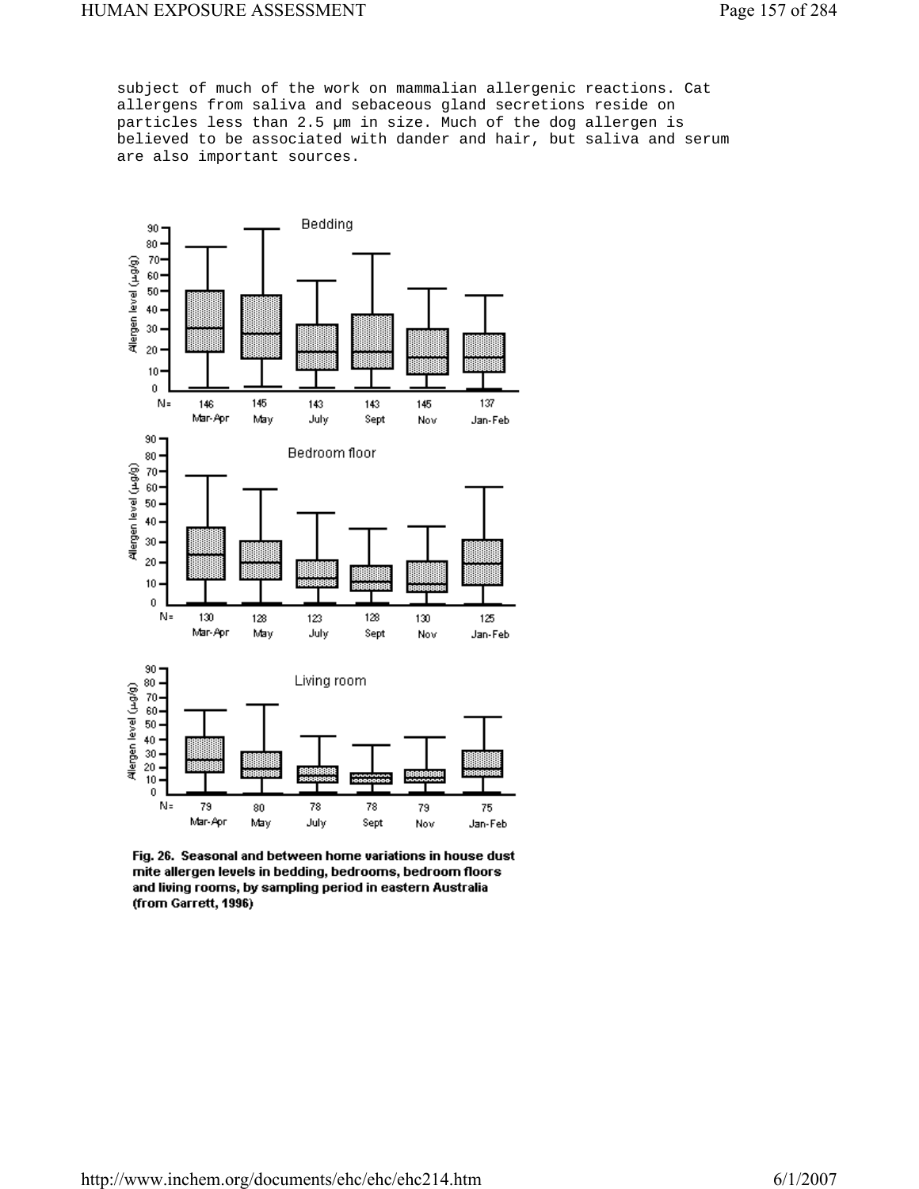subject of much of the work on mammalian allergenic reactions. Cat allergens from saliva and sebaceous gland secretions reside on particles less than 2.5 µm in size. Much of the dog allergen is believed to be associated with dander and hair, but saliva and serum are also important sources.



Fig. 26. Seasonal and between home variations in house dust mite allergen levels in bedding, bedrooms, bedroom floors and living rooms, by sampling period in eastern Australia (from Garrett, 1996)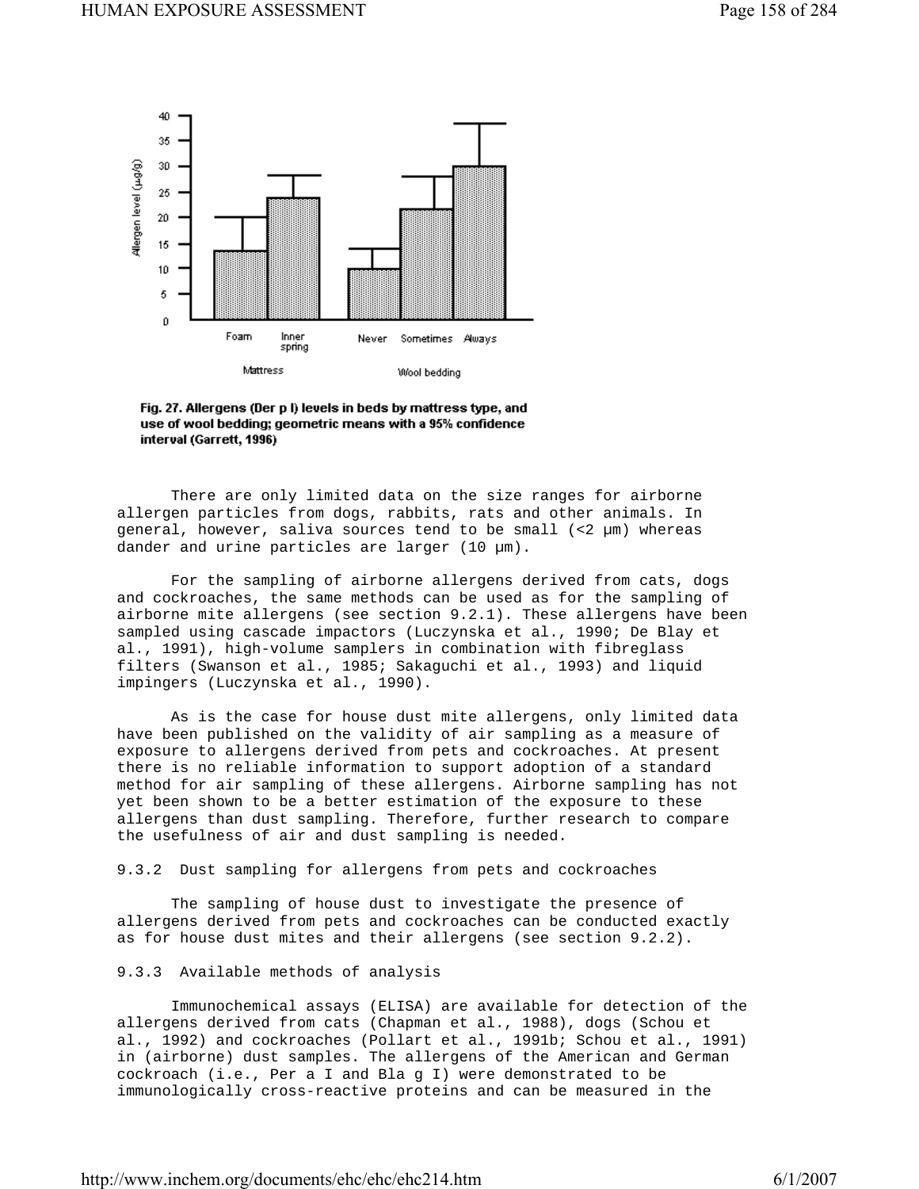



 There are only limited data on the size ranges for airborne allergen particles from dogs, rabbits, rats and other animals. In general, however, saliva sources tend to be small (<2 µm) whereas dander and urine particles are larger (10 µm).

 For the sampling of airborne allergens derived from cats, dogs and cockroaches, the same methods can be used as for the sampling of airborne mite allergens (see section 9.2.1). These allergens have been sampled using cascade impactors (Luczynska et al., 1990; De Blay et al., 1991), high-volume samplers in combination with fibreglass filters (Swanson et al., 1985; Sakaguchi et al., 1993) and liquid impingers (Luczynska et al., 1990).

 As is the case for house dust mite allergens, only limited data have been published on the validity of air sampling as a measure of exposure to allergens derived from pets and cockroaches. At present there is no reliable information to support adoption of a standard method for air sampling of these allergens. Airborne sampling has not yet been shown to be a better estimation of the exposure to these allergens than dust sampling. Therefore, further research to compare the usefulness of air and dust sampling is needed.

9.3.2 Dust sampling for allergens from pets and cockroaches

 The sampling of house dust to investigate the presence of allergens derived from pets and cockroaches can be conducted exactly as for house dust mites and their allergens (see section 9.2.2).

# 9.3.3 Available methods of analysis

 Immunochemical assays (ELISA) are available for detection of the allergens derived from cats (Chapman et al., 1988), dogs (Schou et al., 1992) and cockroaches (Pollart et al., 1991b; Schou et al., 1991) in (airborne) dust samples. The allergens of the American and German cockroach (i.e., Per a I and Bla g I) were demonstrated to be immunologically cross-reactive proteins and can be measured in the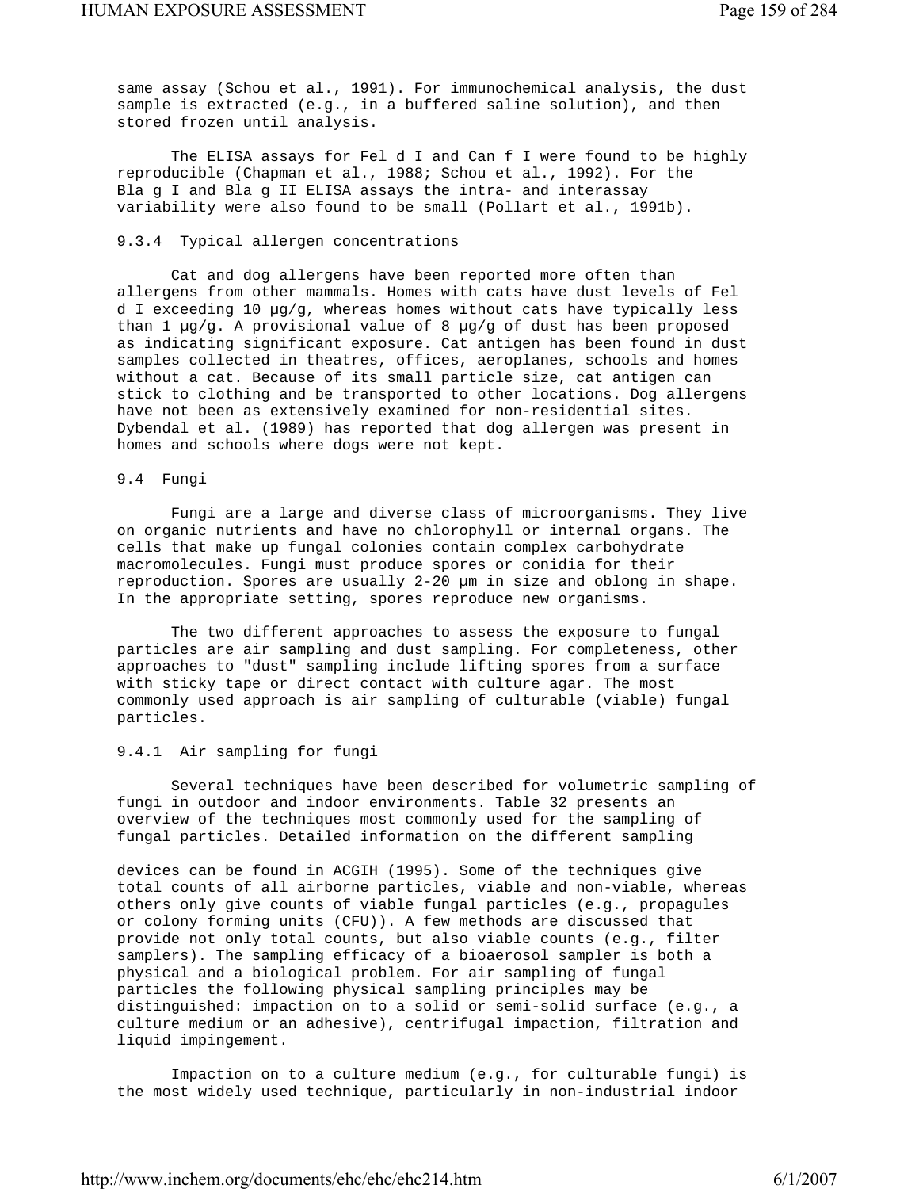same assay (Schou et al., 1991). For immunochemical analysis, the dust sample is extracted (e.g., in a buffered saline solution), and then stored frozen until analysis.

 The ELISA assays for Fel d I and Can f I were found to be highly reproducible (Chapman et al., 1988; Schou et al., 1992). For the Bla g I and Bla g II ELISA assays the intra- and interassay variability were also found to be small (Pollart et al., 1991b).

# 9.3.4 Typical allergen concentrations

 Cat and dog allergens have been reported more often than allergens from other mammals. Homes with cats have dust levels of Fel d I exceeding 10 µg/g, whereas homes without cats have typically less than 1  $\mu$ g/g. A provisional value of 8  $\mu$ g/g of dust has been proposed as indicating significant exposure. Cat antigen has been found in dust samples collected in theatres, offices, aeroplanes, schools and homes without a cat. Because of its small particle size, cat antigen can stick to clothing and be transported to other locations. Dog allergens have not been as extensively examined for non-residential sites. Dybendal et al. (1989) has reported that dog allergen was present in homes and schools where dogs were not kept.

# 9.4 Fungi

 Fungi are a large and diverse class of microorganisms. They live on organic nutrients and have no chlorophyll or internal organs. The cells that make up fungal colonies contain complex carbohydrate macromolecules. Fungi must produce spores or conidia for their reproduction. Spores are usually 2-20 µm in size and oblong in shape. In the appropriate setting, spores reproduce new organisms.

 The two different approaches to assess the exposure to fungal particles are air sampling and dust sampling. For completeness, other approaches to "dust" sampling include lifting spores from a surface with sticky tape or direct contact with culture agar. The most commonly used approach is air sampling of culturable (viable) fungal particles.

# 9.4.1 Air sampling for fungi

 Several techniques have been described for volumetric sampling of fungi in outdoor and indoor environments. Table 32 presents an overview of the techniques most commonly used for the sampling of fungal particles. Detailed information on the different sampling

 devices can be found in ACGIH (1995). Some of the techniques give total counts of all airborne particles, viable and non-viable, whereas others only give counts of viable fungal particles (e.g., propagules or colony forming units (CFU)). A few methods are discussed that provide not only total counts, but also viable counts (e.g., filter samplers). The sampling efficacy of a bioaerosol sampler is both a physical and a biological problem. For air sampling of fungal particles the following physical sampling principles may be distinguished: impaction on to a solid or semi-solid surface (e.g., a culture medium or an adhesive), centrifugal impaction, filtration and liquid impingement.

 Impaction on to a culture medium (e.g., for culturable fungi) is the most widely used technique, particularly in non-industrial indoor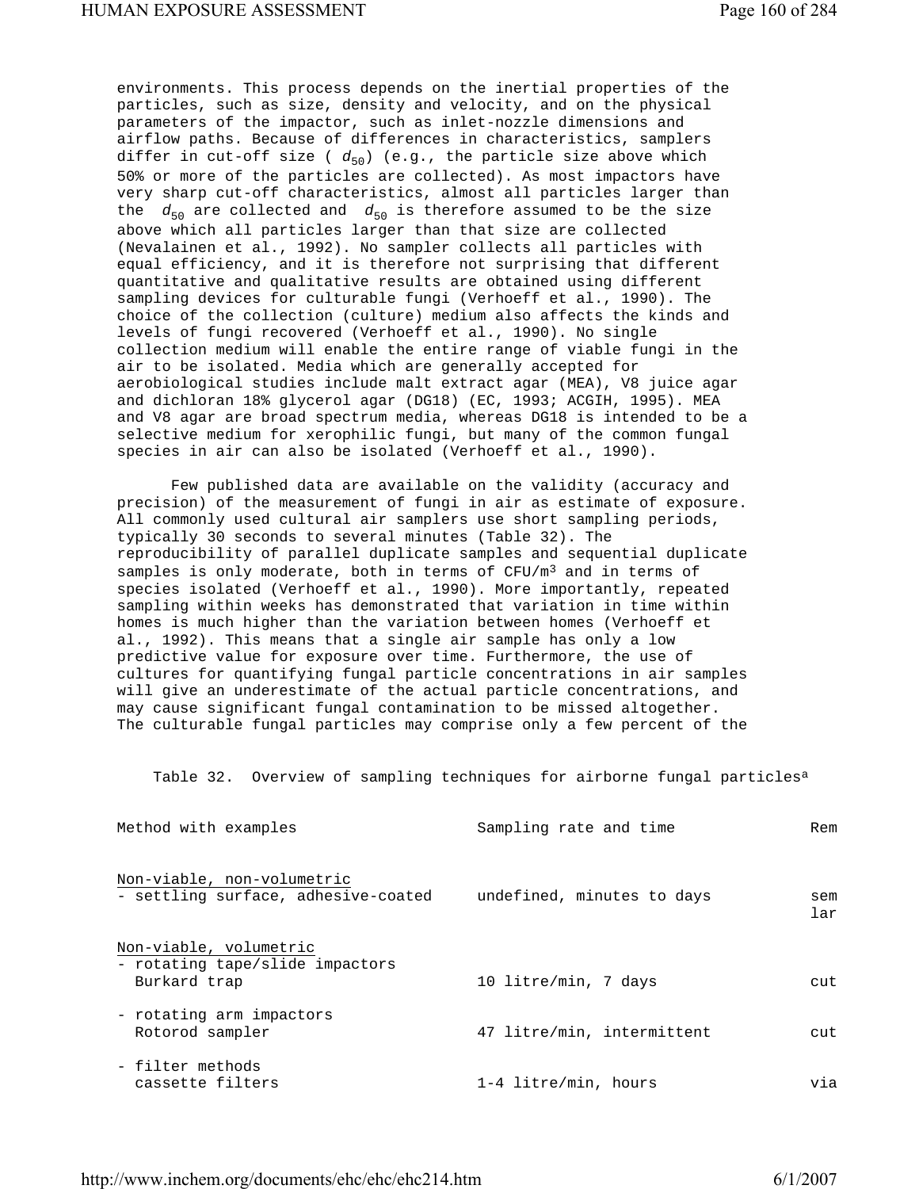environments. This process depends on the inertial properties of the particles, such as size, density and velocity, and on the physical parameters of the impactor, such as inlet-nozzle dimensions and airflow paths. Because of differences in characteristics, samplers differ in cut-off size ( $d_{50}$ ) (e.g., the particle size above which 50% or more of the particles are collected). As most impactors have very sharp cut-off characteristics, almost all particles larger than the  $d_{50}$  are collected and  $d_{50}$  is therefore assumed to be the size above which all particles larger than that size are collected (Nevalainen et al., 1992). No sampler collects all particles with equal efficiency, and it is therefore not surprising that different quantitative and qualitative results are obtained using different sampling devices for culturable fungi (Verhoeff et al., 1990). The choice of the collection (culture) medium also affects the kinds and levels of fungi recovered (Verhoeff et al., 1990). No single collection medium will enable the entire range of viable fungi in the air to be isolated. Media which are generally accepted for aerobiological studies include malt extract agar (MEA), V8 juice agar and dichloran 18% glycerol agar (DG18) (EC, 1993; ACGIH, 1995). MEA and V8 agar are broad spectrum media, whereas DG18 is intended to be a selective medium for xerophilic fungi, but many of the common fungal species in air can also be isolated (Verhoeff et al., 1990).

 Few published data are available on the validity (accuracy and precision) of the measurement of fungi in air as estimate of exposure. All commonly used cultural air samplers use short sampling periods, typically 30 seconds to several minutes (Table 32). The reproducibility of parallel duplicate samples and sequential duplicate samples is only moderate, both in terms of  $CFU/m<sup>3</sup>$  and in terms of species isolated (Verhoeff et al., 1990). More importantly, repeated sampling within weeks has demonstrated that variation in time within homes is much higher than the variation between homes (Verhoeff et al., 1992). This means that a single air sample has only a low predictive value for exposure over time. Furthermore, the use of cultures for quantifying fungal particle concentrations in air samples will give an underestimate of the actual particle concentrations, and may cause significant fungal contamination to be missed altogether. The culturable fungal particles may comprise only a few percent of the

Table 32. Overview of sampling techniques for airborne fungal particles<sup>a</sup>

| Method with examples                                                      | Sampling rate and time     | Rem        |
|---------------------------------------------------------------------------|----------------------------|------------|
| Non-viable, non-volumetric<br>- settling surface, adhesive-coated         | undefined, minutes to days | sem<br>lar |
| Non-viable, volumetric<br>- rotating tape/slide impactors<br>Burkard trap | 10 litre/min, 7 days       | cut        |
| - rotating arm impactors<br>Rotorod sampler                               | 47 litre/min, intermittent | cut        |
| - filter methods<br>cassette filters                                      | 1-4 litre/min, hours       | via        |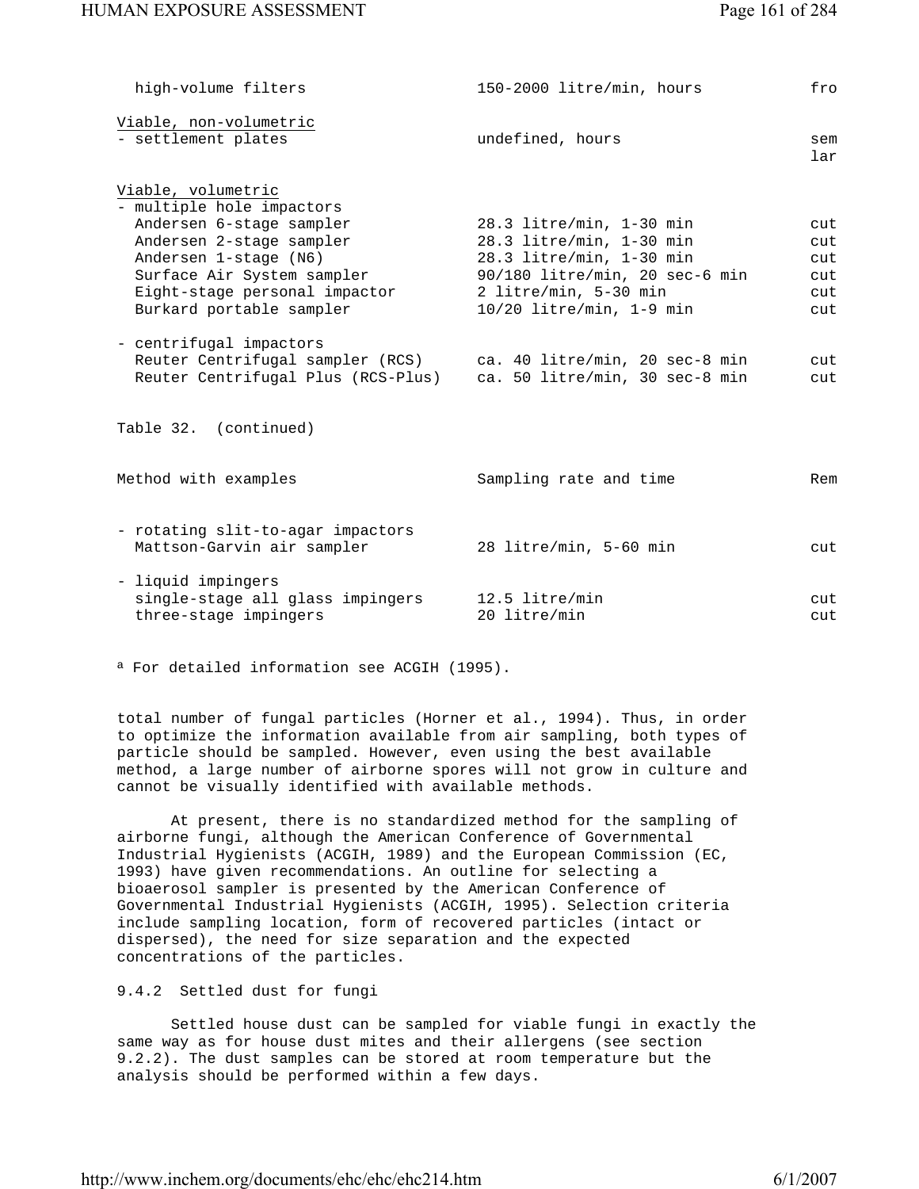| high-volume filters                                   | 150-2000 litre/min, hours      | fro        |
|-------------------------------------------------------|--------------------------------|------------|
| Viable, non-volumetric<br>- settlement plates         | undefined, hours               | sem<br>lar |
| Viable, volumetric                                    |                                |            |
| - multiple hole impactors<br>Andersen 6-stage sampler | 28.3 litre/min, 1-30 min       |            |
| Andersen 2-stage sampler                              | 28.3 litre/min, 1-30 min       | cut<br>cut |
| Andersen 1-stage (N6)                                 | 28.3 litre/min, 1-30 min       | cut        |
| Surface Air System sampler                            | 90/180 litre/min, 20 sec-6 min | cut        |
| Eight-stage personal impactor                         | 2 litre/min, 5-30 min          | cut        |
| Burkard portable sampler                              | $10/20$ litre/min, 1-9 min     | cut        |
| - centrifugal impactors                               |                                |            |
| Reuter Centrifugal sampler (RCS)                      | ca. 40 litre/min, 20 sec-8 min | cut        |
| Reuter Centrifugal Plus (RCS-Plus)                    | ca. 50 litre/min, 30 sec-8 min | cut        |
| Table 32. (continued)                                 |                                |            |
| Method with examples                                  | Sampling rate and time         | Rem        |
| - rotating slit-to-agar impactors                     | 28 litre/min, 5-60 min         | cut        |
| Mattson-Garvin air sampler                            |                                |            |
| - liquid impingers                                    |                                |            |
| single-stage all glass impingers                      | 12.5 litre/min                 | cut        |
| three-stage impingers                                 | 20 litre/min                   | cut        |

a For detailed information see ACGIH (1995).

 total number of fungal particles (Horner et al., 1994). Thus, in order to optimize the information available from air sampling, both types of particle should be sampled. However, even using the best available method, a large number of airborne spores will not grow in culture and cannot be visually identified with available methods.

 At present, there is no standardized method for the sampling of airborne fungi, although the American Conference of Governmental Industrial Hygienists (ACGIH, 1989) and the European Commission (EC, 1993) have given recommendations. An outline for selecting a bioaerosol sampler is presented by the American Conference of Governmental Industrial Hygienists (ACGIH, 1995). Selection criteria include sampling location, form of recovered particles (intact or dispersed), the need for size separation and the expected concentrations of the particles.

9.4.2 Settled dust for fungi

 Settled house dust can be sampled for viable fungi in exactly the same way as for house dust mites and their allergens (see section 9.2.2). The dust samples can be stored at room temperature but the analysis should be performed within a few days.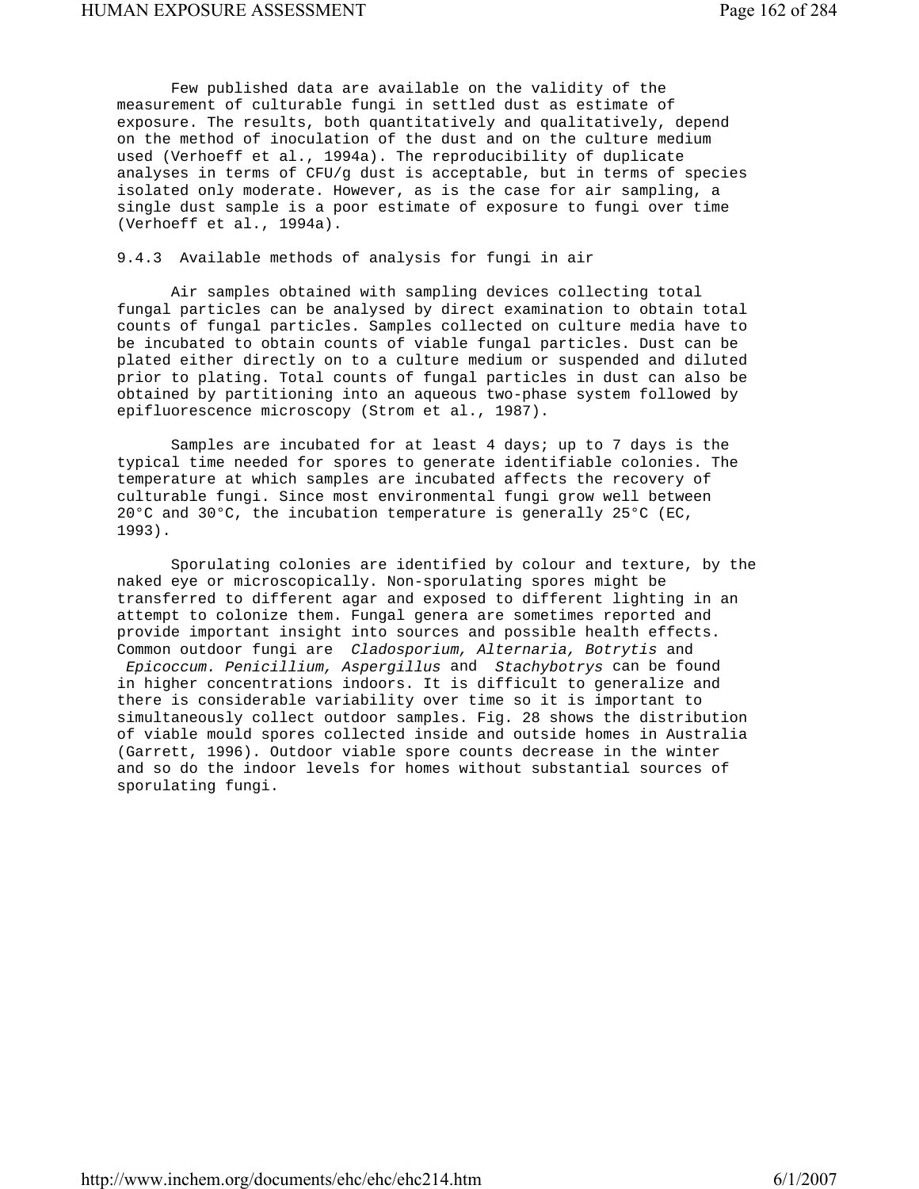Few published data are available on the validity of the measurement of culturable fungi in settled dust as estimate of exposure. The results, both quantitatively and qualitatively, depend on the method of inoculation of the dust and on the culture medium used (Verhoeff et al., 1994a). The reproducibility of duplicate analyses in terms of CFU/g dust is acceptable, but in terms of species isolated only moderate. However, as is the case for air sampling, a single dust sample is a poor estimate of exposure to fungi over time (Verhoeff et al., 1994a).

### 9.4.3 Available methods of analysis for fungi in air

 Air samples obtained with sampling devices collecting total fungal particles can be analysed by direct examination to obtain total counts of fungal particles. Samples collected on culture media have to be incubated to obtain counts of viable fungal particles. Dust can be plated either directly on to a culture medium or suspended and diluted prior to plating. Total counts of fungal particles in dust can also be obtained by partitioning into an aqueous two-phase system followed by epifluorescence microscopy (Strom et al., 1987).

 Samples are incubated for at least 4 days; up to 7 days is the typical time needed for spores to generate identifiable colonies. The temperature at which samples are incubated affects the recovery of culturable fungi. Since most environmental fungi grow well between 20°C and 30°C, the incubation temperature is generally 25°C (EC, 1993).

 Sporulating colonies are identified by colour and texture, by the naked eye or microscopically. Non-sporulating spores might be transferred to different agar and exposed to different lighting in an attempt to colonize them. Fungal genera are sometimes reported and provide important insight into sources and possible health effects. Common outdoor fungi are *Cladosporium, Alternaria, Botrytis* and *Epicoccum. Penicillium, Aspergillus* and *Stachybotrys* can be found in higher concentrations indoors. It is difficult to generalize and there is considerable variability over time so it is important to simultaneously collect outdoor samples. Fig. 28 shows the distribution of viable mould spores collected inside and outside homes in Australia (Garrett, 1996). Outdoor viable spore counts decrease in the winter and so do the indoor levels for homes without substantial sources of sporulating fungi.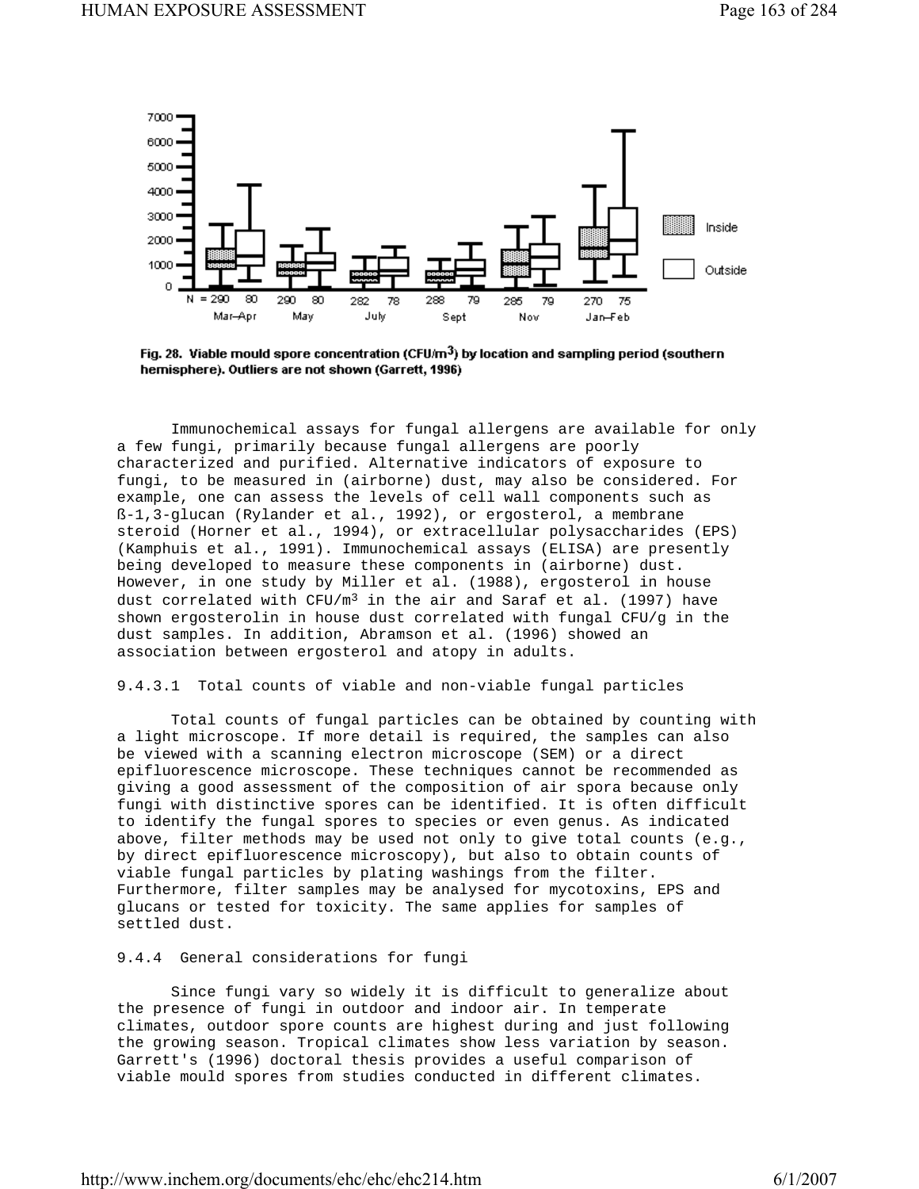

Fig. 28. Viable mould spore concentration (CFU/m<sup>3</sup>) by location and sampling period (southern hemisphere). Outliers are not shown (Garrett, 1996)

 Immunochemical assays for fungal allergens are available for only a few fungi, primarily because fungal allergens are poorly characterized and purified. Alternative indicators of exposure to fungi, to be measured in (airborne) dust, may also be considered. For example, one can assess the levels of cell wall components such as ß-1,3-glucan (Rylander et al., 1992), or ergosterol, a membrane steroid (Horner et al., 1994), or extracellular polysaccharides (EPS) (Kamphuis et al., 1991). Immunochemical assays (ELISA) are presently being developed to measure these components in (airborne) dust. However, in one study by Miller et al. (1988), ergosterol in house dust correlated with  $CFU/m^3$  in the air and Saraf et al. (1997) have shown ergosterolin in house dust correlated with fungal CFU/g in the dust samples. In addition, Abramson et al. (1996) showed an association between ergosterol and atopy in adults.

# 9.4.3.1 Total counts of viable and non-viable fungal particles

 Total counts of fungal particles can be obtained by counting with a light microscope. If more detail is required, the samples can also be viewed with a scanning electron microscope (SEM) or a direct epifluorescence microscope. These techniques cannot be recommended as giving a good assessment of the composition of air spora because only fungi with distinctive spores can be identified. It is often difficult to identify the fungal spores to species or even genus. As indicated above, filter methods may be used not only to give total counts (e.g., by direct epifluorescence microscopy), but also to obtain counts of viable fungal particles by plating washings from the filter. Furthermore, filter samples may be analysed for mycotoxins, EPS and glucans or tested for toxicity. The same applies for samples of settled dust.

# 9.4.4 General considerations for fungi

 Since fungi vary so widely it is difficult to generalize about the presence of fungi in outdoor and indoor air. In temperate climates, outdoor spore counts are highest during and just following the growing season. Tropical climates show less variation by season. Garrett's (1996) doctoral thesis provides a useful comparison of viable mould spores from studies conducted in different climates.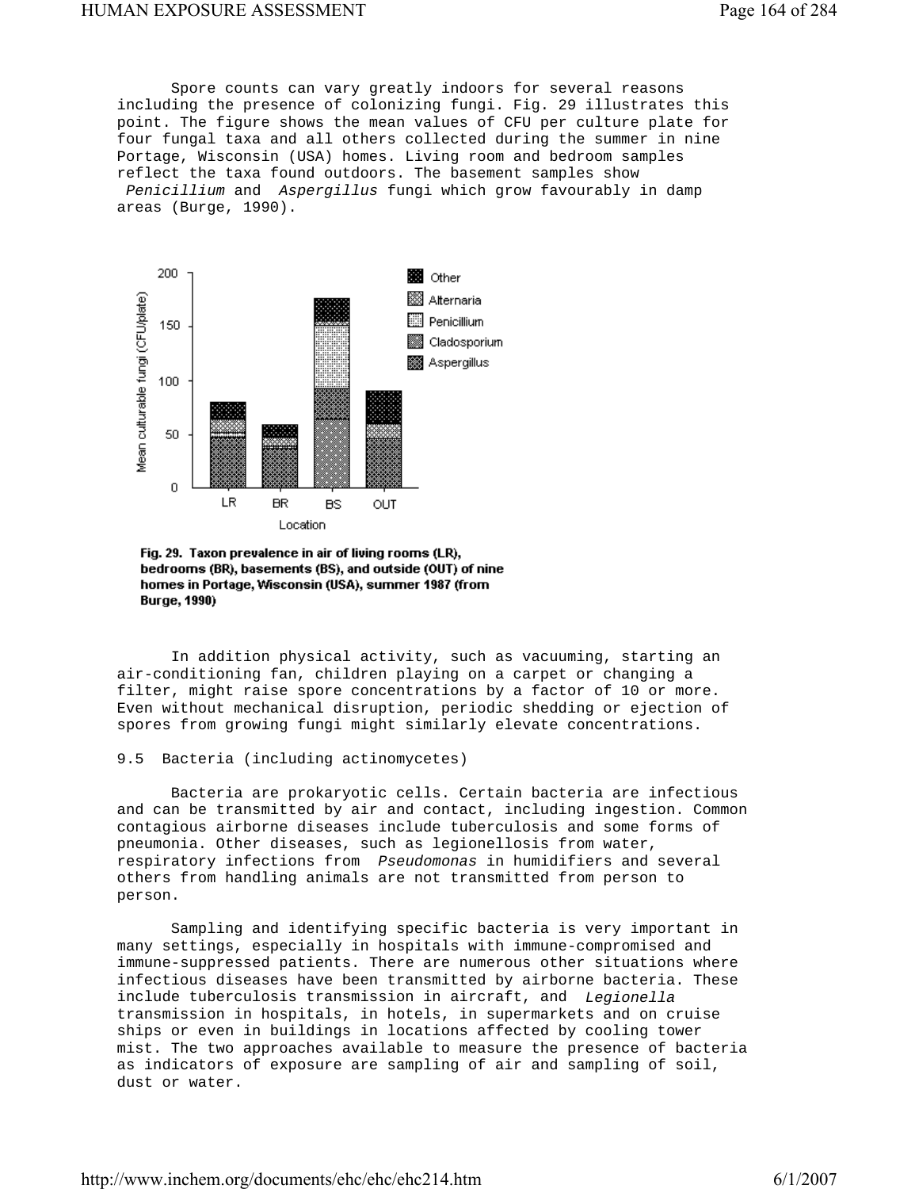Spore counts can vary greatly indoors for several reasons including the presence of colonizing fungi. Fig. 29 illustrates this point. The figure shows the mean values of CFU per culture plate for four fungal taxa and all others collected during the summer in nine Portage, Wisconsin (USA) homes. Living room and bedroom samples reflect the taxa found outdoors. The basement samples show *Penicillium* and *Aspergillus* fungi which grow favourably in damp areas (Burge, 1990).



Fig. 29. Taxon prevalence in air of living rooms (LR), bedrooms (BR), basements (BS), and outside (OUT) of nine homes in Portage, Wisconsin (USA), summer 1987 (from **Burge, 1990)** 

 In addition physical activity, such as vacuuming, starting an air-conditioning fan, children playing on a carpet or changing a filter, might raise spore concentrations by a factor of 10 or more. Even without mechanical disruption, periodic shedding or ejection of spores from growing fungi might similarly elevate concentrations.

### 9.5 Bacteria (including actinomycetes)

 Bacteria are prokaryotic cells. Certain bacteria are infectious and can be transmitted by air and contact, including ingestion. Common contagious airborne diseases include tuberculosis and some forms of pneumonia. Other diseases, such as legionellosis from water, respiratory infections from *Pseudomonas* in humidifiers and several others from handling animals are not transmitted from person to person.

 Sampling and identifying specific bacteria is very important in many settings, especially in hospitals with immune-compromised and immune-suppressed patients. There are numerous other situations where infectious diseases have been transmitted by airborne bacteria. These include tuberculosis transmission in aircraft, and *Legionella*  transmission in hospitals, in hotels, in supermarkets and on cruise ships or even in buildings in locations affected by cooling tower mist. The two approaches available to measure the presence of bacteria as indicators of exposure are sampling of air and sampling of soil, dust or water.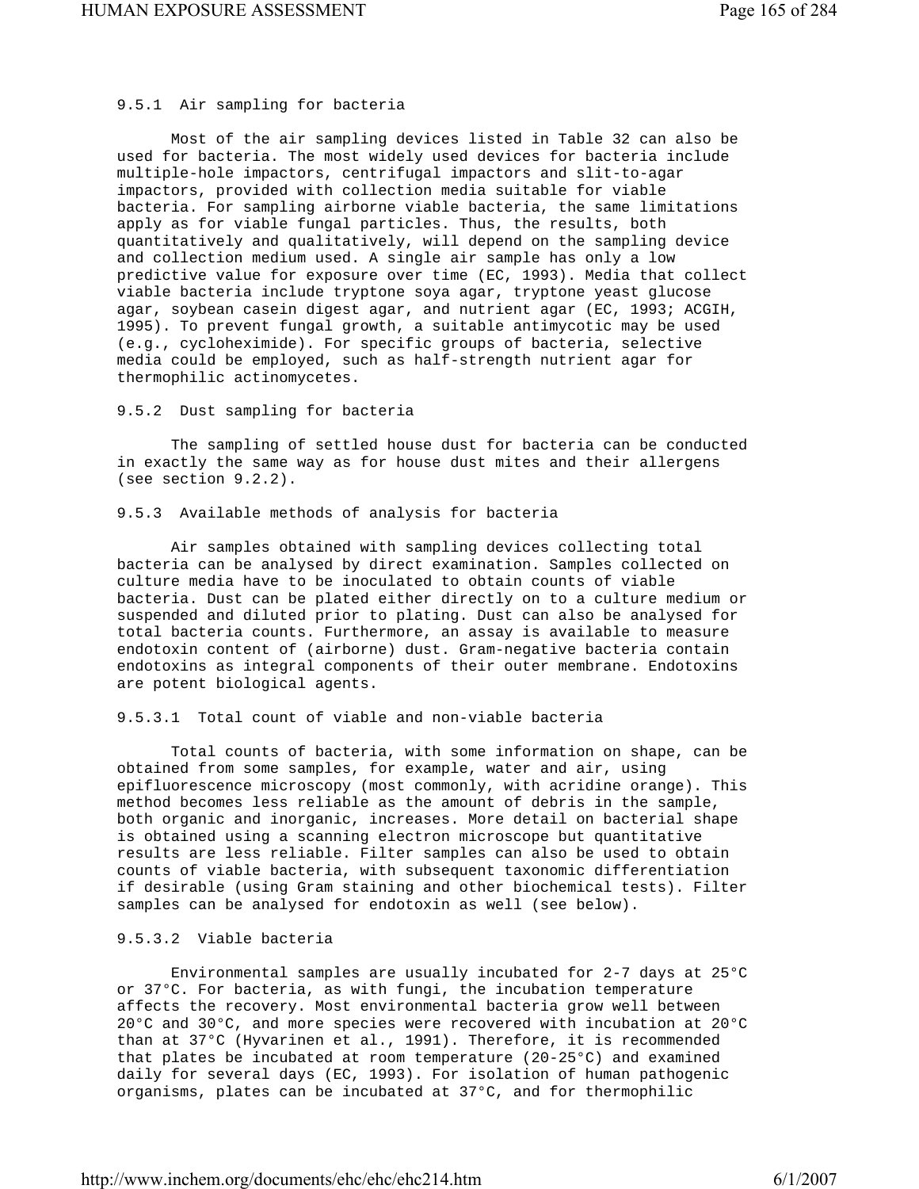# 9.5.1 Air sampling for bacteria

 Most of the air sampling devices listed in Table 32 can also be used for bacteria. The most widely used devices for bacteria include multiple-hole impactors, centrifugal impactors and slit-to-agar impactors, provided with collection media suitable for viable bacteria. For sampling airborne viable bacteria, the same limitations apply as for viable fungal particles. Thus, the results, both quantitatively and qualitatively, will depend on the sampling device and collection medium used. A single air sample has only a low predictive value for exposure over time (EC, 1993). Media that collect viable bacteria include tryptone soya agar, tryptone yeast glucose agar, soybean casein digest agar, and nutrient agar (EC, 1993; ACGIH, 1995). To prevent fungal growth, a suitable antimycotic may be used (e.g., cycloheximide). For specific groups of bacteria, selective media could be employed, such as half-strength nutrient agar for thermophilic actinomycetes.

## 9.5.2 Dust sampling for bacteria

 The sampling of settled house dust for bacteria can be conducted in exactly the same way as for house dust mites and their allergens (see section 9.2.2).

## 9.5.3 Available methods of analysis for bacteria

 Air samples obtained with sampling devices collecting total bacteria can be analysed by direct examination. Samples collected on culture media have to be inoculated to obtain counts of viable bacteria. Dust can be plated either directly on to a culture medium or suspended and diluted prior to plating. Dust can also be analysed for total bacteria counts. Furthermore, an assay is available to measure endotoxin content of (airborne) dust. Gram-negative bacteria contain endotoxins as integral components of their outer membrane. Endotoxins are potent biological agents.

#### 9.5.3.1 Total count of viable and non-viable bacteria

 Total counts of bacteria, with some information on shape, can be obtained from some samples, for example, water and air, using epifluorescence microscopy (most commonly, with acridine orange). This method becomes less reliable as the amount of debris in the sample, both organic and inorganic, increases. More detail on bacterial shape is obtained using a scanning electron microscope but quantitative results are less reliable. Filter samples can also be used to obtain counts of viable bacteria, with subsequent taxonomic differentiation if desirable (using Gram staining and other biochemical tests). Filter samples can be analysed for endotoxin as well (see below).

# 9.5.3.2 Viable bacteria

 Environmental samples are usually incubated for 2-7 days at 25°C or 37°C. For bacteria, as with fungi, the incubation temperature affects the recovery. Most environmental bacteria grow well between 20°C and 30°C, and more species were recovered with incubation at 20°C than at 37°C (Hyvarinen et al., 1991). Therefore, it is recommended that plates be incubated at room temperature (20-25°C) and examined daily for several days (EC, 1993). For isolation of human pathogenic organisms, plates can be incubated at 37°C, and for thermophilic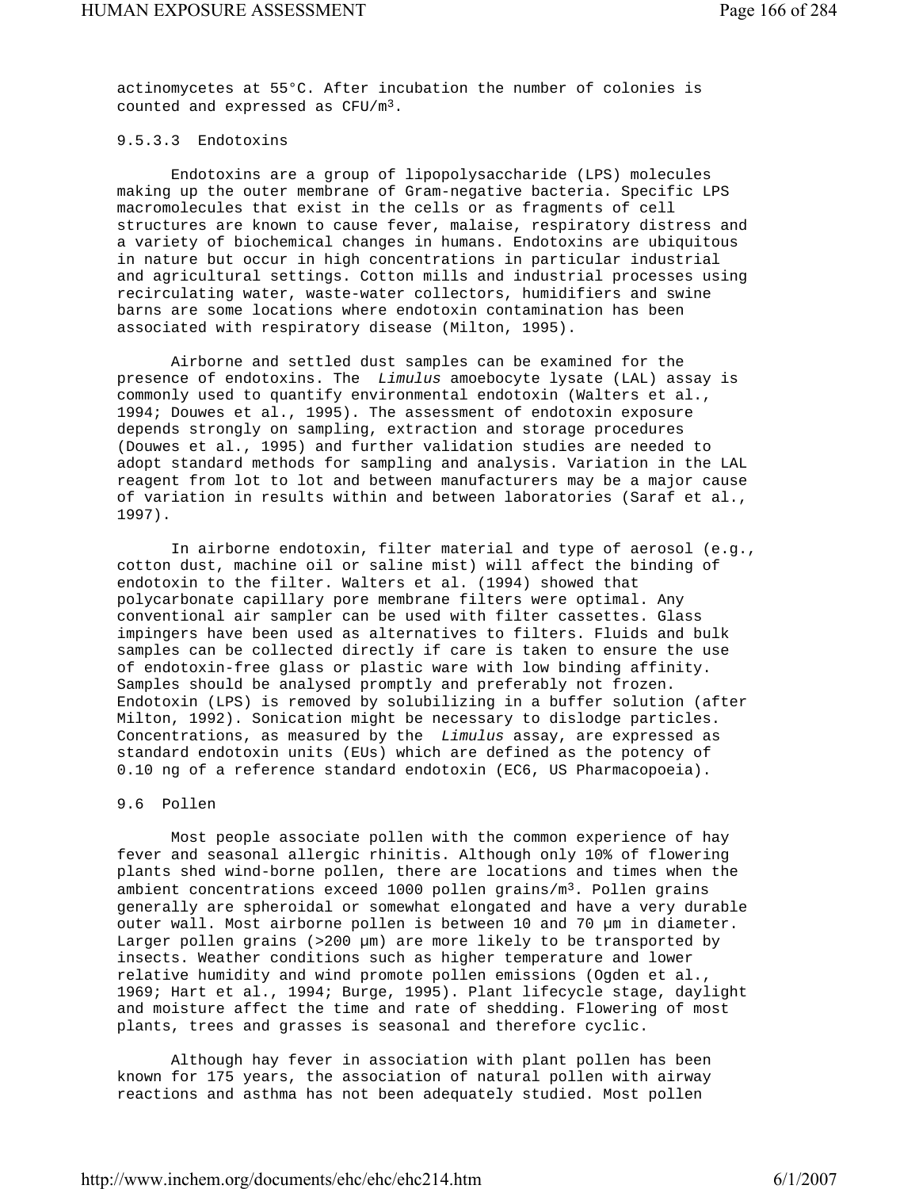actinomycetes at 55°C. After incubation the number of colonies is counted and expressed as CFU/m3.

# 9.5.3.3 Endotoxins

 Endotoxins are a group of lipopolysaccharide (LPS) molecules making up the outer membrane of Gram-negative bacteria. Specific LPS macromolecules that exist in the cells or as fragments of cell structures are known to cause fever, malaise, respiratory distress and a variety of biochemical changes in humans. Endotoxins are ubiquitous in nature but occur in high concentrations in particular industrial and agricultural settings. Cotton mills and industrial processes using recirculating water, waste-water collectors, humidifiers and swine barns are some locations where endotoxin contamination has been associated with respiratory disease (Milton, 1995).

 Airborne and settled dust samples can be examined for the presence of endotoxins. The *Limulus* amoebocyte lysate (LAL) assay is commonly used to quantify environmental endotoxin (Walters et al., 1994; Douwes et al., 1995). The assessment of endotoxin exposure depends strongly on sampling, extraction and storage procedures (Douwes et al., 1995) and further validation studies are needed to adopt standard methods for sampling and analysis. Variation in the LAL reagent from lot to lot and between manufacturers may be a major cause of variation in results within and between laboratories (Saraf et al., 1997).

 In airborne endotoxin, filter material and type of aerosol (e.g., cotton dust, machine oil or saline mist) will affect the binding of endotoxin to the filter. Walters et al. (1994) showed that polycarbonate capillary pore membrane filters were optimal. Any conventional air sampler can be used with filter cassettes. Glass impingers have been used as alternatives to filters. Fluids and bulk samples can be collected directly if care is taken to ensure the use of endotoxin-free glass or plastic ware with low binding affinity. Samples should be analysed promptly and preferably not frozen. Endotoxin (LPS) is removed by solubilizing in a buffer solution (after Milton, 1992). Sonication might be necessary to dislodge particles. Concentrations, as measured by the *Limulus* assay, are expressed as standard endotoxin units (EUs) which are defined as the potency of 0.10 ng of a reference standard endotoxin (EC6, US Pharmacopoeia).

# 9.6 Pollen

 Most people associate pollen with the common experience of hay fever and seasonal allergic rhinitis. Although only 10% of flowering plants shed wind-borne pollen, there are locations and times when the ambient concentrations exceed 1000 pollen grains/m3. Pollen grains generally are spheroidal or somewhat elongated and have a very durable outer wall. Most airborne pollen is between 10 and 70 µm in diameter. Larger pollen grains (>200 µm) are more likely to be transported by insects. Weather conditions such as higher temperature and lower relative humidity and wind promote pollen emissions (Ogden et al., 1969; Hart et al., 1994; Burge, 1995). Plant lifecycle stage, daylight and moisture affect the time and rate of shedding. Flowering of most plants, trees and grasses is seasonal and therefore cyclic.

 Although hay fever in association with plant pollen has been known for 175 years, the association of natural pollen with airway reactions and asthma has not been adequately studied. Most pollen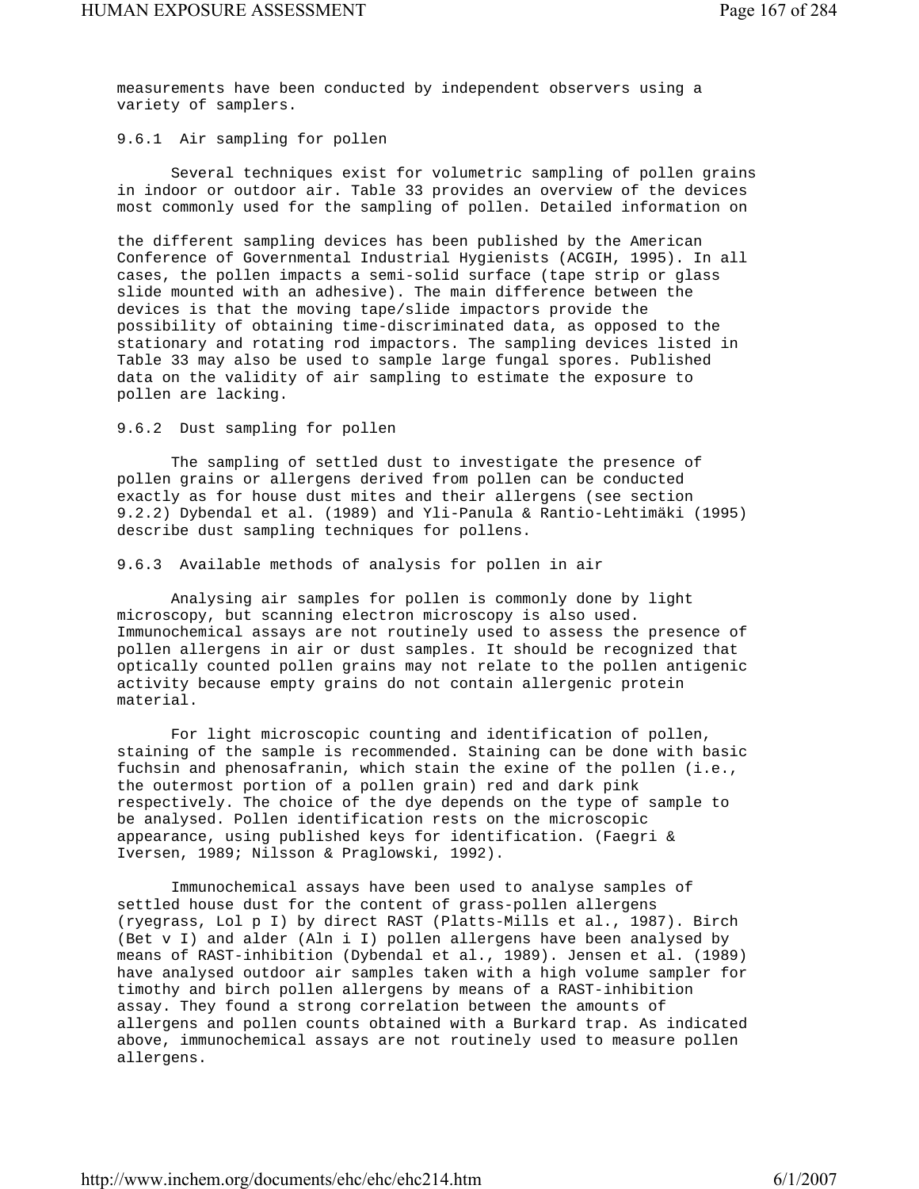measurements have been conducted by independent observers using a variety of samplers.

# 9.6.1 Air sampling for pollen

 Several techniques exist for volumetric sampling of pollen grains in indoor or outdoor air. Table 33 provides an overview of the devices most commonly used for the sampling of pollen. Detailed information on

 the different sampling devices has been published by the American Conference of Governmental Industrial Hygienists (ACGIH, 1995). In all cases, the pollen impacts a semi-solid surface (tape strip or glass slide mounted with an adhesive). The main difference between the devices is that the moving tape/slide impactors provide the possibility of obtaining time-discriminated data, as opposed to the stationary and rotating rod impactors. The sampling devices listed in Table 33 may also be used to sample large fungal spores. Published data on the validity of air sampling to estimate the exposure to pollen are lacking.

9.6.2 Dust sampling for pollen

 The sampling of settled dust to investigate the presence of pollen grains or allergens derived from pollen can be conducted exactly as for house dust mites and their allergens (see section 9.2.2) Dybendal et al. (1989) and Yli-Panula & Rantio-Lehtimäki (1995) describe dust sampling techniques for pollens.

9.6.3 Available methods of analysis for pollen in air

 Analysing air samples for pollen is commonly done by light microscopy, but scanning electron microscopy is also used. Immunochemical assays are not routinely used to assess the presence of pollen allergens in air or dust samples. It should be recognized that optically counted pollen grains may not relate to the pollen antigenic activity because empty grains do not contain allergenic protein material.

 For light microscopic counting and identification of pollen, staining of the sample is recommended. Staining can be done with basic fuchsin and phenosafranin, which stain the exine of the pollen (i.e., the outermost portion of a pollen grain) red and dark pink respectively. The choice of the dye depends on the type of sample to be analysed. Pollen identification rests on the microscopic appearance, using published keys for identification. (Faegri & Iversen, 1989; Nilsson & Praglowski, 1992).

 Immunochemical assays have been used to analyse samples of settled house dust for the content of grass-pollen allergens (ryegrass, Lol p I) by direct RAST (Platts-Mills et al., 1987). Birch (Bet v I) and alder (Aln i I) pollen allergens have been analysed by means of RAST-inhibition (Dybendal et al., 1989). Jensen et al. (1989) have analysed outdoor air samples taken with a high volume sampler for timothy and birch pollen allergens by means of a RAST-inhibition assay. They found a strong correlation between the amounts of allergens and pollen counts obtained with a Burkard trap. As indicated above, immunochemical assays are not routinely used to measure pollen allergens.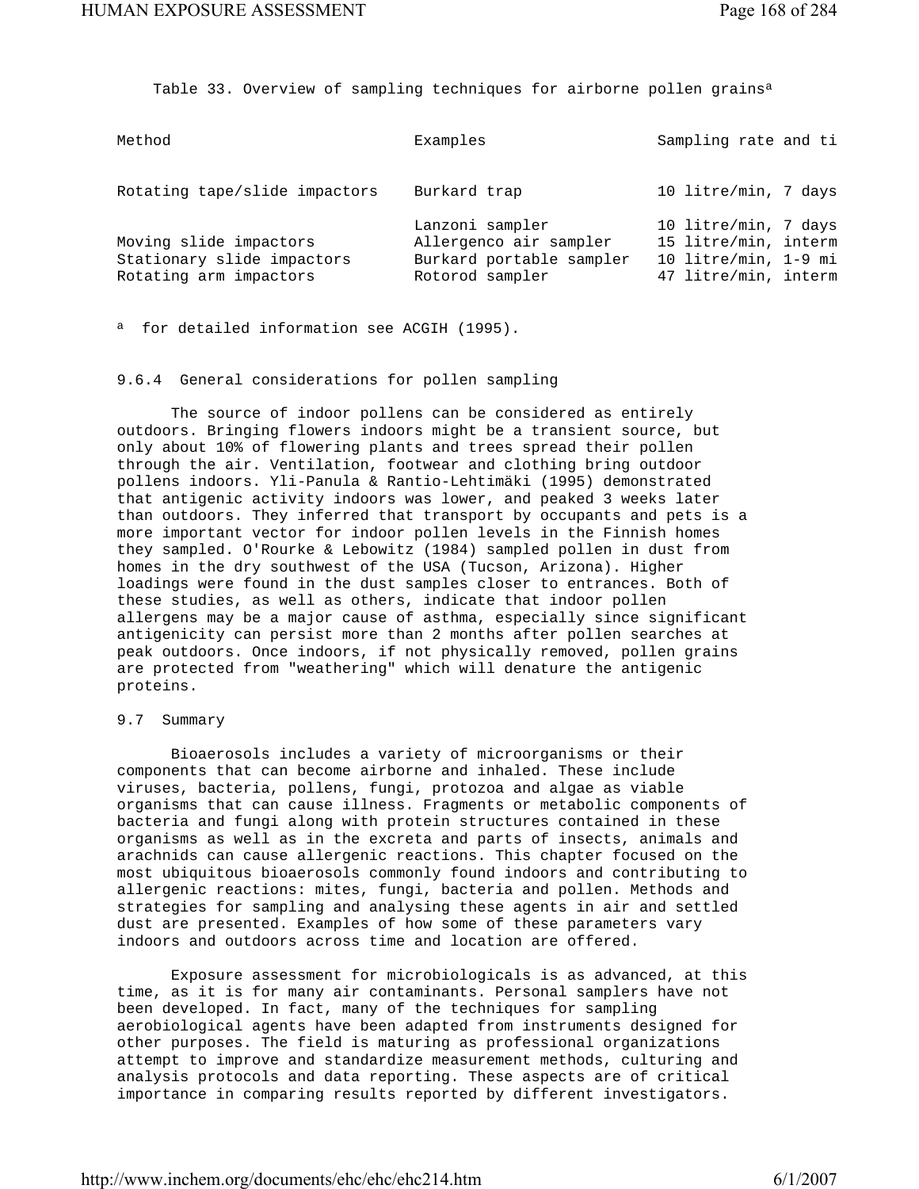Table 33. Overview of sampling techniques for airborne pollen grains<sup>a</sup>

| Method                                                                         | Examples                                                                                 | Sampling rate and ti                                                                         |
|--------------------------------------------------------------------------------|------------------------------------------------------------------------------------------|----------------------------------------------------------------------------------------------|
| Rotating tape/slide impactors                                                  | Burkard trap                                                                             | 10 litre/min, 7 days                                                                         |
| Moving slide impactors<br>Stationary slide impactors<br>Rotating arm impactors | Lanzoni sampler<br>Allergenco air sampler<br>Burkard portable sampler<br>Rotorod sampler | 10 litre/min, 7 days<br>15 litre/min, interm<br>10 litre/min, 1-9 mi<br>47 litre/min, interm |

a for detailed information see ACGIH (1995).

9.6.4 General considerations for pollen sampling

 The source of indoor pollens can be considered as entirely outdoors. Bringing flowers indoors might be a transient source, but only about 10% of flowering plants and trees spread their pollen through the air. Ventilation, footwear and clothing bring outdoor pollens indoors. Yli-Panula & Rantio-Lehtimäki (1995) demonstrated that antigenic activity indoors was lower, and peaked 3 weeks later than outdoors. They inferred that transport by occupants and pets is a more important vector for indoor pollen levels in the Finnish homes they sampled. O'Rourke & Lebowitz (1984) sampled pollen in dust from homes in the dry southwest of the USA (Tucson, Arizona). Higher loadings were found in the dust samples closer to entrances. Both of these studies, as well as others, indicate that indoor pollen allergens may be a major cause of asthma, especially since significant antigenicity can persist more than 2 months after pollen searches at peak outdoors. Once indoors, if not physically removed, pollen grains are protected from "weathering" which will denature the antigenic proteins.

#### 9.7 Summary

 Bioaerosols includes a variety of microorganisms or their components that can become airborne and inhaled. These include viruses, bacteria, pollens, fungi, protozoa and algae as viable organisms that can cause illness. Fragments or metabolic components of bacteria and fungi along with protein structures contained in these organisms as well as in the excreta and parts of insects, animals and arachnids can cause allergenic reactions. This chapter focused on the most ubiquitous bioaerosols commonly found indoors and contributing to allergenic reactions: mites, fungi, bacteria and pollen. Methods and strategies for sampling and analysing these agents in air and settled dust are presented. Examples of how some of these parameters vary indoors and outdoors across time and location are offered.

 Exposure assessment for microbiologicals is as advanced, at this time, as it is for many air contaminants. Personal samplers have not been developed. In fact, many of the techniques for sampling aerobiological agents have been adapted from instruments designed for other purposes. The field is maturing as professional organizations attempt to improve and standardize measurement methods, culturing and analysis protocols and data reporting. These aspects are of critical importance in comparing results reported by different investigators.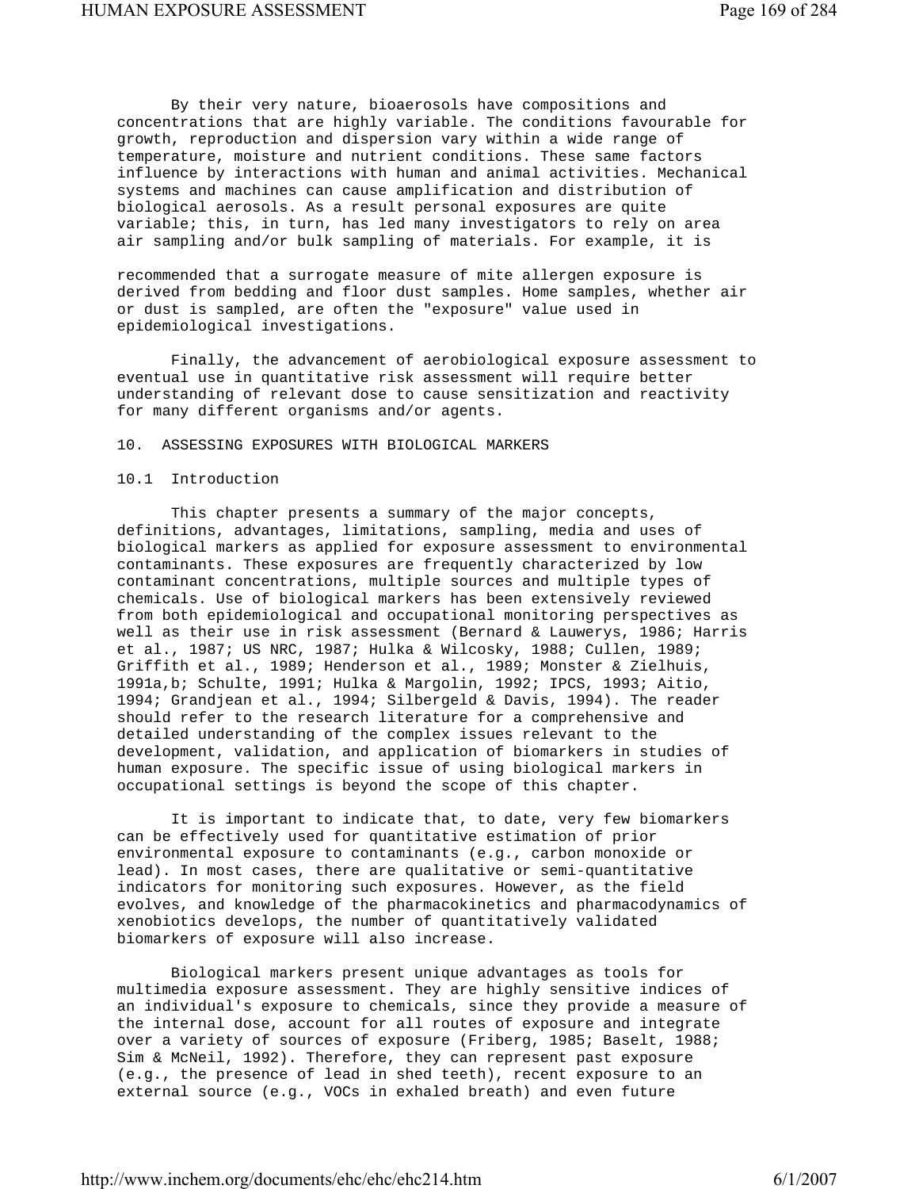By their very nature, bioaerosols have compositions and concentrations that are highly variable. The conditions favourable for growth, reproduction and dispersion vary within a wide range of temperature, moisture and nutrient conditions. These same factors influence by interactions with human and animal activities. Mechanical systems and machines can cause amplification and distribution of biological aerosols. As a result personal exposures are quite variable; this, in turn, has led many investigators to rely on area air sampling and/or bulk sampling of materials. For example, it is

 recommended that a surrogate measure of mite allergen exposure is derived from bedding and floor dust samples. Home samples, whether air or dust is sampled, are often the "exposure" value used in epidemiological investigations.

 Finally, the advancement of aerobiological exposure assessment to eventual use in quantitative risk assessment will require better understanding of relevant dose to cause sensitization and reactivity for many different organisms and/or agents.

### 10. ASSESSING EXPOSURES WITH BIOLOGICAL MARKERS

# 10.1 Introduction

 This chapter presents a summary of the major concepts, definitions, advantages, limitations, sampling, media and uses of biological markers as applied for exposure assessment to environmental contaminants. These exposures are frequently characterized by low contaminant concentrations, multiple sources and multiple types of chemicals. Use of biological markers has been extensively reviewed from both epidemiological and occupational monitoring perspectives as well as their use in risk assessment (Bernard & Lauwerys, 1986; Harris et al., 1987; US NRC, 1987; Hulka & Wilcosky, 1988; Cullen, 1989; Griffith et al., 1989; Henderson et al., 1989; Monster & Zielhuis, 1991a,b; Schulte, 1991; Hulka & Margolin, 1992; IPCS, 1993; Aitio, 1994; Grandjean et al., 1994; Silbergeld & Davis, 1994). The reader should refer to the research literature for a comprehensive and detailed understanding of the complex issues relevant to the development, validation, and application of biomarkers in studies of human exposure. The specific issue of using biological markers in occupational settings is beyond the scope of this chapter.

 It is important to indicate that, to date, very few biomarkers can be effectively used for quantitative estimation of prior environmental exposure to contaminants (e.g., carbon monoxide or lead). In most cases, there are qualitative or semi-quantitative indicators for monitoring such exposures. However, as the field evolves, and knowledge of the pharmacokinetics and pharmacodynamics of xenobiotics develops, the number of quantitatively validated biomarkers of exposure will also increase.

 Biological markers present unique advantages as tools for multimedia exposure assessment. They are highly sensitive indices of an individual's exposure to chemicals, since they provide a measure of the internal dose, account for all routes of exposure and integrate over a variety of sources of exposure (Friberg, 1985; Baselt, 1988; Sim & McNeil, 1992). Therefore, they can represent past exposure (e.g., the presence of lead in shed teeth), recent exposure to an external source (e.g., VOCs in exhaled breath) and even future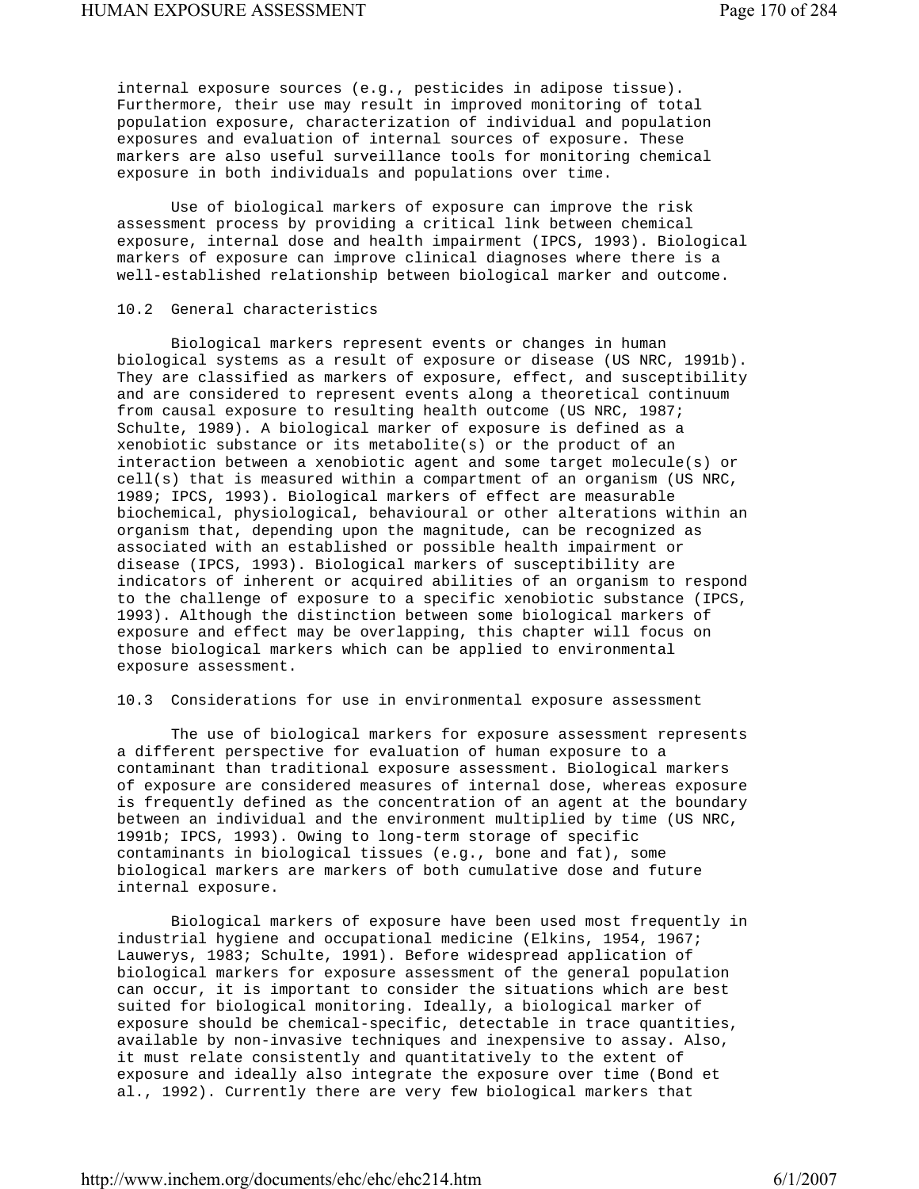internal exposure sources (e.g., pesticides in adipose tissue). Furthermore, their use may result in improved monitoring of total population exposure, characterization of individual and population exposures and evaluation of internal sources of exposure. These markers are also useful surveillance tools for monitoring chemical exposure in both individuals and populations over time.

 Use of biological markers of exposure can improve the risk assessment process by providing a critical link between chemical exposure, internal dose and health impairment (IPCS, 1993). Biological markers of exposure can improve clinical diagnoses where there is a well-established relationship between biological marker and outcome.

# 10.2 General characteristics

 Biological markers represent events or changes in human biological systems as a result of exposure or disease (US NRC, 1991b). They are classified as markers of exposure, effect, and susceptibility and are considered to represent events along a theoretical continuum from causal exposure to resulting health outcome (US NRC, 1987; Schulte, 1989). A biological marker of exposure is defined as a xenobiotic substance or its metabolite(s) or the product of an interaction between a xenobiotic agent and some target molecule(s) or cell(s) that is measured within a compartment of an organism (US NRC, 1989; IPCS, 1993). Biological markers of effect are measurable biochemical, physiological, behavioural or other alterations within an organism that, depending upon the magnitude, can be recognized as associated with an established or possible health impairment or disease (IPCS, 1993). Biological markers of susceptibility are indicators of inherent or acquired abilities of an organism to respond to the challenge of exposure to a specific xenobiotic substance (IPCS, 1993). Although the distinction between some biological markers of exposure and effect may be overlapping, this chapter will focus on those biological markers which can be applied to environmental exposure assessment.

### 10.3 Considerations for use in environmental exposure assessment

 The use of biological markers for exposure assessment represents a different perspective for evaluation of human exposure to a contaminant than traditional exposure assessment. Biological markers of exposure are considered measures of internal dose, whereas exposure is frequently defined as the concentration of an agent at the boundary between an individual and the environment multiplied by time (US NRC, 1991b; IPCS, 1993). Owing to long-term storage of specific contaminants in biological tissues (e.g., bone and fat), some biological markers are markers of both cumulative dose and future internal exposure.

 Biological markers of exposure have been used most frequently in industrial hygiene and occupational medicine (Elkins, 1954, 1967; Lauwerys, 1983; Schulte, 1991). Before widespread application of biological markers for exposure assessment of the general population can occur, it is important to consider the situations which are best suited for biological monitoring. Ideally, a biological marker of exposure should be chemical-specific, detectable in trace quantities, available by non-invasive techniques and inexpensive to assay. Also, it must relate consistently and quantitatively to the extent of exposure and ideally also integrate the exposure over time (Bond et al., 1992). Currently there are very few biological markers that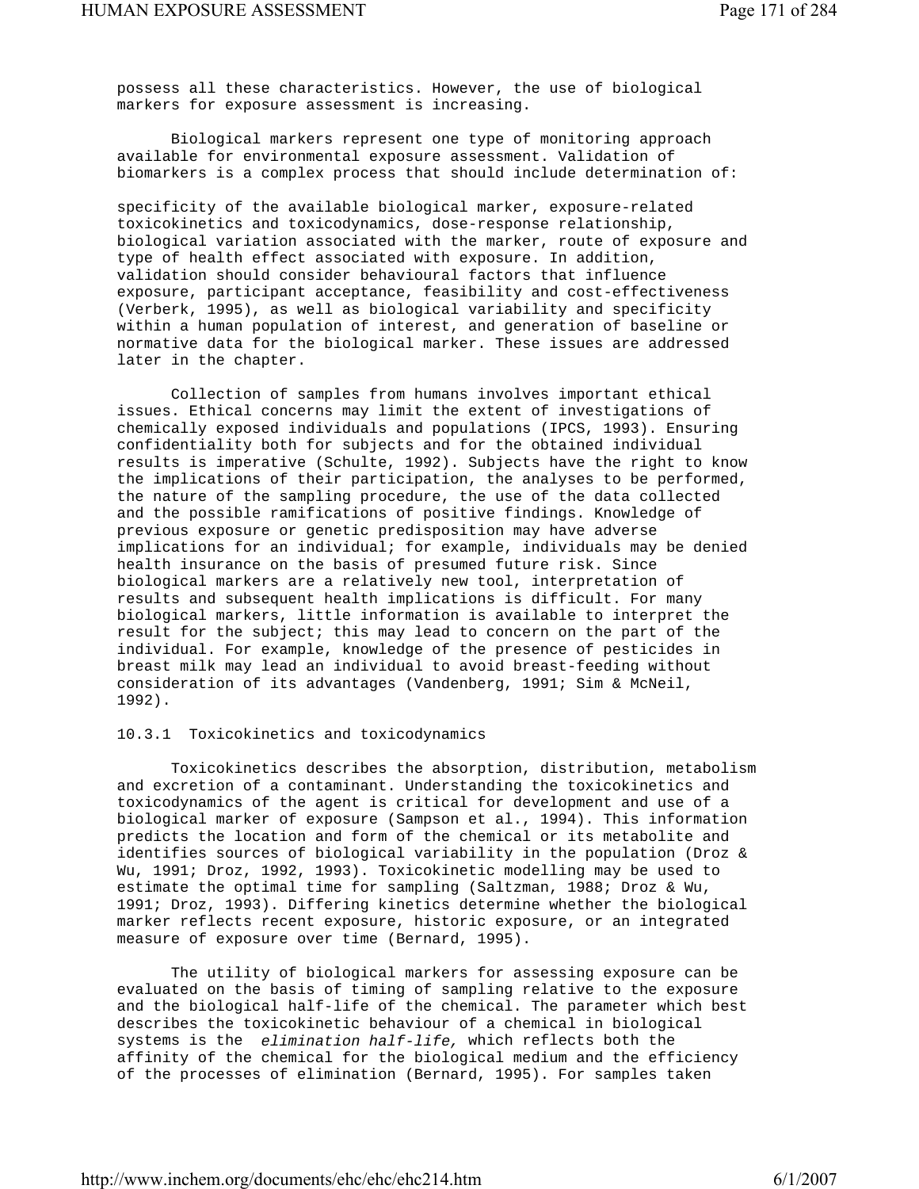possess all these characteristics. However, the use of biological markers for exposure assessment is increasing.

 Biological markers represent one type of monitoring approach available for environmental exposure assessment. Validation of biomarkers is a complex process that should include determination of:

 specificity of the available biological marker, exposure-related toxicokinetics and toxicodynamics, dose-response relationship, biological variation associated with the marker, route of exposure and type of health effect associated with exposure. In addition, validation should consider behavioural factors that influence exposure, participant acceptance, feasibility and cost-effectiveness (Verberk, 1995), as well as biological variability and specificity within a human population of interest, and generation of baseline or normative data for the biological marker. These issues are addressed later in the chapter.

 Collection of samples from humans involves important ethical issues. Ethical concerns may limit the extent of investigations of chemically exposed individuals and populations (IPCS, 1993). Ensuring confidentiality both for subjects and for the obtained individual results is imperative (Schulte, 1992). Subjects have the right to know the implications of their participation, the analyses to be performed, the nature of the sampling procedure, the use of the data collected and the possible ramifications of positive findings. Knowledge of previous exposure or genetic predisposition may have adverse implications for an individual; for example, individuals may be denied health insurance on the basis of presumed future risk. Since biological markers are a relatively new tool, interpretation of results and subsequent health implications is difficult. For many biological markers, little information is available to interpret the result for the subject; this may lead to concern on the part of the individual. For example, knowledge of the presence of pesticides in breast milk may lead an individual to avoid breast-feeding without consideration of its advantages (Vandenberg, 1991; Sim & McNeil, 1992).

### 10.3.1 Toxicokinetics and toxicodynamics

 Toxicokinetics describes the absorption, distribution, metabolism and excretion of a contaminant. Understanding the toxicokinetics and toxicodynamics of the agent is critical for development and use of a biological marker of exposure (Sampson et al., 1994). This information predicts the location and form of the chemical or its metabolite and identifies sources of biological variability in the population (Droz & Wu, 1991; Droz, 1992, 1993). Toxicokinetic modelling may be used to estimate the optimal time for sampling (Saltzman, 1988; Droz & Wu, 1991; Droz, 1993). Differing kinetics determine whether the biological marker reflects recent exposure, historic exposure, or an integrated measure of exposure over time (Bernard, 1995).

 The utility of biological markers for assessing exposure can be evaluated on the basis of timing of sampling relative to the exposure and the biological half-life of the chemical. The parameter which best describes the toxicokinetic behaviour of a chemical in biological systems is the *elimination half-life,* which reflects both the affinity of the chemical for the biological medium and the efficiency of the processes of elimination (Bernard, 1995). For samples taken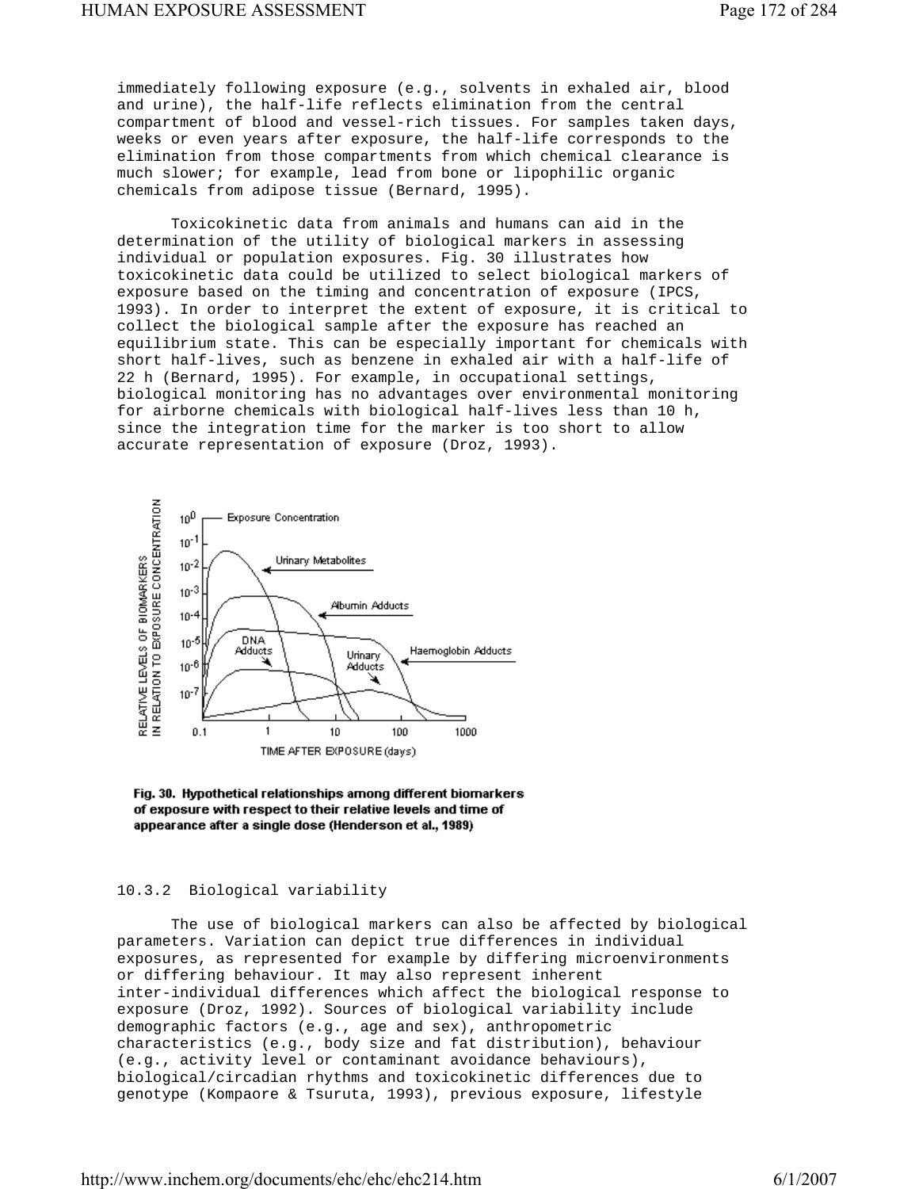immediately following exposure (e.g., solvents in exhaled air, blood and urine), the half-life reflects elimination from the central compartment of blood and vessel-rich tissues. For samples taken days, weeks or even years after exposure, the half-life corresponds to the elimination from those compartments from which chemical clearance is much slower; for example, lead from bone or lipophilic organic chemicals from adipose tissue (Bernard, 1995).

 Toxicokinetic data from animals and humans can aid in the determination of the utility of biological markers in assessing individual or population exposures. Fig. 30 illustrates how toxicokinetic data could be utilized to select biological markers of exposure based on the timing and concentration of exposure (IPCS, 1993). In order to interpret the extent of exposure, it is critical to collect the biological sample after the exposure has reached an equilibrium state. This can be especially important for chemicals with short half-lives, such as benzene in exhaled air with a half-life of 22 h (Bernard, 1995). For example, in occupational settings, biological monitoring has no advantages over environmental monitoring for airborne chemicals with biological half-lives less than 10 h, since the integration time for the marker is too short to allow accurate representation of exposure (Droz, 1993).





### 10.3.2 Biological variability

 The use of biological markers can also be affected by biological parameters. Variation can depict true differences in individual exposures, as represented for example by differing microenvironments or differing behaviour. It may also represent inherent inter-individual differences which affect the biological response to exposure (Droz, 1992). Sources of biological variability include demographic factors (e.g., age and sex), anthropometric characteristics (e.g., body size and fat distribution), behaviour (e.g., activity level or contaminant avoidance behaviours), biological/circadian rhythms and toxicokinetic differences due to genotype (Kompaore & Tsuruta, 1993), previous exposure, lifestyle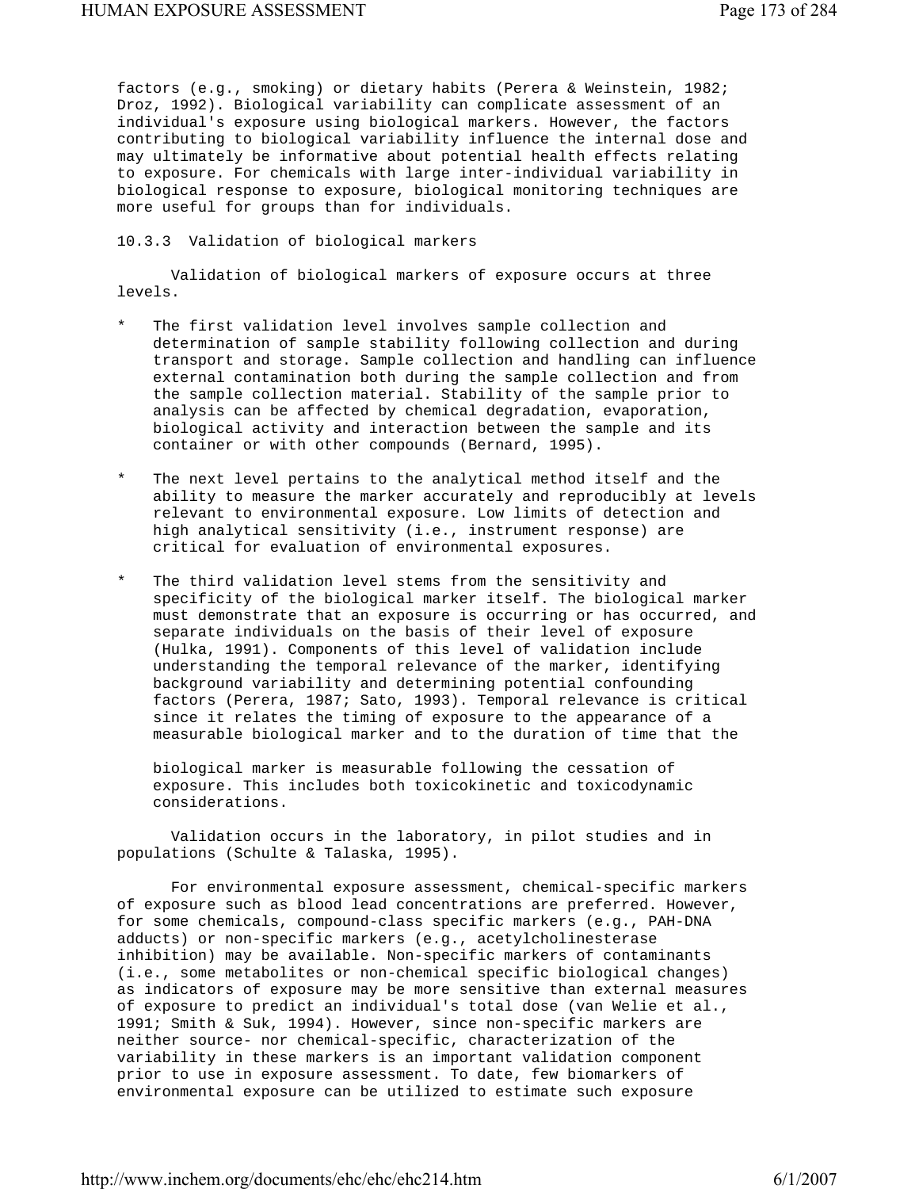factors (e.g., smoking) or dietary habits (Perera & Weinstein, 1982; Droz, 1992). Biological variability can complicate assessment of an individual's exposure using biological markers. However, the factors contributing to biological variability influence the internal dose and may ultimately be informative about potential health effects relating to exposure. For chemicals with large inter-individual variability in biological response to exposure, biological monitoring techniques are more useful for groups than for individuals.

#### 10.3.3 Validation of biological markers

 Validation of biological markers of exposure occurs at three levels.

- The first validation level involves sample collection and determination of sample stability following collection and during transport and storage. Sample collection and handling can influence external contamination both during the sample collection and from the sample collection material. Stability of the sample prior to analysis can be affected by chemical degradation, evaporation, biological activity and interaction between the sample and its container or with other compounds (Bernard, 1995).
- The next level pertains to the analytical method itself and the ability to measure the marker accurately and reproducibly at levels relevant to environmental exposure. Low limits of detection and high analytical sensitivity (i.e., instrument response) are critical for evaluation of environmental exposures.
- The third validation level stems from the sensitivity and specificity of the biological marker itself. The biological marker must demonstrate that an exposure is occurring or has occurred, and separate individuals on the basis of their level of exposure (Hulka, 1991). Components of this level of validation include understanding the temporal relevance of the marker, identifying background variability and determining potential confounding factors (Perera, 1987; Sato, 1993). Temporal relevance is critical since it relates the timing of exposure to the appearance of a measurable biological marker and to the duration of time that the

 biological marker is measurable following the cessation of exposure. This includes both toxicokinetic and toxicodynamic considerations.

 Validation occurs in the laboratory, in pilot studies and in populations (Schulte & Talaska, 1995).

 For environmental exposure assessment, chemical-specific markers of exposure such as blood lead concentrations are preferred. However, for some chemicals, compound-class specific markers (e.g., PAH-DNA adducts) or non-specific markers (e.g., acetylcholinesterase inhibition) may be available. Non-specific markers of contaminants (i.e., some metabolites or non-chemical specific biological changes) as indicators of exposure may be more sensitive than external measures of exposure to predict an individual's total dose (van Welie et al., 1991; Smith & Suk, 1994). However, since non-specific markers are neither source- nor chemical-specific, characterization of the variability in these markers is an important validation component prior to use in exposure assessment. To date, few biomarkers of environmental exposure can be utilized to estimate such exposure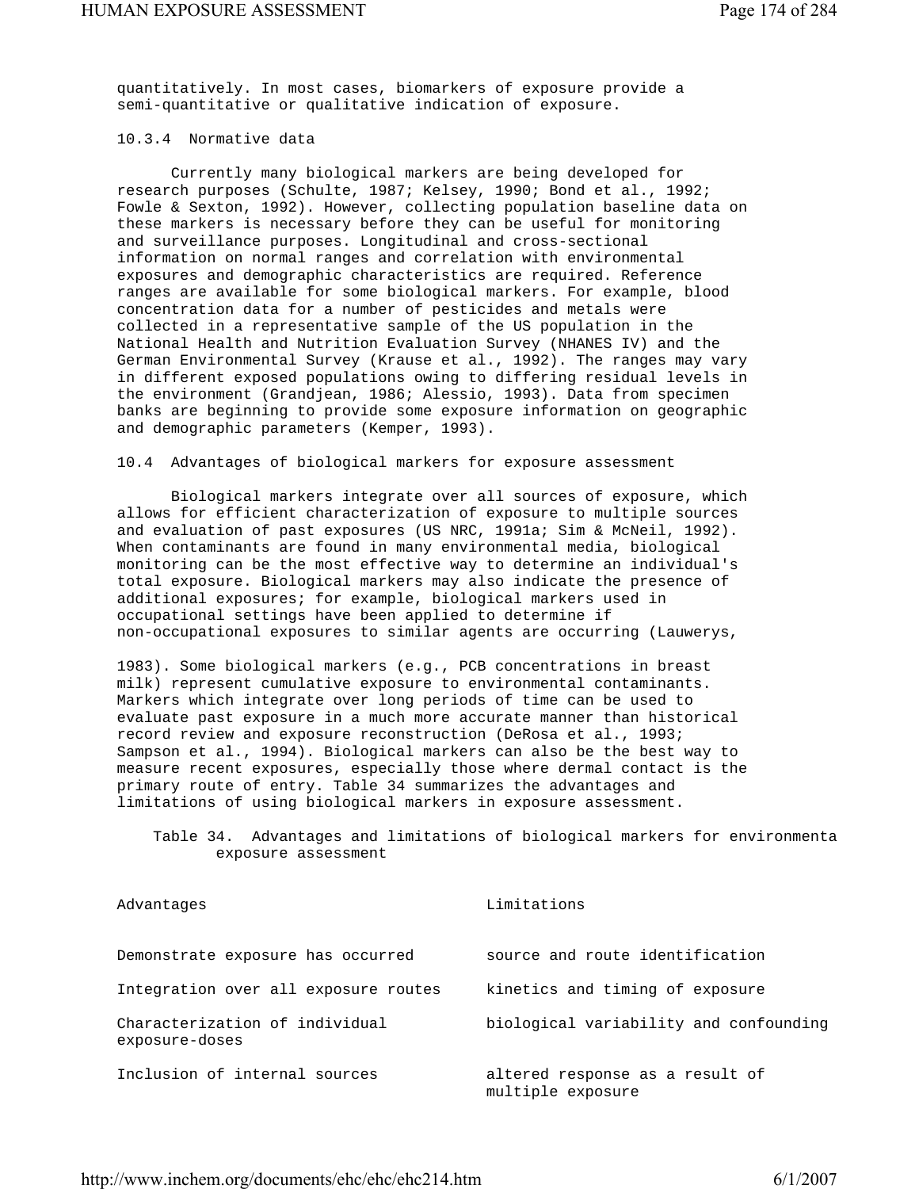quantitatively. In most cases, biomarkers of exposure provide a semi-quantitative or qualitative indication of exposure.

# 10.3.4 Normative data

 Currently many biological markers are being developed for research purposes (Schulte, 1987; Kelsey, 1990; Bond et al., 1992; Fowle & Sexton, 1992). However, collecting population baseline data on these markers is necessary before they can be useful for monitoring and surveillance purposes. Longitudinal and cross-sectional information on normal ranges and correlation with environmental exposures and demographic characteristics are required. Reference ranges are available for some biological markers. For example, blood concentration data for a number of pesticides and metals were collected in a representative sample of the US population in the National Health and Nutrition Evaluation Survey (NHANES IV) and the German Environmental Survey (Krause et al., 1992). The ranges may vary in different exposed populations owing to differing residual levels in the environment (Grandjean, 1986; Alessio, 1993). Data from specimen banks are beginning to provide some exposure information on geographic and demographic parameters (Kemper, 1993).

# 10.4 Advantages of biological markers for exposure assessment

 Biological markers integrate over all sources of exposure, which allows for efficient characterization of exposure to multiple sources and evaluation of past exposures (US NRC, 1991a; Sim & McNeil, 1992). When contaminants are found in many environmental media, biological monitoring can be the most effective way to determine an individual's total exposure. Biological markers may also indicate the presence of additional exposures; for example, biological markers used in occupational settings have been applied to determine if non-occupational exposures to similar agents are occurring (Lauwerys,

 1983). Some biological markers (e.g., PCB concentrations in breast milk) represent cumulative exposure to environmental contaminants. Markers which integrate over long periods of time can be used to evaluate past exposure in a much more accurate manner than historical record review and exposure reconstruction (DeRosa et al., 1993; Sampson et al., 1994). Biological markers can also be the best way to measure recent exposures, especially those where dermal contact is the primary route of entry. Table 34 summarizes the advantages and limitations of using biological markers in exposure assessment.

 Table 34. Advantages and limitations of biological markers for environmenta exposure assessment

| Advantages                                       | Limitations                                          |
|--------------------------------------------------|------------------------------------------------------|
| Demonstrate exposure has occurred                | source and route identification                      |
| Integration over all exposure routes             | kinetics and timing of exposure                      |
| Characterization of individual<br>exposure-doses | biological variability and confounding               |
| Inclusion of internal sources                    | altered response as a result of<br>multiple exposure |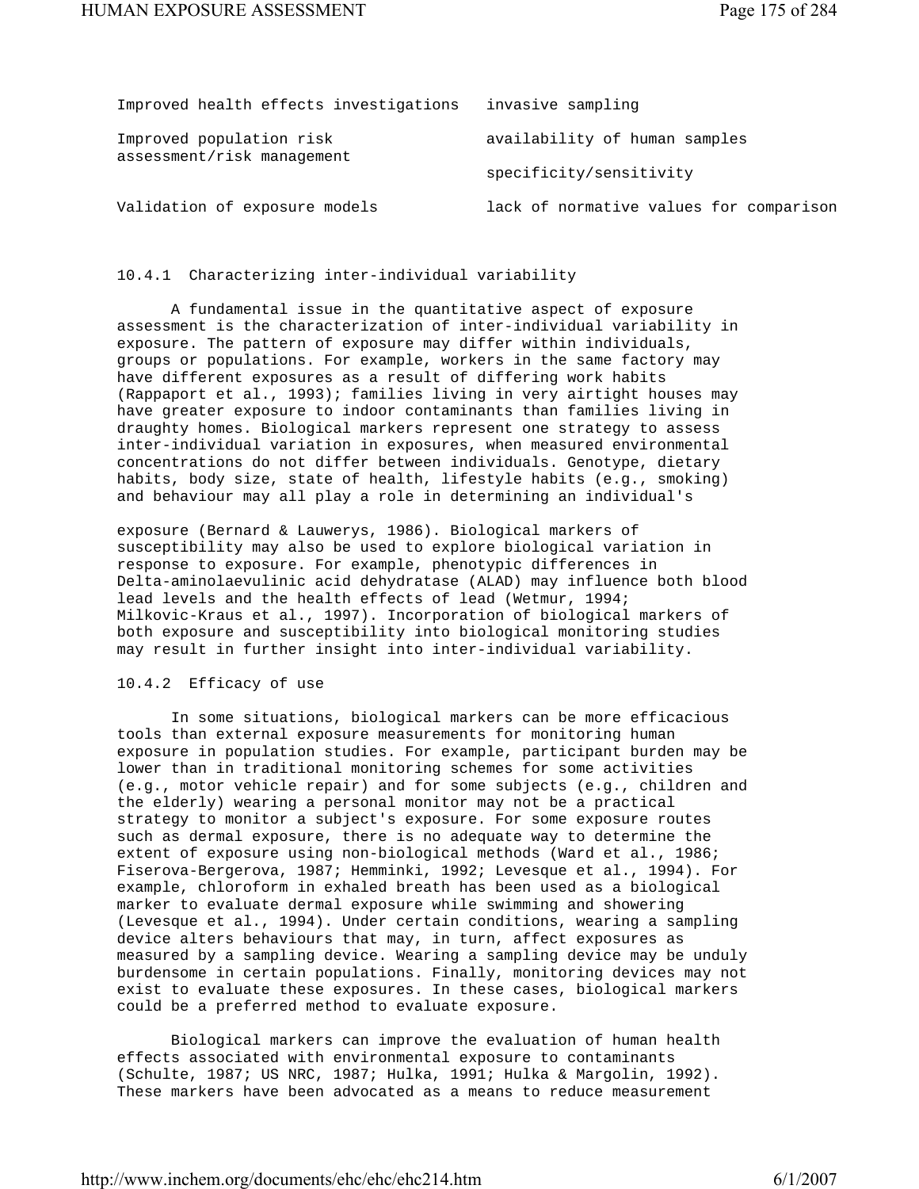| Improved health effects investigations                 | invasive sampling                       |
|--------------------------------------------------------|-----------------------------------------|
| Improved population risk<br>assessment/risk management | availability of human samples           |
|                                                        | specificity/sensitivity                 |
| Validation of exposure models                          | lack of normative values for comparison |

10.4.1 Characterizing inter-individual variability

 A fundamental issue in the quantitative aspect of exposure assessment is the characterization of inter-individual variability in exposure. The pattern of exposure may differ within individuals, groups or populations. For example, workers in the same factory may have different exposures as a result of differing work habits (Rappaport et al., 1993); families living in very airtight houses may have greater exposure to indoor contaminants than families living in draughty homes. Biological markers represent one strategy to assess inter-individual variation in exposures, when measured environmental concentrations do not differ between individuals. Genotype, dietary habits, body size, state of health, lifestyle habits (e.g., smoking) and behaviour may all play a role in determining an individual's

 exposure (Bernard & Lauwerys, 1986). Biological markers of susceptibility may also be used to explore biological variation in response to exposure. For example, phenotypic differences in Delta-aminolaevulinic acid dehydratase (ALAD) may influence both blood lead levels and the health effects of lead (Wetmur, 1994; Milkovic-Kraus et al., 1997). Incorporation of biological markers of both exposure and susceptibility into biological monitoring studies may result in further insight into inter-individual variability.

# 10.4.2 Efficacy of use

 In some situations, biological markers can be more efficacious tools than external exposure measurements for monitoring human exposure in population studies. For example, participant burden may be lower than in traditional monitoring schemes for some activities (e.g., motor vehicle repair) and for some subjects (e.g., children and the elderly) wearing a personal monitor may not be a practical strategy to monitor a subject's exposure. For some exposure routes such as dermal exposure, there is no adequate way to determine the extent of exposure using non-biological methods (Ward et al., 1986; Fiserova-Bergerova, 1987; Hemminki, 1992; Levesque et al., 1994). For example, chloroform in exhaled breath has been used as a biological marker to evaluate dermal exposure while swimming and showering (Levesque et al., 1994). Under certain conditions, wearing a sampling device alters behaviours that may, in turn, affect exposures as measured by a sampling device. Wearing a sampling device may be unduly burdensome in certain populations. Finally, monitoring devices may not exist to evaluate these exposures. In these cases, biological markers could be a preferred method to evaluate exposure.

 Biological markers can improve the evaluation of human health effects associated with environmental exposure to contaminants (Schulte, 1987; US NRC, 1987; Hulka, 1991; Hulka & Margolin, 1992). These markers have been advocated as a means to reduce measurement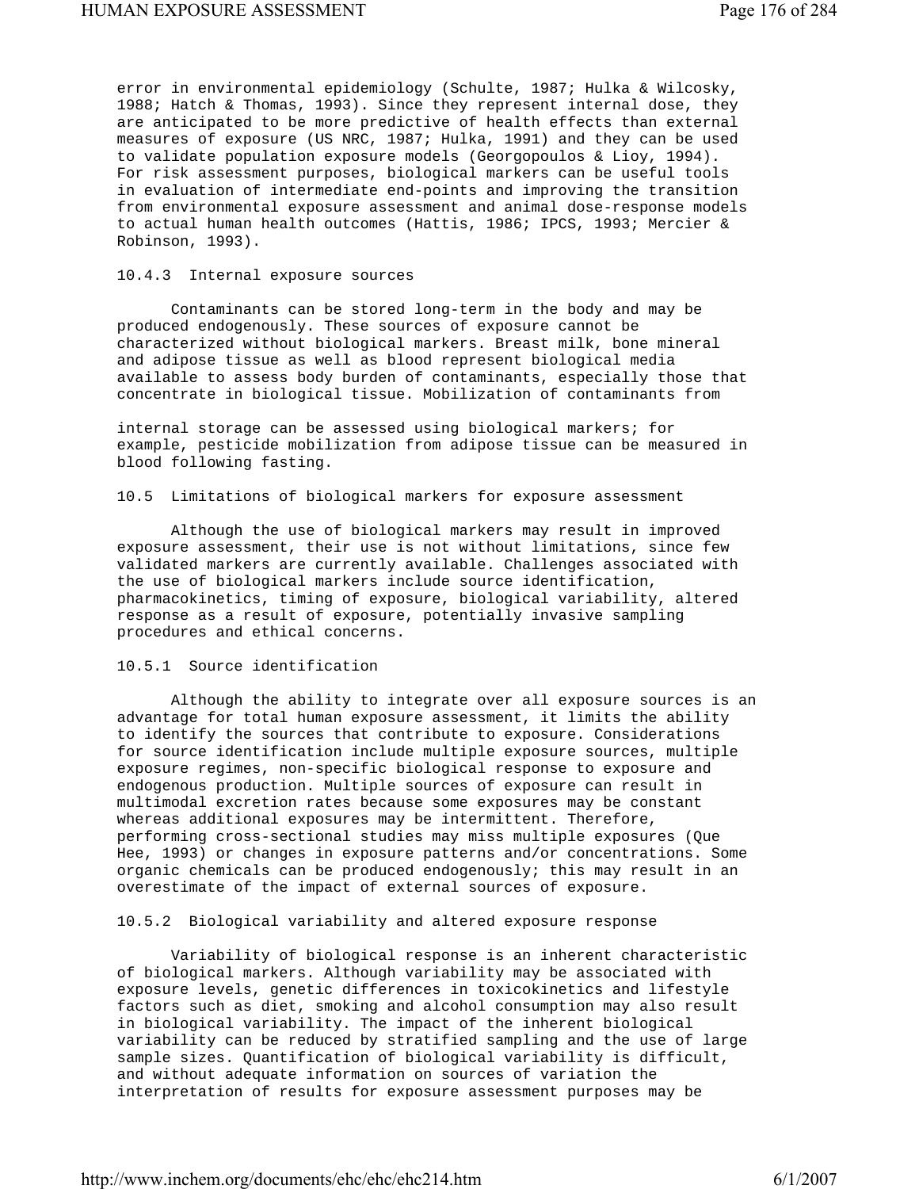error in environmental epidemiology (Schulte, 1987; Hulka & Wilcosky, 1988; Hatch & Thomas, 1993). Since they represent internal dose, they are anticipated to be more predictive of health effects than external measures of exposure (US NRC, 1987; Hulka, 1991) and they can be used to validate population exposure models (Georgopoulos & Lioy, 1994). For risk assessment purposes, biological markers can be useful tools in evaluation of intermediate end-points and improving the transition from environmental exposure assessment and animal dose-response models to actual human health outcomes (Hattis, 1986; IPCS, 1993; Mercier & Robinson, 1993).

## 10.4.3 Internal exposure sources

 Contaminants can be stored long-term in the body and may be produced endogenously. These sources of exposure cannot be characterized without biological markers. Breast milk, bone mineral and adipose tissue as well as blood represent biological media available to assess body burden of contaminants, especially those that concentrate in biological tissue. Mobilization of contaminants from

 internal storage can be assessed using biological markers; for example, pesticide mobilization from adipose tissue can be measured in blood following fasting.

10.5 Limitations of biological markers for exposure assessment

 Although the use of biological markers may result in improved exposure assessment, their use is not without limitations, since few validated markers are currently available. Challenges associated with the use of biological markers include source identification, pharmacokinetics, timing of exposure, biological variability, altered response as a result of exposure, potentially invasive sampling procedures and ethical concerns.

### 10.5.1 Source identification

 Although the ability to integrate over all exposure sources is an advantage for total human exposure assessment, it limits the ability to identify the sources that contribute to exposure. Considerations for source identification include multiple exposure sources, multiple exposure regimes, non-specific biological response to exposure and endogenous production. Multiple sources of exposure can result in multimodal excretion rates because some exposures may be constant whereas additional exposures may be intermittent. Therefore, performing cross-sectional studies may miss multiple exposures (Que Hee, 1993) or changes in exposure patterns and/or concentrations. Some organic chemicals can be produced endogenously; this may result in an overestimate of the impact of external sources of exposure.

#### 10.5.2 Biological variability and altered exposure response

 Variability of biological response is an inherent characteristic of biological markers. Although variability may be associated with exposure levels, genetic differences in toxicokinetics and lifestyle factors such as diet, smoking and alcohol consumption may also result in biological variability. The impact of the inherent biological variability can be reduced by stratified sampling and the use of large sample sizes. Quantification of biological variability is difficult, and without adequate information on sources of variation the interpretation of results for exposure assessment purposes may be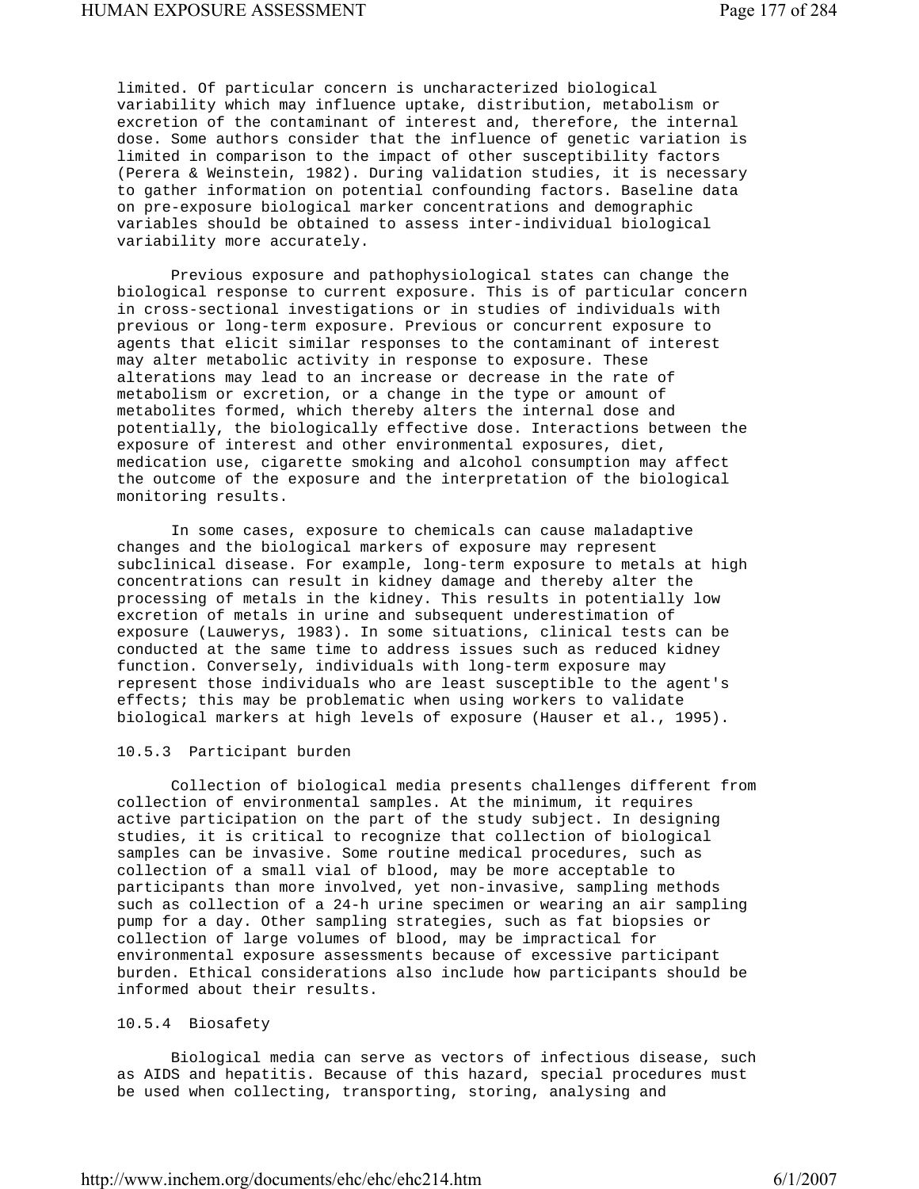limited. Of particular concern is uncharacterized biological variability which may influence uptake, distribution, metabolism or excretion of the contaminant of interest and, therefore, the internal dose. Some authors consider that the influence of genetic variation is limited in comparison to the impact of other susceptibility factors (Perera & Weinstein, 1982). During validation studies, it is necessary to gather information on potential confounding factors. Baseline data on pre-exposure biological marker concentrations and demographic variables should be obtained to assess inter-individual biological variability more accurately.

 Previous exposure and pathophysiological states can change the biological response to current exposure. This is of particular concern in cross-sectional investigations or in studies of individuals with previous or long-term exposure. Previous or concurrent exposure to agents that elicit similar responses to the contaminant of interest may alter metabolic activity in response to exposure. These alterations may lead to an increase or decrease in the rate of metabolism or excretion, or a change in the type or amount of metabolites formed, which thereby alters the internal dose and potentially, the biologically effective dose. Interactions between the exposure of interest and other environmental exposures, diet, medication use, cigarette smoking and alcohol consumption may affect the outcome of the exposure and the interpretation of the biological monitoring results.

 In some cases, exposure to chemicals can cause maladaptive changes and the biological markers of exposure may represent subclinical disease. For example, long-term exposure to metals at high concentrations can result in kidney damage and thereby alter the processing of metals in the kidney. This results in potentially low excretion of metals in urine and subsequent underestimation of exposure (Lauwerys, 1983). In some situations, clinical tests can be conducted at the same time to address issues such as reduced kidney function. Conversely, individuals with long-term exposure may represent those individuals who are least susceptible to the agent's effects; this may be problematic when using workers to validate biological markers at high levels of exposure (Hauser et al., 1995).

# 10.5.3 Participant burden

 Collection of biological media presents challenges different from collection of environmental samples. At the minimum, it requires active participation on the part of the study subject. In designing studies, it is critical to recognize that collection of biological samples can be invasive. Some routine medical procedures, such as collection of a small vial of blood, may be more acceptable to participants than more involved, yet non-invasive, sampling methods such as collection of a 24-h urine specimen or wearing an air sampling pump for a day. Other sampling strategies, such as fat biopsies or collection of large volumes of blood, may be impractical for environmental exposure assessments because of excessive participant burden. Ethical considerations also include how participants should be informed about their results.

### 10.5.4 Biosafety

 Biological media can serve as vectors of infectious disease, such as AIDS and hepatitis. Because of this hazard, special procedures must be used when collecting, transporting, storing, analysing and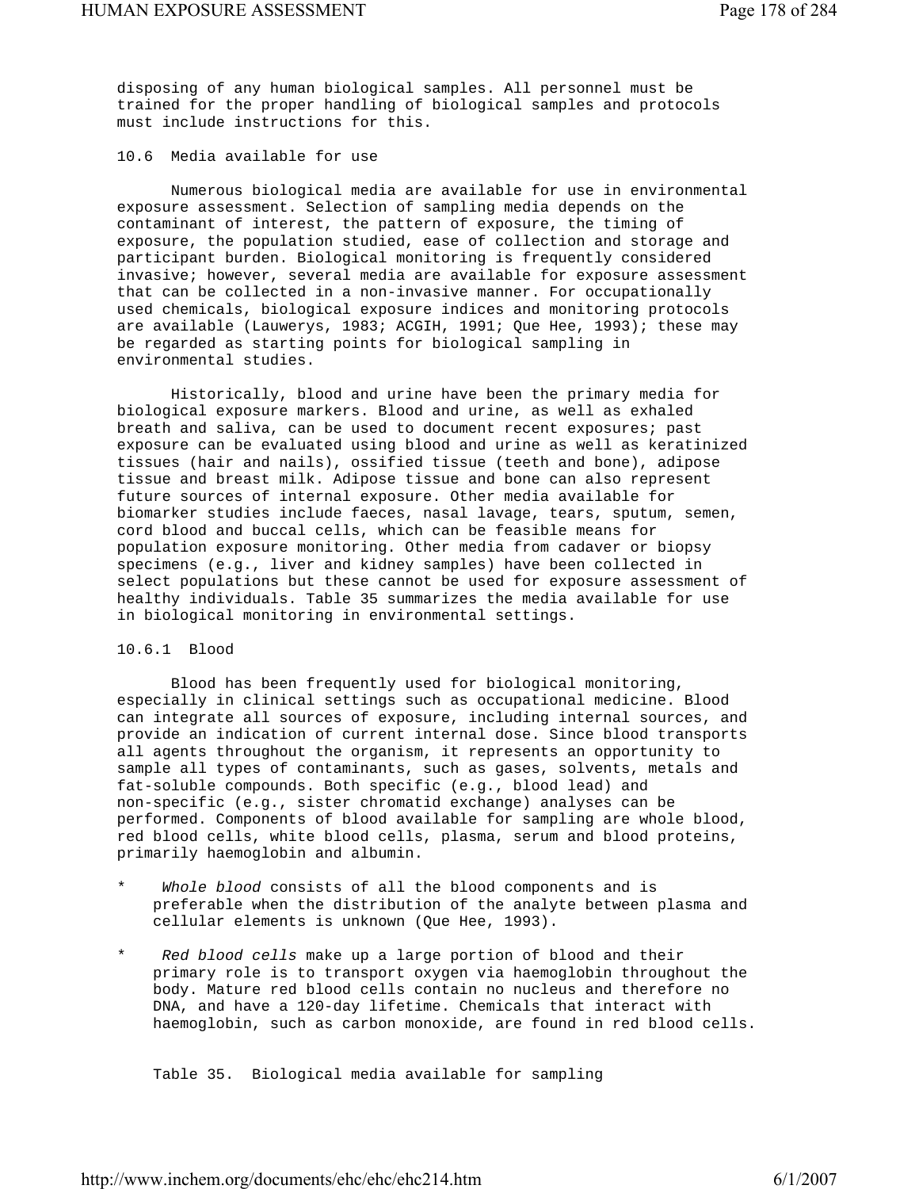disposing of any human biological samples. All personnel must be trained for the proper handling of biological samples and protocols must include instructions for this.

# 10.6 Media available for use

 Numerous biological media are available for use in environmental exposure assessment. Selection of sampling media depends on the contaminant of interest, the pattern of exposure, the timing of exposure, the population studied, ease of collection and storage and participant burden. Biological monitoring is frequently considered invasive; however, several media are available for exposure assessment that can be collected in a non-invasive manner. For occupationally used chemicals, biological exposure indices and monitoring protocols are available (Lauwerys, 1983; ACGIH, 1991; Que Hee, 1993); these may be regarded as starting points for biological sampling in environmental studies.

 Historically, blood and urine have been the primary media for biological exposure markers. Blood and urine, as well as exhaled breath and saliva, can be used to document recent exposures; past exposure can be evaluated using blood and urine as well as keratinized tissues (hair and nails), ossified tissue (teeth and bone), adipose tissue and breast milk. Adipose tissue and bone can also represent future sources of internal exposure. Other media available for biomarker studies include faeces, nasal lavage, tears, sputum, semen, cord blood and buccal cells, which can be feasible means for population exposure monitoring. Other media from cadaver or biopsy specimens (e.g., liver and kidney samples) have been collected in select populations but these cannot be used for exposure assessment of healthy individuals. Table 35 summarizes the media available for use in biological monitoring in environmental settings.

# 10.6.1 Blood

 Blood has been frequently used for biological monitoring, especially in clinical settings such as occupational medicine. Blood can integrate all sources of exposure, including internal sources, and provide an indication of current internal dose. Since blood transports all agents throughout the organism, it represents an opportunity to sample all types of contaminants, such as gases, solvents, metals and fat-soluble compounds. Both specific (e.g., blood lead) and non-specific (e.g., sister chromatid exchange) analyses can be performed. Components of blood available for sampling are whole blood, red blood cells, white blood cells, plasma, serum and blood proteins, primarily haemoglobin and albumin.

- Whole blood consists of all the blood components and is preferable when the distribution of the analyte between plasma and cellular elements is unknown (Que Hee, 1993).
- Red blood cells make up a large portion of blood and their primary role is to transport oxygen via haemoglobin throughout the body. Mature red blood cells contain no nucleus and therefore no DNA, and have a 120-day lifetime. Chemicals that interact with haemoglobin, such as carbon monoxide, are found in red blood cells.

Table 35. Biological media available for sampling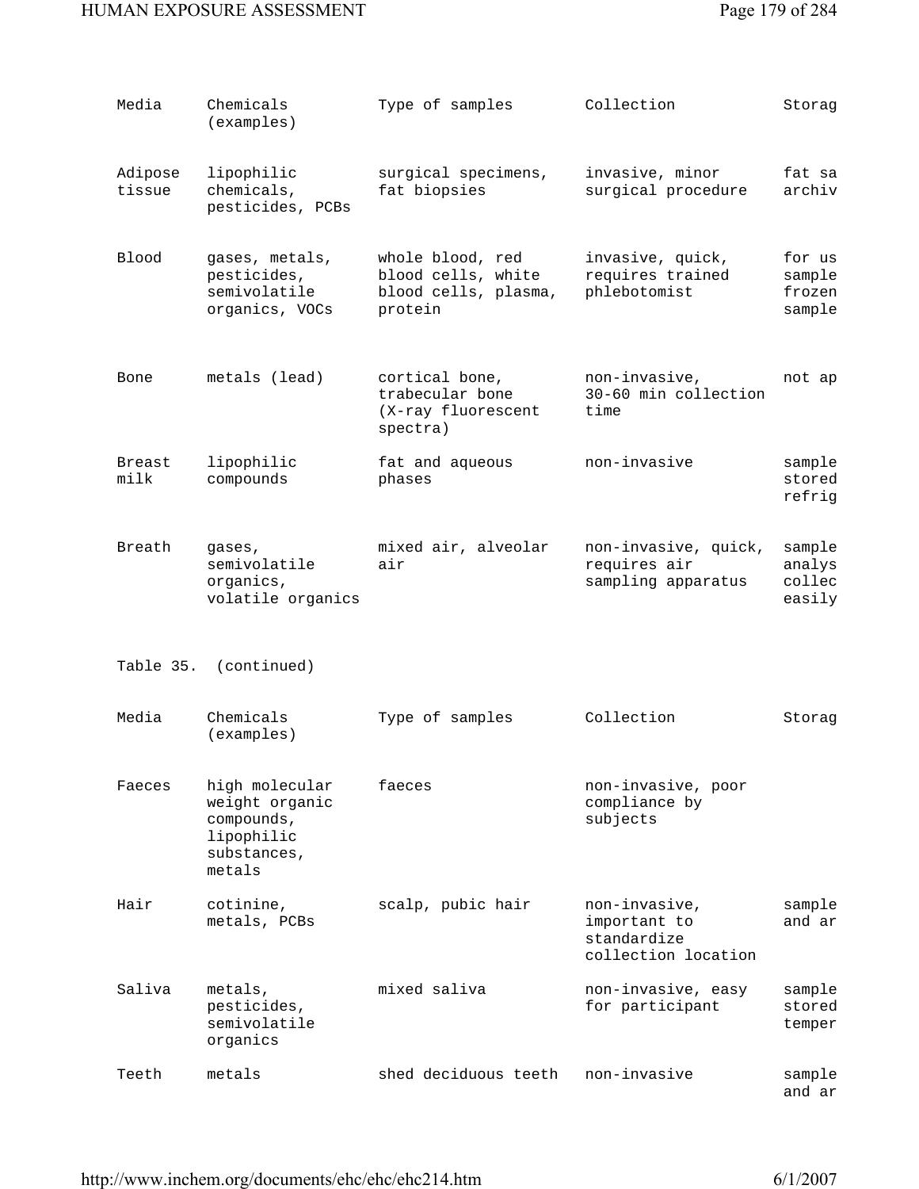# HUMAN EXPOSURE ASSESSMENT Page 179 of 284

| Media             | Chemicals<br>(examples)                                                               | Type of samples                                                           | Collection                                                          | Storag                               |
|-------------------|---------------------------------------------------------------------------------------|---------------------------------------------------------------------------|---------------------------------------------------------------------|--------------------------------------|
| Adipose<br>tissue | lipophilic<br>chemicals,<br>pesticides, PCBs                                          | surgical specimens,<br>fat biopsies                                       | invasive, minor<br>surgical procedure                               | fat sa<br>archiv                     |
| Blood             | gases, metals,<br>pesticides,<br>semivolatile<br>organics, VOCs                       | whole blood, red<br>blood cells, white<br>blood cells, plasma,<br>protein | invasive, quick,<br>requires trained<br>phlebotomist                | for us<br>sample<br>frozen<br>sample |
| Bone              | metals (lead)                                                                         | cortical bone,<br>trabecular bone<br>(X-ray fluorescent<br>spectra)       | non-invasive,<br>30-60 min collection<br>time                       | not ap                               |
| Breast<br>milk    | lipophilic<br>compounds                                                               | fat and aqueous<br>phases                                                 | non-invasive                                                        | sample<br>stored<br>refrig           |
| Breath            | qases,<br>semivolatile<br>organics,<br>volatile organics                              | mixed air, alveolar<br>air                                                | non-invasive, quick,<br>requires air<br>sampling apparatus          | sample<br>analys<br>collec<br>easily |
| Table 35.         | (continued)                                                                           |                                                                           |                                                                     |                                      |
| Media             | Chemicals<br>(examples)                                                               | Type of samples                                                           | Collection                                                          | Storag                               |
| Faeces            | high molecular<br>weight organic<br>compounds,<br>lipophilic<br>substances,<br>metals | faeces                                                                    | non-invasive, poor<br>compliance by<br>subjects                     |                                      |
| Hair              | cotinine,<br>metals, PCBs                                                             | scalp, pubic hair                                                         | non-invasive,<br>important to<br>standardize<br>collection location | sample<br>and ar                     |
| Saliva            | metals,<br>pesticides,<br>semivolatile<br>organics                                    | mixed saliva                                                              | non-invasive, easy<br>for participant                               | sample<br>stored<br>temper           |
| Teeth             | metals                                                                                | shed deciduous teeth                                                      | non-invasive                                                        | sample<br>and ar                     |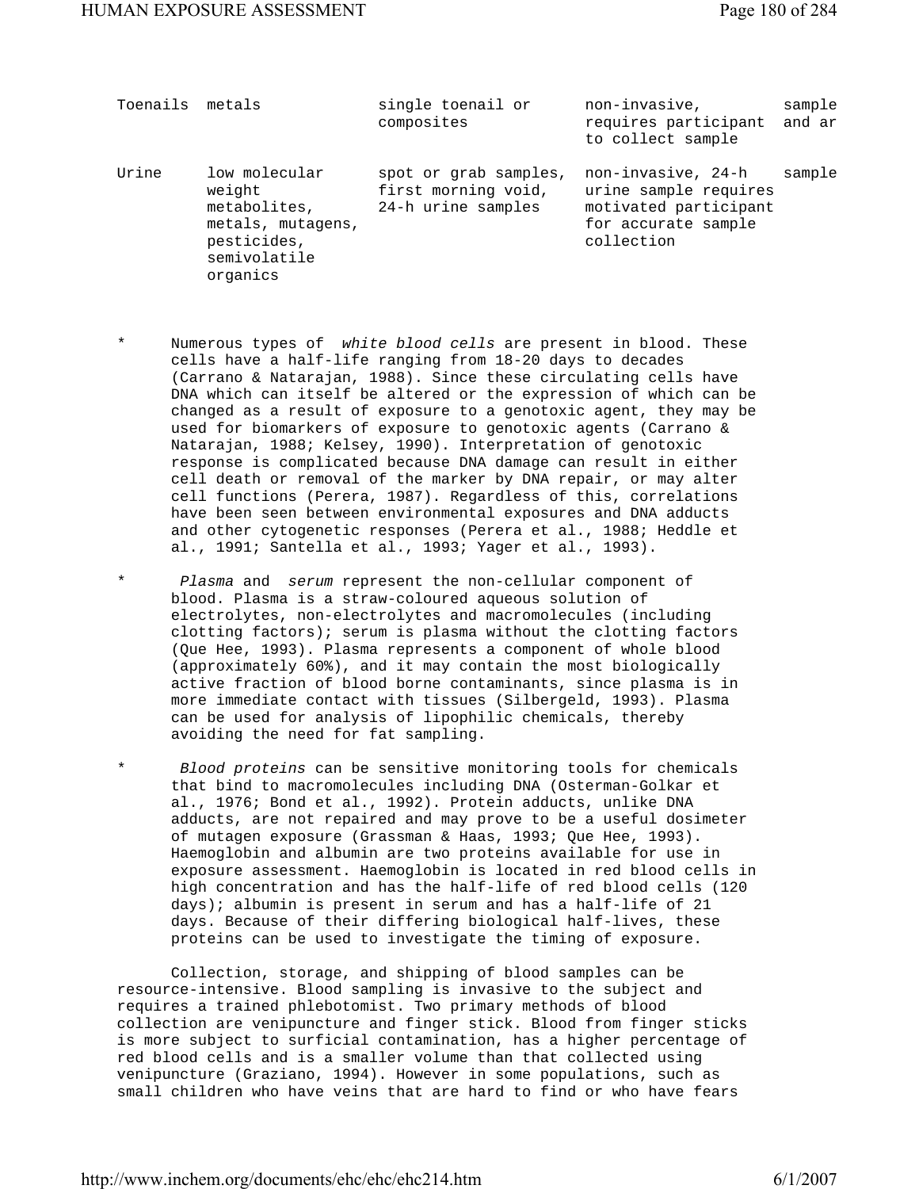| Toenails metals |                                                                                                         | single toenail or<br>composites                                    | non-invasive,<br>requires participant<br>to collect sample                                                | sample<br>and ar |
|-----------------|---------------------------------------------------------------------------------------------------------|--------------------------------------------------------------------|-----------------------------------------------------------------------------------------------------------|------------------|
| Urine           | low molecular<br>weight<br>metabolites,<br>metals, mutagens,<br>pesticides,<br>semivolatile<br>organics | spot or grab samples,<br>first morning void,<br>24-h urine samples | non-invasive, 24-h<br>urine sample requires<br>motivated participant<br>for accurate sample<br>collection | sample           |

 \* Numerous types of *white blood cells* are present in blood. These cells have a half-life ranging from 18-20 days to decades (Carrano & Natarajan, 1988). Since these circulating cells have DNA which can itself be altered or the expression of which can be changed as a result of exposure to a genotoxic agent, they may be used for biomarkers of exposure to genotoxic agents (Carrano & Natarajan, 1988; Kelsey, 1990). Interpretation of genotoxic response is complicated because DNA damage can result in either cell death or removal of the marker by DNA repair, or may alter cell functions (Perera, 1987). Regardless of this, correlations have been seen between environmental exposures and DNA adducts and other cytogenetic responses (Perera et al., 1988; Heddle et al., 1991; Santella et al., 1993; Yager et al., 1993).

 \* *Plasma* and *serum* represent the non-cellular component of blood. Plasma is a straw-coloured aqueous solution of electrolytes, non-electrolytes and macromolecules (including clotting factors); serum is plasma without the clotting factors (Que Hee, 1993). Plasma represents a component of whole blood (approximately 60%), and it may contain the most biologically active fraction of blood borne contaminants, since plasma is in more immediate contact with tissues (Silbergeld, 1993). Plasma can be used for analysis of lipophilic chemicals, thereby avoiding the need for fat sampling.

 \* *Blood proteins* can be sensitive monitoring tools for chemicals that bind to macromolecules including DNA (Osterman-Golkar et al., 1976; Bond et al., 1992). Protein adducts, unlike DNA adducts, are not repaired and may prove to be a useful dosimeter of mutagen exposure (Grassman & Haas, 1993; Que Hee, 1993). Haemoglobin and albumin are two proteins available for use in exposure assessment. Haemoglobin is located in red blood cells in high concentration and has the half-life of red blood cells (120 days); albumin is present in serum and has a half-life of 21 days. Because of their differing biological half-lives, these proteins can be used to investigate the timing of exposure.

 Collection, storage, and shipping of blood samples can be resource-intensive. Blood sampling is invasive to the subject and requires a trained phlebotomist. Two primary methods of blood collection are venipuncture and finger stick. Blood from finger sticks is more subject to surficial contamination, has a higher percentage of red blood cells and is a smaller volume than that collected using venipuncture (Graziano, 1994). However in some populations, such as small children who have veins that are hard to find or who have fears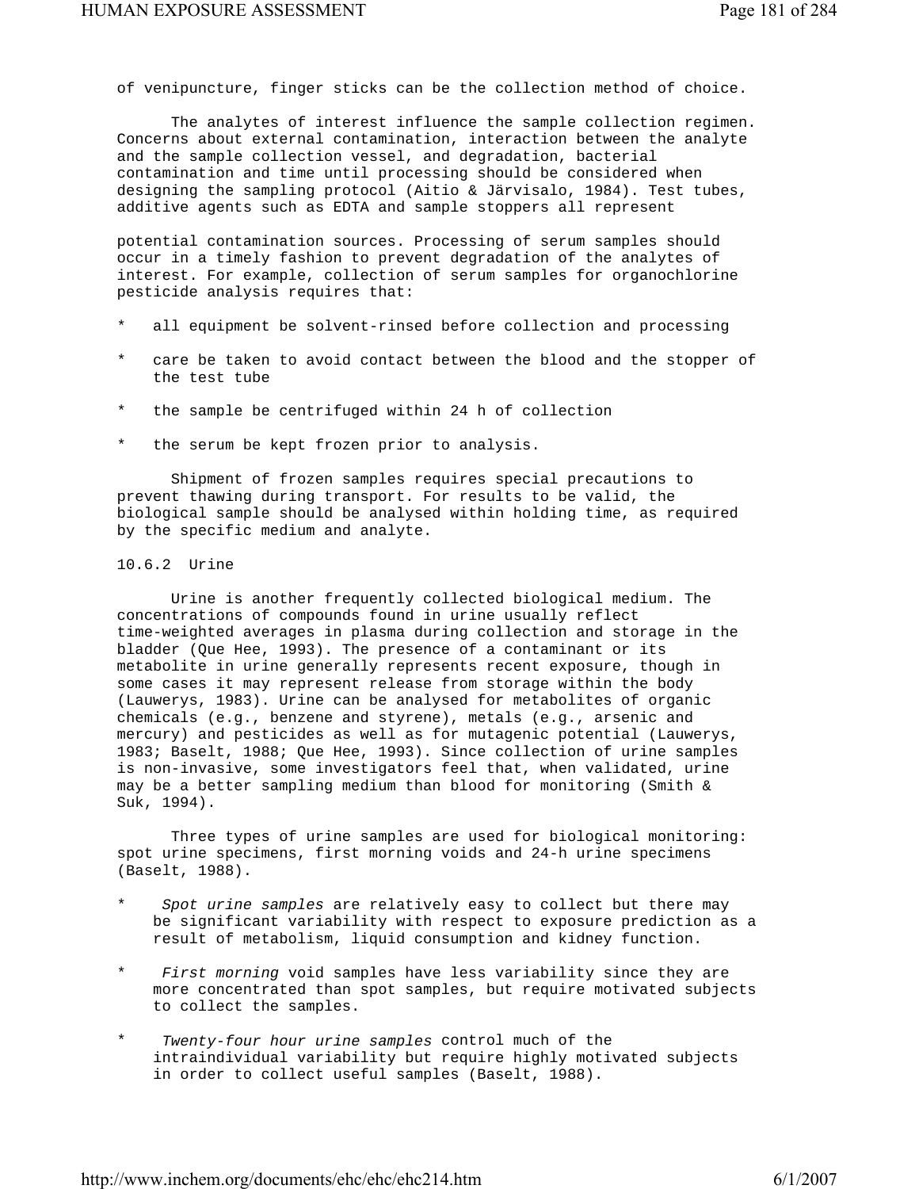of venipuncture, finger sticks can be the collection method of choice.

 The analytes of interest influence the sample collection regimen. Concerns about external contamination, interaction between the analyte and the sample collection vessel, and degradation, bacterial contamination and time until processing should be considered when designing the sampling protocol (Aitio & Järvisalo, 1984). Test tubes, additive agents such as EDTA and sample stoppers all represent

 potential contamination sources. Processing of serum samples should occur in a timely fashion to prevent degradation of the analytes of interest. For example, collection of serum samples for organochlorine pesticide analysis requires that:

- all equipment be solvent-rinsed before collection and processing
- care be taken to avoid contact between the blood and the stopper of the test tube
- the sample be centrifuged within 24 h of collection
- the serum be kept frozen prior to analysis.

 Shipment of frozen samples requires special precautions to prevent thawing during transport. For results to be valid, the biological sample should be analysed within holding time, as required by the specific medium and analyte.

#### 10.6.2 Urine

 Urine is another frequently collected biological medium. The concentrations of compounds found in urine usually reflect time-weighted averages in plasma during collection and storage in the bladder (Que Hee, 1993). The presence of a contaminant or its metabolite in urine generally represents recent exposure, though in some cases it may represent release from storage within the body (Lauwerys, 1983). Urine can be analysed for metabolites of organic chemicals (e.g., benzene and styrene), metals (e.g., arsenic and mercury) and pesticides as well as for mutagenic potential (Lauwerys, 1983; Baselt, 1988; Que Hee, 1993). Since collection of urine samples is non-invasive, some investigators feel that, when validated, urine may be a better sampling medium than blood for monitoring (Smith & Suk, 1994).

 Three types of urine samples are used for biological monitoring: spot urine specimens, first morning voids and 24-h urine specimens (Baselt, 1988).

- Spot urine samples are relatively easy to collect but there may be significant variability with respect to exposure prediction as a result of metabolism, liquid consumption and kidney function.
- First morning void samples have less variability since they are more concentrated than spot samples, but require motivated subjects to collect the samples.
- Twenty-four hour urine samples control much of the intraindividual variability but require highly motivated subjects in order to collect useful samples (Baselt, 1988).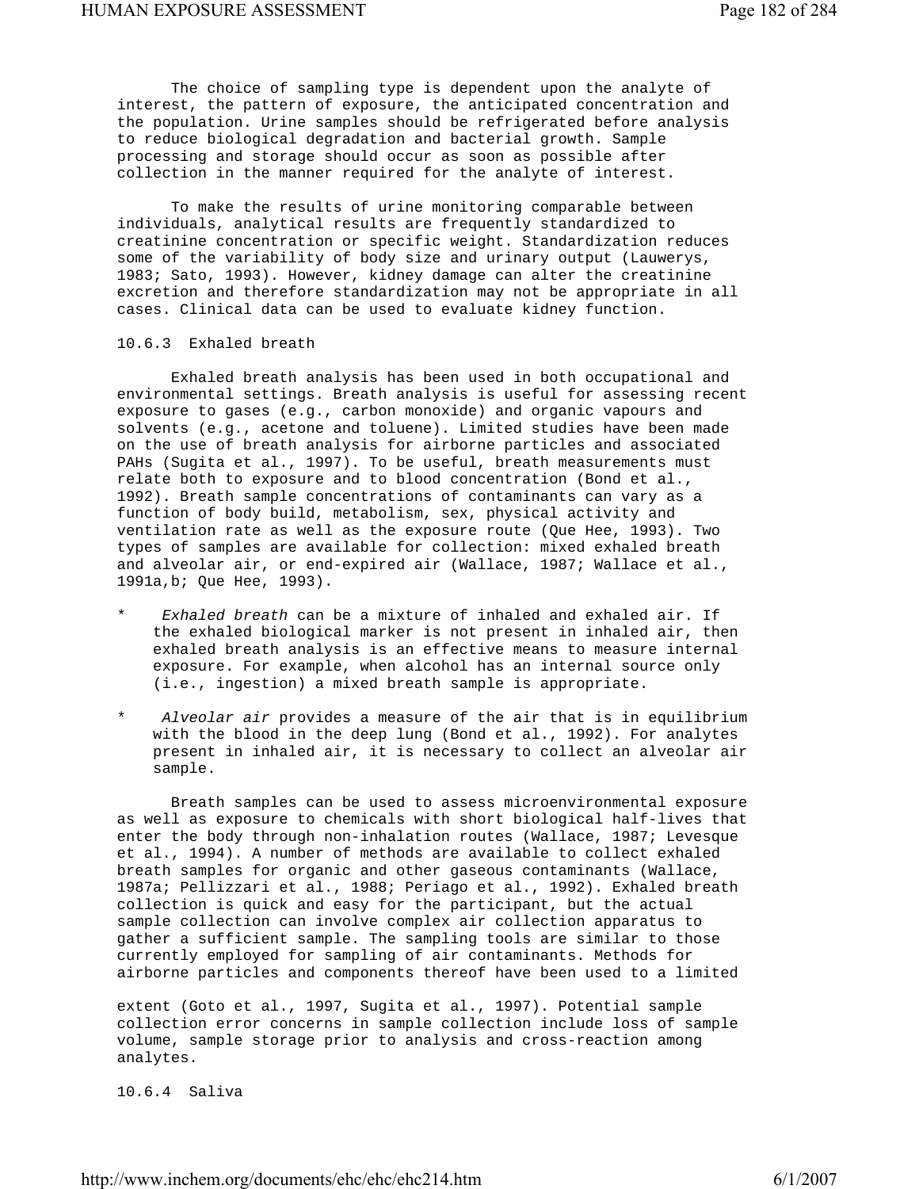The choice of sampling type is dependent upon the analyte of interest, the pattern of exposure, the anticipated concentration and the population. Urine samples should be refrigerated before analysis to reduce biological degradation and bacterial growth. Sample processing and storage should occur as soon as possible after collection in the manner required for the analyte of interest.

 To make the results of urine monitoring comparable between individuals, analytical results are frequently standardized to creatinine concentration or specific weight. Standardization reduces some of the variability of body size and urinary output (Lauwerys, 1983; Sato, 1993). However, kidney damage can alter the creatinine excretion and therefore standardization may not be appropriate in all cases. Clinical data can be used to evaluate kidney function.

#### 10.6.3 Exhaled breath

 Exhaled breath analysis has been used in both occupational and environmental settings. Breath analysis is useful for assessing recent exposure to gases (e.g., carbon monoxide) and organic vapours and solvents (e.g., acetone and toluene). Limited studies have been made on the use of breath analysis for airborne particles and associated PAHs (Sugita et al., 1997). To be useful, breath measurements must relate both to exposure and to blood concentration (Bond et al., 1992). Breath sample concentrations of contaminants can vary as a function of body build, metabolism, sex, physical activity and ventilation rate as well as the exposure route (Que Hee, 1993). Two types of samples are available for collection: mixed exhaled breath and alveolar air, or end-expired air (Wallace, 1987; Wallace et al., 1991a,b; Que Hee, 1993).

- Exhaled breath can be a mixture of inhaled and exhaled air. If the exhaled biological marker is not present in inhaled air, then exhaled breath analysis is an effective means to measure internal exposure. For example, when alcohol has an internal source only (i.e., ingestion) a mixed breath sample is appropriate.
- Alveolar air provides a measure of the air that is in equilibrium with the blood in the deep lung (Bond et al., 1992). For analytes present in inhaled air, it is necessary to collect an alveolar air sample.

 Breath samples can be used to assess microenvironmental exposure as well as exposure to chemicals with short biological half-lives that enter the body through non-inhalation routes (Wallace, 1987; Levesque et al., 1994). A number of methods are available to collect exhaled breath samples for organic and other gaseous contaminants (Wallace, 1987a; Pellizzari et al., 1988; Periago et al., 1992). Exhaled breath collection is quick and easy for the participant, but the actual sample collection can involve complex air collection apparatus to gather a sufficient sample. The sampling tools are similar to those currently employed for sampling of air contaminants. Methods for airborne particles and components thereof have been used to a limited

 extent (Goto et al., 1997, Sugita et al., 1997). Potential sample collection error concerns in sample collection include loss of sample volume, sample storage prior to analysis and cross-reaction among analytes.

10.6.4 Saliva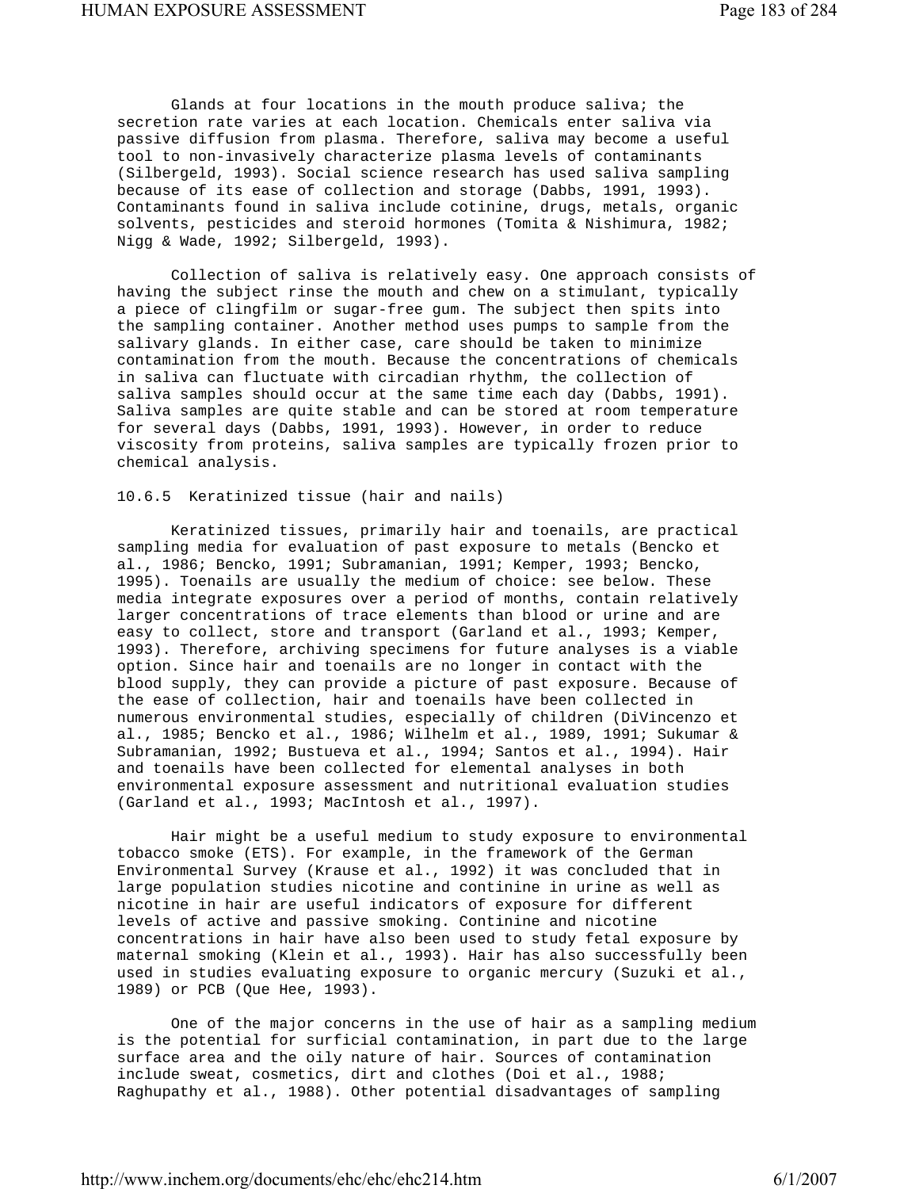Glands at four locations in the mouth produce saliva; the secretion rate varies at each location. Chemicals enter saliva via passive diffusion from plasma. Therefore, saliva may become a useful tool to non-invasively characterize plasma levels of contaminants (Silbergeld, 1993). Social science research has used saliva sampling because of its ease of collection and storage (Dabbs, 1991, 1993). Contaminants found in saliva include cotinine, drugs, metals, organic solvents, pesticides and steroid hormones (Tomita & Nishimura, 1982; Nigg & Wade, 1992; Silbergeld, 1993).

 Collection of saliva is relatively easy. One approach consists of having the subject rinse the mouth and chew on a stimulant, typically a piece of clingfilm or sugar-free gum. The subject then spits into the sampling container. Another method uses pumps to sample from the salivary glands. In either case, care should be taken to minimize contamination from the mouth. Because the concentrations of chemicals in saliva can fluctuate with circadian rhythm, the collection of saliva samples should occur at the same time each day (Dabbs, 1991). Saliva samples are quite stable and can be stored at room temperature for several days (Dabbs, 1991, 1993). However, in order to reduce viscosity from proteins, saliva samples are typically frozen prior to chemical analysis.

10.6.5 Keratinized tissue (hair and nails)

 Keratinized tissues, primarily hair and toenails, are practical sampling media for evaluation of past exposure to metals (Bencko et al., 1986; Bencko, 1991; Subramanian, 1991; Kemper, 1993; Bencko, 1995). Toenails are usually the medium of choice: see below. These media integrate exposures over a period of months, contain relatively larger concentrations of trace elements than blood or urine and are easy to collect, store and transport (Garland et al., 1993; Kemper, 1993). Therefore, archiving specimens for future analyses is a viable option. Since hair and toenails are no longer in contact with the blood supply, they can provide a picture of past exposure. Because of the ease of collection, hair and toenails have been collected in numerous environmental studies, especially of children (DiVincenzo et al., 1985; Bencko et al., 1986; Wilhelm et al., 1989, 1991; Sukumar & Subramanian, 1992; Bustueva et al., 1994; Santos et al., 1994). Hair and toenails have been collected for elemental analyses in both environmental exposure assessment and nutritional evaluation studies (Garland et al., 1993; MacIntosh et al., 1997).

 Hair might be a useful medium to study exposure to environmental tobacco smoke (ETS). For example, in the framework of the German Environmental Survey (Krause et al., 1992) it was concluded that in large population studies nicotine and continine in urine as well as nicotine in hair are useful indicators of exposure for different levels of active and passive smoking. Continine and nicotine concentrations in hair have also been used to study fetal exposure by maternal smoking (Klein et al., 1993). Hair has also successfully been used in studies evaluating exposure to organic mercury (Suzuki et al., 1989) or PCB (Que Hee, 1993).

 One of the major concerns in the use of hair as a sampling medium is the potential for surficial contamination, in part due to the large surface area and the oily nature of hair. Sources of contamination include sweat, cosmetics, dirt and clothes (Doi et al., 1988; Raghupathy et al., 1988). Other potential disadvantages of sampling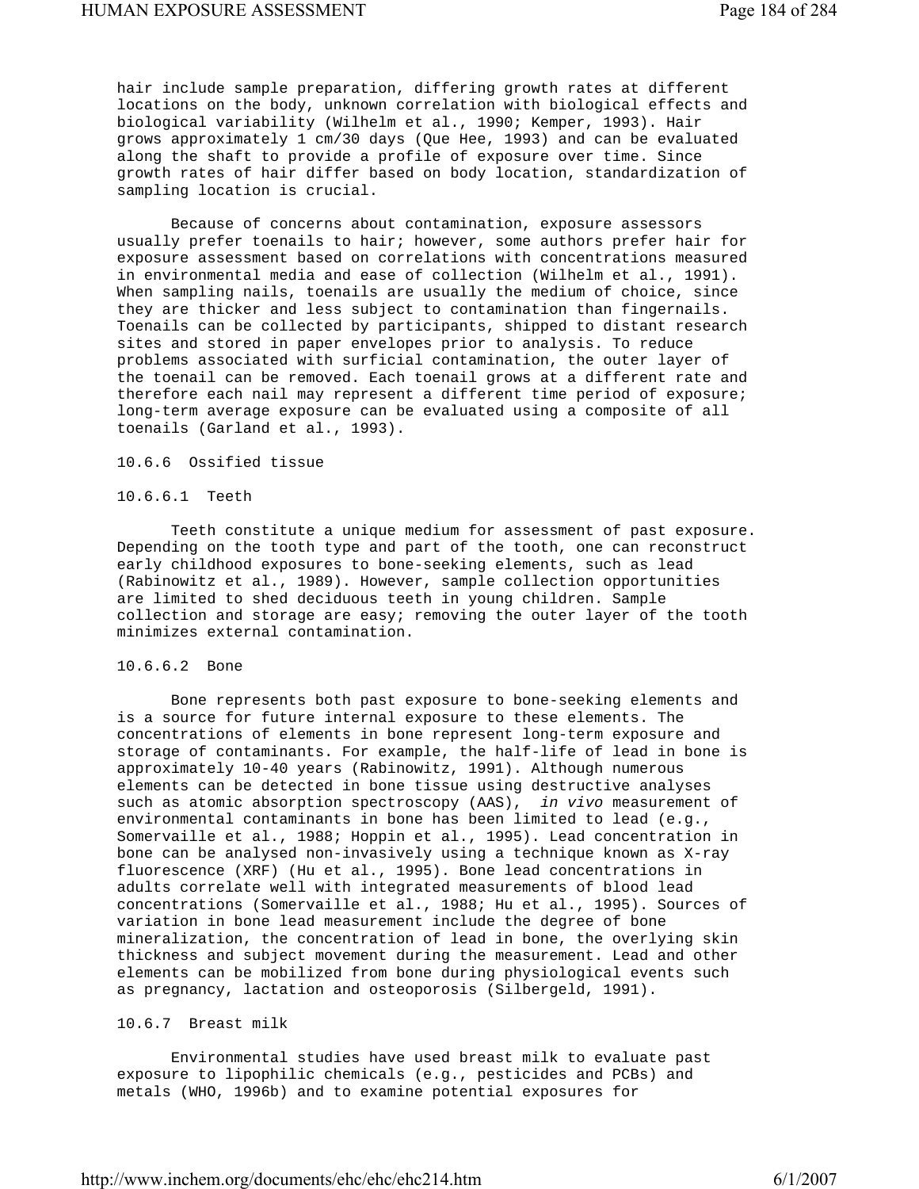hair include sample preparation, differing growth rates at different locations on the body, unknown correlation with biological effects and biological variability (Wilhelm et al., 1990; Kemper, 1993). Hair grows approximately 1 cm/30 days (Que Hee, 1993) and can be evaluated along the shaft to provide a profile of exposure over time. Since growth rates of hair differ based on body location, standardization of sampling location is crucial.

 Because of concerns about contamination, exposure assessors usually prefer toenails to hair; however, some authors prefer hair for exposure assessment based on correlations with concentrations measured in environmental media and ease of collection (Wilhelm et al., 1991). When sampling nails, toenails are usually the medium of choice, since they are thicker and less subject to contamination than fingernails. Toenails can be collected by participants, shipped to distant research sites and stored in paper envelopes prior to analysis. To reduce problems associated with surficial contamination, the outer layer of the toenail can be removed. Each toenail grows at a different rate and therefore each nail may represent a different time period of exposure; long-term average exposure can be evaluated using a composite of all toenails (Garland et al., 1993).

## 10.6.6 Ossified tissue

## 10.6.6.1 Teeth

 Teeth constitute a unique medium for assessment of past exposure. Depending on the tooth type and part of the tooth, one can reconstruct early childhood exposures to bone-seeking elements, such as lead (Rabinowitz et al., 1989). However, sample collection opportunities are limited to shed deciduous teeth in young children. Sample collection and storage are easy; removing the outer layer of the tooth minimizes external contamination.

## 10.6.6.2 Bone

 Bone represents both past exposure to bone-seeking elements and is a source for future internal exposure to these elements. The concentrations of elements in bone represent long-term exposure and storage of contaminants. For example, the half-life of lead in bone is approximately 10-40 years (Rabinowitz, 1991). Although numerous elements can be detected in bone tissue using destructive analyses such as atomic absorption spectroscopy (AAS), *in vivo* measurement of environmental contaminants in bone has been limited to lead (e.g., Somervaille et al., 1988; Hoppin et al., 1995). Lead concentration in bone can be analysed non-invasively using a technique known as X-ray fluorescence (XRF) (Hu et al., 1995). Bone lead concentrations in adults correlate well with integrated measurements of blood lead concentrations (Somervaille et al., 1988; Hu et al., 1995). Sources of variation in bone lead measurement include the degree of bone mineralization, the concentration of lead in bone, the overlying skin thickness and subject movement during the measurement. Lead and other elements can be mobilized from bone during physiological events such as pregnancy, lactation and osteoporosis (Silbergeld, 1991).

## 10.6.7 Breast milk

 Environmental studies have used breast milk to evaluate past exposure to lipophilic chemicals (e.g., pesticides and PCBs) and metals (WHO, 1996b) and to examine potential exposures for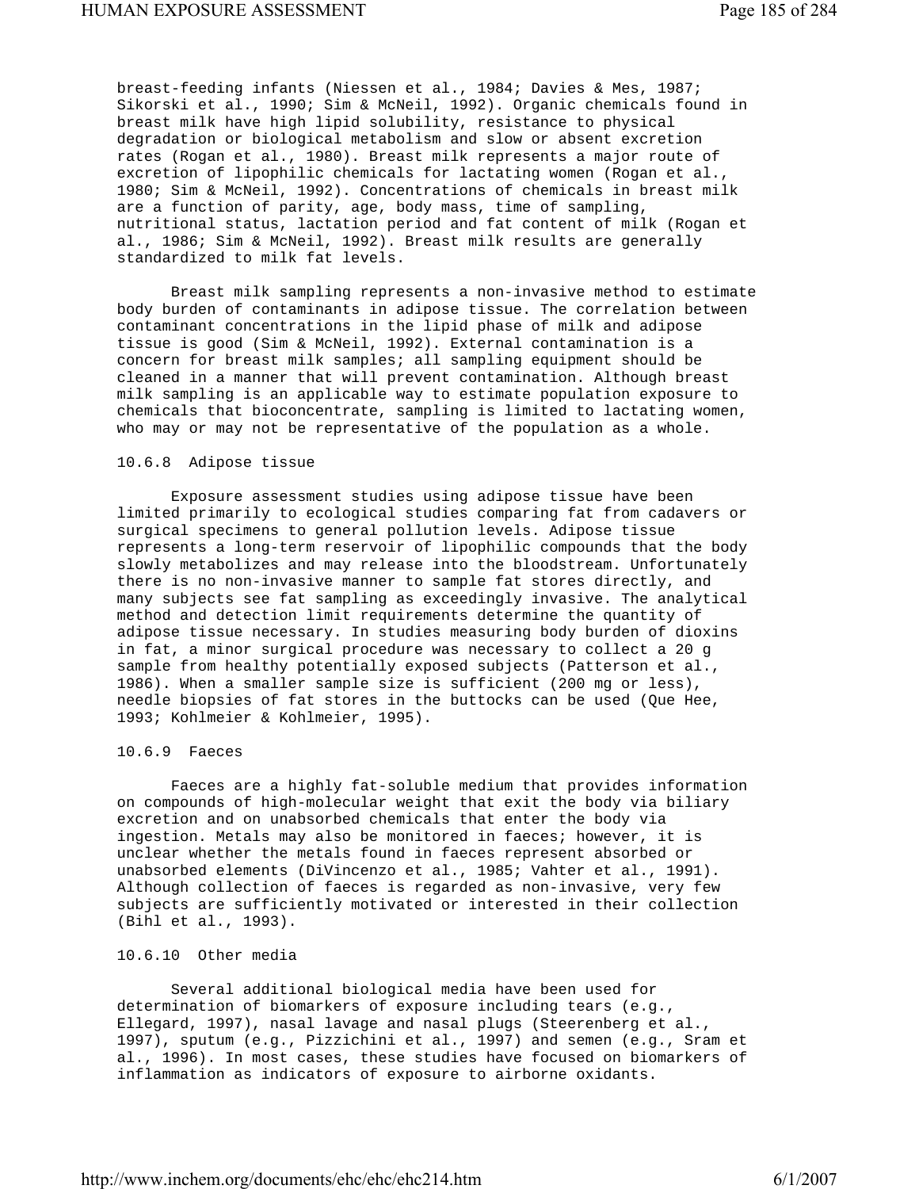breast-feeding infants (Niessen et al., 1984; Davies & Mes, 1987; Sikorski et al., 1990; Sim & McNeil, 1992). Organic chemicals found in breast milk have high lipid solubility, resistance to physical degradation or biological metabolism and slow or absent excretion rates (Rogan et al., 1980). Breast milk represents a major route of excretion of lipophilic chemicals for lactating women (Rogan et al., 1980; Sim & McNeil, 1992). Concentrations of chemicals in breast milk are a function of parity, age, body mass, time of sampling, nutritional status, lactation period and fat content of milk (Rogan et al., 1986; Sim & McNeil, 1992). Breast milk results are generally standardized to milk fat levels.

 Breast milk sampling represents a non-invasive method to estimate body burden of contaminants in adipose tissue. The correlation between contaminant concentrations in the lipid phase of milk and adipose tissue is good (Sim & McNeil, 1992). External contamination is a concern for breast milk samples; all sampling equipment should be cleaned in a manner that will prevent contamination. Although breast milk sampling is an applicable way to estimate population exposure to chemicals that bioconcentrate, sampling is limited to lactating women, who may or may not be representative of the population as a whole.

#### 10.6.8 Adipose tissue

 Exposure assessment studies using adipose tissue have been limited primarily to ecological studies comparing fat from cadavers or surgical specimens to general pollution levels. Adipose tissue represents a long-term reservoir of lipophilic compounds that the body slowly metabolizes and may release into the bloodstream. Unfortunately there is no non-invasive manner to sample fat stores directly, and many subjects see fat sampling as exceedingly invasive. The analytical method and detection limit requirements determine the quantity of adipose tissue necessary. In studies measuring body burden of dioxins in fat, a minor surgical procedure was necessary to collect a 20 g sample from healthy potentially exposed subjects (Patterson et al., 1986). When a smaller sample size is sufficient (200 mg or less), needle biopsies of fat stores in the buttocks can be used (Que Hee, 1993; Kohlmeier & Kohlmeier, 1995).

### 10.6.9 Faeces

 Faeces are a highly fat-soluble medium that provides information on compounds of high-molecular weight that exit the body via biliary excretion and on unabsorbed chemicals that enter the body via ingestion. Metals may also be monitored in faeces; however, it is unclear whether the metals found in faeces represent absorbed or unabsorbed elements (DiVincenzo et al., 1985; Vahter et al., 1991). Although collection of faeces is regarded as non-invasive, very few subjects are sufficiently motivated or interested in their collection (Bihl et al., 1993).

## 10.6.10 Other media

 Several additional biological media have been used for determination of biomarkers of exposure including tears (e.g., Ellegard, 1997), nasal lavage and nasal plugs (Steerenberg et al., 1997), sputum (e.g., Pizzichini et al., 1997) and semen (e.g., Sram et al., 1996). In most cases, these studies have focused on biomarkers of inflammation as indicators of exposure to airborne oxidants.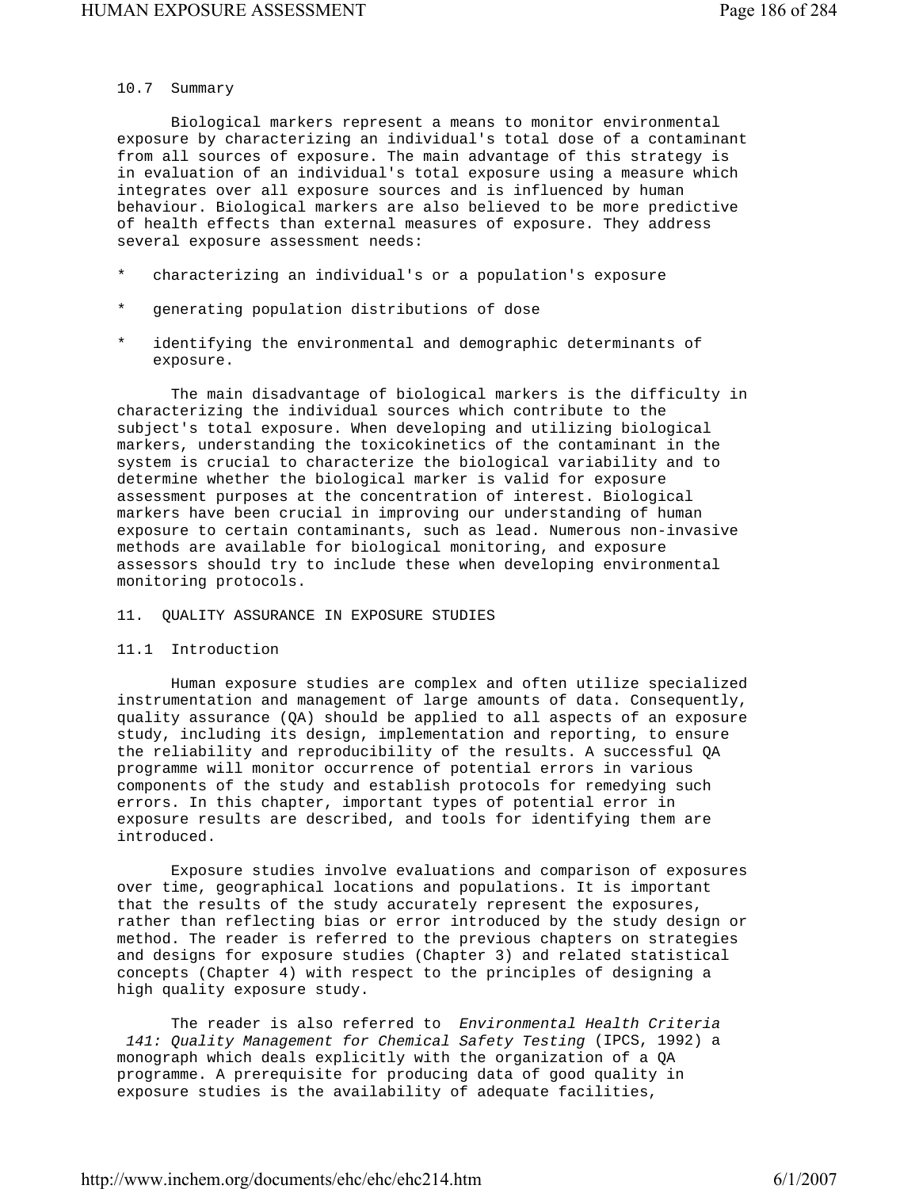## 10.7 Summary

 Biological markers represent a means to monitor environmental exposure by characterizing an individual's total dose of a contaminant from all sources of exposure. The main advantage of this strategy is in evaluation of an individual's total exposure using a measure which integrates over all exposure sources and is influenced by human behaviour. Biological markers are also believed to be more predictive of health effects than external measures of exposure. They address several exposure assessment needs:

- characterizing an individual's or a population's exposure
- \* generating population distributions of dose
- identifying the environmental and demographic determinants of exposure.

 The main disadvantage of biological markers is the difficulty in characterizing the individual sources which contribute to the subject's total exposure. When developing and utilizing biological markers, understanding the toxicokinetics of the contaminant in the system is crucial to characterize the biological variability and to determine whether the biological marker is valid for exposure assessment purposes at the concentration of interest. Biological markers have been crucial in improving our understanding of human exposure to certain contaminants, such as lead. Numerous non-invasive methods are available for biological monitoring, and exposure assessors should try to include these when developing environmental monitoring protocols.

## 11. QUALITY ASSURANCE IN EXPOSURE STUDIES

# 11.1 Introduction

 Human exposure studies are complex and often utilize specialized instrumentation and management of large amounts of data. Consequently, quality assurance (QA) should be applied to all aspects of an exposure study, including its design, implementation and reporting, to ensure the reliability and reproducibility of the results. A successful QA programme will monitor occurrence of potential errors in various components of the study and establish protocols for remedying such errors. In this chapter, important types of potential error in exposure results are described, and tools for identifying them are introduced.

 Exposure studies involve evaluations and comparison of exposures over time, geographical locations and populations. It is important that the results of the study accurately represent the exposures, rather than reflecting bias or error introduced by the study design or method. The reader is referred to the previous chapters on strategies and designs for exposure studies (Chapter 3) and related statistical concepts (Chapter 4) with respect to the principles of designing a high quality exposure study.

 The reader is also referred to *Environmental Health Criteria*  141: Quality Management for Chemical Safety Testing (IPCS, 1992) a monograph which deals explicitly with the organization of a QA programme. A prerequisite for producing data of good quality in exposure studies is the availability of adequate facilities,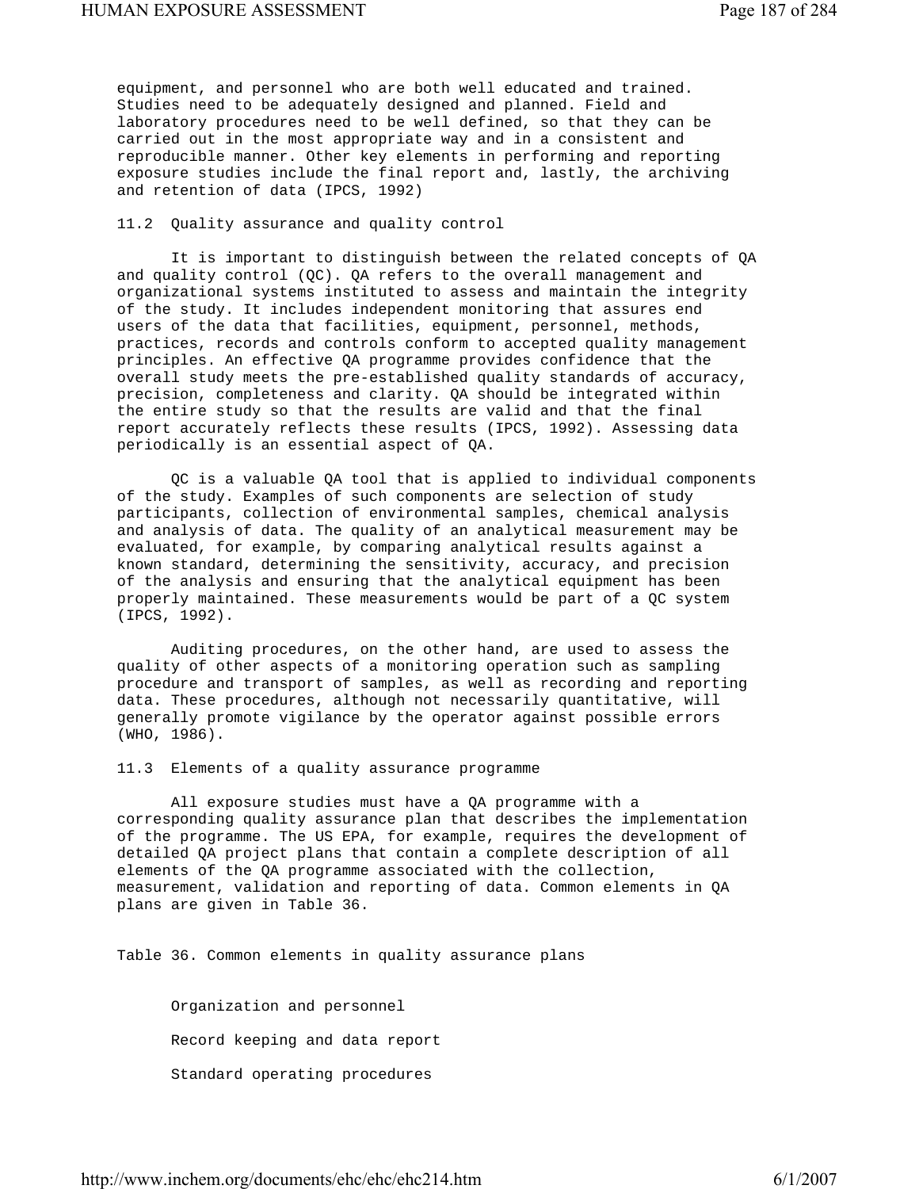equipment, and personnel who are both well educated and trained. Studies need to be adequately designed and planned. Field and laboratory procedures need to be well defined, so that they can be carried out in the most appropriate way and in a consistent and reproducible manner. Other key elements in performing and reporting exposure studies include the final report and, lastly, the archiving and retention of data (IPCS, 1992)

#### 11.2 Quality assurance and quality control

 It is important to distinguish between the related concepts of QA and quality control (QC). QA refers to the overall management and organizational systems instituted to assess and maintain the integrity of the study. It includes independent monitoring that assures end users of the data that facilities, equipment, personnel, methods, practices, records and controls conform to accepted quality management principles. An effective QA programme provides confidence that the overall study meets the pre-established quality standards of accuracy, precision, completeness and clarity. QA should be integrated within the entire study so that the results are valid and that the final report accurately reflects these results (IPCS, 1992). Assessing data periodically is an essential aspect of QA.

 QC is a valuable QA tool that is applied to individual components of the study. Examples of such components are selection of study participants, collection of environmental samples, chemical analysis and analysis of data. The quality of an analytical measurement may be evaluated, for example, by comparing analytical results against a known standard, determining the sensitivity, accuracy, and precision of the analysis and ensuring that the analytical equipment has been properly maintained. These measurements would be part of a QC system (IPCS, 1992).

 Auditing procedures, on the other hand, are used to assess the quality of other aspects of a monitoring operation such as sampling procedure and transport of samples, as well as recording and reporting data. These procedures, although not necessarily quantitative, will generally promote vigilance by the operator against possible errors (WHO, 1986).

11.3 Elements of a quality assurance programme

 All exposure studies must have a QA programme with a corresponding quality assurance plan that describes the implementation of the programme. The US EPA, for example, requires the development of detailed QA project plans that contain a complete description of all elements of the QA programme associated with the collection, measurement, validation and reporting of data. Common elements in QA plans are given in Table 36.

Table 36. Common elements in quality assurance plans

 Organization and personnel Record keeping and data report Standard operating procedures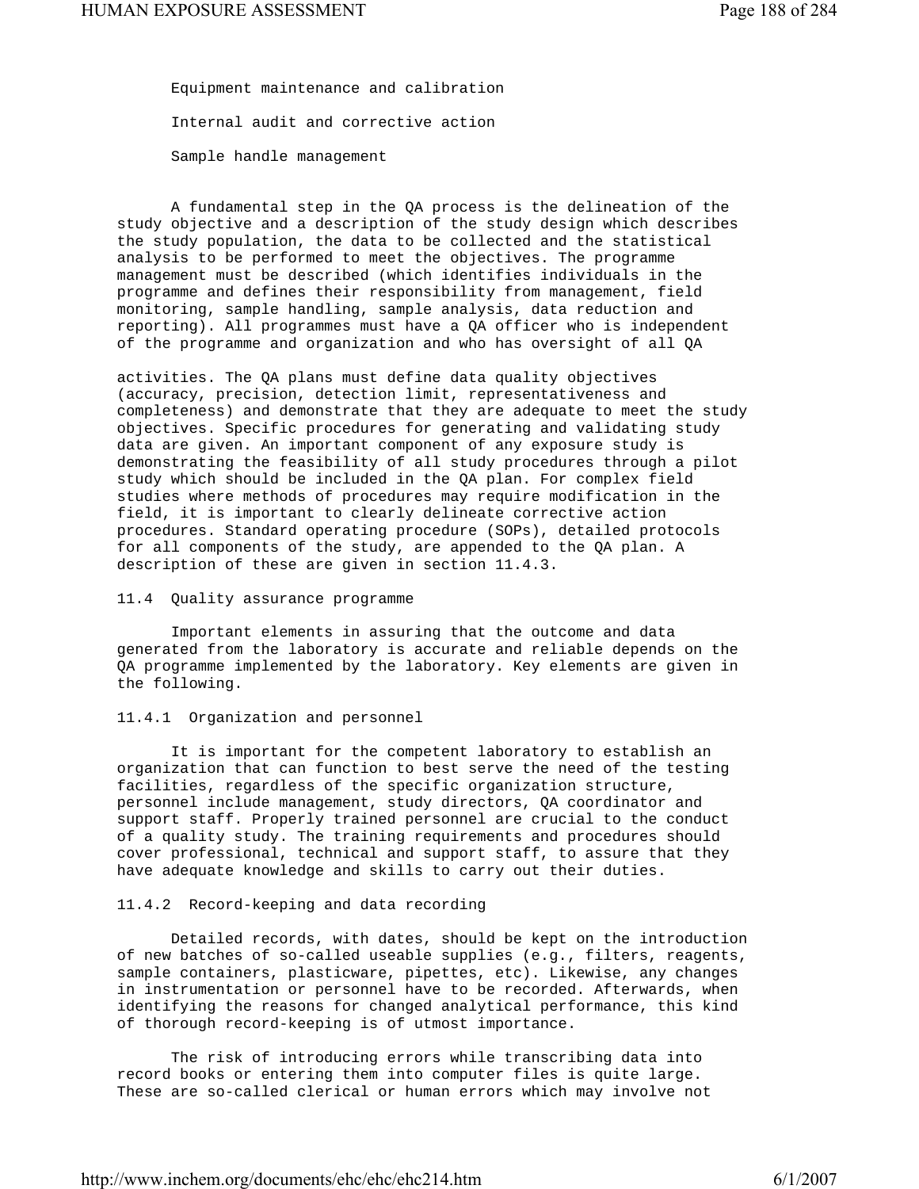Equipment maintenance and calibration Internal audit and corrective action Sample handle management

 A fundamental step in the QA process is the delineation of the study objective and a description of the study design which describes the study population, the data to be collected and the statistical analysis to be performed to meet the objectives. The programme management must be described (which identifies individuals in the programme and defines their responsibility from management, field monitoring, sample handling, sample analysis, data reduction and reporting). All programmes must have a QA officer who is independent of the programme and organization and who has oversight of all QA

 activities. The QA plans must define data quality objectives (accuracy, precision, detection limit, representativeness and completeness) and demonstrate that they are adequate to meet the study objectives. Specific procedures for generating and validating study data are given. An important component of any exposure study is demonstrating the feasibility of all study procedures through a pilot study which should be included in the QA plan. For complex field studies where methods of procedures may require modification in the field, it is important to clearly delineate corrective action procedures. Standard operating procedure (SOPs), detailed protocols for all components of the study, are appended to the QA plan. A description of these are given in section 11.4.3.

### 11.4 Quality assurance programme

 Important elements in assuring that the outcome and data generated from the laboratory is accurate and reliable depends on the QA programme implemented by the laboratory. Key elements are given in the following.

### 11.4.1 Organization and personnel

 It is important for the competent laboratory to establish an organization that can function to best serve the need of the testing facilities, regardless of the specific organization structure, personnel include management, study directors, QA coordinator and support staff. Properly trained personnel are crucial to the conduct of a quality study. The training requirements and procedures should cover professional, technical and support staff, to assure that they have adequate knowledge and skills to carry out their duties.

#### 11.4.2 Record-keeping and data recording

 Detailed records, with dates, should be kept on the introduction of new batches of so-called useable supplies (e.g., filters, reagents, sample containers, plasticware, pipettes, etc). Likewise, any changes in instrumentation or personnel have to be recorded. Afterwards, when identifying the reasons for changed analytical performance, this kind of thorough record-keeping is of utmost importance.

 The risk of introducing errors while transcribing data into record books or entering them into computer files is quite large. These are so-called clerical or human errors which may involve not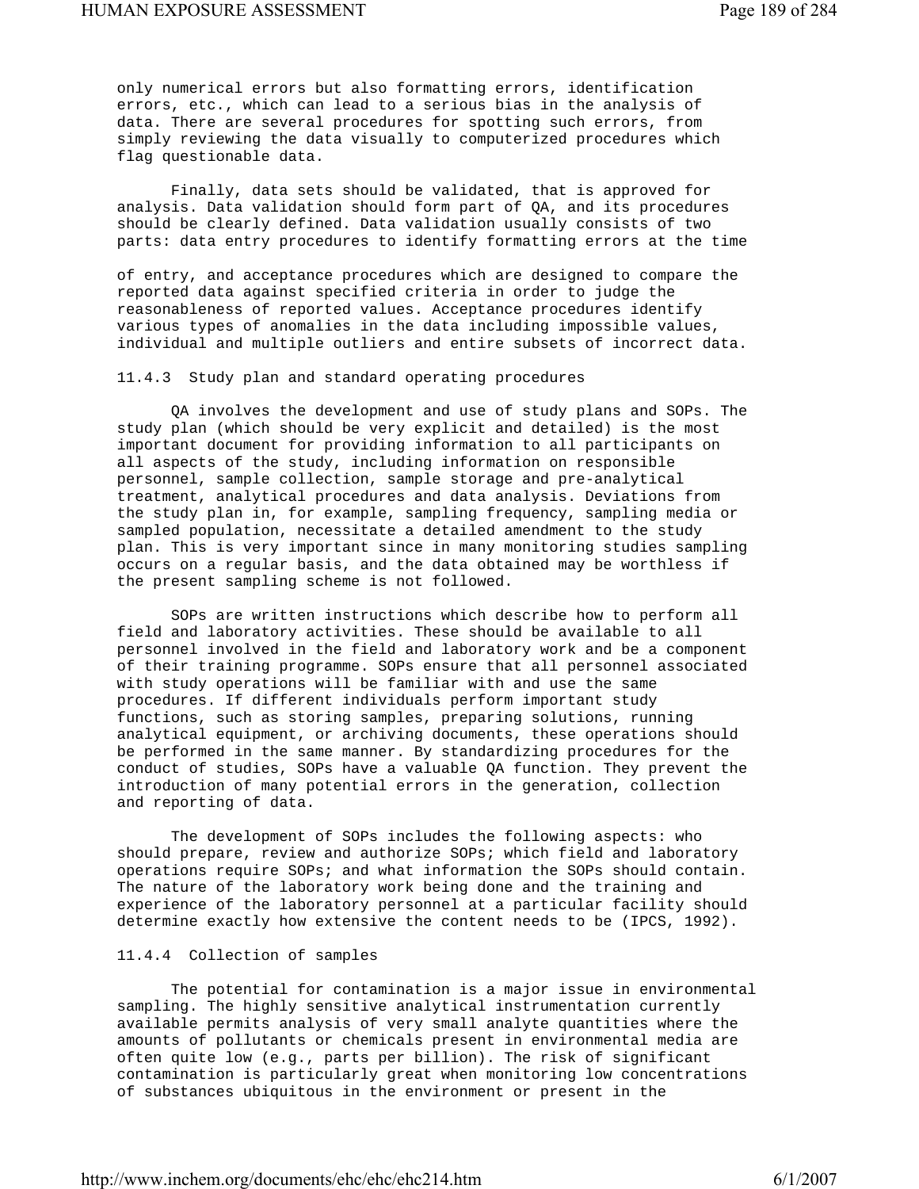only numerical errors but also formatting errors, identification errors, etc., which can lead to a serious bias in the analysis of data. There are several procedures for spotting such errors, from simply reviewing the data visually to computerized procedures which flag questionable data.

 Finally, data sets should be validated, that is approved for analysis. Data validation should form part of QA, and its procedures should be clearly defined. Data validation usually consists of two parts: data entry procedures to identify formatting errors at the time

 of entry, and acceptance procedures which are designed to compare the reported data against specified criteria in order to judge the reasonableness of reported values. Acceptance procedures identify various types of anomalies in the data including impossible values, individual and multiple outliers and entire subsets of incorrect data.

### 11.4.3 Study plan and standard operating procedures

 QA involves the development and use of study plans and SOPs. The study plan (which should be very explicit and detailed) is the most important document for providing information to all participants on all aspects of the study, including information on responsible personnel, sample collection, sample storage and pre-analytical treatment, analytical procedures and data analysis. Deviations from the study plan in, for example, sampling frequency, sampling media or sampled population, necessitate a detailed amendment to the study plan. This is very important since in many monitoring studies sampling occurs on a regular basis, and the data obtained may be worthless if the present sampling scheme is not followed.

 SOPs are written instructions which describe how to perform all field and laboratory activities. These should be available to all personnel involved in the field and laboratory work and be a component of their training programme. SOPs ensure that all personnel associated with study operations will be familiar with and use the same procedures. If different individuals perform important study functions, such as storing samples, preparing solutions, running analytical equipment, or archiving documents, these operations should be performed in the same manner. By standardizing procedures for the conduct of studies, SOPs have a valuable QA function. They prevent the introduction of many potential errors in the generation, collection and reporting of data.

 The development of SOPs includes the following aspects: who should prepare, review and authorize SOPs; which field and laboratory operations require SOPs; and what information the SOPs should contain. The nature of the laboratory work being done and the training and experience of the laboratory personnel at a particular facility should determine exactly how extensive the content needs to be (IPCS, 1992).

### 11.4.4 Collection of samples

 The potential for contamination is a major issue in environmental sampling. The highly sensitive analytical instrumentation currently available permits analysis of very small analyte quantities where the amounts of pollutants or chemicals present in environmental media are often quite low (e.g., parts per billion). The risk of significant contamination is particularly great when monitoring low concentrations of substances ubiquitous in the environment or present in the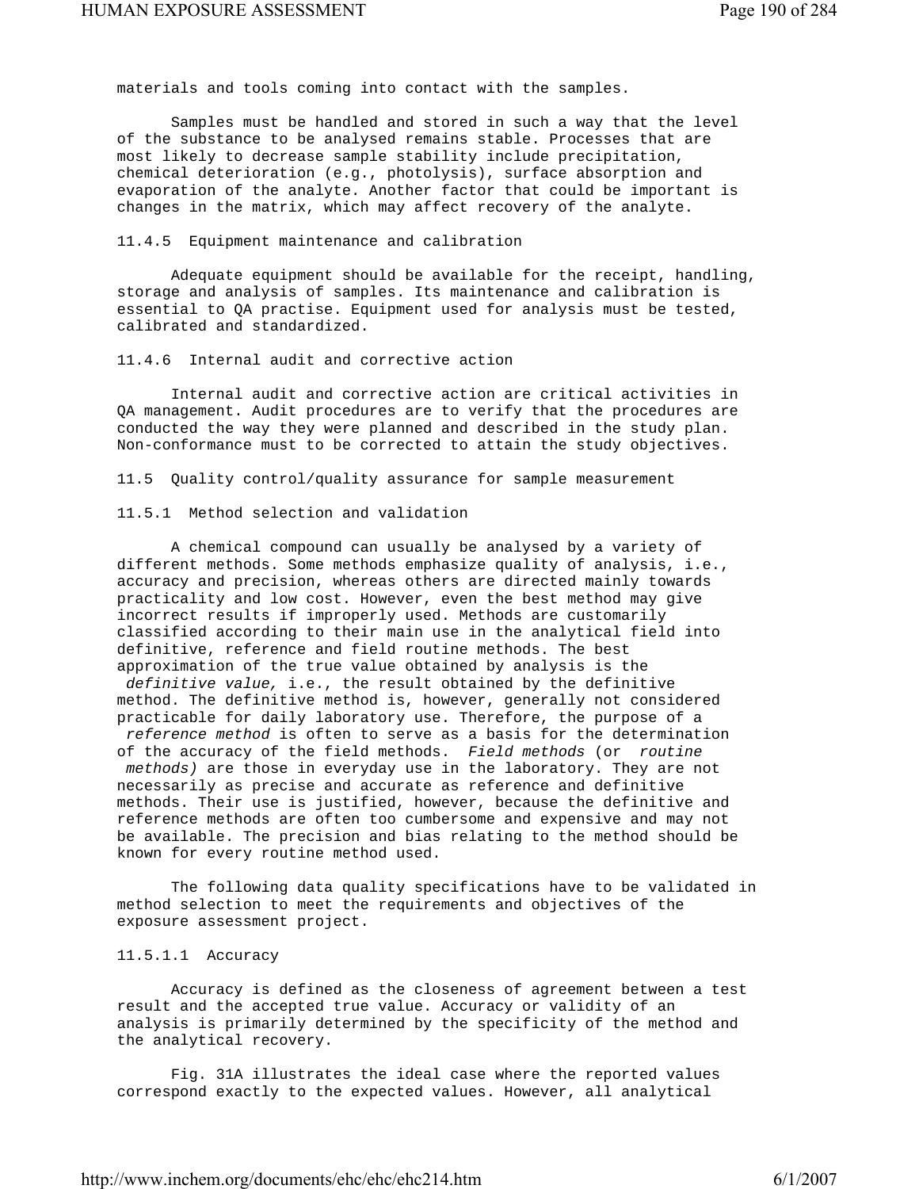materials and tools coming into contact with the samples.

 Samples must be handled and stored in such a way that the level of the substance to be analysed remains stable. Processes that are most likely to decrease sample stability include precipitation, chemical deterioration (e.g., photolysis), surface absorption and evaporation of the analyte. Another factor that could be important is changes in the matrix, which may affect recovery of the analyte.

### 11.4.5 Equipment maintenance and calibration

 Adequate equipment should be available for the receipt, handling, storage and analysis of samples. Its maintenance and calibration is essential to QA practise. Equipment used for analysis must be tested, calibrated and standardized.

11.4.6 Internal audit and corrective action

 Internal audit and corrective action are critical activities in QA management. Audit procedures are to verify that the procedures are conducted the way they were planned and described in the study plan. Non-conformance must to be corrected to attain the study objectives.

11.5 Quality control/quality assurance for sample measurement

## 11.5.1 Method selection and validation

 A chemical compound can usually be analysed by a variety of different methods. Some methods emphasize quality of analysis, i.e., accuracy and precision, whereas others are directed mainly towards practicality and low cost. However, even the best method may give incorrect results if improperly used. Methods are customarily classified according to their main use in the analytical field into definitive, reference and field routine methods. The best approximation of the true value obtained by analysis is the *definitive value,* i.e., the result obtained by the definitive method. The definitive method is, however, generally not considered practicable for daily laboratory use. Therefore, the purpose of a *reference method* is often to serve as a basis for the determination of the accuracy of the field methods. *Field methods* (or *routine methods)* are those in everyday use in the laboratory. They are not necessarily as precise and accurate as reference and definitive methods. Their use is justified, however, because the definitive and reference methods are often too cumbersome and expensive and may not be available. The precision and bias relating to the method should be known for every routine method used.

 The following data quality specifications have to be validated in method selection to meet the requirements and objectives of the exposure assessment project.

# 11.5.1.1 Accuracy

 Accuracy is defined as the closeness of agreement between a test result and the accepted true value. Accuracy or validity of an analysis is primarily determined by the specificity of the method and the analytical recovery.

 Fig. 31A illustrates the ideal case where the reported values correspond exactly to the expected values. However, all analytical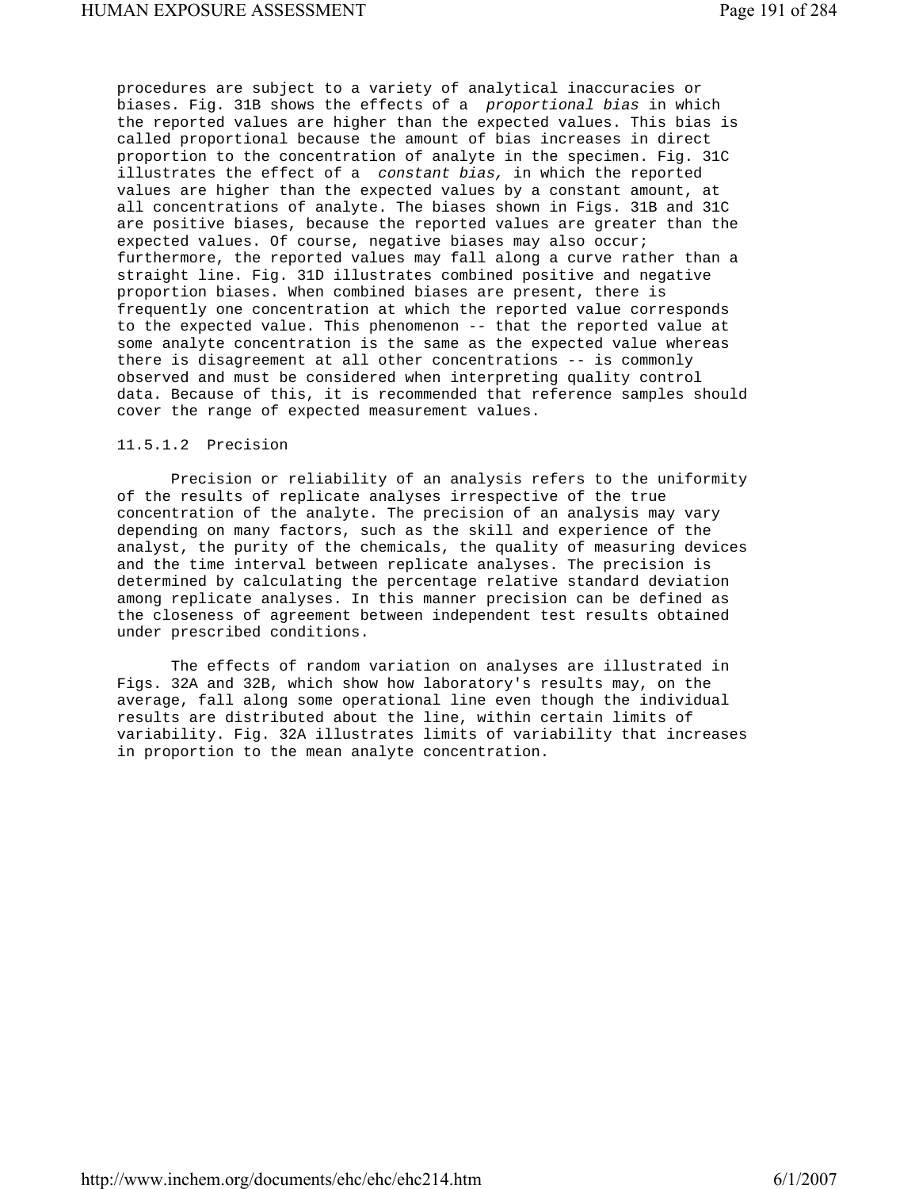procedures are subject to a variety of analytical inaccuracies or biases. Fig. 31B shows the effects of a *proportional bias* in which the reported values are higher than the expected values. This bias is called proportional because the amount of bias increases in direct proportion to the concentration of analyte in the specimen. Fig. 31C illustrates the effect of a *constant bias,* in which the reported values are higher than the expected values by a constant amount, at all concentrations of analyte. The biases shown in Figs. 31B and 31C are positive biases, because the reported values are greater than the expected values. Of course, negative biases may also occur; furthermore, the reported values may fall along a curve rather than a straight line. Fig. 31D illustrates combined positive and negative proportion biases. When combined biases are present, there is frequently one concentration at which the reported value corresponds to the expected value. This phenomenon -- that the reported value at some analyte concentration is the same as the expected value whereas there is disagreement at all other concentrations -- is commonly observed and must be considered when interpreting quality control data. Because of this, it is recommended that reference samples should cover the range of expected measurement values.

### 11.5.1.2 Precision

 Precision or reliability of an analysis refers to the uniformity of the results of replicate analyses irrespective of the true concentration of the analyte. The precision of an analysis may vary depending on many factors, such as the skill and experience of the analyst, the purity of the chemicals, the quality of measuring devices and the time interval between replicate analyses. The precision is determined by calculating the percentage relative standard deviation among replicate analyses. In this manner precision can be defined as the closeness of agreement between independent test results obtained under prescribed conditions.

 The effects of random variation on analyses are illustrated in Figs. 32A and 32B, which show how laboratory's results may, on the average, fall along some operational line even though the individual results are distributed about the line, within certain limits of variability. Fig. 32A illustrates limits of variability that increases in proportion to the mean analyte concentration.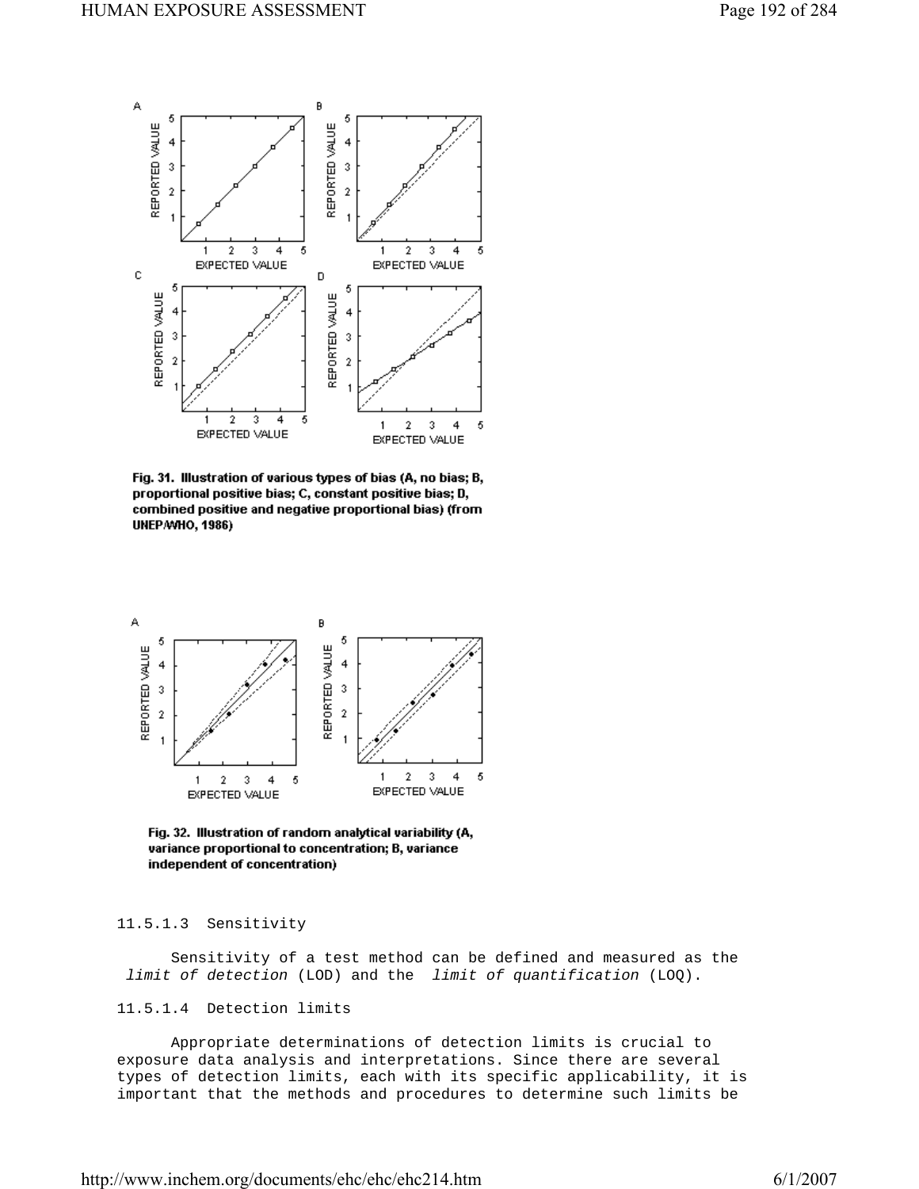

Fig. 31. Illustration of various types of bias (A, no bias; B, proportional positive bias; C, constant positive bias; D, combined positive and negative proportional bias) (from **UNEPAVHO, 1986)** 



Fig. 32. Illustration of random analytical variability (A, variance proportional to concentration; B, variance independent of concentration)

## 11.5.1.3 Sensitivity

 Sensitivity of a test method can be defined and measured as the *limit of detection* (LOD) and the *limit of quantification* (LOQ).

## 11.5.1.4 Detection limits

 Appropriate determinations of detection limits is crucial to exposure data analysis and interpretations. Since there are several types of detection limits, each with its specific applicability, it is important that the methods and procedures to determine such limits be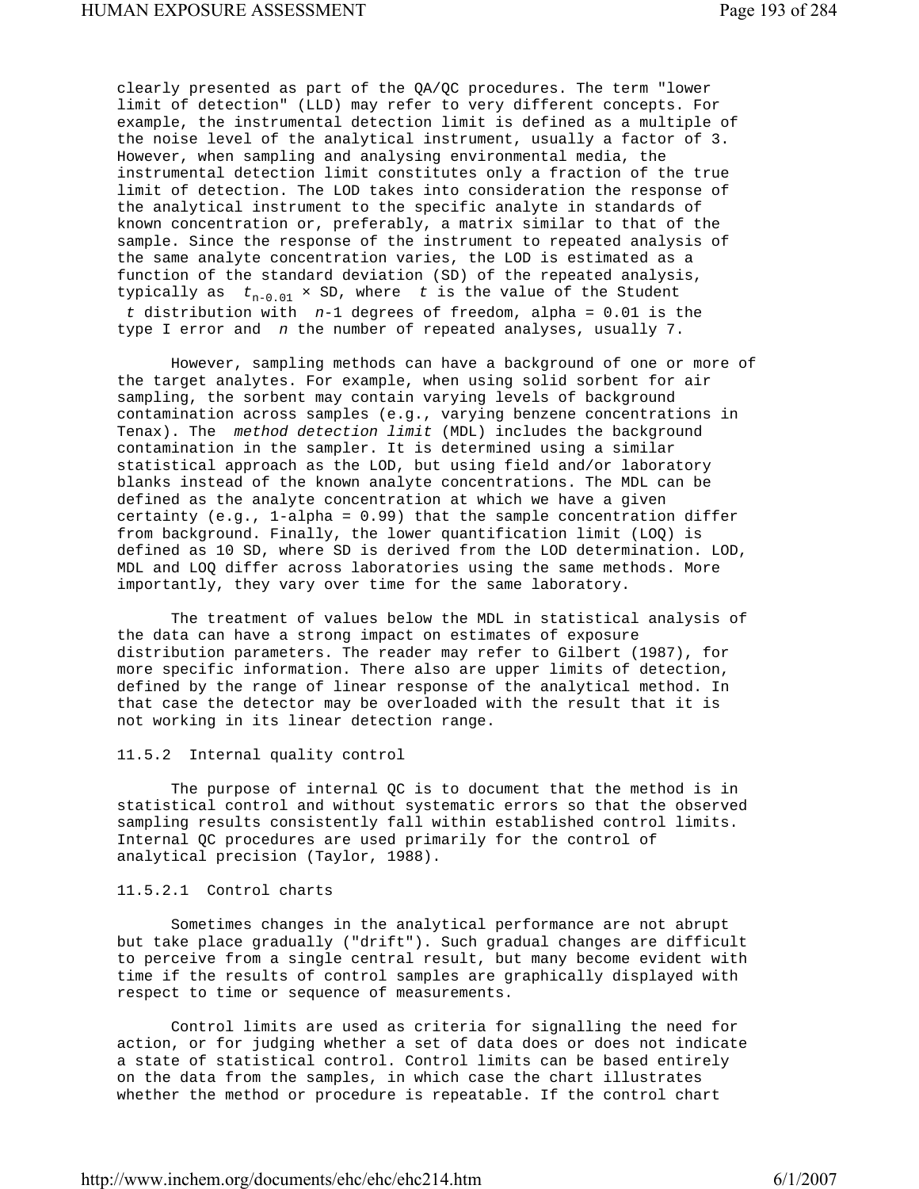clearly presented as part of the QA/QC procedures. The term "lower limit of detection" (LLD) may refer to very different concepts. For example, the instrumental detection limit is defined as a multiple of the noise level of the analytical instrument, usually a factor of 3. However, when sampling and analysing environmental media, the instrumental detection limit constitutes only a fraction of the true limit of detection. The LOD takes into consideration the response of the analytical instrument to the specific analyte in standards of known concentration or, preferably, a matrix similar to that of the sample. Since the response of the instrument to repeated analysis of the same analyte concentration varies, the LOD is estimated as a function of the standard deviation (SD) of the repeated analysis, typically as  $t_{n-0.01} \times SD$ , where *t* is the value of the Student *t* distribution with *n*-1 degrees of freedom, alpha = 0.01 is the type I error and *n* the number of repeated analyses, usually 7.

 However, sampling methods can have a background of one or more of the target analytes. For example, when using solid sorbent for air sampling, the sorbent may contain varying levels of background contamination across samples (e.g., varying benzene concentrations in Tenax). The *method detection limit* (MDL) includes the background contamination in the sampler. It is determined using a similar statistical approach as the LOD, but using field and/or laboratory blanks instead of the known analyte concentrations. The MDL can be defined as the analyte concentration at which we have a given certainty (e.g., 1-alpha = 0.99) that the sample concentration differ from background. Finally, the lower quantification limit (LOQ) is defined as 10 SD, where SD is derived from the LOD determination. LOD, MDL and LOQ differ across laboratories using the same methods. More importantly, they vary over time for the same laboratory.

 The treatment of values below the MDL in statistical analysis of the data can have a strong impact on estimates of exposure distribution parameters. The reader may refer to Gilbert (1987), for more specific information. There also are upper limits of detection, defined by the range of linear response of the analytical method. In that case the detector may be overloaded with the result that it is not working in its linear detection range.

#### 11.5.2 Internal quality control

 The purpose of internal QC is to document that the method is in statistical control and without systematic errors so that the observed sampling results consistently fall within established control limits. Internal QC procedures are used primarily for the control of analytical precision (Taylor, 1988).

#### 11.5.2.1 Control charts

 Sometimes changes in the analytical performance are not abrupt but take place gradually ("drift"). Such gradual changes are difficult to perceive from a single central result, but many become evident with time if the results of control samples are graphically displayed with respect to time or sequence of measurements.

 Control limits are used as criteria for signalling the need for action, or for judging whether a set of data does or does not indicate a state of statistical control. Control limits can be based entirely on the data from the samples, in which case the chart illustrates whether the method or procedure is repeatable. If the control chart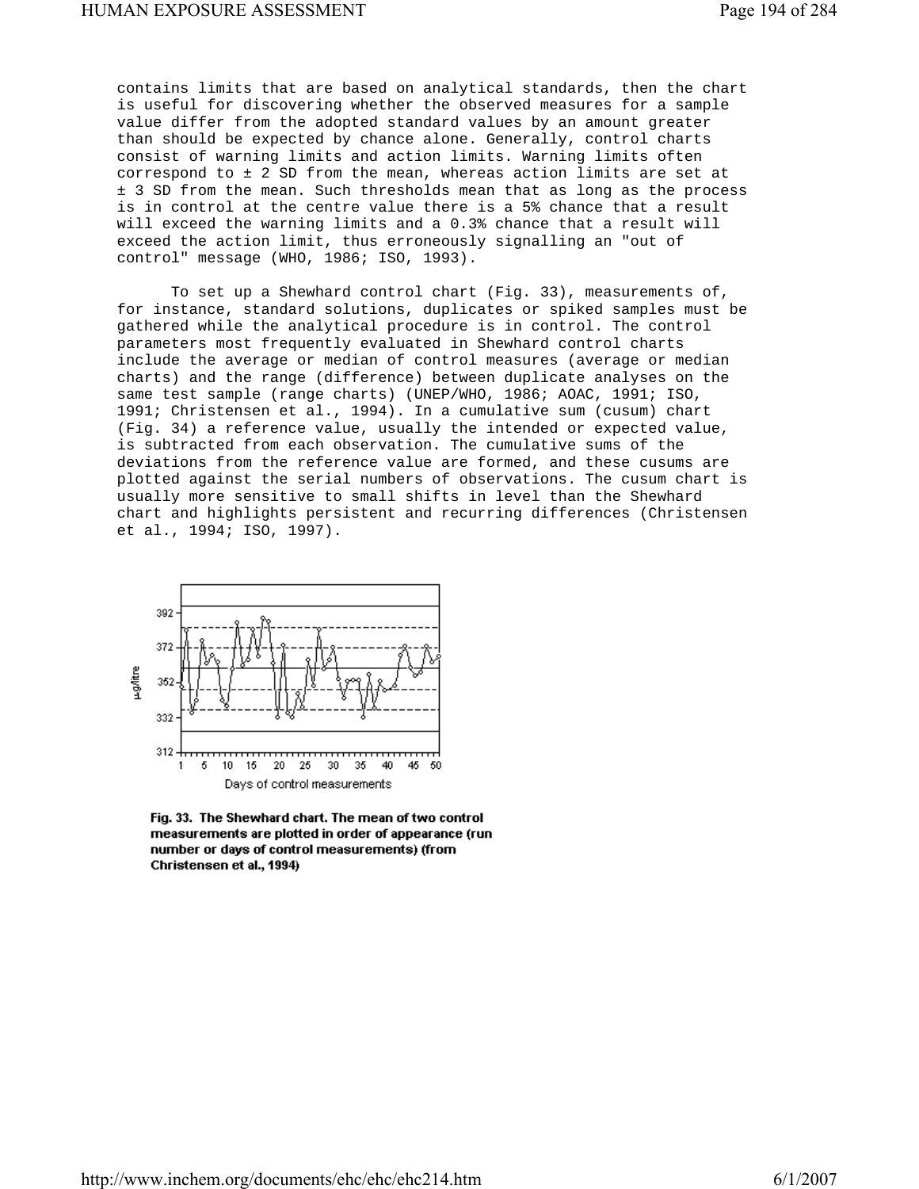contains limits that are based on analytical standards, then the chart is useful for discovering whether the observed measures for a sample value differ from the adopted standard values by an amount greater than should be expected by chance alone. Generally, control charts consist of warning limits and action limits. Warning limits often correspond to ± 2 SD from the mean, whereas action limits are set at ± 3 SD from the mean. Such thresholds mean that as long as the process is in control at the centre value there is a 5% chance that a result will exceed the warning limits and a 0.3% chance that a result will exceed the action limit, thus erroneously signalling an "out of control" message (WHO, 1986; ISO, 1993).

 To set up a Shewhard control chart (Fig. 33), measurements of, for instance, standard solutions, duplicates or spiked samples must be gathered while the analytical procedure is in control. The control parameters most frequently evaluated in Shewhard control charts include the average or median of control measures (average or median charts) and the range (difference) between duplicate analyses on the same test sample (range charts) (UNEP/WHO, 1986; AOAC, 1991; ISO, 1991; Christensen et al., 1994). In a cumulative sum (cusum) chart (Fig. 34) a reference value, usually the intended or expected value, is subtracted from each observation. The cumulative sums of the deviations from the reference value are formed, and these cusums are plotted against the serial numbers of observations. The cusum chart is usually more sensitive to small shifts in level than the Shewhard chart and highlights persistent and recurring differences (Christensen et al., 1994; ISO, 1997).



Fig. 33. The Shewhard chart. The mean of two control measurements are plotted in order of appearance (run number or days of control measurements) (from Christensen et al., 1994)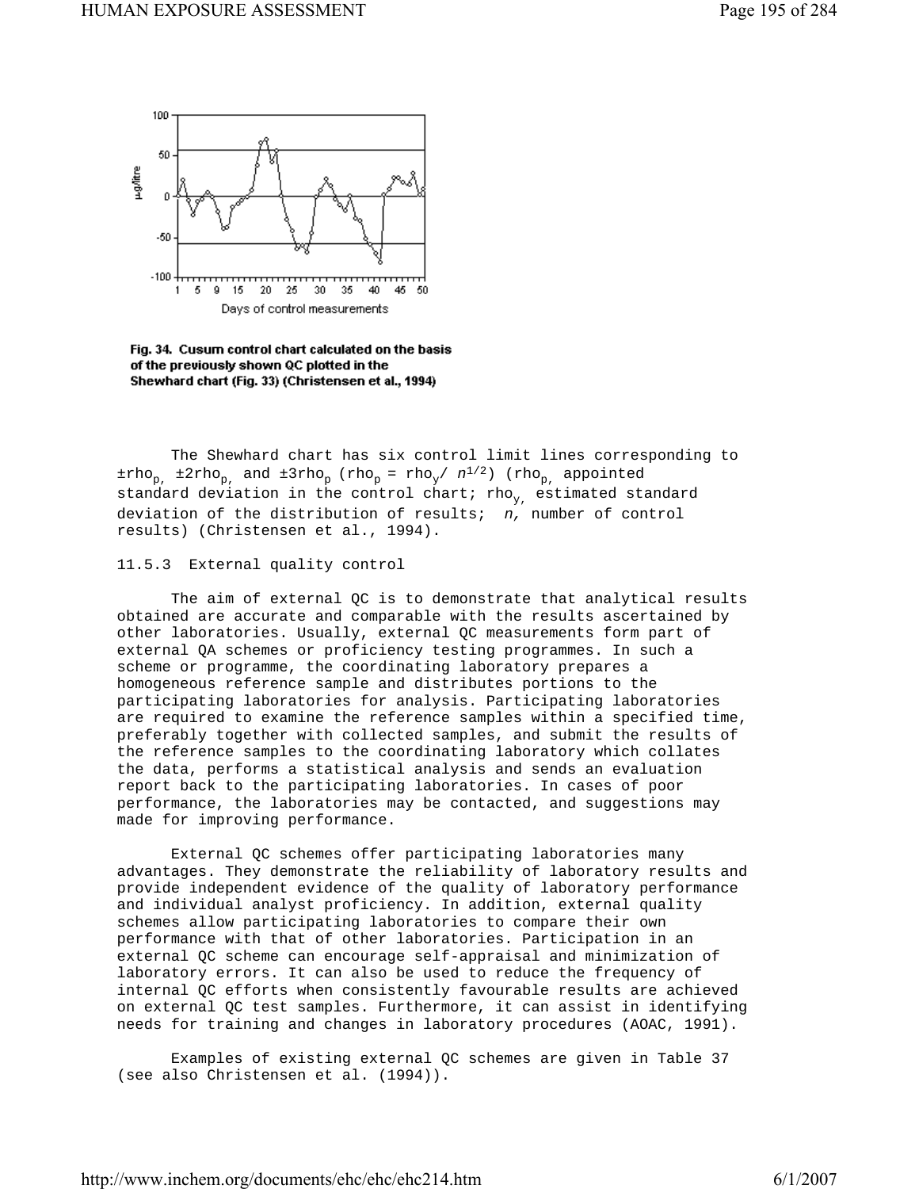

Fig. 34. Cusum control chart calculated on the basis of the previously shown QC plotted in the Shewhard chart (Fig. 33) (Christensen et al., 1994)

 The Shewhard chart has six control limit lines corresponding to ±rhop, ±2rhop, and ±3rhop (rhop = rhoy/ *n*1/2) (rhop, appointed standard deviation in the control chart; rho<sub>y,</sub> estimated standard deviation of the distribution of results; *n,* number of control results) (Christensen et al., 1994).

## 11.5.3 External quality control

 The aim of external QC is to demonstrate that analytical results obtained are accurate and comparable with the results ascertained by other laboratories. Usually, external QC measurements form part of external QA schemes or proficiency testing programmes. In such a scheme or programme, the coordinating laboratory prepares a homogeneous reference sample and distributes portions to the participating laboratories for analysis. Participating laboratories are required to examine the reference samples within a specified time, preferably together with collected samples, and submit the results of the reference samples to the coordinating laboratory which collates the data, performs a statistical analysis and sends an evaluation report back to the participating laboratories. In cases of poor performance, the laboratories may be contacted, and suggestions may made for improving performance.

 External QC schemes offer participating laboratories many advantages. They demonstrate the reliability of laboratory results and provide independent evidence of the quality of laboratory performance and individual analyst proficiency. In addition, external quality schemes allow participating laboratories to compare their own performance with that of other laboratories. Participation in an external QC scheme can encourage self-appraisal and minimization of laboratory errors. It can also be used to reduce the frequency of internal QC efforts when consistently favourable results are achieved on external QC test samples. Furthermore, it can assist in identifying needs for training and changes in laboratory procedures (AOAC, 1991).

 Examples of existing external QC schemes are given in Table 37 (see also Christensen et al. (1994)).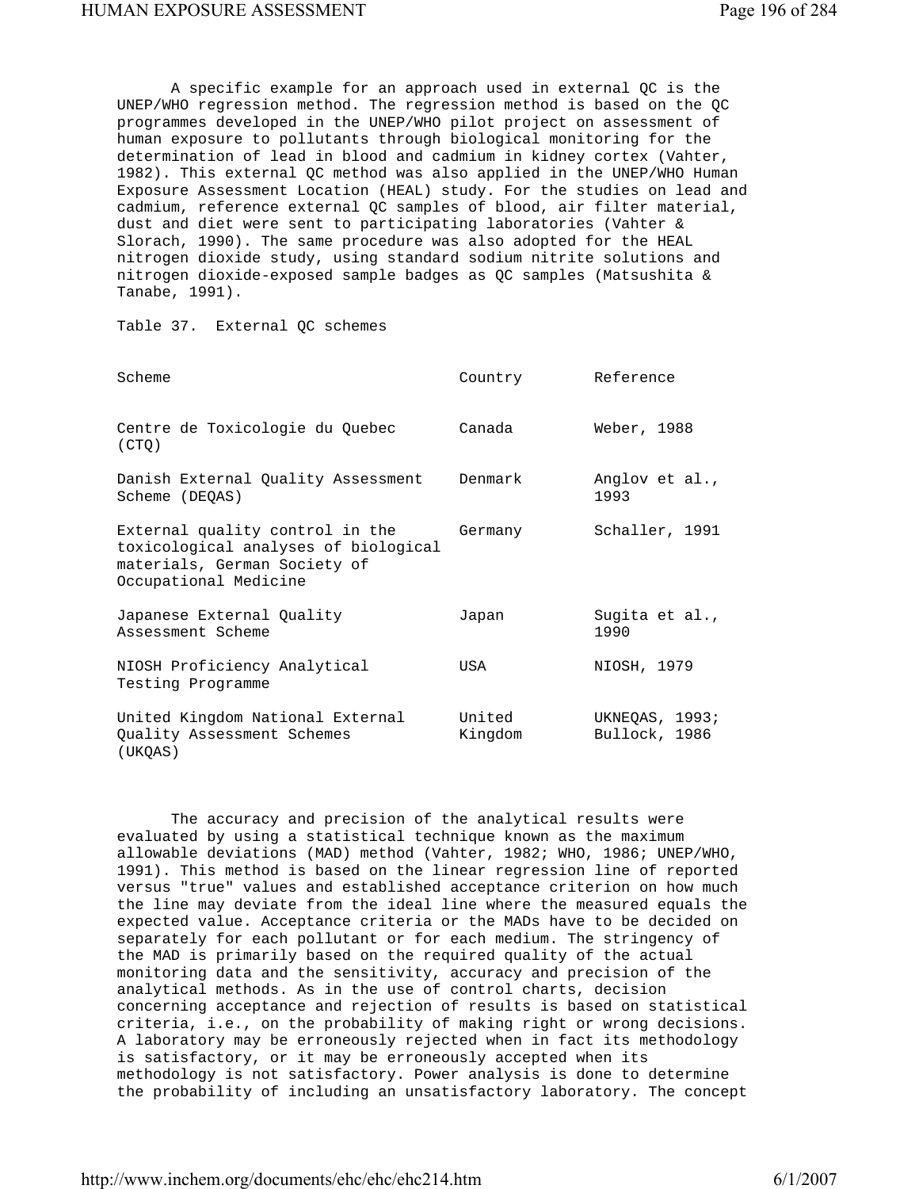A specific example for an approach used in external QC is the UNEP/WHO regression method. The regression method is based on the QC programmes developed in the UNEP/WHO pilot project on assessment of human exposure to pollutants through biological monitoring for the determination of lead in blood and cadmium in kidney cortex (Vahter, 1982). This external QC method was also applied in the UNEP/WHO Human Exposure Assessment Location (HEAL) study. For the studies on lead and cadmium, reference external QC samples of blood, air filter material, dust and diet were sent to participating laboratories (Vahter & Slorach, 1990). The same procedure was also adopted for the HEAL nitrogen dioxide study, using standard sodium nitrite solutions and nitrogen dioxide-exposed sample badges as QC samples (Matsushita & Tanabe, 1991).

Table 37. External QC schemes

| Scheme                                                                                                                           | Country           | Reference                       |
|----------------------------------------------------------------------------------------------------------------------------------|-------------------|---------------------------------|
| Centre de Toxicologie du Ouebec<br>(CTO)                                                                                         | Canada            | Weber, 1988                     |
| Danish External Quality Assessment<br>Scheme (DEOAS)                                                                             | Denmark           | Anglov et al.,<br>1993          |
| External quality control in the<br>toxicological analyses of biological<br>materials, German Society of<br>Occupational Medicine | Germany           | Schaller, 1991                  |
| Japanese External Quality<br>Assessment Scheme                                                                                   | Japan             | Sugita et al.,<br>1990          |
| NIOSH Proficiency Analytical<br>Testing Programme                                                                                | USA               | NIOSH, 1979                     |
| United Kingdom National External<br>Quality Assessment Schemes<br>(UKQAS)                                                        | United<br>Kingdom | UKNEOAS, 1993;<br>Bullock, 1986 |

 The accuracy and precision of the analytical results were evaluated by using a statistical technique known as the maximum allowable deviations (MAD) method (Vahter, 1982; WHO, 1986; UNEP/WHO, 1991). This method is based on the linear regression line of reported versus "true" values and established acceptance criterion on how much the line may deviate from the ideal line where the measured equals the expected value. Acceptance criteria or the MADs have to be decided on separately for each pollutant or for each medium. The stringency of the MAD is primarily based on the required quality of the actual monitoring data and the sensitivity, accuracy and precision of the analytical methods. As in the use of control charts, decision concerning acceptance and rejection of results is based on statistical criteria, i.e., on the probability of making right or wrong decisions. A laboratory may be erroneously rejected when in fact its methodology is satisfactory, or it may be erroneously accepted when its methodology is not satisfactory. Power analysis is done to determine the probability of including an unsatisfactory laboratory. The concept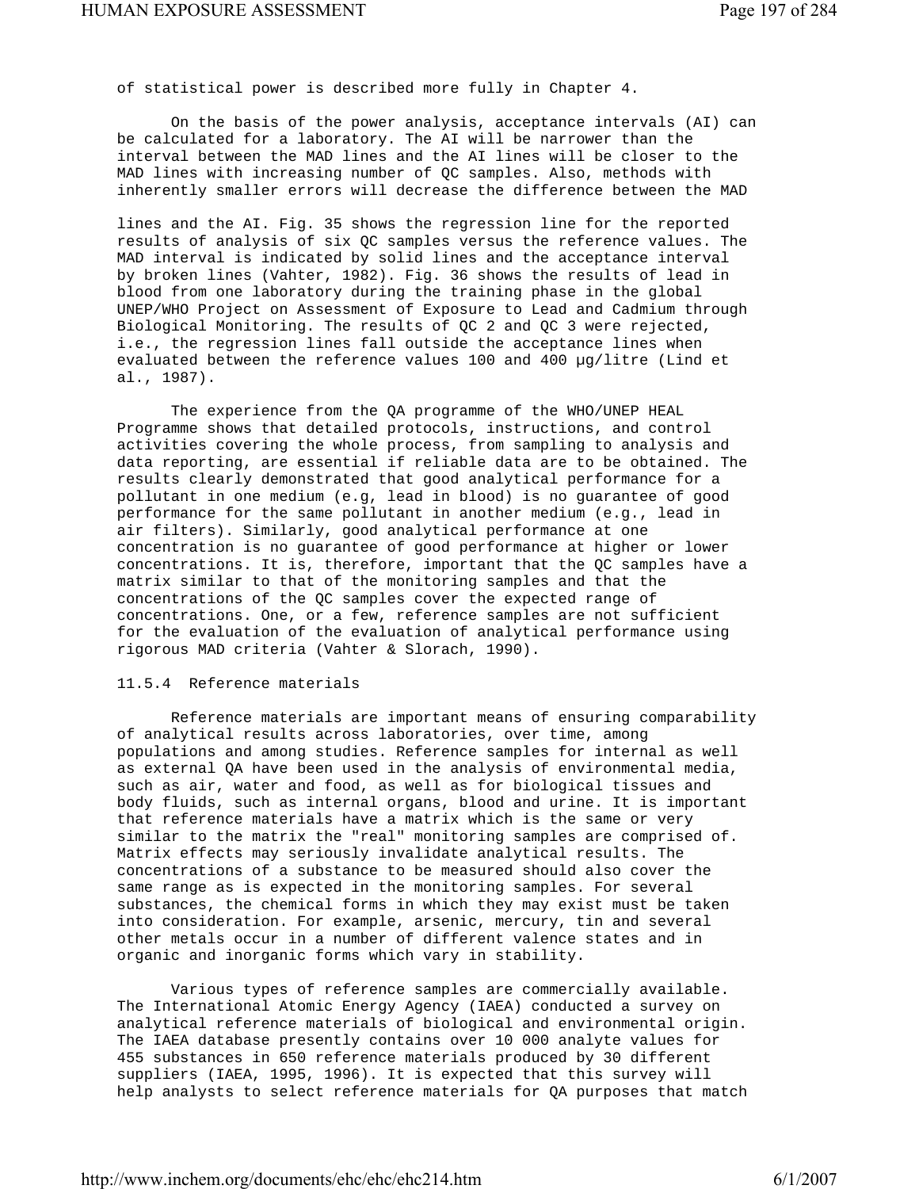of statistical power is described more fully in Chapter 4.

 On the basis of the power analysis, acceptance intervals (AI) can be calculated for a laboratory. The AI will be narrower than the interval between the MAD lines and the AI lines will be closer to the MAD lines with increasing number of QC samples. Also, methods with inherently smaller errors will decrease the difference between the MAD

 lines and the AI. Fig. 35 shows the regression line for the reported results of analysis of six QC samples versus the reference values. The MAD interval is indicated by solid lines and the acceptance interval by broken lines (Vahter, 1982). Fig. 36 shows the results of lead in blood from one laboratory during the training phase in the global UNEP/WHO Project on Assessment of Exposure to Lead and Cadmium through Biological Monitoring. The results of QC 2 and QC 3 were rejected, i.e., the regression lines fall outside the acceptance lines when evaluated between the reference values 100 and 400 µg/litre (Lind et al., 1987).

 The experience from the QA programme of the WHO/UNEP HEAL Programme shows that detailed protocols, instructions, and control activities covering the whole process, from sampling to analysis and data reporting, are essential if reliable data are to be obtained. The results clearly demonstrated that good analytical performance for a pollutant in one medium (e.g, lead in blood) is no guarantee of good performance for the same pollutant in another medium (e.g., lead in air filters). Similarly, good analytical performance at one concentration is no guarantee of good performance at higher or lower concentrations. It is, therefore, important that the QC samples have a matrix similar to that of the monitoring samples and that the concentrations of the QC samples cover the expected range of concentrations. One, or a few, reference samples are not sufficient for the evaluation of the evaluation of analytical performance using rigorous MAD criteria (Vahter & Slorach, 1990).

#### 11.5.4 Reference materials

 Reference materials are important means of ensuring comparability of analytical results across laboratories, over time, among populations and among studies. Reference samples for internal as well as external QA have been used in the analysis of environmental media, such as air, water and food, as well as for biological tissues and body fluids, such as internal organs, blood and urine. It is important that reference materials have a matrix which is the same or very similar to the matrix the "real" monitoring samples are comprised of. Matrix effects may seriously invalidate analytical results. The concentrations of a substance to be measured should also cover the same range as is expected in the monitoring samples. For several substances, the chemical forms in which they may exist must be taken into consideration. For example, arsenic, mercury, tin and several other metals occur in a number of different valence states and in organic and inorganic forms which vary in stability.

 Various types of reference samples are commercially available. The International Atomic Energy Agency (IAEA) conducted a survey on analytical reference materials of biological and environmental origin. The IAEA database presently contains over 10 000 analyte values for 455 substances in 650 reference materials produced by 30 different suppliers (IAEA, 1995, 1996). It is expected that this survey will help analysts to select reference materials for QA purposes that match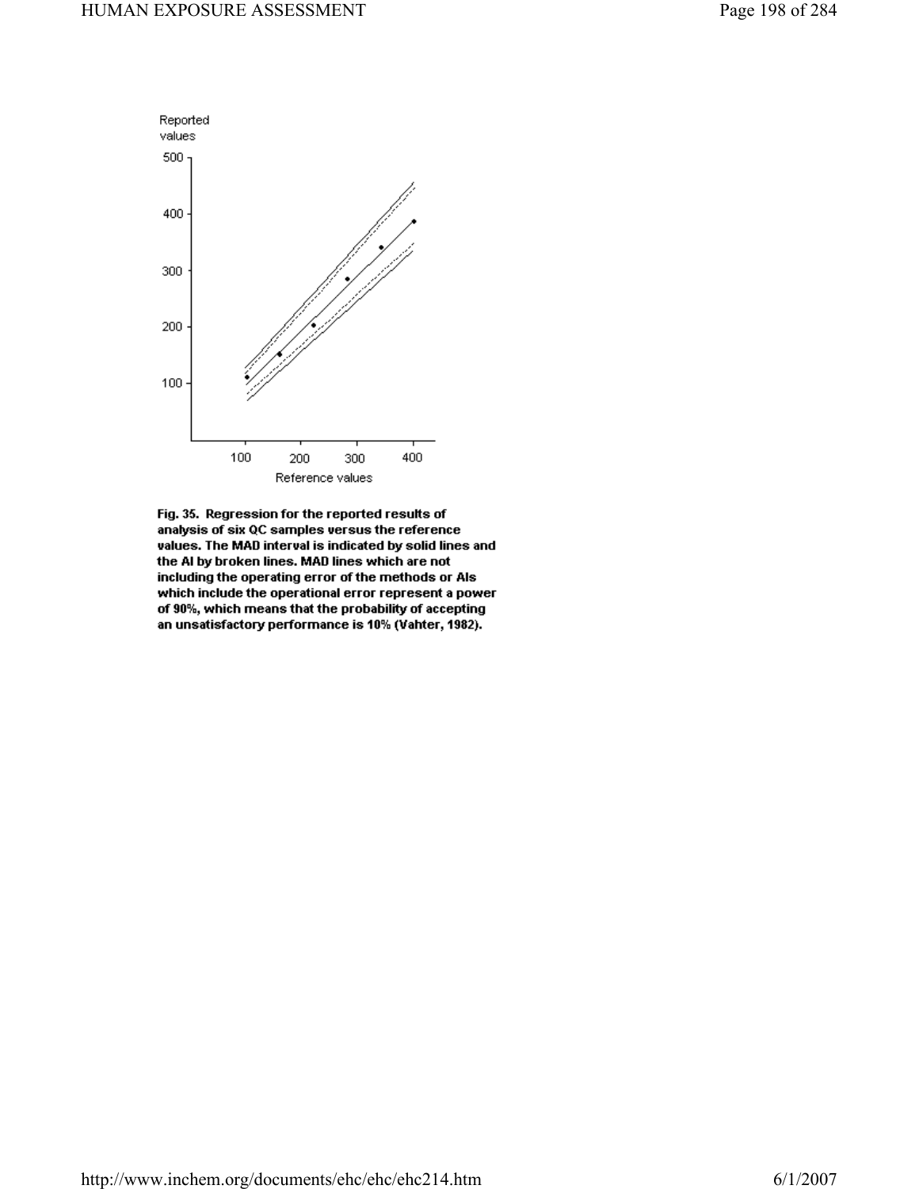

Fig. 35. Regression for the reported results of analysis of six QC samples versus the reference values. The MAD interval is indicated by solid lines and the AI by broken lines. MAD lines which are not including the operating error of the methods or Als which include the operational error represent a power of 90%, which means that the probability of accepting an unsatisfactory performance is 10% (Vahter, 1982).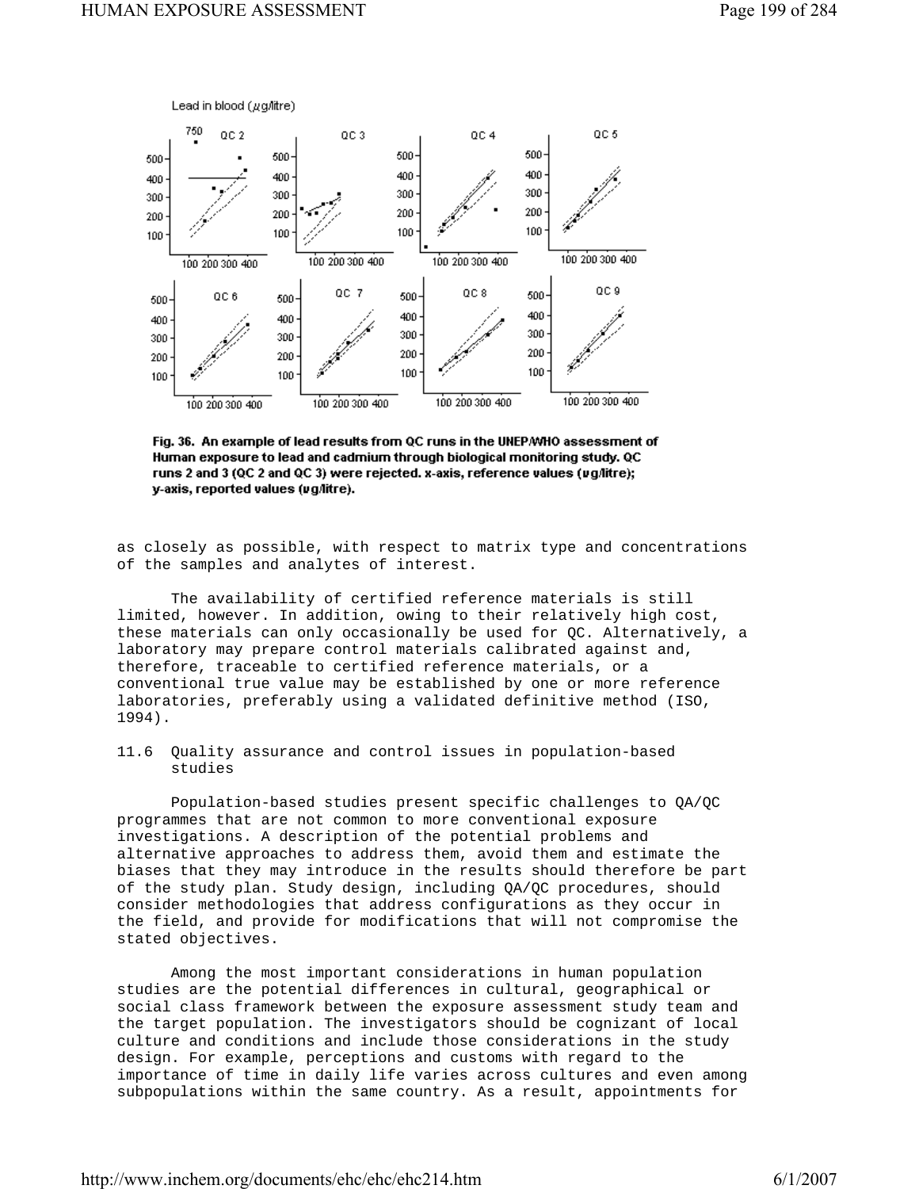

Fig. 36. An example of lead results from QC runs in the UNEP/WHO assessment of Human exposure to lead and cadmium through biological monitoring study. QC runs 2 and 3 (QC 2 and QC 3) were rejected. x-axis, reference values (ug/litre); y-axis, reported values (ug/litre).

 as closely as possible, with respect to matrix type and concentrations of the samples and analytes of interest.

 The availability of certified reference materials is still limited, however. In addition, owing to their relatively high cost, these materials can only occasionally be used for QC. Alternatively, a laboratory may prepare control materials calibrated against and, therefore, traceable to certified reference materials, or a conventional true value may be established by one or more reference laboratories, preferably using a validated definitive method (ISO, 1994).

 11.6 Quality assurance and control issues in population-based studies

 Population-based studies present specific challenges to QA/QC programmes that are not common to more conventional exposure investigations. A description of the potential problems and alternative approaches to address them, avoid them and estimate the biases that they may introduce in the results should therefore be part of the study plan. Study design, including QA/QC procedures, should consider methodologies that address configurations as they occur in the field, and provide for modifications that will not compromise the stated objectives.

 Among the most important considerations in human population studies are the potential differences in cultural, geographical or social class framework between the exposure assessment study team and the target population. The investigators should be cognizant of local culture and conditions and include those considerations in the study design. For example, perceptions and customs with regard to the importance of time in daily life varies across cultures and even among subpopulations within the same country. As a result, appointments for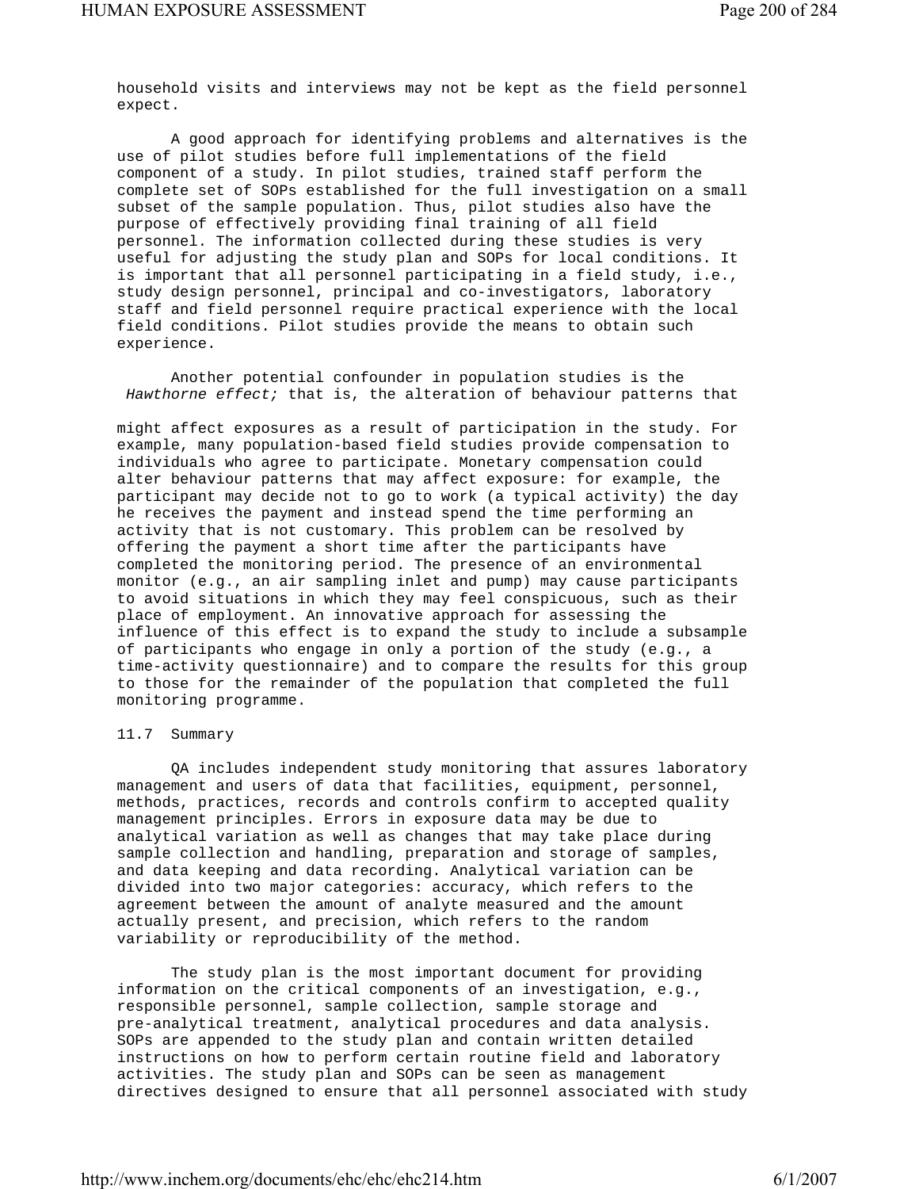household visits and interviews may not be kept as the field personnel expect.

 A good approach for identifying problems and alternatives is the use of pilot studies before full implementations of the field component of a study. In pilot studies, trained staff perform the complete set of SOPs established for the full investigation on a small subset of the sample population. Thus, pilot studies also have the purpose of effectively providing final training of all field personnel. The information collected during these studies is very useful for adjusting the study plan and SOPs for local conditions. It is important that all personnel participating in a field study, i.e., study design personnel, principal and co-investigators, laboratory staff and field personnel require practical experience with the local field conditions. Pilot studies provide the means to obtain such experience.

 Another potential confounder in population studies is the *Hawthorne effect;* that is, the alteration of behaviour patterns that

 might affect exposures as a result of participation in the study. For example, many population-based field studies provide compensation to individuals who agree to participate. Monetary compensation could alter behaviour patterns that may affect exposure: for example, the participant may decide not to go to work (a typical activity) the day he receives the payment and instead spend the time performing an activity that is not customary. This problem can be resolved by offering the payment a short time after the participants have completed the monitoring period. The presence of an environmental monitor (e.g., an air sampling inlet and pump) may cause participants to avoid situations in which they may feel conspicuous, such as their place of employment. An innovative approach for assessing the influence of this effect is to expand the study to include a subsample of participants who engage in only a portion of the study (e.g., a time-activity questionnaire) and to compare the results for this group to those for the remainder of the population that completed the full monitoring programme.

### 11.7 Summary

 QA includes independent study monitoring that assures laboratory management and users of data that facilities, equipment, personnel, methods, practices, records and controls confirm to accepted quality management principles. Errors in exposure data may be due to analytical variation as well as changes that may take place during sample collection and handling, preparation and storage of samples, and data keeping and data recording. Analytical variation can be divided into two major categories: accuracy, which refers to the agreement between the amount of analyte measured and the amount actually present, and precision, which refers to the random variability or reproducibility of the method.

 The study plan is the most important document for providing information on the critical components of an investigation, e.g., responsible personnel, sample collection, sample storage and pre-analytical treatment, analytical procedures and data analysis. SOPs are appended to the study plan and contain written detailed instructions on how to perform certain routine field and laboratory activities. The study plan and SOPs can be seen as management directives designed to ensure that all personnel associated with study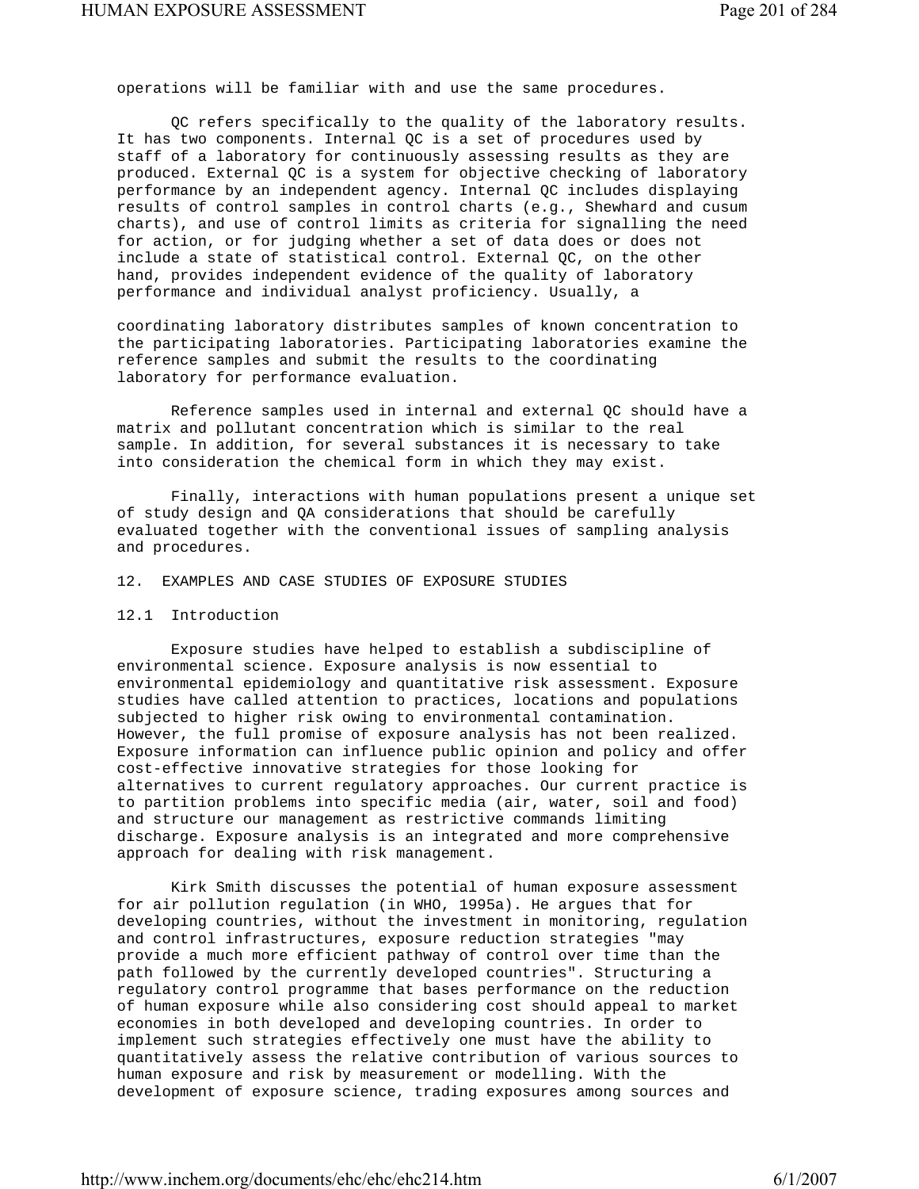operations will be familiar with and use the same procedures.

 QC refers specifically to the quality of the laboratory results. It has two components. Internal QC is a set of procedures used by staff of a laboratory for continuously assessing results as they are produced. External QC is a system for objective checking of laboratory performance by an independent agency. Internal QC includes displaying results of control samples in control charts (e.g., Shewhard and cusum charts), and use of control limits as criteria for signalling the need for action, or for judging whether a set of data does or does not include a state of statistical control. External QC, on the other hand, provides independent evidence of the quality of laboratory performance and individual analyst proficiency. Usually, a

 coordinating laboratory distributes samples of known concentration to the participating laboratories. Participating laboratories examine the reference samples and submit the results to the coordinating laboratory for performance evaluation.

 Reference samples used in internal and external QC should have a matrix and pollutant concentration which is similar to the real sample. In addition, for several substances it is necessary to take into consideration the chemical form in which they may exist.

 Finally, interactions with human populations present a unique set of study design and QA considerations that should be carefully evaluated together with the conventional issues of sampling analysis and procedures.

#### 12. EXAMPLES AND CASE STUDIES OF EXPOSURE STUDIES

### 12.1 Introduction

 Exposure studies have helped to establish a subdiscipline of environmental science. Exposure analysis is now essential to environmental epidemiology and quantitative risk assessment. Exposure studies have called attention to practices, locations and populations subjected to higher risk owing to environmental contamination. However, the full promise of exposure analysis has not been realized. Exposure information can influence public opinion and policy and offer cost-effective innovative strategies for those looking for alternatives to current regulatory approaches. Our current practice is to partition problems into specific media (air, water, soil and food) and structure our management as restrictive commands limiting discharge. Exposure analysis is an integrated and more comprehensive approach for dealing with risk management.

 Kirk Smith discusses the potential of human exposure assessment for air pollution regulation (in WHO, 1995a). He argues that for developing countries, without the investment in monitoring, regulation and control infrastructures, exposure reduction strategies "may provide a much more efficient pathway of control over time than the path followed by the currently developed countries". Structuring a regulatory control programme that bases performance on the reduction of human exposure while also considering cost should appeal to market economies in both developed and developing countries. In order to implement such strategies effectively one must have the ability to quantitatively assess the relative contribution of various sources to human exposure and risk by measurement or modelling. With the development of exposure science, trading exposures among sources and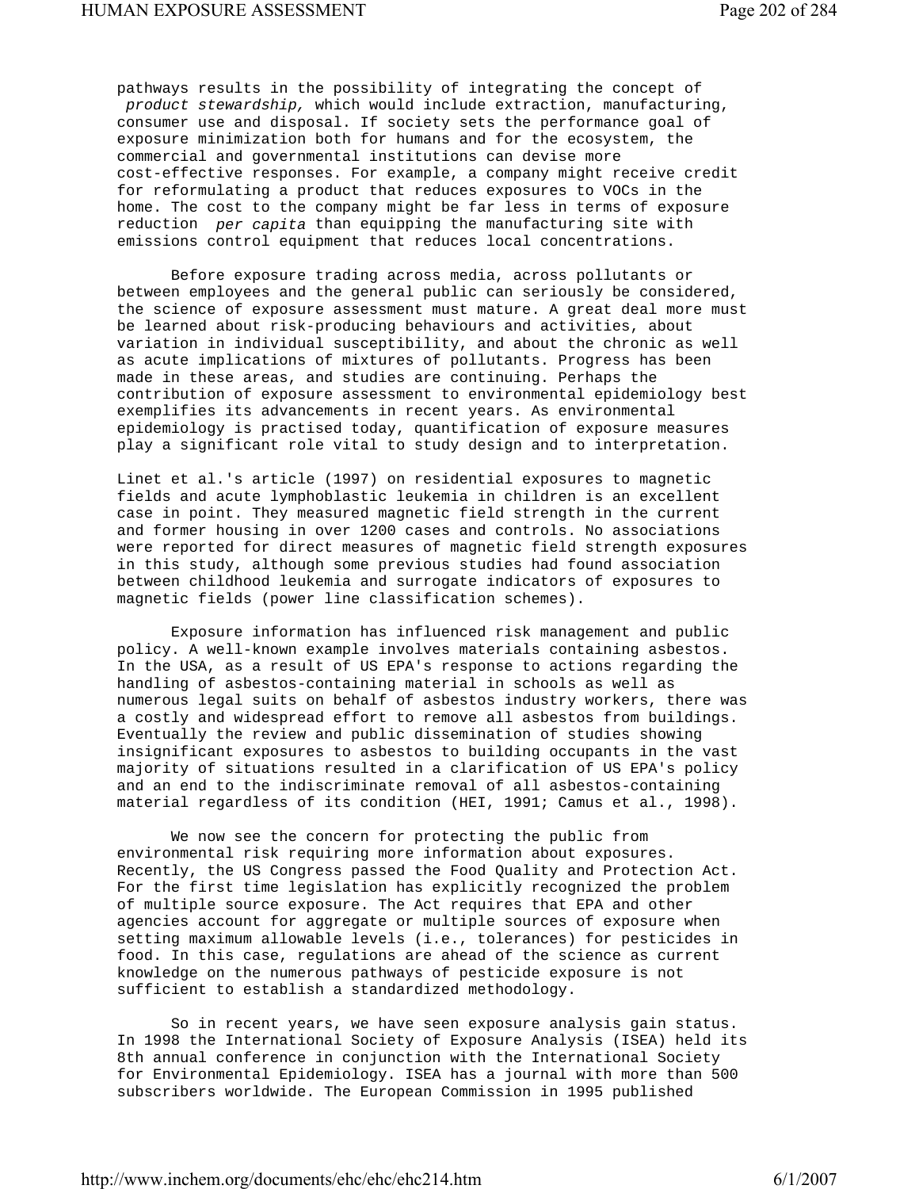pathways results in the possibility of integrating the concept of *product stewardship,* which would include extraction, manufacturing, consumer use and disposal. If society sets the performance goal of exposure minimization both for humans and for the ecosystem, the commercial and governmental institutions can devise more cost-effective responses. For example, a company might receive credit for reformulating a product that reduces exposures to VOCs in the home. The cost to the company might be far less in terms of exposure reduction *per capita* than equipping the manufacturing site with emissions control equipment that reduces local concentrations.

 Before exposure trading across media, across pollutants or between employees and the general public can seriously be considered, the science of exposure assessment must mature. A great deal more must be learned about risk-producing behaviours and activities, about variation in individual susceptibility, and about the chronic as well as acute implications of mixtures of pollutants. Progress has been made in these areas, and studies are continuing. Perhaps the contribution of exposure assessment to environmental epidemiology best exemplifies its advancements in recent years. As environmental epidemiology is practised today, quantification of exposure measures play a significant role vital to study design and to interpretation.

 Linet et al.'s article (1997) on residential exposures to magnetic fields and acute lymphoblastic leukemia in children is an excellent case in point. They measured magnetic field strength in the current and former housing in over 1200 cases and controls. No associations were reported for direct measures of magnetic field strength exposures in this study, although some previous studies had found association between childhood leukemia and surrogate indicators of exposures to magnetic fields (power line classification schemes).

 Exposure information has influenced risk management and public policy. A well-known example involves materials containing asbestos. In the USA, as a result of US EPA's response to actions regarding the handling of asbestos-containing material in schools as well as numerous legal suits on behalf of asbestos industry workers, there was a costly and widespread effort to remove all asbestos from buildings. Eventually the review and public dissemination of studies showing insignificant exposures to asbestos to building occupants in the vast majority of situations resulted in a clarification of US EPA's policy and an end to the indiscriminate removal of all asbestos-containing material regardless of its condition (HEI, 1991; Camus et al., 1998).

 We now see the concern for protecting the public from environmental risk requiring more information about exposures. Recently, the US Congress passed the Food Quality and Protection Act. For the first time legislation has explicitly recognized the problem of multiple source exposure. The Act requires that EPA and other agencies account for aggregate or multiple sources of exposure when setting maximum allowable levels (i.e., tolerances) for pesticides in food. In this case, regulations are ahead of the science as current knowledge on the numerous pathways of pesticide exposure is not sufficient to establish a standardized methodology.

 So in recent years, we have seen exposure analysis gain status. In 1998 the International Society of Exposure Analysis (ISEA) held its 8th annual conference in conjunction with the International Society for Environmental Epidemiology. ISEA has a journal with more than 500 subscribers worldwide. The European Commission in 1995 published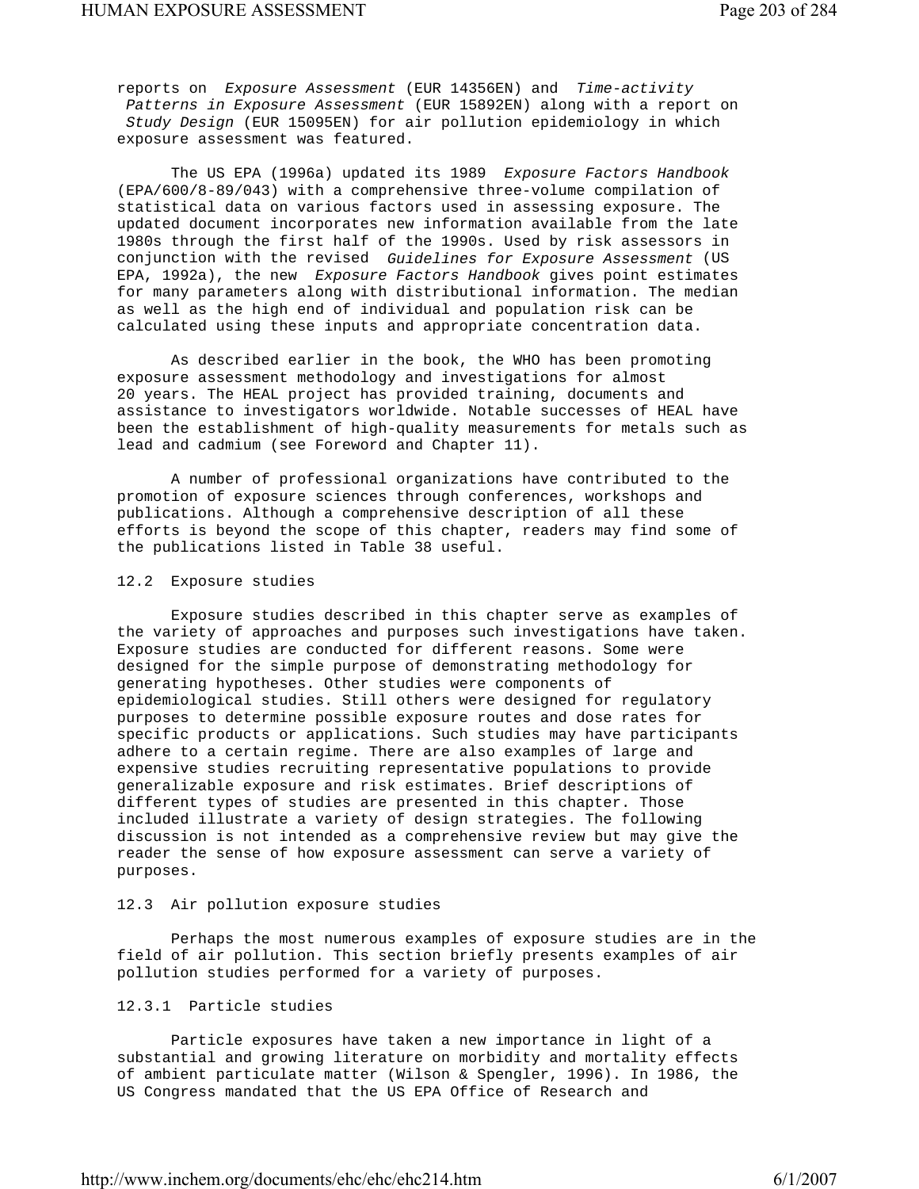reports on *Exposure Assessment* (EUR 14356EN) and *Time-activity Patterns in Exposure Assessment* (EUR 15892EN) along with a report on *Study Design* (EUR 15095EN) for air pollution epidemiology in which exposure assessment was featured.

 The US EPA (1996a) updated its 1989 *Exposure Factors Handbook*  (EPA/600/8-89/043) with a comprehensive three-volume compilation of statistical data on various factors used in assessing exposure. The updated document incorporates new information available from the late 1980s through the first half of the 1990s. Used by risk assessors in conjunction with the revised *Guidelines for Exposure Assessment* (US EPA, 1992a), the new *Exposure Factors Handbook* gives point estimates for many parameters along with distributional information. The median as well as the high end of individual and population risk can be calculated using these inputs and appropriate concentration data.

 As described earlier in the book, the WHO has been promoting exposure assessment methodology and investigations for almost 20 years. The HEAL project has provided training, documents and assistance to investigators worldwide. Notable successes of HEAL have been the establishment of high-quality measurements for metals such as lead and cadmium (see Foreword and Chapter 11).

 A number of professional organizations have contributed to the promotion of exposure sciences through conferences, workshops and publications. Although a comprehensive description of all these efforts is beyond the scope of this chapter, readers may find some of the publications listed in Table 38 useful.

#### 12.2 Exposure studies

 Exposure studies described in this chapter serve as examples of the variety of approaches and purposes such investigations have taken. Exposure studies are conducted for different reasons. Some were designed for the simple purpose of demonstrating methodology for generating hypotheses. Other studies were components of epidemiological studies. Still others were designed for regulatory purposes to determine possible exposure routes and dose rates for specific products or applications. Such studies may have participants adhere to a certain regime. There are also examples of large and expensive studies recruiting representative populations to provide generalizable exposure and risk estimates. Brief descriptions of different types of studies are presented in this chapter. Those included illustrate a variety of design strategies. The following discussion is not intended as a comprehensive review but may give the reader the sense of how exposure assessment can serve a variety of purposes.

#### 12.3 Air pollution exposure studies

 Perhaps the most numerous examples of exposure studies are in the field of air pollution. This section briefly presents examples of air pollution studies performed for a variety of purposes.

### 12.3.1 Particle studies

 Particle exposures have taken a new importance in light of a substantial and growing literature on morbidity and mortality effects of ambient particulate matter (Wilson & Spengler, 1996). In 1986, the US Congress mandated that the US EPA Office of Research and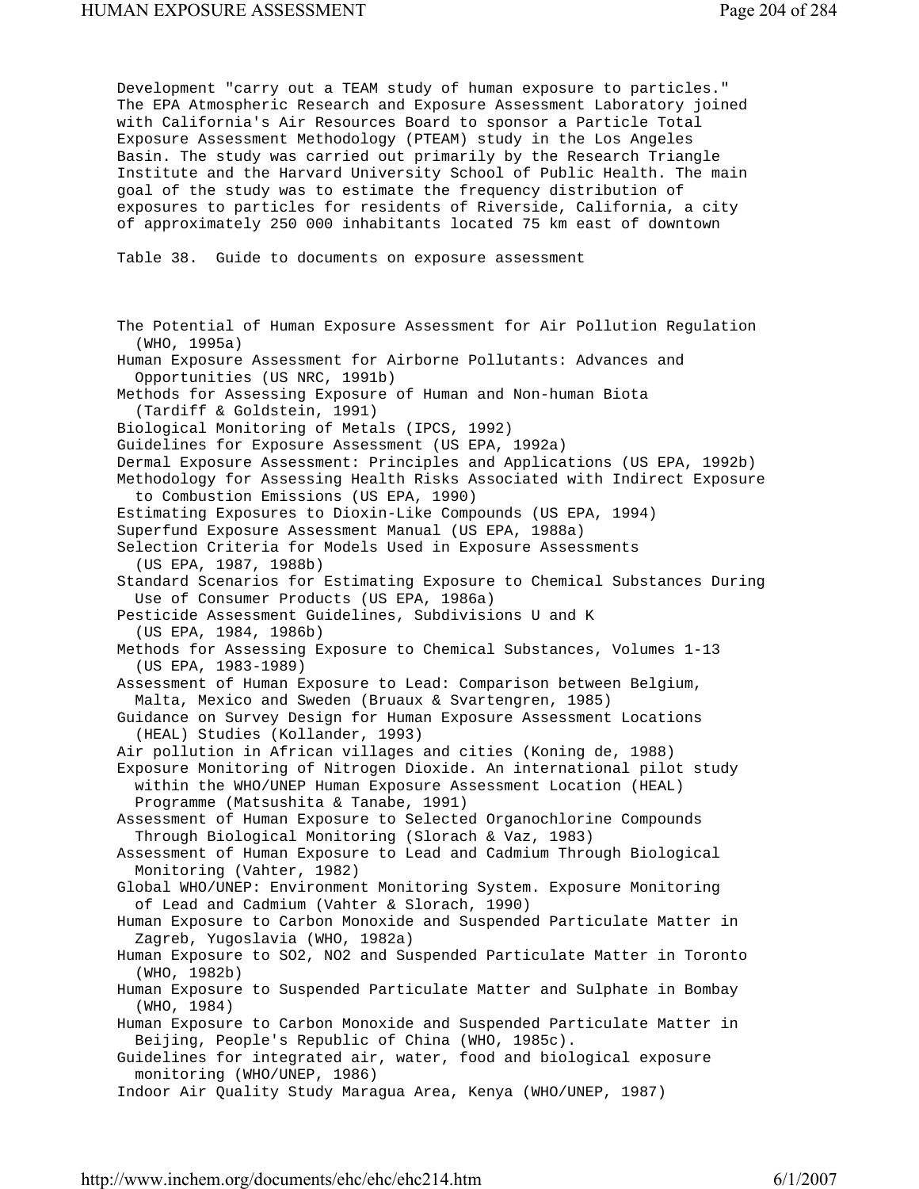Development "carry out a TEAM study of human exposure to particles." The EPA Atmospheric Research and Exposure Assessment Laboratory joined with California's Air Resources Board to sponsor a Particle Total Exposure Assessment Methodology (PTEAM) study in the Los Angeles Basin. The study was carried out primarily by the Research Triangle Institute and the Harvard University School of Public Health. The main goal of the study was to estimate the frequency distribution of exposures to particles for residents of Riverside, California, a city of approximately 250 000 inhabitants located 75 km east of downtown Table 38. Guide to documents on exposure assessment The Potential of Human Exposure Assessment for Air Pollution Regulation (WHO, 1995a) Human Exposure Assessment for Airborne Pollutants: Advances and Opportunities (US NRC, 1991b) Methods for Assessing Exposure of Human and Non-human Biota (Tardiff & Goldstein, 1991) Biological Monitoring of Metals (IPCS, 1992) Guidelines for Exposure Assessment (US EPA, 1992a) Dermal Exposure Assessment: Principles and Applications (US EPA, 1992b) Methodology for Assessing Health Risks Associated with Indirect Exposure to Combustion Emissions (US EPA, 1990) Estimating Exposures to Dioxin-Like Compounds (US EPA, 1994) Superfund Exposure Assessment Manual (US EPA, 1988a) Selection Criteria for Models Used in Exposure Assessments (US EPA, 1987, 1988b) Standard Scenarios for Estimating Exposure to Chemical Substances During Use of Consumer Products (US EPA, 1986a) Pesticide Assessment Guidelines, Subdivisions U and K (US EPA, 1984, 1986b) Methods for Assessing Exposure to Chemical Substances, Volumes 1-13 (US EPA, 1983-1989) Assessment of Human Exposure to Lead: Comparison between Belgium, Malta, Mexico and Sweden (Bruaux & Svartengren, 1985) Guidance on Survey Design for Human Exposure Assessment Locations (HEAL) Studies (Kollander, 1993) Air pollution in African villages and cities (Koning de, 1988) Exposure Monitoring of Nitrogen Dioxide. An international pilot study within the WHO/UNEP Human Exposure Assessment Location (HEAL) Programme (Matsushita & Tanabe, 1991) Assessment of Human Exposure to Selected Organochlorine Compounds Through Biological Monitoring (Slorach & Vaz, 1983) Assessment of Human Exposure to Lead and Cadmium Through Biological Monitoring (Vahter, 1982) Global WHO/UNEP: Environment Monitoring System. Exposure Monitoring of Lead and Cadmium (Vahter & Slorach, 1990) Human Exposure to Carbon Monoxide and Suspended Particulate Matter in Zagreb, Yugoslavia (WHO, 1982a) Human Exposure to SO2, NO2 and Suspended Particulate Matter in Toronto (WHO, 1982b) Human Exposure to Suspended Particulate Matter and Sulphate in Bombay (WHO, 1984) Human Exposure to Carbon Monoxide and Suspended Particulate Matter in Beijing, People's Republic of China (WHO, 1985c). Guidelines for integrated air, water, food and biological exposure monitoring (WHO/UNEP, 1986) Indoor Air Quality Study Maragua Area, Kenya (WHO/UNEP, 1987)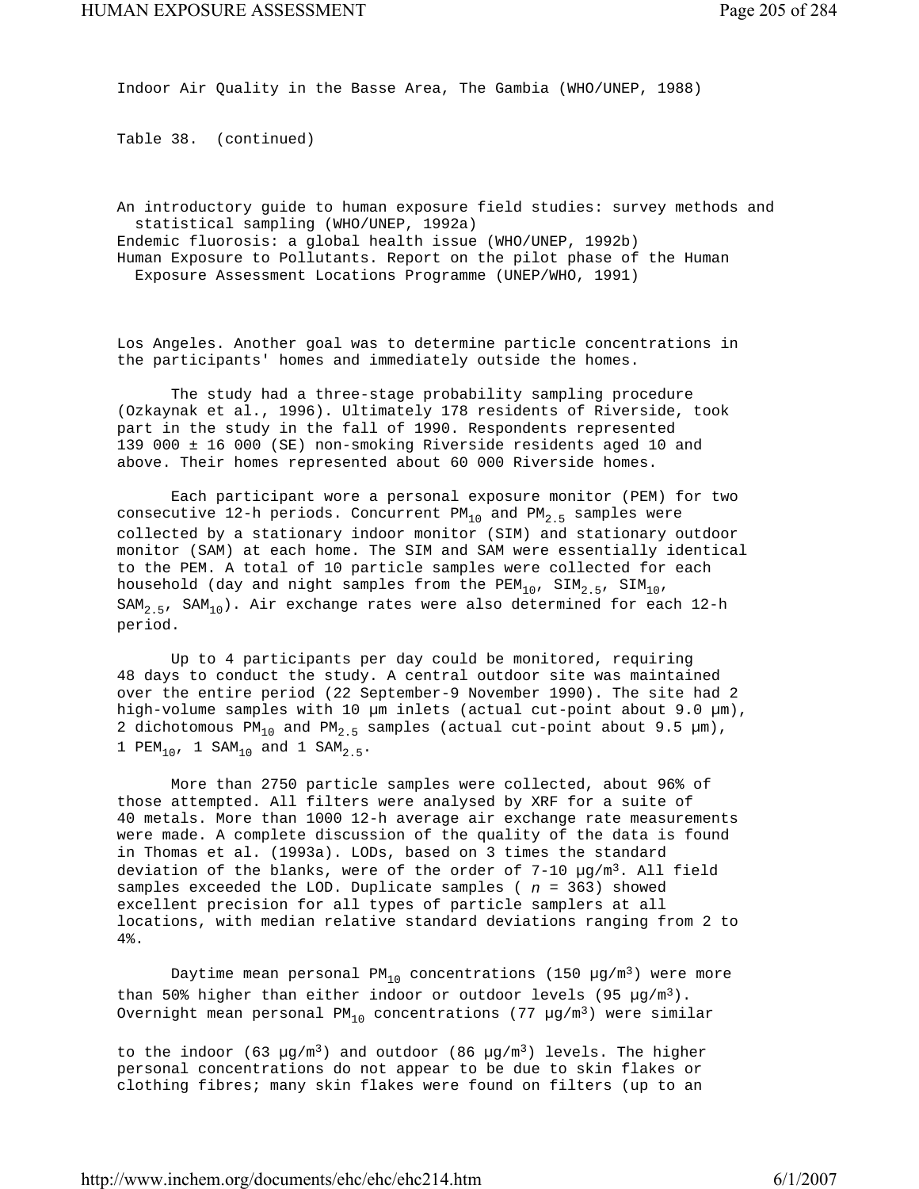Indoor Air Quality in the Basse Area, The Gambia (WHO/UNEP, 1988)

Table 38. (continued)

 An introductory guide to human exposure field studies: survey methods and statistical sampling (WHO/UNEP, 1992a) Endemic fluorosis: a global health issue (WHO/UNEP, 1992b) Human Exposure to Pollutants. Report on the pilot phase of the Human Exposure Assessment Locations Programme (UNEP/WHO, 1991)

 Los Angeles. Another goal was to determine particle concentrations in the participants' homes and immediately outside the homes.

 The study had a three-stage probability sampling procedure (Ozkaynak et al., 1996). Ultimately 178 residents of Riverside, took part in the study in the fall of 1990. Respondents represented 139 000 ± 16 000 (SE) non-smoking Riverside residents aged 10 and above. Their homes represented about 60 000 Riverside homes.

 Each participant wore a personal exposure monitor (PEM) for two consecutive 12-h periods. Concurrent  $PM_{10}$  and  $PM_{2.5}$  samples were collected by a stationary indoor monitor (SIM) and stationary outdoor monitor (SAM) at each home. The SIM and SAM were essentially identical to the PEM. A total of 10 particle samples were collected for each household (day and night samples from the  $PEM_{10}$ ,  $SIM_{2.5}$ ,  $SIM_{10}$ ,  $SAM_{2,5}$ ,  $SAM_{10}$ ). Air exchange rates were also determined for each 12-h period.

 Up to 4 participants per day could be monitored, requiring 48 days to conduct the study. A central outdoor site was maintained over the entire period (22 September-9 November 1990). The site had 2 high-volume samples with 10 µm inlets (actual cut-point about 9.0 µm), 2 dichotomous  $PM_{10}$  and  $PM_{2.5}$  samples (actual cut-point about 9.5  $\mu$ m), 1 PEM<sub>10</sub>, 1 SAM<sub>10</sub> and 1 SAM<sub>25</sub>.

 More than 2750 particle samples were collected, about 96% of those attempted. All filters were analysed by XRF for a suite of 40 metals. More than 1000 12-h average air exchange rate measurements were made. A complete discussion of the quality of the data is found in Thomas et al. (1993a). LODs, based on 3 times the standard deviation of the blanks, were of the order of  $7-10 \text{ µg/m}^3$ . All field samples exceeded the LOD. Duplicate samples ( *n* = 363) showed excellent precision for all types of particle samplers at all locations, with median relative standard deviations ranging from 2 to 4%.

Daytime mean personal PM<sub>10</sub> concentrations (150  $\mu$ g/m<sup>3</sup>) were more than 50% higher than either indoor or outdoor levels (95  $\mu$ g/m<sup>3</sup>). Overnight mean personal PM<sub>10</sub> concentrations (77  $\mu$ g/m<sup>3</sup>) were similar

to the indoor (63  $\mu g/m^3$ ) and outdoor (86  $\mu g/m^3$ ) levels. The higher personal concentrations do not appear to be due to skin flakes or clothing fibres; many skin flakes were found on filters (up to an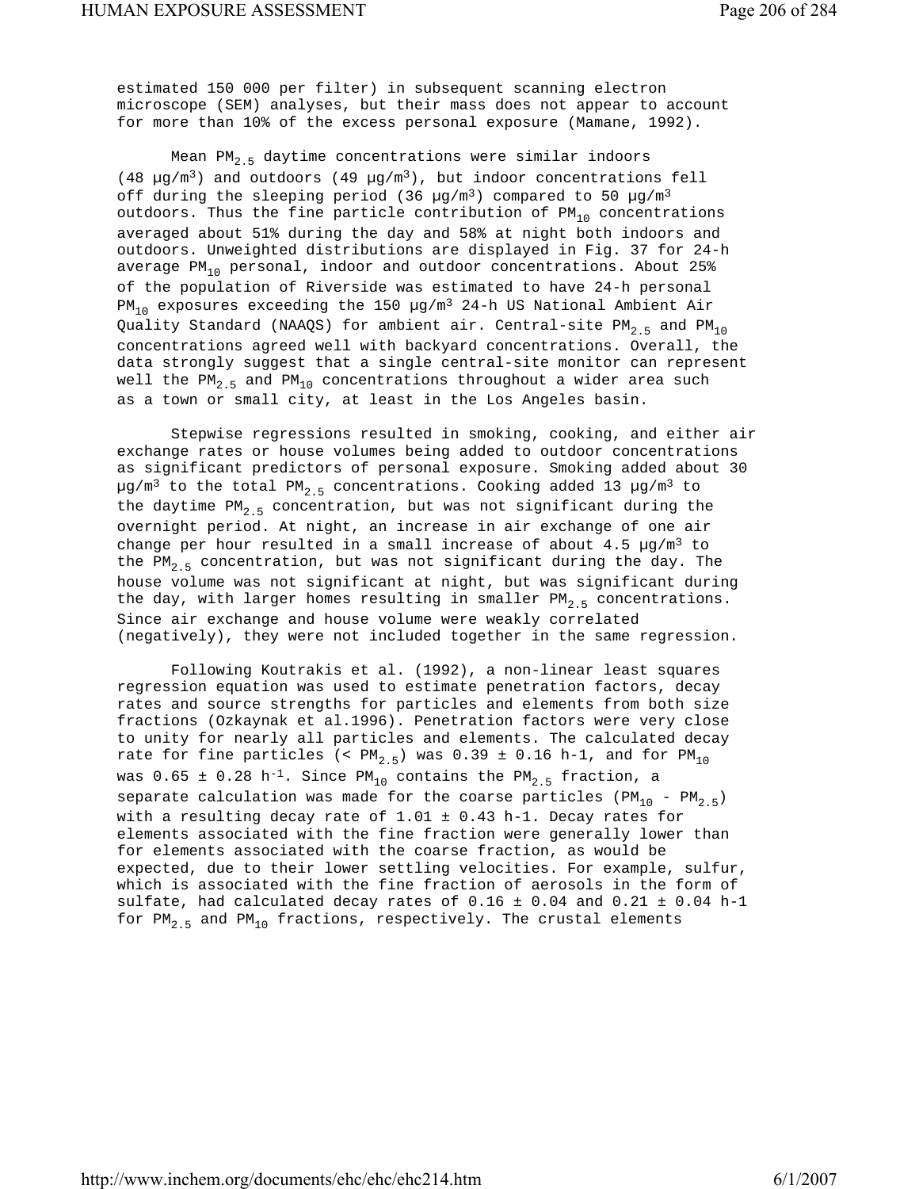estimated 150 000 per filter) in subsequent scanning electron microscope (SEM) analyses, but their mass does not appear to account for more than 10% of the excess personal exposure (Mamane, 1992).

Mean  $PM_{2.5}$  daytime concentrations were similar indoors (48  $\mu$ g/m<sup>3</sup>) and outdoors (49  $\mu$ g/m<sup>3</sup>), but indoor concentrations fell off during the sleeping period (36  $\mu$ g/m<sup>3</sup>) compared to 50  $\mu$ g/m<sup>3</sup> outdoors. Thus the fine particle contribution of  $PM_{10}$  concentrations averaged about 51% during the day and 58% at night both indoors and outdoors. Unweighted distributions are displayed in Fig. 37 for 24-h average  $PM_{10}$  personal, indoor and outdoor concentrations. About 25% of the population of Riverside was estimated to have 24-h personal  $PM_{10}$  exposures exceeding the 150  $\mu$ g/m<sup>3</sup> 24-h US National Ambient Air Quality Standard (NAAQS) for ambient air. Central-site PM<sub>2</sub><sup>5</sup> and PM<sub>10</sub> concentrations agreed well with backyard concentrations. Overall, the data strongly suggest that a single central-site monitor can represent well the PM<sub>2.5</sub> and PM<sub>10</sub> concentrations throughout a wider area such as a town or small city, at least in the Los Angeles basin.

 Stepwise regressions resulted in smoking, cooking, and either air exchange rates or house volumes being added to outdoor concentrations as significant predictors of personal exposure. Smoking added about 30  $\mu$ g/m<sup>3</sup> to the total PM<sub>2.5</sub> concentrations. Cooking added 13  $\mu$ g/m<sup>3</sup> to the daytime PM<sub>2.5</sub> concentration, but was not significant during the overnight period. At night, an increase in air exchange of one air change per hour resulted in a small increase of about 4.5  $\mu$ g/m<sup>3</sup> to the PM<sub>2.5</sub> concentration, but was not significant during the day. The house volume was not significant at night, but was significant during the day, with larger homes resulting in smaller PM<sub>2.5</sub> concentrations. Since air exchange and house volume were weakly correlated (negatively), they were not included together in the same regression.

 Following Koutrakis et al. (1992), a non-linear least squares regression equation was used to estimate penetration factors, decay rates and source strengths for particles and elements from both size fractions (Ozkaynak et al.1996). Penetration factors were very close to unity for nearly all particles and elements. The calculated decay rate for fine particles (<  $PM_{2,5}$ ) was 0.39 ± 0.16 h-1, and for  $PM_{10}$ was  $0.65 \pm 0.28$  h<sup>-1</sup>. Since PM<sub>10</sub> contains the PM<sub>2.5</sub> fraction, a separate calculation was made for the coarse particles (PM<sub>10</sub> - PM<sub>2.5</sub>) with a resulting decay rate of  $1.01 \pm 0.43$  h-1. Decay rates for elements associated with the fine fraction were generally lower than for elements associated with the coarse fraction, as would be expected, due to their lower settling velocities. For example, sulfur, which is associated with the fine fraction of aerosols in the form of sulfate, had calculated decay rates of  $0.16 \pm 0.04$  and  $0.21 \pm 0.04$  h-1 for  $PM_{2.5}$  and  $PM_{10}$  fractions, respectively. The crustal elements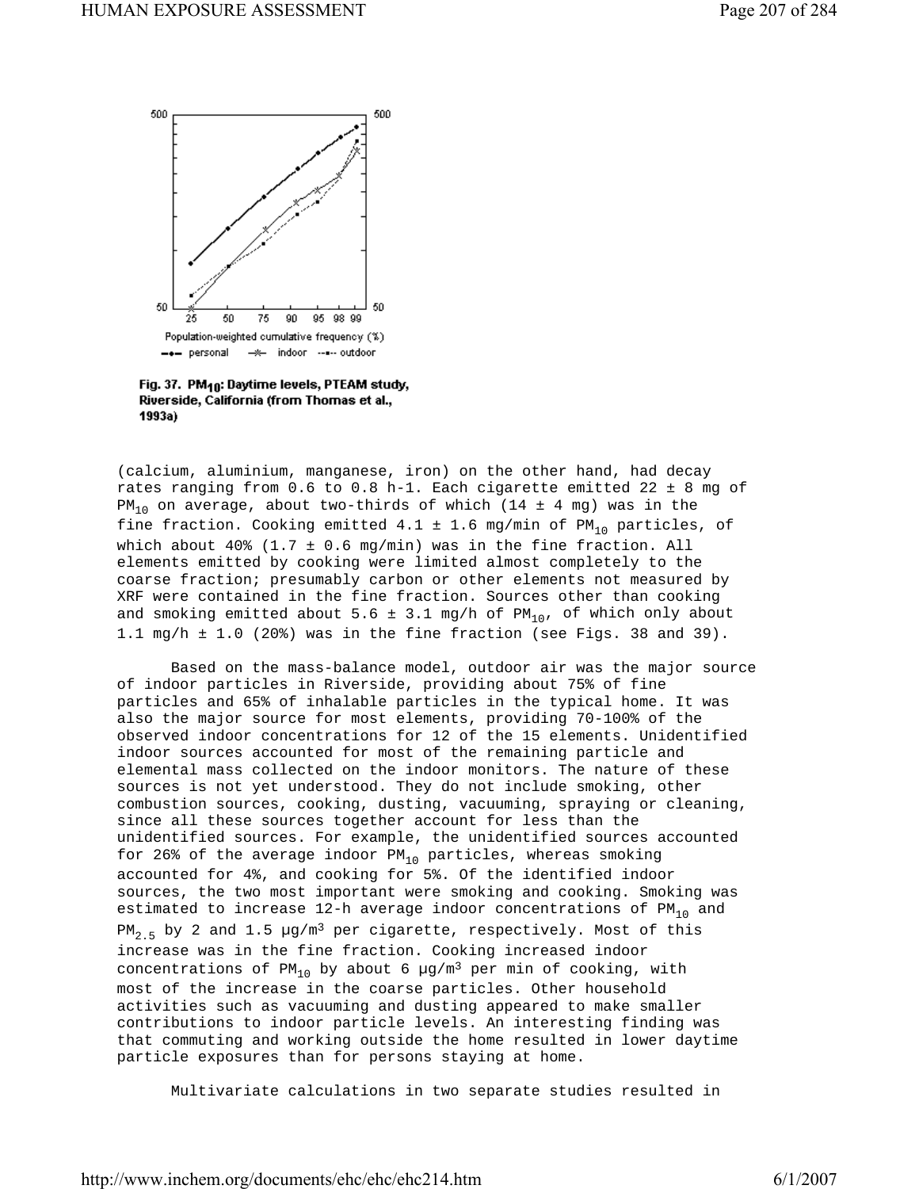

Fig. 37. PM<sub>10</sub>: Daytime levels, PTEAM study, Riverside, California (from Thomas et al., 1993a)

 (calcium, aluminium, manganese, iron) on the other hand, had decay rates ranging from 0.6 to 0.8 h-1. Each cigarette emitted 22 ± 8 mg of  $PM_{10}$  on average, about two-thirds of which (14 ± 4 mg) was in the fine fraction. Cooking emitted 4.1  $\pm$  1.6 mg/min of PM<sub>10</sub> particles, of which about 40% (1.7  $\pm$  0.6 mg/min) was in the fine fraction. All elements emitted by cooking were limited almost completely to the coarse fraction; presumably carbon or other elements not measured by XRF were contained in the fine fraction. Sources other than cooking and smoking emitted about 5.6  $\pm$  3.1 mg/h of PM<sub>10</sub>, of which only about 1.1 mg/h ± 1.0 (20%) was in the fine fraction (see Figs. 38 and 39).

 Based on the mass-balance model, outdoor air was the major source of indoor particles in Riverside, providing about 75% of fine particles and 65% of inhalable particles in the typical home. It was also the major source for most elements, providing 70-100% of the observed indoor concentrations for 12 of the 15 elements. Unidentified indoor sources accounted for most of the remaining particle and elemental mass collected on the indoor monitors. The nature of these sources is not yet understood. They do not include smoking, other combustion sources, cooking, dusting, vacuuming, spraying or cleaning, since all these sources together account for less than the unidentified sources. For example, the unidentified sources accounted for 26% of the average indoor  $PM_{10}$  particles, whereas smoking accounted for 4%, and cooking for 5%. Of the identified indoor sources, the two most important were smoking and cooking. Smoking was estimated to increase 12-h average indoor concentrations of  $PM_{10}$  and  $PM_{2.5}$  by 2 and 1.5  $\mu$ g/m<sup>3</sup> per cigarette, respectively. Most of this increase was in the fine fraction. Cooking increased indoor concentrations of  $PM_{10}$  by about 6  $\mu$ g/m<sup>3</sup> per min of cooking, with most of the increase in the coarse particles. Other household activities such as vacuuming and dusting appeared to make smaller contributions to indoor particle levels. An interesting finding was that commuting and working outside the home resulted in lower daytime particle exposures than for persons staying at home.

Multivariate calculations in two separate studies resulted in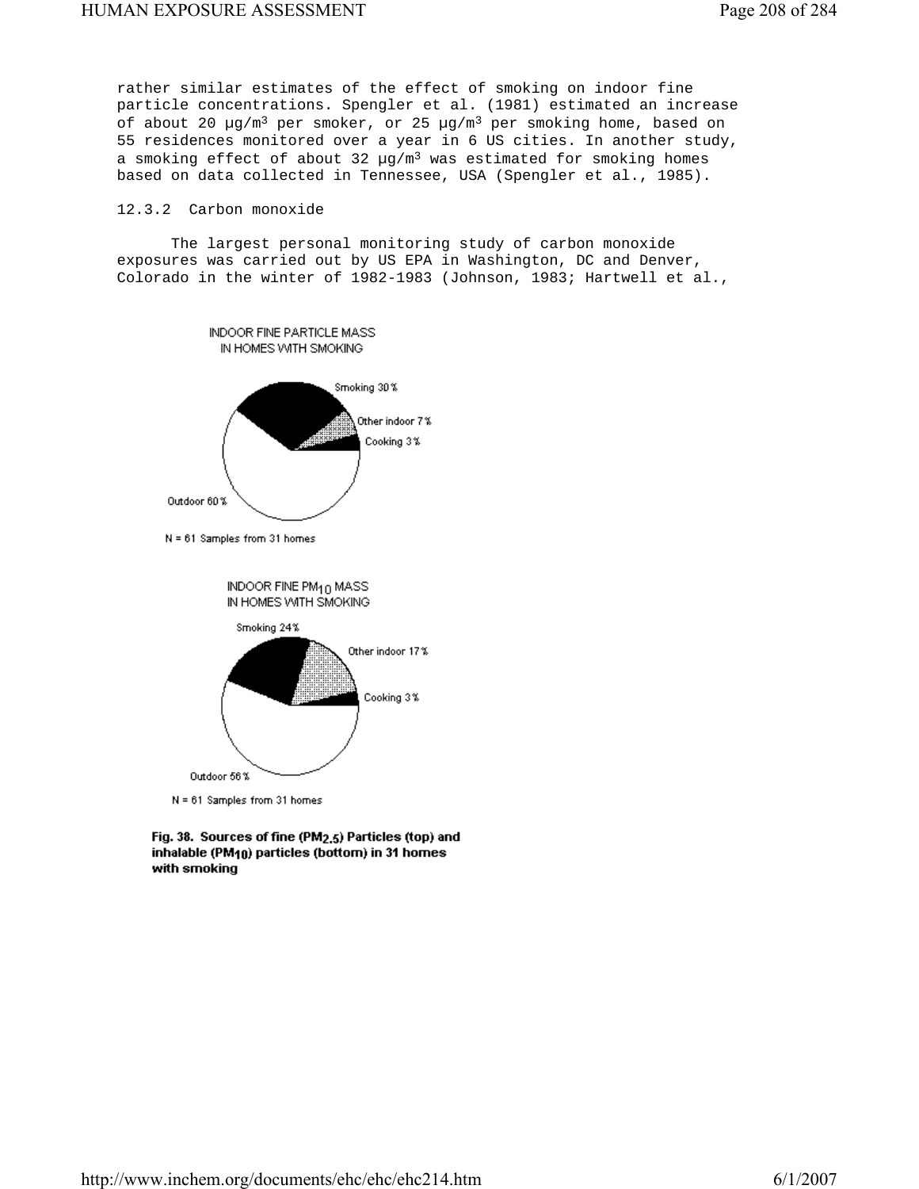rather similar estimates of the effect of smoking on indoor fine particle concentrations. Spengler et al. (1981) estimated an increase of about 20 µg/m3 per smoker, or 25 µg/m3 per smoking home, based on 55 residences monitored over a year in 6 US cities. In another study, a smoking effect of about 32  $\mu$ g/m<sup>3</sup> was estimated for smoking homes based on data collected in Tennessee, USA (Spengler et al., 1985).

### 12.3.2 Carbon monoxide

 The largest personal monitoring study of carbon monoxide exposures was carried out by US EPA in Washington, DC and Denver, Colorado in the winter of 1982-1983 (Johnson, 1983; Hartwell et al.,



N = 61 Samples from 31 homes

Fig. 38. Sources of fine (PM2,5) Particles (top) and inhalable (PM40) particles (bottom) in 31 homes with smoking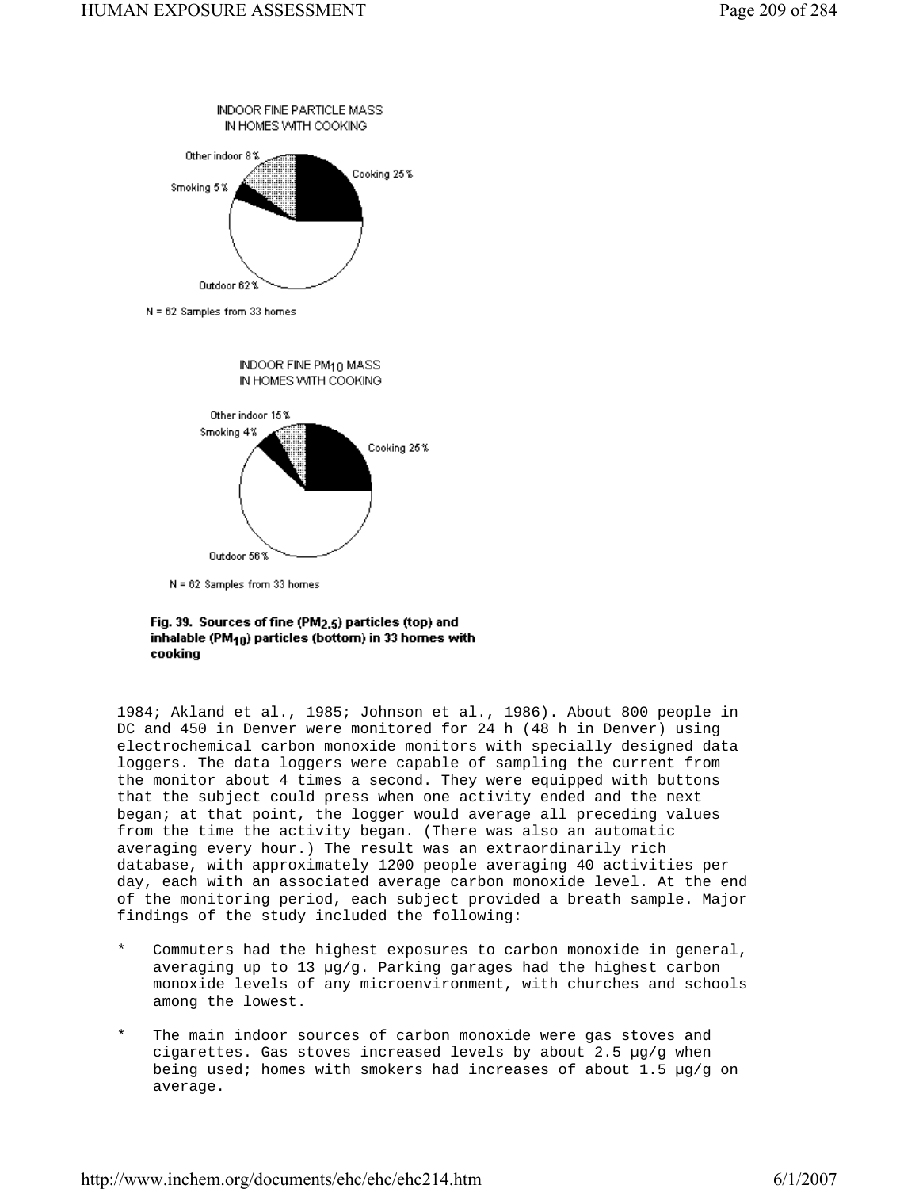

N = 62 Samples from 33 homes





N = 62 Samples from 33 homes

### Fig. 39. Sources of fine (PM2.5) particles (top) and inhalable (PM<sub>10</sub>) particles (bottom) in 33 homes with cooking

 1984; Akland et al., 1985; Johnson et al., 1986). About 800 people in DC and 450 in Denver were monitored for 24 h (48 h in Denver) using electrochemical carbon monoxide monitors with specially designed data loggers. The data loggers were capable of sampling the current from the monitor about 4 times a second. They were equipped with buttons that the subject could press when one activity ended and the next began; at that point, the logger would average all preceding values from the time the activity began. (There was also an automatic averaging every hour.) The result was an extraordinarily rich database, with approximately 1200 people averaging 40 activities per day, each with an associated average carbon monoxide level. At the end of the monitoring period, each subject provided a breath sample. Major findings of the study included the following:

- Commuters had the highest exposures to carbon monoxide in general, averaging up to 13  $\mu$ g/g. Parking garages had the highest carbon monoxide levels of any microenvironment, with churches and schools among the lowest.
- The main indoor sources of carbon monoxide were gas stoves and cigarettes. Gas stoves increased levels by about 2.5 µg/g when being used; homes with smokers had increases of about 1.5 µg/g on average.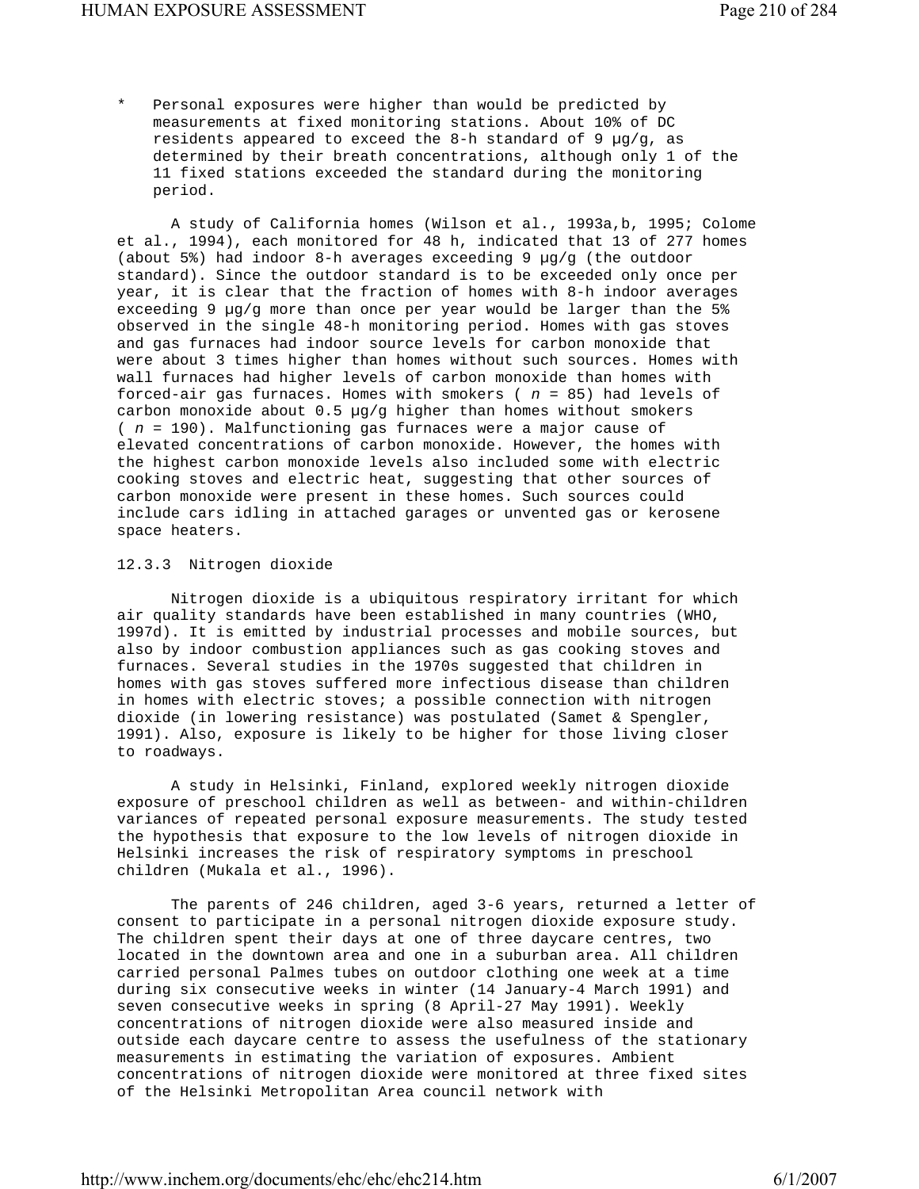Personal exposures were higher than would be predicted by measurements at fixed monitoring stations. About 10% of DC residents appeared to exceed the 8-h standard of 9 µg/g, as determined by their breath concentrations, although only 1 of the 11 fixed stations exceeded the standard during the monitoring period.

 A study of California homes (Wilson et al., 1993a,b, 1995; Colome et al., 1994), each monitored for 48 h, indicated that 13 of 277 homes (about 5%) had indoor 8-h averages exceeding 9 µg/g (the outdoor standard). Since the outdoor standard is to be exceeded only once per year, it is clear that the fraction of homes with 8-h indoor averages exceeding 9 µg/g more than once per year would be larger than the 5% observed in the single 48-h monitoring period. Homes with gas stoves and gas furnaces had indoor source levels for carbon monoxide that were about 3 times higher than homes without such sources. Homes with wall furnaces had higher levels of carbon monoxide than homes with forced-air gas furnaces. Homes with smokers ( *n* = 85) had levels of carbon monoxide about  $0.5 \mu g/g$  higher than homes without smokers ( *n* = 190). Malfunctioning gas furnaces were a major cause of elevated concentrations of carbon monoxide. However, the homes with the highest carbon monoxide levels also included some with electric cooking stoves and electric heat, suggesting that other sources of carbon monoxide were present in these homes. Such sources could include cars idling in attached garages or unvented gas or kerosene space heaters.

## 12.3.3 Nitrogen dioxide

 Nitrogen dioxide is a ubiquitous respiratory irritant for which air quality standards have been established in many countries (WHO, 1997d). It is emitted by industrial processes and mobile sources, but also by indoor combustion appliances such as gas cooking stoves and furnaces. Several studies in the 1970s suggested that children in homes with gas stoves suffered more infectious disease than children in homes with electric stoves; a possible connection with nitrogen dioxide (in lowering resistance) was postulated (Samet & Spengler, 1991). Also, exposure is likely to be higher for those living closer to roadways.

 A study in Helsinki, Finland, explored weekly nitrogen dioxide exposure of preschool children as well as between- and within-children variances of repeated personal exposure measurements. The study tested the hypothesis that exposure to the low levels of nitrogen dioxide in Helsinki increases the risk of respiratory symptoms in preschool children (Mukala et al., 1996).

 The parents of 246 children, aged 3-6 years, returned a letter of consent to participate in a personal nitrogen dioxide exposure study. The children spent their days at one of three daycare centres, two located in the downtown area and one in a suburban area. All children carried personal Palmes tubes on outdoor clothing one week at a time during six consecutive weeks in winter (14 January-4 March 1991) and seven consecutive weeks in spring (8 April-27 May 1991). Weekly concentrations of nitrogen dioxide were also measured inside and outside each daycare centre to assess the usefulness of the stationary measurements in estimating the variation of exposures. Ambient concentrations of nitrogen dioxide were monitored at three fixed sites of the Helsinki Metropolitan Area council network with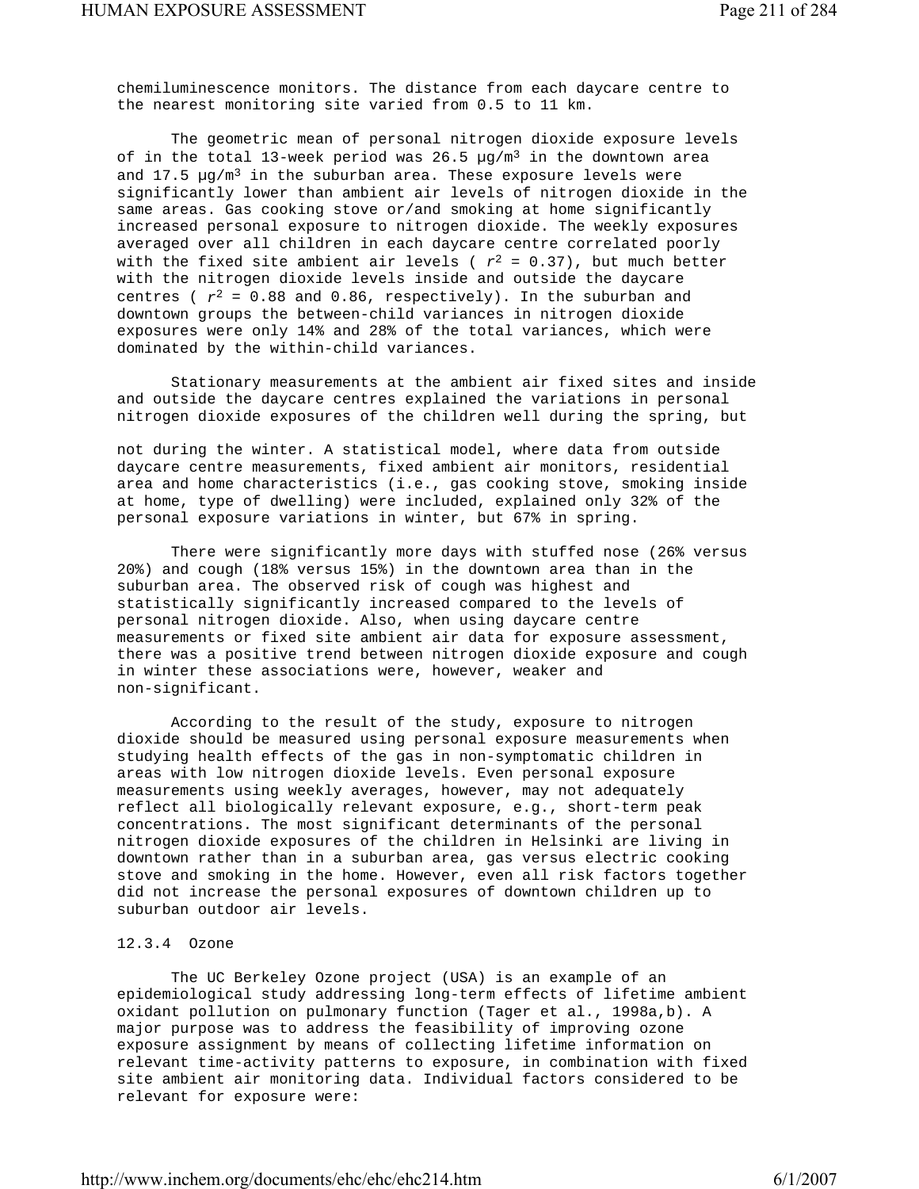chemiluminescence monitors. The distance from each daycare centre to the nearest monitoring site varied from 0.5 to 11 km.

 The geometric mean of personal nitrogen dioxide exposure levels of in the total 13-week period was 26.5  $\mu$ g/m<sup>3</sup> in the downtown area and 17.5  $\mu q/m^3$  in the suburban area. These exposure levels were significantly lower than ambient air levels of nitrogen dioxide in the same areas. Gas cooking stove or/and smoking at home significantly increased personal exposure to nitrogen dioxide. The weekly exposures averaged over all children in each daycare centre correlated poorly with the fixed site ambient air levels ( $r^2 = 0.37$ ), but much better with the nitrogen dioxide levels inside and outside the daycare centres ( $r^2 = 0.88$  and 0.86, respectively). In the suburban and downtown groups the between-child variances in nitrogen dioxide exposures were only 14% and 28% of the total variances, which were dominated by the within-child variances.

 Stationary measurements at the ambient air fixed sites and inside and outside the daycare centres explained the variations in personal nitrogen dioxide exposures of the children well during the spring, but

 not during the winter. A statistical model, where data from outside daycare centre measurements, fixed ambient air monitors, residential area and home characteristics (i.e., gas cooking stove, smoking inside at home, type of dwelling) were included, explained only 32% of the personal exposure variations in winter, but 67% in spring.

 There were significantly more days with stuffed nose (26% versus 20%) and cough (18% versus 15%) in the downtown area than in the suburban area. The observed risk of cough was highest and statistically significantly increased compared to the levels of personal nitrogen dioxide. Also, when using daycare centre measurements or fixed site ambient air data for exposure assessment, there was a positive trend between nitrogen dioxide exposure and cough in winter these associations were, however, weaker and non-significant.

 According to the result of the study, exposure to nitrogen dioxide should be measured using personal exposure measurements when studying health effects of the gas in non-symptomatic children in areas with low nitrogen dioxide levels. Even personal exposure measurements using weekly averages, however, may not adequately reflect all biologically relevant exposure, e.g., short-term peak concentrations. The most significant determinants of the personal nitrogen dioxide exposures of the children in Helsinki are living in downtown rather than in a suburban area, gas versus electric cooking stove and smoking in the home. However, even all risk factors together did not increase the personal exposures of downtown children up to suburban outdoor air levels.

### 12.3.4 Ozone

 The UC Berkeley Ozone project (USA) is an example of an epidemiological study addressing long-term effects of lifetime ambient oxidant pollution on pulmonary function (Tager et al., 1998a,b). A major purpose was to address the feasibility of improving ozone exposure assignment by means of collecting lifetime information on relevant time-activity patterns to exposure, in combination with fixed site ambient air monitoring data. Individual factors considered to be relevant for exposure were: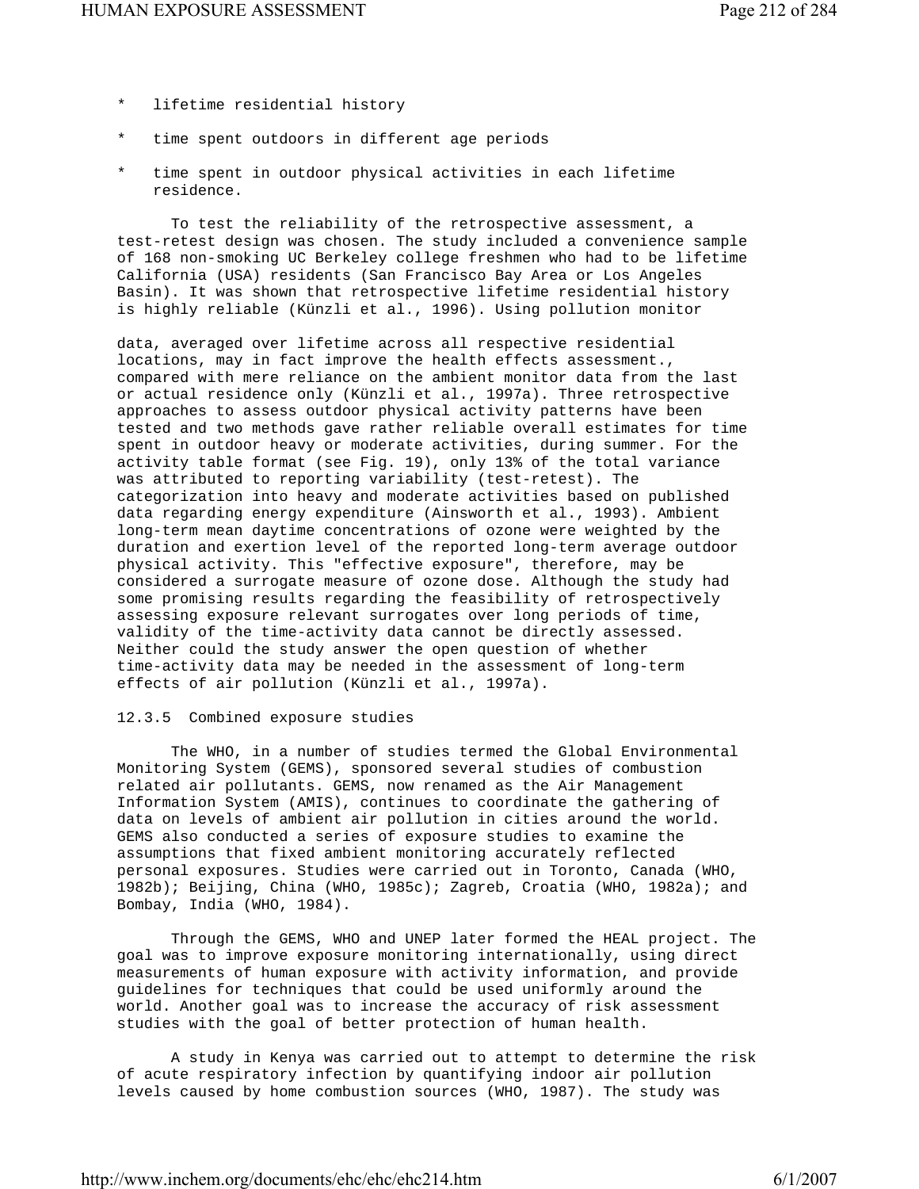- \* lifetime residential history
- time spent outdoors in different age periods
- time spent in outdoor physical activities in each lifetime residence.

 To test the reliability of the retrospective assessment, a test-retest design was chosen. The study included a convenience sample of 168 non-smoking UC Berkeley college freshmen who had to be lifetime California (USA) residents (San Francisco Bay Area or Los Angeles Basin). It was shown that retrospective lifetime residential history is highly reliable (Künzli et al., 1996). Using pollution monitor

 data, averaged over lifetime across all respective residential locations, may in fact improve the health effects assessment., compared with mere reliance on the ambient monitor data from the last or actual residence only (Künzli et al., 1997a). Three retrospective approaches to assess outdoor physical activity patterns have been tested and two methods gave rather reliable overall estimates for time spent in outdoor heavy or moderate activities, during summer. For the activity table format (see Fig. 19), only 13% of the total variance was attributed to reporting variability (test-retest). The categorization into heavy and moderate activities based on published data regarding energy expenditure (Ainsworth et al., 1993). Ambient long-term mean daytime concentrations of ozone were weighted by the duration and exertion level of the reported long-term average outdoor physical activity. This "effective exposure", therefore, may be considered a surrogate measure of ozone dose. Although the study had some promising results regarding the feasibility of retrospectively assessing exposure relevant surrogates over long periods of time, validity of the time-activity data cannot be directly assessed. Neither could the study answer the open question of whether time-activity data may be needed in the assessment of long-term effects of air pollution (Künzli et al., 1997a).

## 12.3.5 Combined exposure studies

 The WHO, in a number of studies termed the Global Environmental Monitoring System (GEMS), sponsored several studies of combustion related air pollutants. GEMS, now renamed as the Air Management Information System (AMIS), continues to coordinate the gathering of data on levels of ambient air pollution in cities around the world. GEMS also conducted a series of exposure studies to examine the assumptions that fixed ambient monitoring accurately reflected personal exposures. Studies were carried out in Toronto, Canada (WHO, 1982b); Beijing, China (WHO, 1985c); Zagreb, Croatia (WHO, 1982a); and Bombay, India (WHO, 1984).

 Through the GEMS, WHO and UNEP later formed the HEAL project. The goal was to improve exposure monitoring internationally, using direct measurements of human exposure with activity information, and provide guidelines for techniques that could be used uniformly around the world. Another goal was to increase the accuracy of risk assessment studies with the goal of better protection of human health.

 A study in Kenya was carried out to attempt to determine the risk of acute respiratory infection by quantifying indoor air pollution levels caused by home combustion sources (WHO, 1987). The study was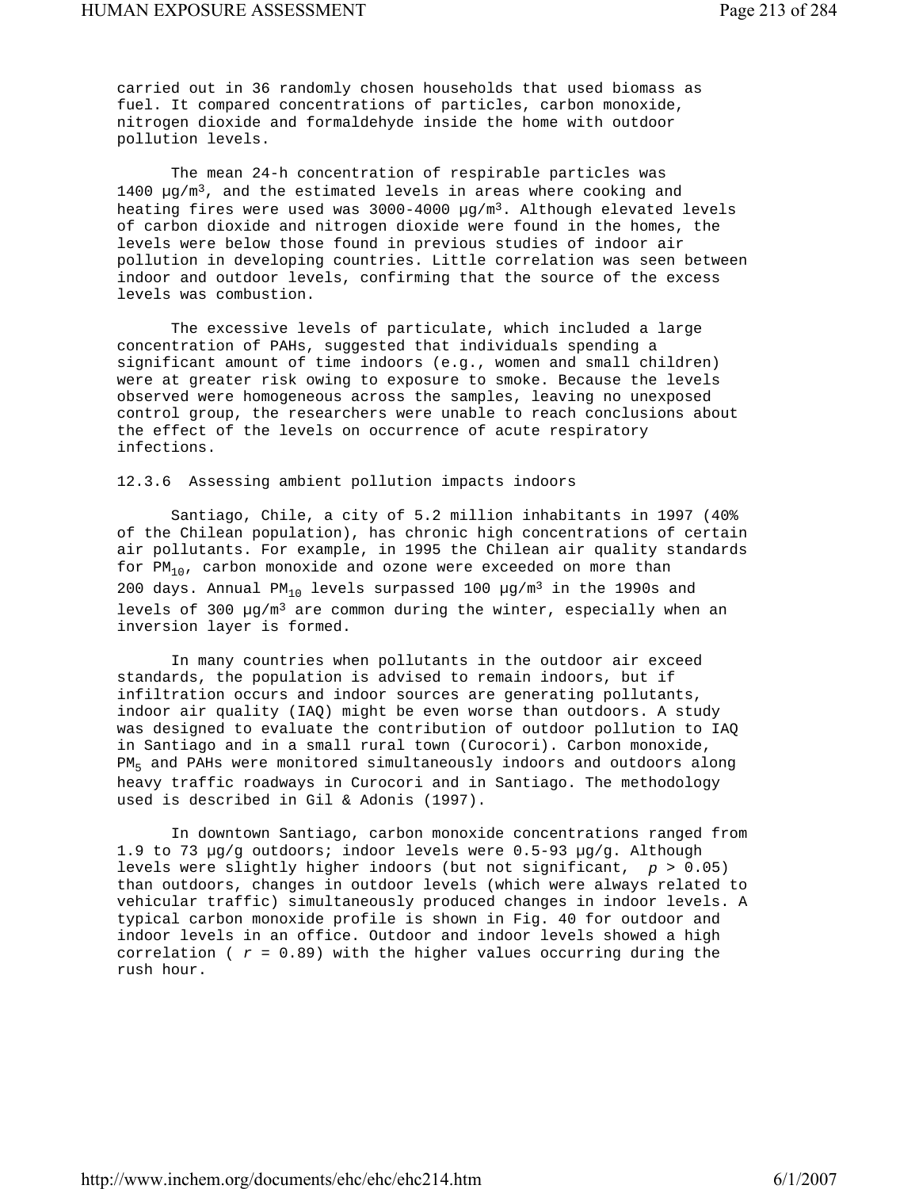carried out in 36 randomly chosen households that used biomass as fuel. It compared concentrations of particles, carbon monoxide, nitrogen dioxide and formaldehyde inside the home with outdoor pollution levels.

 The mean 24-h concentration of respirable particles was 1400  $\mu$ g/m<sup>3</sup>, and the estimated levels in areas where cooking and heating fires were used was 3000-4000  $\mu q/m^3$ . Although elevated levels of carbon dioxide and nitrogen dioxide were found in the homes, the levels were below those found in previous studies of indoor air pollution in developing countries. Little correlation was seen between indoor and outdoor levels, confirming that the source of the excess levels was combustion.

 The excessive levels of particulate, which included a large concentration of PAHs, suggested that individuals spending a significant amount of time indoors (e.g., women and small children) were at greater risk owing to exposure to smoke. Because the levels observed were homogeneous across the samples, leaving no unexposed control group, the researchers were unable to reach conclusions about the effect of the levels on occurrence of acute respiratory infections.

12.3.6 Assessing ambient pollution impacts indoors

 Santiago, Chile, a city of 5.2 million inhabitants in 1997 (40% of the Chilean population), has chronic high concentrations of certain air pollutants. For example, in 1995 the Chilean air quality standards for  $PM_{10}$ , carbon monoxide and ozone were exceeded on more than 200 days. Annual PM<sub>10</sub> levels surpassed 100  $\mu$ g/m<sup>3</sup> in the 1990s and levels of 300  $\mu$ g/m<sup>3</sup> are common during the winter, especially when an inversion layer is formed.

 In many countries when pollutants in the outdoor air exceed standards, the population is advised to remain indoors, but if infiltration occurs and indoor sources are generating pollutants, indoor air quality (IAQ) might be even worse than outdoors. A study was designed to evaluate the contribution of outdoor pollution to IAQ in Santiago and in a small rural town (Curocori). Carbon monoxide,  $PM_E$  and PAHs were monitored simultaneously indoors and outdoors along heavy traffic roadways in Curocori and in Santiago. The methodology used is described in Gil & Adonis (1997).

 In downtown Santiago, carbon monoxide concentrations ranged from 1.9 to 73 µg/g outdoors; indoor levels were 0.5-93 µg/g. Although levels were slightly higher indoors (but not significant, *p* > 0.05) than outdoors, changes in outdoor levels (which were always related to vehicular traffic) simultaneously produced changes in indoor levels. A typical carbon monoxide profile is shown in Fig. 40 for outdoor and indoor levels in an office. Outdoor and indoor levels showed a high correlation ( *r* = 0.89) with the higher values occurring during the rush hour.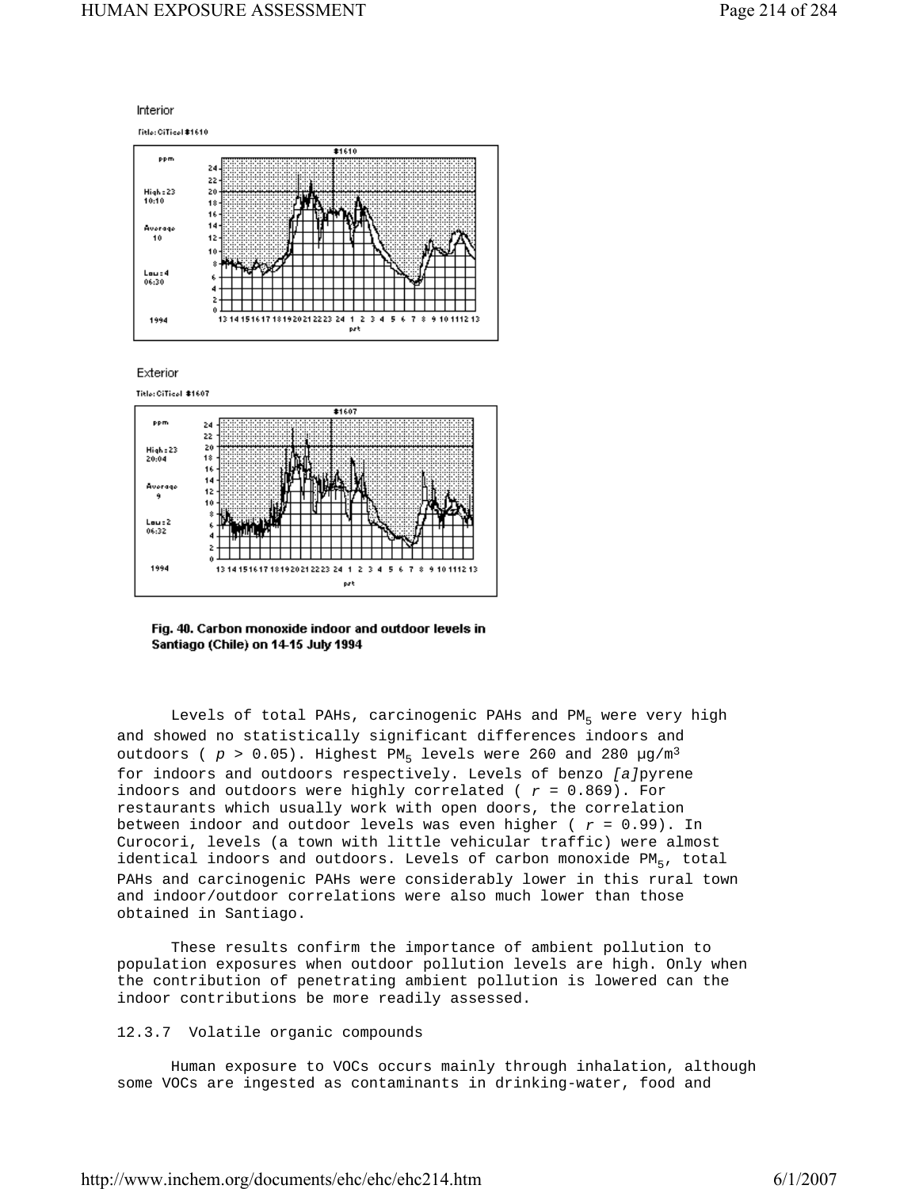

Exterior



Fig. 40. Carbon monoxide indoor and outdoor levels in Santiago (Chile) on 14-15 July 1994

Levels of total PAHs, carcinogenic PAHs and PM<sub>5</sub> were very high and showed no statistically significant differences indoors and outdoors ( $p > 0.05$ ). Highest PM<sub>5</sub> levels were 260 and 280  $\mu$ g/m<sup>3</sup> for indoors and outdoors respectively. Levels of benzo *[a]*pyrene indoors and outdoors were highly correlated ( *r* = 0.869). For restaurants which usually work with open doors, the correlation between indoor and outdoor levels was even higher ( *r* = 0.99). In Curocori, levels (a town with little vehicular traffic) were almost identical indoors and outdoors. Levels of carbon monoxide  $PM_{5}$ , total PAHs and carcinogenic PAHs were considerably lower in this rural town and indoor/outdoor correlations were also much lower than those obtained in Santiago.

 These results confirm the importance of ambient pollution to population exposures when outdoor pollution levels are high. Only when the contribution of penetrating ambient pollution is lowered can the indoor contributions be more readily assessed.

### 12.3.7 Volatile organic compounds

 Human exposure to VOCs occurs mainly through inhalation, although some VOCs are ingested as contaminants in drinking-water, food and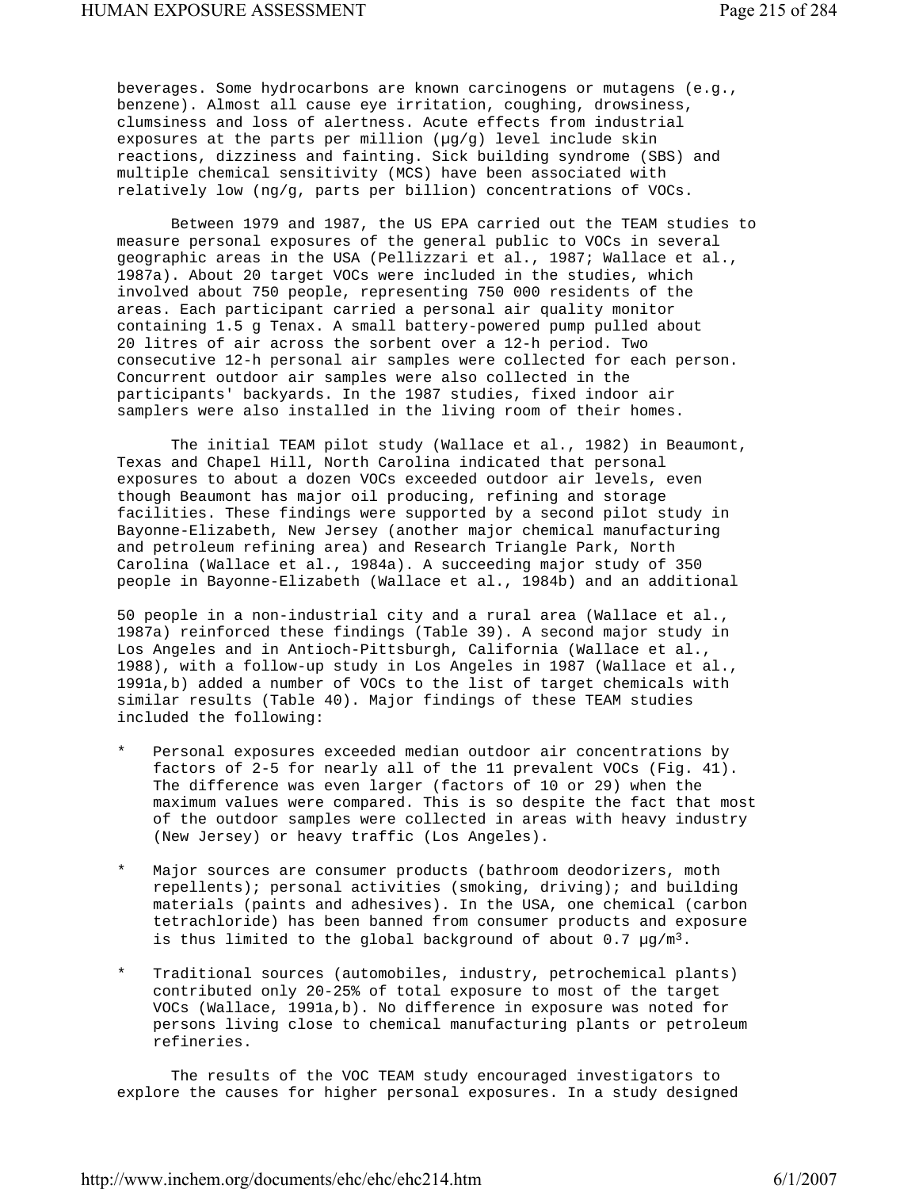beverages. Some hydrocarbons are known carcinogens or mutagens (e.g., benzene). Almost all cause eye irritation, coughing, drowsiness, clumsiness and loss of alertness. Acute effects from industrial exposures at the parts per million (µg/g) level include skin reactions, dizziness and fainting. Sick building syndrome (SBS) and multiple chemical sensitivity (MCS) have been associated with relatively low (ng/g, parts per billion) concentrations of VOCs.

 Between 1979 and 1987, the US EPA carried out the TEAM studies to measure personal exposures of the general public to VOCs in several geographic areas in the USA (Pellizzari et al., 1987; Wallace et al., 1987a). About 20 target VOCs were included in the studies, which involved about 750 people, representing 750 000 residents of the areas. Each participant carried a personal air quality monitor containing 1.5 g Tenax. A small battery-powered pump pulled about 20 litres of air across the sorbent over a 12-h period. Two consecutive 12-h personal air samples were collected for each person. Concurrent outdoor air samples were also collected in the participants' backyards. In the 1987 studies, fixed indoor air samplers were also installed in the living room of their homes.

 The initial TEAM pilot study (Wallace et al., 1982) in Beaumont, Texas and Chapel Hill, North Carolina indicated that personal exposures to about a dozen VOCs exceeded outdoor air levels, even though Beaumont has major oil producing, refining and storage facilities. These findings were supported by a second pilot study in Bayonne-Elizabeth, New Jersey (another major chemical manufacturing and petroleum refining area) and Research Triangle Park, North Carolina (Wallace et al., 1984a). A succeeding major study of 350 people in Bayonne-Elizabeth (Wallace et al., 1984b) and an additional

 50 people in a non-industrial city and a rural area (Wallace et al., 1987a) reinforced these findings (Table 39). A second major study in Los Angeles and in Antioch-Pittsburgh, California (Wallace et al., 1988), with a follow-up study in Los Angeles in 1987 (Wallace et al., 1991a,b) added a number of VOCs to the list of target chemicals with similar results (Table 40). Major findings of these TEAM studies included the following:

- Personal exposures exceeded median outdoor air concentrations by factors of 2-5 for nearly all of the 11 prevalent VOCs (Fig. 41). The difference was even larger (factors of 10 or 29) when the maximum values were compared. This is so despite the fact that most of the outdoor samples were collected in areas with heavy industry (New Jersey) or heavy traffic (Los Angeles).
- Major sources are consumer products (bathroom deodorizers, moth repellents); personal activities (smoking, driving); and building materials (paints and adhesives). In the USA, one chemical (carbon tetrachloride) has been banned from consumer products and exposure is thus limited to the global background of about 0.7 µg/m3.
- Traditional sources (automobiles, industry, petrochemical plants) contributed only 20-25% of total exposure to most of the target VOCs (Wallace, 1991a,b). No difference in exposure was noted for persons living close to chemical manufacturing plants or petroleum refineries.

 The results of the VOC TEAM study encouraged investigators to explore the causes for higher personal exposures. In a study designed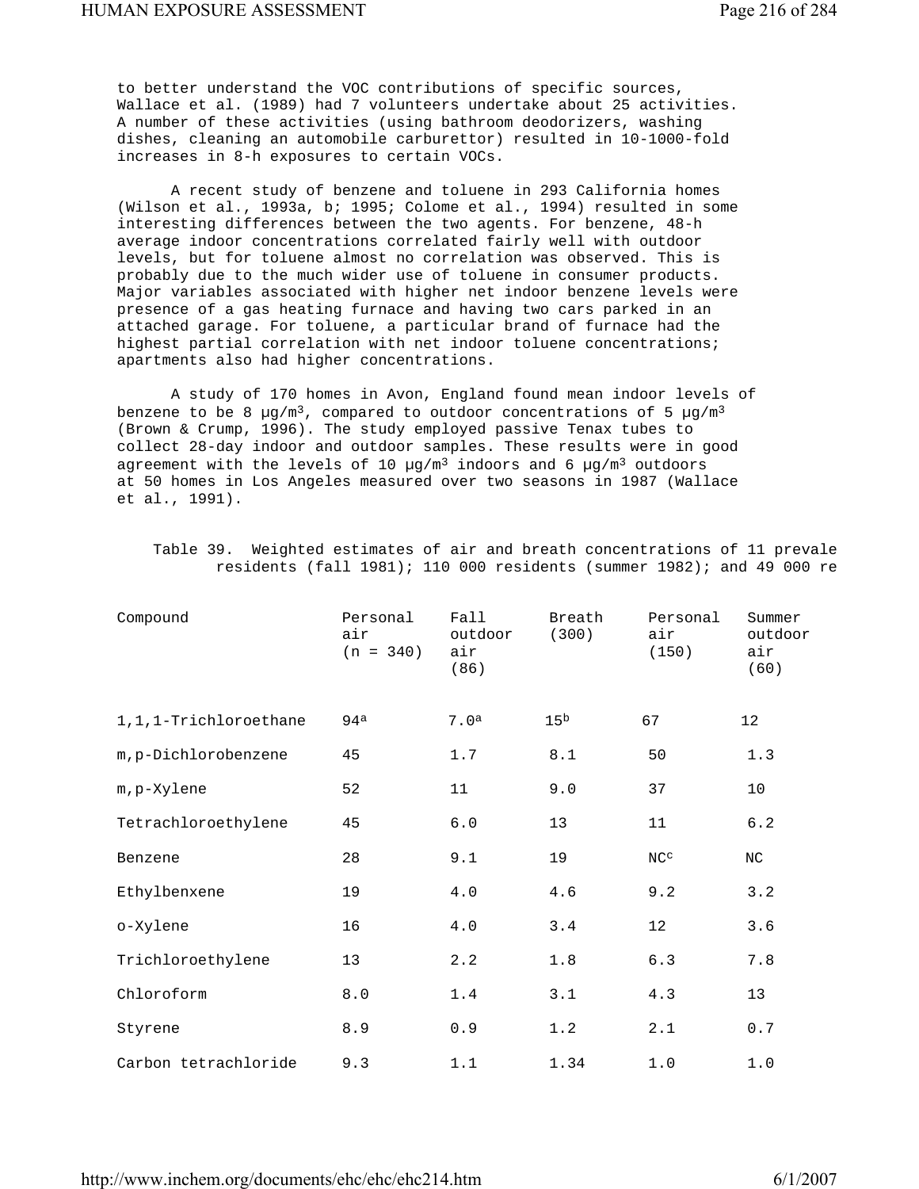to better understand the VOC contributions of specific sources, Wallace et al. (1989) had 7 volunteers undertake about 25 activities. A number of these activities (using bathroom deodorizers, washing dishes, cleaning an automobile carburettor) resulted in 10-1000-fold increases in 8-h exposures to certain VOCs.

 A recent study of benzene and toluene in 293 California homes (Wilson et al., 1993a, b; 1995; Colome et al., 1994) resulted in some interesting differences between the two agents. For benzene, 48-h average indoor concentrations correlated fairly well with outdoor levels, but for toluene almost no correlation was observed. This is probably due to the much wider use of toluene in consumer products. Major variables associated with higher net indoor benzene levels were presence of a gas heating furnace and having two cars parked in an attached garage. For toluene, a particular brand of furnace had the highest partial correlation with net indoor toluene concentrations; apartments also had higher concentrations.

 A study of 170 homes in Avon, England found mean indoor levels of benzene to be 8  $\mu$ g/m<sup>3</sup>, compared to outdoor concentrations of 5  $\mu$ g/m<sup>3</sup> (Brown & Crump, 1996). The study employed passive Tenax tubes to collect 28-day indoor and outdoor samples. These results were in good agreement with the levels of 10  $\mu$ g/m<sup>3</sup> indoors and 6  $\mu$ g/m<sup>3</sup> outdoors at 50 homes in Los Angeles measured over two seasons in 1987 (Wallace et al., 1991).

| Compound              | Personal<br>air<br>$(n = 340)$ | Fall<br>outdoor<br>air<br>(86) | Breath<br>(300) | Personal<br>air<br>(150) | Summer<br>outdoor<br>air<br>(60) |
|-----------------------|--------------------------------|--------------------------------|-----------------|--------------------------|----------------------------------|
| 1,1,1-Trichloroethane | 94a                            | 7.0 <sup>a</sup>               | 15 <sup>b</sup> | 67                       | 12                               |
| m, p-Dichlorobenzene  | 45                             | 1.7                            | 8.1             | 50                       | 1.3                              |
| m, p-Xylene           | 52                             | 11                             | 9.0             | 37                       | 10                               |
| Tetrachloroethylene   | 45                             | $6.0$                          | 13              | 11                       | 6.2                              |
| Benzene               | 28                             | 9.1                            | 19              | $\rm{NC}^{\rm{c}}$       | NC                               |
| Ethylbenxene          | 19                             | 4.0                            | 4.6             | 9.2                      | 3.2                              |
| o-Xylene              | 16                             | 4.0                            | 3.4             | 12                       | 3.6                              |
| Trichloroethylene     | 13                             | 2.2                            | 1.8             | 6.3                      | 7.8                              |
| Chloroform            | $8 \, . \, 0$                  | 1.4                            | 3.1             | 4.3                      | 13                               |
| Styrene               | 8.9                            | 0.9                            | 1.2             | 2.1                      | 0.7                              |
| Carbon tetrachloride  | 9.3                            | 1.1                            | 1.34            | 1.0                      | 1.0                              |

 Table 39. Weighted estimates of air and breath concentrations of 11 prevale residents (fall 1981); 110 000 residents (summer 1982); and 49 000 re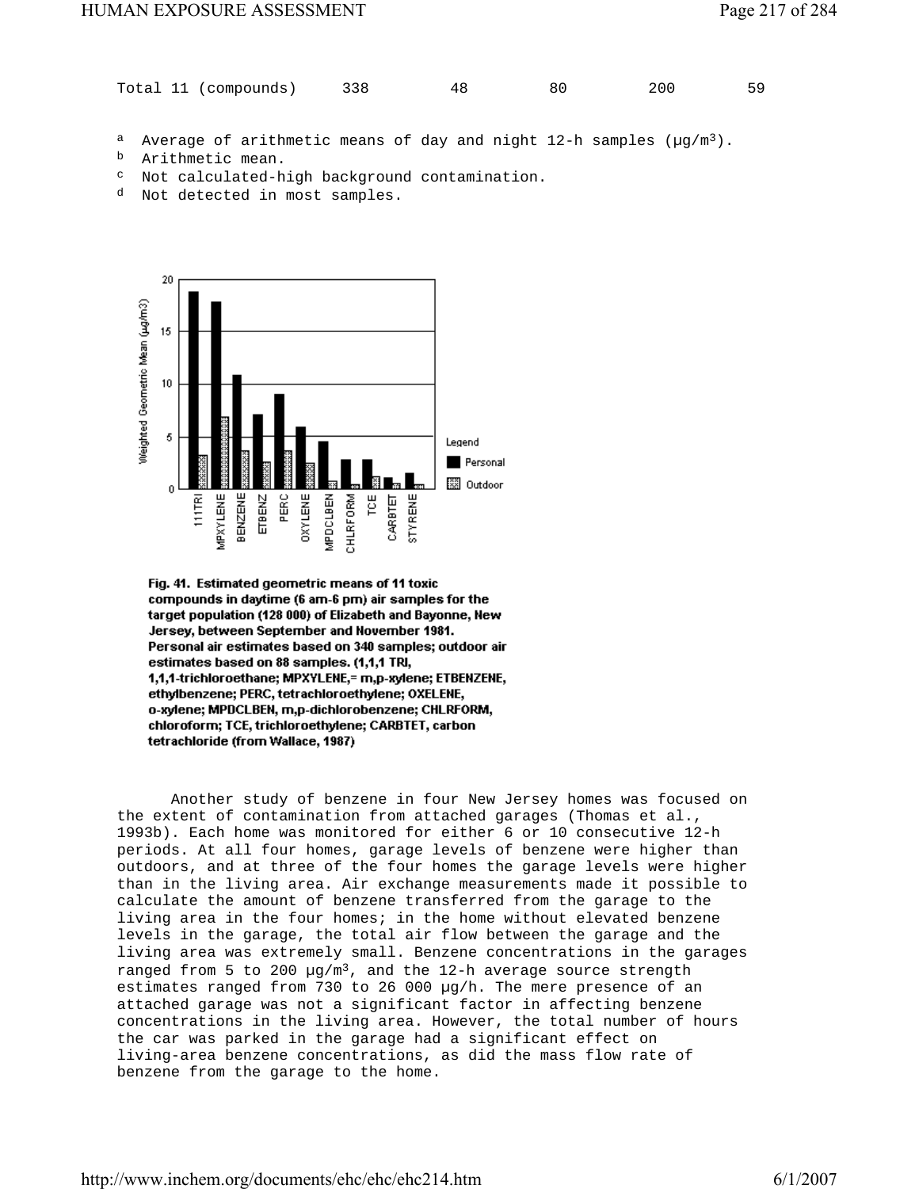# HUMAN EXPOSURE ASSESSMENT Page 217 of 284

| Total 11 (compounds) |  |  |  |  |  |
|----------------------|--|--|--|--|--|
|----------------------|--|--|--|--|--|

```
<sup>a</sup> Average of arithmetic means of day and night 12-h samples (\mu g/m^3).
```
b Arithmetic mean.

```
 c Not calculated-high background contamination.
```
d Not detected in most samples.





 Another study of benzene in four New Jersey homes was focused on the extent of contamination from attached garages (Thomas et al., 1993b). Each home was monitored for either 6 or 10 consecutive 12-h periods. At all four homes, garage levels of benzene were higher than outdoors, and at three of the four homes the garage levels were higher than in the living area. Air exchange measurements made it possible to calculate the amount of benzene transferred from the garage to the living area in the four homes; in the home without elevated benzene levels in the garage, the total air flow between the garage and the living area was extremely small. Benzene concentrations in the garages ranged from 5 to 200  $\mu q/m^3$ , and the 12-h average source strength estimates ranged from 730 to 26 000 µg/h. The mere presence of an attached garage was not a significant factor in affecting benzene concentrations in the living area. However, the total number of hours the car was parked in the garage had a significant effect on living-area benzene concentrations, as did the mass flow rate of benzene from the garage to the home.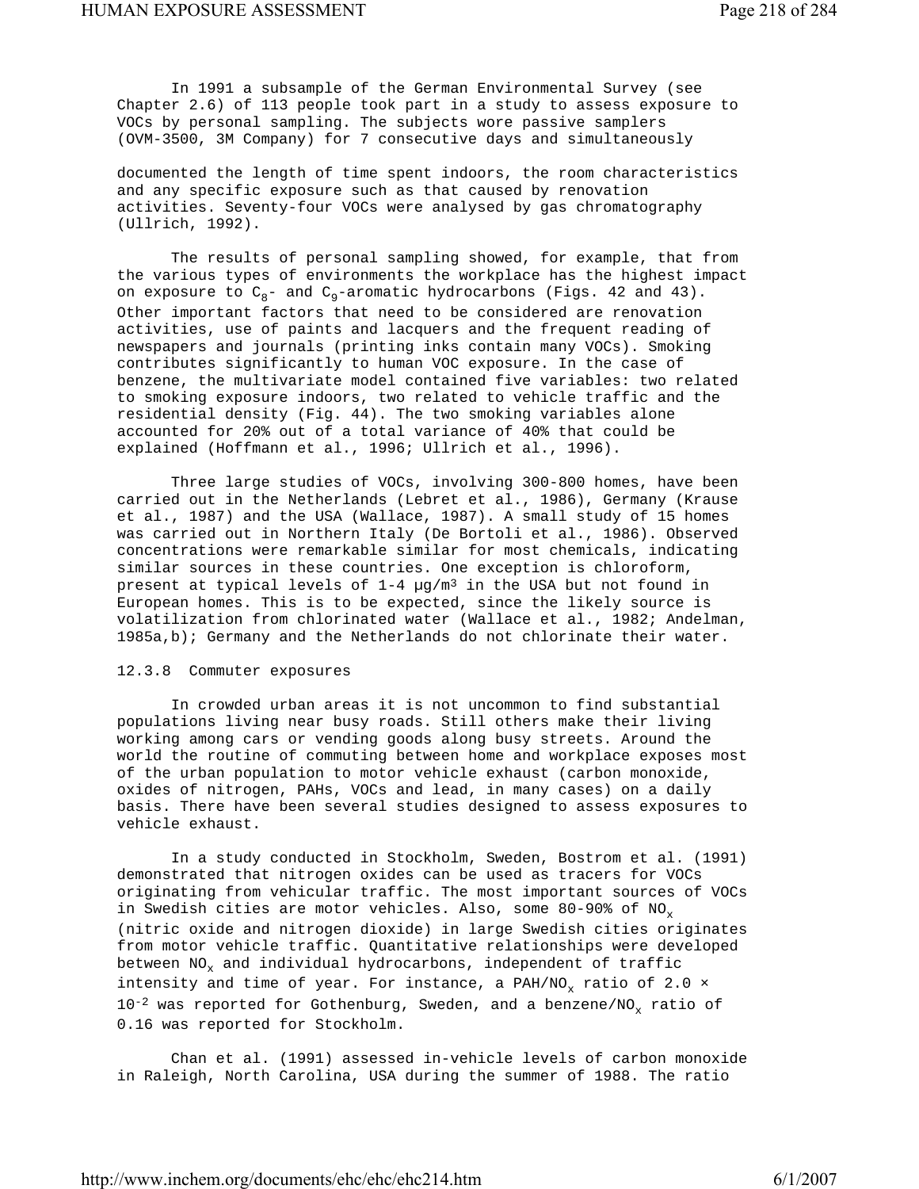In 1991 a subsample of the German Environmental Survey (see Chapter 2.6) of 113 people took part in a study to assess exposure to VOCs by personal sampling. The subjects wore passive samplers (OVM-3500, 3M Company) for 7 consecutive days and simultaneously

 documented the length of time spent indoors, the room characteristics and any specific exposure such as that caused by renovation activities. Seventy-four VOCs were analysed by gas chromatography (Ullrich, 1992).

 The results of personal sampling showed, for example, that from the various types of environments the workplace has the highest impact on exposure to  $C_8$ - and  $C_9$ -aromatic hydrocarbons (Figs. 42 and 43). Other important factors that need to be considered are renovation activities, use of paints and lacquers and the frequent reading of newspapers and journals (printing inks contain many VOCs). Smoking contributes significantly to human VOC exposure. In the case of benzene, the multivariate model contained five variables: two related to smoking exposure indoors, two related to vehicle traffic and the residential density (Fig. 44). The two smoking variables alone accounted for 20% out of a total variance of 40% that could be explained (Hoffmann et al., 1996; Ullrich et al., 1996).

 Three large studies of VOCs, involving 300-800 homes, have been carried out in the Netherlands (Lebret et al., 1986), Germany (Krause et al., 1987) and the USA (Wallace, 1987). A small study of 15 homes was carried out in Northern Italy (De Bortoli et al., 1986). Observed concentrations were remarkable similar for most chemicals, indicating similar sources in these countries. One exception is chloroform, present at typical levels of  $1-4 \text{ µg/m}^3$  in the USA but not found in European homes. This is to be expected, since the likely source is volatilization from chlorinated water (Wallace et al., 1982; Andelman, 1985a,b); Germany and the Netherlands do not chlorinate their water.

## 12.3.8 Commuter exposures

 In crowded urban areas it is not uncommon to find substantial populations living near busy roads. Still others make their living working among cars or vending goods along busy streets. Around the world the routine of commuting between home and workplace exposes most of the urban population to motor vehicle exhaust (carbon monoxide, oxides of nitrogen, PAHs, VOCs and lead, in many cases) on a daily basis. There have been several studies designed to assess exposures to vehicle exhaust.

 In a study conducted in Stockholm, Sweden, Bostrom et al. (1991) demonstrated that nitrogen oxides can be used as tracers for VOCs originating from vehicular traffic. The most important sources of VOCs in Swedish cities are motor vehicles. Also, some 80-90% of  $NO<sub>x</sub>$  (nitric oxide and nitrogen dioxide) in large Swedish cities originates from motor vehicle traffic. Quantitative relationships were developed between NO<sub>x</sub> and individual hydrocarbons, independent of traffic intensity and time of year. For instance, a PAH/NO<sub>x</sub> ratio of 2.0  $\times$  $10^{-2}$  was reported for Gothenburg, Sweden, and a benzene/NO<sub>x</sub> ratio of 0.16 was reported for Stockholm.

 Chan et al. (1991) assessed in-vehicle levels of carbon monoxide in Raleigh, North Carolina, USA during the summer of 1988. The ratio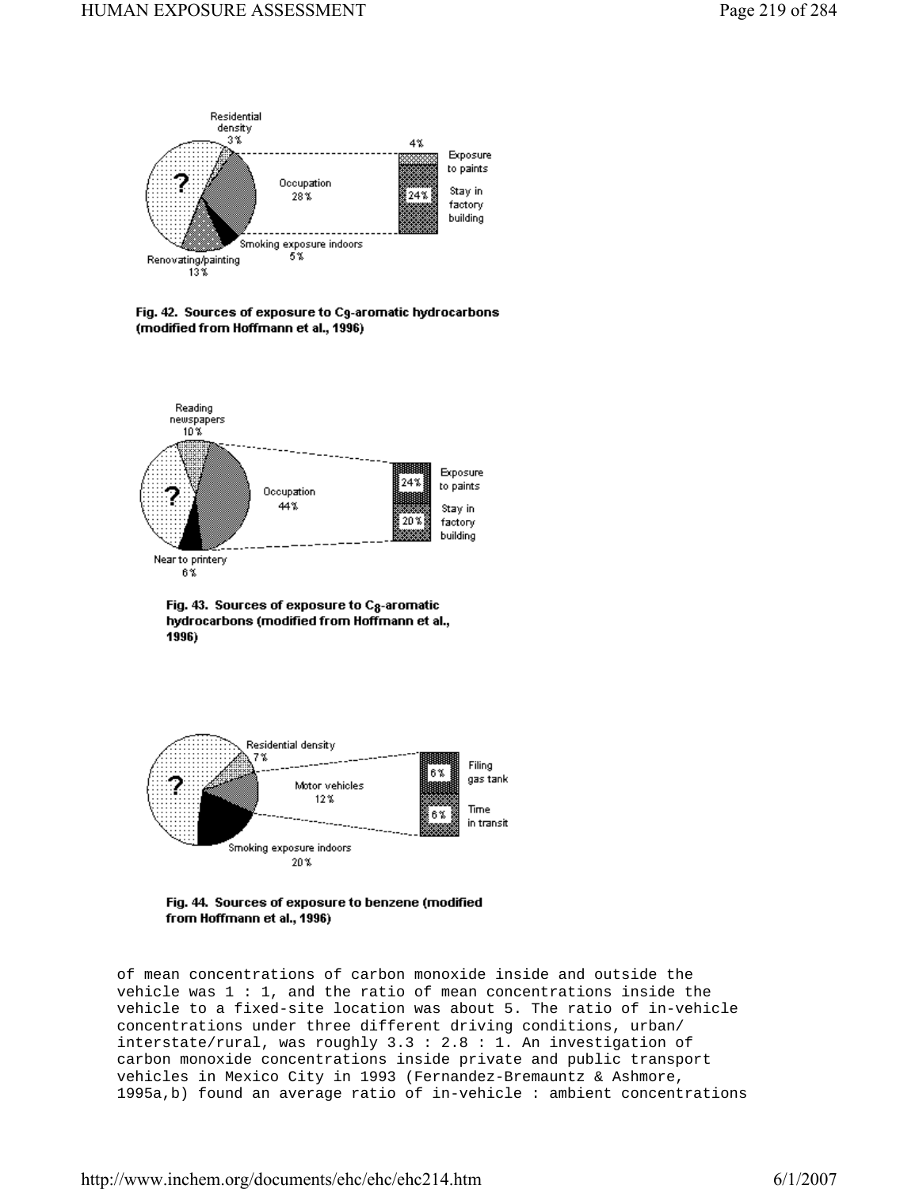

Fig. 42. Sources of exposure to Cg-aromatic hydrocarbons (modified from Hoffmann et al., 1996)



Fig. 43. Sources of exposure to C<sub>8</sub>-aromatic hydrocarbons (modified from Hoffmann et al., 1996)



Fig. 44. Sources of exposure to benzene (modified from Hoffmann et al., 1996)

 of mean concentrations of carbon monoxide inside and outside the vehicle was 1 : 1, and the ratio of mean concentrations inside the vehicle to a fixed-site location was about 5. The ratio of in-vehicle concentrations under three different driving conditions, urban/ interstate/rural, was roughly 3.3 : 2.8 : 1. An investigation of carbon monoxide concentrations inside private and public transport vehicles in Mexico City in 1993 (Fernandez-Bremauntz & Ashmore, 1995a,b) found an average ratio of in-vehicle : ambient concentrations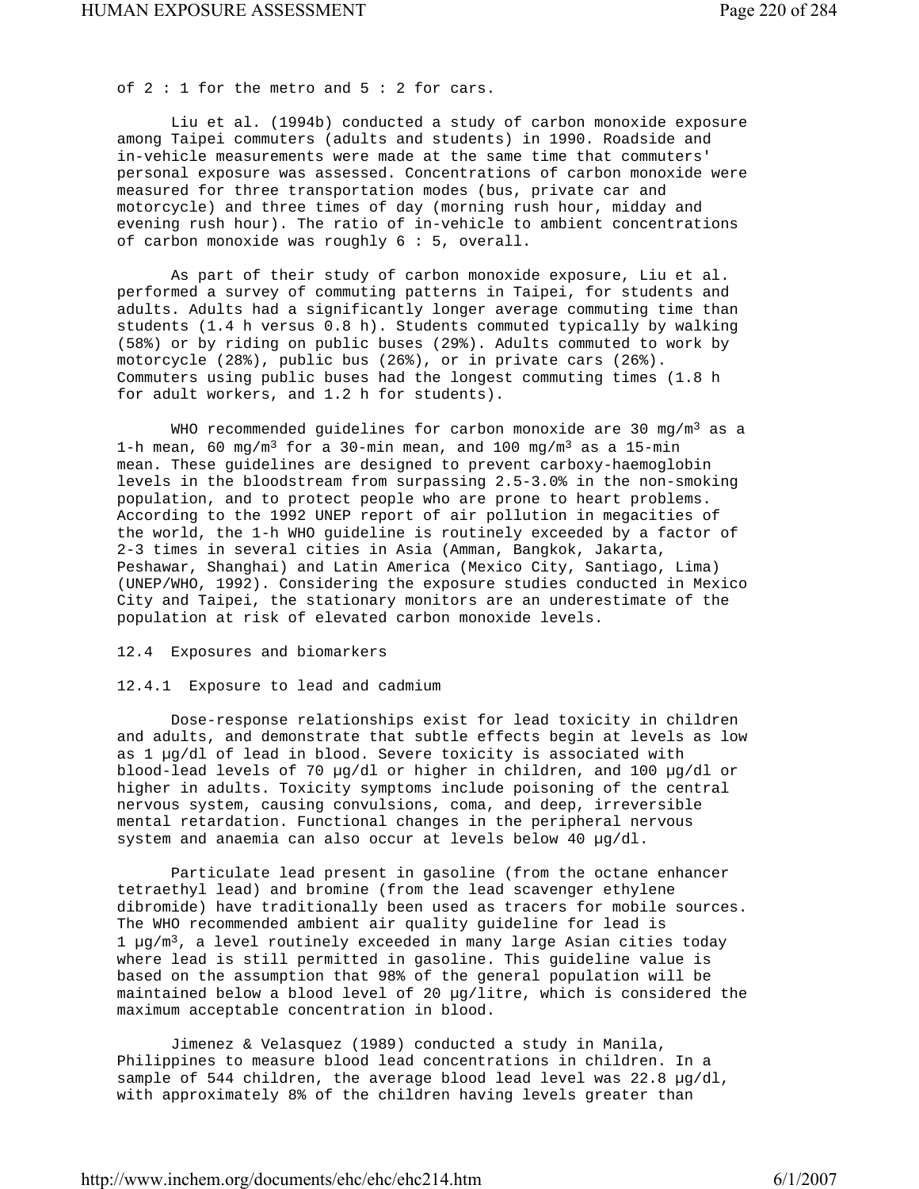of 2 : 1 for the metro and 5 : 2 for cars.

 Liu et al. (1994b) conducted a study of carbon monoxide exposure among Taipei commuters (adults and students) in 1990. Roadside and in-vehicle measurements were made at the same time that commuters' personal exposure was assessed. Concentrations of carbon monoxide were measured for three transportation modes (bus, private car and motorcycle) and three times of day (morning rush hour, midday and evening rush hour). The ratio of in-vehicle to ambient concentrations of carbon monoxide was roughly 6 : 5, overall.

 As part of their study of carbon monoxide exposure, Liu et al. performed a survey of commuting patterns in Taipei, for students and adults. Adults had a significantly longer average commuting time than students (1.4 h versus 0.8 h). Students commuted typically by walking (58%) or by riding on public buses (29%). Adults commuted to work by motorcycle (28%), public bus (26%), or in private cars (26%). Commuters using public buses had the longest commuting times (1.8 h for adult workers, and 1.2 h for students).

WHO recommended guidelines for carbon monoxide are 30 mg/m<sup>3</sup> as a 1-h mean, 60 mg/m<sup>3</sup> for a 30-min mean, and 100 mg/m<sup>3</sup> as a 15-min mean. These guidelines are designed to prevent carboxy-haemoglobin levels in the bloodstream from surpassing 2.5-3.0% in the non-smoking population, and to protect people who are prone to heart problems. According to the 1992 UNEP report of air pollution in megacities of the world, the 1-h WHO guideline is routinely exceeded by a factor of 2-3 times in several cities in Asia (Amman, Bangkok, Jakarta, Peshawar, Shanghai) and Latin America (Mexico City, Santiago, Lima) (UNEP/WHO, 1992). Considering the exposure studies conducted in Mexico City and Taipei, the stationary monitors are an underestimate of the population at risk of elevated carbon monoxide levels.

12.4 Exposures and biomarkers

## 12.4.1 Exposure to lead and cadmium

 Dose-response relationships exist for lead toxicity in children and adults, and demonstrate that subtle effects begin at levels as low as 1 µg/dl of lead in blood. Severe toxicity is associated with blood-lead levels of 70 µg/dl or higher in children, and 100 µg/dl or higher in adults. Toxicity symptoms include poisoning of the central nervous system, causing convulsions, coma, and deep, irreversible mental retardation. Functional changes in the peripheral nervous system and anaemia can also occur at levels below 40 µg/dl.

 Particulate lead present in gasoline (from the octane enhancer tetraethyl lead) and bromine (from the lead scavenger ethylene dibromide) have traditionally been used as tracers for mobile sources. The WHO recommended ambient air quality guideline for lead is  $1 \mu g/m^3$ , a level routinely exceeded in many large Asian cities today where lead is still permitted in gasoline. This guideline value is based on the assumption that 98% of the general population will be maintained below a blood level of 20 µg/litre, which is considered the maximum acceptable concentration in blood.

 Jimenez & Velasquez (1989) conducted a study in Manila, Philippines to measure blood lead concentrations in children. In a sample of 544 children, the average blood lead level was 22.8 µg/dl, with approximately 8% of the children having levels greater than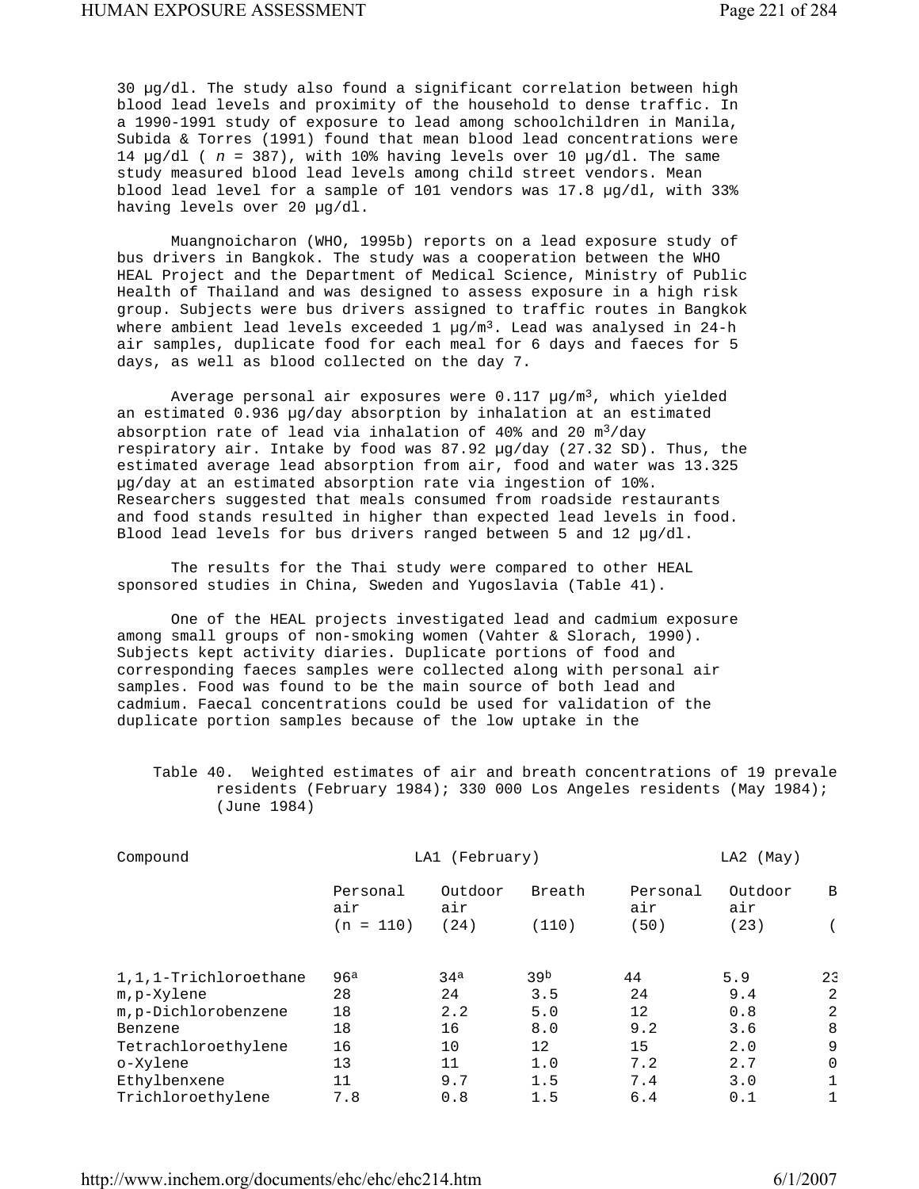30 µg/dl. The study also found a significant correlation between high blood lead levels and proximity of the household to dense traffic. In a 1990-1991 study of exposure to lead among schoolchildren in Manila, Subida & Torres (1991) found that mean blood lead concentrations were 14 µg/dl ( *n* = 387), with 10% having levels over 10 µg/dl. The same study measured blood lead levels among child street vendors. Mean blood lead level for a sample of 101 vendors was 17.8 µg/dl, with 33% having levels over 20 µg/dl.

 Muangnoicharon (WHO, 1995b) reports on a lead exposure study of bus drivers in Bangkok. The study was a cooperation between the WHO HEAL Project and the Department of Medical Science, Ministry of Public Health of Thailand and was designed to assess exposure in a high risk group. Subjects were bus drivers assigned to traffic routes in Bangkok where ambient lead levels exceeded  $1 \mu g/m^3$ . Lead was analysed in 24-h air samples, duplicate food for each meal for 6 days and faeces for 5 days, as well as blood collected on the day 7.

Average personal air exposures were  $0.117 \text{ µg/m}^3$ , which yielded an estimated 0.936 µg/day absorption by inhalation at an estimated absorption rate of lead via inhalation of 40% and 20  $m^3$ /day respiratory air. Intake by food was 87.92 µg/day (27.32 SD). Thus, the estimated average lead absorption from air, food and water was 13.325 µg/day at an estimated absorption rate via ingestion of 10%. Researchers suggested that meals consumed from roadside restaurants and food stands resulted in higher than expected lead levels in food. Blood lead levels for bus drivers ranged between 5 and 12 µg/dl.

 The results for the Thai study were compared to other HEAL sponsored studies in China, Sweden and Yugoslavia (Table 41).

 One of the HEAL projects investigated lead and cadmium exposure among small groups of non-smoking women (Vahter & Slorach, 1990). Subjects kept activity diaries. Duplicate portions of food and corresponding faeces samples were collected along with personal air samples. Food was found to be the main source of both lead and cadmium. Faecal concentrations could be used for validation of the duplicate portion samples because of the low uptake in the

 Table 40. Weighted estimates of air and breath concentrations of 19 prevale residents (February 1984); 330 000 Los Angeles residents (May 1984); (June 1984)

| Compound              |  |                 | (February)<br>LA1 |                 |                 |                | $LA2$ (May) |  |  |
|-----------------------|--|-----------------|-------------------|-----------------|-----------------|----------------|-------------|--|--|
|                       |  | Personal<br>air | Outdoor<br>air    | Breath          | Personal<br>air | Outdoor<br>air | B           |  |  |
|                       |  | $(n = 110)$     | (24)              | (110)           | (50)            | (23)           |             |  |  |
| 1,1,1-Trichloroethane |  | 96a             | 34a               | 39 <sup>b</sup> | 44              | 5.9            | 23          |  |  |
| m, p-Xylene           |  | 28              | 24                | 3.5             | 24              | 9.4            | 2           |  |  |
| m, p-Dichlorobenzene  |  | 18              | 2.2               | 5.0             | 12              | 0.8            | 2           |  |  |
| Benzene               |  | 18              | 16                | 8.0             | 9.2             | 3.6            | 8           |  |  |
| Tetrachloroethylene   |  | 16              | 10                | 12              | 15              | 2.0            | 9           |  |  |
| o-Xylene              |  | 13              | 11                | 1.0             | 7.2             | 2.7            | 0           |  |  |
| Ethylbenxene          |  | 11              | 9.7               | 1.5             | 7.4             | 3.0            | 1           |  |  |
| Trichloroethylene     |  | 7.8             | 0.8               | 1.5             | 6.4             | 0.1            |             |  |  |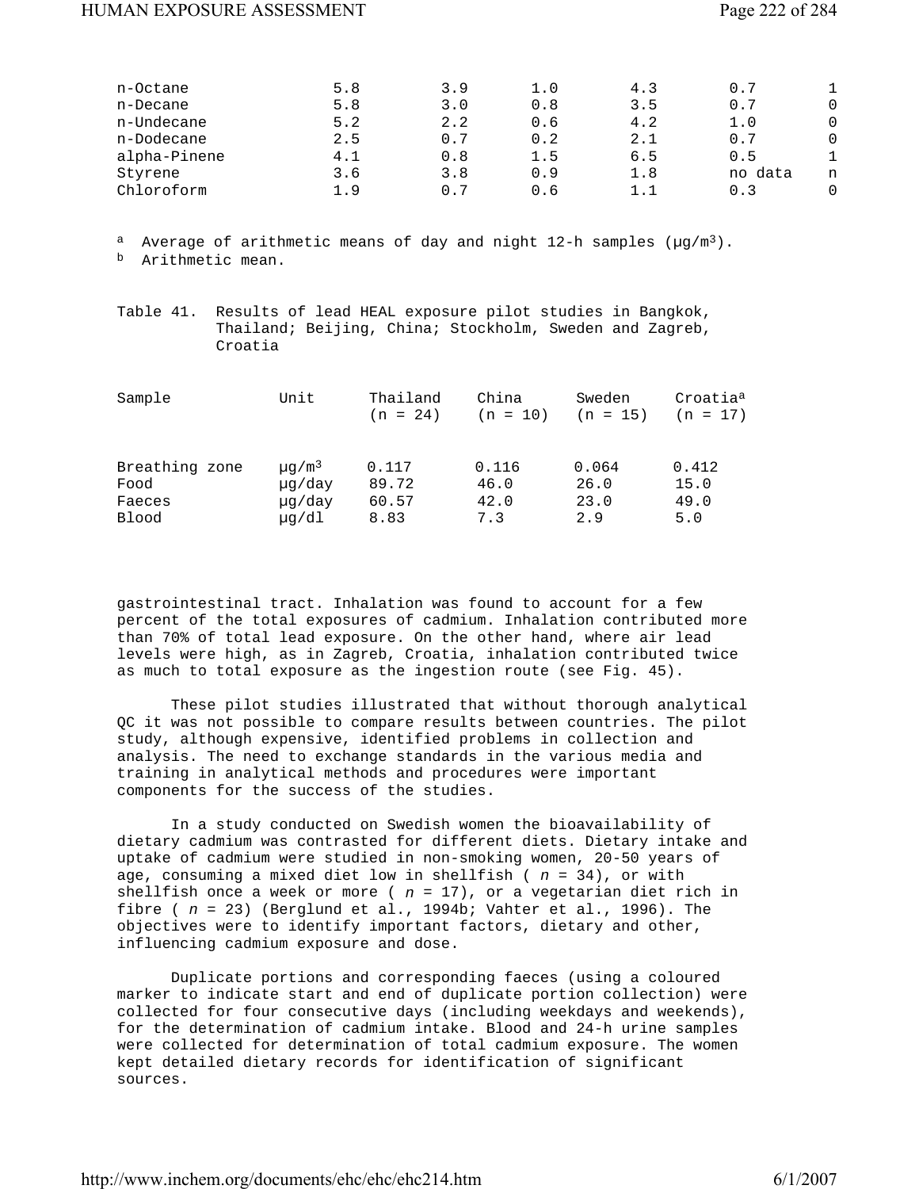## HUMAN EXPOSURE ASSESSMENT Page 222 of 284

| n-Octane     | 5.8 | 3.9 | 1.0 | 4.3 | 0.7        |   |
|--------------|-----|-----|-----|-----|------------|---|
| n-Decane     | 5.8 | 3.0 | 0.8 | 3.5 | 0.7        | 0 |
| n-Undecane   | 5.2 | 2.2 | 0.6 | 4.2 | 1.0        | Λ |
| n-Dodecane   | 2.5 | 0.7 | 0.2 | 2.1 | 0.7        | O |
| alpha-Pinene | 4.1 | 0.8 | 1.5 | 6.5 | 0.5        |   |
| Styrene      | 3.6 | 3.8 | 0.9 | 1.8 | data<br>no | n |
| Chloroform   | 1.9 | 0.7 | 0.6 | 1.1 | 0.3        | ∩ |
|              |     |     |     |     |            |   |

<sup>a</sup> Average of arithmetic means of day and night 12-h samples ( $\mu$ g/m<sup>3</sup>).

b Arithmetic mean.

 Table 41. Results of lead HEAL exposure pilot studies in Bangkok, Thailand; Beijing, China; Stockholm, Sweden and Zagreb, Croatia

| Sample         | Unit           | Thailand<br>$(n = 24)$ | China<br>$(n = 10)$ | Sweden<br>$(n = 15)$ | Croatia <sup>a</sup><br>$(n = 17)$ |
|----------------|----------------|------------------------|---------------------|----------------------|------------------------------------|
| Breathing zone | $u \alpha/m^3$ | 0.117                  | 0.116               | 0.064                | 0.412                              |
| Food           | $\mu q$ /day   | 89.72                  | 46.0                | 26.0                 | 15.0                               |
| Faeces         | $\mu q$ /day   | 60.57                  | 42.0                | 23.0                 | 49.0                               |
| <b>Blood</b>   | $\mu q/dl$     | 8.83                   | 7.3                 | 2.9                  | 5.0                                |

 gastrointestinal tract. Inhalation was found to account for a few percent of the total exposures of cadmium. Inhalation contributed more than 70% of total lead exposure. On the other hand, where air lead levels were high, as in Zagreb, Croatia, inhalation contributed twice as much to total exposure as the ingestion route (see Fig. 45).

 These pilot studies illustrated that without thorough analytical QC it was not possible to compare results between countries. The pilot study, although expensive, identified problems in collection and analysis. The need to exchange standards in the various media and training in analytical methods and procedures were important components for the success of the studies.

 In a study conducted on Swedish women the bioavailability of dietary cadmium was contrasted for different diets. Dietary intake and uptake of cadmium were studied in non-smoking women, 20-50 years of age, consuming a mixed diet low in shellfish ( *n* = 34), or with shellfish once a week or more ( *n* = 17), or a vegetarian diet rich in fibre ( *n* = 23) (Berglund et al., 1994b; Vahter et al., 1996). The objectives were to identify important factors, dietary and other, influencing cadmium exposure and dose.

 Duplicate portions and corresponding faeces (using a coloured marker to indicate start and end of duplicate portion collection) were collected for four consecutive days (including weekdays and weekends), for the determination of cadmium intake. Blood and 24-h urine samples were collected for determination of total cadmium exposure. The women kept detailed dietary records for identification of significant sources.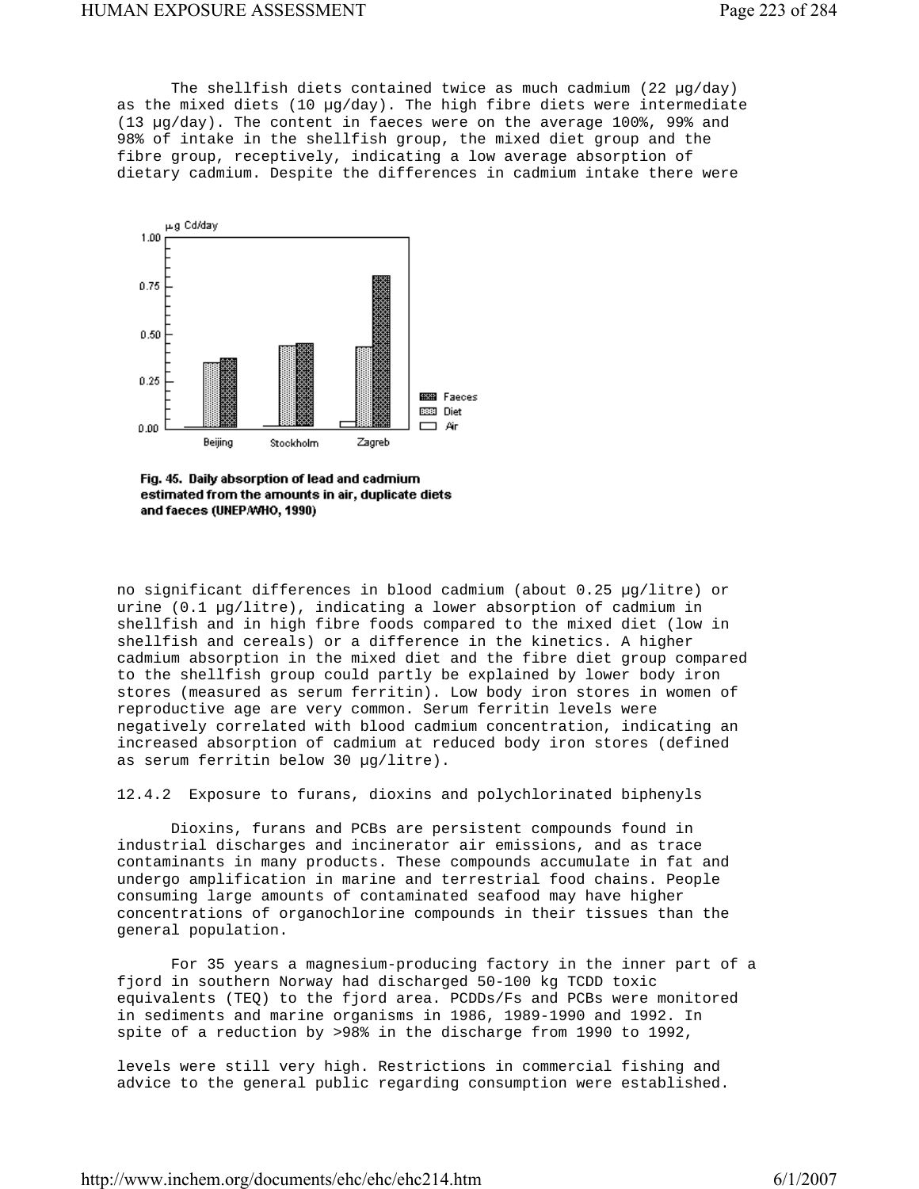The shellfish diets contained twice as much cadmium (22 µg/day) as the mixed diets (10  $\mu$ g/day). The high fibre diets were intermediate (13 µg/day). The content in faeces were on the average 100%, 99% and 98% of intake in the shellfish group, the mixed diet group and the fibre group, receptively, indicating a low average absorption of dietary cadmium. Despite the differences in cadmium intake there were



Fig. 45. Daily absorption of lead and cadmium estimated from the amounts in air, duplicate diets and faeces (UNEPAVHO, 1990)

 no significant differences in blood cadmium (about 0.25 µg/litre) or urine (0.1 µg/litre), indicating a lower absorption of cadmium in shellfish and in high fibre foods compared to the mixed diet (low in shellfish and cereals) or a difference in the kinetics. A higher cadmium absorption in the mixed diet and the fibre diet group compared to the shellfish group could partly be explained by lower body iron stores (measured as serum ferritin). Low body iron stores in women of reproductive age are very common. Serum ferritin levels were negatively correlated with blood cadmium concentration, indicating an increased absorption of cadmium at reduced body iron stores (defined as serum ferritin below 30 µg/litre).

12.4.2 Exposure to furans, dioxins and polychlorinated biphenyls

 Dioxins, furans and PCBs are persistent compounds found in industrial discharges and incinerator air emissions, and as trace contaminants in many products. These compounds accumulate in fat and undergo amplification in marine and terrestrial food chains. People consuming large amounts of contaminated seafood may have higher concentrations of organochlorine compounds in their tissues than the general population.

 For 35 years a magnesium-producing factory in the inner part of a fjord in southern Norway had discharged 50-100 kg TCDD toxic equivalents (TEQ) to the fjord area. PCDDs/Fs and PCBs were monitored in sediments and marine organisms in 1986, 1989-1990 and 1992. In spite of a reduction by >98% in the discharge from 1990 to 1992,

 levels were still very high. Restrictions in commercial fishing and advice to the general public regarding consumption were established.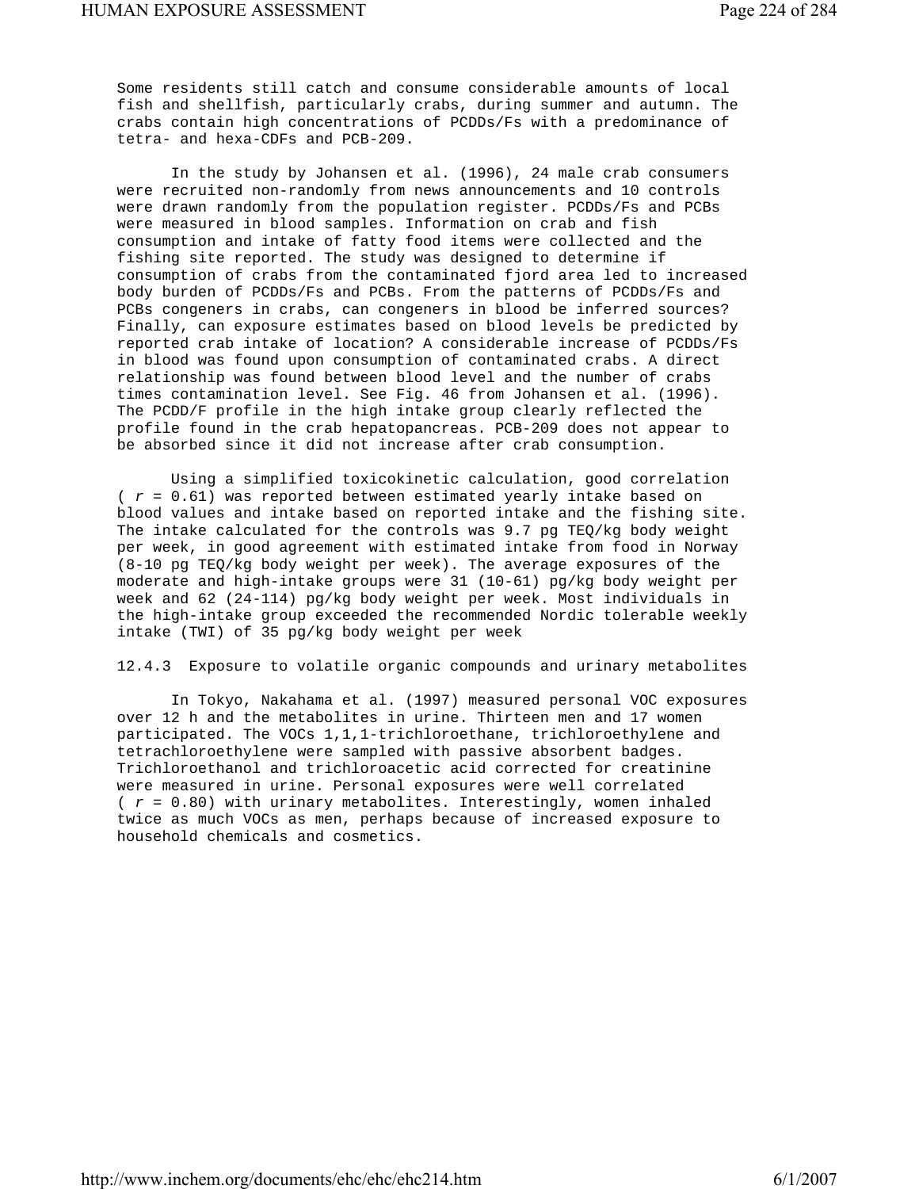Some residents still catch and consume considerable amounts of local fish and shellfish, particularly crabs, during summer and autumn. The crabs contain high concentrations of PCDDs/Fs with a predominance of tetra- and hexa-CDFs and PCB-209.

 In the study by Johansen et al. (1996), 24 male crab consumers were recruited non-randomly from news announcements and 10 controls were drawn randomly from the population register. PCDDs/Fs and PCBs were measured in blood samples. Information on crab and fish consumption and intake of fatty food items were collected and the fishing site reported. The study was designed to determine if consumption of crabs from the contaminated fjord area led to increased body burden of PCDDs/Fs and PCBs. From the patterns of PCDDs/Fs and PCBs congeners in crabs, can congeners in blood be inferred sources? Finally, can exposure estimates based on blood levels be predicted by reported crab intake of location? A considerable increase of PCDDs/Fs in blood was found upon consumption of contaminated crabs. A direct relationship was found between blood level and the number of crabs times contamination level. See Fig. 46 from Johansen et al. (1996). The PCDD/F profile in the high intake group clearly reflected the profile found in the crab hepatopancreas. PCB-209 does not appear to be absorbed since it did not increase after crab consumption.

 Using a simplified toxicokinetic calculation, good correlation ( *r* = 0.61) was reported between estimated yearly intake based on blood values and intake based on reported intake and the fishing site. The intake calculated for the controls was 9.7 pg TEQ/kg body weight per week, in good agreement with estimated intake from food in Norway (8-10 pg TEQ/kg body weight per week). The average exposures of the moderate and high-intake groups were 31 (10-61) pg/kg body weight per week and 62 (24-114) pg/kg body weight per week. Most individuals in the high-intake group exceeded the recommended Nordic tolerable weekly intake (TWI) of 35 pg/kg body weight per week

12.4.3 Exposure to volatile organic compounds and urinary metabolites

 In Tokyo, Nakahama et al. (1997) measured personal VOC exposures over 12 h and the metabolites in urine. Thirteen men and 17 women participated. The VOCs 1,1,1-trichloroethane, trichloroethylene and tetrachloroethylene were sampled with passive absorbent badges. Trichloroethanol and trichloroacetic acid corrected for creatinine were measured in urine. Personal exposures were well correlated ( *r* = 0.80) with urinary metabolites. Interestingly, women inhaled twice as much VOCs as men, perhaps because of increased exposure to household chemicals and cosmetics.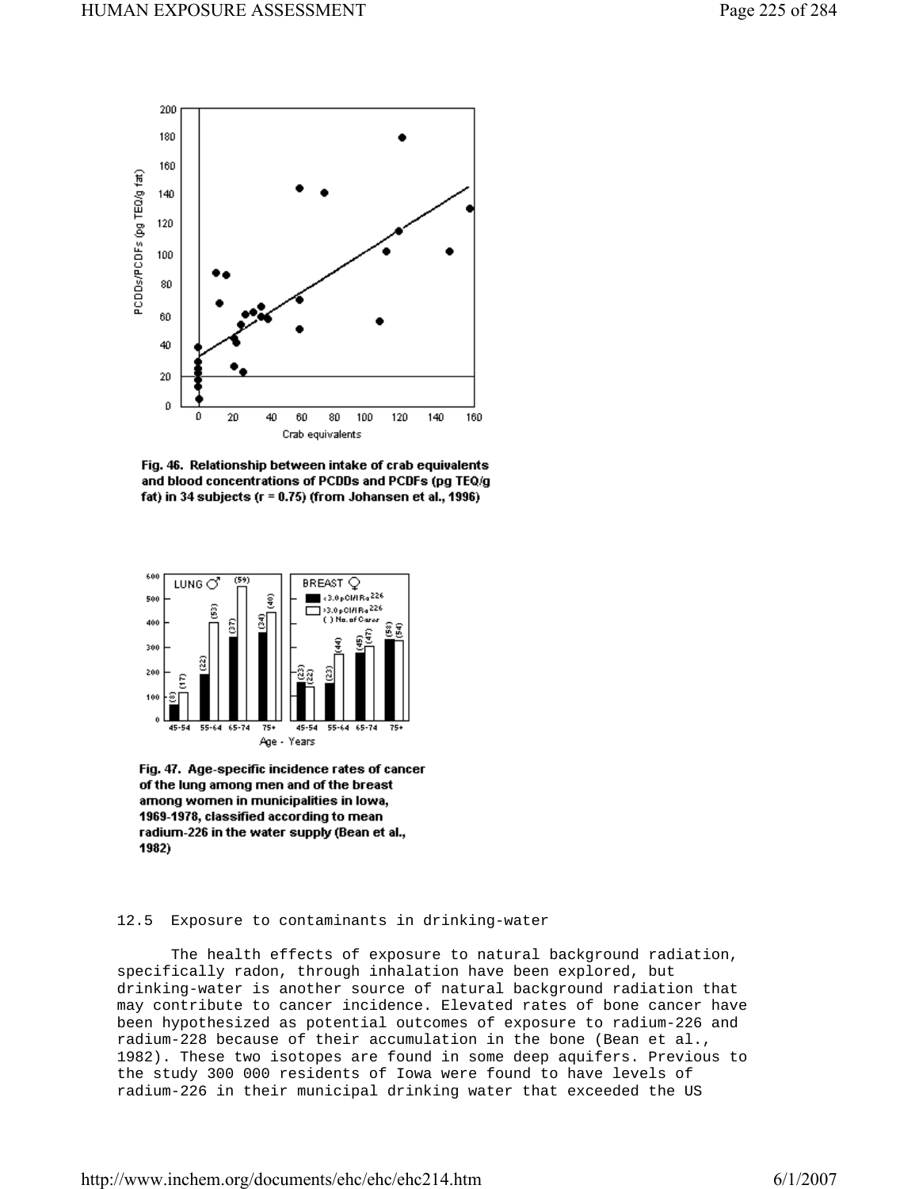

Fig. 46. Relationship between intake of crab equivalents and blood concentrations of PCDDs and PCDFs (pg TEQ/g fat) in 34 subjects ( $r = 0.75$ ) (from Johansen et al., 1996)



Fig. 47. Age-specific incidence rates of cancer of the lung among men and of the breast among women in municipalities in lowa, 1969-1978, classified according to mean radium-226 in the water supply (Bean et al., 1982)

#### 12.5 Exposure to contaminants in drinking-water

 The health effects of exposure to natural background radiation, specifically radon, through inhalation have been explored, but drinking-water is another source of natural background radiation that may contribute to cancer incidence. Elevated rates of bone cancer have been hypothesized as potential outcomes of exposure to radium-226 and radium-228 because of their accumulation in the bone (Bean et al., 1982). These two isotopes are found in some deep aquifers. Previous to the study 300 000 residents of Iowa were found to have levels of radium-226 in their municipal drinking water that exceeded the US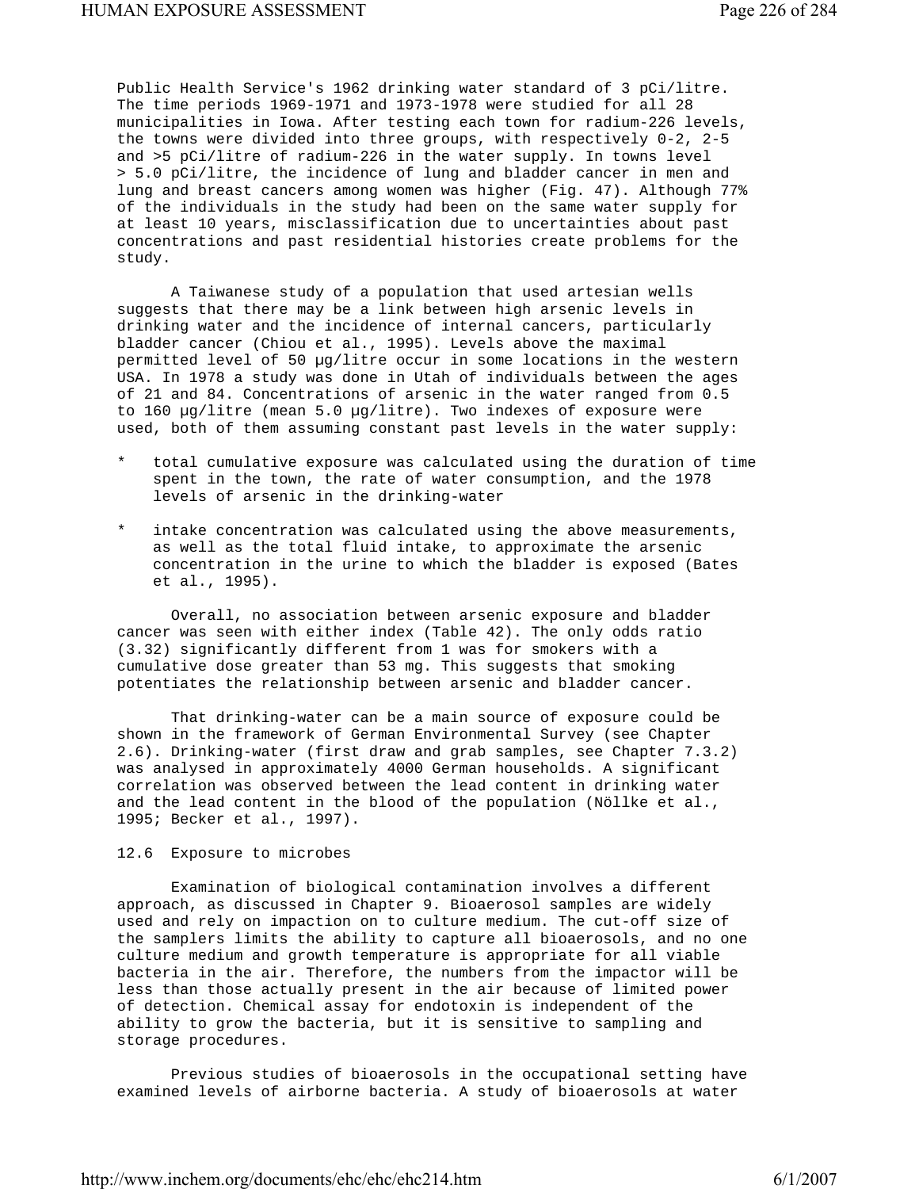Public Health Service's 1962 drinking water standard of 3 pCi/litre. The time periods 1969-1971 and 1973-1978 were studied for all 28 municipalities in Iowa. After testing each town for radium-226 levels, the towns were divided into three groups, with respectively 0-2, 2-5 and >5 pCi/litre of radium-226 in the water supply. In towns level > 5.0 pCi/litre, the incidence of lung and bladder cancer in men and lung and breast cancers among women was higher (Fig. 47). Although 77% of the individuals in the study had been on the same water supply for at least 10 years, misclassification due to uncertainties about past concentrations and past residential histories create problems for the study.

 A Taiwanese study of a population that used artesian wells suggests that there may be a link between high arsenic levels in drinking water and the incidence of internal cancers, particularly bladder cancer (Chiou et al., 1995). Levels above the maximal permitted level of 50 µg/litre occur in some locations in the western USA. In 1978 a study was done in Utah of individuals between the ages of 21 and 84. Concentrations of arsenic in the water ranged from 0.5 to 160 µg/litre (mean 5.0 µg/litre). Two indexes of exposure were used, both of them assuming constant past levels in the water supply:

- total cumulative exposure was calculated using the duration of time spent in the town, the rate of water consumption, and the 1978 levels of arsenic in the drinking-water
- intake concentration was calculated using the above measurements, as well as the total fluid intake, to approximate the arsenic concentration in the urine to which the bladder is exposed (Bates et al., 1995).

 Overall, no association between arsenic exposure and bladder cancer was seen with either index (Table 42). The only odds ratio (3.32) significantly different from 1 was for smokers with a cumulative dose greater than 53 mg. This suggests that smoking potentiates the relationship between arsenic and bladder cancer.

 That drinking-water can be a main source of exposure could be shown in the framework of German Environmental Survey (see Chapter 2.6). Drinking-water (first draw and grab samples, see Chapter 7.3.2) was analysed in approximately 4000 German households. A significant correlation was observed between the lead content in drinking water and the lead content in the blood of the population (Nöllke et al., 1995; Becker et al., 1997).

## 12.6 Exposure to microbes

 Examination of biological contamination involves a different approach, as discussed in Chapter 9. Bioaerosol samples are widely used and rely on impaction on to culture medium. The cut-off size of the samplers limits the ability to capture all bioaerosols, and no one culture medium and growth temperature is appropriate for all viable bacteria in the air. Therefore, the numbers from the impactor will be less than those actually present in the air because of limited power of detection. Chemical assay for endotoxin is independent of the ability to grow the bacteria, but it is sensitive to sampling and storage procedures.

 Previous studies of bioaerosols in the occupational setting have examined levels of airborne bacteria. A study of bioaerosols at water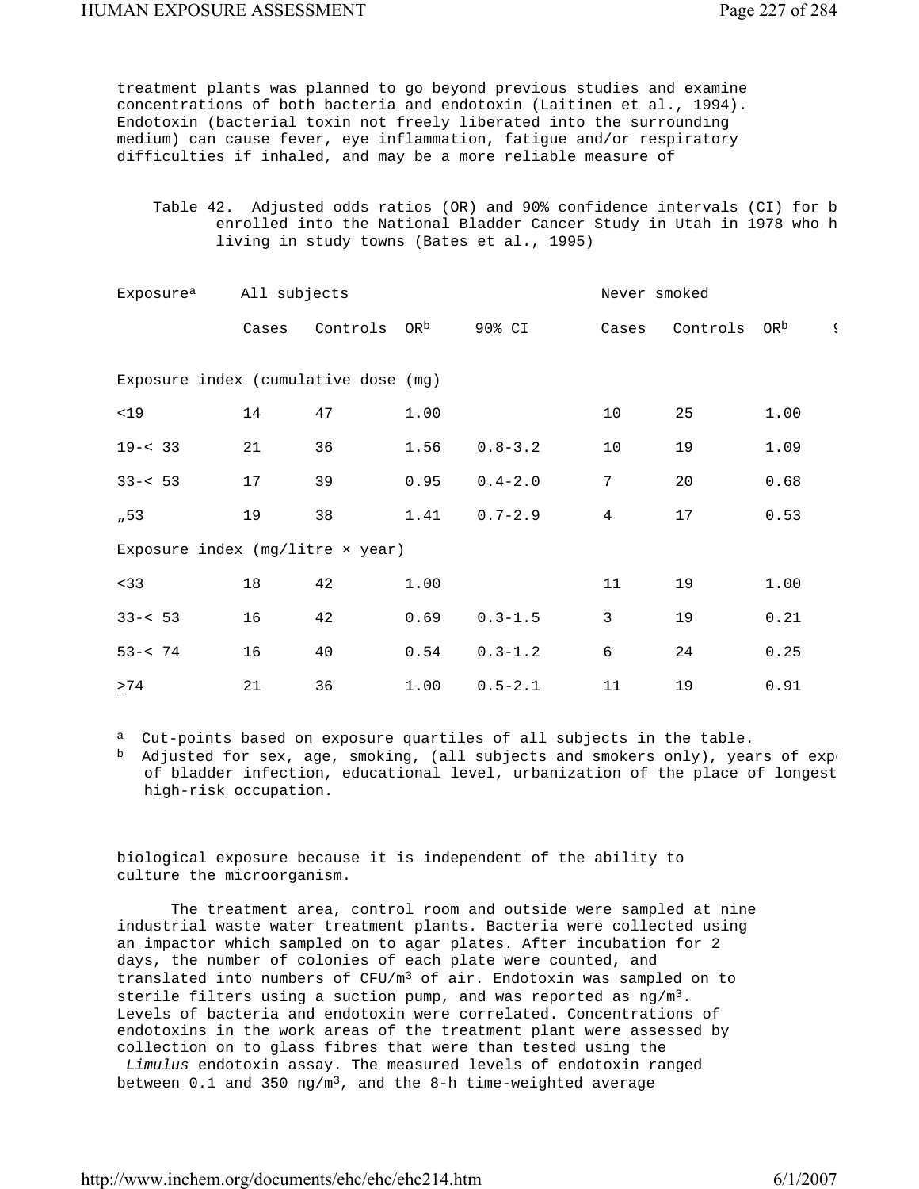treatment plants was planned to go beyond previous studies and examine concentrations of both bacteria and endotoxin (Laitinen et al., 1994). Endotoxin (bacterial toxin not freely liberated into the surrounding medium) can cause fever, eye inflammation, fatigue and/or respiratory difficulties if inhaled, and may be a more reliable measure of

 Table 42. Adjusted odds ratios (OR) and 90% confidence intervals (CI) for b enrolled into the National Bladder Cancer Study in Utah in 1978 who h living in study towns (Bates et al., 1995)

| Exposure <sup>a</sup>                   | All subjects |          |                 |             | Never smoked   |                          |      |              |
|-----------------------------------------|--------------|----------|-----------------|-------------|----------------|--------------------------|------|--------------|
|                                         | Cases        | Controls | OR <sup>b</sup> | 90% CI      | Cases          | Controls OR <sup>b</sup> |      | $\mathsf{S}$ |
| Exposure index (cumulative dose (mg)    |              |          |                 |             |                |                          |      |              |
| $19$                                    | 14           | 47       | 1.00            |             | 10             | 25                       | 1.00 |              |
| $19 - < 33$                             | 21           | 36       | 1.56            | $0.8 - 3.2$ | 10             | 19                       | 1.09 |              |
| $33 - 53$                               | 17           | 39       | 0.95            | $0.4 - 2.0$ | 7              | 20                       | 0.68 |              |
| , 53                                    | 19           | 38       | 1.41            | $0.7 - 2.9$ | $\overline{4}$ | 17                       | 0.53 |              |
| Exposure index $(mg/litre \times year)$ |              |          |                 |             |                |                          |      |              |
| $<$ 33                                  | 18           | 42       | 1.00            |             | 11             | 19                       | 1.00 |              |
| $33 - 53$                               | 16           | 42       | 0.69            | $0.3 - 1.5$ | 3              | 19                       | 0.21 |              |
| $53 - < 74$                             | 16           | 40       | 0.54            | $0.3 - 1.2$ | 6              | 24                       | 0.25 |              |
| $\geq$ 74                               | 21           | 36       | 1.00            | $0.5 - 2.1$ | 11             | 19                       | 0.91 |              |

a Cut-points based on exposure quartiles of all subjects in the table.

 $b$  Adjusted for sex, age, smoking, (all subjects and smokers only), years of expo of bladder infection, educational level, urbanization of the place of longest high-risk occupation.

 biological exposure because it is independent of the ability to culture the microorganism.

 The treatment area, control room and outside were sampled at nine industrial waste water treatment plants. Bacteria were collected using an impactor which sampled on to agar plates. After incubation for 2 days, the number of colonies of each plate were counted, and translated into numbers of  $CFU/m^3$  of air. Endotoxin was sampled on to sterile filters using a suction pump, and was reported as  $\log/\mathfrak{m}^3$ . Levels of bacteria and endotoxin were correlated. Concentrations of endotoxins in the work areas of the treatment plant were assessed by collection on to glass fibres that were than tested using the *Limulus* endotoxin assay. The measured levels of endotoxin ranged between  $0.1$  and  $350 \text{ ng/m}^3$ , and the 8-h time-weighted average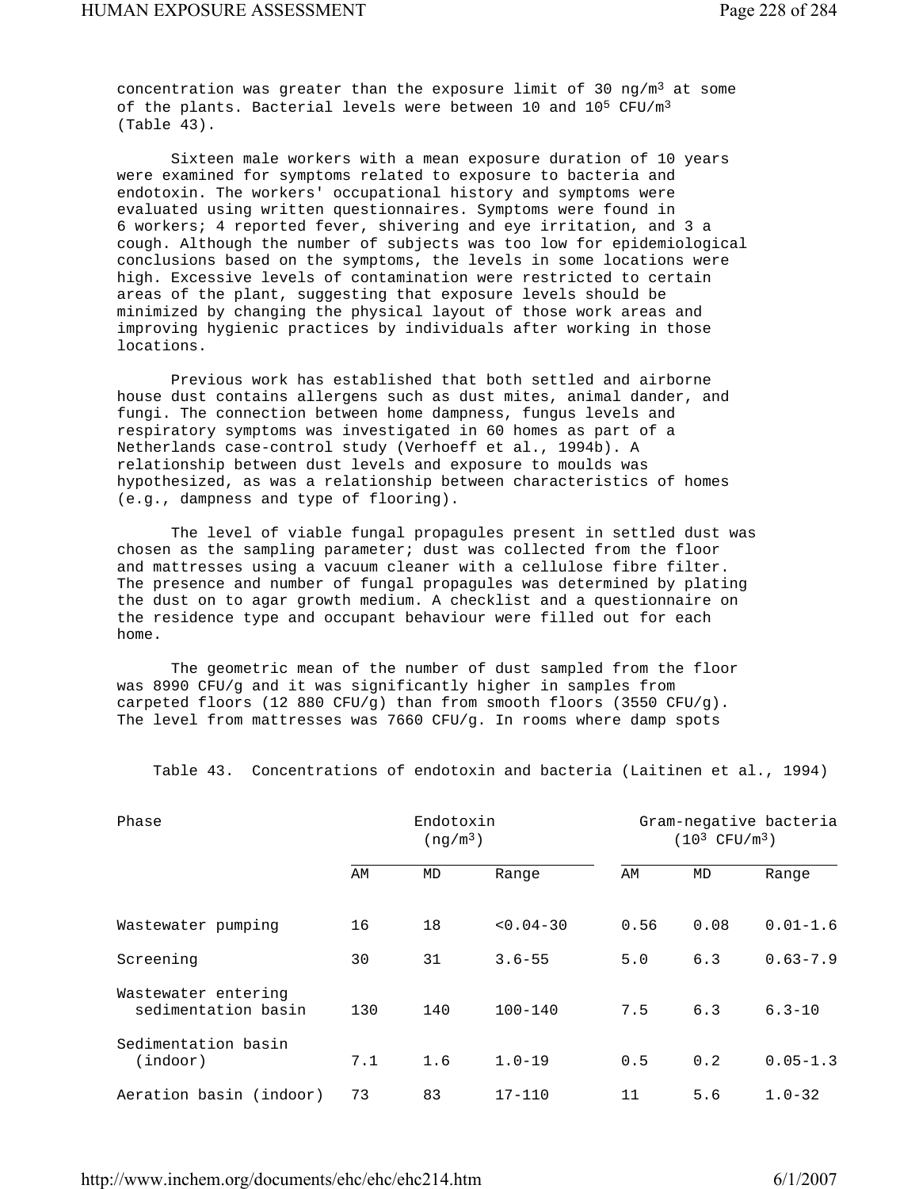concentration was greater than the exposure limit of 30  $\text{ng/m}^3$  at some of the plants. Bacterial levels were between 10 and 10<sup>5</sup> CFU/m<sup>3</sup> (Table 43).

 Sixteen male workers with a mean exposure duration of 10 years were examined for symptoms related to exposure to bacteria and endotoxin. The workers' occupational history and symptoms were evaluated using written questionnaires. Symptoms were found in 6 workers; 4 reported fever, shivering and eye irritation, and 3 a cough. Although the number of subjects was too low for epidemiological conclusions based on the symptoms, the levels in some locations were high. Excessive levels of contamination were restricted to certain areas of the plant, suggesting that exposure levels should be minimized by changing the physical layout of those work areas and improving hygienic practices by individuals after working in those locations.

 Previous work has established that both settled and airborne house dust contains allergens such as dust mites, animal dander, and fungi. The connection between home dampness, fungus levels and respiratory symptoms was investigated in 60 homes as part of a Netherlands case-control study (Verhoeff et al., 1994b). A relationship between dust levels and exposure to moulds was hypothesized, as was a relationship between characteristics of homes (e.g., dampness and type of flooring).

 The level of viable fungal propagules present in settled dust was chosen as the sampling parameter; dust was collected from the floor and mattresses using a vacuum cleaner with a cellulose fibre filter. The presence and number of fungal propagules was determined by plating the dust on to agar growth medium. A checklist and a questionnaire on the residence type and occupant behaviour were filled out for each home.

 The geometric mean of the number of dust sampled from the floor was 8990 CFU/g and it was significantly higher in samples from carpeted floors (12 880 CFU/g) than from smooth floors (3550 CFU/g). The level from mattresses was 7660 CFU/g. In rooms where damp spots

| Phase                                      |     | Endotoxin<br>$(nq/m^3)$ |               |      | Gram-negative bacteria<br>$(10^3 \text{ CFU/m}^3)$ |              |  |
|--------------------------------------------|-----|-------------------------|---------------|------|----------------------------------------------------|--------------|--|
|                                            | AM  | MD                      | Range         | AΜ   | MD                                                 | Range        |  |
| Wastewater pumping                         | 16  | 18                      | $< 0.04 - 30$ | 0.56 | 0.08                                               | $0.01 - 1.6$ |  |
| Screening                                  | 30  | 31                      | $3.6 - 55$    | 5.0  | 6.3                                                | $0.63 - 7.9$ |  |
| Wastewater entering<br>sedimentation basin | 130 | 140                     | $100 - 140$   | 7.5  | 6.3                                                | $6.3 - 10$   |  |
| Sedimentation basin<br>(indoor)            | 7.1 | 1.6                     | $1.0 - 19$    | 0.5  | 0.2                                                | $0.05 - 1.3$ |  |
| Aeration basin (indoor)                    | 73  | 83                      | $17 - 110$    | 11   | 5.6                                                | $1.0 - 32$   |  |

Table 43. Concentrations of endotoxin and bacteria (Laitinen et al., 1994)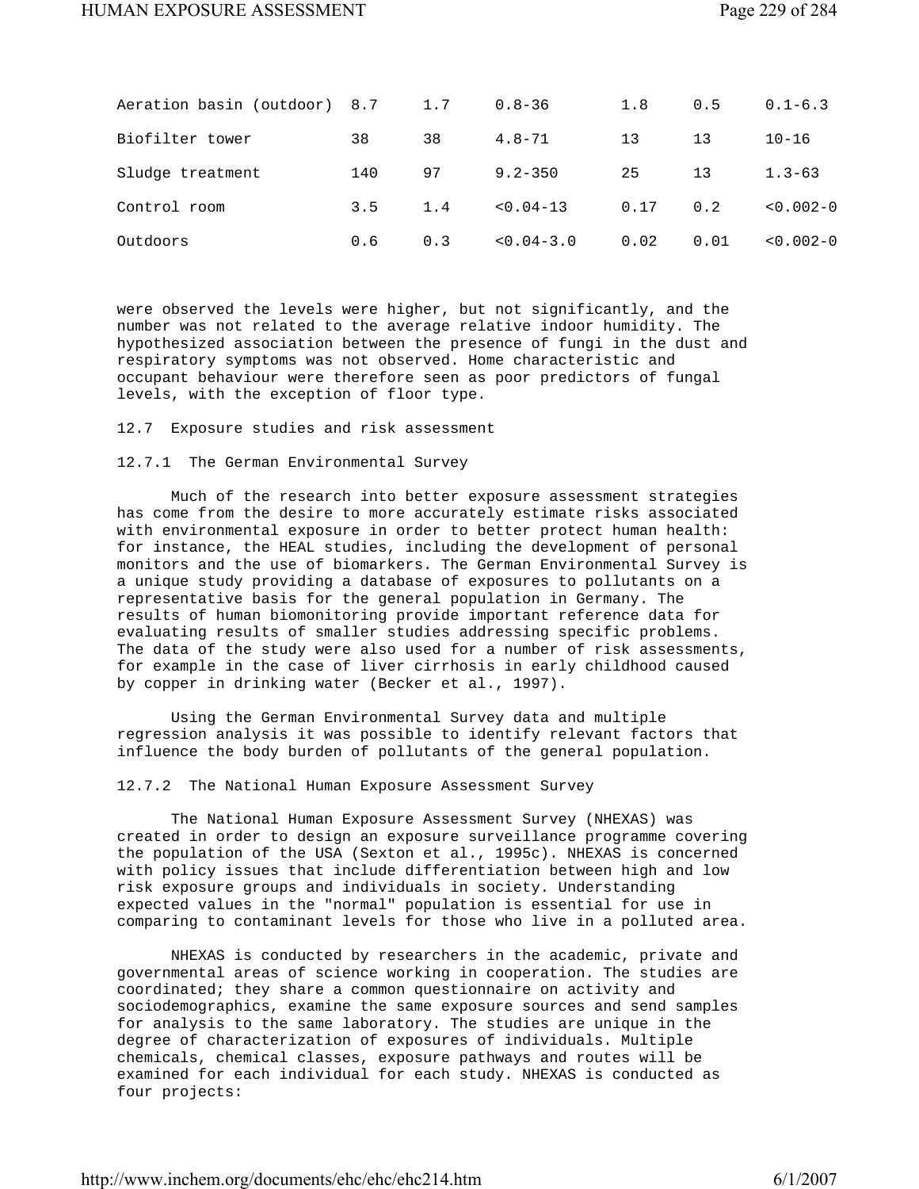| Aeration basin (outdoor) 8.7 |     | 1.7 | $0.8 - 36$     | 1.8  | 0.5  | $0.1 - 6.3$   |
|------------------------------|-----|-----|----------------|------|------|---------------|
| Biofilter tower              | 38  | 38  | $4.8 - 71$     | 13   | 13   | $10 - 16$     |
| Sludge treatment             | 140 | 97  | $9.2 - 350$    | 25   | 13   | $1.3 - 63$    |
| Control room                 | 3.5 | 1.4 | $< 0.04 - 13$  | 0.17 | 0.2  | $< 0.002 - 0$ |
| Outdoors                     | 0.6 | 0.3 | $< 0.04 - 3.0$ | 0.02 | 0.01 | $< 0.002 - 0$ |

 were observed the levels were higher, but not significantly, and the number was not related to the average relative indoor humidity. The hypothesized association between the presence of fungi in the dust and respiratory symptoms was not observed. Home characteristic and occupant behaviour were therefore seen as poor predictors of fungal levels, with the exception of floor type.

12.7 Exposure studies and risk assessment

#### 12.7.1 The German Environmental Survey

 Much of the research into better exposure assessment strategies has come from the desire to more accurately estimate risks associated with environmental exposure in order to better protect human health: for instance, the HEAL studies, including the development of personal monitors and the use of biomarkers. The German Environmental Survey is a unique study providing a database of exposures to pollutants on a representative basis for the general population in Germany. The results of human biomonitoring provide important reference data for evaluating results of smaller studies addressing specific problems. The data of the study were also used for a number of risk assessments, for example in the case of liver cirrhosis in early childhood caused by copper in drinking water (Becker et al., 1997).

 Using the German Environmental Survey data and multiple regression analysis it was possible to identify relevant factors that influence the body burden of pollutants of the general population.

12.7.2 The National Human Exposure Assessment Survey

 The National Human Exposure Assessment Survey (NHEXAS) was created in order to design an exposure surveillance programme covering the population of the USA (Sexton et al., 1995c). NHEXAS is concerned with policy issues that include differentiation between high and low risk exposure groups and individuals in society. Understanding expected values in the "normal" population is essential for use in comparing to contaminant levels for those who live in a polluted area.

 NHEXAS is conducted by researchers in the academic, private and governmental areas of science working in cooperation. The studies are coordinated; they share a common questionnaire on activity and sociodemographics, examine the same exposure sources and send samples for analysis to the same laboratory. The studies are unique in the degree of characterization of exposures of individuals. Multiple chemicals, chemical classes, exposure pathways and routes will be examined for each individual for each study. NHEXAS is conducted as four projects: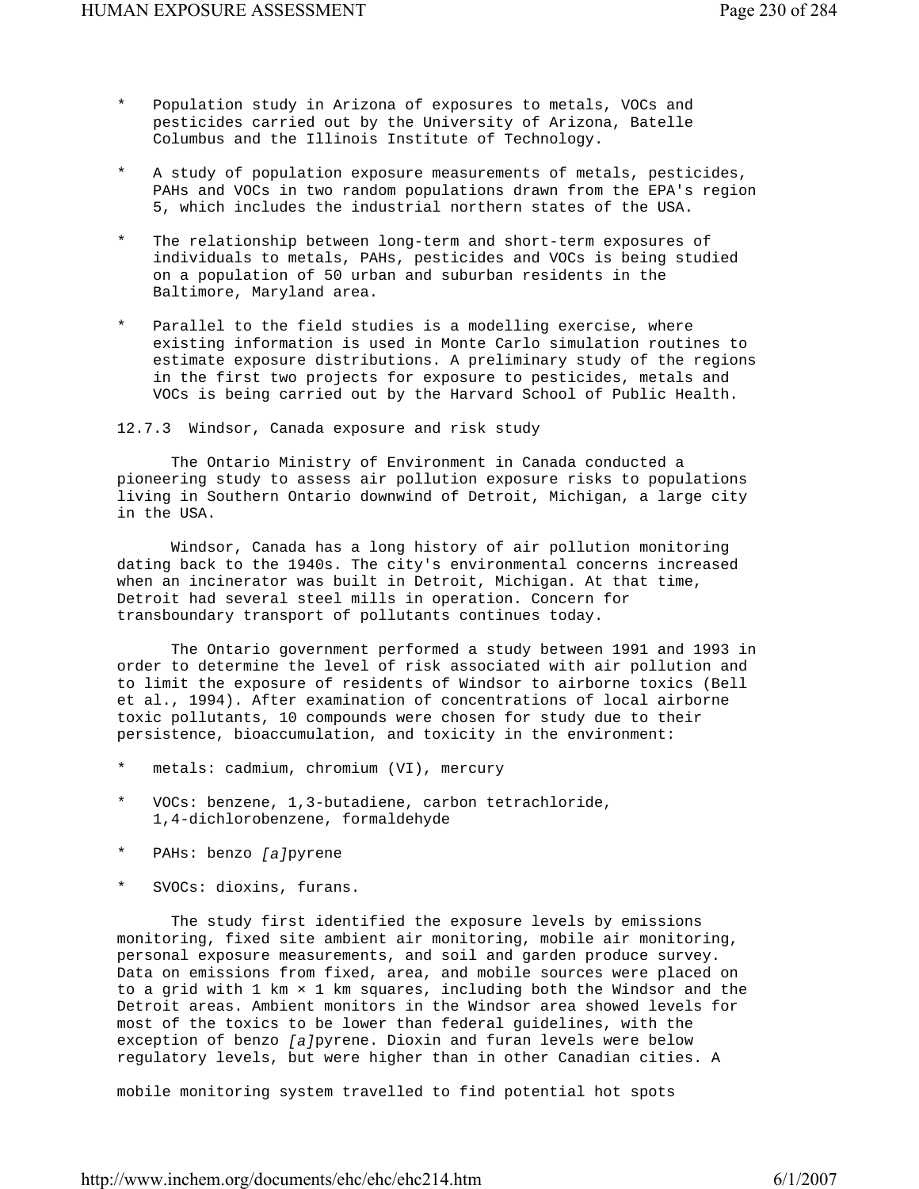- Population study in Arizona of exposures to metals, VOCs and pesticides carried out by the University of Arizona, Batelle Columbus and the Illinois Institute of Technology.
- A study of population exposure measurements of metals, pesticides, PAHs and VOCs in two random populations drawn from the EPA's region 5, which includes the industrial northern states of the USA.
- The relationship between long-term and short-term exposures of individuals to metals, PAHs, pesticides and VOCs is being studied on a population of 50 urban and suburban residents in the Baltimore, Maryland area.
- Parallel to the field studies is a modelling exercise, where existing information is used in Monte Carlo simulation routines to estimate exposure distributions. A preliminary study of the regions in the first two projects for exposure to pesticides, metals and VOCs is being carried out by the Harvard School of Public Health.

12.7.3 Windsor, Canada exposure and risk study

 The Ontario Ministry of Environment in Canada conducted a pioneering study to assess air pollution exposure risks to populations living in Southern Ontario downwind of Detroit, Michigan, a large city in the USA.

 Windsor, Canada has a long history of air pollution monitoring dating back to the 1940s. The city's environmental concerns increased when an incinerator was built in Detroit, Michigan. At that time, Detroit had several steel mills in operation. Concern for transboundary transport of pollutants continues today.

 The Ontario government performed a study between 1991 and 1993 in order to determine the level of risk associated with air pollution and to limit the exposure of residents of Windsor to airborne toxics (Bell et al., 1994). After examination of concentrations of local airborne toxic pollutants, 10 compounds were chosen for study due to their persistence, bioaccumulation, and toxicity in the environment:

- metals: cadmium, chromium (VI), mercury
- VOCs: benzene, 1,3-butadiene, carbon tetrachloride, 1,4-dichlorobenzene, formaldehyde
- \* PAHs: benzo *[a]*pyrene
- SVOCs: dioxins, furans.

 The study first identified the exposure levels by emissions monitoring, fixed site ambient air monitoring, mobile air monitoring, personal exposure measurements, and soil and garden produce survey. Data on emissions from fixed, area, and mobile sources were placed on to a grid with  $1 \text{ km } \times 1$  km squares, including both the Windsor and the Detroit areas. Ambient monitors in the Windsor area showed levels for most of the toxics to be lower than federal guidelines, with the exception of benzo *[a]*pyrene. Dioxin and furan levels were below regulatory levels, but were higher than in other Canadian cities. A

mobile monitoring system travelled to find potential hot spots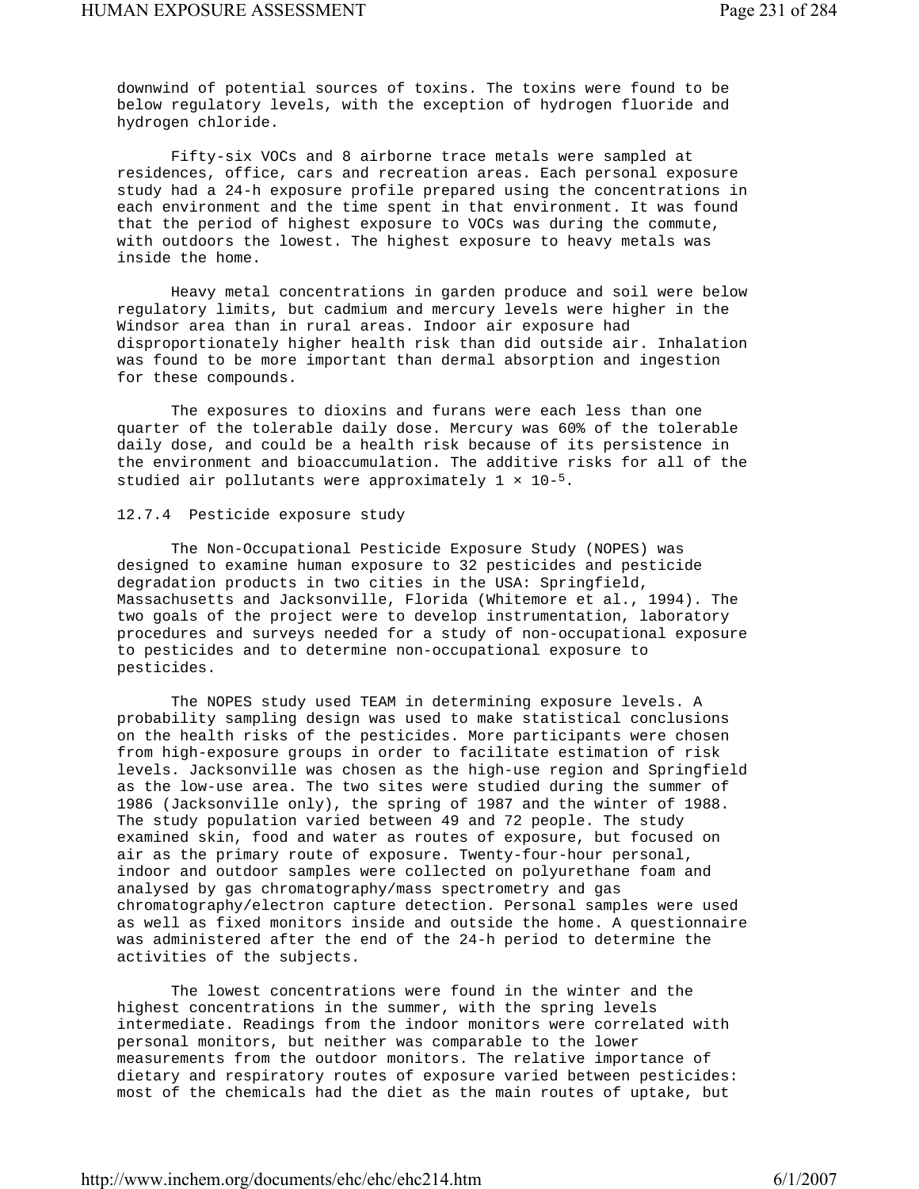downwind of potential sources of toxins. The toxins were found to be below regulatory levels, with the exception of hydrogen fluoride and hydrogen chloride.

 Fifty-six VOCs and 8 airborne trace metals were sampled at residences, office, cars and recreation areas. Each personal exposure study had a 24-h exposure profile prepared using the concentrations in each environment and the time spent in that environment. It was found that the period of highest exposure to VOCs was during the commute, with outdoors the lowest. The highest exposure to heavy metals was inside the home.

 Heavy metal concentrations in garden produce and soil were below regulatory limits, but cadmium and mercury levels were higher in the Windsor area than in rural areas. Indoor air exposure had disproportionately higher health risk than did outside air. Inhalation was found to be more important than dermal absorption and ingestion for these compounds.

 The exposures to dioxins and furans were each less than one quarter of the tolerable daily dose. Mercury was 60% of the tolerable daily dose, and could be a health risk because of its persistence in the environment and bioaccumulation. The additive risks for all of the studied air pollutants were approximately  $1 \times 10^{-5}$ .

#### 12.7.4 Pesticide exposure study

 The Non-Occupational Pesticide Exposure Study (NOPES) was designed to examine human exposure to 32 pesticides and pesticide degradation products in two cities in the USA: Springfield, Massachusetts and Jacksonville, Florida (Whitemore et al., 1994). The two goals of the project were to develop instrumentation, laboratory procedures and surveys needed for a study of non-occupational exposure to pesticides and to determine non-occupational exposure to pesticides.

 The NOPES study used TEAM in determining exposure levels. A probability sampling design was used to make statistical conclusions on the health risks of the pesticides. More participants were chosen from high-exposure groups in order to facilitate estimation of risk levels. Jacksonville was chosen as the high-use region and Springfield as the low-use area. The two sites were studied during the summer of 1986 (Jacksonville only), the spring of 1987 and the winter of 1988. The study population varied between 49 and 72 people. The study examined skin, food and water as routes of exposure, but focused on air as the primary route of exposure. Twenty-four-hour personal, indoor and outdoor samples were collected on polyurethane foam and analysed by gas chromatography/mass spectrometry and gas chromatography/electron capture detection. Personal samples were used as well as fixed monitors inside and outside the home. A questionnaire was administered after the end of the 24-h period to determine the activities of the subjects.

 The lowest concentrations were found in the winter and the highest concentrations in the summer, with the spring levels intermediate. Readings from the indoor monitors were correlated with personal monitors, but neither was comparable to the lower measurements from the outdoor monitors. The relative importance of dietary and respiratory routes of exposure varied between pesticides: most of the chemicals had the diet as the main routes of uptake, but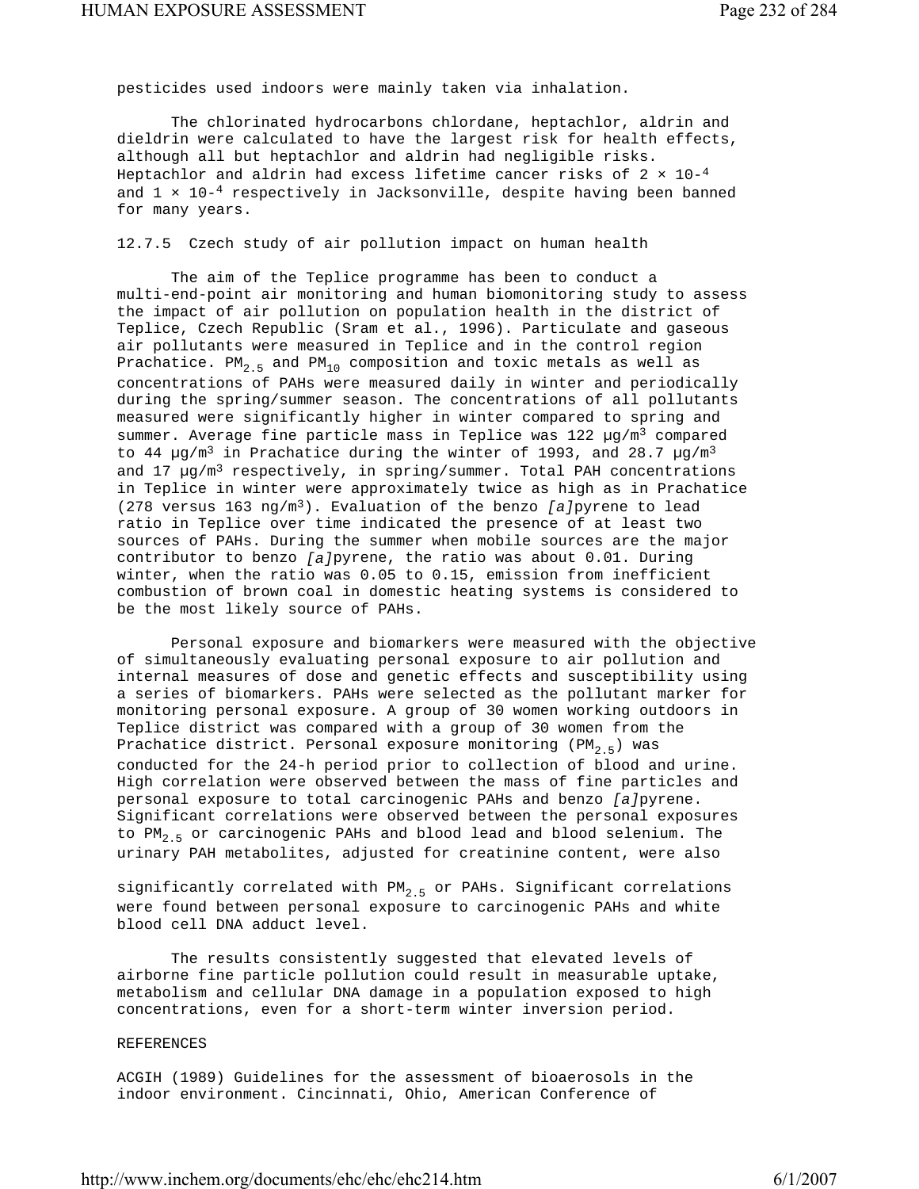pesticides used indoors were mainly taken via inhalation.

 The chlorinated hydrocarbons chlordane, heptachlor, aldrin and dieldrin were calculated to have the largest risk for health effects, although all but heptachlor and aldrin had negligible risks. Heptachlor and aldrin had excess lifetime cancer risks of  $2 \times 10^{-4}$ and  $1 \times 10^{-4}$  respectively in Jacksonville, despite having been banned for many years.

12.7.5 Czech study of air pollution impact on human health

 The aim of the Teplice programme has been to conduct a multi-end-point air monitoring and human biomonitoring study to assess the impact of air pollution on population health in the district of Teplice, Czech Republic (Sram et al., 1996). Particulate and gaseous air pollutants were measured in Teplice and in the control region Prachatice.  $PM_{2.5}$  and  $PM_{10}$  composition and toxic metals as well as concentrations of PAHs were measured daily in winter and periodically during the spring/summer season. The concentrations of all pollutants measured were significantly higher in winter compared to spring and summer. Average fine particle mass in Teplice was  $122 \mu g/m^3$  compared to 44  $\mu$ g/m<sup>3</sup> in Prachatice during the winter of 1993, and 28.7  $\mu$ g/m<sup>3</sup> and 17  $\mu$ g/m<sup>3</sup> respectively, in spring/summer. Total PAH concentrations in Teplice in winter were approximately twice as high as in Prachatice (278 versus 163 ng/m3). Evaluation of the benzo *[a]*pyrene to lead ratio in Teplice over time indicated the presence of at least two sources of PAHs. During the summer when mobile sources are the major contributor to benzo *[a]*pyrene, the ratio was about 0.01. During winter, when the ratio was 0.05 to 0.15, emission from inefficient combustion of brown coal in domestic heating systems is considered to be the most likely source of PAHs.

 Personal exposure and biomarkers were measured with the objective of simultaneously evaluating personal exposure to air pollution and internal measures of dose and genetic effects and susceptibility using a series of biomarkers. PAHs were selected as the pollutant marker for monitoring personal exposure. A group of 30 women working outdoors in Teplice district was compared with a group of 30 women from the Prachatice district. Personal exposure monitoring (PM<sub>2.5</sub>) was conducted for the 24-h period prior to collection of blood and urine. High correlation were observed between the mass of fine particles and personal exposure to total carcinogenic PAHs and benzo *[a]*pyrene. Significant correlations were observed between the personal exposures to PM<sub>2.5</sub> or carcinogenic PAHs and blood lead and blood selenium. The urinary PAH metabolites, adjusted for creatinine content, were also

significantly correlated with  $PM_{2.5}$  or PAHs. Significant correlations were found between personal exposure to carcinogenic PAHs and white blood cell DNA adduct level.

 The results consistently suggested that elevated levels of airborne fine particle pollution could result in measurable uptake, metabolism and cellular DNA damage in a population exposed to high concentrations, even for a short-term winter inversion period.

## REFERENCES

 ACGIH (1989) Guidelines for the assessment of bioaerosols in the indoor environment. Cincinnati, Ohio, American Conference of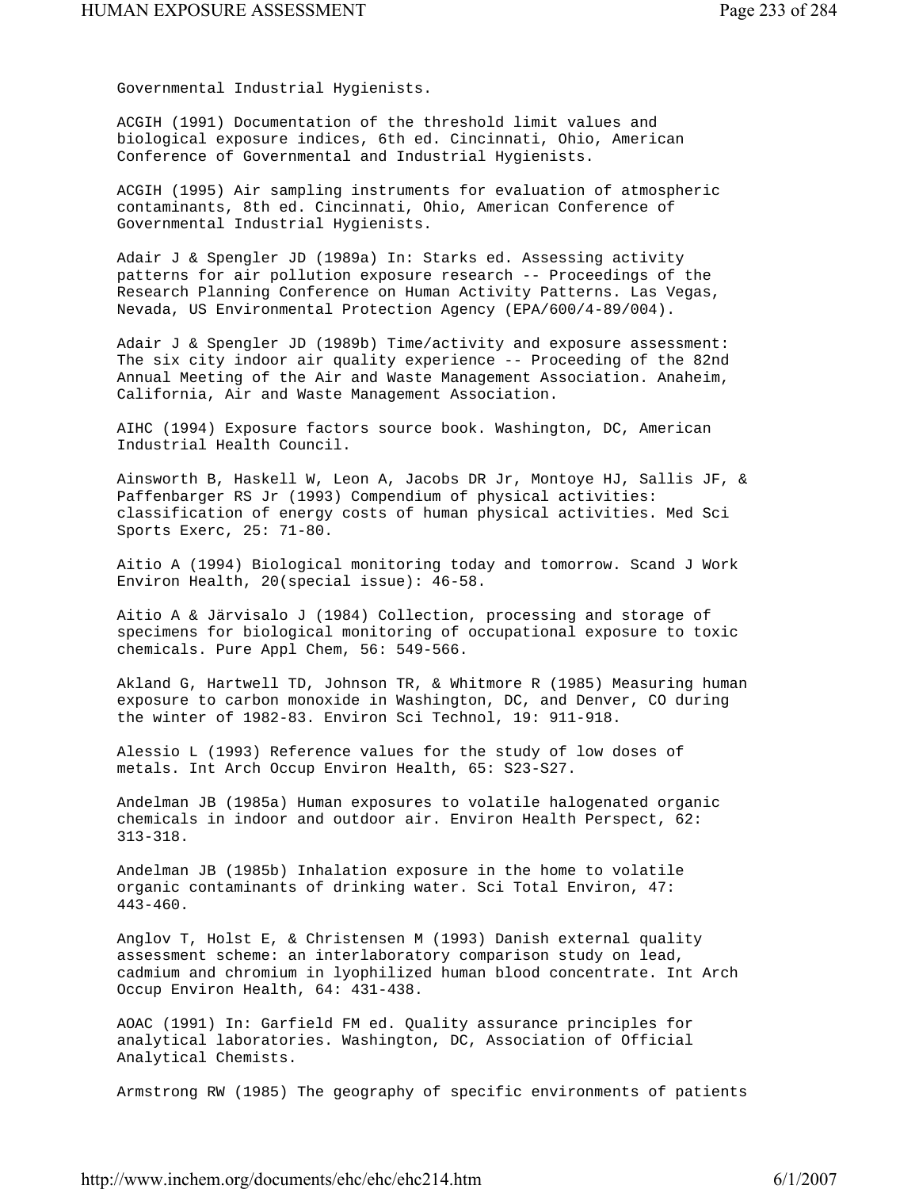Governmental Industrial Hygienists.

 ACGIH (1991) Documentation of the threshold limit values and biological exposure indices, 6th ed. Cincinnati, Ohio, American Conference of Governmental and Industrial Hygienists.

 ACGIH (1995) Air sampling instruments for evaluation of atmospheric contaminants, 8th ed. Cincinnati, Ohio, American Conference of Governmental Industrial Hygienists.

 Adair J & Spengler JD (1989a) In: Starks ed. Assessing activity patterns for air pollution exposure research -- Proceedings of the Research Planning Conference on Human Activity Patterns. Las Vegas, Nevada, US Environmental Protection Agency (EPA/600/4-89/004).

 Adair J & Spengler JD (1989b) Time/activity and exposure assessment: The six city indoor air quality experience -- Proceeding of the 82nd Annual Meeting of the Air and Waste Management Association. Anaheim, California, Air and Waste Management Association.

 AIHC (1994) Exposure factors source book. Washington, DC, American Industrial Health Council.

 Ainsworth B, Haskell W, Leon A, Jacobs DR Jr, Montoye HJ, Sallis JF, & Paffenbarger RS Jr (1993) Compendium of physical activities: classification of energy costs of human physical activities. Med Sci Sports Exerc, 25: 71-80.

 Aitio A (1994) Biological monitoring today and tomorrow. Scand J Work Environ Health, 20(special issue): 46-58.

 Aitio A & Järvisalo J (1984) Collection, processing and storage of specimens for biological monitoring of occupational exposure to toxic chemicals. Pure Appl Chem, 56: 549-566.

 Akland G, Hartwell TD, Johnson TR, & Whitmore R (1985) Measuring human exposure to carbon monoxide in Washington, DC, and Denver, CO during the winter of 1982-83. Environ Sci Technol, 19: 911-918.

 Alessio L (1993) Reference values for the study of low doses of metals. Int Arch Occup Environ Health, 65: S23-S27.

 Andelman JB (1985a) Human exposures to volatile halogenated organic chemicals in indoor and outdoor air. Environ Health Perspect, 62: 313-318.

 Andelman JB (1985b) Inhalation exposure in the home to volatile organic contaminants of drinking water. Sci Total Environ, 47: 443-460.

 Anglov T, Holst E, & Christensen M (1993) Danish external quality assessment scheme: an interlaboratory comparison study on lead, cadmium and chromium in lyophilized human blood concentrate. Int Arch Occup Environ Health, 64: 431-438.

 AOAC (1991) In: Garfield FM ed. Quality assurance principles for analytical laboratories. Washington, DC, Association of Official Analytical Chemists.

Armstrong RW (1985) The geography of specific environments of patients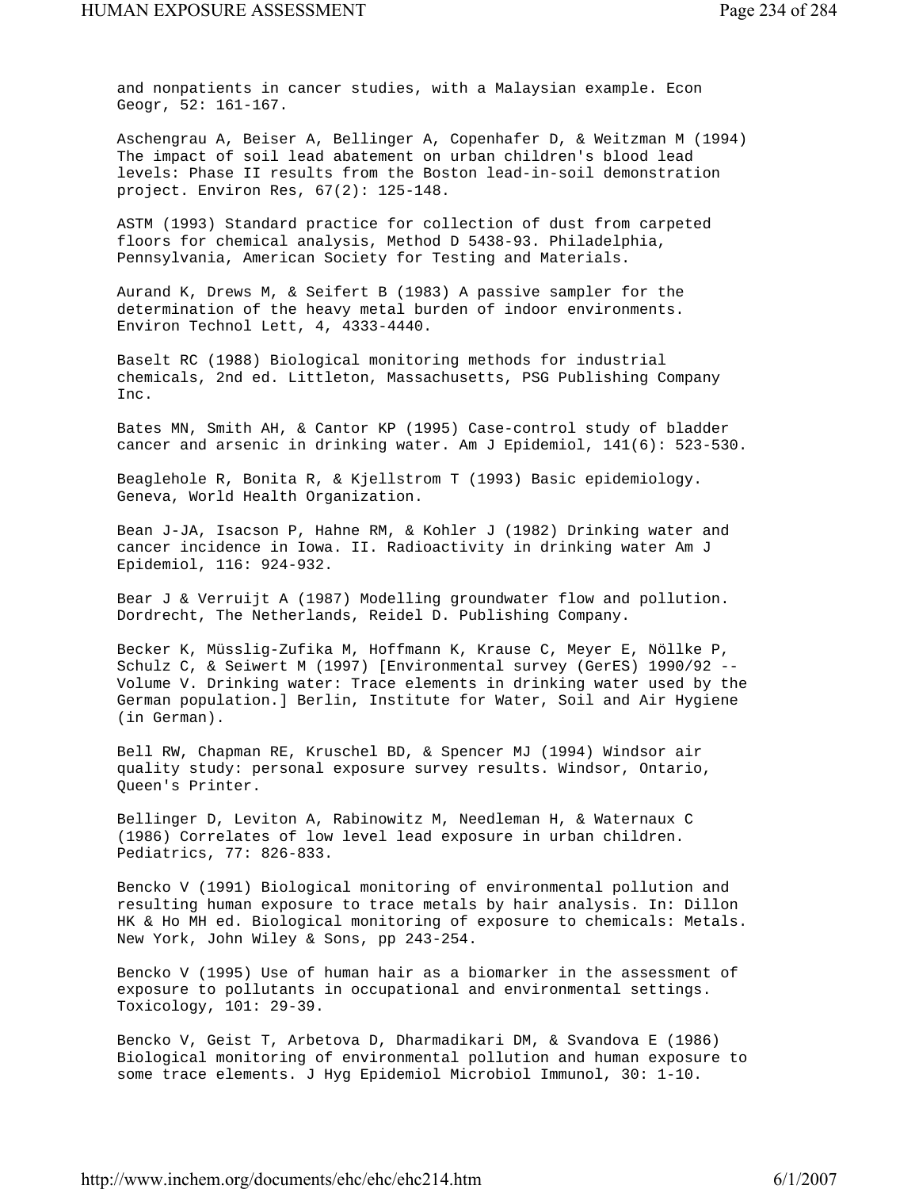and nonpatients in cancer studies, with a Malaysian example. Econ Geogr, 52: 161-167.

 Aschengrau A, Beiser A, Bellinger A, Copenhafer D, & Weitzman M (1994) The impact of soil lead abatement on urban children's blood lead levels: Phase II results from the Boston lead-in-soil demonstration project. Environ Res, 67(2): 125-148.

 ASTM (1993) Standard practice for collection of dust from carpeted floors for chemical analysis, Method D 5438-93. Philadelphia, Pennsylvania, American Society for Testing and Materials.

 Aurand K, Drews M, & Seifert B (1983) A passive sampler for the determination of the heavy metal burden of indoor environments. Environ Technol Lett, 4, 4333-4440.

 Baselt RC (1988) Biological monitoring methods for industrial chemicals, 2nd ed. Littleton, Massachusetts, PSG Publishing Company Inc.

 Bates MN, Smith AH, & Cantor KP (1995) Case-control study of bladder cancer and arsenic in drinking water. Am J Epidemiol, 141(6): 523-530.

 Beaglehole R, Bonita R, & Kjellstrom T (1993) Basic epidemiology. Geneva, World Health Organization.

 Bean J-JA, Isacson P, Hahne RM, & Kohler J (1982) Drinking water and cancer incidence in Iowa. II. Radioactivity in drinking water Am J Epidemiol, 116: 924-932.

 Bear J & Verruijt A (1987) Modelling groundwater flow and pollution. Dordrecht, The Netherlands, Reidel D. Publishing Company.

 Becker K, Müsslig-Zufika M, Hoffmann K, Krause C, Meyer E, Nöllke P, Schulz C, & Seiwert M (1997) [Environmental survey (GerES) 1990/92 -- Volume V. Drinking water: Trace elements in drinking water used by the German population.] Berlin, Institute for Water, Soil and Air Hygiene (in German).

 Bell RW, Chapman RE, Kruschel BD, & Spencer MJ (1994) Windsor air quality study: personal exposure survey results. Windsor, Ontario, Queen's Printer.

 Bellinger D, Leviton A, Rabinowitz M, Needleman H, & Waternaux C (1986) Correlates of low level lead exposure in urban children. Pediatrics, 77: 826-833.

 Bencko V (1991) Biological monitoring of environmental pollution and resulting human exposure to trace metals by hair analysis. In: Dillon HK & Ho MH ed. Biological monitoring of exposure to chemicals: Metals. New York, John Wiley & Sons, pp 243-254.

 Bencko V (1995) Use of human hair as a biomarker in the assessment of exposure to pollutants in occupational and environmental settings. Toxicology, 101: 29-39.

 Bencko V, Geist T, Arbetova D, Dharmadikari DM, & Svandova E (1986) Biological monitoring of environmental pollution and human exposure to some trace elements. J Hyg Epidemiol Microbiol Immunol, 30: 1-10.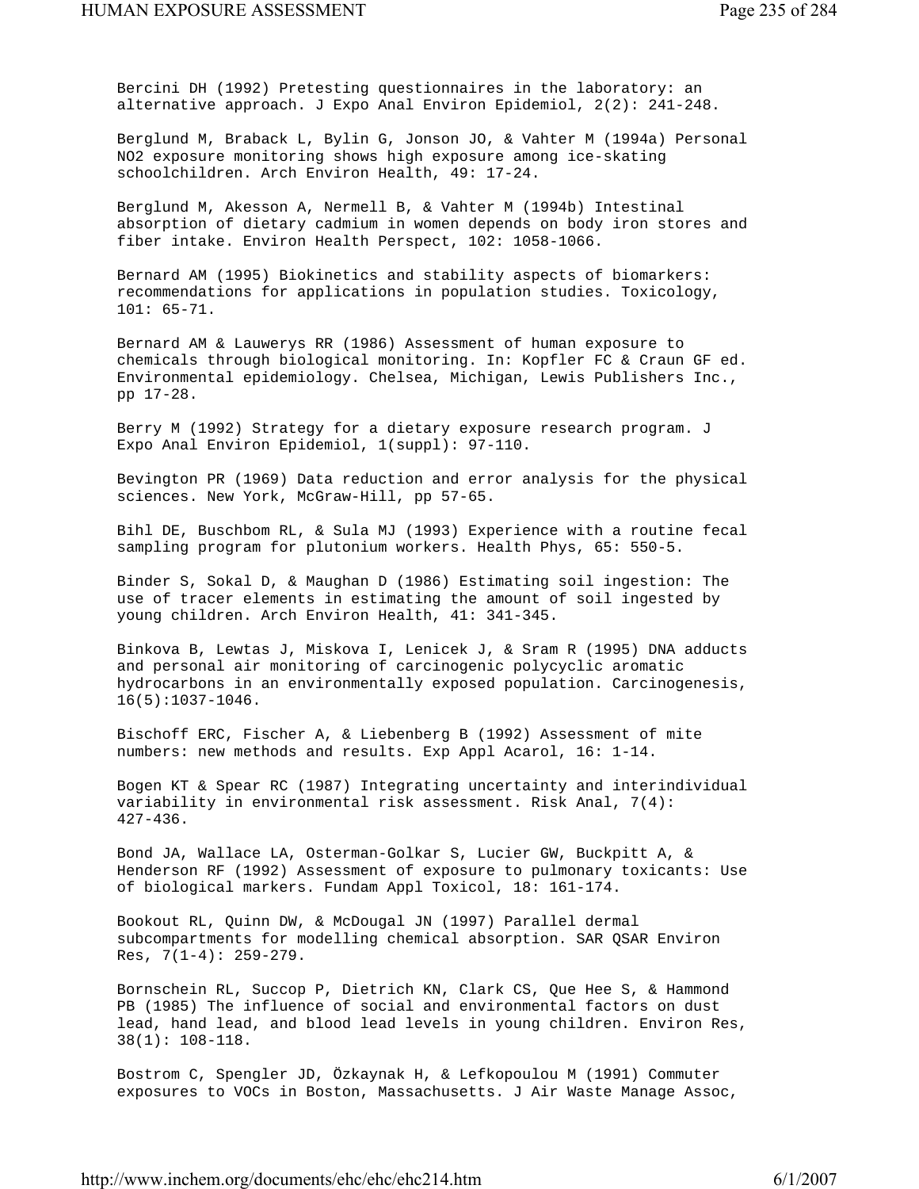Bercini DH (1992) Pretesting questionnaires in the laboratory: an alternative approach. J Expo Anal Environ Epidemiol, 2(2): 241-248.

 Berglund M, Braback L, Bylin G, Jonson JO, & Vahter M (1994a) Personal NO2 exposure monitoring shows high exposure among ice-skating schoolchildren. Arch Environ Health, 49: 17-24.

 Berglund M, Akesson A, Nermell B, & Vahter M (1994b) Intestinal absorption of dietary cadmium in women depends on body iron stores and fiber intake. Environ Health Perspect, 102: 1058-1066.

 Bernard AM (1995) Biokinetics and stability aspects of biomarkers: recommendations for applications in population studies. Toxicology, 101: 65-71.

 Bernard AM & Lauwerys RR (1986) Assessment of human exposure to chemicals through biological monitoring. In: Kopfler FC & Craun GF ed. Environmental epidemiology. Chelsea, Michigan, Lewis Publishers Inc., pp 17-28.

 Berry M (1992) Strategy for a dietary exposure research program. J Expo Anal Environ Epidemiol, 1(suppl): 97-110.

 Bevington PR (1969) Data reduction and error analysis for the physical sciences. New York, McGraw-Hill, pp 57-65.

 Bihl DE, Buschbom RL, & Sula MJ (1993) Experience with a routine fecal sampling program for plutonium workers. Health Phys, 65: 550-5.

 Binder S, Sokal D, & Maughan D (1986) Estimating soil ingestion: The use of tracer elements in estimating the amount of soil ingested by young children. Arch Environ Health, 41: 341-345.

 Binkova B, Lewtas J, Miskova I, Lenicek J, & Sram R (1995) DNA adducts and personal air monitoring of carcinogenic polycyclic aromatic hydrocarbons in an environmentally exposed population. Carcinogenesis, 16(5):1037-1046.

 Bischoff ERC, Fischer A, & Liebenberg B (1992) Assessment of mite numbers: new methods and results. Exp Appl Acarol, 16: 1-14.

 Bogen KT & Spear RC (1987) Integrating uncertainty and interindividual variability in environmental risk assessment. Risk Anal, 7(4): 427-436.

 Bond JA, Wallace LA, Osterman-Golkar S, Lucier GW, Buckpitt A, & Henderson RF (1992) Assessment of exposure to pulmonary toxicants: Use of biological markers. Fundam Appl Toxicol, 18: 161-174.

 Bookout RL, Quinn DW, & McDougal JN (1997) Parallel dermal subcompartments for modelling chemical absorption. SAR QSAR Environ Res, 7(1-4): 259-279.

 Bornschein RL, Succop P, Dietrich KN, Clark CS, Que Hee S, & Hammond PB (1985) The influence of social and environmental factors on dust lead, hand lead, and blood lead levels in young children. Environ Res, 38(1): 108-118.

 Bostrom C, Spengler JD, Özkaynak H, & Lefkopoulou M (1991) Commuter exposures to VOCs in Boston, Massachusetts. J Air Waste Manage Assoc,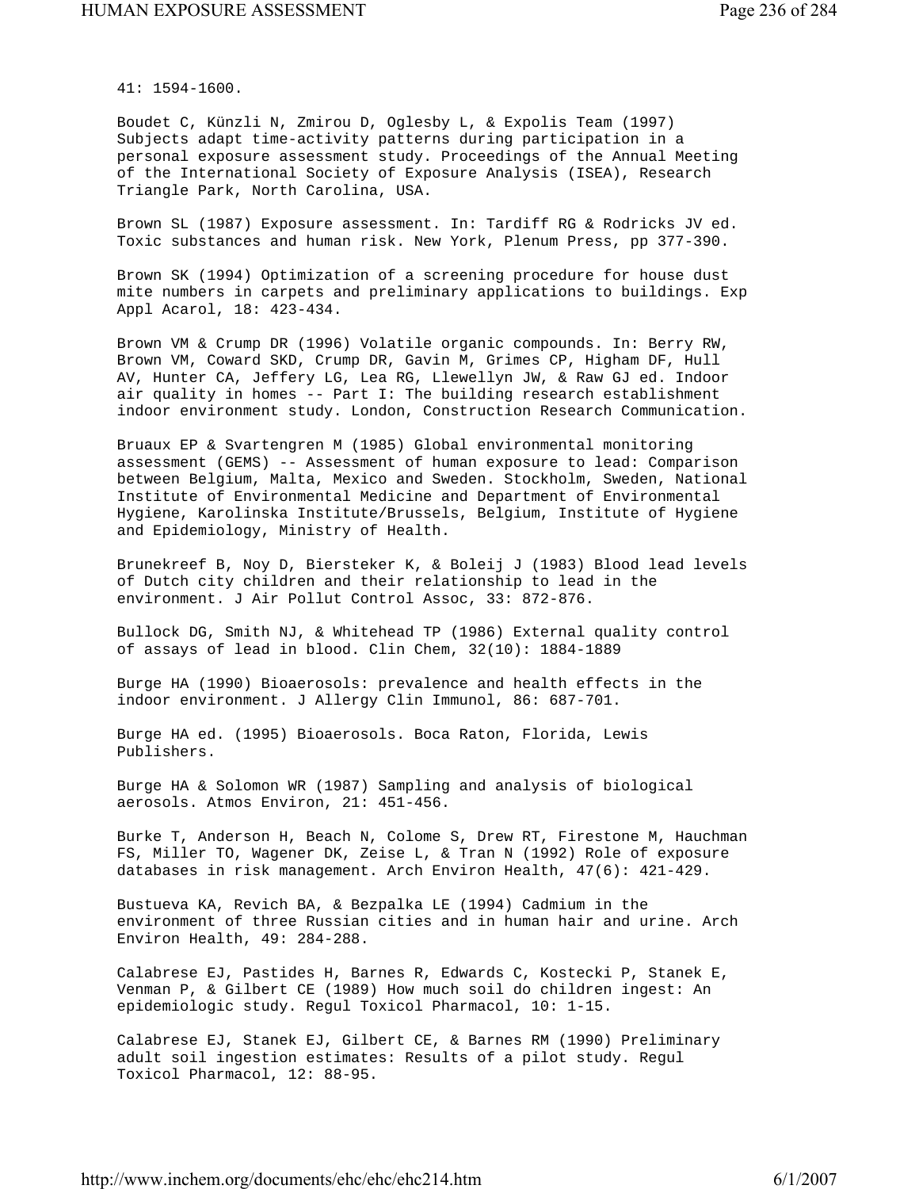41: 1594-1600.

 Boudet C, Künzli N, Zmirou D, Oglesby L, & Expolis Team (1997) Subjects adapt time-activity patterns during participation in a personal exposure assessment study. Proceedings of the Annual Meeting of the International Society of Exposure Analysis (ISEA), Research Triangle Park, North Carolina, USA.

 Brown SL (1987) Exposure assessment. In: Tardiff RG & Rodricks JV ed. Toxic substances and human risk. New York, Plenum Press, pp 377-390.

 Brown SK (1994) Optimization of a screening procedure for house dust mite numbers in carpets and preliminary applications to buildings. Exp Appl Acarol, 18: 423-434.

 Brown VM & Crump DR (1996) Volatile organic compounds. In: Berry RW, Brown VM, Coward SKD, Crump DR, Gavin M, Grimes CP, Higham DF, Hull AV, Hunter CA, Jeffery LG, Lea RG, Llewellyn JW, & Raw GJ ed. Indoor air quality in homes -- Part I: The building research establishment indoor environment study. London, Construction Research Communication.

 Bruaux EP & Svartengren M (1985) Global environmental monitoring assessment (GEMS) -- Assessment of human exposure to lead: Comparison between Belgium, Malta, Mexico and Sweden. Stockholm, Sweden, National Institute of Environmental Medicine and Department of Environmental Hygiene, Karolinska Institute/Brussels, Belgium, Institute of Hygiene and Epidemiology, Ministry of Health.

 Brunekreef B, Noy D, Biersteker K, & Boleij J (1983) Blood lead levels of Dutch city children and their relationship to lead in the environment. J Air Pollut Control Assoc, 33: 872-876.

 Bullock DG, Smith NJ, & Whitehead TP (1986) External quality control of assays of lead in blood. Clin Chem, 32(10): 1884-1889

 Burge HA (1990) Bioaerosols: prevalence and health effects in the indoor environment. J Allergy Clin Immunol, 86: 687-701.

 Burge HA ed. (1995) Bioaerosols. Boca Raton, Florida, Lewis Publishers.

 Burge HA & Solomon WR (1987) Sampling and analysis of biological aerosols. Atmos Environ, 21: 451-456.

 Burke T, Anderson H, Beach N, Colome S, Drew RT, Firestone M, Hauchman FS, Miller TO, Wagener DK, Zeise L, & Tran N (1992) Role of exposure databases in risk management. Arch Environ Health, 47(6): 421-429.

 Bustueva KA, Revich BA, & Bezpalka LE (1994) Cadmium in the environment of three Russian cities and in human hair and urine. Arch Environ Health, 49: 284-288.

 Calabrese EJ, Pastides H, Barnes R, Edwards C, Kostecki P, Stanek E, Venman P, & Gilbert CE (1989) How much soil do children ingest: An epidemiologic study. Regul Toxicol Pharmacol, 10: 1-15.

 Calabrese EJ, Stanek EJ, Gilbert CE, & Barnes RM (1990) Preliminary adult soil ingestion estimates: Results of a pilot study. Regul Toxicol Pharmacol, 12: 88-95.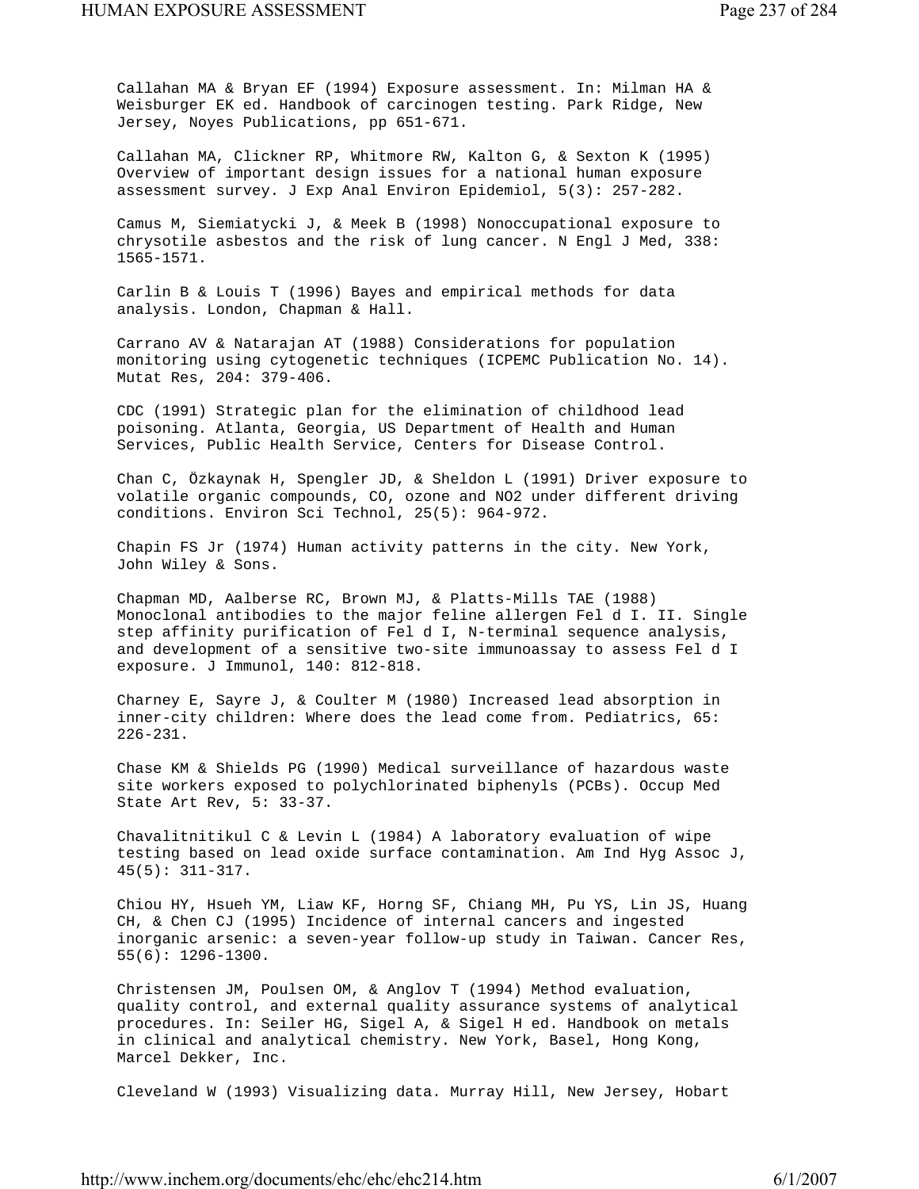Callahan MA & Bryan EF (1994) Exposure assessment. In: Milman HA & Weisburger EK ed. Handbook of carcinogen testing. Park Ridge, New Jersey, Noyes Publications, pp 651-671.

 Callahan MA, Clickner RP, Whitmore RW, Kalton G, & Sexton K (1995) Overview of important design issues for a national human exposure assessment survey. J Exp Anal Environ Epidemiol, 5(3): 257-282.

 Camus M, Siemiatycki J, & Meek B (1998) Nonoccupational exposure to chrysotile asbestos and the risk of lung cancer. N Engl J Med, 338: 1565-1571.

 Carlin B & Louis T (1996) Bayes and empirical methods for data analysis. London, Chapman & Hall.

 Carrano AV & Natarajan AT (1988) Considerations for population monitoring using cytogenetic techniques (ICPEMC Publication No. 14). Mutat Res, 204: 379-406.

 CDC (1991) Strategic plan for the elimination of childhood lead poisoning. Atlanta, Georgia, US Department of Health and Human Services, Public Health Service, Centers for Disease Control.

 Chan C, Özkaynak H, Spengler JD, & Sheldon L (1991) Driver exposure to volatile organic compounds, CO, ozone and NO2 under different driving conditions. Environ Sci Technol, 25(5): 964-972.

 Chapin FS Jr (1974) Human activity patterns in the city. New York, John Wiley & Sons.

 Chapman MD, Aalberse RC, Brown MJ, & Platts-Mills TAE (1988) Monoclonal antibodies to the major feline allergen Fel d I. II. Single step affinity purification of Fel d I, N-terminal sequence analysis, and development of a sensitive two-site immunoassay to assess Fel d I exposure. J Immunol, 140: 812-818.

 Charney E, Sayre J, & Coulter M (1980) Increased lead absorption in inner-city children: Where does the lead come from. Pediatrics, 65: 226-231.

 Chase KM & Shields PG (1990) Medical surveillance of hazardous waste site workers exposed to polychlorinated biphenyls (PCBs). Occup Med State Art Rev, 5: 33-37.

 Chavalitnitikul C & Levin L (1984) A laboratory evaluation of wipe testing based on lead oxide surface contamination. Am Ind Hyg Assoc J, 45(5): 311-317.

 Chiou HY, Hsueh YM, Liaw KF, Horng SF, Chiang MH, Pu YS, Lin JS, Huang CH, & Chen CJ (1995) Incidence of internal cancers and ingested inorganic arsenic: a seven-year follow-up study in Taiwan. Cancer Res, 55(6): 1296-1300.

 Christensen JM, Poulsen OM, & Anglov T (1994) Method evaluation, quality control, and external quality assurance systems of analytical procedures. In: Seiler HG, Sigel A, & Sigel H ed. Handbook on metals in clinical and analytical chemistry. New York, Basel, Hong Kong, Marcel Dekker, Inc.

Cleveland W (1993) Visualizing data. Murray Hill, New Jersey, Hobart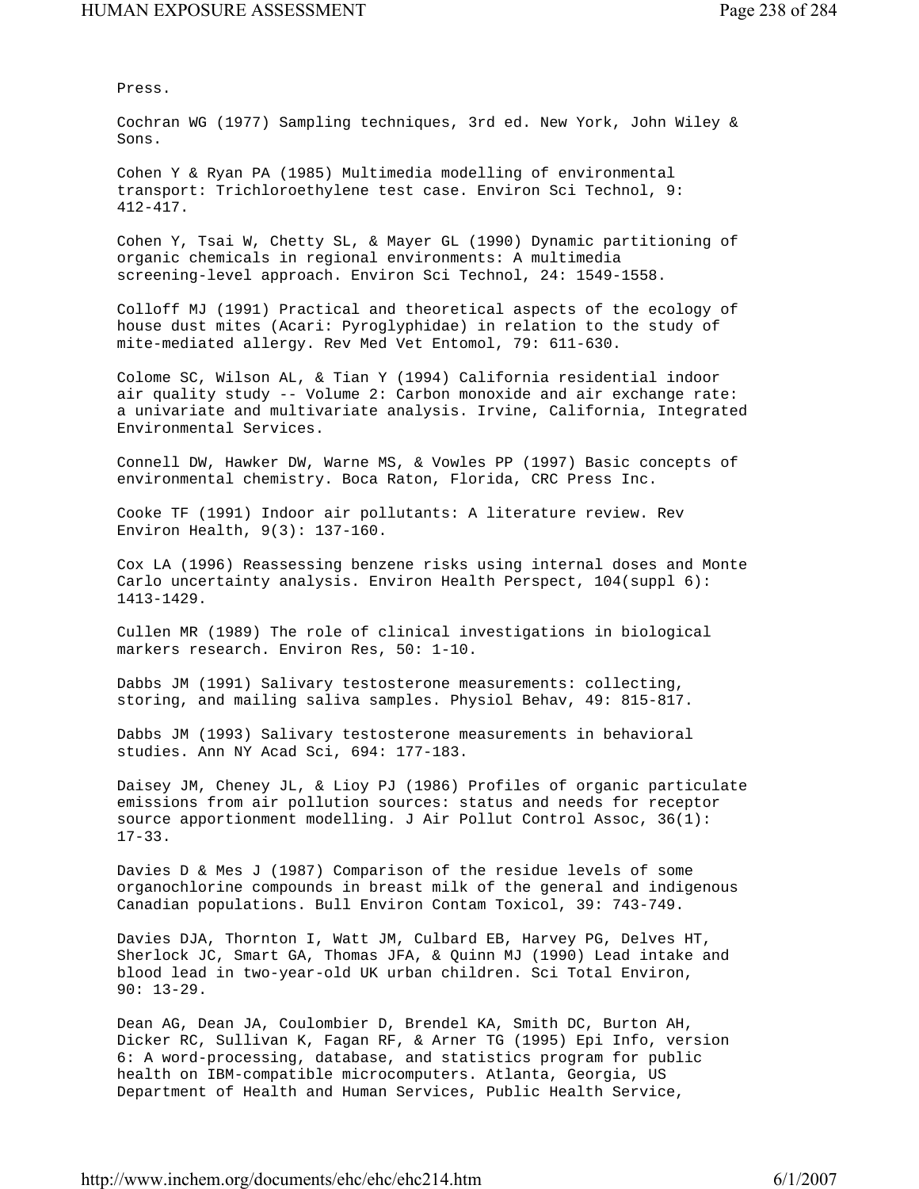Press.

 Cochran WG (1977) Sampling techniques, 3rd ed. New York, John Wiley & Sons.

 Cohen Y & Ryan PA (1985) Multimedia modelling of environmental transport: Trichloroethylene test case. Environ Sci Technol, 9: 412-417.

 Cohen Y, Tsai W, Chetty SL, & Mayer GL (1990) Dynamic partitioning of organic chemicals in regional environments: A multimedia screening-level approach. Environ Sci Technol, 24: 1549-1558.

 Colloff MJ (1991) Practical and theoretical aspects of the ecology of house dust mites (Acari: Pyroglyphidae) in relation to the study of mite-mediated allergy. Rev Med Vet Entomol, 79: 611-630.

 Colome SC, Wilson AL, & Tian Y (1994) California residential indoor air quality study -- Volume 2: Carbon monoxide and air exchange rate: a univariate and multivariate analysis. Irvine, California, Integrated Environmental Services.

 Connell DW, Hawker DW, Warne MS, & Vowles PP (1997) Basic concepts of environmental chemistry. Boca Raton, Florida, CRC Press Inc.

 Cooke TF (1991) Indoor air pollutants: A literature review. Rev Environ Health, 9(3): 137-160.

 Cox LA (1996) Reassessing benzene risks using internal doses and Monte Carlo uncertainty analysis. Environ Health Perspect, 104(suppl 6): 1413-1429.

 Cullen MR (1989) The role of clinical investigations in biological markers research. Environ Res, 50: 1-10.

 Dabbs JM (1991) Salivary testosterone measurements: collecting, storing, and mailing saliva samples. Physiol Behav, 49: 815-817.

 Dabbs JM (1993) Salivary testosterone measurements in behavioral studies. Ann NY Acad Sci, 694: 177-183.

 Daisey JM, Cheney JL, & Lioy PJ (1986) Profiles of organic particulate emissions from air pollution sources: status and needs for receptor source apportionment modelling. J Air Pollut Control Assoc, 36(1): 17-33.

 Davies D & Mes J (1987) Comparison of the residue levels of some organochlorine compounds in breast milk of the general and indigenous Canadian populations. Bull Environ Contam Toxicol, 39: 743-749.

 Davies DJA, Thornton I, Watt JM, Culbard EB, Harvey PG, Delves HT, Sherlock JC, Smart GA, Thomas JFA, & Quinn MJ (1990) Lead intake and blood lead in two-year-old UK urban children. Sci Total Environ, 90: 13-29.

 Dean AG, Dean JA, Coulombier D, Brendel KA, Smith DC, Burton AH, Dicker RC, Sullivan K, Fagan RF, & Arner TG (1995) Epi Info, version 6: A word-processing, database, and statistics program for public health on IBM-compatible microcomputers. Atlanta, Georgia, US Department of Health and Human Services, Public Health Service,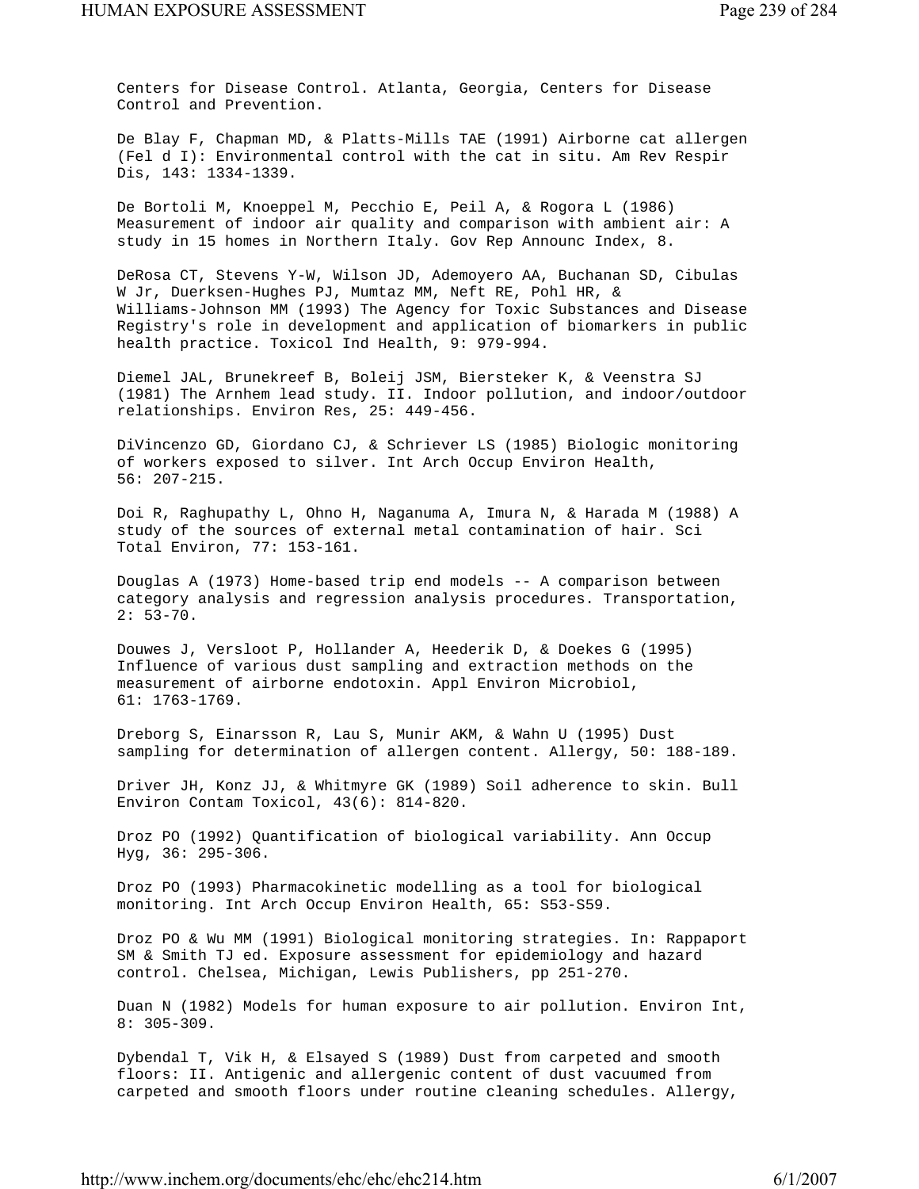Centers for Disease Control. Atlanta, Georgia, Centers for Disease Control and Prevention.

 De Blay F, Chapman MD, & Platts-Mills TAE (1991) Airborne cat allergen (Fel d I): Environmental control with the cat in situ. Am Rev Respir Dis, 143: 1334-1339.

 De Bortoli M, Knoeppel M, Pecchio E, Peil A, & Rogora L (1986) Measurement of indoor air quality and comparison with ambient air: A study in 15 homes in Northern Italy. Gov Rep Announc Index, 8.

 DeRosa CT, Stevens Y-W, Wilson JD, Ademoyero AA, Buchanan SD, Cibulas W Jr, Duerksen-Hughes PJ, Mumtaz MM, Neft RE, Pohl HR, & Williams-Johnson MM (1993) The Agency for Toxic Substances and Disease Registry's role in development and application of biomarkers in public health practice. Toxicol Ind Health, 9: 979-994.

 Diemel JAL, Brunekreef B, Boleij JSM, Biersteker K, & Veenstra SJ (1981) The Arnhem lead study. II. Indoor pollution, and indoor/outdoor relationships. Environ Res, 25: 449-456.

 DiVincenzo GD, Giordano CJ, & Schriever LS (1985) Biologic monitoring of workers exposed to silver. Int Arch Occup Environ Health, 56: 207-215.

 Doi R, Raghupathy L, Ohno H, Naganuma A, Imura N, & Harada M (1988) A study of the sources of external metal contamination of hair. Sci Total Environ, 77: 153-161.

 Douglas A (1973) Home-based trip end models -- A comparison between category analysis and regression analysis procedures. Transportation, 2: 53-70.

 Douwes J, Versloot P, Hollander A, Heederik D, & Doekes G (1995) Influence of various dust sampling and extraction methods on the measurement of airborne endotoxin. Appl Environ Microbiol, 61: 1763-1769.

 Dreborg S, Einarsson R, Lau S, Munir AKM, & Wahn U (1995) Dust sampling for determination of allergen content. Allergy, 50: 188-189.

 Driver JH, Konz JJ, & Whitmyre GK (1989) Soil adherence to skin. Bull Environ Contam Toxicol, 43(6): 814-820.

 Droz PO (1992) Quantification of biological variability. Ann Occup Hyg, 36: 295-306.

 Droz PO (1993) Pharmacokinetic modelling as a tool for biological monitoring. Int Arch Occup Environ Health, 65: S53-S59.

 Droz PO & Wu MM (1991) Biological monitoring strategies. In: Rappaport SM & Smith TJ ed. Exposure assessment for epidemiology and hazard control. Chelsea, Michigan, Lewis Publishers, pp 251-270.

 Duan N (1982) Models for human exposure to air pollution. Environ Int, 8: 305-309.

 Dybendal T, Vik H, & Elsayed S (1989) Dust from carpeted and smooth floors: II. Antigenic and allergenic content of dust vacuumed from carpeted and smooth floors under routine cleaning schedules. Allergy,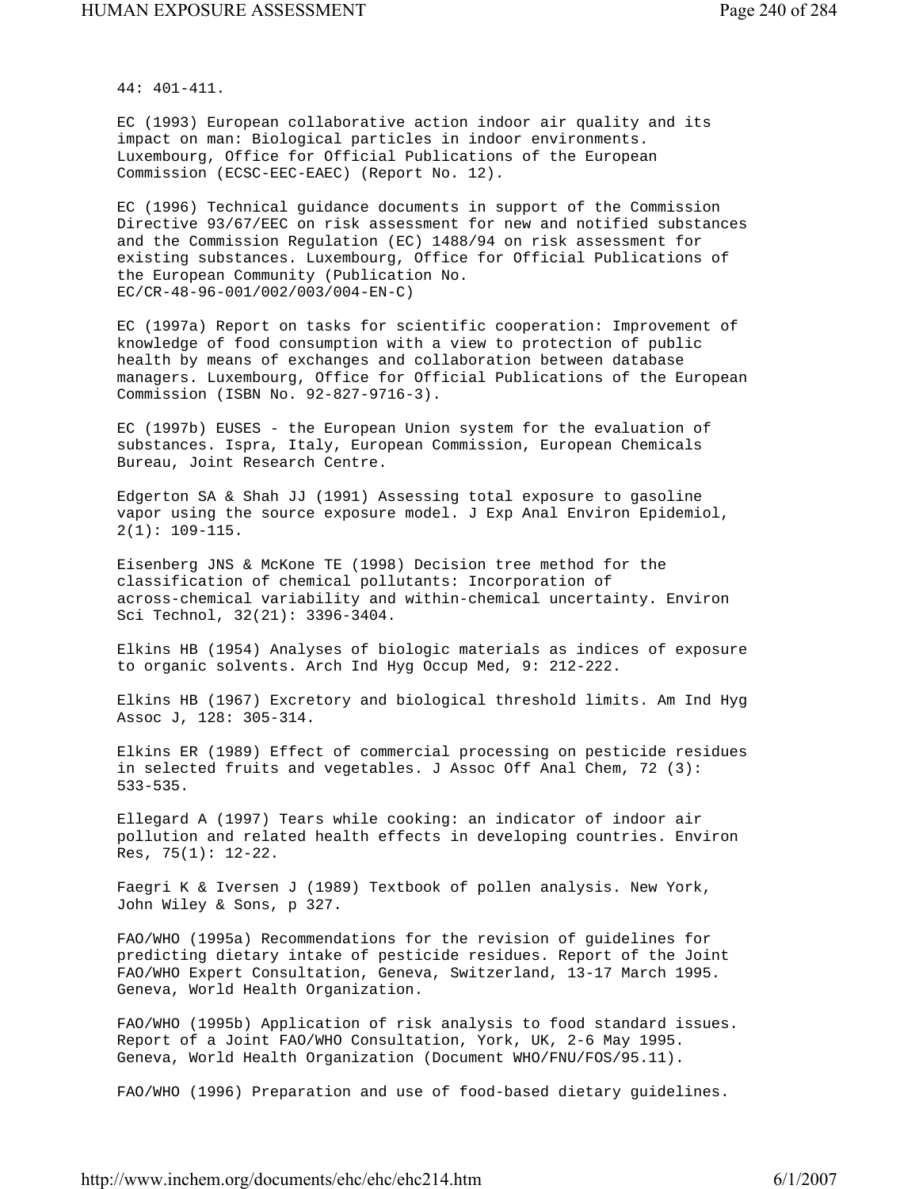44: 401-411.

 EC (1993) European collaborative action indoor air quality and its impact on man: Biological particles in indoor environments. Luxembourg, Office for Official Publications of the European Commission (ECSC-EEC-EAEC) (Report No. 12).

 EC (1996) Technical guidance documents in support of the Commission Directive 93/67/EEC on risk assessment for new and notified substances and the Commission Regulation (EC) 1488/94 on risk assessment for existing substances. Luxembourg, Office for Official Publications of the European Community (Publication No. EC/CR-48-96-001/002/003/004-EN-C)

 EC (1997a) Report on tasks for scientific cooperation: Improvement of knowledge of food consumption with a view to protection of public health by means of exchanges and collaboration between database managers. Luxembourg, Office for Official Publications of the European Commission (ISBN No. 92-827-9716-3).

 EC (1997b) EUSES - the European Union system for the evaluation of substances. Ispra, Italy, European Commission, European Chemicals Bureau, Joint Research Centre.

 Edgerton SA & Shah JJ (1991) Assessing total exposure to gasoline vapor using the source exposure model. J Exp Anal Environ Epidemiol,  $2(1): 109-115.$ 

 Eisenberg JNS & McKone TE (1998) Decision tree method for the classification of chemical pollutants: Incorporation of across-chemical variability and within-chemical uncertainty. Environ Sci Technol, 32(21): 3396-3404.

 Elkins HB (1954) Analyses of biologic materials as indices of exposure to organic solvents. Arch Ind Hyg Occup Med, 9: 212-222.

 Elkins HB (1967) Excretory and biological threshold limits. Am Ind Hyg Assoc J, 128: 305-314.

 Elkins ER (1989) Effect of commercial processing on pesticide residues in selected fruits and vegetables. J Assoc Off Anal Chem, 72 (3): 533-535.

 Ellegard A (1997) Tears while cooking: an indicator of indoor air pollution and related health effects in developing countries. Environ Res, 75(1): 12-22.

 Faegri K & Iversen J (1989) Textbook of pollen analysis. New York, John Wiley & Sons, p 327.

 FAO/WHO (1995a) Recommendations for the revision of guidelines for predicting dietary intake of pesticide residues. Report of the Joint FAO/WHO Expert Consultation, Geneva, Switzerland, 13-17 March 1995. Geneva, World Health Organization.

 FAO/WHO (1995b) Application of risk analysis to food standard issues. Report of a Joint FAO/WHO Consultation, York, UK, 2-6 May 1995. Geneva, World Health Organization (Document WHO/FNU/FOS/95.11).

FAO/WHO (1996) Preparation and use of food-based dietary guidelines.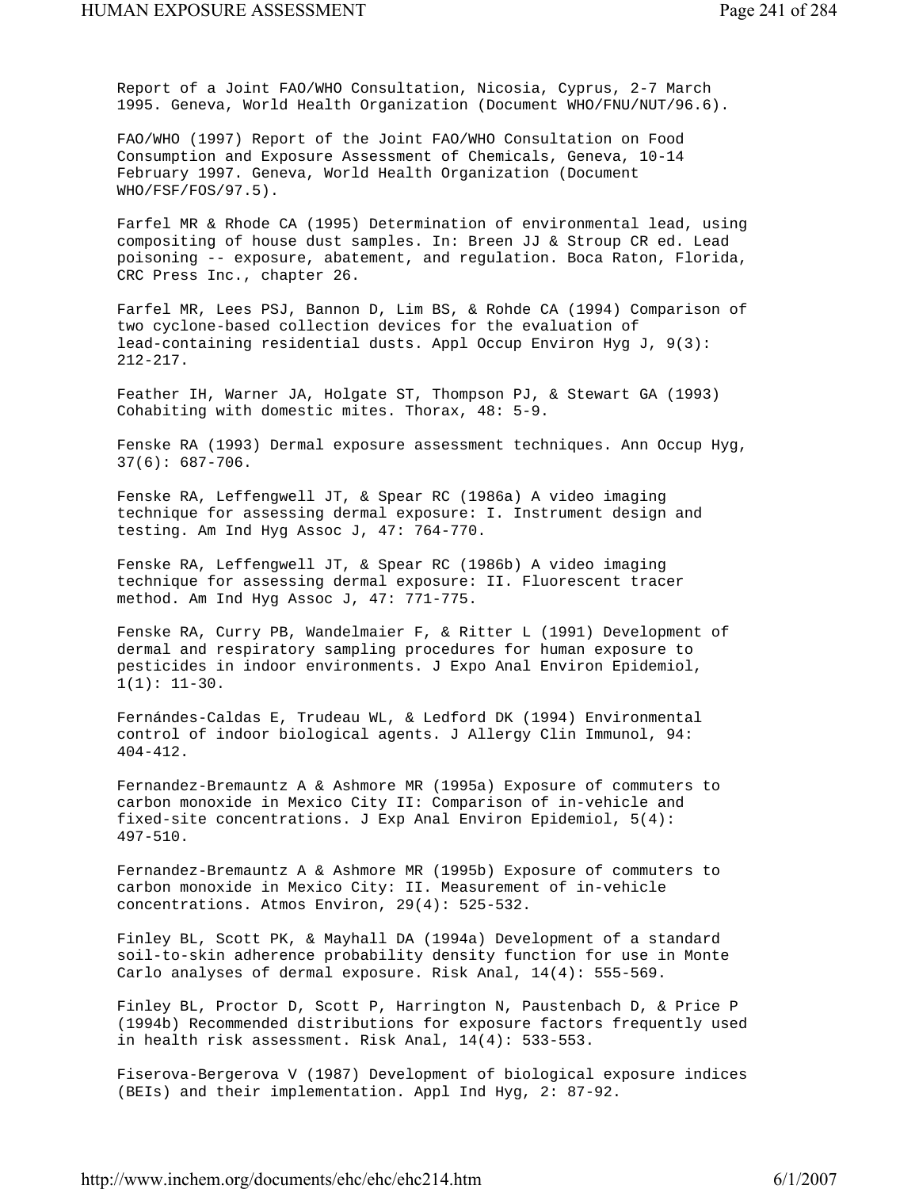Report of a Joint FAO/WHO Consultation, Nicosia, Cyprus, 2-7 March 1995. Geneva, World Health Organization (Document WHO/FNU/NUT/96.6).

 FAO/WHO (1997) Report of the Joint FAO/WHO Consultation on Food Consumption and Exposure Assessment of Chemicals, Geneva, 10-14 February 1997. Geneva, World Health Organization (Document WHO/FSF/FOS/97.5).

 Farfel MR & Rhode CA (1995) Determination of environmental lead, using compositing of house dust samples. In: Breen JJ & Stroup CR ed. Lead poisoning -- exposure, abatement, and regulation. Boca Raton, Florida, CRC Press Inc., chapter 26.

 Farfel MR, Lees PSJ, Bannon D, Lim BS, & Rohde CA (1994) Comparison of two cyclone-based collection devices for the evaluation of lead-containing residential dusts. Appl Occup Environ Hyg J, 9(3): 212-217.

 Feather IH, Warner JA, Holgate ST, Thompson PJ, & Stewart GA (1993) Cohabiting with domestic mites. Thorax, 48: 5-9.

 Fenske RA (1993) Dermal exposure assessment techniques. Ann Occup Hyg, 37(6): 687-706.

 Fenske RA, Leffengwell JT, & Spear RC (1986a) A video imaging technique for assessing dermal exposure: I. Instrument design and testing. Am Ind Hyg Assoc J, 47: 764-770.

 Fenske RA, Leffengwell JT, & Spear RC (1986b) A video imaging technique for assessing dermal exposure: II. Fluorescent tracer method. Am Ind Hyg Assoc J, 47: 771-775.

 Fenske RA, Curry PB, Wandelmaier F, & Ritter L (1991) Development of dermal and respiratory sampling procedures for human exposure to pesticides in indoor environments. J Expo Anal Environ Epidemiol,  $1(1): 11-30.$ 

 Fernándes-Caldas E, Trudeau WL, & Ledford DK (1994) Environmental control of indoor biological agents. J Allergy Clin Immunol, 94: 404-412.

 Fernandez-Bremauntz A & Ashmore MR (1995a) Exposure of commuters to carbon monoxide in Mexico City II: Comparison of in-vehicle and fixed-site concentrations. J Exp Anal Environ Epidemiol, 5(4): 497-510.

 Fernandez-Bremauntz A & Ashmore MR (1995b) Exposure of commuters to carbon monoxide in Mexico City: II. Measurement of in-vehicle concentrations. Atmos Environ, 29(4): 525-532.

 Finley BL, Scott PK, & Mayhall DA (1994a) Development of a standard soil-to-skin adherence probability density function for use in Monte Carlo analyses of dermal exposure. Risk Anal, 14(4): 555-569.

 Finley BL, Proctor D, Scott P, Harrington N, Paustenbach D, & Price P (1994b) Recommended distributions for exposure factors frequently used in health risk assessment. Risk Anal, 14(4): 533-553.

 Fiserova-Bergerova V (1987) Development of biological exposure indices (BEIs) and their implementation. Appl Ind Hyg, 2: 87-92.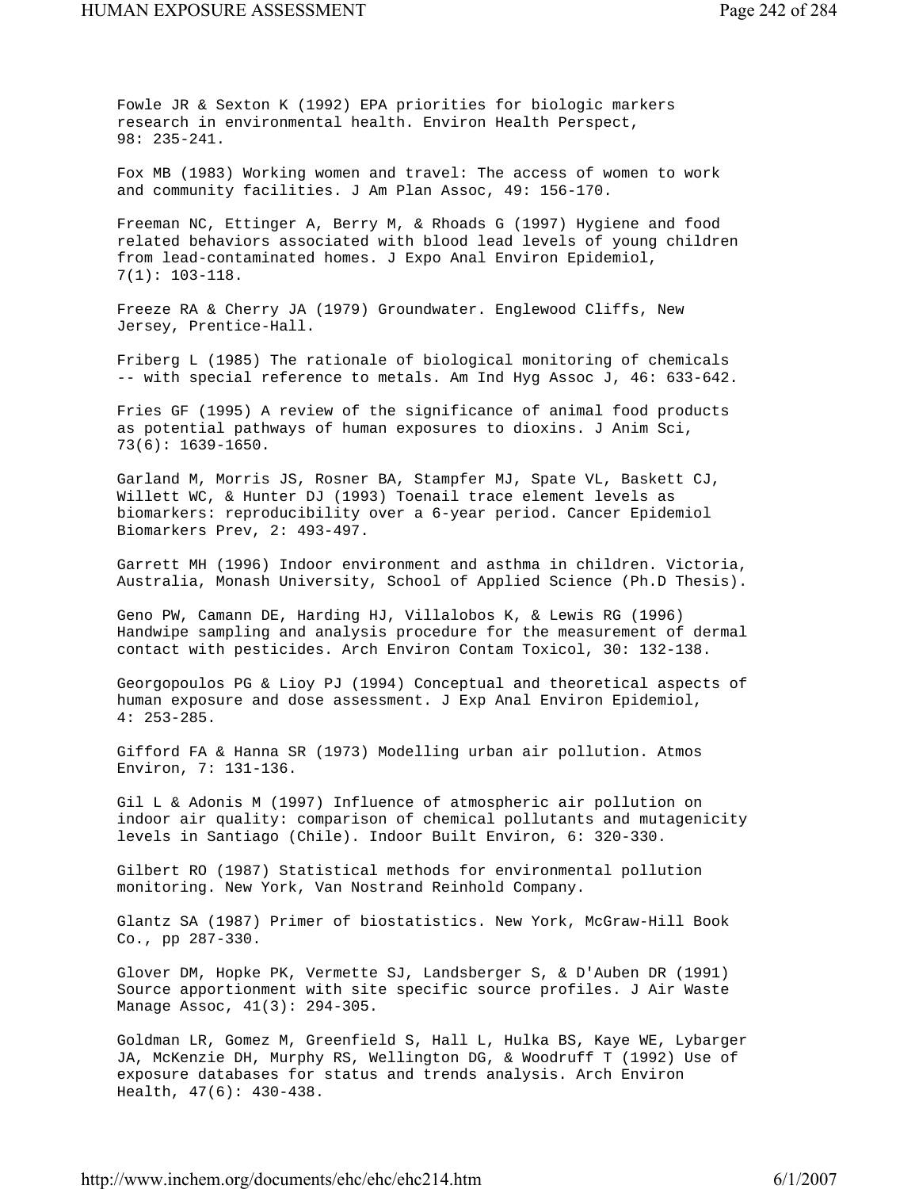Fowle JR & Sexton K (1992) EPA priorities for biologic markers research in environmental health. Environ Health Perspect, 98: 235-241.

 Fox MB (1983) Working women and travel: The access of women to work and community facilities. J Am Plan Assoc, 49: 156-170.

 Freeman NC, Ettinger A, Berry M, & Rhoads G (1997) Hygiene and food related behaviors associated with blood lead levels of young children from lead-contaminated homes. J Expo Anal Environ Epidemiol, 7(1): 103-118.

 Freeze RA & Cherry JA (1979) Groundwater. Englewood Cliffs, New Jersey, Prentice-Hall.

 Friberg L (1985) The rationale of biological monitoring of chemicals -- with special reference to metals. Am Ind Hyg Assoc J, 46: 633-642.

 Fries GF (1995) A review of the significance of animal food products as potential pathways of human exposures to dioxins. J Anim Sci, 73(6): 1639-1650.

 Garland M, Morris JS, Rosner BA, Stampfer MJ, Spate VL, Baskett CJ, Willett WC, & Hunter DJ (1993) Toenail trace element levels as biomarkers: reproducibility over a 6-year period. Cancer Epidemiol Biomarkers Prev, 2: 493-497.

 Garrett MH (1996) Indoor environment and asthma in children. Victoria, Australia, Monash University, School of Applied Science (Ph.D Thesis).

 Geno PW, Camann DE, Harding HJ, Villalobos K, & Lewis RG (1996) Handwipe sampling and analysis procedure for the measurement of dermal contact with pesticides. Arch Environ Contam Toxicol, 30: 132-138.

 Georgopoulos PG & Lioy PJ (1994) Conceptual and theoretical aspects of human exposure and dose assessment. J Exp Anal Environ Epidemiol, 4: 253-285.

 Gifford FA & Hanna SR (1973) Modelling urban air pollution. Atmos Environ, 7: 131-136.

 Gil L & Adonis M (1997) Influence of atmospheric air pollution on indoor air quality: comparison of chemical pollutants and mutagenicity levels in Santiago (Chile). Indoor Built Environ, 6: 320-330.

 Gilbert RO (1987) Statistical methods for environmental pollution monitoring. New York, Van Nostrand Reinhold Company.

 Glantz SA (1987) Primer of biostatistics. New York, McGraw-Hill Book Co., pp 287-330.

 Glover DM, Hopke PK, Vermette SJ, Landsberger S, & D'Auben DR (1991) Source apportionment with site specific source profiles. J Air Waste Manage Assoc, 41(3): 294-305.

 Goldman LR, Gomez M, Greenfield S, Hall L, Hulka BS, Kaye WE, Lybarger JA, McKenzie DH, Murphy RS, Wellington DG, & Woodruff T (1992) Use of exposure databases for status and trends analysis. Arch Environ Health, 47(6): 430-438.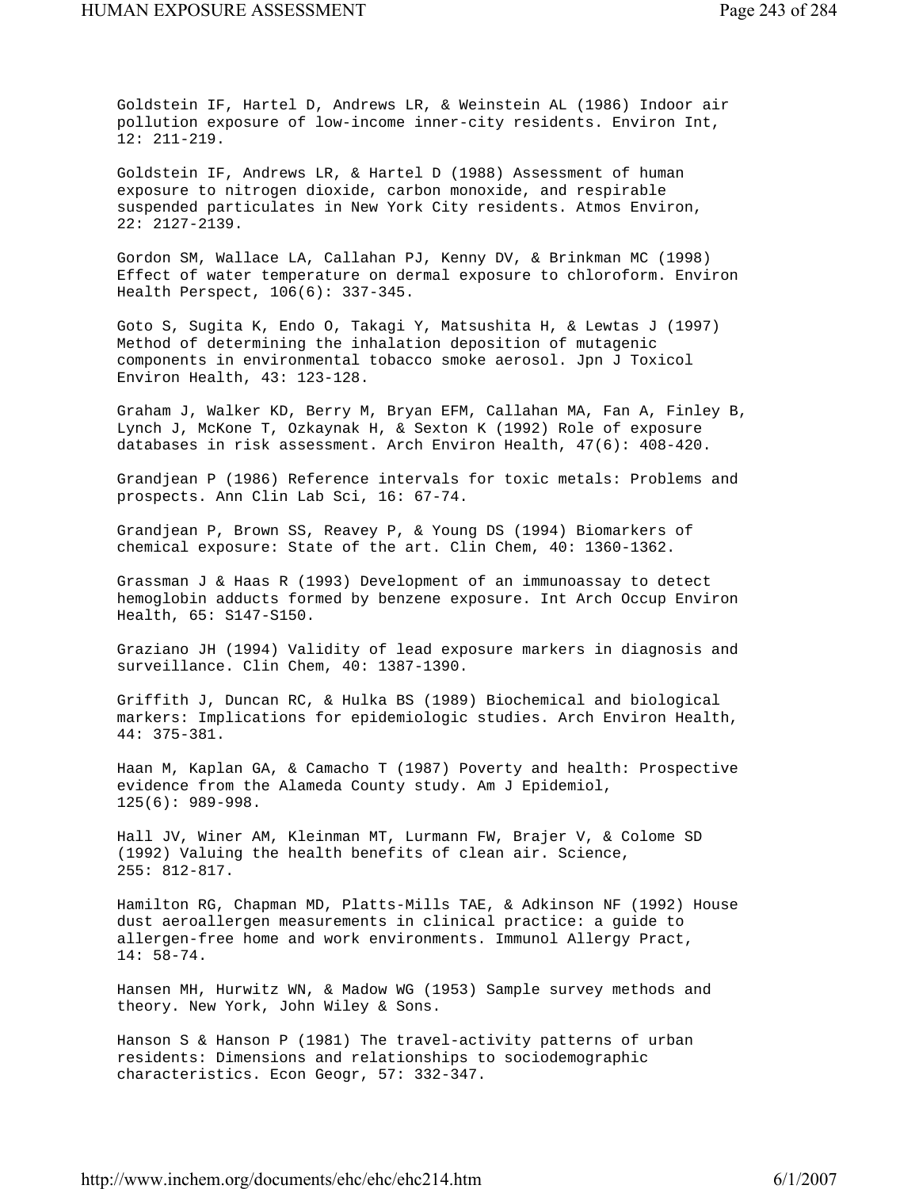Goldstein IF, Hartel D, Andrews LR, & Weinstein AL (1986) Indoor air pollution exposure of low-income inner-city residents. Environ Int, 12: 211-219.

 Goldstein IF, Andrews LR, & Hartel D (1988) Assessment of human exposure to nitrogen dioxide, carbon monoxide, and respirable suspended particulates in New York City residents. Atmos Environ, 22: 2127-2139.

 Gordon SM, Wallace LA, Callahan PJ, Kenny DV, & Brinkman MC (1998) Effect of water temperature on dermal exposure to chloroform. Environ Health Perspect, 106(6): 337-345.

 Goto S, Sugita K, Endo O, Takagi Y, Matsushita H, & Lewtas J (1997) Method of determining the inhalation deposition of mutagenic components in environmental tobacco smoke aerosol. Jpn J Toxicol Environ Health, 43: 123-128.

 Graham J, Walker KD, Berry M, Bryan EFM, Callahan MA, Fan A, Finley B, Lynch J, McKone T, Ozkaynak H, & Sexton K (1992) Role of exposure databases in risk assessment. Arch Environ Health, 47(6): 408-420.

 Grandjean P (1986) Reference intervals for toxic metals: Problems and prospects. Ann Clin Lab Sci, 16: 67-74.

 Grandjean P, Brown SS, Reavey P, & Young DS (1994) Biomarkers of chemical exposure: State of the art. Clin Chem, 40: 1360-1362.

 Grassman J & Haas R (1993) Development of an immunoassay to detect hemoglobin adducts formed by benzene exposure. Int Arch Occup Environ Health, 65: S147-S150.

 Graziano JH (1994) Validity of lead exposure markers in diagnosis and surveillance. Clin Chem, 40: 1387-1390.

 Griffith J, Duncan RC, & Hulka BS (1989) Biochemical and biological markers: Implications for epidemiologic studies. Arch Environ Health, 44: 375-381.

 Haan M, Kaplan GA, & Camacho T (1987) Poverty and health: Prospective evidence from the Alameda County study. Am J Epidemiol, 125(6): 989-998.

 Hall JV, Winer AM, Kleinman MT, Lurmann FW, Brajer V, & Colome SD (1992) Valuing the health benefits of clean air. Science, 255: 812-817.

 Hamilton RG, Chapman MD, Platts-Mills TAE, & Adkinson NF (1992) House dust aeroallergen measurements in clinical practice: a guide to allergen-free home and work environments. Immunol Allergy Pract, 14: 58-74.

 Hansen MH, Hurwitz WN, & Madow WG (1953) Sample survey methods and theory. New York, John Wiley & Sons.

 Hanson S & Hanson P (1981) The travel-activity patterns of urban residents: Dimensions and relationships to sociodemographic characteristics. Econ Geogr, 57: 332-347.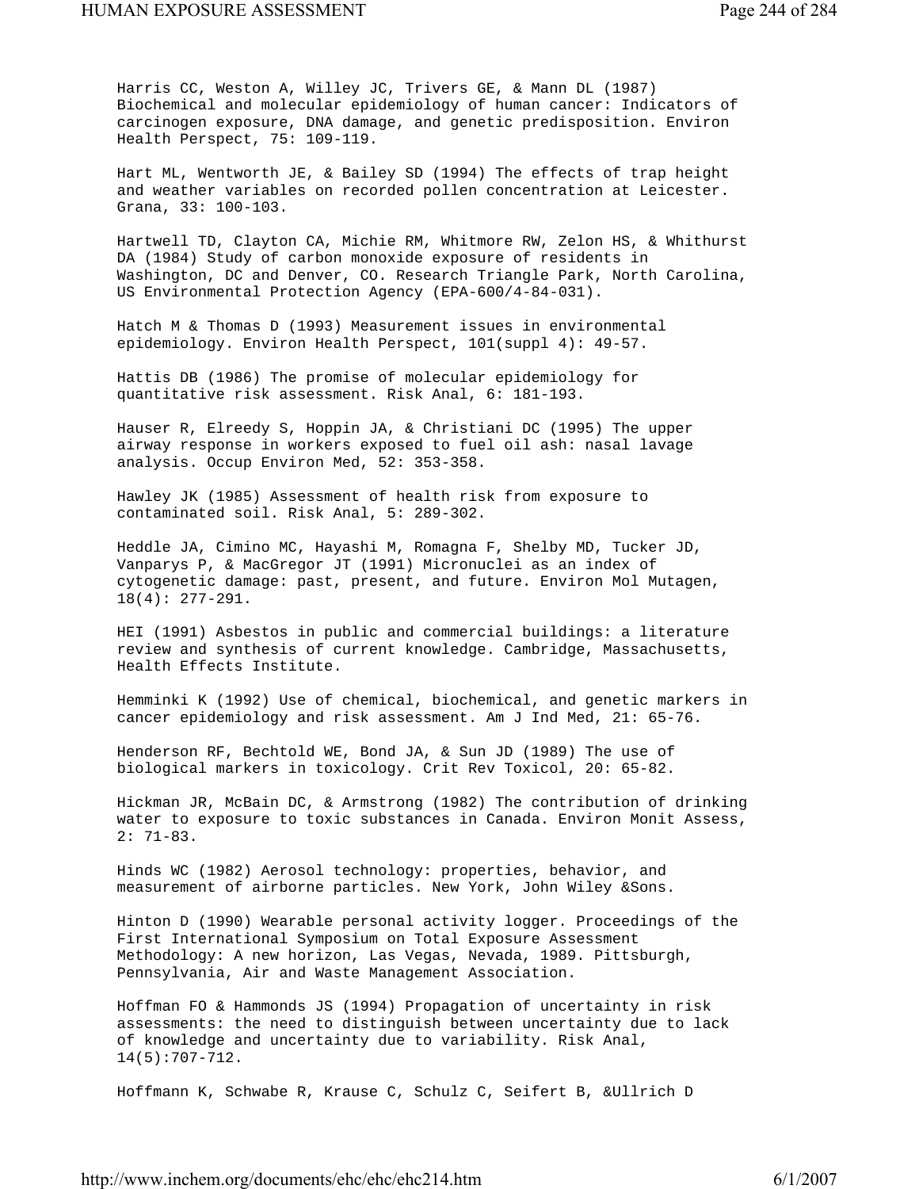Harris CC, Weston A, Willey JC, Trivers GE, & Mann DL (1987) Biochemical and molecular epidemiology of human cancer: Indicators of carcinogen exposure, DNA damage, and genetic predisposition. Environ Health Perspect, 75: 109-119.

 Hart ML, Wentworth JE, & Bailey SD (1994) The effects of trap height and weather variables on recorded pollen concentration at Leicester. Grana, 33: 100-103.

 Hartwell TD, Clayton CA, Michie RM, Whitmore RW, Zelon HS, & Whithurst DA (1984) Study of carbon monoxide exposure of residents in Washington, DC and Denver, CO. Research Triangle Park, North Carolina, US Environmental Protection Agency (EPA-600/4-84-031).

 Hatch M & Thomas D (1993) Measurement issues in environmental epidemiology. Environ Health Perspect, 101(suppl 4): 49-57.

 Hattis DB (1986) The promise of molecular epidemiology for quantitative risk assessment. Risk Anal, 6: 181-193.

 Hauser R, Elreedy S, Hoppin JA, & Christiani DC (1995) The upper airway response in workers exposed to fuel oil ash: nasal lavage analysis. Occup Environ Med, 52: 353-358.

 Hawley JK (1985) Assessment of health risk from exposure to contaminated soil. Risk Anal, 5: 289-302.

 Heddle JA, Cimino MC, Hayashi M, Romagna F, Shelby MD, Tucker JD, Vanparys P, & MacGregor JT (1991) Micronuclei as an index of cytogenetic damage: past, present, and future. Environ Mol Mutagen, 18(4): 277-291.

 HEI (1991) Asbestos in public and commercial buildings: a literature review and synthesis of current knowledge. Cambridge, Massachusetts, Health Effects Institute.

 Hemminki K (1992) Use of chemical, biochemical, and genetic markers in cancer epidemiology and risk assessment. Am J Ind Med, 21: 65-76.

 Henderson RF, Bechtold WE, Bond JA, & Sun JD (1989) The use of biological markers in toxicology. Crit Rev Toxicol, 20: 65-82.

 Hickman JR, McBain DC, & Armstrong (1982) The contribution of drinking water to exposure to toxic substances in Canada. Environ Monit Assess, 2: 71-83.

 Hinds WC (1982) Aerosol technology: properties, behavior, and measurement of airborne particles. New York, John Wiley &Sons.

 Hinton D (1990) Wearable personal activity logger. Proceedings of the First International Symposium on Total Exposure Assessment Methodology: A new horizon, Las Vegas, Nevada, 1989. Pittsburgh, Pennsylvania, Air and Waste Management Association.

 Hoffman FO & Hammonds JS (1994) Propagation of uncertainty in risk assessments: the need to distinguish between uncertainty due to lack of knowledge and uncertainty due to variability. Risk Anal, 14(5):707-712.

Hoffmann K, Schwabe R, Krause C, Schulz C, Seifert B, &Ullrich D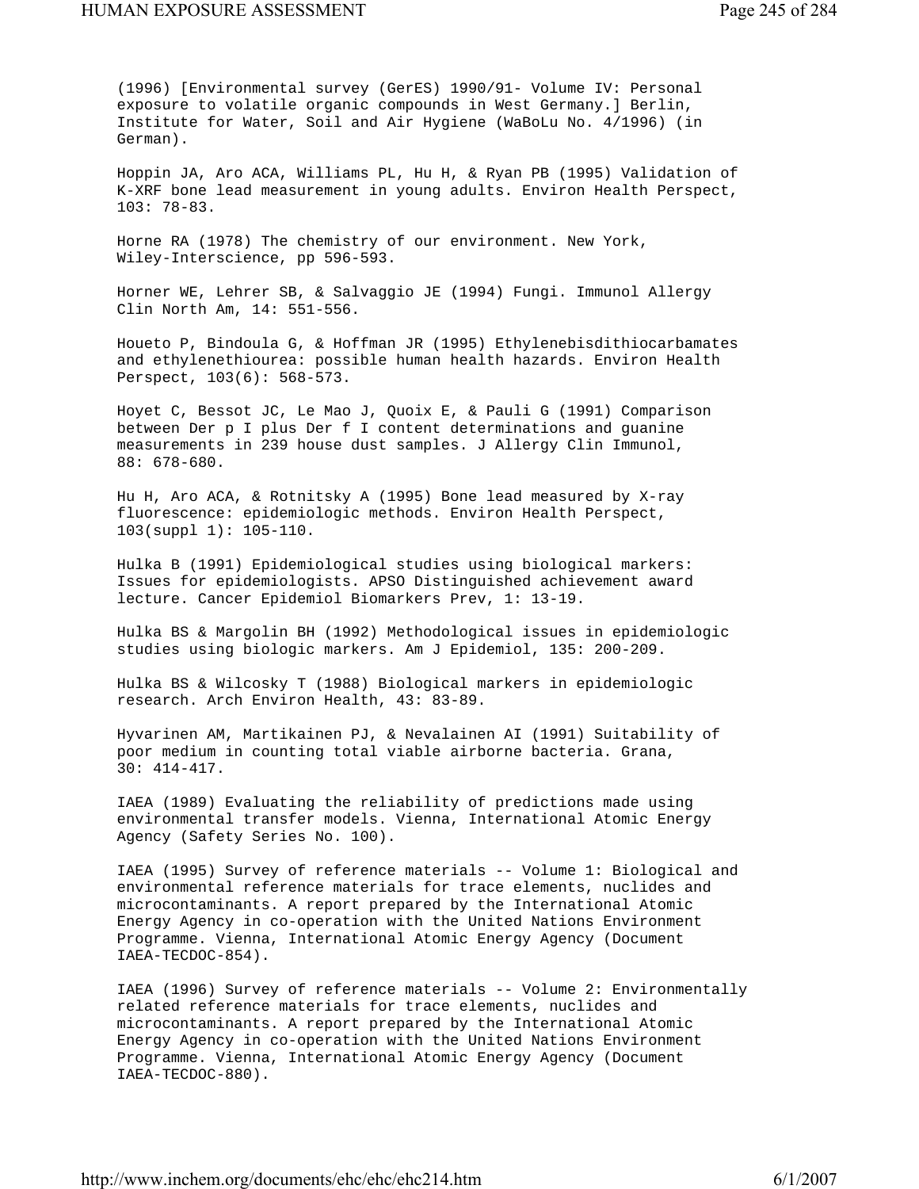(1996) [Environmental survey (GerES) 1990/91- Volume IV: Personal exposure to volatile organic compounds in West Germany.] Berlin, Institute for Water, Soil and Air Hygiene (WaBoLu No. 4/1996) (in German).

 Hoppin JA, Aro ACA, Williams PL, Hu H, & Ryan PB (1995) Validation of K-XRF bone lead measurement in young adults. Environ Health Perspect, 103: 78-83.

 Horne RA (1978) The chemistry of our environment. New York, Wiley-Interscience, pp 596-593.

 Horner WE, Lehrer SB, & Salvaggio JE (1994) Fungi. Immunol Allergy Clin North Am, 14: 551-556.

 Houeto P, Bindoula G, & Hoffman JR (1995) Ethylenebisdithiocarbamates and ethylenethiourea: possible human health hazards. Environ Health Perspect, 103(6): 568-573.

 Hoyet C, Bessot JC, Le Mao J, Quoix E, & Pauli G (1991) Comparison between Der p I plus Der f I content determinations and guanine measurements in 239 house dust samples. J Allergy Clin Immunol, 88: 678-680.

 Hu H, Aro ACA, & Rotnitsky A (1995) Bone lead measured by X-ray fluorescence: epidemiologic methods. Environ Health Perspect, 103(suppl 1): 105-110.

 Hulka B (1991) Epidemiological studies using biological markers: Issues for epidemiologists. APSO Distinguished achievement award lecture. Cancer Epidemiol Biomarkers Prev, 1: 13-19.

 Hulka BS & Margolin BH (1992) Methodological issues in epidemiologic studies using biologic markers. Am J Epidemiol, 135: 200-209.

 Hulka BS & Wilcosky T (1988) Biological markers in epidemiologic research. Arch Environ Health, 43: 83-89.

 Hyvarinen AM, Martikainen PJ, & Nevalainen AI (1991) Suitability of poor medium in counting total viable airborne bacteria. Grana, 30: 414-417.

 IAEA (1989) Evaluating the reliability of predictions made using environmental transfer models. Vienna, International Atomic Energy Agency (Safety Series No. 100).

 IAEA (1995) Survey of reference materials -- Volume 1: Biological and environmental reference materials for trace elements, nuclides and microcontaminants. A report prepared by the International Atomic Energy Agency in co-operation with the United Nations Environment Programme. Vienna, International Atomic Energy Agency (Document IAEA-TECDOC-854).

 IAEA (1996) Survey of reference materials -- Volume 2: Environmentally related reference materials for trace elements, nuclides and microcontaminants. A report prepared by the International Atomic Energy Agency in co-operation with the United Nations Environment Programme. Vienna, International Atomic Energy Agency (Document IAEA-TECDOC-880).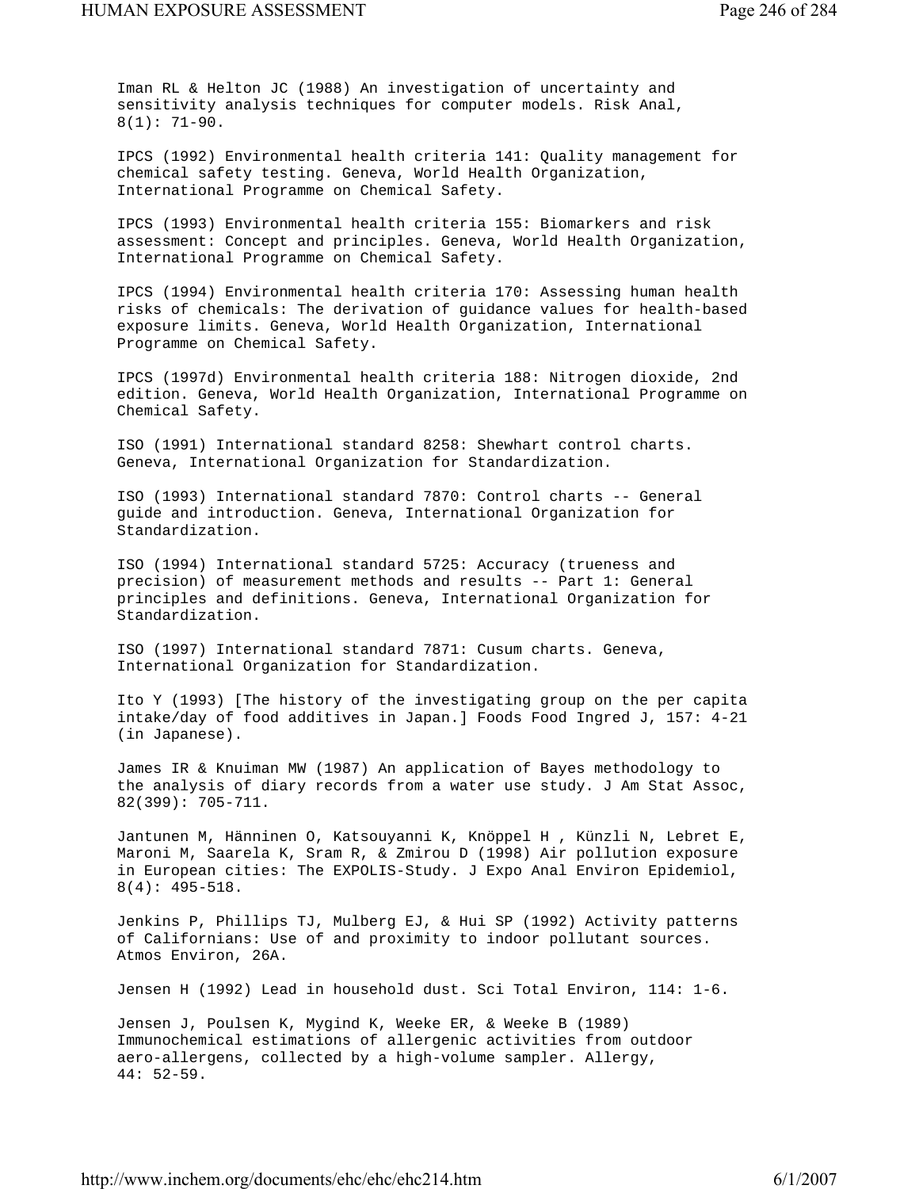Iman RL & Helton JC (1988) An investigation of uncertainty and sensitivity analysis techniques for computer models. Risk Anal,  $8(1): 71-90.$ 

 IPCS (1992) Environmental health criteria 141: Quality management for chemical safety testing. Geneva, World Health Organization, International Programme on Chemical Safety.

 IPCS (1993) Environmental health criteria 155: Biomarkers and risk assessment: Concept and principles. Geneva, World Health Organization, International Programme on Chemical Safety.

 IPCS (1994) Environmental health criteria 170: Assessing human health risks of chemicals: The derivation of guidance values for health-based exposure limits. Geneva, World Health Organization, International Programme on Chemical Safety.

 IPCS (1997d) Environmental health criteria 188: Nitrogen dioxide, 2nd edition. Geneva, World Health Organization, International Programme on Chemical Safety.

 ISO (1991) International standard 8258: Shewhart control charts. Geneva, International Organization for Standardization.

 ISO (1993) International standard 7870: Control charts -- General guide and introduction. Geneva, International Organization for Standardization.

 ISO (1994) International standard 5725: Accuracy (trueness and precision) of measurement methods and results -- Part 1: General principles and definitions. Geneva, International Organization for Standardization.

 ISO (1997) International standard 7871: Cusum charts. Geneva, International Organization for Standardization.

 Ito Y (1993) [The history of the investigating group on the per capita intake/day of food additives in Japan.] Foods Food Ingred J, 157: 4-21 (in Japanese).

 James IR & Knuiman MW (1987) An application of Bayes methodology to the analysis of diary records from a water use study. J Am Stat Assoc, 82(399): 705-711.

 Jantunen M, Hänninen O, Katsouyanni K, Knöppel H , Künzli N, Lebret E, Maroni M, Saarela K, Sram R, & Zmirou D (1998) Air pollution exposure in European cities: The EXPOLIS-Study. J Expo Anal Environ Epidemiol, 8(4): 495-518.

 Jenkins P, Phillips TJ, Mulberg EJ, & Hui SP (1992) Activity patterns of Californians: Use of and proximity to indoor pollutant sources. Atmos Environ, 26A.

Jensen H (1992) Lead in household dust. Sci Total Environ, 114: 1-6.

 Jensen J, Poulsen K, Mygind K, Weeke ER, & Weeke B (1989) Immunochemical estimations of allergenic activities from outdoor aero-allergens, collected by a high-volume sampler. Allergy, 44: 52-59.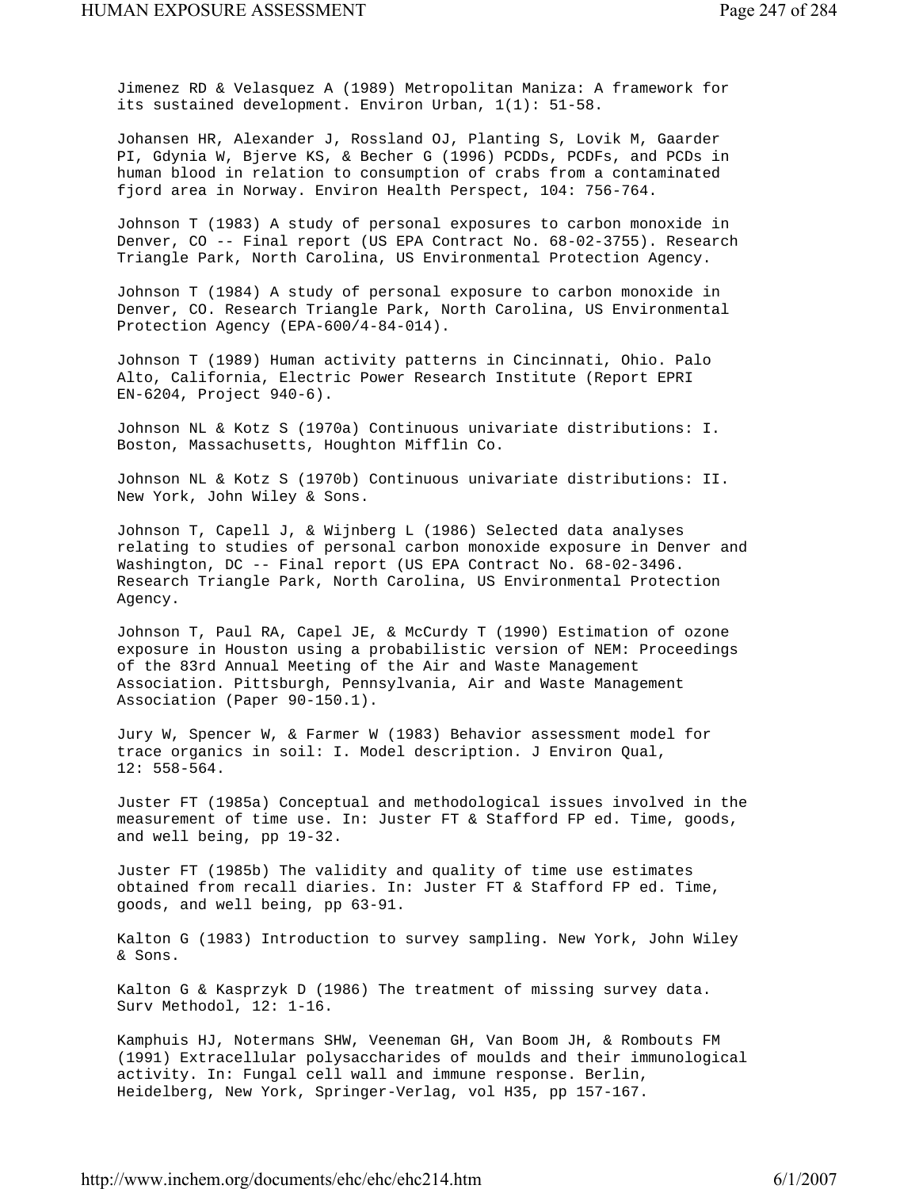Jimenez RD & Velasquez A (1989) Metropolitan Maniza: A framework for its sustained development. Environ Urban, 1(1): 51-58.

 Johansen HR, Alexander J, Rossland OJ, Planting S, Lovik M, Gaarder PI, Gdynia W, Bjerve KS, & Becher G (1996) PCDDs, PCDFs, and PCDs in human blood in relation to consumption of crabs from a contaminated fjord area in Norway. Environ Health Perspect, 104: 756-764.

 Johnson T (1983) A study of personal exposures to carbon monoxide in Denver, CO -- Final report (US EPA Contract No. 68-02-3755). Research Triangle Park, North Carolina, US Environmental Protection Agency.

 Johnson T (1984) A study of personal exposure to carbon monoxide in Denver, CO. Research Triangle Park, North Carolina, US Environmental Protection Agency (EPA-600/4-84-014).

 Johnson T (1989) Human activity patterns in Cincinnati, Ohio. Palo Alto, California, Electric Power Research Institute (Report EPRI EN-6204, Project 940-6).

 Johnson NL & Kotz S (1970a) Continuous univariate distributions: I. Boston, Massachusetts, Houghton Mifflin Co.

 Johnson NL & Kotz S (1970b) Continuous univariate distributions: II. New York, John Wiley & Sons.

 Johnson T, Capell J, & Wijnberg L (1986) Selected data analyses relating to studies of personal carbon monoxide exposure in Denver and Washington, DC -- Final report (US EPA Contract No. 68-02-3496. Research Triangle Park, North Carolina, US Environmental Protection Agency.

 Johnson T, Paul RA, Capel JE, & McCurdy T (1990) Estimation of ozone exposure in Houston using a probabilistic version of NEM: Proceedings of the 83rd Annual Meeting of the Air and Waste Management Association. Pittsburgh, Pennsylvania, Air and Waste Management Association (Paper 90-150.1).

 Jury W, Spencer W, & Farmer W (1983) Behavior assessment model for trace organics in soil: I. Model description. J Environ Qual, 12: 558-564.

 Juster FT (1985a) Conceptual and methodological issues involved in the measurement of time use. In: Juster FT & Stafford FP ed. Time, goods, and well being, pp 19-32.

 Juster FT (1985b) The validity and quality of time use estimates obtained from recall diaries. In: Juster FT & Stafford FP ed. Time, goods, and well being, pp 63-91.

 Kalton G (1983) Introduction to survey sampling. New York, John Wiley & Sons.

 Kalton G & Kasprzyk D (1986) The treatment of missing survey data. Surv Methodol, 12: 1-16.

 Kamphuis HJ, Notermans SHW, Veeneman GH, Van Boom JH, & Rombouts FM (1991) Extracellular polysaccharides of moulds and their immunological activity. In: Fungal cell wall and immune response. Berlin, Heidelberg, New York, Springer-Verlag, vol H35, pp 157-167.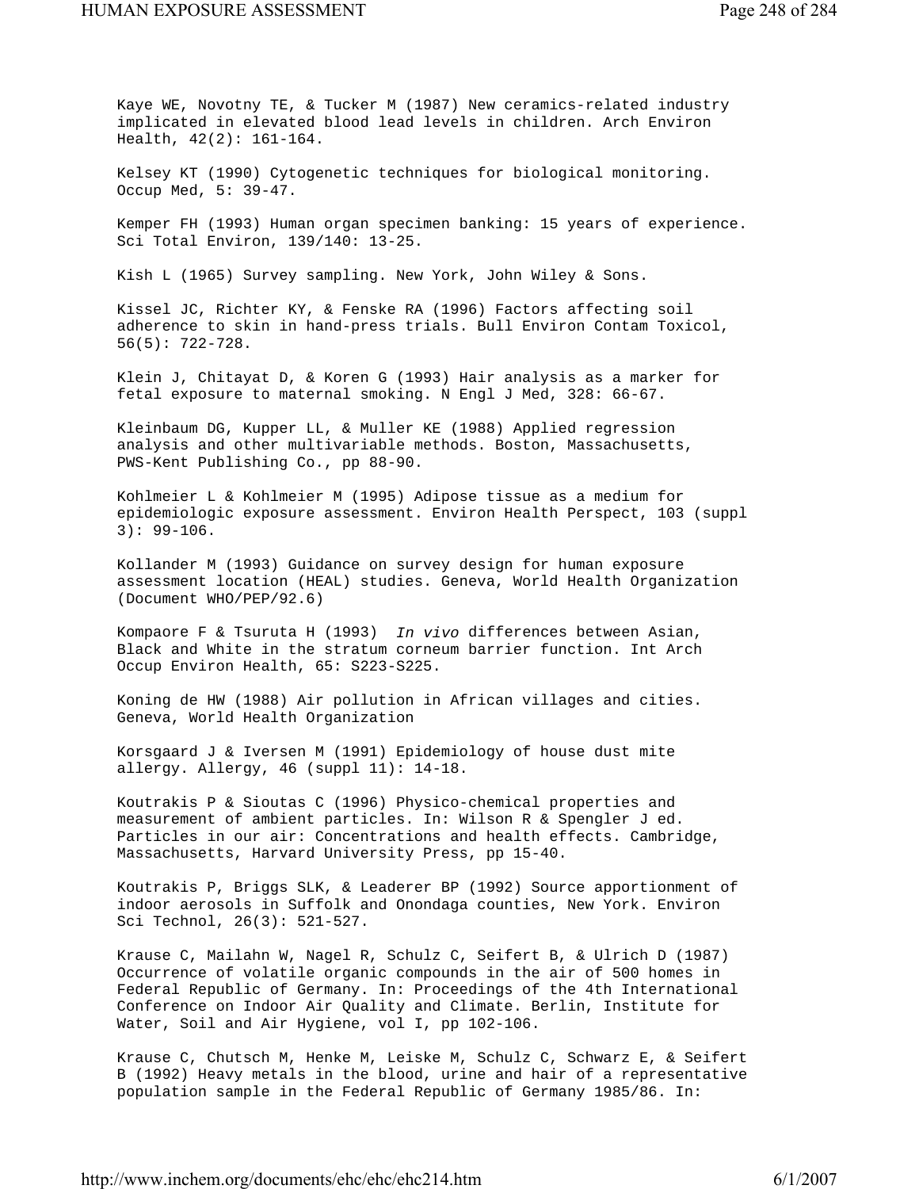Kaye WE, Novotny TE, & Tucker M (1987) New ceramics-related industry implicated in elevated blood lead levels in children. Arch Environ Health, 42(2): 161-164.

 Kelsey KT (1990) Cytogenetic techniques for biological monitoring. Occup Med, 5: 39-47.

 Kemper FH (1993) Human organ specimen banking: 15 years of experience. Sci Total Environ, 139/140: 13-25.

Kish L (1965) Survey sampling. New York, John Wiley & Sons.

 Kissel JC, Richter KY, & Fenske RA (1996) Factors affecting soil adherence to skin in hand-press trials. Bull Environ Contam Toxicol, 56(5): 722-728.

 Klein J, Chitayat D, & Koren G (1993) Hair analysis as a marker for fetal exposure to maternal smoking. N Engl J Med, 328: 66-67.

 Kleinbaum DG, Kupper LL, & Muller KE (1988) Applied regression analysis and other multivariable methods. Boston, Massachusetts, PWS-Kent Publishing Co., pp 88-90.

 Kohlmeier L & Kohlmeier M (1995) Adipose tissue as a medium for epidemiologic exposure assessment. Environ Health Perspect, 103 (suppl 3): 99-106.

 Kollander M (1993) Guidance on survey design for human exposure assessment location (HEAL) studies. Geneva, World Health Organization (Document WHO/PEP/92.6)

 Kompaore F & Tsuruta H (1993) *In vivo* differences between Asian, Black and White in the stratum corneum barrier function. Int Arch Occup Environ Health, 65: S223-S225.

 Koning de HW (1988) Air pollution in African villages and cities. Geneva, World Health Organization

 Korsgaard J & Iversen M (1991) Epidemiology of house dust mite allergy. Allergy, 46 (suppl 11): 14-18.

 Koutrakis P & Sioutas C (1996) Physico-chemical properties and measurement of ambient particles. In: Wilson R & Spengler J ed. Particles in our air: Concentrations and health effects. Cambridge, Massachusetts, Harvard University Press, pp 15-40.

 Koutrakis P, Briggs SLK, & Leaderer BP (1992) Source apportionment of indoor aerosols in Suffolk and Onondaga counties, New York. Environ Sci Technol, 26(3): 521-527.

 Krause C, Mailahn W, Nagel R, Schulz C, Seifert B, & Ulrich D (1987) Occurrence of volatile organic compounds in the air of 500 homes in Federal Republic of Germany. In: Proceedings of the 4th International Conference on Indoor Air Quality and Climate. Berlin, Institute for Water, Soil and Air Hygiene, vol I, pp 102-106.

 Krause C, Chutsch M, Henke M, Leiske M, Schulz C, Schwarz E, & Seifert B (1992) Heavy metals in the blood, urine and hair of a representative population sample in the Federal Republic of Germany 1985/86. In: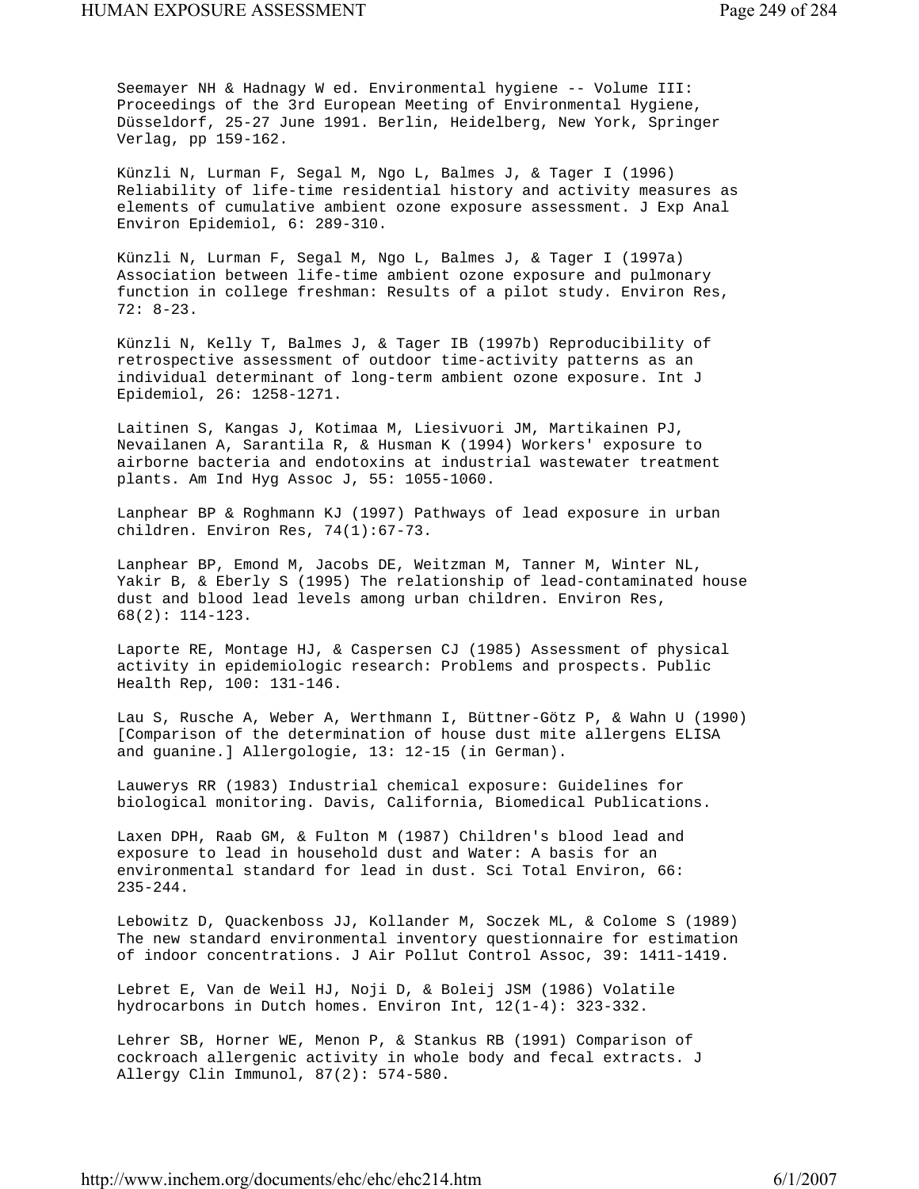Seemayer NH & Hadnagy W ed. Environmental hygiene -- Volume III: Proceedings of the 3rd European Meeting of Environmental Hygiene, Düsseldorf, 25-27 June 1991. Berlin, Heidelberg, New York, Springer Verlag, pp 159-162.

 Künzli N, Lurman F, Segal M, Ngo L, Balmes J, & Tager I (1996) Reliability of life-time residential history and activity measures as elements of cumulative ambient ozone exposure assessment. J Exp Anal Environ Epidemiol, 6: 289-310.

 Künzli N, Lurman F, Segal M, Ngo L, Balmes J, & Tager I (1997a) Association between life-time ambient ozone exposure and pulmonary function in college freshman: Results of a pilot study. Environ Res, 72: 8-23.

 Künzli N, Kelly T, Balmes J, & Tager IB (1997b) Reproducibility of retrospective assessment of outdoor time-activity patterns as an individual determinant of long-term ambient ozone exposure. Int J Epidemiol, 26: 1258-1271.

 Laitinen S, Kangas J, Kotimaa M, Liesivuori JM, Martikainen PJ, Nevailanen A, Sarantila R, & Husman K (1994) Workers' exposure to airborne bacteria and endotoxins at industrial wastewater treatment plants. Am Ind Hyg Assoc J, 55: 1055-1060.

 Lanphear BP & Roghmann KJ (1997) Pathways of lead exposure in urban children. Environ Res, 74(1):67-73.

 Lanphear BP, Emond M, Jacobs DE, Weitzman M, Tanner M, Winter NL, Yakir B, & Eberly S (1995) The relationship of lead-contaminated house dust and blood lead levels among urban children. Environ Res, 68(2): 114-123.

 Laporte RE, Montage HJ, & Caspersen CJ (1985) Assessment of physical activity in epidemiologic research: Problems and prospects. Public Health Rep, 100: 131-146.

 Lau S, Rusche A, Weber A, Werthmann I, Büttner-Götz P, & Wahn U (1990) [Comparison of the determination of house dust mite allergens ELISA and guanine.] Allergologie, 13: 12-15 (in German).

 Lauwerys RR (1983) Industrial chemical exposure: Guidelines for biological monitoring. Davis, California, Biomedical Publications.

 Laxen DPH, Raab GM, & Fulton M (1987) Children's blood lead and exposure to lead in household dust and Water: A basis for an environmental standard for lead in dust. Sci Total Environ, 66: 235-244.

 Lebowitz D, Quackenboss JJ, Kollander M, Soczek ML, & Colome S (1989) The new standard environmental inventory questionnaire for estimation of indoor concentrations. J Air Pollut Control Assoc, 39: 1411-1419.

 Lebret E, Van de Weil HJ, Noji D, & Boleij JSM (1986) Volatile hydrocarbons in Dutch homes. Environ Int, 12(1-4): 323-332.

 Lehrer SB, Horner WE, Menon P, & Stankus RB (1991) Comparison of cockroach allergenic activity in whole body and fecal extracts. J Allergy Clin Immunol, 87(2): 574-580.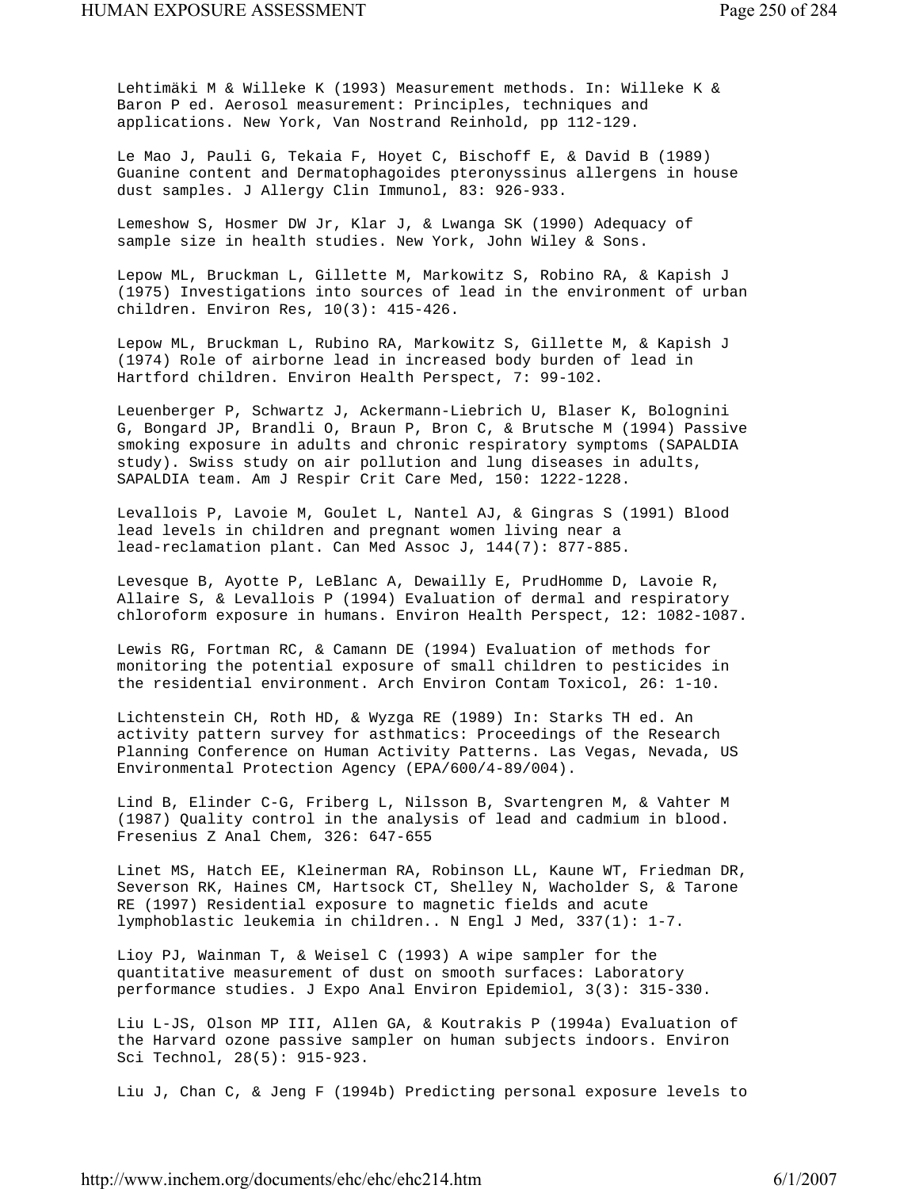Lehtimäki M & Willeke K (1993) Measurement methods. In: Willeke K & Baron P ed. Aerosol measurement: Principles, techniques and applications. New York, Van Nostrand Reinhold, pp 112-129.

 Le Mao J, Pauli G, Tekaia F, Hoyet C, Bischoff E, & David B (1989) Guanine content and Dermatophagoides pteronyssinus allergens in house dust samples. J Allergy Clin Immunol, 83: 926-933.

 Lemeshow S, Hosmer DW Jr, Klar J, & Lwanga SK (1990) Adequacy of sample size in health studies. New York, John Wiley & Sons.

 Lepow ML, Bruckman L, Gillette M, Markowitz S, Robino RA, & Kapish J (1975) Investigations into sources of lead in the environment of urban children. Environ Res, 10(3): 415-426.

 Lepow ML, Bruckman L, Rubino RA, Markowitz S, Gillette M, & Kapish J (1974) Role of airborne lead in increased body burden of lead in Hartford children. Environ Health Perspect, 7: 99-102.

 Leuenberger P, Schwartz J, Ackermann-Liebrich U, Blaser K, Bolognini G, Bongard JP, Brandli O, Braun P, Bron C, & Brutsche M (1994) Passive smoking exposure in adults and chronic respiratory symptoms (SAPALDIA study). Swiss study on air pollution and lung diseases in adults, SAPALDIA team. Am J Respir Crit Care Med, 150: 1222-1228.

 Levallois P, Lavoie M, Goulet L, Nantel AJ, & Gingras S (1991) Blood lead levels in children and pregnant women living near a lead-reclamation plant. Can Med Assoc J, 144(7): 877-885.

 Levesque B, Ayotte P, LeBlanc A, Dewailly E, PrudHomme D, Lavoie R, Allaire S, & Levallois P (1994) Evaluation of dermal and respiratory chloroform exposure in humans. Environ Health Perspect, 12: 1082-1087.

 Lewis RG, Fortman RC, & Camann DE (1994) Evaluation of methods for monitoring the potential exposure of small children to pesticides in the residential environment. Arch Environ Contam Toxicol, 26: 1-10.

 Lichtenstein CH, Roth HD, & Wyzga RE (1989) In: Starks TH ed. An activity pattern survey for asthmatics: Proceedings of the Research Planning Conference on Human Activity Patterns. Las Vegas, Nevada, US Environmental Protection Agency (EPA/600/4-89/004).

 Lind B, Elinder C-G, Friberg L, Nilsson B, Svartengren M, & Vahter M (1987) Quality control in the analysis of lead and cadmium in blood. Fresenius Z Anal Chem, 326: 647-655

 Linet MS, Hatch EE, Kleinerman RA, Robinson LL, Kaune WT, Friedman DR, Severson RK, Haines CM, Hartsock CT, Shelley N, Wacholder S, & Tarone RE (1997) Residential exposure to magnetic fields and acute lymphoblastic leukemia in children.. N Engl J Med, 337(1): 1-7.

 Lioy PJ, Wainman T, & Weisel C (1993) A wipe sampler for the quantitative measurement of dust on smooth surfaces: Laboratory performance studies. J Expo Anal Environ Epidemiol, 3(3): 315-330.

 Liu L-JS, Olson MP III, Allen GA, & Koutrakis P (1994a) Evaluation of the Harvard ozone passive sampler on human subjects indoors. Environ Sci Technol, 28(5): 915-923.

Liu J, Chan C, & Jeng F (1994b) Predicting personal exposure levels to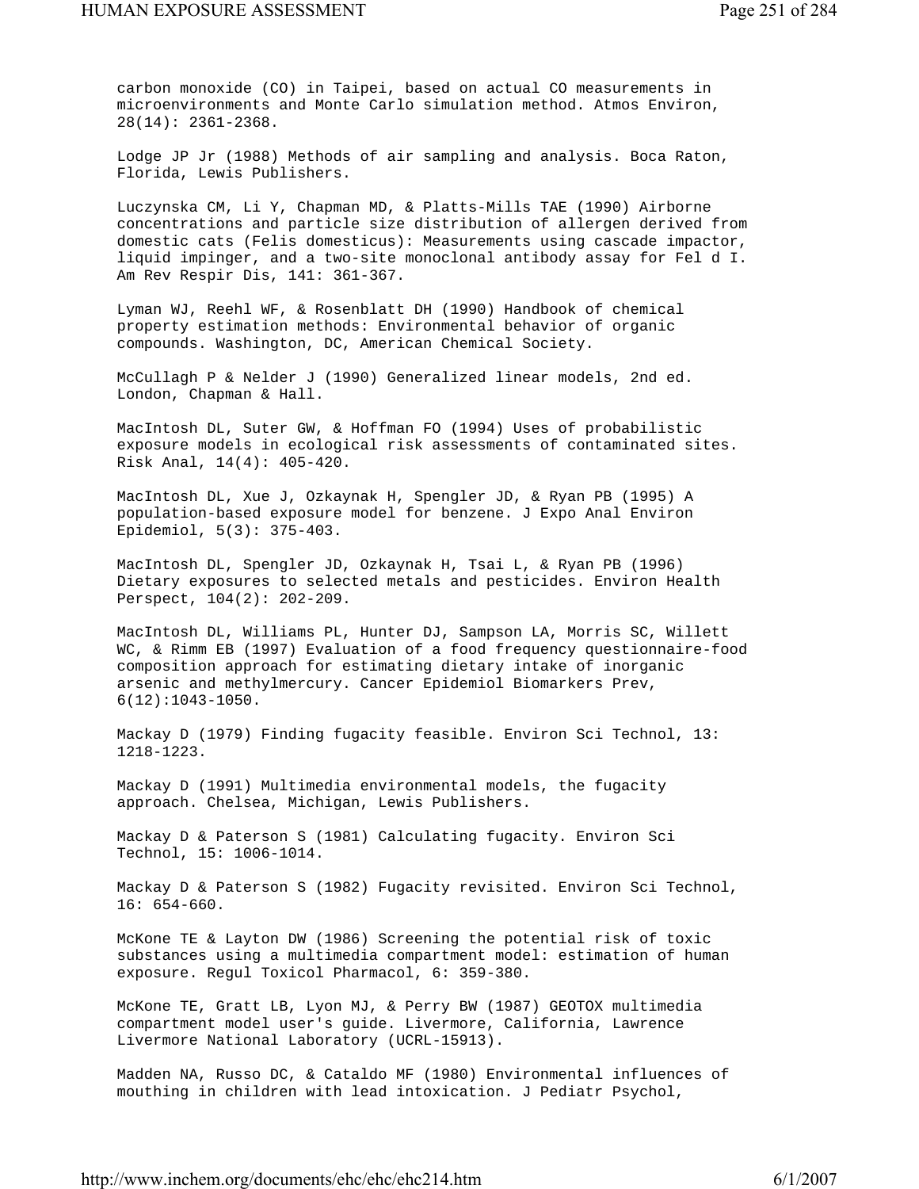carbon monoxide (CO) in Taipei, based on actual CO measurements in microenvironments and Monte Carlo simulation method. Atmos Environ, 28(14): 2361-2368.

 Lodge JP Jr (1988) Methods of air sampling and analysis. Boca Raton, Florida, Lewis Publishers.

 Luczynska CM, Li Y, Chapman MD, & Platts-Mills TAE (1990) Airborne concentrations and particle size distribution of allergen derived from domestic cats (Felis domesticus): Measurements using cascade impactor, liquid impinger, and a two-site monoclonal antibody assay for Fel d I. Am Rev Respir Dis, 141: 361-367.

 Lyman WJ, Reehl WF, & Rosenblatt DH (1990) Handbook of chemical property estimation methods: Environmental behavior of organic compounds. Washington, DC, American Chemical Society.

 McCullagh P & Nelder J (1990) Generalized linear models, 2nd ed. London, Chapman & Hall.

 MacIntosh DL, Suter GW, & Hoffman FO (1994) Uses of probabilistic exposure models in ecological risk assessments of contaminated sites. Risk Anal, 14(4): 405-420.

 MacIntosh DL, Xue J, Ozkaynak H, Spengler JD, & Ryan PB (1995) A population-based exposure model for benzene. J Expo Anal Environ Epidemiol, 5(3): 375-403.

 MacIntosh DL, Spengler JD, Ozkaynak H, Tsai L, & Ryan PB (1996) Dietary exposures to selected metals and pesticides. Environ Health Perspect, 104(2): 202-209.

 MacIntosh DL, Williams PL, Hunter DJ, Sampson LA, Morris SC, Willett WC, & Rimm EB (1997) Evaluation of a food frequency questionnaire-food composition approach for estimating dietary intake of inorganic arsenic and methylmercury. Cancer Epidemiol Biomarkers Prev, 6(12):1043-1050.

 Mackay D (1979) Finding fugacity feasible. Environ Sci Technol, 13: 1218-1223.

 Mackay D (1991) Multimedia environmental models, the fugacity approach. Chelsea, Michigan, Lewis Publishers.

 Mackay D & Paterson S (1981) Calculating fugacity. Environ Sci Technol, 15: 1006-1014.

 Mackay D & Paterson S (1982) Fugacity revisited. Environ Sci Technol, 16: 654-660.

 McKone TE & Layton DW (1986) Screening the potential risk of toxic substances using a multimedia compartment model: estimation of human exposure. Regul Toxicol Pharmacol, 6: 359-380.

 McKone TE, Gratt LB, Lyon MJ, & Perry BW (1987) GEOTOX multimedia compartment model user's guide. Livermore, California, Lawrence Livermore National Laboratory (UCRL-15913).

 Madden NA, Russo DC, & Cataldo MF (1980) Environmental influences of mouthing in children with lead intoxication. J Pediatr Psychol,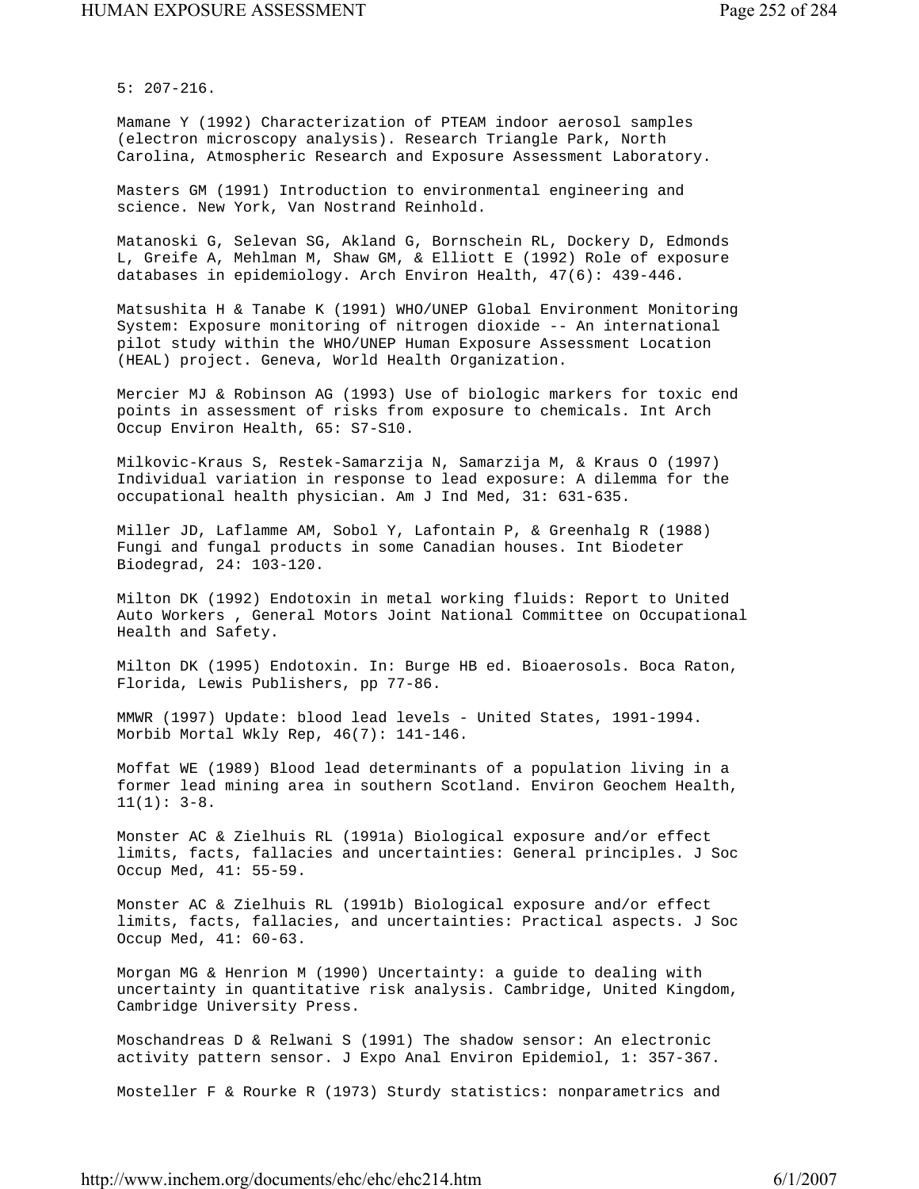5: 207-216.

 Mamane Y (1992) Characterization of PTEAM indoor aerosol samples (electron microscopy analysis). Research Triangle Park, North Carolina, Atmospheric Research and Exposure Assessment Laboratory.

 Masters GM (1991) Introduction to environmental engineering and science. New York, Van Nostrand Reinhold.

 Matanoski G, Selevan SG, Akland G, Bornschein RL, Dockery D, Edmonds L, Greife A, Mehlman M, Shaw GM, & Elliott E (1992) Role of exposure databases in epidemiology. Arch Environ Health, 47(6): 439-446.

 Matsushita H & Tanabe K (1991) WHO/UNEP Global Environment Monitoring System: Exposure monitoring of nitrogen dioxide -- An international pilot study within the WHO/UNEP Human Exposure Assessment Location (HEAL) project. Geneva, World Health Organization.

 Mercier MJ & Robinson AG (1993) Use of biologic markers for toxic end points in assessment of risks from exposure to chemicals. Int Arch Occup Environ Health, 65: S7-S10.

 Milkovic-Kraus S, Restek-Samarzija N, Samarzija M, & Kraus O (1997) Individual variation in response to lead exposure: A dilemma for the occupational health physician. Am J Ind Med, 31: 631-635.

 Miller JD, Laflamme AM, Sobol Y, Lafontain P, & Greenhalg R (1988) Fungi and fungal products in some Canadian houses. Int Biodeter Biodegrad, 24: 103-120.

 Milton DK (1992) Endotoxin in metal working fluids: Report to United Auto Workers , General Motors Joint National Committee on Occupational Health and Safety.

 Milton DK (1995) Endotoxin. In: Burge HB ed. Bioaerosols. Boca Raton, Florida, Lewis Publishers, pp 77-86.

 MMWR (1997) Update: blood lead levels - United States, 1991-1994. Morbib Mortal Wkly Rep, 46(7): 141-146.

 Moffat WE (1989) Blood lead determinants of a population living in a former lead mining area in southern Scotland. Environ Geochem Health,  $11(1): 3-8.$ 

 Monster AC & Zielhuis RL (1991a) Biological exposure and/or effect limits, facts, fallacies and uncertainties: General principles. J Soc Occup Med, 41: 55-59.

 Monster AC & Zielhuis RL (1991b) Biological exposure and/or effect limits, facts, fallacies, and uncertainties: Practical aspects. J Soc Occup Med, 41: 60-63.

 Morgan MG & Henrion M (1990) Uncertainty: a guide to dealing with uncertainty in quantitative risk analysis. Cambridge, United Kingdom, Cambridge University Press.

 Moschandreas D & Relwani S (1991) The shadow sensor: An electronic activity pattern sensor. J Expo Anal Environ Epidemiol, 1: 357-367.

Mosteller F & Rourke R (1973) Sturdy statistics: nonparametrics and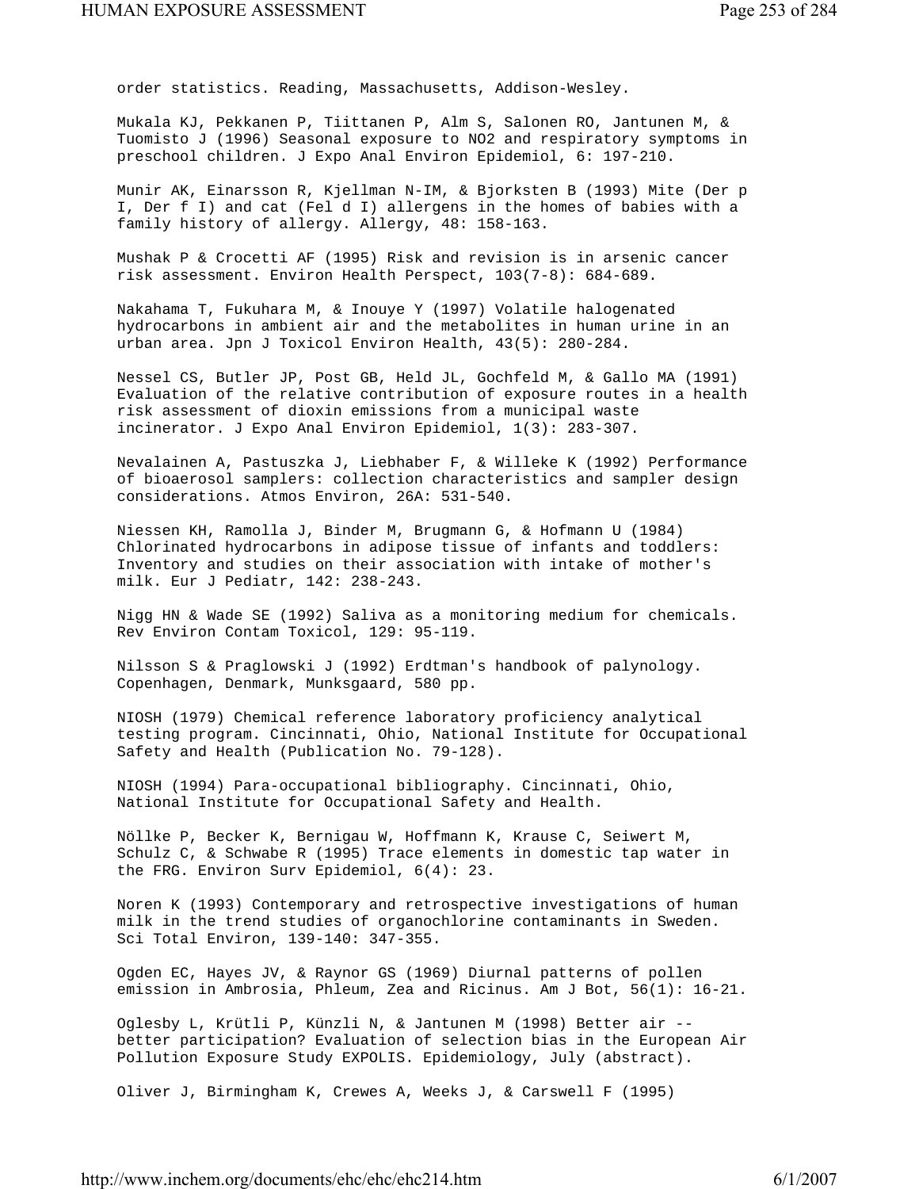order statistics. Reading, Massachusetts, Addison-Wesley.

 Mukala KJ, Pekkanen P, Tiittanen P, Alm S, Salonen RO, Jantunen M, & Tuomisto J (1996) Seasonal exposure to NO2 and respiratory symptoms in preschool children. J Expo Anal Environ Epidemiol, 6: 197-210.

 Munir AK, Einarsson R, Kjellman N-IM, & Bjorksten B (1993) Mite (Der p I, Der f I) and cat (Fel d I) allergens in the homes of babies with a family history of allergy. Allergy, 48: 158-163.

 Mushak P & Crocetti AF (1995) Risk and revision is in arsenic cancer risk assessment. Environ Health Perspect, 103(7-8): 684-689.

 Nakahama T, Fukuhara M, & Inouye Y (1997) Volatile halogenated hydrocarbons in ambient air and the metabolites in human urine in an urban area. Jpn J Toxicol Environ Health, 43(5): 280-284.

 Nessel CS, Butler JP, Post GB, Held JL, Gochfeld M, & Gallo MA (1991) Evaluation of the relative contribution of exposure routes in a health risk assessment of dioxin emissions from a municipal waste incinerator. J Expo Anal Environ Epidemiol, 1(3): 283-307.

 Nevalainen A, Pastuszka J, Liebhaber F, & Willeke K (1992) Performance of bioaerosol samplers: collection characteristics and sampler design considerations. Atmos Environ, 26A: 531-540.

 Niessen KH, Ramolla J, Binder M, Brugmann G, & Hofmann U (1984) Chlorinated hydrocarbons in adipose tissue of infants and toddlers: Inventory and studies on their association with intake of mother's milk. Eur J Pediatr, 142: 238-243.

 Nigg HN & Wade SE (1992) Saliva as a monitoring medium for chemicals. Rev Environ Contam Toxicol, 129: 95-119.

 Nilsson S & Praglowski J (1992) Erdtman's handbook of palynology. Copenhagen, Denmark, Munksgaard, 580 pp.

 NIOSH (1979) Chemical reference laboratory proficiency analytical testing program. Cincinnati, Ohio, National Institute for Occupational Safety and Health (Publication No. 79-128).

 NIOSH (1994) Para-occupational bibliography. Cincinnati, Ohio, National Institute for Occupational Safety and Health.

 Nöllke P, Becker K, Bernigau W, Hoffmann K, Krause C, Seiwert M, Schulz C, & Schwabe R (1995) Trace elements in domestic tap water in the FRG. Environ Surv Epidemiol, 6(4): 23.

 Noren K (1993) Contemporary and retrospective investigations of human milk in the trend studies of organochlorine contaminants in Sweden. Sci Total Environ, 139-140: 347-355.

 Ogden EC, Hayes JV, & Raynor GS (1969) Diurnal patterns of pollen emission in Ambrosia, Phleum, Zea and Ricinus. Am J Bot, 56(1): 16-21.

 Oglesby L, Krütli P, Künzli N, & Jantunen M (1998) Better air - better participation? Evaluation of selection bias in the European Air Pollution Exposure Study EXPOLIS. Epidemiology, July (abstract).

Oliver J, Birmingham K, Crewes A, Weeks J, & Carswell F (1995)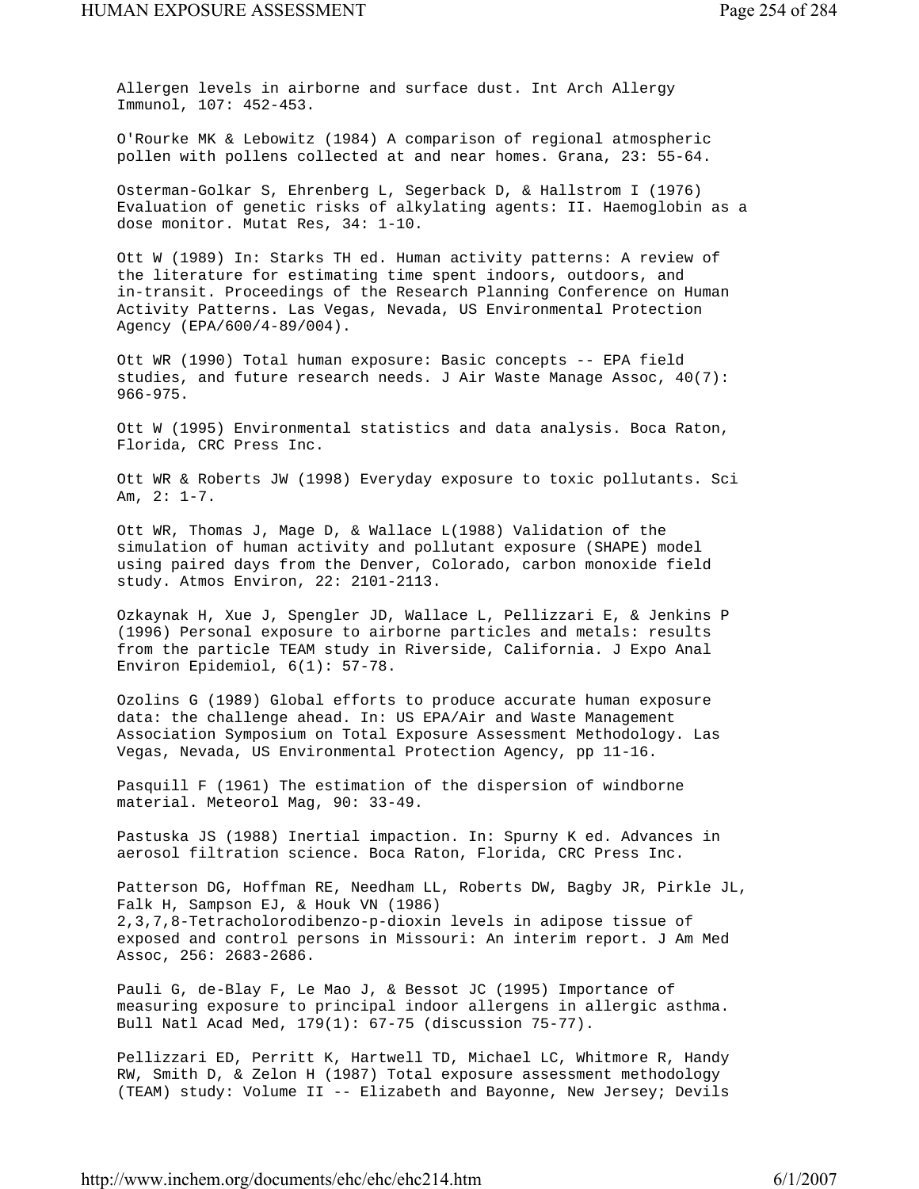Allergen levels in airborne and surface dust. Int Arch Allergy Immunol, 107: 452-453.

 O'Rourke MK & Lebowitz (1984) A comparison of regional atmospheric pollen with pollens collected at and near homes. Grana, 23: 55-64.

 Osterman-Golkar S, Ehrenberg L, Segerback D, & Hallstrom I (1976) Evaluation of genetic risks of alkylating agents: II. Haemoglobin as a dose monitor. Mutat Res, 34: 1-10.

 Ott W (1989) In: Starks TH ed. Human activity patterns: A review of the literature for estimating time spent indoors, outdoors, and in-transit. Proceedings of the Research Planning Conference on Human Activity Patterns. Las Vegas, Nevada, US Environmental Protection Agency (EPA/600/4-89/004).

 Ott WR (1990) Total human exposure: Basic concepts -- EPA field studies, and future research needs. J Air Waste Manage Assoc, 40(7): 966-975.

 Ott W (1995) Environmental statistics and data analysis. Boca Raton, Florida, CRC Press Inc.

 Ott WR & Roberts JW (1998) Everyday exposure to toxic pollutants. Sci Am, 2: 1-7.

 Ott WR, Thomas J, Mage D, & Wallace L(1988) Validation of the simulation of human activity and pollutant exposure (SHAPE) model using paired days from the Denver, Colorado, carbon monoxide field study. Atmos Environ, 22: 2101-2113.

 Ozkaynak H, Xue J, Spengler JD, Wallace L, Pellizzari E, & Jenkins P (1996) Personal exposure to airborne particles and metals: results from the particle TEAM study in Riverside, California. J Expo Anal Environ Epidemiol, 6(1): 57-78.

 Ozolins G (1989) Global efforts to produce accurate human exposure data: the challenge ahead. In: US EPA/Air and Waste Management Association Symposium on Total Exposure Assessment Methodology. Las Vegas, Nevada, US Environmental Protection Agency, pp 11-16.

 Pasquill F (1961) The estimation of the dispersion of windborne material. Meteorol Mag, 90: 33-49.

 Pastuska JS (1988) Inertial impaction. In: Spurny K ed. Advances in aerosol filtration science. Boca Raton, Florida, CRC Press Inc.

 Patterson DG, Hoffman RE, Needham LL, Roberts DW, Bagby JR, Pirkle JL, Falk H, Sampson EJ, & Houk VN (1986) 2,3,7,8-Tetracholorodibenzo-p-dioxin levels in adipose tissue of exposed and control persons in Missouri: An interim report. J Am Med Assoc, 256: 2683-2686.

 Pauli G, de-Blay F, Le Mao J, & Bessot JC (1995) Importance of measuring exposure to principal indoor allergens in allergic asthma. Bull Natl Acad Med, 179(1): 67-75 (discussion 75-77).

 Pellizzari ED, Perritt K, Hartwell TD, Michael LC, Whitmore R, Handy RW, Smith D, & Zelon H (1987) Total exposure assessment methodology (TEAM) study: Volume II -- Elizabeth and Bayonne, New Jersey; Devils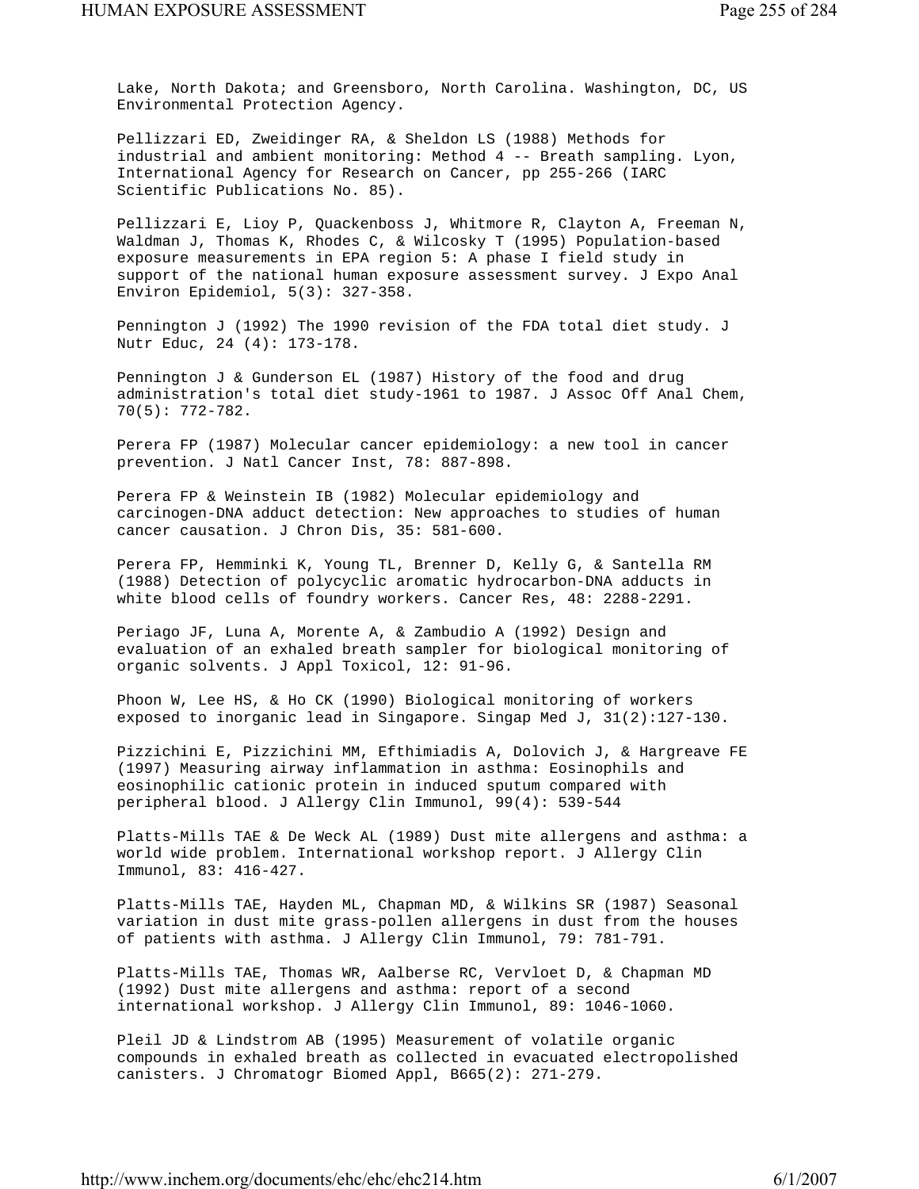Lake, North Dakota; and Greensboro, North Carolina. Washington, DC, US Environmental Protection Agency.

 Pellizzari ED, Zweidinger RA, & Sheldon LS (1988) Methods for industrial and ambient monitoring: Method 4 -- Breath sampling. Lyon, International Agency for Research on Cancer, pp 255-266 (IARC Scientific Publications No. 85).

 Pellizzari E, Lioy P, Quackenboss J, Whitmore R, Clayton A, Freeman N, Waldman J, Thomas K, Rhodes C, & Wilcosky T (1995) Population-based exposure measurements in EPA region 5: A phase I field study in support of the national human exposure assessment survey. J Expo Anal Environ Epidemiol, 5(3): 327-358.

 Pennington J (1992) The 1990 revision of the FDA total diet study. J Nutr Educ, 24 (4): 173-178.

 Pennington J & Gunderson EL (1987) History of the food and drug administration's total diet study-1961 to 1987. J Assoc Off Anal Chem, 70(5): 772-782.

 Perera FP (1987) Molecular cancer epidemiology: a new tool in cancer prevention. J Natl Cancer Inst, 78: 887-898.

 Perera FP & Weinstein IB (1982) Molecular epidemiology and carcinogen-DNA adduct detection: New approaches to studies of human cancer causation. J Chron Dis, 35: 581-600.

 Perera FP, Hemminki K, Young TL, Brenner D, Kelly G, & Santella RM (1988) Detection of polycyclic aromatic hydrocarbon-DNA adducts in white blood cells of foundry workers. Cancer Res, 48: 2288-2291.

 Periago JF, Luna A, Morente A, & Zambudio A (1992) Design and evaluation of an exhaled breath sampler for biological monitoring of organic solvents. J Appl Toxicol, 12: 91-96.

 Phoon W, Lee HS, & Ho CK (1990) Biological monitoring of workers exposed to inorganic lead in Singapore. Singap Med J, 31(2):127-130.

 Pizzichini E, Pizzichini MM, Efthimiadis A, Dolovich J, & Hargreave FE (1997) Measuring airway inflammation in asthma: Eosinophils and eosinophilic cationic protein in induced sputum compared with peripheral blood. J Allergy Clin Immunol, 99(4): 539-544

 Platts-Mills TAE & De Weck AL (1989) Dust mite allergens and asthma: a world wide problem. International workshop report. J Allergy Clin Immunol, 83: 416-427.

 Platts-Mills TAE, Hayden ML, Chapman MD, & Wilkins SR (1987) Seasonal variation in dust mite grass-pollen allergens in dust from the houses of patients with asthma. J Allergy Clin Immunol, 79: 781-791.

 Platts-Mills TAE, Thomas WR, Aalberse RC, Vervloet D, & Chapman MD (1992) Dust mite allergens and asthma: report of a second international workshop. J Allergy Clin Immunol, 89: 1046-1060.

 Pleil JD & Lindstrom AB (1995) Measurement of volatile organic compounds in exhaled breath as collected in evacuated electropolished canisters. J Chromatogr Biomed Appl, B665(2): 271-279.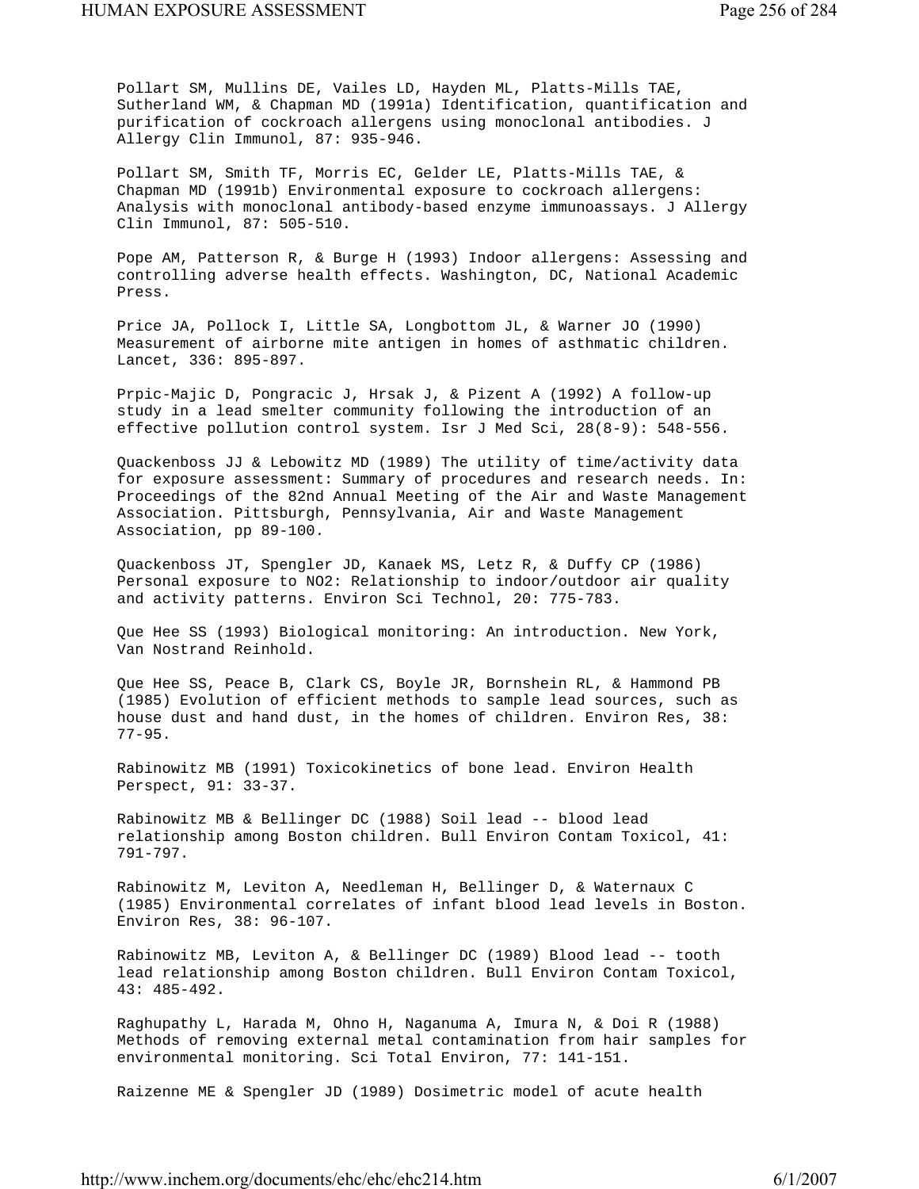Pollart SM, Mullins DE, Vailes LD, Hayden ML, Platts-Mills TAE, Sutherland WM, & Chapman MD (1991a) Identification, quantification and purification of cockroach allergens using monoclonal antibodies. J Allergy Clin Immunol, 87: 935-946.

 Pollart SM, Smith TF, Morris EC, Gelder LE, Platts-Mills TAE, & Chapman MD (1991b) Environmental exposure to cockroach allergens: Analysis with monoclonal antibody-based enzyme immunoassays. J Allergy Clin Immunol, 87: 505-510.

 Pope AM, Patterson R, & Burge H (1993) Indoor allergens: Assessing and controlling adverse health effects. Washington, DC, National Academic Press.

 Price JA, Pollock I, Little SA, Longbottom JL, & Warner JO (1990) Measurement of airborne mite antigen in homes of asthmatic children. Lancet, 336: 895-897.

 Prpic-Majic D, Pongracic J, Hrsak J, & Pizent A (1992) A follow-up study in a lead smelter community following the introduction of an effective pollution control system. Isr J Med Sci, 28(8-9): 548-556.

 Quackenboss JJ & Lebowitz MD (1989) The utility of time/activity data for exposure assessment: Summary of procedures and research needs. In: Proceedings of the 82nd Annual Meeting of the Air and Waste Management Association. Pittsburgh, Pennsylvania, Air and Waste Management Association, pp 89-100.

 Quackenboss JT, Spengler JD, Kanaek MS, Letz R, & Duffy CP (1986) Personal exposure to NO2: Relationship to indoor/outdoor air quality and activity patterns. Environ Sci Technol, 20: 775-783.

 Que Hee SS (1993) Biological monitoring: An introduction. New York, Van Nostrand Reinhold.

 Que Hee SS, Peace B, Clark CS, Boyle JR, Bornshein RL, & Hammond PB (1985) Evolution of efficient methods to sample lead sources, such as house dust and hand dust, in the homes of children. Environ Res, 38: 77-95.

 Rabinowitz MB (1991) Toxicokinetics of bone lead. Environ Health Perspect, 91: 33-37.

 Rabinowitz MB & Bellinger DC (1988) Soil lead -- blood lead relationship among Boston children. Bull Environ Contam Toxicol, 41: 791-797.

 Rabinowitz M, Leviton A, Needleman H, Bellinger D, & Waternaux C (1985) Environmental correlates of infant blood lead levels in Boston. Environ Res, 38: 96-107.

 Rabinowitz MB, Leviton A, & Bellinger DC (1989) Blood lead -- tooth lead relationship among Boston children. Bull Environ Contam Toxicol, 43: 485-492.

 Raghupathy L, Harada M, Ohno H, Naganuma A, Imura N, & Doi R (1988) Methods of removing external metal contamination from hair samples for environmental monitoring. Sci Total Environ, 77: 141-151.

Raizenne ME & Spengler JD (1989) Dosimetric model of acute health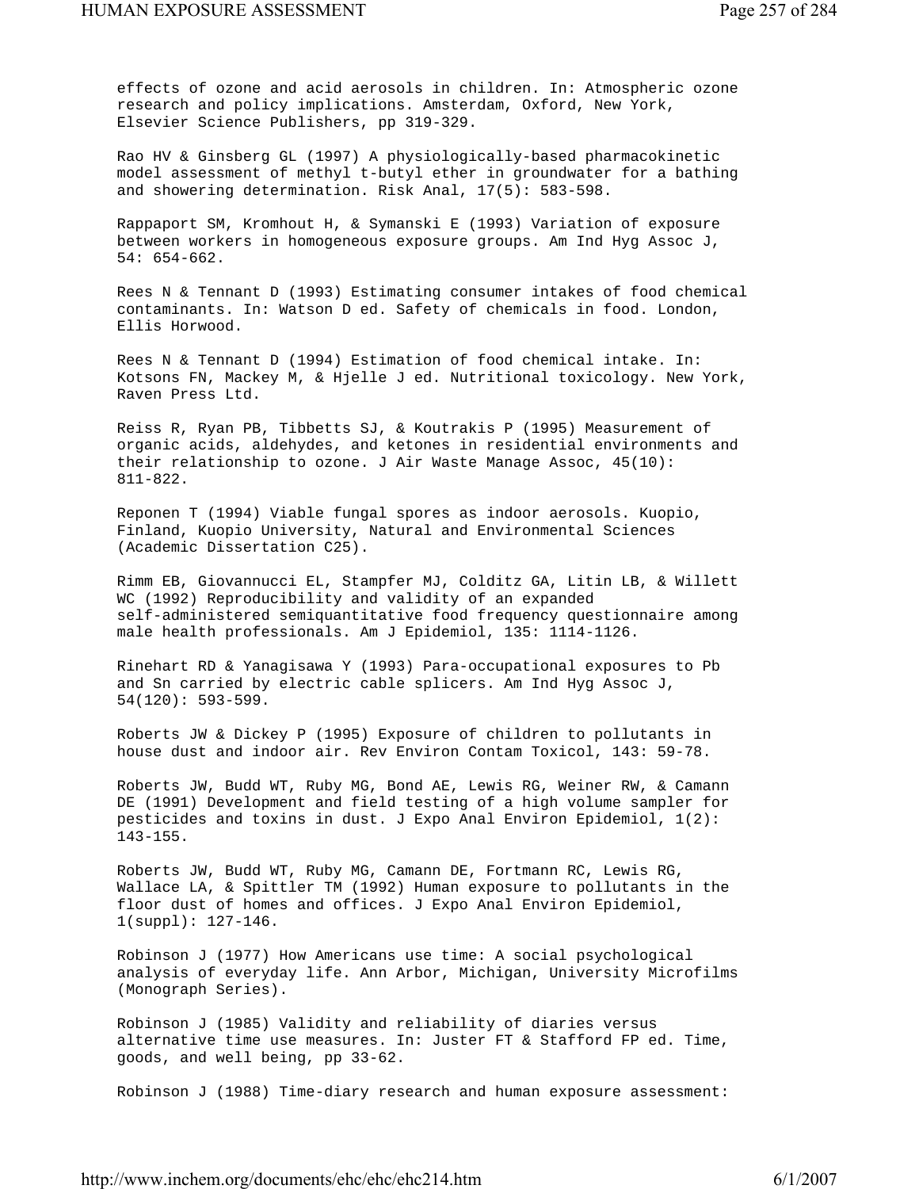effects of ozone and acid aerosols in children. In: Atmospheric ozone research and policy implications. Amsterdam, Oxford, New York, Elsevier Science Publishers, pp 319-329.

 Rao HV & Ginsberg GL (1997) A physiologically-based pharmacokinetic model assessment of methyl t-butyl ether in groundwater for a bathing and showering determination. Risk Anal, 17(5): 583-598.

 Rappaport SM, Kromhout H, & Symanski E (1993) Variation of exposure between workers in homogeneous exposure groups. Am Ind Hyg Assoc J, 54: 654-662.

 Rees N & Tennant D (1993) Estimating consumer intakes of food chemical contaminants. In: Watson D ed. Safety of chemicals in food. London, Ellis Horwood.

 Rees N & Tennant D (1994) Estimation of food chemical intake. In: Kotsons FN, Mackey M, & Hjelle J ed. Nutritional toxicology. New York, Raven Press Ltd.

 Reiss R, Ryan PB, Tibbetts SJ, & Koutrakis P (1995) Measurement of organic acids, aldehydes, and ketones in residential environments and their relationship to ozone. J Air Waste Manage Assoc, 45(10): 811-822.

 Reponen T (1994) Viable fungal spores as indoor aerosols. Kuopio, Finland, Kuopio University, Natural and Environmental Sciences (Academic Dissertation C25).

 Rimm EB, Giovannucci EL, Stampfer MJ, Colditz GA, Litin LB, & Willett WC (1992) Reproducibility and validity of an expanded self-administered semiquantitative food frequency questionnaire among male health professionals. Am J Epidemiol, 135: 1114-1126.

 Rinehart RD & Yanagisawa Y (1993) Para-occupational exposures to Pb and Sn carried by electric cable splicers. Am Ind Hyg Assoc J, 54(120): 593-599.

 Roberts JW & Dickey P (1995) Exposure of children to pollutants in house dust and indoor air. Rev Environ Contam Toxicol, 143: 59-78.

 Roberts JW, Budd WT, Ruby MG, Bond AE, Lewis RG, Weiner RW, & Camann DE (1991) Development and field testing of a high volume sampler for pesticides and toxins in dust. J Expo Anal Environ Epidemiol, 1(2): 143-155.

 Roberts JW, Budd WT, Ruby MG, Camann DE, Fortmann RC, Lewis RG, Wallace LA, & Spittler TM (1992) Human exposure to pollutants in the floor dust of homes and offices. J Expo Anal Environ Epidemiol, 1(suppl): 127-146.

 Robinson J (1977) How Americans use time: A social psychological analysis of everyday life. Ann Arbor, Michigan, University Microfilms (Monograph Series).

 Robinson J (1985) Validity and reliability of diaries versus alternative time use measures. In: Juster FT & Stafford FP ed. Time, goods, and well being, pp 33-62.

Robinson J (1988) Time-diary research and human exposure assessment: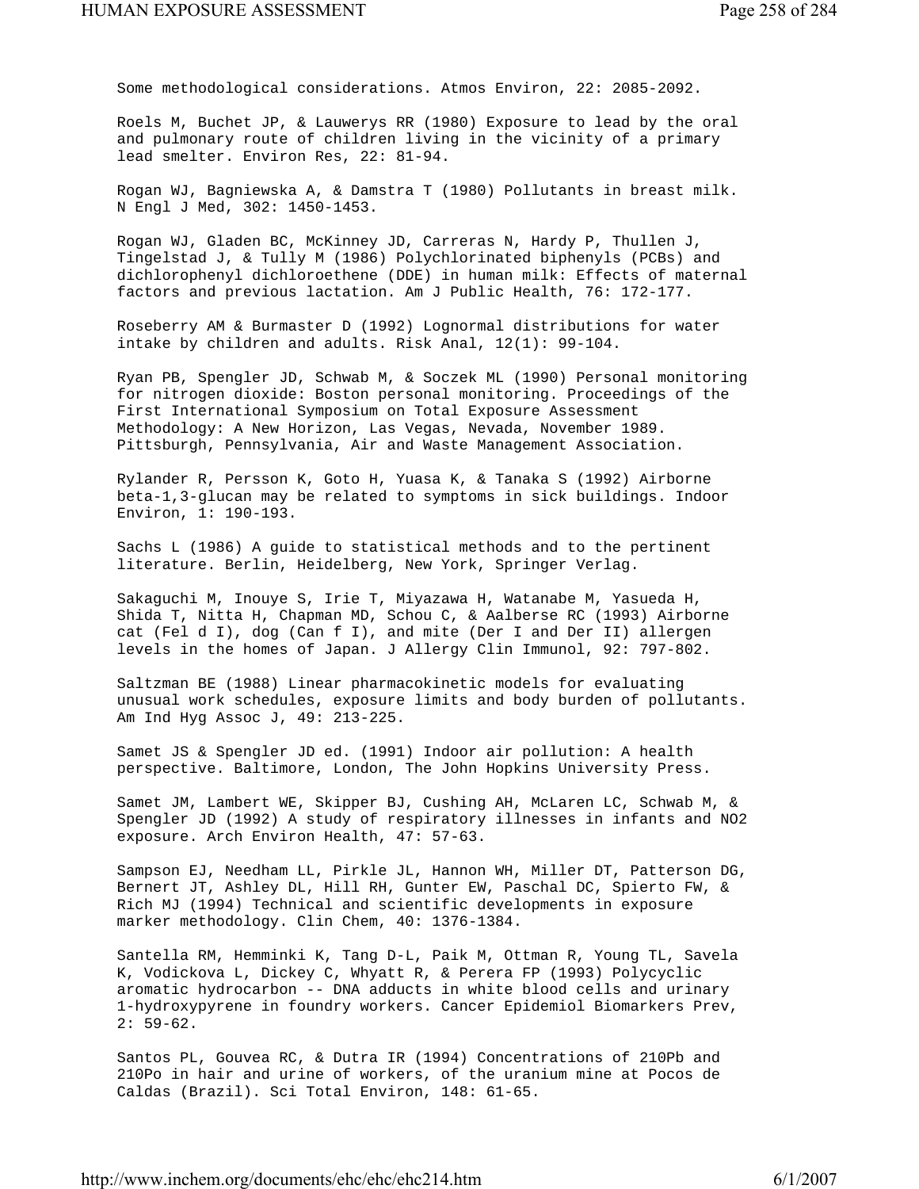Some methodological considerations. Atmos Environ, 22: 2085-2092.

 Roels M, Buchet JP, & Lauwerys RR (1980) Exposure to lead by the oral and pulmonary route of children living in the vicinity of a primary lead smelter. Environ Res, 22: 81-94.

 Rogan WJ, Bagniewska A, & Damstra T (1980) Pollutants in breast milk. N Engl J Med, 302: 1450-1453.

 Rogan WJ, Gladen BC, McKinney JD, Carreras N, Hardy P, Thullen J, Tingelstad J, & Tully M (1986) Polychlorinated biphenyls (PCBs) and dichlorophenyl dichloroethene (DDE) in human milk: Effects of maternal factors and previous lactation. Am J Public Health, 76: 172-177.

 Roseberry AM & Burmaster D (1992) Lognormal distributions for water intake by children and adults. Risk Anal, 12(1): 99-104.

 Ryan PB, Spengler JD, Schwab M, & Soczek ML (1990) Personal monitoring for nitrogen dioxide: Boston personal monitoring. Proceedings of the First International Symposium on Total Exposure Assessment Methodology: A New Horizon, Las Vegas, Nevada, November 1989. Pittsburgh, Pennsylvania, Air and Waste Management Association.

 Rylander R, Persson K, Goto H, Yuasa K, & Tanaka S (1992) Airborne beta-1,3-glucan may be related to symptoms in sick buildings. Indoor Environ, 1: 190-193.

 Sachs L (1986) A guide to statistical methods and to the pertinent literature. Berlin, Heidelberg, New York, Springer Verlag.

 Sakaguchi M, Inouye S, Irie T, Miyazawa H, Watanabe M, Yasueda H, Shida T, Nitta H, Chapman MD, Schou C, & Aalberse RC (1993) Airborne cat (Fel d I), dog (Can f I), and mite (Der I and Der II) allergen levels in the homes of Japan. J Allergy Clin Immunol, 92: 797-802.

 Saltzman BE (1988) Linear pharmacokinetic models for evaluating unusual work schedules, exposure limits and body burden of pollutants. Am Ind Hyg Assoc J, 49: 213-225.

 Samet JS & Spengler JD ed. (1991) Indoor air pollution: A health perspective. Baltimore, London, The John Hopkins University Press.

 Samet JM, Lambert WE, Skipper BJ, Cushing AH, McLaren LC, Schwab M, & Spengler JD (1992) A study of respiratory illnesses in infants and NO2 exposure. Arch Environ Health, 47: 57-63.

 Sampson EJ, Needham LL, Pirkle JL, Hannon WH, Miller DT, Patterson DG, Bernert JT, Ashley DL, Hill RH, Gunter EW, Paschal DC, Spierto FW, & Rich MJ (1994) Technical and scientific developments in exposure marker methodology. Clin Chem, 40: 1376-1384.

 Santella RM, Hemminki K, Tang D-L, Paik M, Ottman R, Young TL, Savela K, Vodickova L, Dickey C, Whyatt R, & Perera FP (1993) Polycyclic aromatic hydrocarbon -- DNA adducts in white blood cells and urinary 1-hydroxypyrene in foundry workers. Cancer Epidemiol Biomarkers Prev, 2: 59-62.

 Santos PL, Gouvea RC, & Dutra IR (1994) Concentrations of 210Pb and 210Po in hair and urine of workers, of the uranium mine at Pocos de Caldas (Brazil). Sci Total Environ, 148: 61-65.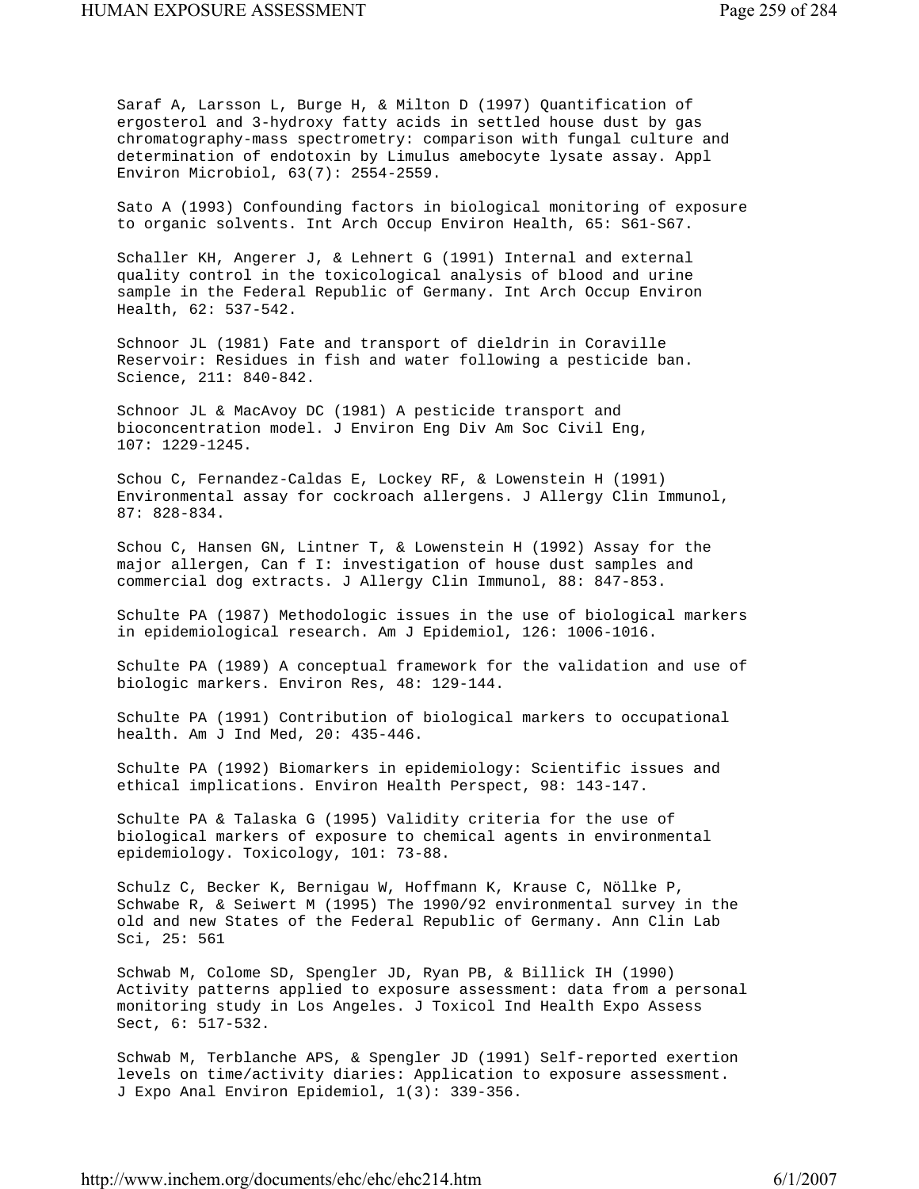Saraf A, Larsson L, Burge H, & Milton D (1997) Quantification of ergosterol and 3-hydroxy fatty acids in settled house dust by gas chromatography-mass spectrometry: comparison with fungal culture and determination of endotoxin by Limulus amebocyte lysate assay. Appl Environ Microbiol, 63(7): 2554-2559.

 Sato A (1993) Confounding factors in biological monitoring of exposure to organic solvents. Int Arch Occup Environ Health, 65: S61-S67.

 Schaller KH, Angerer J, & Lehnert G (1991) Internal and external quality control in the toxicological analysis of blood and urine sample in the Federal Republic of Germany. Int Arch Occup Environ Health, 62: 537-542.

 Schnoor JL (1981) Fate and transport of dieldrin in Coraville Reservoir: Residues in fish and water following a pesticide ban. Science, 211: 840-842.

 Schnoor JL & MacAvoy DC (1981) A pesticide transport and bioconcentration model. J Environ Eng Div Am Soc Civil Eng, 107: 1229-1245.

 Schou C, Fernandez-Caldas E, Lockey RF, & Lowenstein H (1991) Environmental assay for cockroach allergens. J Allergy Clin Immunol, 87: 828-834.

 Schou C, Hansen GN, Lintner T, & Lowenstein H (1992) Assay for the major allergen, Can f I: investigation of house dust samples and commercial dog extracts. J Allergy Clin Immunol, 88: 847-853.

 Schulte PA (1987) Methodologic issues in the use of biological markers in epidemiological research. Am J Epidemiol, 126: 1006-1016.

 Schulte PA (1989) A conceptual framework for the validation and use of biologic markers. Environ Res, 48: 129-144.

 Schulte PA (1991) Contribution of biological markers to occupational health. Am J Ind Med, 20: 435-446.

 Schulte PA (1992) Biomarkers in epidemiology: Scientific issues and ethical implications. Environ Health Perspect, 98: 143-147.

 Schulte PA & Talaska G (1995) Validity criteria for the use of biological markers of exposure to chemical agents in environmental epidemiology. Toxicology, 101: 73-88.

 Schulz C, Becker K, Bernigau W, Hoffmann K, Krause C, Nöllke P, Schwabe R, & Seiwert M (1995) The 1990/92 environmental survey in the old and new States of the Federal Republic of Germany. Ann Clin Lab Sci, 25: 561

 Schwab M, Colome SD, Spengler JD, Ryan PB, & Billick IH (1990) Activity patterns applied to exposure assessment: data from a personal monitoring study in Los Angeles. J Toxicol Ind Health Expo Assess Sect, 6: 517-532.

 Schwab M, Terblanche APS, & Spengler JD (1991) Self-reported exertion levels on time/activity diaries: Application to exposure assessment. J Expo Anal Environ Epidemiol, 1(3): 339-356.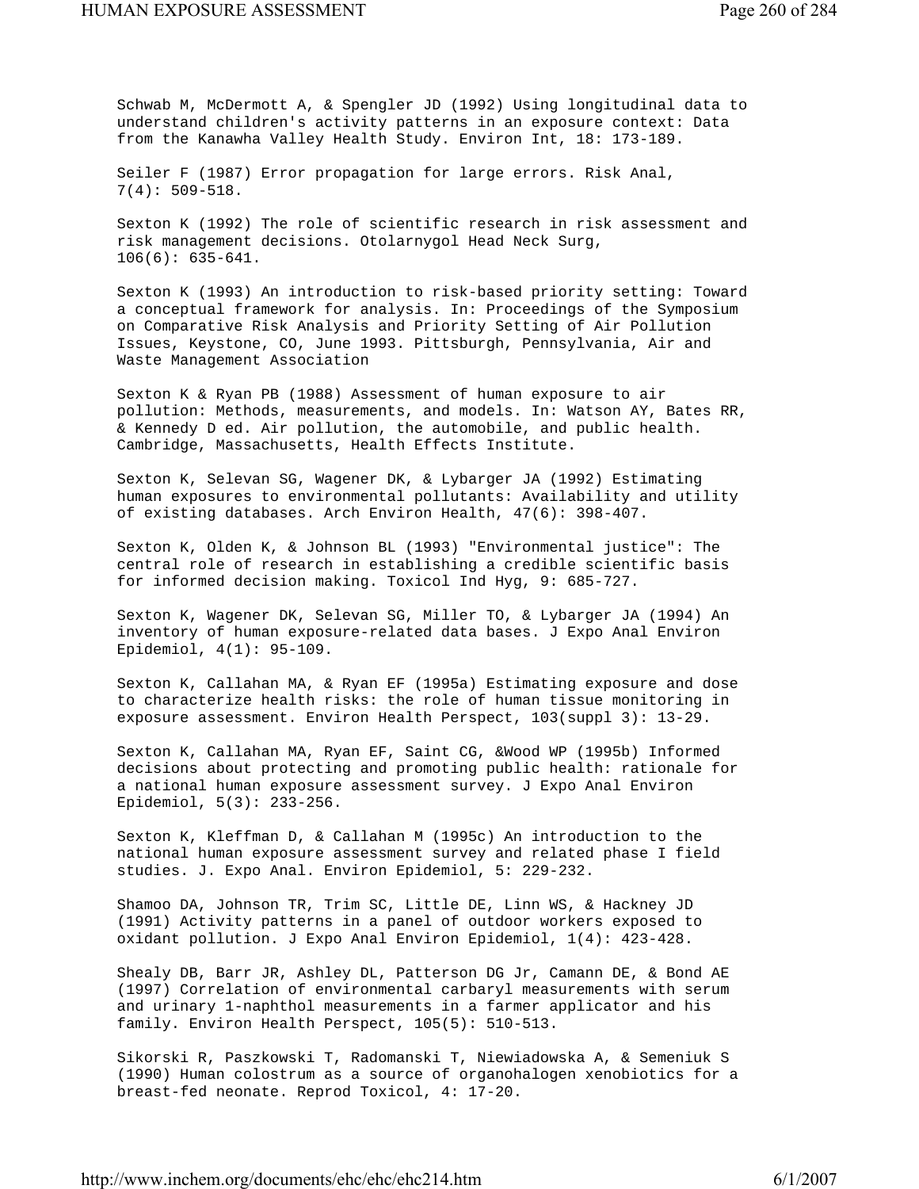Schwab M, McDermott A, & Spengler JD (1992) Using longitudinal data to understand children's activity patterns in an exposure context: Data from the Kanawha Valley Health Study. Environ Int, 18: 173-189.

 Seiler F (1987) Error propagation for large errors. Risk Anal, 7(4): 509-518.

 Sexton K (1992) The role of scientific research in risk assessment and risk management decisions. Otolarnygol Head Neck Surg, 106(6): 635-641.

 Sexton K (1993) An introduction to risk-based priority setting: Toward a conceptual framework for analysis. In: Proceedings of the Symposium on Comparative Risk Analysis and Priority Setting of Air Pollution Issues, Keystone, CO, June 1993. Pittsburgh, Pennsylvania, Air and Waste Management Association

 Sexton K & Ryan PB (1988) Assessment of human exposure to air pollution: Methods, measurements, and models. In: Watson AY, Bates RR, & Kennedy D ed. Air pollution, the automobile, and public health. Cambridge, Massachusetts, Health Effects Institute.

 Sexton K, Selevan SG, Wagener DK, & Lybarger JA (1992) Estimating human exposures to environmental pollutants: Availability and utility of existing databases. Arch Environ Health, 47(6): 398-407.

 Sexton K, Olden K, & Johnson BL (1993) "Environmental justice": The central role of research in establishing a credible scientific basis for informed decision making. Toxicol Ind Hyg, 9: 685-727.

 Sexton K, Wagener DK, Selevan SG, Miller TO, & Lybarger JA (1994) An inventory of human exposure-related data bases. J Expo Anal Environ Epidemiol, 4(1): 95-109.

 Sexton K, Callahan MA, & Ryan EF (1995a) Estimating exposure and dose to characterize health risks: the role of human tissue monitoring in exposure assessment. Environ Health Perspect, 103(suppl 3): 13-29.

 Sexton K, Callahan MA, Ryan EF, Saint CG, &Wood WP (1995b) Informed decisions about protecting and promoting public health: rationale for a national human exposure assessment survey. J Expo Anal Environ Epidemiol, 5(3): 233-256.

 Sexton K, Kleffman D, & Callahan M (1995c) An introduction to the national human exposure assessment survey and related phase I field studies. J. Expo Anal. Environ Epidemiol, 5: 229-232.

 Shamoo DA, Johnson TR, Trim SC, Little DE, Linn WS, & Hackney JD (1991) Activity patterns in a panel of outdoor workers exposed to oxidant pollution. J Expo Anal Environ Epidemiol, 1(4): 423-428.

 Shealy DB, Barr JR, Ashley DL, Patterson DG Jr, Camann DE, & Bond AE (1997) Correlation of environmental carbaryl measurements with serum and urinary 1-naphthol measurements in a farmer applicator and his family. Environ Health Perspect, 105(5): 510-513.

 Sikorski R, Paszkowski T, Radomanski T, Niewiadowska A, & Semeniuk S (1990) Human colostrum as a source of organohalogen xenobiotics for a breast-fed neonate. Reprod Toxicol, 4: 17-20.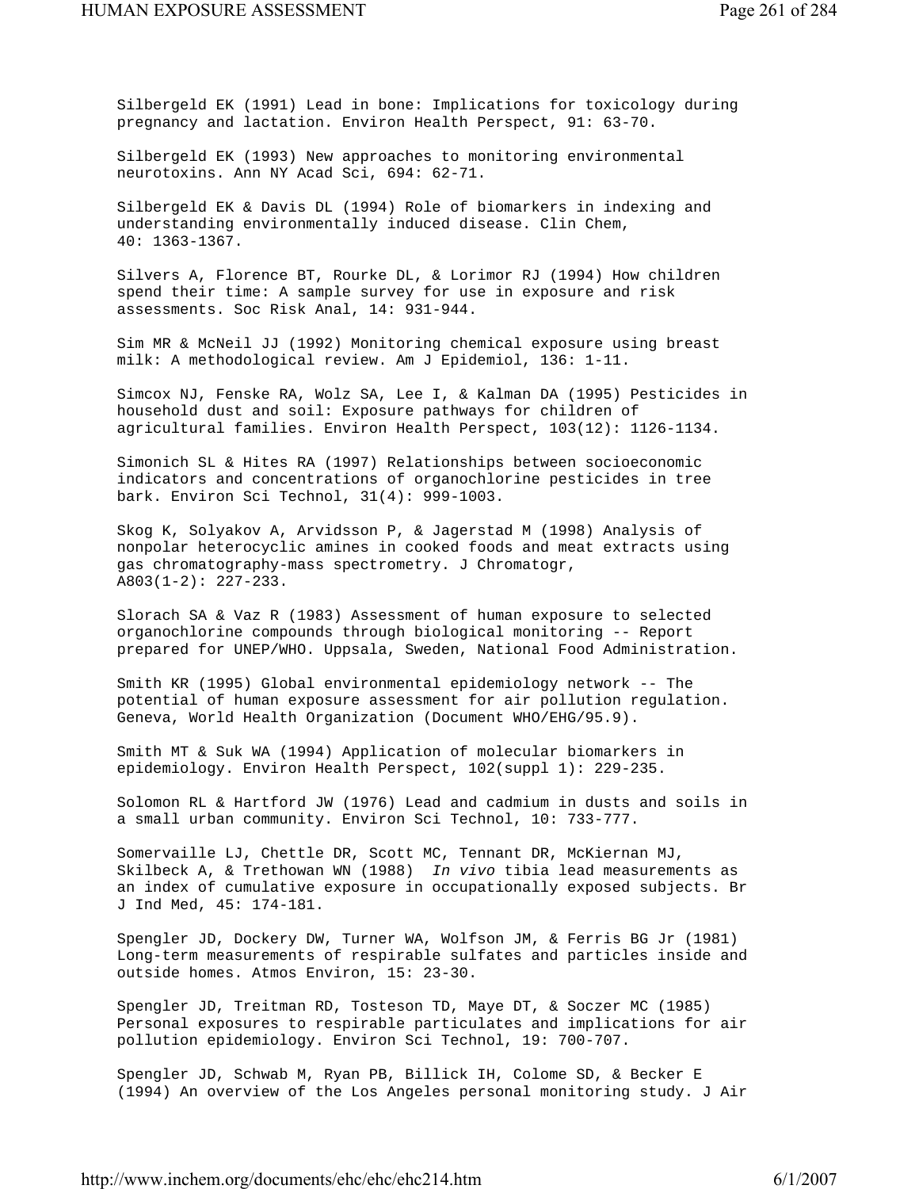Silbergeld EK (1991) Lead in bone: Implications for toxicology during pregnancy and lactation. Environ Health Perspect, 91: 63-70.

 Silbergeld EK (1993) New approaches to monitoring environmental neurotoxins. Ann NY Acad Sci, 694: 62-71.

 Silbergeld EK & Davis DL (1994) Role of biomarkers in indexing and understanding environmentally induced disease. Clin Chem, 40: 1363-1367.

 Silvers A, Florence BT, Rourke DL, & Lorimor RJ (1994) How children spend their time: A sample survey for use in exposure and risk assessments. Soc Risk Anal, 14: 931-944.

 Sim MR & McNeil JJ (1992) Monitoring chemical exposure using breast milk: A methodological review. Am J Epidemiol, 136: 1-11.

 Simcox NJ, Fenske RA, Wolz SA, Lee I, & Kalman DA (1995) Pesticides in household dust and soil: Exposure pathways for children of agricultural families. Environ Health Perspect, 103(12): 1126-1134.

 Simonich SL & Hites RA (1997) Relationships between socioeconomic indicators and concentrations of organochlorine pesticides in tree bark. Environ Sci Technol, 31(4): 999-1003.

 Skog K, Solyakov A, Arvidsson P, & Jagerstad M (1998) Analysis of nonpolar heterocyclic amines in cooked foods and meat extracts using gas chromatography-mass spectrometry. J Chromatogr,  $A803(1-2): 227-233.$ 

 Slorach SA & Vaz R (1983) Assessment of human exposure to selected organochlorine compounds through biological monitoring -- Report prepared for UNEP/WHO. Uppsala, Sweden, National Food Administration.

 Smith KR (1995) Global environmental epidemiology network -- The potential of human exposure assessment for air pollution regulation. Geneva, World Health Organization (Document WHO/EHG/95.9).

 Smith MT & Suk WA (1994) Application of molecular biomarkers in epidemiology. Environ Health Perspect, 102(suppl 1): 229-235.

 Solomon RL & Hartford JW (1976) Lead and cadmium in dusts and soils in a small urban community. Environ Sci Technol, 10: 733-777.

 Somervaille LJ, Chettle DR, Scott MC, Tennant DR, McKiernan MJ, Skilbeck A, & Trethowan WN (1988) *In vivo* tibia lead measurements as an index of cumulative exposure in occupationally exposed subjects. Br J Ind Med, 45: 174-181.

 Spengler JD, Dockery DW, Turner WA, Wolfson JM, & Ferris BG Jr (1981) Long-term measurements of respirable sulfates and particles inside and outside homes. Atmos Environ, 15: 23-30.

 Spengler JD, Treitman RD, Tosteson TD, Maye DT, & Soczer MC (1985) Personal exposures to respirable particulates and implications for air pollution epidemiology. Environ Sci Technol, 19: 700-707.

 Spengler JD, Schwab M, Ryan PB, Billick IH, Colome SD, & Becker E (1994) An overview of the Los Angeles personal monitoring study. J Air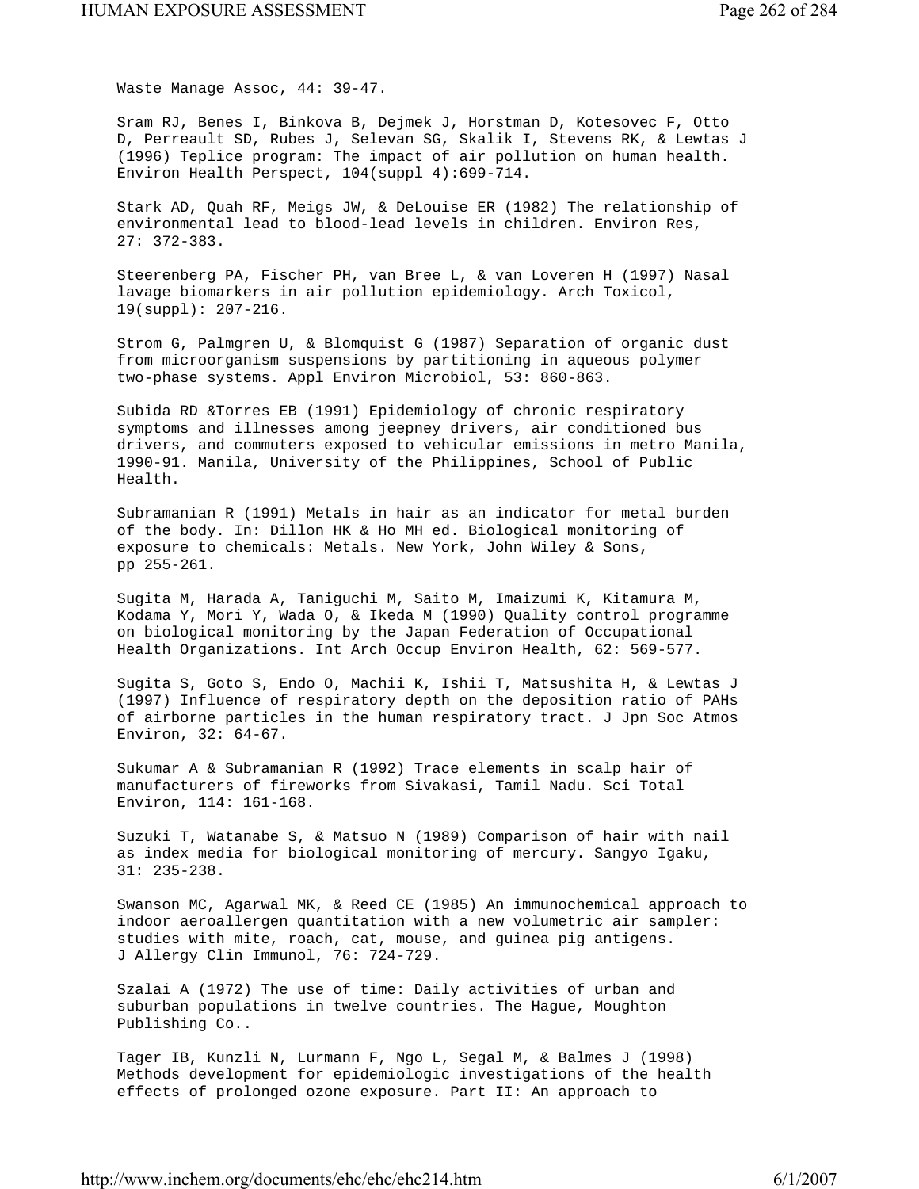Waste Manage Assoc, 44: 39-47.

 Sram RJ, Benes I, Binkova B, Dejmek J, Horstman D, Kotesovec F, Otto D, Perreault SD, Rubes J, Selevan SG, Skalik I, Stevens RK, & Lewtas J (1996) Teplice program: The impact of air pollution on human health. Environ Health Perspect, 104(suppl 4):699-714.

 Stark AD, Quah RF, Meigs JW, & DeLouise ER (1982) The relationship of environmental lead to blood-lead levels in children. Environ Res, 27: 372-383.

 Steerenberg PA, Fischer PH, van Bree L, & van Loveren H (1997) Nasal lavage biomarkers in air pollution epidemiology. Arch Toxicol, 19(suppl): 207-216.

 Strom G, Palmgren U, & Blomquist G (1987) Separation of organic dust from microorganism suspensions by partitioning in aqueous polymer two-phase systems. Appl Environ Microbiol, 53: 860-863.

 Subida RD &Torres EB (1991) Epidemiology of chronic respiratory symptoms and illnesses among jeepney drivers, air conditioned bus drivers, and commuters exposed to vehicular emissions in metro Manila, 1990-91. Manila, University of the Philippines, School of Public Health.

 Subramanian R (1991) Metals in hair as an indicator for metal burden of the body. In: Dillon HK & Ho MH ed. Biological monitoring of exposure to chemicals: Metals. New York, John Wiley & Sons, pp 255-261.

 Sugita M, Harada A, Taniguchi M, Saito M, Imaizumi K, Kitamura M, Kodama Y, Mori Y, Wada O, & Ikeda M (1990) Quality control programme on biological monitoring by the Japan Federation of Occupational Health Organizations. Int Arch Occup Environ Health, 62: 569-577.

 Sugita S, Goto S, Endo O, Machii K, Ishii T, Matsushita H, & Lewtas J (1997) Influence of respiratory depth on the deposition ratio of PAHs of airborne particles in the human respiratory tract. J Jpn Soc Atmos Environ, 32: 64-67.

 Sukumar A & Subramanian R (1992) Trace elements in scalp hair of manufacturers of fireworks from Sivakasi, Tamil Nadu. Sci Total Environ, 114: 161-168.

 Suzuki T, Watanabe S, & Matsuo N (1989) Comparison of hair with nail as index media for biological monitoring of mercury. Sangyo Igaku, 31: 235-238.

 Swanson MC, Agarwal MK, & Reed CE (1985) An immunochemical approach to indoor aeroallergen quantitation with a new volumetric air sampler: studies with mite, roach, cat, mouse, and guinea pig antigens. J Allergy Clin Immunol, 76: 724-729.

 Szalai A (1972) The use of time: Daily activities of urban and suburban populations in twelve countries. The Hague, Moughton Publishing Co..

 Tager IB, Kunzli N, Lurmann F, Ngo L, Segal M, & Balmes J (1998) Methods development for epidemiologic investigations of the health effects of prolonged ozone exposure. Part II: An approach to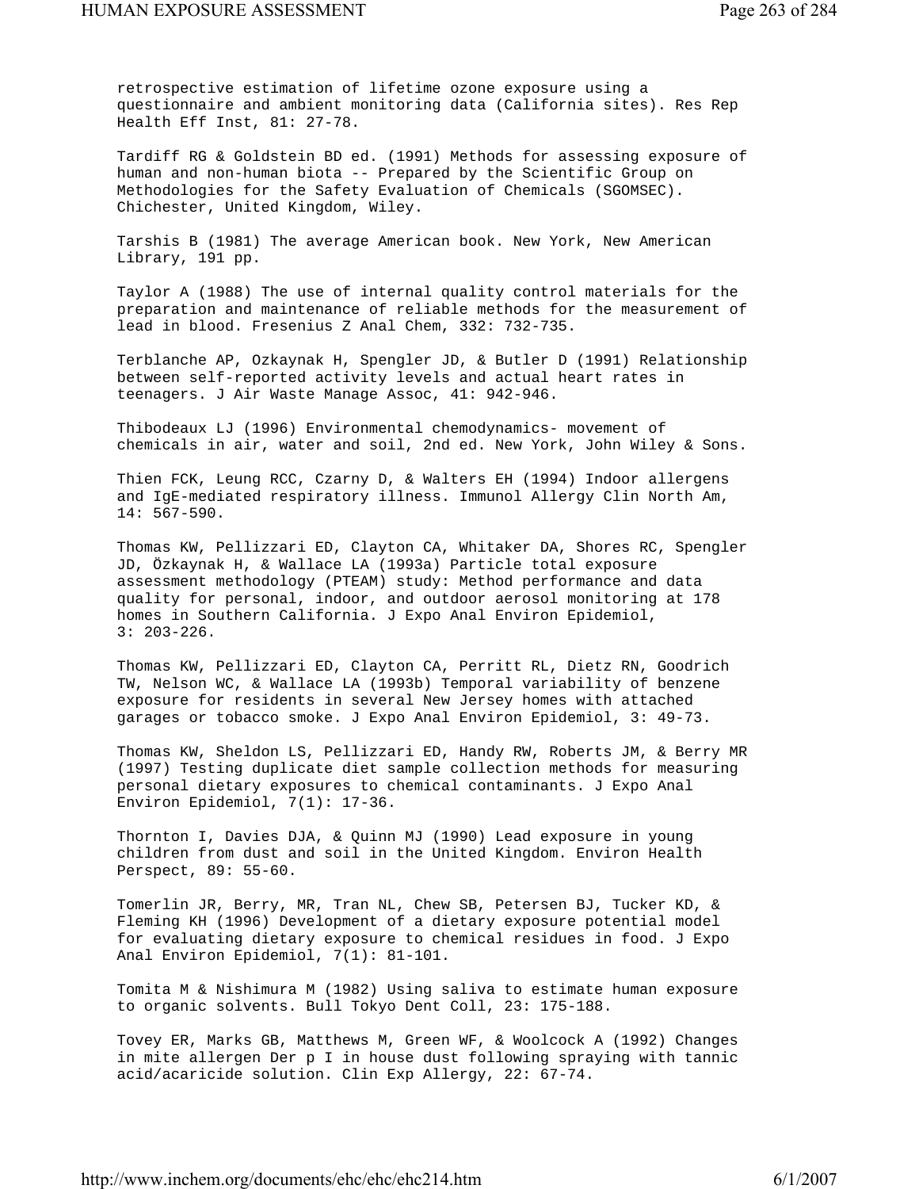retrospective estimation of lifetime ozone exposure using a questionnaire and ambient monitoring data (California sites). Res Rep Health Eff Inst, 81: 27-78.

 Tardiff RG & Goldstein BD ed. (1991) Methods for assessing exposure of human and non-human biota -- Prepared by the Scientific Group on Methodologies for the Safety Evaluation of Chemicals (SGOMSEC). Chichester, United Kingdom, Wiley.

 Tarshis B (1981) The average American book. New York, New American Library, 191 pp.

 Taylor A (1988) The use of internal quality control materials for the preparation and maintenance of reliable methods for the measurement of lead in blood. Fresenius Z Anal Chem, 332: 732-735.

 Terblanche AP, Ozkaynak H, Spengler JD, & Butler D (1991) Relationship between self-reported activity levels and actual heart rates in teenagers. J Air Waste Manage Assoc, 41: 942-946.

 Thibodeaux LJ (1996) Environmental chemodynamics- movement of chemicals in air, water and soil, 2nd ed. New York, John Wiley & Sons.

 Thien FCK, Leung RCC, Czarny D, & Walters EH (1994) Indoor allergens and IgE-mediated respiratory illness. Immunol Allergy Clin North Am, 14: 567-590.

 Thomas KW, Pellizzari ED, Clayton CA, Whitaker DA, Shores RC, Spengler JD, Özkaynak H, & Wallace LA (1993a) Particle total exposure assessment methodology (PTEAM) study: Method performance and data quality for personal, indoor, and outdoor aerosol monitoring at 178 homes in Southern California. J Expo Anal Environ Epidemiol, 3: 203-226.

 Thomas KW, Pellizzari ED, Clayton CA, Perritt RL, Dietz RN, Goodrich TW, Nelson WC, & Wallace LA (1993b) Temporal variability of benzene exposure for residents in several New Jersey homes with attached garages or tobacco smoke. J Expo Anal Environ Epidemiol, 3: 49-73.

 Thomas KW, Sheldon LS, Pellizzari ED, Handy RW, Roberts JM, & Berry MR (1997) Testing duplicate diet sample collection methods for measuring personal dietary exposures to chemical contaminants. J Expo Anal Environ Epidemiol, 7(1): 17-36.

 Thornton I, Davies DJA, & Quinn MJ (1990) Lead exposure in young children from dust and soil in the United Kingdom. Environ Health Perspect, 89: 55-60.

 Tomerlin JR, Berry, MR, Tran NL, Chew SB, Petersen BJ, Tucker KD, & Fleming KH (1996) Development of a dietary exposure potential model for evaluating dietary exposure to chemical residues in food. J Expo Anal Environ Epidemiol, 7(1): 81-101.

 Tomita M & Nishimura M (1982) Using saliva to estimate human exposure to organic solvents. Bull Tokyo Dent Coll, 23: 175-188.

 Tovey ER, Marks GB, Matthews M, Green WF, & Woolcock A (1992) Changes in mite allergen Der p I in house dust following spraying with tannic acid/acaricide solution. Clin Exp Allergy, 22: 67-74.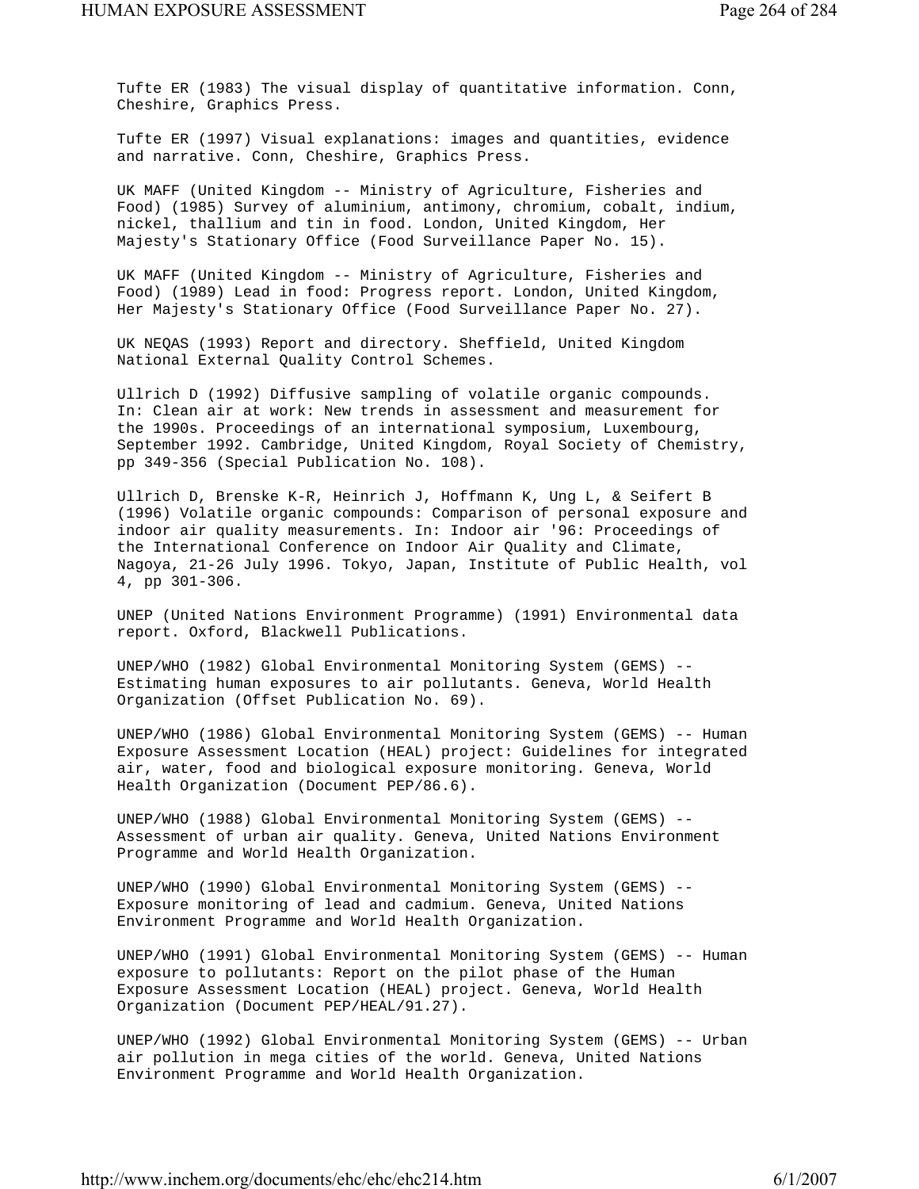Tufte ER (1983) The visual display of quantitative information. Conn, Cheshire, Graphics Press.

 Tufte ER (1997) Visual explanations: images and quantities, evidence and narrative. Conn, Cheshire, Graphics Press.

 UK MAFF (United Kingdom -- Ministry of Agriculture, Fisheries and Food) (1985) Survey of aluminium, antimony, chromium, cobalt, indium, nickel, thallium and tin in food. London, United Kingdom, Her Majesty's Stationary Office (Food Surveillance Paper No. 15).

 UK MAFF (United Kingdom -- Ministry of Agriculture, Fisheries and Food) (1989) Lead in food: Progress report. London, United Kingdom, Her Majesty's Stationary Office (Food Surveillance Paper No. 27).

 UK NEQAS (1993) Report and directory. Sheffield, United Kingdom National External Quality Control Schemes.

 Ullrich D (1992) Diffusive sampling of volatile organic compounds. In: Clean air at work: New trends in assessment and measurement for the 1990s. Proceedings of an international symposium, Luxembourg, September 1992. Cambridge, United Kingdom, Royal Society of Chemistry, pp 349-356 (Special Publication No. 108).

 Ullrich D, Brenske K-R, Heinrich J, Hoffmann K, Ung L, & Seifert B (1996) Volatile organic compounds: Comparison of personal exposure and indoor air quality measurements. In: Indoor air '96: Proceedings of the International Conference on Indoor Air Quality and Climate, Nagoya, 21-26 July 1996. Tokyo, Japan, Institute of Public Health, vol 4, pp 301-306.

 UNEP (United Nations Environment Programme) (1991) Environmental data report. Oxford, Blackwell Publications.

 UNEP/WHO (1982) Global Environmental Monitoring System (GEMS) -- Estimating human exposures to air pollutants. Geneva, World Health Organization (Offset Publication No. 69).

 UNEP/WHO (1986) Global Environmental Monitoring System (GEMS) -- Human Exposure Assessment Location (HEAL) project: Guidelines for integrated air, water, food and biological exposure monitoring. Geneva, World Health Organization (Document PEP/86.6).

 UNEP/WHO (1988) Global Environmental Monitoring System (GEMS) -- Assessment of urban air quality. Geneva, United Nations Environment Programme and World Health Organization.

 UNEP/WHO (1990) Global Environmental Monitoring System (GEMS) -- Exposure monitoring of lead and cadmium. Geneva, United Nations Environment Programme and World Health Organization.

 UNEP/WHO (1991) Global Environmental Monitoring System (GEMS) -- Human exposure to pollutants: Report on the pilot phase of the Human Exposure Assessment Location (HEAL) project. Geneva, World Health Organization (Document PEP/HEAL/91.27).

 UNEP/WHO (1992) Global Environmental Monitoring System (GEMS) -- Urban air pollution in mega cities of the world. Geneva, United Nations Environment Programme and World Health Organization.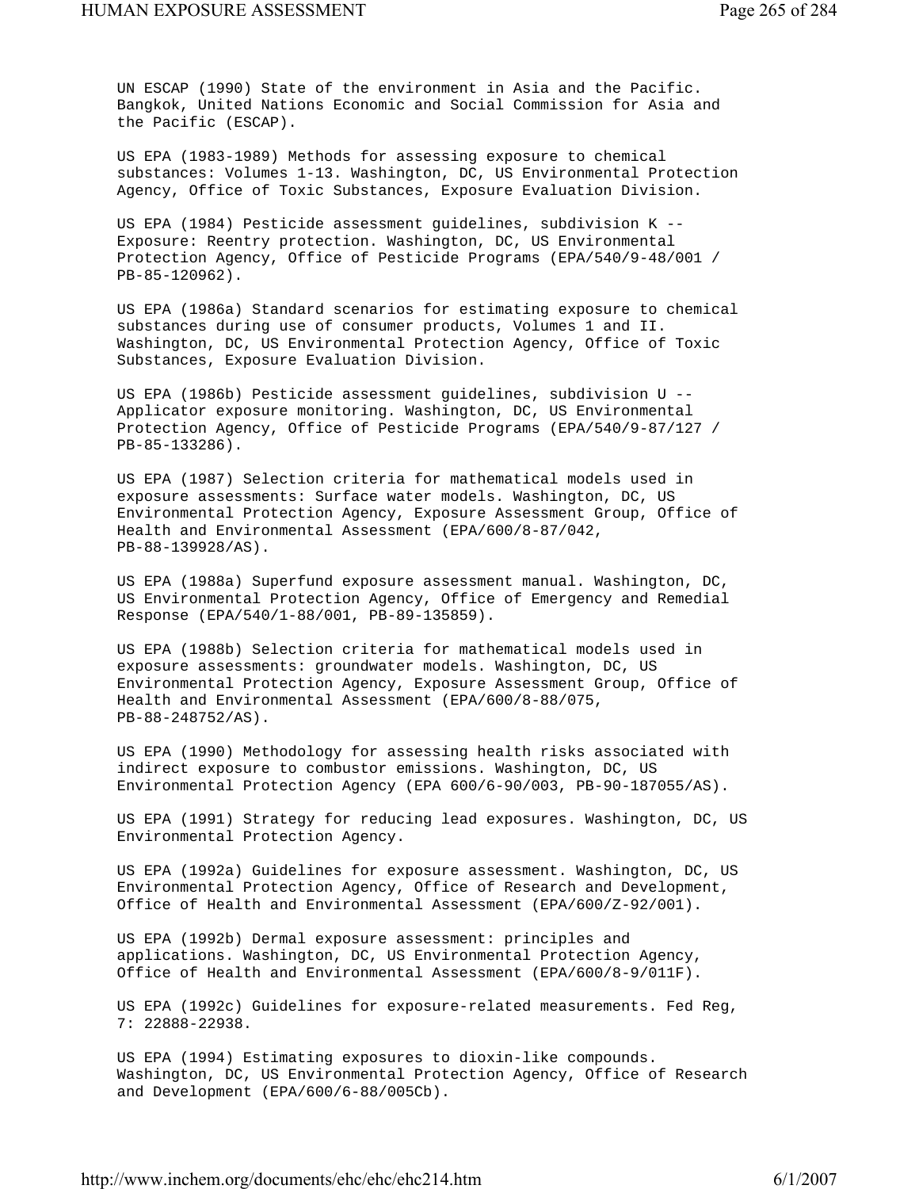UN ESCAP (1990) State of the environment in Asia and the Pacific. Bangkok, United Nations Economic and Social Commission for Asia and the Pacific (ESCAP).

 US EPA (1983-1989) Methods for assessing exposure to chemical substances: Volumes 1-13. Washington, DC, US Environmental Protection Agency, Office of Toxic Substances, Exposure Evaluation Division.

 US EPA (1984) Pesticide assessment guidelines, subdivision K -- Exposure: Reentry protection. Washington, DC, US Environmental Protection Agency, Office of Pesticide Programs (EPA/540/9-48/001 / PB-85-120962).

 US EPA (1986a) Standard scenarios for estimating exposure to chemical substances during use of consumer products, Volumes 1 and II. Washington, DC, US Environmental Protection Agency, Office of Toxic Substances, Exposure Evaluation Division.

 US EPA (1986b) Pesticide assessment guidelines, subdivision U -- Applicator exposure monitoring. Washington, DC, US Environmental Protection Agency, Office of Pesticide Programs (EPA/540/9-87/127 / PB-85-133286).

 US EPA (1987) Selection criteria for mathematical models used in exposure assessments: Surface water models. Washington, DC, US Environmental Protection Agency, Exposure Assessment Group, Office of Health and Environmental Assessment (EPA/600/8-87/042, PB-88-139928/AS).

 US EPA (1988a) Superfund exposure assessment manual. Washington, DC, US Environmental Protection Agency, Office of Emergency and Remedial Response (EPA/540/1-88/001, PB-89-135859).

 US EPA (1988b) Selection criteria for mathematical models used in exposure assessments: groundwater models. Washington, DC, US Environmental Protection Agency, Exposure Assessment Group, Office of Health and Environmental Assessment (EPA/600/8-88/075, PB-88-248752/AS).

 US EPA (1990) Methodology for assessing health risks associated with indirect exposure to combustor emissions. Washington, DC, US Environmental Protection Agency (EPA 600/6-90/003, PB-90-187055/AS).

 US EPA (1991) Strategy for reducing lead exposures. Washington, DC, US Environmental Protection Agency.

 US EPA (1992a) Guidelines for exposure assessment. Washington, DC, US Environmental Protection Agency, Office of Research and Development, Office of Health and Environmental Assessment (EPA/600/Z-92/001).

 US EPA (1992b) Dermal exposure assessment: principles and applications. Washington, DC, US Environmental Protection Agency, Office of Health and Environmental Assessment (EPA/600/8-9/011F).

 US EPA (1992c) Guidelines for exposure-related measurements. Fed Reg, 7: 22888-22938.

 US EPA (1994) Estimating exposures to dioxin-like compounds. Washington, DC, US Environmental Protection Agency, Office of Research and Development (EPA/600/6-88/005Cb).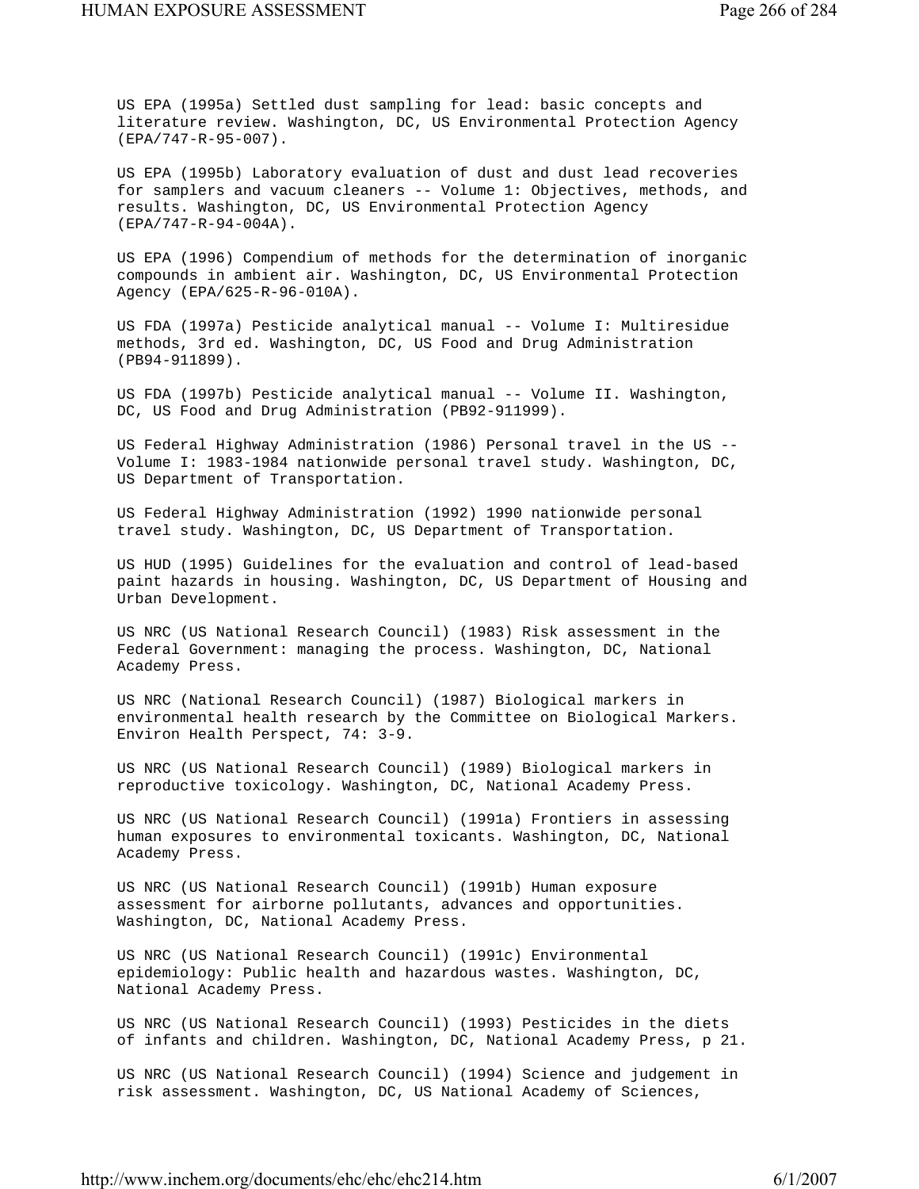US EPA (1995a) Settled dust sampling for lead: basic concepts and literature review. Washington, DC, US Environmental Protection Agency (EPA/747-R-95-007).

 US EPA (1995b) Laboratory evaluation of dust and dust lead recoveries for samplers and vacuum cleaners -- Volume 1: Objectives, methods, and results. Washington, DC, US Environmental Protection Agency (EPA/747-R-94-004A).

 US EPA (1996) Compendium of methods for the determination of inorganic compounds in ambient air. Washington, DC, US Environmental Protection Agency (EPA/625-R-96-010A).

 US FDA (1997a) Pesticide analytical manual -- Volume I: Multiresidue methods, 3rd ed. Washington, DC, US Food and Drug Administration (PB94-911899).

 US FDA (1997b) Pesticide analytical manual -- Volume II. Washington, DC, US Food and Drug Administration (PB92-911999).

 US Federal Highway Administration (1986) Personal travel in the US -- Volume I: 1983-1984 nationwide personal travel study. Washington, DC, US Department of Transportation.

 US Federal Highway Administration (1992) 1990 nationwide personal travel study. Washington, DC, US Department of Transportation.

 US HUD (1995) Guidelines for the evaluation and control of lead-based paint hazards in housing. Washington, DC, US Department of Housing and Urban Development.

 US NRC (US National Research Council) (1983) Risk assessment in the Federal Government: managing the process. Washington, DC, National Academy Press.

 US NRC (National Research Council) (1987) Biological markers in environmental health research by the Committee on Biological Markers. Environ Health Perspect, 74: 3-9.

 US NRC (US National Research Council) (1989) Biological markers in reproductive toxicology. Washington, DC, National Academy Press.

 US NRC (US National Research Council) (1991a) Frontiers in assessing human exposures to environmental toxicants. Washington, DC, National Academy Press.

 US NRC (US National Research Council) (1991b) Human exposure assessment for airborne pollutants, advances and opportunities. Washington, DC, National Academy Press.

 US NRC (US National Research Council) (1991c) Environmental epidemiology: Public health and hazardous wastes. Washington, DC, National Academy Press.

 US NRC (US National Research Council) (1993) Pesticides in the diets of infants and children. Washington, DC, National Academy Press, p 21.

 US NRC (US National Research Council) (1994) Science and judgement in risk assessment. Washington, DC, US National Academy of Sciences,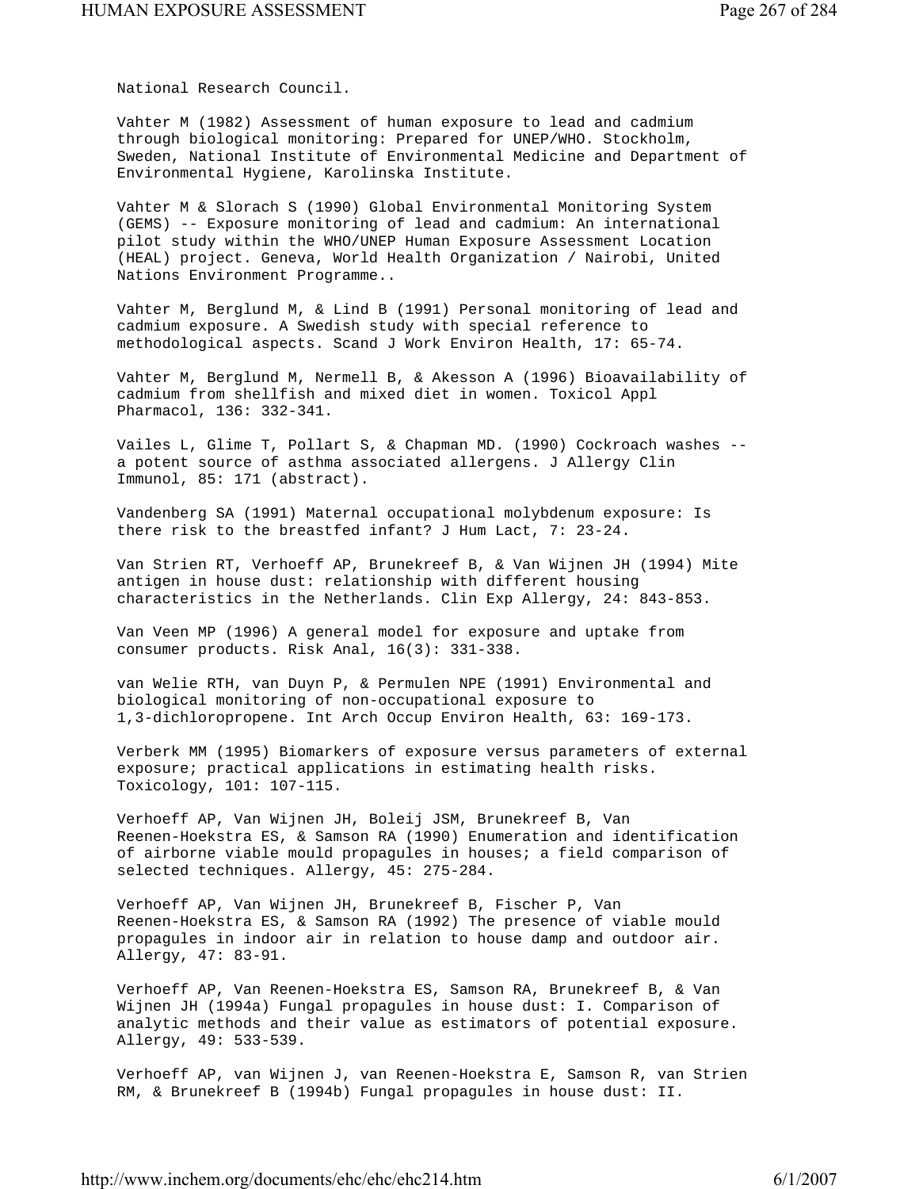National Research Council.

 Vahter M (1982) Assessment of human exposure to lead and cadmium through biological monitoring: Prepared for UNEP/WHO. Stockholm, Sweden, National Institute of Environmental Medicine and Department of Environmental Hygiene, Karolinska Institute.

 Vahter M & Slorach S (1990) Global Environmental Monitoring System (GEMS) -- Exposure monitoring of lead and cadmium: An international pilot study within the WHO/UNEP Human Exposure Assessment Location (HEAL) project. Geneva, World Health Organization / Nairobi, United Nations Environment Programme..

 Vahter M, Berglund M, & Lind B (1991) Personal monitoring of lead and cadmium exposure. A Swedish study with special reference to methodological aspects. Scand J Work Environ Health, 17: 65-74.

 Vahter M, Berglund M, Nermell B, & Akesson A (1996) Bioavailability of cadmium from shellfish and mixed diet in women. Toxicol Appl Pharmacol, 136: 332-341.

 Vailes L, Glime T, Pollart S, & Chapman MD. (1990) Cockroach washes - a potent source of asthma associated allergens. J Allergy Clin Immunol, 85: 171 (abstract).

 Vandenberg SA (1991) Maternal occupational molybdenum exposure: Is there risk to the breastfed infant? J Hum Lact, 7: 23-24.

 Van Strien RT, Verhoeff AP, Brunekreef B, & Van Wijnen JH (1994) Mite antigen in house dust: relationship with different housing characteristics in the Netherlands. Clin Exp Allergy, 24: 843-853.

 Van Veen MP (1996) A general model for exposure and uptake from consumer products. Risk Anal, 16(3): 331-338.

 van Welie RTH, van Duyn P, & Permulen NPE (1991) Environmental and biological monitoring of non-occupational exposure to 1,3-dichloropropene. Int Arch Occup Environ Health, 63: 169-173.

 Verberk MM (1995) Biomarkers of exposure versus parameters of external exposure; practical applications in estimating health risks. Toxicology, 101: 107-115.

 Verhoeff AP, Van Wijnen JH, Boleij JSM, Brunekreef B, Van Reenen-Hoekstra ES, & Samson RA (1990) Enumeration and identification of airborne viable mould propagules in houses; a field comparison of selected techniques. Allergy, 45: 275-284.

 Verhoeff AP, Van Wijnen JH, Brunekreef B, Fischer P, Van Reenen-Hoekstra ES, & Samson RA (1992) The presence of viable mould propagules in indoor air in relation to house damp and outdoor air. Allergy, 47: 83-91.

 Verhoeff AP, Van Reenen-Hoekstra ES, Samson RA, Brunekreef B, & Van Wijnen JH (1994a) Fungal propagules in house dust: I. Comparison of analytic methods and their value as estimators of potential exposure. Allergy, 49: 533-539.

 Verhoeff AP, van Wijnen J, van Reenen-Hoekstra E, Samson R, van Strien RM, & Brunekreef B (1994b) Fungal propagules in house dust: II.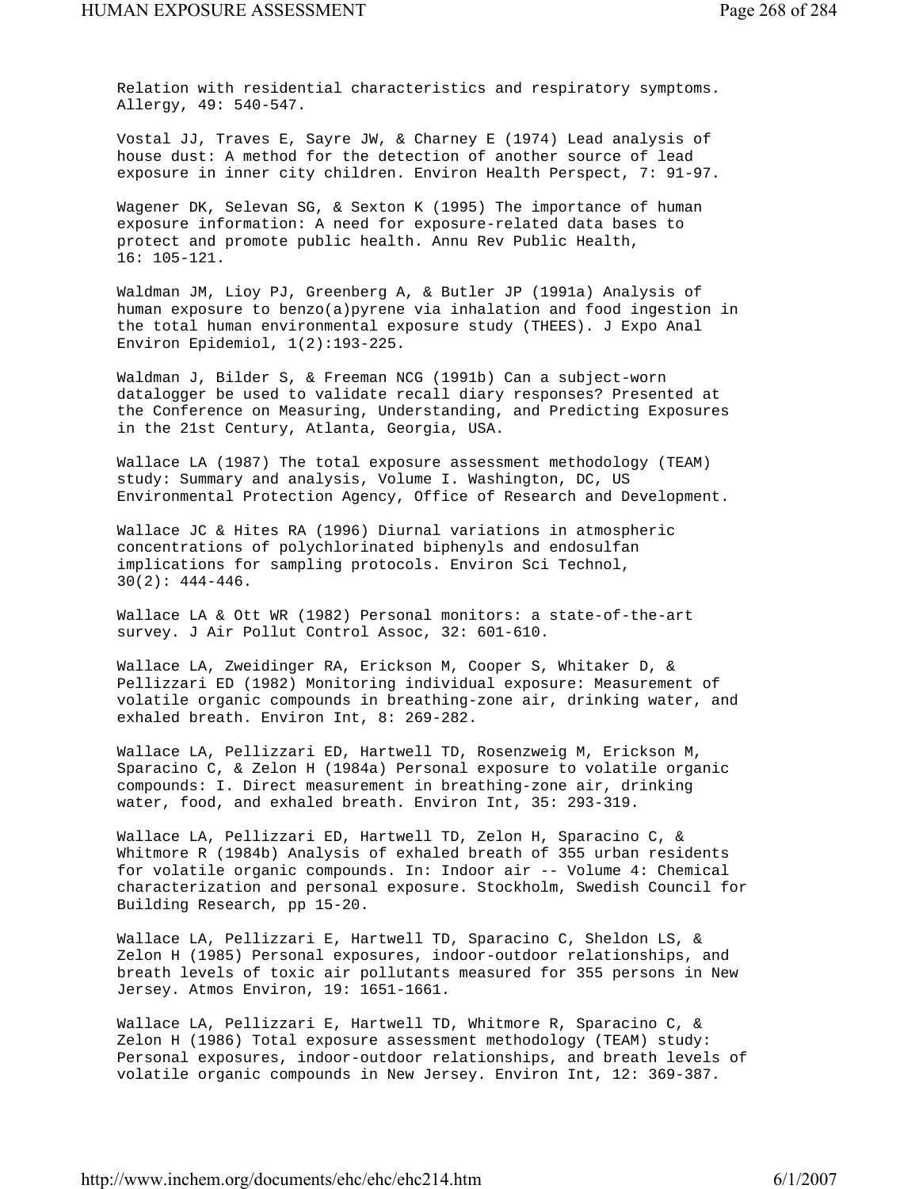Relation with residential characteristics and respiratory symptoms. Allergy, 49: 540-547.

 Vostal JJ, Traves E, Sayre JW, & Charney E (1974) Lead analysis of house dust: A method for the detection of another source of lead exposure in inner city children. Environ Health Perspect, 7: 91-97.

 Wagener DK, Selevan SG, & Sexton K (1995) The importance of human exposure information: A need for exposure-related data bases to protect and promote public health. Annu Rev Public Health, 16: 105-121.

 Waldman JM, Lioy PJ, Greenberg A, & Butler JP (1991a) Analysis of human exposure to benzo(a)pyrene via inhalation and food ingestion in the total human environmental exposure study (THEES). J Expo Anal Environ Epidemiol, 1(2):193-225.

 Waldman J, Bilder S, & Freeman NCG (1991b) Can a subject-worn datalogger be used to validate recall diary responses? Presented at the Conference on Measuring, Understanding, and Predicting Exposures in the 21st Century, Atlanta, Georgia, USA.

 Wallace LA (1987) The total exposure assessment methodology (TEAM) study: Summary and analysis, Volume I. Washington, DC, US Environmental Protection Agency, Office of Research and Development.

 Wallace JC & Hites RA (1996) Diurnal variations in atmospheric concentrations of polychlorinated biphenyls and endosulfan implications for sampling protocols. Environ Sci Technol,  $30(2): 444-446.$ 

 Wallace LA & Ott WR (1982) Personal monitors: a state-of-the-art survey. J Air Pollut Control Assoc, 32: 601-610.

 Wallace LA, Zweidinger RA, Erickson M, Cooper S, Whitaker D, & Pellizzari ED (1982) Monitoring individual exposure: Measurement of volatile organic compounds in breathing-zone air, drinking water, and exhaled breath. Environ Int, 8: 269-282.

 Wallace LA, Pellizzari ED, Hartwell TD, Rosenzweig M, Erickson M, Sparacino C, & Zelon H (1984a) Personal exposure to volatile organic compounds: I. Direct measurement in breathing-zone air, drinking water, food, and exhaled breath. Environ Int, 35: 293-319.

 Wallace LA, Pellizzari ED, Hartwell TD, Zelon H, Sparacino C, & Whitmore R (1984b) Analysis of exhaled breath of 355 urban residents for volatile organic compounds. In: Indoor air -- Volume 4: Chemical characterization and personal exposure. Stockholm, Swedish Council for Building Research, pp 15-20.

 Wallace LA, Pellizzari E, Hartwell TD, Sparacino C, Sheldon LS, & Zelon H (1985) Personal exposures, indoor-outdoor relationships, and breath levels of toxic air pollutants measured for 355 persons in New Jersey. Atmos Environ, 19: 1651-1661.

 Wallace LA, Pellizzari E, Hartwell TD, Whitmore R, Sparacino C, & Zelon H (1986) Total exposure assessment methodology (TEAM) study: Personal exposures, indoor-outdoor relationships, and breath levels of volatile organic compounds in New Jersey. Environ Int, 12: 369-387.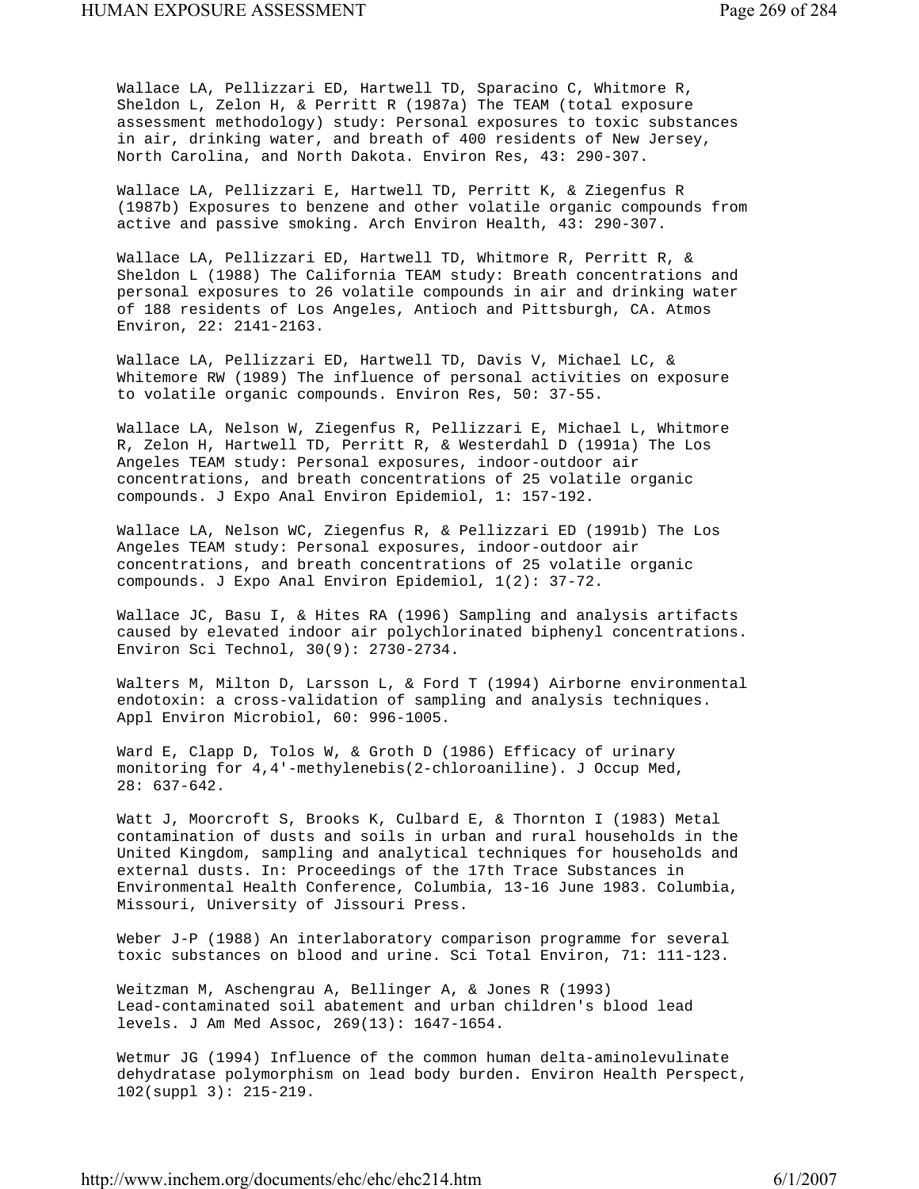Wallace LA, Pellizzari ED, Hartwell TD, Sparacino C, Whitmore R, Sheldon L, Zelon H, & Perritt R (1987a) The TEAM (total exposure assessment methodology) study: Personal exposures to toxic substances in air, drinking water, and breath of 400 residents of New Jersey, North Carolina, and North Dakota. Environ Res, 43: 290-307.

 Wallace LA, Pellizzari E, Hartwell TD, Perritt K, & Ziegenfus R (1987b) Exposures to benzene and other volatile organic compounds from active and passive smoking. Arch Environ Health, 43: 290-307.

 Wallace LA, Pellizzari ED, Hartwell TD, Whitmore R, Perritt R, & Sheldon L (1988) The California TEAM study: Breath concentrations and personal exposures to 26 volatile compounds in air and drinking water of 188 residents of Los Angeles, Antioch and Pittsburgh, CA. Atmos Environ, 22: 2141-2163.

 Wallace LA, Pellizzari ED, Hartwell TD, Davis V, Michael LC, & Whitemore RW (1989) The influence of personal activities on exposure to volatile organic compounds. Environ Res, 50: 37-55.

 Wallace LA, Nelson W, Ziegenfus R, Pellizzari E, Michael L, Whitmore R, Zelon H, Hartwell TD, Perritt R, & Westerdahl D (1991a) The Los Angeles TEAM study: Personal exposures, indoor-outdoor air concentrations, and breath concentrations of 25 volatile organic compounds. J Expo Anal Environ Epidemiol, 1: 157-192.

 Wallace LA, Nelson WC, Ziegenfus R, & Pellizzari ED (1991b) The Los Angeles TEAM study: Personal exposures, indoor-outdoor air concentrations, and breath concentrations of 25 volatile organic compounds. J Expo Anal Environ Epidemiol, 1(2): 37-72.

 Wallace JC, Basu I, & Hites RA (1996) Sampling and analysis artifacts caused by elevated indoor air polychlorinated biphenyl concentrations. Environ Sci Technol, 30(9): 2730-2734.

 Walters M, Milton D, Larsson L, & Ford T (1994) Airborne environmental endotoxin: a cross-validation of sampling and analysis techniques. Appl Environ Microbiol, 60: 996-1005.

Ward E, Clapp D, Tolos W, & Groth D (1986) Efficacy of urinary monitoring for 4,4'-methylenebis(2-chloroaniline). J Occup Med, 28: 637-642.

 Watt J, Moorcroft S, Brooks K, Culbard E, & Thornton I (1983) Metal contamination of dusts and soils in urban and rural households in the United Kingdom, sampling and analytical techniques for households and external dusts. In: Proceedings of the 17th Trace Substances in Environmental Health Conference, Columbia, 13-16 June 1983. Columbia, Missouri, University of Jissouri Press.

 Weber J-P (1988) An interlaboratory comparison programme for several toxic substances on blood and urine. Sci Total Environ, 71: 111-123.

 Weitzman M, Aschengrau A, Bellinger A, & Jones R (1993) Lead-contaminated soil abatement and urban children's blood lead levels. J Am Med Assoc, 269(13): 1647-1654.

 Wetmur JG (1994) Influence of the common human delta-aminolevulinate dehydratase polymorphism on lead body burden. Environ Health Perspect, 102(suppl 3): 215-219.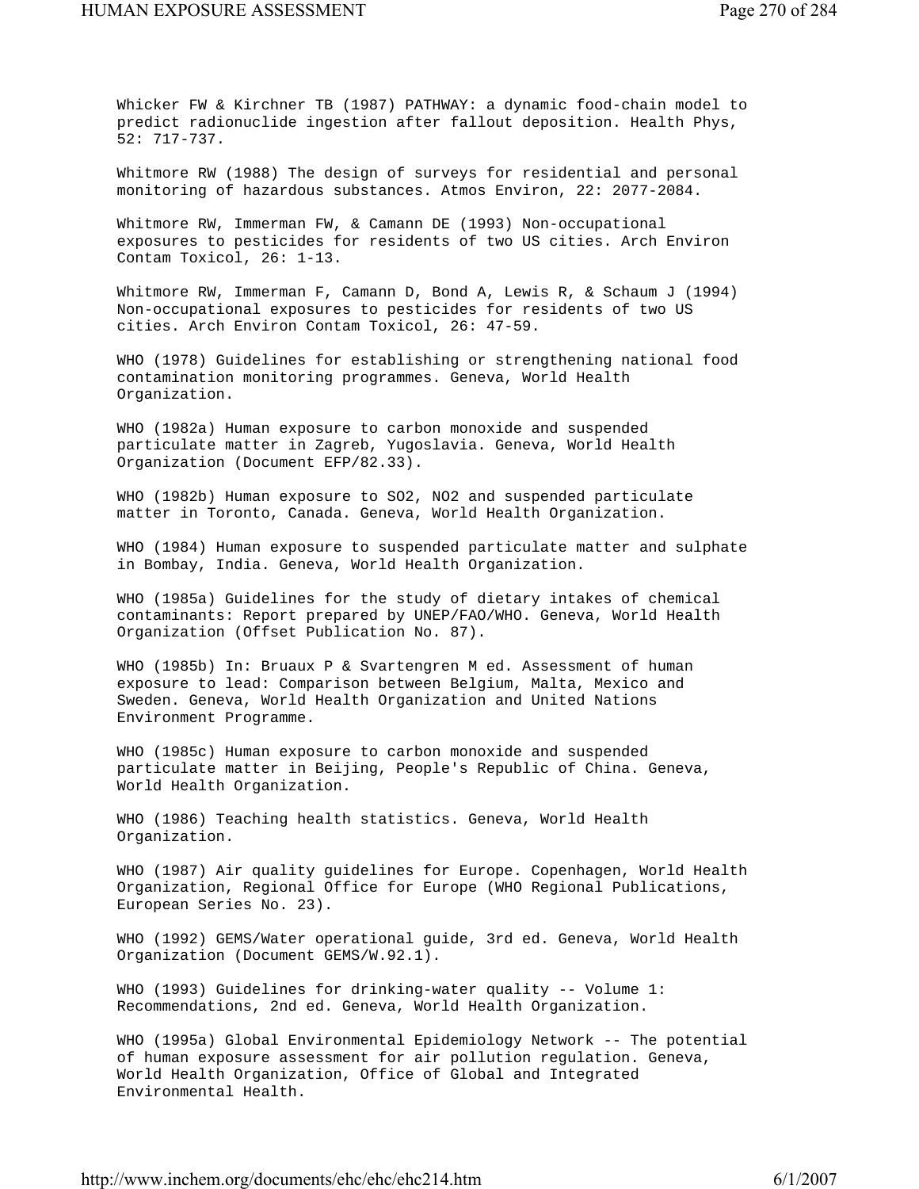Whicker FW & Kirchner TB (1987) PATHWAY: a dynamic food-chain model to predict radionuclide ingestion after fallout deposition. Health Phys, 52: 717-737.

 Whitmore RW (1988) The design of surveys for residential and personal monitoring of hazardous substances. Atmos Environ, 22: 2077-2084.

 Whitmore RW, Immerman FW, & Camann DE (1993) Non-occupational exposures to pesticides for residents of two US cities. Arch Environ Contam Toxicol, 26: 1-13.

 Whitmore RW, Immerman F, Camann D, Bond A, Lewis R, & Schaum J (1994) Non-occupational exposures to pesticides for residents of two US cities. Arch Environ Contam Toxicol, 26: 47-59.

 WHO (1978) Guidelines for establishing or strengthening national food contamination monitoring programmes. Geneva, World Health Organization.

 WHO (1982a) Human exposure to carbon monoxide and suspended particulate matter in Zagreb, Yugoslavia. Geneva, World Health Organization (Document EFP/82.33).

 WHO (1982b) Human exposure to SO2, NO2 and suspended particulate matter in Toronto, Canada. Geneva, World Health Organization.

 WHO (1984) Human exposure to suspended particulate matter and sulphate in Bombay, India. Geneva, World Health Organization.

 WHO (1985a) Guidelines for the study of dietary intakes of chemical contaminants: Report prepared by UNEP/FAO/WHO. Geneva, World Health Organization (Offset Publication No. 87).

 WHO (1985b) In: Bruaux P & Svartengren M ed. Assessment of human exposure to lead: Comparison between Belgium, Malta, Mexico and Sweden. Geneva, World Health Organization and United Nations Environment Programme.

 WHO (1985c) Human exposure to carbon monoxide and suspended particulate matter in Beijing, People's Republic of China. Geneva, World Health Organization.

 WHO (1986) Teaching health statistics. Geneva, World Health Organization.

 WHO (1987) Air quality guidelines for Europe. Copenhagen, World Health Organization, Regional Office for Europe (WHO Regional Publications, European Series No. 23).

 WHO (1992) GEMS/Water operational guide, 3rd ed. Geneva, World Health Organization (Document GEMS/W.92.1).

WHO (1993) Guidelines for drinking-water quality -- Volume 1: Recommendations, 2nd ed. Geneva, World Health Organization.

 WHO (1995a) Global Environmental Epidemiology Network -- The potential of human exposure assessment for air pollution regulation. Geneva, World Health Organization, Office of Global and Integrated Environmental Health.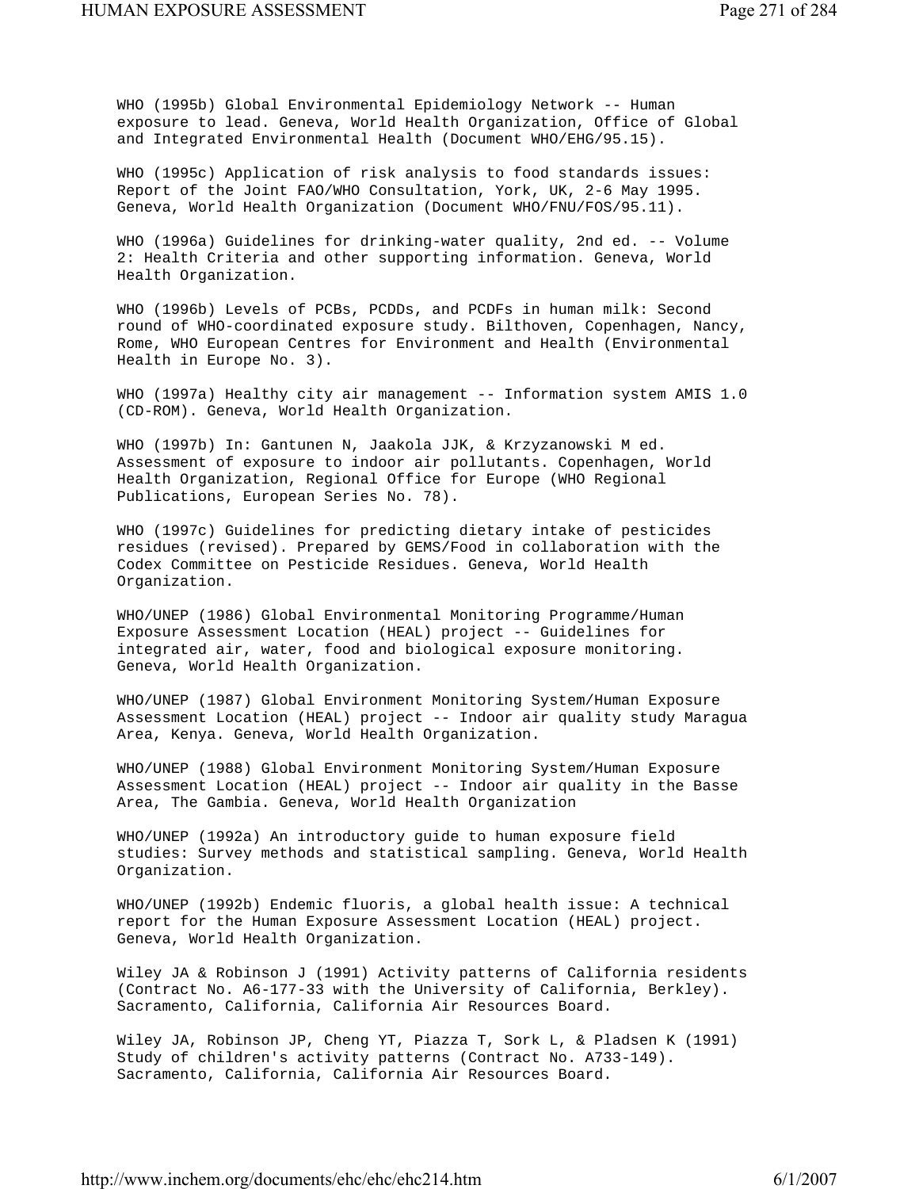WHO (1995b) Global Environmental Epidemiology Network -- Human exposure to lead. Geneva, World Health Organization, Office of Global and Integrated Environmental Health (Document WHO/EHG/95.15).

 WHO (1995c) Application of risk analysis to food standards issues: Report of the Joint FAO/WHO Consultation, York, UK, 2-6 May 1995. Geneva, World Health Organization (Document WHO/FNU/FOS/95.11).

 WHO (1996a) Guidelines for drinking-water quality, 2nd ed. -- Volume 2: Health Criteria and other supporting information. Geneva, World Health Organization.

 WHO (1996b) Levels of PCBs, PCDDs, and PCDFs in human milk: Second round of WHO-coordinated exposure study. Bilthoven, Copenhagen, Nancy, Rome, WHO European Centres for Environment and Health (Environmental Health in Europe No. 3).

WHO (1997a) Healthy city air management -- Information system AMIS 1.0 (CD-ROM). Geneva, World Health Organization.

 WHO (1997b) In: Gantunen N, Jaakola JJK, & Krzyzanowski M ed. Assessment of exposure to indoor air pollutants. Copenhagen, World Health Organization, Regional Office for Europe (WHO Regional Publications, European Series No. 78).

 WHO (1997c) Guidelines for predicting dietary intake of pesticides residues (revised). Prepared by GEMS/Food in collaboration with the Codex Committee on Pesticide Residues. Geneva, World Health Organization.

 WHO/UNEP (1986) Global Environmental Monitoring Programme/Human Exposure Assessment Location (HEAL) project -- Guidelines for integrated air, water, food and biological exposure monitoring. Geneva, World Health Organization.

 WHO/UNEP (1987) Global Environment Monitoring System/Human Exposure Assessment Location (HEAL) project -- Indoor air quality study Maragua Area, Kenya. Geneva, World Health Organization.

 WHO/UNEP (1988) Global Environment Monitoring System/Human Exposure Assessment Location (HEAL) project -- Indoor air quality in the Basse Area, The Gambia. Geneva, World Health Organization

 WHO/UNEP (1992a) An introductory guide to human exposure field studies: Survey methods and statistical sampling. Geneva, World Health Organization.

 WHO/UNEP (1992b) Endemic fluoris, a global health issue: A technical report for the Human Exposure Assessment Location (HEAL) project. Geneva, World Health Organization.

 Wiley JA & Robinson J (1991) Activity patterns of California residents (Contract No. A6-177-33 with the University of California, Berkley). Sacramento, California, California Air Resources Board.

 Wiley JA, Robinson JP, Cheng YT, Piazza T, Sork L, & Pladsen K (1991) Study of children's activity patterns (Contract No. A733-149). Sacramento, California, California Air Resources Board.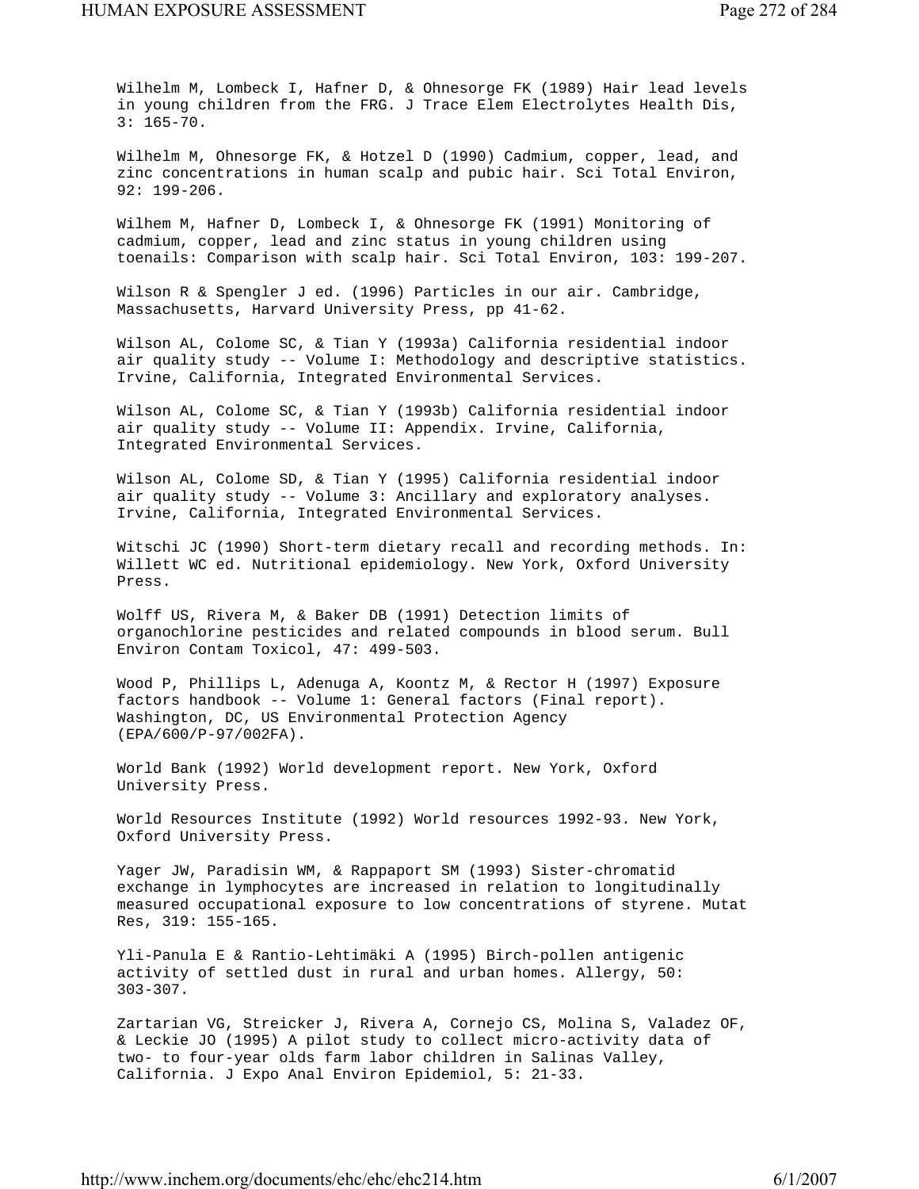Wilhelm M, Lombeck I, Hafner D, & Ohnesorge FK (1989) Hair lead levels in young children from the FRG. J Trace Elem Electrolytes Health Dis, 3: 165-70.

 Wilhelm M, Ohnesorge FK, & Hotzel D (1990) Cadmium, copper, lead, and zinc concentrations in human scalp and pubic hair. Sci Total Environ, 92: 199-206.

 Wilhem M, Hafner D, Lombeck I, & Ohnesorge FK (1991) Monitoring of cadmium, copper, lead and zinc status in young children using toenails: Comparison with scalp hair. Sci Total Environ, 103: 199-207.

 Wilson R & Spengler J ed. (1996) Particles in our air. Cambridge, Massachusetts, Harvard University Press, pp 41-62.

 Wilson AL, Colome SC, & Tian Y (1993a) California residential indoor air quality study -- Volume I: Methodology and descriptive statistics. Irvine, California, Integrated Environmental Services.

 Wilson AL, Colome SC, & Tian Y (1993b) California residential indoor air quality study -- Volume II: Appendix. Irvine, California, Integrated Environmental Services.

 Wilson AL, Colome SD, & Tian Y (1995) California residential indoor air quality study -- Volume 3: Ancillary and exploratory analyses. Irvine, California, Integrated Environmental Services.

 Witschi JC (1990) Short-term dietary recall and recording methods. In: Willett WC ed. Nutritional epidemiology. New York, Oxford University Press.

 Wolff US, Rivera M, & Baker DB (1991) Detection limits of organochlorine pesticides and related compounds in blood serum. Bull Environ Contam Toxicol, 47: 499-503.

 Wood P, Phillips L, Adenuga A, Koontz M, & Rector H (1997) Exposure factors handbook -- Volume 1: General factors (Final report). Washington, DC, US Environmental Protection Agency (EPA/600/P-97/002FA).

 World Bank (1992) World development report. New York, Oxford University Press.

 World Resources Institute (1992) World resources 1992-93. New York, Oxford University Press.

 Yager JW, Paradisin WM, & Rappaport SM (1993) Sister-chromatid exchange in lymphocytes are increased in relation to longitudinally measured occupational exposure to low concentrations of styrene. Mutat Res, 319: 155-165.

 Yli-Panula E & Rantio-Lehtimäki A (1995) Birch-pollen antigenic activity of settled dust in rural and urban homes. Allergy, 50: 303-307.

 Zartarian VG, Streicker J, Rivera A, Cornejo CS, Molina S, Valadez OF, & Leckie JO (1995) A pilot study to collect micro-activity data of two- to four-year olds farm labor children in Salinas Valley, California. J Expo Anal Environ Epidemiol, 5: 21-33.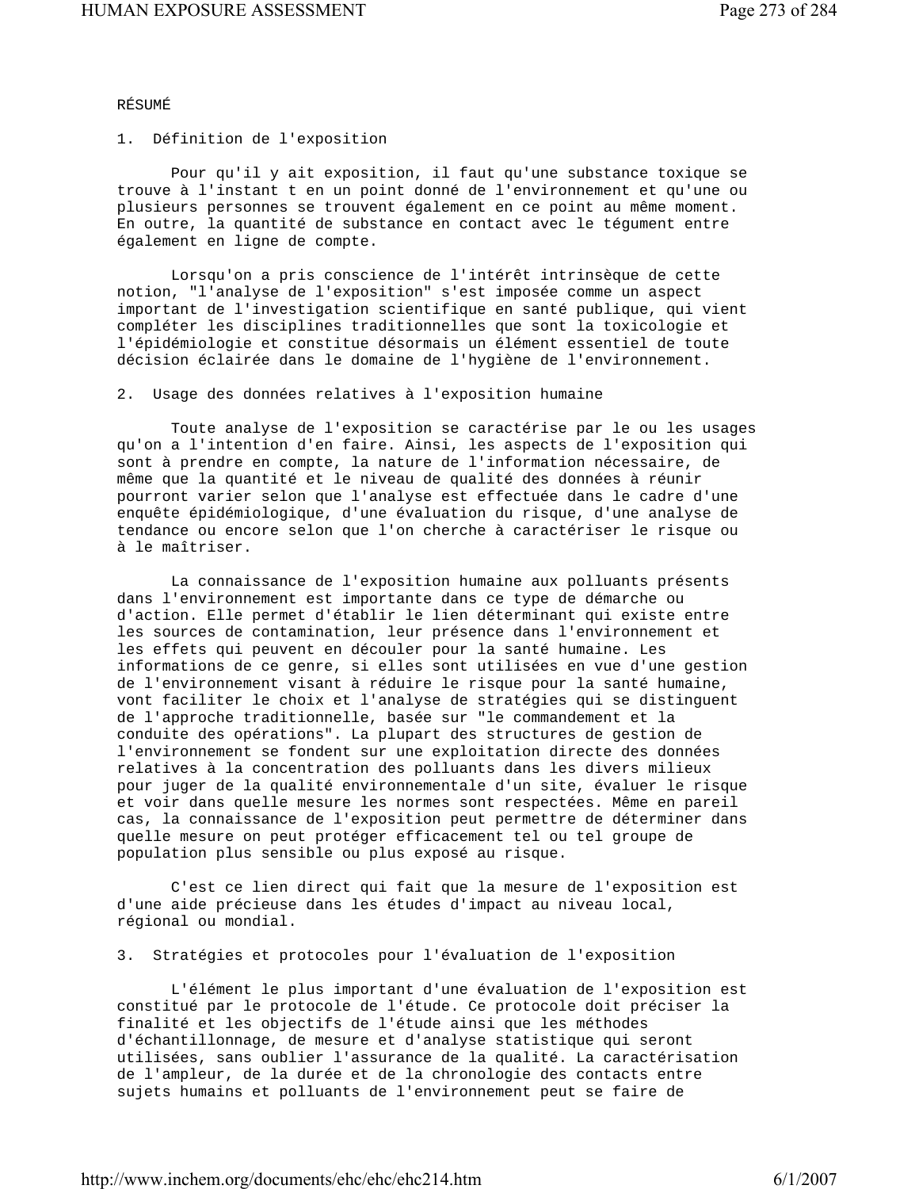RÉSUMÉ

## 1. Définition de l'exposition

 Pour qu'il y ait exposition, il faut qu'une substance toxique se trouve à l'instant t en un point donné de l'environnement et qu'une ou plusieurs personnes se trouvent également en ce point au même moment. En outre, la quantité de substance en contact avec le tégument entre également en ligne de compte.

 Lorsqu'on a pris conscience de l'intérêt intrinsèque de cette notion, "l'analyse de l'exposition" s'est imposée comme un aspect important de l'investigation scientifique en santé publique, qui vient compléter les disciplines traditionnelles que sont la toxicologie et l'épidémiologie et constitue désormais un élément essentiel de toute décision éclairée dans le domaine de l'hygiène de l'environnement.

2. Usage des données relatives à l'exposition humaine

 Toute analyse de l'exposition se caractérise par le ou les usages qu'on a l'intention d'en faire. Ainsi, les aspects de l'exposition qui sont à prendre en compte, la nature de l'information nécessaire, de même que la quantité et le niveau de qualité des données à réunir pourront varier selon que l'analyse est effectuée dans le cadre d'une enquête épidémiologique, d'une évaluation du risque, d'une analyse de tendance ou encore selon que l'on cherche à caractériser le risque ou à le maîtriser.

 La connaissance de l'exposition humaine aux polluants présents dans l'environnement est importante dans ce type de démarche ou d'action. Elle permet d'établir le lien déterminant qui existe entre les sources de contamination, leur présence dans l'environnement et les effets qui peuvent en découler pour la santé humaine. Les informations de ce genre, si elles sont utilisées en vue d'une gestion de l'environnement visant à réduire le risque pour la santé humaine, vont faciliter le choix et l'analyse de stratégies qui se distinguent de l'approche traditionnelle, basée sur "le commandement et la conduite des opérations". La plupart des structures de gestion de l'environnement se fondent sur une exploitation directe des données relatives à la concentration des polluants dans les divers milieux pour juger de la qualité environnementale d'un site, évaluer le risque et voir dans quelle mesure les normes sont respectées. Même en pareil cas, la connaissance de l'exposition peut permettre de déterminer dans quelle mesure on peut protéger efficacement tel ou tel groupe de population plus sensible ou plus exposé au risque.

 C'est ce lien direct qui fait que la mesure de l'exposition est d'une aide précieuse dans les études d'impact au niveau local, régional ou mondial.

3. Stratégies et protocoles pour l'évaluation de l'exposition

 L'élément le plus important d'une évaluation de l'exposition est constitué par le protocole de l'étude. Ce protocole doit préciser la finalité et les objectifs de l'étude ainsi que les méthodes d'échantillonnage, de mesure et d'analyse statistique qui seront utilisées, sans oublier l'assurance de la qualité. La caractérisation de l'ampleur, de la durée et de la chronologie des contacts entre sujets humains et polluants de l'environnement peut se faire de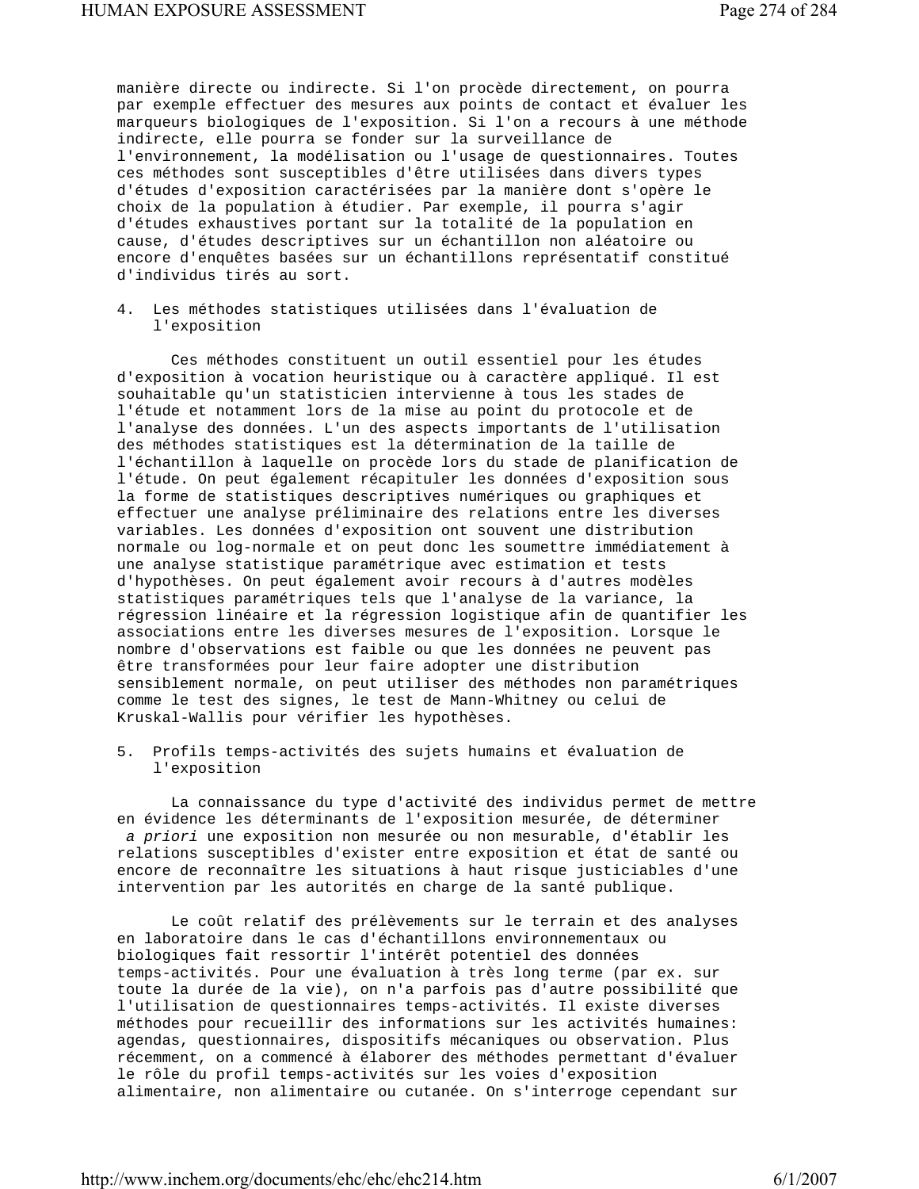manière directe ou indirecte. Si l'on procède directement, on pourra par exemple effectuer des mesures aux points de contact et évaluer les marqueurs biologiques de l'exposition. Si l'on a recours à une méthode indirecte, elle pourra se fonder sur la surveillance de l'environnement, la modélisation ou l'usage de questionnaires. Toutes ces méthodes sont susceptibles d'être utilisées dans divers types d'études d'exposition caractérisées par la manière dont s'opère le choix de la population à étudier. Par exemple, il pourra s'agir d'études exhaustives portant sur la totalité de la population en cause, d'études descriptives sur un échantillon non aléatoire ou encore d'enquêtes basées sur un échantillons représentatif constitué d'individus tirés au sort.

 4. Les méthodes statistiques utilisées dans l'évaluation de l'exposition

 Ces méthodes constituent un outil essentiel pour les études d'exposition à vocation heuristique ou à caractère appliqué. Il est souhaitable qu'un statisticien intervienne à tous les stades de l'étude et notamment lors de la mise au point du protocole et de l'analyse des données. L'un des aspects importants de l'utilisation des méthodes statistiques est la détermination de la taille de l'échantillon à laquelle on procède lors du stade de planification de l'étude. On peut également récapituler les données d'exposition sous la forme de statistiques descriptives numériques ou graphiques et effectuer une analyse préliminaire des relations entre les diverses variables. Les données d'exposition ont souvent une distribution normale ou log-normale et on peut donc les soumettre immédiatement à une analyse statistique paramétrique avec estimation et tests d'hypothèses. On peut également avoir recours à d'autres modèles statistiques paramétriques tels que l'analyse de la variance, la régression linéaire et la régression logistique afin de quantifier les associations entre les diverses mesures de l'exposition. Lorsque le nombre d'observations est faible ou que les données ne peuvent pas être transformées pour leur faire adopter une distribution sensiblement normale, on peut utiliser des méthodes non paramétriques comme le test des signes, le test de Mann-Whitney ou celui de Kruskal-Wallis pour vérifier les hypothèses.

 5. Profils temps-activités des sujets humains et évaluation de l'exposition

 La connaissance du type d'activité des individus permet de mettre en évidence les déterminants de l'exposition mesurée, de déterminer *a priori* une exposition non mesurée ou non mesurable, d'établir les relations susceptibles d'exister entre exposition et état de santé ou encore de reconnaître les situations à haut risque justiciables d'une intervention par les autorités en charge de la santé publique.

 Le coût relatif des prélèvements sur le terrain et des analyses en laboratoire dans le cas d'échantillons environnementaux ou biologiques fait ressortir l'intérêt potentiel des données temps-activités. Pour une évaluation à très long terme (par ex. sur toute la durée de la vie), on n'a parfois pas d'autre possibilité que l'utilisation de questionnaires temps-activités. Il existe diverses méthodes pour recueillir des informations sur les activités humaines: agendas, questionnaires, dispositifs mécaniques ou observation. Plus récemment, on a commencé à élaborer des méthodes permettant d'évaluer le rôle du profil temps-activités sur les voies d'exposition alimentaire, non alimentaire ou cutanée. On s'interroge cependant sur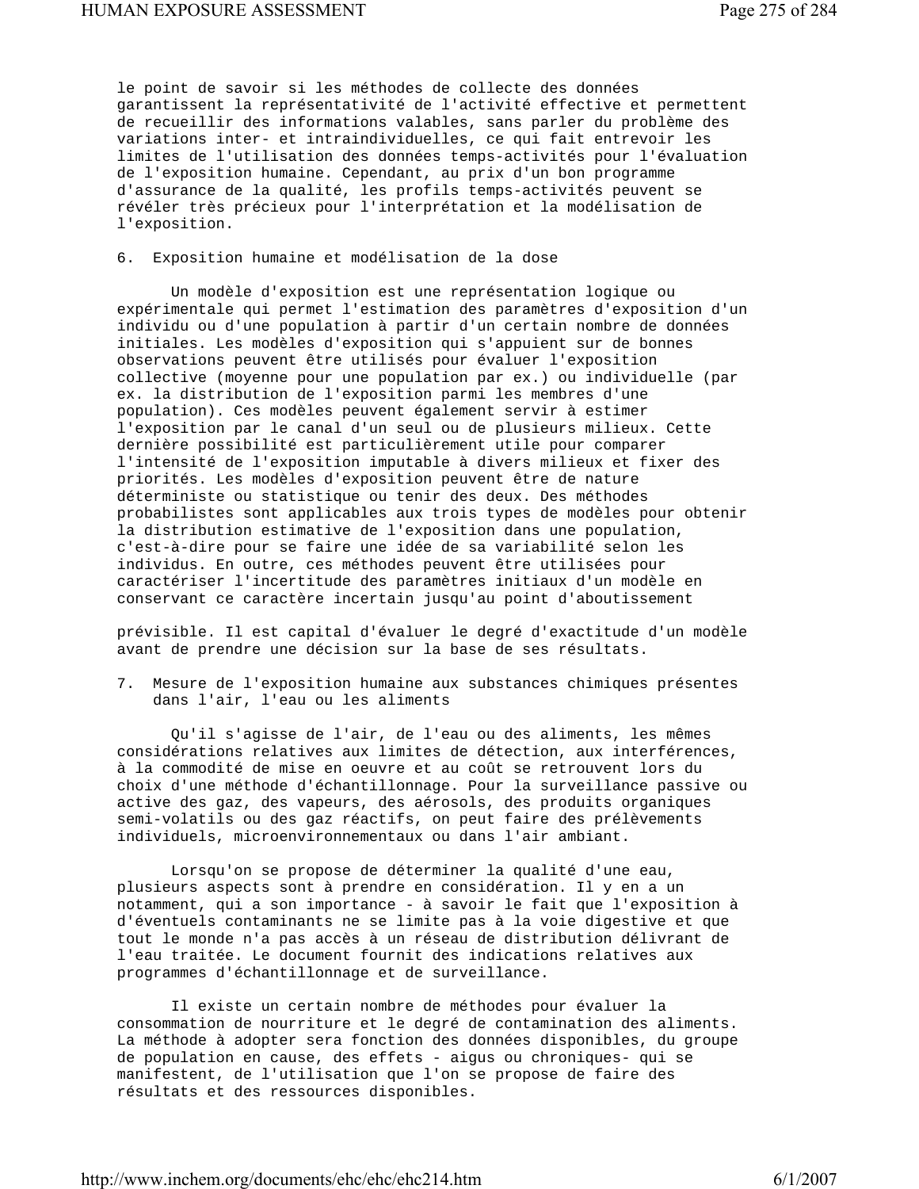le point de savoir si les méthodes de collecte des données garantissent la représentativité de l'activité effective et permettent de recueillir des informations valables, sans parler du problème des variations inter- et intraindividuelles, ce qui fait entrevoir les limites de l'utilisation des données temps-activités pour l'évaluation de l'exposition humaine. Cependant, au prix d'un bon programme d'assurance de la qualité, les profils temps-activités peuvent se révéler très précieux pour l'interprétation et la modélisation de l'exposition.

## 6. Exposition humaine et modélisation de la dose

 Un modèle d'exposition est une représentation logique ou expérimentale qui permet l'estimation des paramètres d'exposition d'un individu ou d'une population à partir d'un certain nombre de données initiales. Les modèles d'exposition qui s'appuient sur de bonnes observations peuvent être utilisés pour évaluer l'exposition collective (moyenne pour une population par ex.) ou individuelle (par ex. la distribution de l'exposition parmi les membres d'une population). Ces modèles peuvent également servir à estimer l'exposition par le canal d'un seul ou de plusieurs milieux. Cette dernière possibilité est particulièrement utile pour comparer l'intensité de l'exposition imputable à divers milieux et fixer des priorités. Les modèles d'exposition peuvent être de nature déterministe ou statistique ou tenir des deux. Des méthodes probabilistes sont applicables aux trois types de modèles pour obtenir la distribution estimative de l'exposition dans une population, c'est-à-dire pour se faire une idée de sa variabilité selon les individus. En outre, ces méthodes peuvent être utilisées pour caractériser l'incertitude des paramètres initiaux d'un modèle en conservant ce caractère incertain jusqu'au point d'aboutissement

 prévisible. Il est capital d'évaluer le degré d'exactitude d'un modèle avant de prendre une décision sur la base de ses résultats.

 7. Mesure de l'exposition humaine aux substances chimiques présentes dans l'air, l'eau ou les aliments

 Qu'il s'agisse de l'air, de l'eau ou des aliments, les mêmes considérations relatives aux limites de détection, aux interférences, à la commodité de mise en oeuvre et au coût se retrouvent lors du choix d'une méthode d'échantillonnage. Pour la surveillance passive ou active des gaz, des vapeurs, des aérosols, des produits organiques semi-volatils ou des gaz réactifs, on peut faire des prélèvements individuels, microenvironnementaux ou dans l'air ambiant.

 Lorsqu'on se propose de déterminer la qualité d'une eau, plusieurs aspects sont à prendre en considération. Il y en a un notamment, qui a son importance - à savoir le fait que l'exposition à d'éventuels contaminants ne se limite pas à la voie digestive et que tout le monde n'a pas accès à un réseau de distribution délivrant de l'eau traitée. Le document fournit des indications relatives aux programmes d'échantillonnage et de surveillance.

 Il existe un certain nombre de méthodes pour évaluer la consommation de nourriture et le degré de contamination des aliments. La méthode à adopter sera fonction des données disponibles, du groupe de population en cause, des effets - aigus ou chroniques- qui se manifestent, de l'utilisation que l'on se propose de faire des résultats et des ressources disponibles.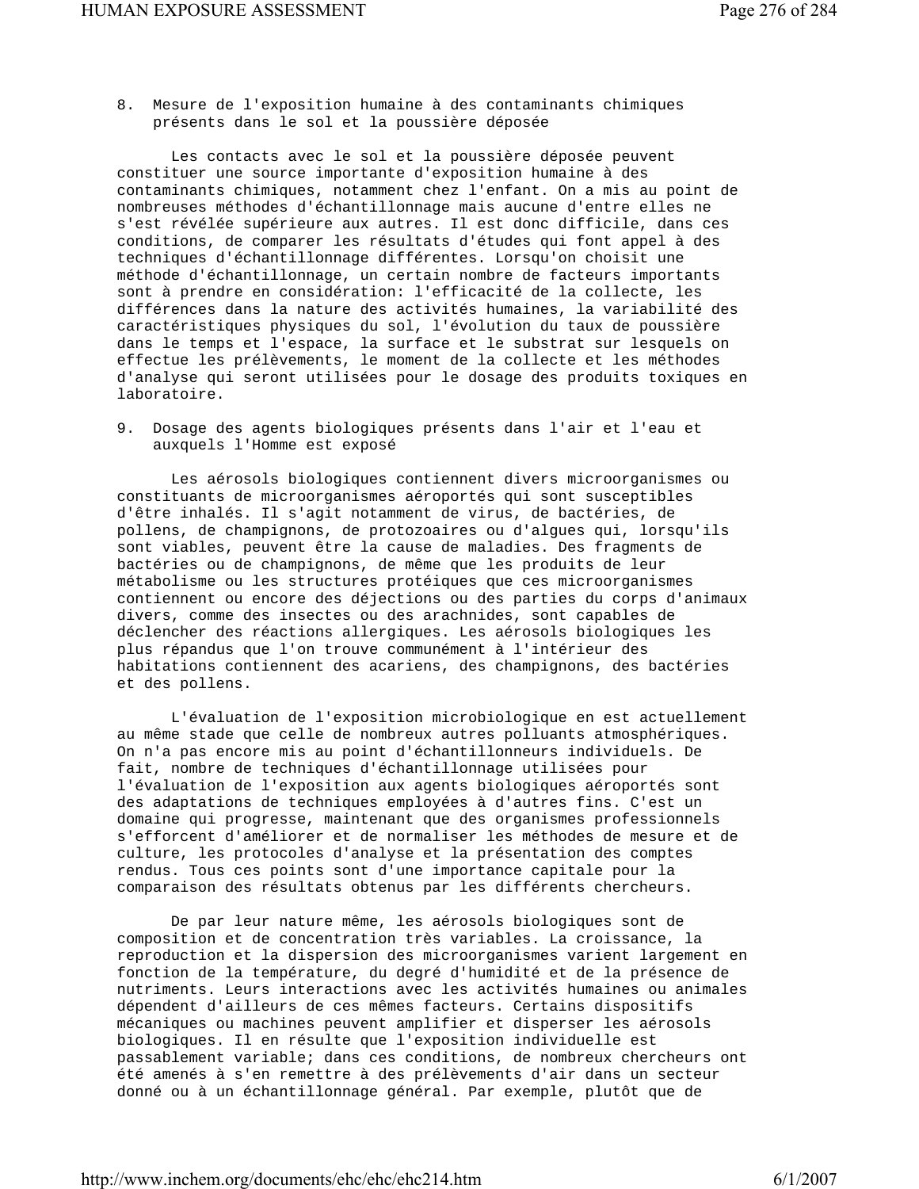8. Mesure de l'exposition humaine à des contaminants chimiques présents dans le sol et la poussière déposée

 Les contacts avec le sol et la poussière déposée peuvent constituer une source importante d'exposition humaine à des contaminants chimiques, notamment chez l'enfant. On a mis au point de nombreuses méthodes d'échantillonnage mais aucune d'entre elles ne s'est révélée supérieure aux autres. Il est donc difficile, dans ces conditions, de comparer les résultats d'études qui font appel à des techniques d'échantillonnage différentes. Lorsqu'on choisit une méthode d'échantillonnage, un certain nombre de facteurs importants sont à prendre en considération: l'efficacité de la collecte, les différences dans la nature des activités humaines, la variabilité des caractéristiques physiques du sol, l'évolution du taux de poussière dans le temps et l'espace, la surface et le substrat sur lesquels on effectue les prélèvements, le moment de la collecte et les méthodes d'analyse qui seront utilisées pour le dosage des produits toxiques en laboratoire.

 9. Dosage des agents biologiques présents dans l'air et l'eau et auxquels l'Homme est exposé

 Les aérosols biologiques contiennent divers microorganismes ou constituants de microorganismes aéroportés qui sont susceptibles d'être inhalés. Il s'agit notamment de virus, de bactéries, de pollens, de champignons, de protozoaires ou d'algues qui, lorsqu'ils sont viables, peuvent être la cause de maladies. Des fragments de bactéries ou de champignons, de même que les produits de leur métabolisme ou les structures protéiques que ces microorganismes contiennent ou encore des déjections ou des parties du corps d'animaux divers, comme des insectes ou des arachnides, sont capables de déclencher des réactions allergiques. Les aérosols biologiques les plus répandus que l'on trouve communément à l'intérieur des habitations contiennent des acariens, des champignons, des bactéries et des pollens.

 L'évaluation de l'exposition microbiologique en est actuellement au même stade que celle de nombreux autres polluants atmosphériques. On n'a pas encore mis au point d'échantillonneurs individuels. De fait, nombre de techniques d'échantillonnage utilisées pour l'évaluation de l'exposition aux agents biologiques aéroportés sont des adaptations de techniques employées à d'autres fins. C'est un domaine qui progresse, maintenant que des organismes professionnels s'efforcent d'améliorer et de normaliser les méthodes de mesure et de culture, les protocoles d'analyse et la présentation des comptes rendus. Tous ces points sont d'une importance capitale pour la comparaison des résultats obtenus par les différents chercheurs.

 De par leur nature même, les aérosols biologiques sont de composition et de concentration très variables. La croissance, la reproduction et la dispersion des microorganismes varient largement en fonction de la température, du degré d'humidité et de la présence de nutriments. Leurs interactions avec les activités humaines ou animales dépendent d'ailleurs de ces mêmes facteurs. Certains dispositifs mécaniques ou machines peuvent amplifier et disperser les aérosols biologiques. Il en résulte que l'exposition individuelle est passablement variable; dans ces conditions, de nombreux chercheurs ont été amenés à s'en remettre à des prélèvements d'air dans un secteur donné ou à un échantillonnage général. Par exemple, plutôt que de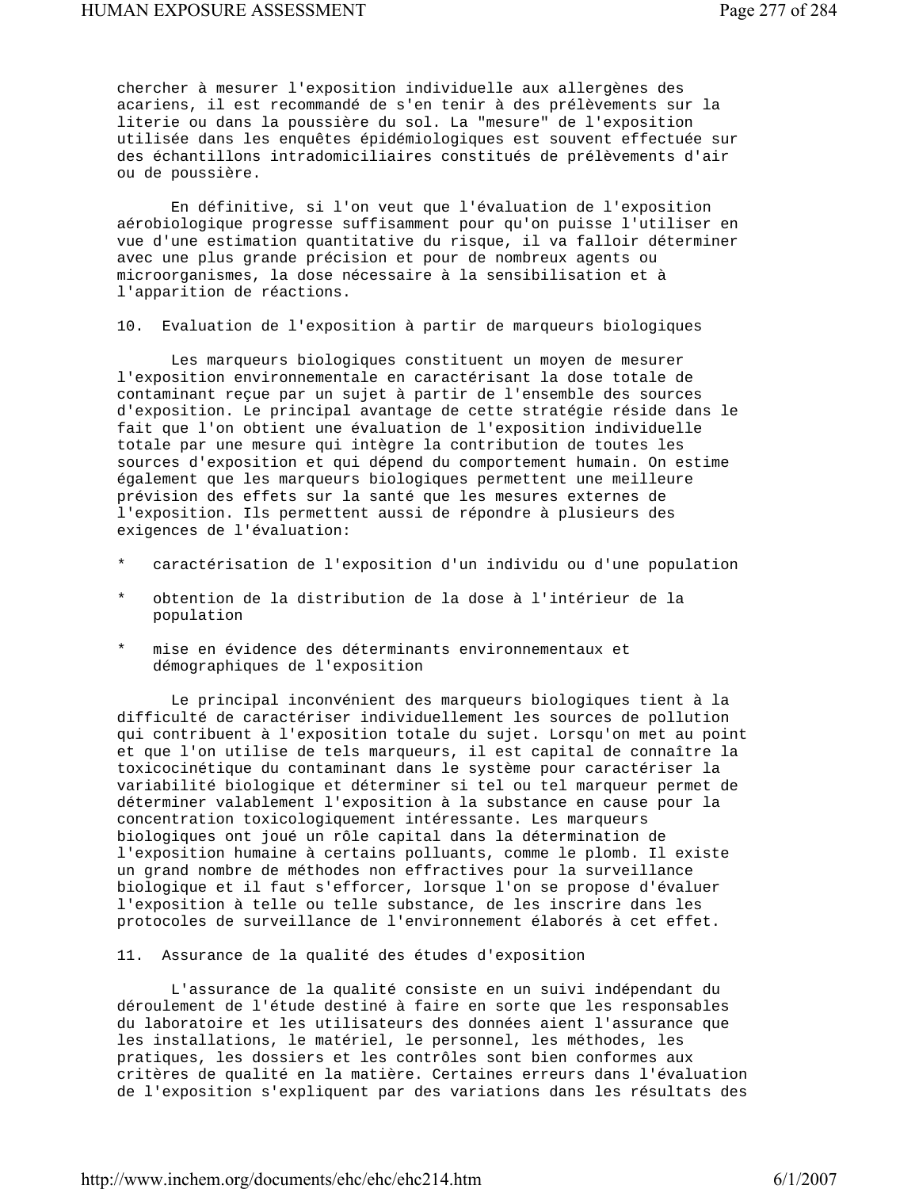chercher à mesurer l'exposition individuelle aux allergènes des acariens, il est recommandé de s'en tenir à des prélèvements sur la literie ou dans la poussière du sol. La "mesure" de l'exposition utilisée dans les enquêtes épidémiologiques est souvent effectuée sur des échantillons intradomiciliaires constitués de prélèvements d'air ou de poussière.

 En définitive, si l'on veut que l'évaluation de l'exposition aérobiologique progresse suffisamment pour qu'on puisse l'utiliser en vue d'une estimation quantitative du risque, il va falloir déterminer avec une plus grande précision et pour de nombreux agents ou microorganismes, la dose nécessaire à la sensibilisation et à l'apparition de réactions.

10. Evaluation de l'exposition à partir de marqueurs biologiques

 Les marqueurs biologiques constituent un moyen de mesurer l'exposition environnementale en caractérisant la dose totale de contaminant reçue par un sujet à partir de l'ensemble des sources d'exposition. Le principal avantage de cette stratégie réside dans le fait que l'on obtient une évaluation de l'exposition individuelle totale par une mesure qui intègre la contribution de toutes les sources d'exposition et qui dépend du comportement humain. On estime également que les marqueurs biologiques permettent une meilleure prévision des effets sur la santé que les mesures externes de l'exposition. Ils permettent aussi de répondre à plusieurs des exigences de l'évaluation:

- caractérisation de l'exposition d'un individu ou d'une population
- \* obtention de la distribution de la dose à l'intérieur de la population
- mise en évidence des déterminants environnementaux et démographiques de l'exposition

 Le principal inconvénient des marqueurs biologiques tient à la difficulté de caractériser individuellement les sources de pollution qui contribuent à l'exposition totale du sujet. Lorsqu'on met au point et que l'on utilise de tels marqueurs, il est capital de connaître la toxicocinétique du contaminant dans le système pour caractériser la variabilité biologique et déterminer si tel ou tel marqueur permet de déterminer valablement l'exposition à la substance en cause pour la concentration toxicologiquement intéressante. Les marqueurs biologiques ont joué un rôle capital dans la détermination de l'exposition humaine à certains polluants, comme le plomb. Il existe un grand nombre de méthodes non effractives pour la surveillance biologique et il faut s'efforcer, lorsque l'on se propose d'évaluer l'exposition à telle ou telle substance, de les inscrire dans les protocoles de surveillance de l'environnement élaborés à cet effet.

11. Assurance de la qualité des études d'exposition

 L'assurance de la qualité consiste en un suivi indépendant du déroulement de l'étude destiné à faire en sorte que les responsables du laboratoire et les utilisateurs des données aient l'assurance que les installations, le matériel, le personnel, les méthodes, les pratiques, les dossiers et les contrôles sont bien conformes aux critères de qualité en la matière. Certaines erreurs dans l'évaluation de l'exposition s'expliquent par des variations dans les résultats des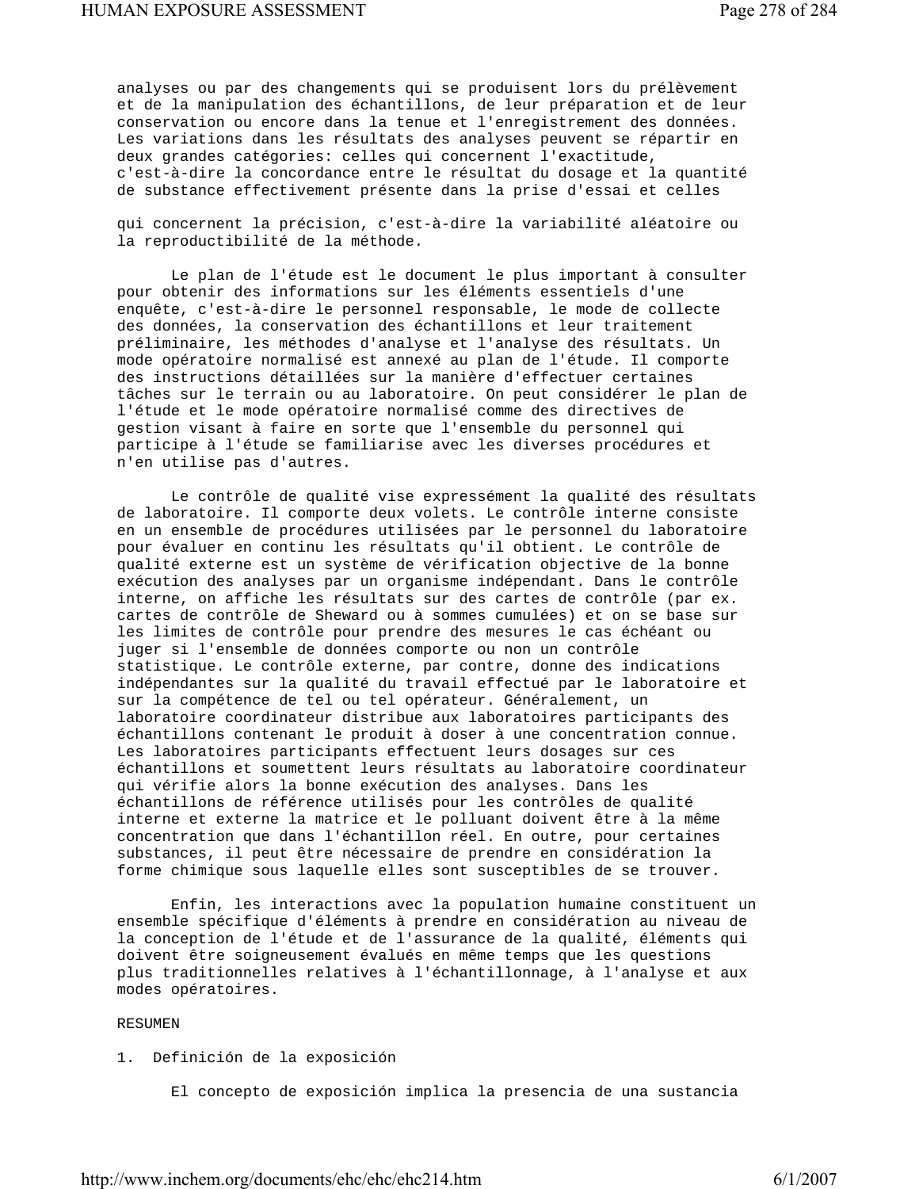analyses ou par des changements qui se produisent lors du prélèvement et de la manipulation des échantillons, de leur préparation et de leur conservation ou encore dans la tenue et l'enregistrement des données. Les variations dans les résultats des analyses peuvent se répartir en deux grandes catégories: celles qui concernent l'exactitude, c'est-à-dire la concordance entre le résultat du dosage et la quantité de substance effectivement présente dans la prise d'essai et celles

 qui concernent la précision, c'est-à-dire la variabilité aléatoire ou la reproductibilité de la méthode.

 Le plan de l'étude est le document le plus important à consulter pour obtenir des informations sur les éléments essentiels d'une enquête, c'est-à-dire le personnel responsable, le mode de collecte des données, la conservation des échantillons et leur traitement préliminaire, les méthodes d'analyse et l'analyse des résultats. Un mode opératoire normalisé est annexé au plan de l'étude. Il comporte des instructions détaillées sur la manière d'effectuer certaines tâches sur le terrain ou au laboratoire. On peut considérer le plan de l'étude et le mode opératoire normalisé comme des directives de gestion visant à faire en sorte que l'ensemble du personnel qui participe à l'étude se familiarise avec les diverses procédures et n'en utilise pas d'autres.

 Le contrôle de qualité vise expressément la qualité des résultats de laboratoire. Il comporte deux volets. Le contrôle interne consiste en un ensemble de procédures utilisées par le personnel du laboratoire pour évaluer en continu les résultats qu'il obtient. Le contrôle de qualité externe est un système de vérification objective de la bonne exécution des analyses par un organisme indépendant. Dans le contrôle interne, on affiche les résultats sur des cartes de contrôle (par ex. cartes de contrôle de Sheward ou à sommes cumulées) et on se base sur les limites de contrôle pour prendre des mesures le cas échéant ou juger si l'ensemble de données comporte ou non un contrôle statistique. Le contrôle externe, par contre, donne des indications indépendantes sur la qualité du travail effectué par le laboratoire et sur la compétence de tel ou tel opérateur. Généralement, un laboratoire coordinateur distribue aux laboratoires participants des échantillons contenant le produit à doser à une concentration connue. Les laboratoires participants effectuent leurs dosages sur ces échantillons et soumettent leurs résultats au laboratoire coordinateur qui vérifie alors la bonne exécution des analyses. Dans les échantillons de référence utilisés pour les contrôles de qualité interne et externe la matrice et le polluant doivent être à la même concentration que dans l'échantillon réel. En outre, pour certaines substances, il peut être nécessaire de prendre en considération la forme chimique sous laquelle elles sont susceptibles de se trouver.

 Enfin, les interactions avec la population humaine constituent un ensemble spécifique d'éléments à prendre en considération au niveau de la conception de l'étude et de l'assurance de la qualité, éléments qui doivent être soigneusement évalués en même temps que les questions plus traditionnelles relatives à l'échantillonnage, à l'analyse et aux modes opératoires.

## RESUMEN

1. Definición de la exposición

El concepto de exposición implica la presencia de una sustancia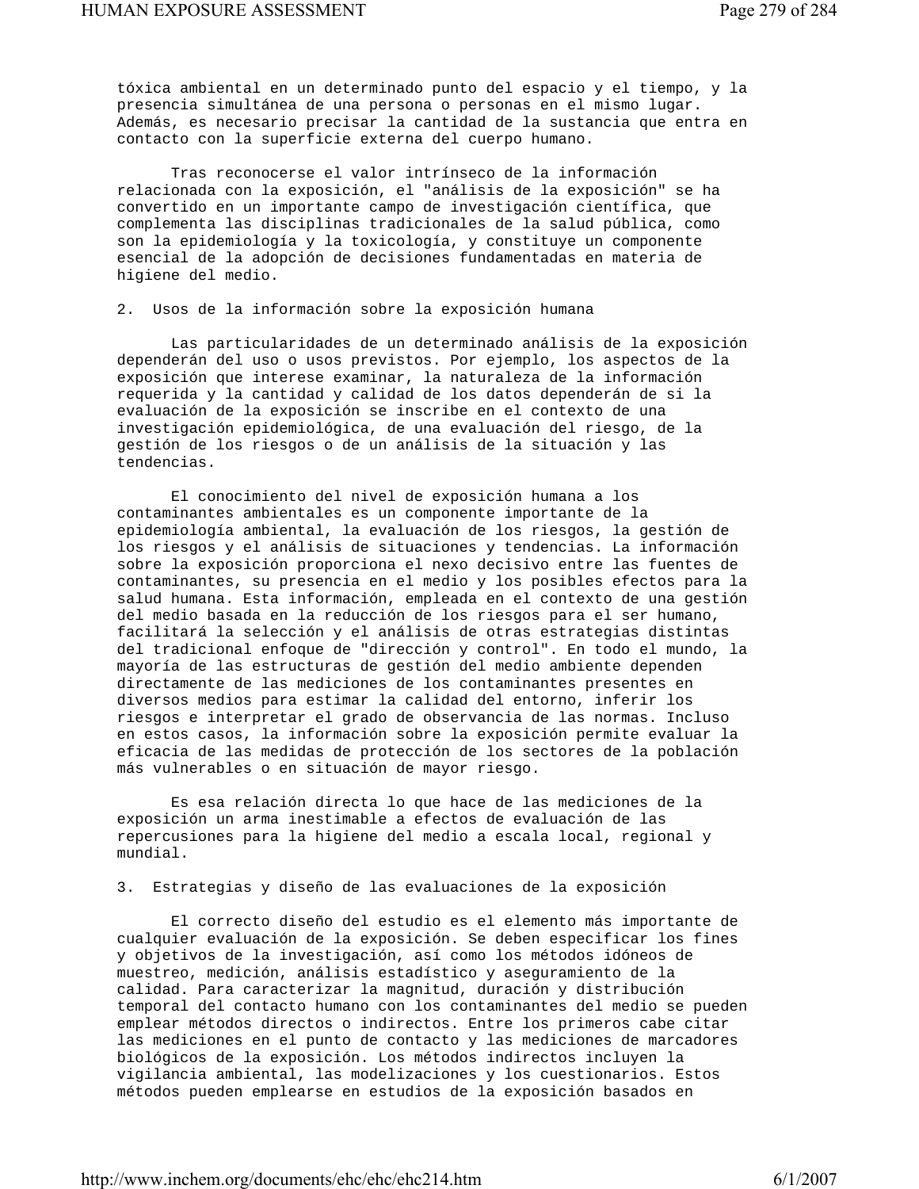tóxica ambiental en un determinado punto del espacio y el tiempo, y la presencia simultánea de una persona o personas en el mismo lugar. Además, es necesario precisar la cantidad de la sustancia que entra en contacto con la superficie externa del cuerpo humano.

 Tras reconocerse el valor intrínseco de la información relacionada con la exposición, el "análisis de la exposición" se ha convertido en un importante campo de investigación científica, que complementa las disciplinas tradicionales de la salud pública, como son la epidemiología y la toxicología, y constituye un componente esencial de la adopción de decisiones fundamentadas en materia de higiene del medio.

2. Usos de la información sobre la exposición humana

 Las particularidades de un determinado análisis de la exposición dependerán del uso o usos previstos. Por ejemplo, los aspectos de la exposición que interese examinar, la naturaleza de la información requerida y la cantidad y calidad de los datos dependerán de si la evaluación de la exposición se inscribe en el contexto de una investigación epidemiológica, de una evaluación del riesgo, de la gestión de los riesgos o de un análisis de la situación y las tendencias.

 El conocimiento del nivel de exposición humana a los contaminantes ambientales es un componente importante de la epidemiología ambiental, la evaluación de los riesgos, la gestión de los riesgos y el análisis de situaciones y tendencias. La información sobre la exposición proporciona el nexo decisivo entre las fuentes de contaminantes, su presencia en el medio y los posibles efectos para la salud humana. Esta información, empleada en el contexto de una gestión del medio basada en la reducción de los riesgos para el ser humano, facilitará la selección y el análisis de otras estrategias distintas del tradicional enfoque de "dirección y control". En todo el mundo, la mayoría de las estructuras de gestión del medio ambiente dependen directamente de las mediciones de los contaminantes presentes en diversos medios para estimar la calidad del entorno, inferir los riesgos e interpretar el grado de observancia de las normas. Incluso en estos casos, la información sobre la exposición permite evaluar la eficacia de las medidas de protección de los sectores de la población más vulnerables o en situación de mayor riesgo.

 Es esa relación directa lo que hace de las mediciones de la exposición un arma inestimable a efectos de evaluación de las repercusiones para la higiene del medio a escala local, regional y mundial.

3. Estrategias y diseño de las evaluaciones de la exposición

 El correcto diseño del estudio es el elemento más importante de cualquier evaluación de la exposición. Se deben especificar los fines y objetivos de la investigación, así como los métodos idóneos de muestreo, medición, análisis estadístico y aseguramiento de la calidad. Para caracterizar la magnitud, duración y distribución temporal del contacto humano con los contaminantes del medio se pueden emplear métodos directos o indirectos. Entre los primeros cabe citar las mediciones en el punto de contacto y las mediciones de marcadores biológicos de la exposición. Los métodos indirectos incluyen la vigilancia ambiental, las modelizaciones y los cuestionarios. Estos métodos pueden emplearse en estudios de la exposición basados en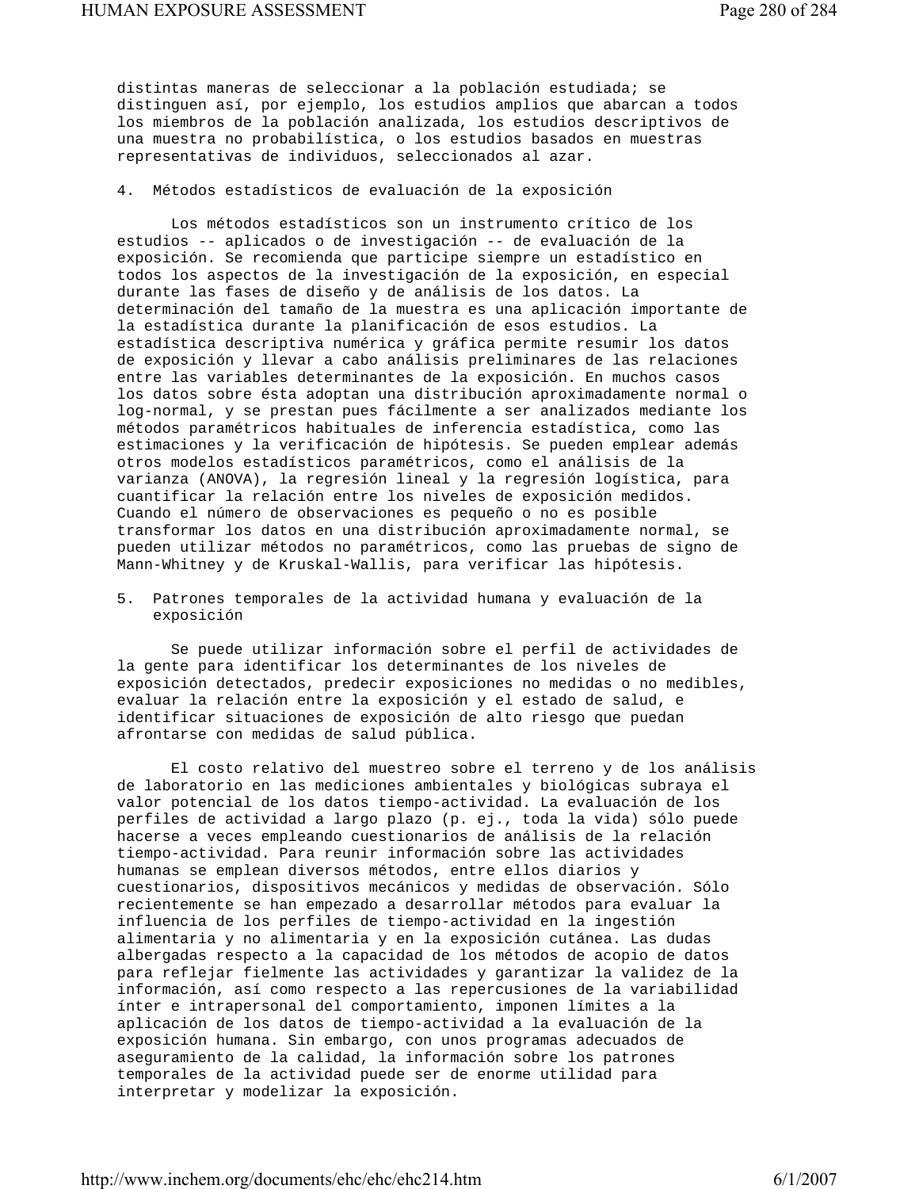distintas maneras de seleccionar a la población estudiada; se distinguen así, por ejemplo, los estudios amplios que abarcan a todos los miembros de la población analizada, los estudios descriptivos de una muestra no probabilística, o los estudios basados en muestras representativas de individuos, seleccionados al azar.

4. Métodos estadísticos de evaluación de la exposición

 Los métodos estadísticos son un instrumento crítico de los estudios -- aplicados o de investigación -- de evaluación de la exposición. Se recomienda que participe siempre un estadístico en todos los aspectos de la investigación de la exposición, en especial durante las fases de diseño y de análisis de los datos. La determinación del tamaño de la muestra es una aplicación importante de la estadística durante la planificación de esos estudios. La estadística descriptiva numérica y gráfica permite resumir los datos de exposición y llevar a cabo análisis preliminares de las relaciones entre las variables determinantes de la exposición. En muchos casos los datos sobre ésta adoptan una distribución aproximadamente normal o log-normal, y se prestan pues fácilmente a ser analizados mediante los métodos paramétricos habituales de inferencia estadística, como las estimaciones y la verificación de hipótesis. Se pueden emplear además otros modelos estadísticos paramétricos, como el análisis de la varianza (ANOVA), la regresión lineal y la regresión logística, para cuantificar la relación entre los niveles de exposición medidos. Cuando el número de observaciones es pequeño o no es posible transformar los datos en una distribución aproximadamente normal, se pueden utilizar métodos no paramétricos, como las pruebas de signo de Mann-Whitney y de Kruskal-Wallis, para verificar las hipótesis.

 5. Patrones temporales de la actividad humana y evaluación de la exposición

 Se puede utilizar información sobre el perfil de actividades de la gente para identificar los determinantes de los niveles de exposición detectados, predecir exposiciones no medidas o no medibles, evaluar la relación entre la exposición y el estado de salud, e identificar situaciones de exposición de alto riesgo que puedan afrontarse con medidas de salud pública.

 El costo relativo del muestreo sobre el terreno y de los análisis de laboratorio en las mediciones ambientales y biológicas subraya el valor potencial de los datos tiempo-actividad. La evaluación de los perfiles de actividad a largo plazo (p. ej., toda la vida) sólo puede hacerse a veces empleando cuestionarios de análisis de la relación tiempo-actividad. Para reunir información sobre las actividades humanas se emplean diversos métodos, entre ellos diarios y cuestionarios, dispositivos mecánicos y medidas de observación. Sólo recientemente se han empezado a desarrollar métodos para evaluar la influencia de los perfiles de tiempo-actividad en la ingestión alimentaria y no alimentaria y en la exposición cutánea. Las dudas albergadas respecto a la capacidad de los métodos de acopio de datos para reflejar fielmente las actividades y garantizar la validez de la información, así como respecto a las repercusiones de la variabilidad ínter e intrapersonal del comportamiento, imponen límites a la aplicación de los datos de tiempo-actividad a la evaluación de la exposición humana. Sin embargo, con unos programas adecuados de aseguramiento de la calidad, la información sobre los patrones temporales de la actividad puede ser de enorme utilidad para interpretar y modelizar la exposición.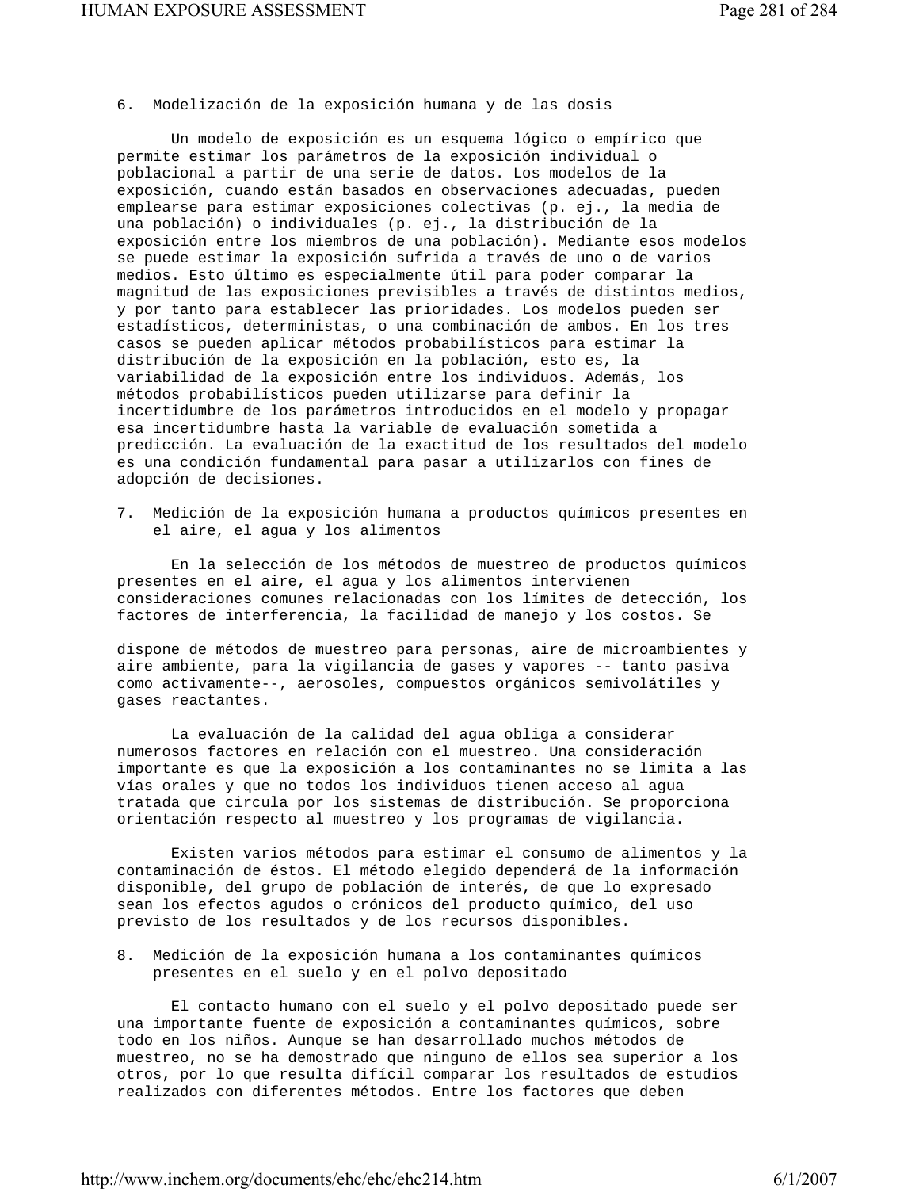6. Modelización de la exposición humana y de las dosis

 Un modelo de exposición es un esquema lógico o empírico que permite estimar los parámetros de la exposición individual o poblacional a partir de una serie de datos. Los modelos de la exposición, cuando están basados en observaciones adecuadas, pueden emplearse para estimar exposiciones colectivas (p. ej., la media de una población) o individuales (p. ej., la distribución de la exposición entre los miembros de una población). Mediante esos modelos se puede estimar la exposición sufrida a través de uno o de varios medios. Esto último es especialmente útil para poder comparar la magnitud de las exposiciones previsibles a través de distintos medios, y por tanto para establecer las prioridades. Los modelos pueden ser estadísticos, deterministas, o una combinación de ambos. En los tres casos se pueden aplicar métodos probabilísticos para estimar la distribución de la exposición en la población, esto es, la variabilidad de la exposición entre los individuos. Además, los métodos probabilísticos pueden utilizarse para definir la incertidumbre de los parámetros introducidos en el modelo y propagar esa incertidumbre hasta la variable de evaluación sometida a predicción. La evaluación de la exactitud de los resultados del modelo es una condición fundamental para pasar a utilizarlos con fines de adopción de decisiones.

 7. Medición de la exposición humana a productos químicos presentes en el aire, el agua y los alimentos

 En la selección de los métodos de muestreo de productos químicos presentes en el aire, el agua y los alimentos intervienen consideraciones comunes relacionadas con los límites de detección, los factores de interferencia, la facilidad de manejo y los costos. Se

 dispone de métodos de muestreo para personas, aire de microambientes y aire ambiente, para la vigilancia de gases y vapores -- tanto pasiva como activamente--, aerosoles, compuestos orgánicos semivolátiles y gases reactantes.

 La evaluación de la calidad del agua obliga a considerar numerosos factores en relación con el muestreo. Una consideración importante es que la exposición a los contaminantes no se limita a las vías orales y que no todos los individuos tienen acceso al agua tratada que circula por los sistemas de distribución. Se proporciona orientación respecto al muestreo y los programas de vigilancia.

 Existen varios métodos para estimar el consumo de alimentos y la contaminación de éstos. El método elegido dependerá de la información disponible, del grupo de población de interés, de que lo expresado sean los efectos agudos o crónicos del producto químico, del uso previsto de los resultados y de los recursos disponibles.

 8. Medición de la exposición humana a los contaminantes químicos presentes en el suelo y en el polvo depositado

 El contacto humano con el suelo y el polvo depositado puede ser una importante fuente de exposición a contaminantes químicos, sobre todo en los niños. Aunque se han desarrollado muchos métodos de muestreo, no se ha demostrado que ninguno de ellos sea superior a los otros, por lo que resulta difícil comparar los resultados de estudios realizados con diferentes métodos. Entre los factores que deben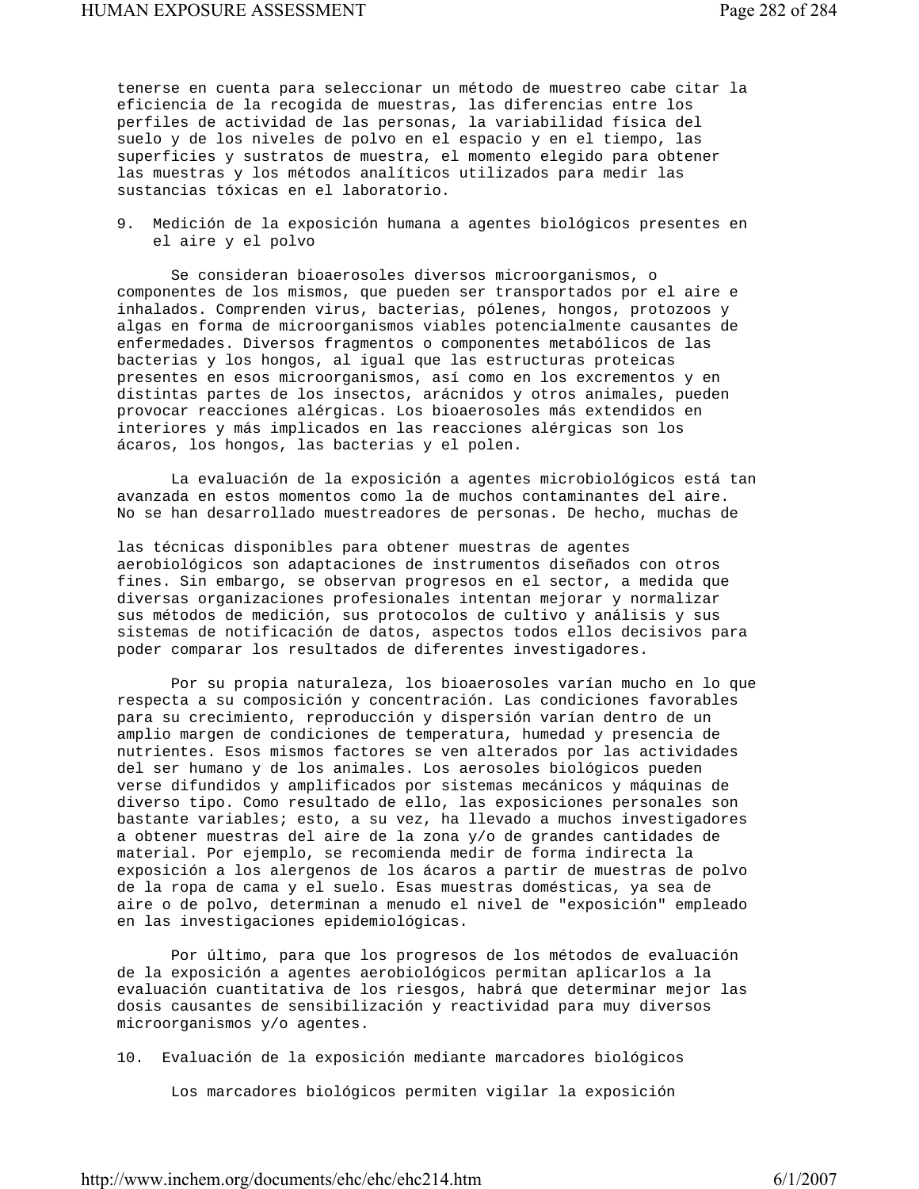tenerse en cuenta para seleccionar un método de muestreo cabe citar la eficiencia de la recogida de muestras, las diferencias entre los perfiles de actividad de las personas, la variabilidad física del suelo y de los niveles de polvo en el espacio y en el tiempo, las superficies y sustratos de muestra, el momento elegido para obtener las muestras y los métodos analíticos utilizados para medir las sustancias tóxicas en el laboratorio.

 9. Medición de la exposición humana a agentes biológicos presentes en el aire y el polvo

 Se consideran bioaerosoles diversos microorganismos, o componentes de los mismos, que pueden ser transportados por el aire e inhalados. Comprenden virus, bacterias, pólenes, hongos, protozoos y algas en forma de microorganismos viables potencialmente causantes de enfermedades. Diversos fragmentos o componentes metabólicos de las bacterias y los hongos, al igual que las estructuras proteicas presentes en esos microorganismos, así como en los excrementos y en distintas partes de los insectos, arácnidos y otros animales, pueden provocar reacciones alérgicas. Los bioaerosoles más extendidos en interiores y más implicados en las reacciones alérgicas son los ácaros, los hongos, las bacterias y el polen.

 La evaluación de la exposición a agentes microbiológicos está tan avanzada en estos momentos como la de muchos contaminantes del aire. No se han desarrollado muestreadores de personas. De hecho, muchas de

 las técnicas disponibles para obtener muestras de agentes aerobiológicos son adaptaciones de instrumentos diseñados con otros fines. Sin embargo, se observan progresos en el sector, a medida que diversas organizaciones profesionales intentan mejorar y normalizar sus métodos de medición, sus protocolos de cultivo y análisis y sus sistemas de notificación de datos, aspectos todos ellos decisivos para poder comparar los resultados de diferentes investigadores.

 Por su propia naturaleza, los bioaerosoles varían mucho en lo que respecta a su composición y concentración. Las condiciones favorables para su crecimiento, reproducción y dispersión varían dentro de un amplio margen de condiciones de temperatura, humedad y presencia de nutrientes. Esos mismos factores se ven alterados por las actividades del ser humano y de los animales. Los aerosoles biológicos pueden verse difundidos y amplificados por sistemas mecánicos y máquinas de diverso tipo. Como resultado de ello, las exposiciones personales son bastante variables; esto, a su vez, ha llevado a muchos investigadores a obtener muestras del aire de la zona y/o de grandes cantidades de material. Por ejemplo, se recomienda medir de forma indirecta la exposición a los alergenos de los ácaros a partir de muestras de polvo de la ropa de cama y el suelo. Esas muestras domésticas, ya sea de aire o de polvo, determinan a menudo el nivel de "exposición" empleado en las investigaciones epidemiológicas.

 Por último, para que los progresos de los métodos de evaluación de la exposición a agentes aerobiológicos permitan aplicarlos a la evaluación cuantitativa de los riesgos, habrá que determinar mejor las dosis causantes de sensibilización y reactividad para muy diversos microorganismos y/o agentes.

10. Evaluación de la exposición mediante marcadores biológicos

Los marcadores biológicos permiten vigilar la exposición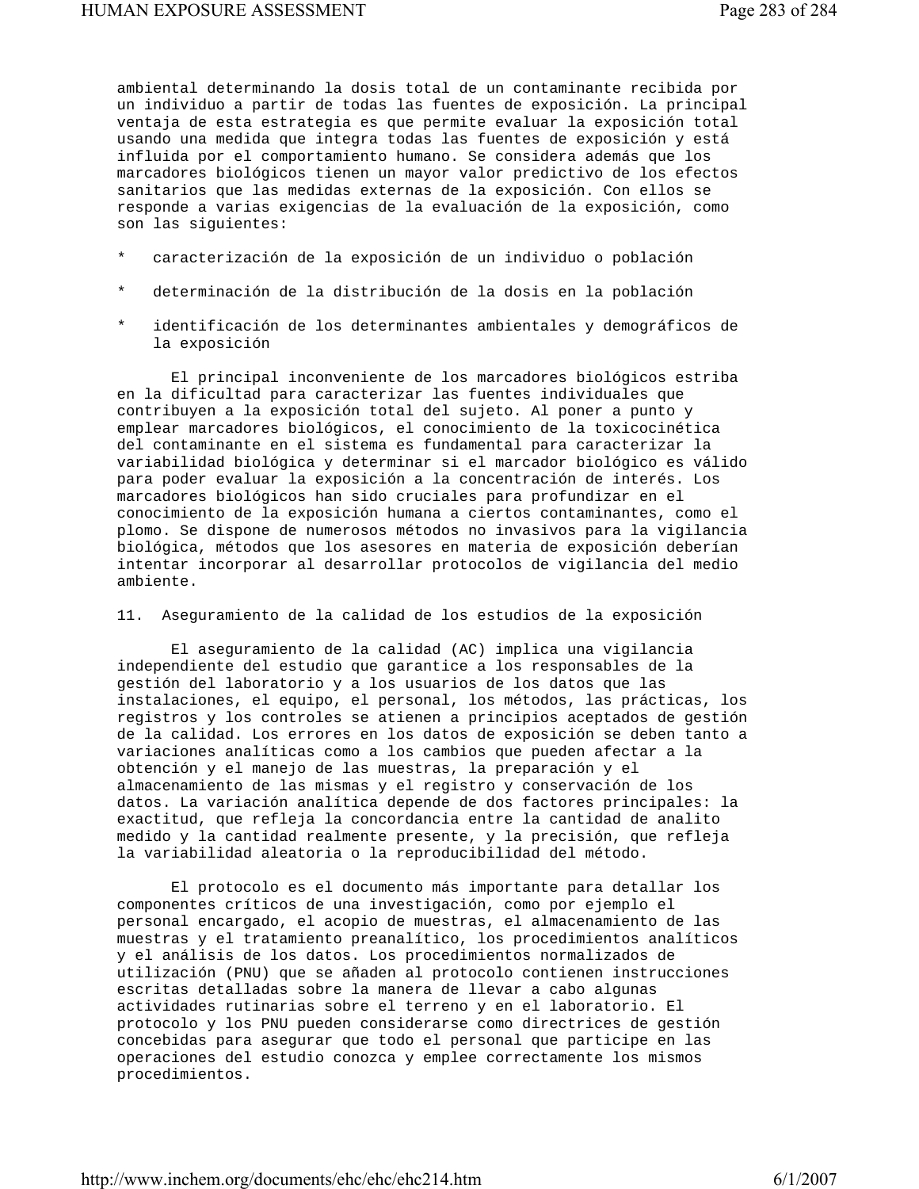ambiental determinando la dosis total de un contaminante recibida por un individuo a partir de todas las fuentes de exposición. La principal ventaja de esta estrategia es que permite evaluar la exposición total usando una medida que integra todas las fuentes de exposición y está influida por el comportamiento humano. Se considera además que los marcadores biológicos tienen un mayor valor predictivo de los efectos sanitarios que las medidas externas de la exposición. Con ellos se responde a varias exigencias de la evaluación de la exposición, como son las siguientes:

- caracterización de la exposición de un individuo o población
- determinación de la distribución de la dosis en la población
- identificación de los determinantes ambientales y demográficos de la exposición

 El principal inconveniente de los marcadores biológicos estriba en la dificultad para caracterizar las fuentes individuales que contribuyen a la exposición total del sujeto. Al poner a punto y emplear marcadores biológicos, el conocimiento de la toxicocinética del contaminante en el sistema es fundamental para caracterizar la variabilidad biológica y determinar si el marcador biológico es válido para poder evaluar la exposición a la concentración de interés. Los marcadores biológicos han sido cruciales para profundizar en el conocimiento de la exposición humana a ciertos contaminantes, como el plomo. Se dispone de numerosos métodos no invasivos para la vigilancia biológica, métodos que los asesores en materia de exposición deberían intentar incorporar al desarrollar protocolos de vigilancia del medio ambiente.

11. Aseguramiento de la calidad de los estudios de la exposición

 El aseguramiento de la calidad (AC) implica una vigilancia independiente del estudio que garantice a los responsables de la gestión del laboratorio y a los usuarios de los datos que las instalaciones, el equipo, el personal, los métodos, las prácticas, los registros y los controles se atienen a principios aceptados de gestión de la calidad. Los errores en los datos de exposición se deben tanto a variaciones analíticas como a los cambios que pueden afectar a la obtención y el manejo de las muestras, la preparación y el almacenamiento de las mismas y el registro y conservación de los datos. La variación analítica depende de dos factores principales: la exactitud, que refleja la concordancia entre la cantidad de analito medido y la cantidad realmente presente, y la precisión, que refleja la variabilidad aleatoria o la reproducibilidad del método.

 El protocolo es el documento más importante para detallar los componentes críticos de una investigación, como por ejemplo el personal encargado, el acopio de muestras, el almacenamiento de las muestras y el tratamiento preanalítico, los procedimientos analíticos y el análisis de los datos. Los procedimientos normalizados de utilización (PNU) que se añaden al protocolo contienen instrucciones escritas detalladas sobre la manera de llevar a cabo algunas actividades rutinarias sobre el terreno y en el laboratorio. El protocolo y los PNU pueden considerarse como directrices de gestión concebidas para asegurar que todo el personal que participe en las operaciones del estudio conozca y emplee correctamente los mismos procedimientos.